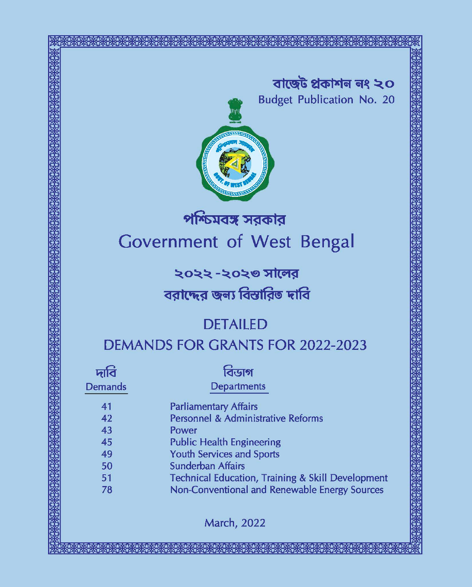বাৰ্ত্তেট প্ৰকাশন নং ২০ **Budget Publication No. 20** 



# পশ্চিমবঙ্গ সরকার **Government** of West Bengal

২০২২ -২০২৩ সালের

## বরাদ্দের জন্য বিস্তারিত দাবি

# **DETAILED**

## **DEMANDS FOR GRANTS FOR 2022-2023**

| nilo    |  |
|---------|--|
| Demands |  |

# বিডাগ

- **Departments**
- **Parliamentary Affairs**
- Personnel & Administrative Reforms
- Power
- **Public Health Engineering**
- **Youth Services and Sports**
- **Sunderban Affairs**
- 51 **Technical Education, Training & Skill Development** 78
	- Non-Conventional and Renewable Energy Sources

**March, 2022**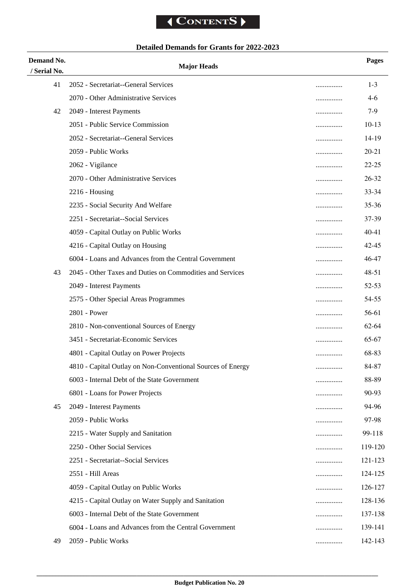## **Detailed Demands for Grants for 2022-2023**

| Demand No.   | <b>Major Heads</b>                                          |   | Pages     |
|--------------|-------------------------------------------------------------|---|-----------|
| / Serial No. |                                                             |   |           |
| 41           | 2052 - Secretariat--General Services                        | . | $1 - 3$   |
|              | 2070 - Other Administrative Services                        | . | 4-6       |
| 42           | 2049 - Interest Payments                                    |   | $7-9$     |
|              | 2051 - Public Service Commission                            |   | $10-13$   |
|              | 2052 - Secretariat--General Services                        | . | 14-19     |
|              | 2059 - Public Works                                         |   | $20 - 21$ |
|              | 2062 - Vigilance                                            | . | $22 - 25$ |
|              | 2070 - Other Administrative Services                        | . | 26-32     |
|              | $2216$ - Housing                                            |   | 33-34     |
|              | 2235 - Social Security And Welfare                          | . | 35-36     |
|              | 2251 - Secretariat--Social Services                         |   | 37-39     |
|              | 4059 - Capital Outlay on Public Works                       | . | $40 - 41$ |
|              | 4216 - Capital Outlay on Housing                            | . | 42-45     |
|              | 6004 - Loans and Advances from the Central Government       | . | 46-47     |
| 43           | 2045 - Other Taxes and Duties on Commodities and Services   |   | 48-51     |
|              | 2049 - Interest Payments                                    |   | $52 - 53$ |
|              | 2575 - Other Special Areas Programmes                       |   | 54-55     |
|              | 2801 - Power                                                |   | 56-61     |
|              | 2810 - Non-conventional Sources of Energy                   |   | 62-64     |
|              | 3451 - Secretariat-Economic Services                        | . | 65-67     |
|              | 4801 - Capital Outlay on Power Projects                     | . | 68-83     |
|              | 4810 - Capital Outlay on Non-Conventional Sources of Energy |   | 84-87     |
|              | 6003 - Internal Debt of the State Government                |   | 88-89     |
|              | 6801 - Loans for Power Projects                             |   | 90-93     |
| 45           | 2049 - Interest Payments                                    |   | 94-96     |
|              | 2059 - Public Works                                         | . | 97-98     |
|              | 2215 - Water Supply and Sanitation                          |   | 99-118    |
|              | 2250 - Other Social Services                                |   | 119-120   |
|              | 2251 - Secretariat--Social Services                         |   | 121-123   |
|              | 2551 - Hill Areas                                           |   | 124-125   |
|              | 4059 - Capital Outlay on Public Works                       |   | 126-127   |
|              | 4215 - Capital Outlay on Water Supply and Sanitation        | . | 128-136   |
|              | 6003 - Internal Debt of the State Government                | . | 137-138   |
|              | 6004 - Loans and Advances from the Central Government       | . | 139-141   |
| 49           | 2059 - Public Works                                         |   | 142-143   |
|              |                                                             |   |           |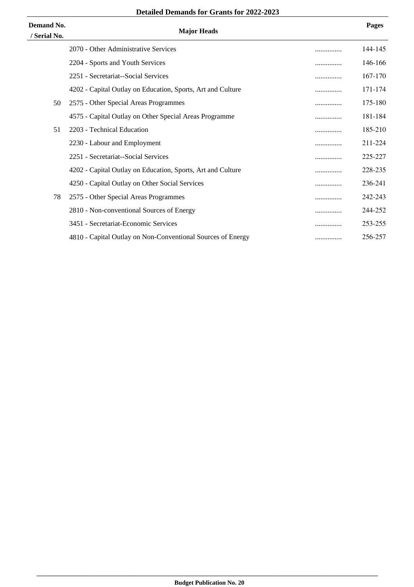| <b>Demand No.</b><br>/ Serial No. | <b>Major Heads</b>                                          |   | Pages   |
|-----------------------------------|-------------------------------------------------------------|---|---------|
|                                   | 2070 - Other Administrative Services                        |   | 144-145 |
|                                   | 2204 - Sports and Youth Services                            | . | 146-166 |
|                                   | 2251 - Secretariat--Social Services                         |   | 167-170 |
|                                   | 4202 - Capital Outlay on Education, Sports, Art and Culture | . | 171-174 |
| 50                                | 2575 - Other Special Areas Programmes                       |   | 175-180 |
|                                   | 4575 - Capital Outlay on Other Special Areas Programme      |   | 181-184 |
| 51                                | 2203 - Technical Education                                  | . | 185-210 |
|                                   | 2230 - Labour and Employment                                |   | 211-224 |
|                                   | 2251 - Secretariat--Social Services                         | . | 225-227 |
|                                   | 4202 - Capital Outlay on Education, Sports, Art and Culture | . | 228-235 |
|                                   | 4250 - Capital Outlay on Other Social Services              |   | 236-241 |
| 78                                | 2575 - Other Special Areas Programmes                       | . | 242-243 |
|                                   | 2810 - Non-conventional Sources of Energy                   | . | 244-252 |
|                                   | 3451 - Secretariat-Economic Services                        | . | 253-255 |
|                                   | 4810 - Capital Outlay on Non-Conventional Sources of Energy |   | 256-257 |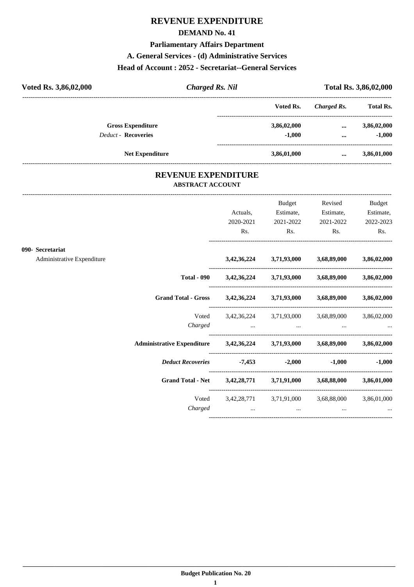#### **DEMAND No. 41**

**Parliamentary Affairs Department**

#### **A. General Services - (d) Administrative Services**

#### **Head of Account : 2052 - Secretariat--General Services**

| Voted Rs. 3,86,02,000      | <b>Charged Rs. Nil</b> |             | Total Rs. 3,86,02,000 |                  |
|----------------------------|------------------------|-------------|-----------------------|------------------|
|                            |                        | Voted Rs.   | Charged Rs.           | <b>Total Rs.</b> |
| <b>Gross Expenditure</b>   |                        | 3,86,02,000 | $\cdots$              | 3,86,02,000      |
| <b>Deduct - Recoveries</b> |                        | $-1.000$    | $\cdots$              | $-1.000$         |
|                            | <b>Net Expenditure</b> | 3,86,01,000 |                       | 3,86,01,000      |

### **REVENUE EXPENDITURE ABSTRACT ACCOUNT**

---------------------------------------------------------------------------------------------------------------------------------------------------------------------------------

|                            |                                                                            | Actuals,<br>2020-2021                                                                                                                                                                                                          | Budget<br>Estimate,<br>2021-2022                                                      | Revised<br>Estimate,          | Budget<br>Estimate,<br>2021-2022 2022-2023 |
|----------------------------|----------------------------------------------------------------------------|--------------------------------------------------------------------------------------------------------------------------------------------------------------------------------------------------------------------------------|---------------------------------------------------------------------------------------|-------------------------------|--------------------------------------------|
|                            |                                                                            | Rs.                                                                                                                                                                                                                            | $\mathbf{Rs.}$                                                                        | Rs.                           | Rs.                                        |
| 090- Secretariat           |                                                                            |                                                                                                                                                                                                                                |                                                                                       |                               |                                            |
| Administrative Expenditure |                                                                            |                                                                                                                                                                                                                                | $3,42,36,224$ $3,71,93,000$ $3,68,89,000$ $3,86,02,000$                               |                               |                                            |
|                            |                                                                            |                                                                                                                                                                                                                                | Total - 090 $3,42,36,224$ $3,71,93,000$ $3,68,89,000$ $3,86,02,000$                   |                               |                                            |
|                            | Grand Total - Gross 3,42,36,224 3,71,93,000 3,68,89,000 3,86,02,000        |                                                                                                                                                                                                                                |                                                                                       |                               |                                            |
|                            |                                                                            |                                                                                                                                                                                                                                | Voted 3,42,36,224 3,71,93,000 3,68,89,000 3,86,02,000<br>Charged                      |                               |                                            |
|                            | Administrative Expenditure 3,42,36,224 3,71,93,000 3,68,89,000 3,86,02,000 |                                                                                                                                                                                                                                |                                                                                       |                               |                                            |
|                            | Deduct Recoveries -7,453 -2,000                                            |                                                                                                                                                                                                                                |                                                                                       |                               | $-1,000$ $-1,000$                          |
|                            | Grand Total - Net 3,42,28,771 3,71,91,000 3,68,88,000 3,86,01,000          |                                                                                                                                                                                                                                |                                                                                       |                               |                                            |
|                            | Charged                                                                    | and the contract of the contract of the contract of the contract of the contract of the contract of the contract of the contract of the contract of the contract of the contract of the contract of the contract of the contra | Voted 3,42,28,771 3,71,91,000 3,68,88,000 3,86,01,000<br>and the contract of the con- | and the contract of the state |                                            |
|                            |                                                                            |                                                                                                                                                                                                                                |                                                                                       |                               |                                            |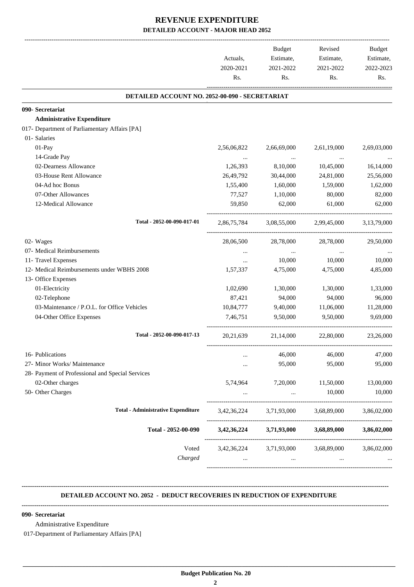|                                                  | Actuals,    | <b>Budget</b><br>Estimate, | Revised<br>Estimate, | Budget<br>Estimate, |
|--------------------------------------------------|-------------|----------------------------|----------------------|---------------------|
|                                                  | 2020-2021   | 2021-2022<br>2021-2022     |                      | 2022-2023           |
|                                                  | Rs.         | Rs.                        | Rs.                  | Rs.                 |
| DETAILED ACCOUNT NO. 2052-00-090 - SECRETARIAT   |             |                            |                      |                     |
| 090- Secretariat                                 |             |                            |                      |                     |
| <b>Administrative Expenditure</b>                |             |                            |                      |                     |
| 017- Department of Parliamentary Affairs [PA]    |             |                            |                      |                     |
| 01- Salaries                                     |             |                            |                      |                     |
| 01-Pay                                           | 2,56,06,822 | 2,66,69,000                | 2,61,19,000          | 2,69,03,000         |
| 14-Grade Pay                                     | $\ldots$    | $\cdots$                   | $\ddots$             |                     |
| 02-Dearness Allowance                            | 1,26,393    | 8,10,000                   | 10,45,000            | 16,14,000           |
| 03-House Rent Allowance                          | 26,49,792   | 30,44,000                  | 24,81,000            | 25,56,000           |
| 04-Ad hoc Bonus                                  | 1,55,400    | 1,60,000                   | 1,59,000             | 1,62,000            |
| 07-Other Allowances                              | 77,527      | 1,10,000                   | 80,000               | 82,000              |
| 12-Medical Allowance                             | 59,850      | 62,000                     | 61,000               | 62,000              |
| Total - 2052-00-090-017-01                       | 2,86,75,784 | 3,08,55,000                | 2,99,45,000          | 3,13,79,000         |
| 02- Wages                                        | 28,06,500   | 28,78,000                  | 28,78,000            | 29,50,000           |
| 07- Medical Reimbursements                       | $\cdots$    | $\cdots$                   | $\cdots$             |                     |
| 11- Travel Expenses                              | $\cdots$    | 10,000                     | 10,000               | 10,000              |
| 12- Medical Reimbursements under WBHS 2008       | 1,57,337    | 4,75,000                   | 4,75,000             | 4,85,000            |
| 13- Office Expenses                              |             |                            |                      |                     |
| 01-Electricity                                   | 1,02,690    | 1,30,000                   | 1,30,000             | 1,33,000            |
| 02-Telephone                                     | 87,421      | 94,000                     | 94,000               | 96,000              |
| 03-Maintenance / P.O.L. for Office Vehicles      | 10,84,777   | 9,40,000                   | 11,06,000            | 11,28,000           |
| 04-Other Office Expenses                         | 7,46,751    | 9,50,000                   | 9.50.000             | 9.69.000            |
| Total - 2052-00-090-017-13                       | 20, 21, 639 | 21,14,000                  | 22,80,000            | 23,26,000           |
| 16- Publications                                 |             | 46,000                     | 46,000               | 47,000              |
| 27- Minor Works/ Maintenance                     |             | 95,000                     | 95,000               | 95,000              |
| 28- Payment of Professional and Special Services |             |                            |                      |                     |
| 02-Other charges                                 | 5,74,964    | 7,20,000                   | 11,50,000            | 13,00,000           |
| 50- Other Charges                                |             | $\cdots$                   | 10,000               | 10,000              |
| <b>Total - Administrative Expenditure</b>        | 3,42,36,224 | 3,71,93,000                | 3,68,89,000          | 3,86,02,000         |
| Total - 2052-00-090                              | 3,42,36,224 | 3,71,93,000                | 3,68,89,000          | 3,86,02,000         |
| Voted                                            |             | 3,42,36,224 3,71,93,000    | 3,68,89,000          | 3,86,02,000         |
| Charged                                          | $\cdots$    | $\cdots$                   | $\cdots$             |                     |

#### **-------------------------------------------------------------------------------------------------------------------------------------------------------------------------------- DETAILED ACCOUNT NO. 2052 - DEDUCT RECOVERIES IN REDUCTION OF EXPENDITURE**

**--------------------------------------------------------------------------------------------------------------------------------------------------------------------------------**

#### **090- Secretariat**

Administrative Expenditure

017-Department of Parliamentary Affairs [PA]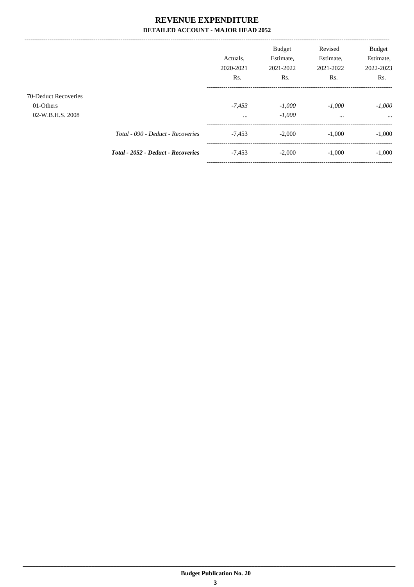|                                                              |                                           | Actuals.<br>2020-2021<br>Rs. | <b>Budget</b><br>Estimate,<br>2021-2022<br>Rs. | Revised<br>Estimate,<br>2021-2022<br>Rs. | <b>Budget</b><br>Estimate,<br>2022-2023<br>Rs. |
|--------------------------------------------------------------|-------------------------------------------|------------------------------|------------------------------------------------|------------------------------------------|------------------------------------------------|
| <b>70-Deduct Recoveries</b><br>01-Others<br>02-W.B.H.S. 2008 |                                           | $-7.453$<br>$\cdots$         | $-1,000$<br>$-1,000$                           | $-1.000$<br>$\cdots$                     | $-1,000$<br>$\cdots$                           |
|                                                              | Total - 090 - Deduct - Recoveries         | $-7,453$                     | $-2.000$                                       | $-1,000$                                 | $-1,000$                                       |
|                                                              | <b>Total - 2052 - Deduct - Recoveries</b> | $-7,453$                     | $-2,000$                                       | $-1,000$                                 | $-1,000$                                       |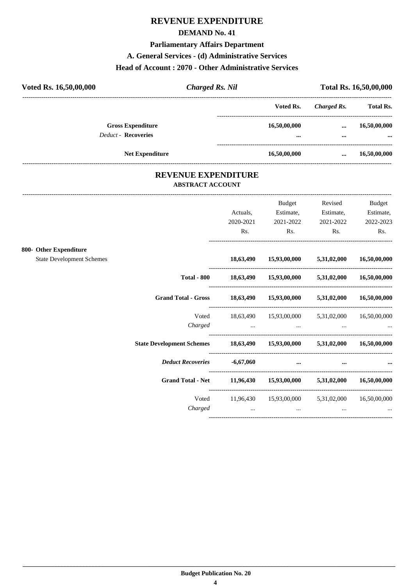#### **DEMAND No. 41**

**Parliamentary Affairs Department**

#### **A. General Services - (d) Administrative Services**

#### **Head of Account : 2070 - Other Administrative Services**

| Voted Rs. 16,50,00,000     | <b>Charged Rs. Nil</b> |              | Total Rs. 16,50,00,000 |                  |  |
|----------------------------|------------------------|--------------|------------------------|------------------|--|
|                            |                        | Voted Rs.    | Charged Rs.            | <b>Total Rs.</b> |  |
| <b>Gross Expenditure</b>   |                        | 16,50,00,000 |                        | 16,50,00,000     |  |
| <b>Deduct - Recoveries</b> |                        | $\cdots$     |                        | $\cdots$         |  |
| <b>Net Expenditure</b>     |                        | 16,50,00,000 | $\cdots$               | 16,50,00,000     |  |

### **REVENUE EXPENDITURE ABSTRACT ACCOUNT**

---------------------------------------------------------------------------------------------------------------------------------------------------------------------------------

|                                  |                                                                           | Actuals,<br>2020-2021 | <b>Budget</b><br>Estimate,<br>2021-2022         | Revised<br>Estimate,<br>2021-2022 | <b>Budget</b><br>Estimate,<br>2022-2023 |
|----------------------------------|---------------------------------------------------------------------------|-----------------------|-------------------------------------------------|-----------------------------------|-----------------------------------------|
|                                  |                                                                           | Rs.                   | Rs.                                             | Rs.                               | Rs.                                     |
| 800- Other Expenditure           |                                                                           |                       |                                                 |                                   |                                         |
| <b>State Development Schemes</b> |                                                                           | 18,63,490             |                                                 | $15,93,00,000$ $5,31,02,000$      | 16,50,00,000                            |
|                                  | <b>Total - 800</b>                                                        |                       | 18,63,490 15,93,00,000 5,31,02,000              |                                   | 16,50,00,000                            |
|                                  | <b>Grand Total - Gross</b>                                                |                       | 18,63,490 15,93,00,000 5,31,02,000              |                                   | 16,50,00,000                            |
|                                  | Voted                                                                     |                       | 18,63,490 15,93,00,000 5,31,02,000              |                                   | 16,50,00,000                            |
|                                  | Charged                                                                   | $\cdots$              | $\cdots$                                        | $\cdots$                          |                                         |
|                                  | State Development Schemes 18,63,490 15,93,00,000 5,31,02,000 16,50,00,000 |                       |                                                 |                                   |                                         |
|                                  | <b>Deduct Recoveries</b>                                                  | $-6,67,060$           | $\cdots$                                        | $\cdots$                          |                                         |
|                                  | <b>Grand Total - Net</b>                                                  |                       | 11,96,430 15,93,00,000 5,31,02,000 16,50,00,000 |                                   |                                         |
|                                  | Voted<br>Charged                                                          | $\ddotsc$             | 11,96,430 15,93,00,000 5,31,02,000<br>$\cdots$  | $\cdots$                          | 16,50,00,000                            |
|                                  |                                                                           |                       |                                                 |                                   |                                         |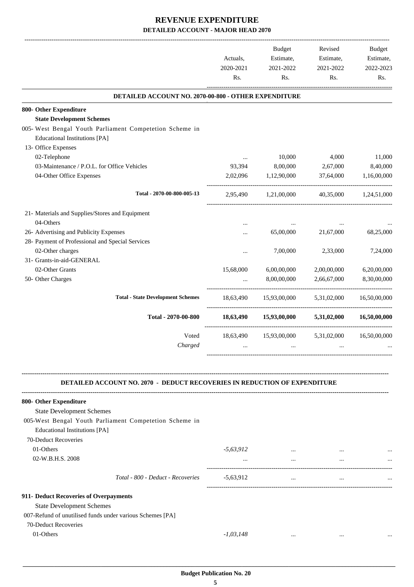|                                                                                                 |             | Budget               | Revised     | Budget       |
|-------------------------------------------------------------------------------------------------|-------------|----------------------|-------------|--------------|
|                                                                                                 | Actuals,    | Estimate,            | Estimate,   | Estimate,    |
|                                                                                                 | 2020-2021   | 2021-2022            | 2021-2022   | 2022-2023    |
|                                                                                                 | Rs.         | Rs.                  | Rs.         | Rs.          |
| DETAILED ACCOUNT NO. 2070-00-800 - OTHER EXPENDITURE                                            |             |                      |             |              |
| 800- Other Expenditure                                                                          |             |                      |             |              |
| <b>State Development Schemes</b>                                                                |             |                      |             |              |
| 005- West Bengal Youth Parliament Competetion Scheme in<br><b>Educational Institutions [PA]</b> |             |                      |             |              |
| 13- Office Expenses                                                                             |             |                      |             |              |
| 02-Telephone                                                                                    | $\cdots$    | 10,000               | 4,000       | 11,000       |
| 03-Maintenance / P.O.L. for Office Vehicles                                                     | 93,394      | 8,00,000             | 2,67,000    | 8,40,000     |
| 04-Other Office Expenses                                                                        | 2,02,096    | 1,12,90,000          | 37,64,000   | 1,16,00,000  |
| Total - 2070-00-800-005-13                                                                      |             | 2,95,490 1,21,00,000 | 40,35,000   | 1,24,51,000  |
| 21- Materials and Supplies/Stores and Equipment                                                 |             |                      |             |              |
| 04-Others                                                                                       | $\cdots$    |                      |             |              |
| 26- Advertising and Publicity Expenses                                                          |             | 65,00,000            | 21,67,000   | 68,25,000    |
| 28- Payment of Professional and Special Services                                                |             |                      |             |              |
| 02-Other charges                                                                                |             | 7,00,000             | 2,33,000    | 7,24,000     |
| 31- Grants-in-aid-GENERAL                                                                       |             |                      |             |              |
| 02-Other Grants                                                                                 | 15,68,000   | 6,00,00,000          | 2,00,00,000 | 6,20,00,000  |
| 50- Other Charges                                                                               | $\ddotsc$   | 8,00,00,000          | 2,66,67,000 | 8,30,00,000  |
| <b>Total - State Development Schemes</b>                                                        | 18,63,490   | 15,93,00,000         | 5,31,02,000 | 16,50,00,000 |
| Total - 2070-00-800                                                                             | 18,63,490   | 15,93,00,000         | 5,31,02,000 | 16,50,00,000 |
|                                                                                                 |             |                      |             |              |
| Voted<br>Charged                                                                                | 18,63,490   | 15,93,00,000         | 5,31,02,000 | 16,50,00,000 |
|                                                                                                 | $\cdots$    | $\cdots$             | $\cdots$    |              |
| <b>DETAILED ACCOUNT NO. 2070 - DEDUCT RECOVERIES IN REDUCTION OF EXPENDITURE</b>                |             |                      |             |              |
| 800- Other Expenditure                                                                          |             |                      |             |              |
| <b>State Development Schemes</b>                                                                |             |                      |             |              |
| 005-West Bengal Youth Parliament Competetion Scheme in<br><b>Educational Institutions [PA]</b>  |             |                      |             |              |
| 70-Deduct Recoveries                                                                            |             |                      |             |              |
| 01-Others                                                                                       | $-5,63,912$ | $\cdots$             |             |              |
| 02-W.B.H.S. 2008                                                                                |             | $\cdots$             | $\cdots$    |              |
|                                                                                                 | $\cdots$    |                      |             |              |
| Total - 800 - Deduct - Recoveries                                                               | $-5,63,912$ | $\cdots$             | $\cdots$    |              |
| 911- Deduct Recoveries of Overpayments                                                          |             |                      |             |              |
| <b>State Development Schemes</b>                                                                |             |                      |             |              |
| 007-Refund of unutilised funds under various Schemes [PA]                                       |             |                      |             |              |
| 70-Deduct Recoveries                                                                            |             |                      |             |              |
| 01-Others                                                                                       | $-1,03,148$ | $\cdots$             | $\cdots$    |              |
|                                                                                                 |             |                      |             |              |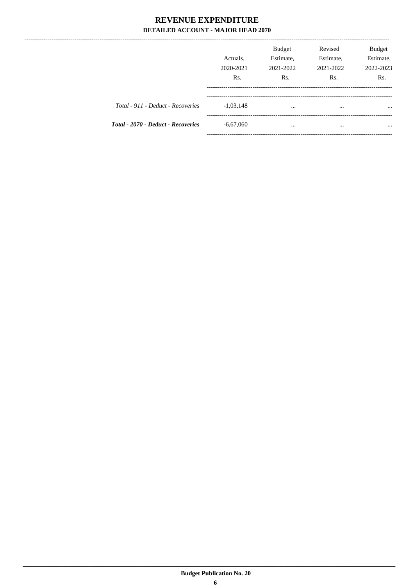-------------------

|                                    | Actuals.<br>2020-2021<br>Rs. | <b>Budget</b><br>Estimate,<br>2021-2022<br>R <sub>s</sub> . | Revised<br>Estimate,<br>2021-2022<br>Rs. | <b>Budget</b><br>Estimate,<br>2022-2023<br>Rs. |
|------------------------------------|------------------------------|-------------------------------------------------------------|------------------------------------------|------------------------------------------------|
| Total - 911 - Deduct - Recoveries  | $-1,03,148$                  | $\cdots$                                                    | $\cdots$                                 | $\cdots$                                       |
| Total - 2070 - Deduct - Recoveries | $-6,67,060$                  | $\cdots$                                                    | $\cdots$                                 | $\cdots$                                       |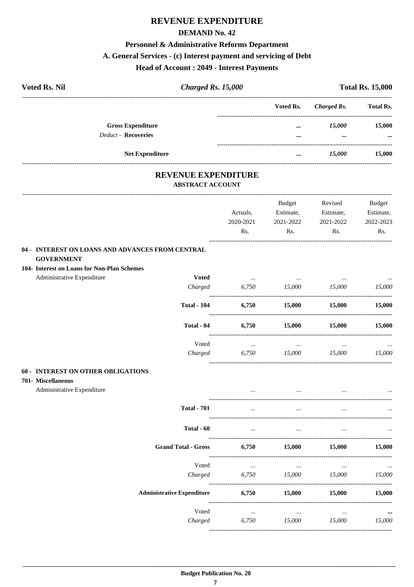#### **DEMAND No. 42**

#### Personnel & Administrative Reforms Department

#### A. General Services - (c) Interest payment and servicing of Debt

#### **Head of Account: 2049 - Interest Payments**

| <b>Voted Rs. Nil</b> | Charged Rs. 15,000         |                                                       |               | <b>Total Rs. 15,000</b> |                  |
|----------------------|----------------------------|-------------------------------------------------------|---------------|-------------------------|------------------|
|                      |                            |                                                       | Voted Rs.     | <b>Charged Rs.</b>      | <b>Total Rs.</b> |
|                      | <b>Gross Expenditure</b>   |                                                       | $\cdots$      | 15,000                  | 15,000           |
|                      | <b>Deduct - Recoveries</b> |                                                       | $\cdots$      | $\cdots$                |                  |
|                      | <b>Net Expenditure</b>     |                                                       | $\cdots$      | 15,000                  | 15,000           |
|                      |                            | <b>REVENUE EXPENDITURE</b><br><b>ABSTRACT ACCOUNT</b> |               |                         |                  |
|                      |                            |                                                       | <b>Budget</b> | Revised                 | Budget           |
|                      |                            | Actuals,                                              | Estimate,     | Estimate,               | Estimate,        |
|                      |                            | 2020-2021                                             | 2021-2022     | 2021-2022               | 2022-2023        |
|                      |                            |                                                       | Rs.           |                         | R <sub>s</sub> . |

### **GOVERNMENT**

#### 104- Interest on Loans for Non-Plan Schemes

Administrative Expenditure

| $\cdots$ |          | $\cdots$ | $\cdots$  |
|----------|----------|----------|-----------|
| 6,750    | 15,000   | 15,000   | 15,000    |
| 6,750    | 15,000   | 15,000   | 15,000    |
| 6,750    | 15,000   | 15,000   | 15,000    |
| $\cdots$ | $\cdots$ | $\cdots$ | $\ddotsc$ |
| 6,750    | 15,000   | 15,000   | 15,000    |
|          |          |          |           |

#### **60 - INTEREST ON OTHER OBLIGATIONS**

#### 701- Miscellaneous

Administrative Expenditure

| <b>Total - 701</b>                | $\cdots$ | $\cdots$ | $\cdots$ | $\cdots$ |
|-----------------------------------|----------|----------|----------|----------|
| Total - 60                        | $\cdots$ | $\cdots$ | $\cdots$ | $\cdots$ |
| <b>Grand Total - Gross</b>        | 6,750    | 15,000   | 15,000   | 15,000   |
| Voted                             | $\cdots$ | $\cdots$ | $\cdots$ | $\cdots$ |
| Charged                           | 6,750    | 15,000   | 15,000   | 15,000   |
| <b>Administrative Expenditure</b> | 6,750    | 15,000   | 15,000   | 15,000   |
| Voted                             | $\cdots$ | $\cdots$ | $\cdots$ | $\cdots$ |
| Charged                           | 6,750    | 15,000   | 15,000   | 15,000   |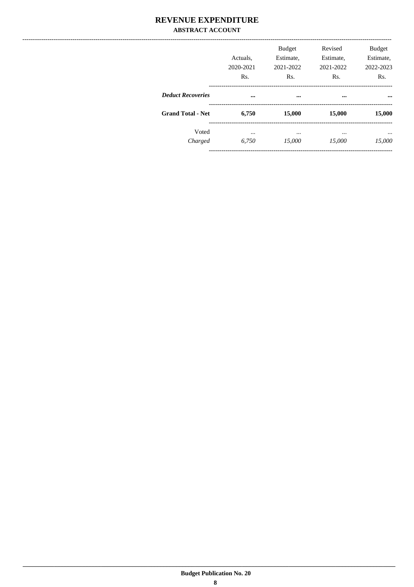### **REVENUE EXPENDITURE ABSTRACT ACCOUNT**

|                          | Actuals.<br>2020-2021<br>Rs. | <b>Budget</b><br>Estimate,<br>2021-2022<br>Rs. | Revised<br>Estimate,<br>2021-2022<br>Rs. | <b>Budget</b><br>Estimate,<br>2022-2023<br>Rs. |
|--------------------------|------------------------------|------------------------------------------------|------------------------------------------|------------------------------------------------|
| <b>Deduct Recoveries</b> |                              | $\cdots$                                       |                                          |                                                |
| <b>Grand Total - Net</b> | 6,750                        | 15,000                                         | 15,000                                   | 15,000                                         |
| Voted<br>Charged         | $\cdots$<br>6,750            | $\cdots$<br>15,000                             | $\cdots$<br>15,000                       | $\cdots$<br>15,000                             |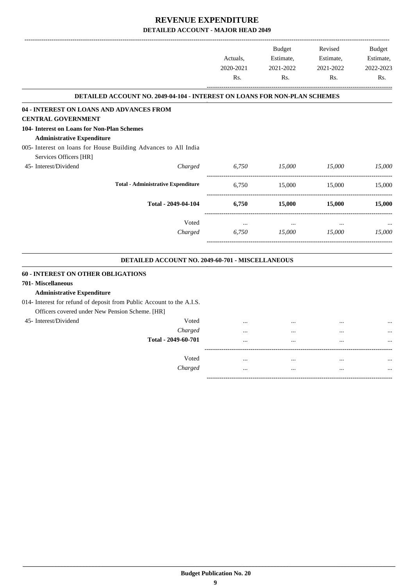-------------------------------------------------------------------------------------------------------------------------------------------------------------------------------

|                                                                           | Actuals,<br>2020-2021<br>Rs. | <b>Budget</b><br>Estimate,<br>2021-2022<br>Rs. | Revised<br>Estimate,<br>2021-2022<br>Rs. | <b>Budget</b><br>Estimate,<br>2022-2023<br>Rs. |
|---------------------------------------------------------------------------|------------------------------|------------------------------------------------|------------------------------------------|------------------------------------------------|
| DETAILED ACCOUNT NO. 2049-04-104 - INTEREST ON LOANS FOR NON-PLAN SCHEMES |                              |                                                |                                          |                                                |
| 04 - INTEREST ON LOANS AND ADVANCES FROM                                  |                              |                                                |                                          |                                                |
| <b>CENTRAL GOVERNMENT</b>                                                 |                              |                                                |                                          |                                                |
| 104- Interest on Loans for Non-Plan Schemes                               |                              |                                                |                                          |                                                |
| <b>Administrative Expenditure</b>                                         |                              |                                                |                                          |                                                |
| 005- Interest on loans for House Building Advances to All India           |                              |                                                |                                          |                                                |
| Services Officers [HR]                                                    |                              |                                                |                                          |                                                |
| 45- Interest/Dividend<br>Charged                                          | 6,750                        | 15,000<br>------------------                   | 15,000                                   | 15,000                                         |
| <b>Total - Administrative Expenditure</b>                                 | 6,750                        | 15,000                                         | 15,000                                   | 15,000                                         |
| Total - 2049-04-104                                                       | 6,750                        | 15,000                                         | 15,000                                   | 15,000                                         |
| Voted                                                                     | $\cdots$                     | $\cdots$                                       | $\ddotsc$                                |                                                |
| Charged                                                                   | 6,750                        | 15,000                                         | 15,000                                   | 15,000                                         |
| DETAILED ACCOUNT NO. 2049-60-701 - MISCELLANEOUS                          |                              |                                                |                                          |                                                |
| <b>60 - INTEREST ON OTHER OBLIGATIONS</b>                                 |                              |                                                |                                          |                                                |
| 701- Miscellaneous                                                        |                              |                                                |                                          |                                                |
| <b>Administrative Expenditure</b>                                         |                              |                                                |                                          |                                                |
| 014- Interest for refund of deposit from Public Account to the A.I.S.     |                              |                                                |                                          |                                                |
| Officers covered under New Pension Scheme. [HR]                           |                              |                                                |                                          |                                                |
| 45- Interest/Dividend<br>Voted                                            |                              |                                                |                                          |                                                |
| Charged                                                                   | $\cdots$                     | $\cdots$                                       | $\cdots$                                 |                                                |
| Total - 2049-60-701                                                       | $\ddotsc$                    | $\ddotsc$                                      | $\ddotsc$                                |                                                |
| Voted                                                                     | $\cdots$                     | $\cdots$                                       | $\cdots$                                 |                                                |
| Charged                                                                   | $\cdots$                     | $\ddotsc$                                      | $\ddotsc$                                |                                                |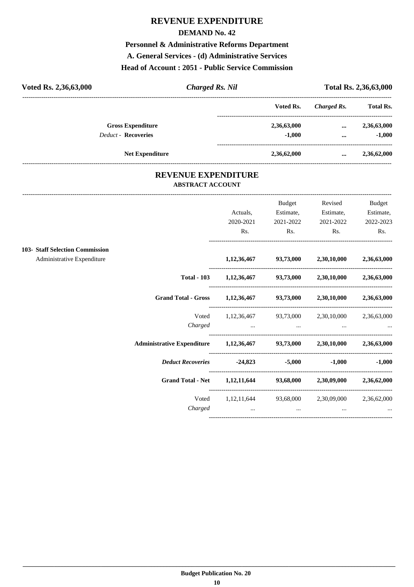#### **DEMAND No. 42**

**Personnel & Administrative Reforms Department**

**A. General Services - (d) Administrative Services**

### **Head of Account : 2051 - Public Service Commission**

| Voted Rs. 2,36,63,000      | <b>Charged Rs. Nil</b> |             | Total Rs. 2,36,63,000 |                  |
|----------------------------|------------------------|-------------|-----------------------|------------------|
|                            |                        | Voted Rs.   | Charged Rs.           | <b>Total Rs.</b> |
| <b>Gross Expenditure</b>   |                        | 2,36,63,000 | $\cdots$              | 2,36,63,000      |
| <b>Deduct - Recoveries</b> |                        | $-1,000$    | $\cdots$              | $-1,000$         |
| <b>Net Expenditure</b>     |                        | 2,36,62,000 |                       | 2,36,62,000      |

### **REVENUE EXPENDITURE ABSTRACT ACCOUNT**

---------------------------------------------------------------------------------------------------------------------------------------------------------------------------------

|                                 |                                                                          |                                                                   | Budget    | Revised                                               | Budget            |
|---------------------------------|--------------------------------------------------------------------------|-------------------------------------------------------------------|-----------|-------------------------------------------------------|-------------------|
|                                 |                                                                          | Actuals,                                                          | Estimate, | Estimate,                                             | Estimate,         |
|                                 |                                                                          | 2020-2021                                                         | 2021-2022 | 2021-2022                                             | 2022-2023         |
|                                 |                                                                          | Rs.                                                               | Rs.       | $\mathbf{Rs.}$                                        | Rs.               |
| 103- Staff Selection Commission |                                                                          |                                                                   |           |                                                       |                   |
| Administrative Expenditure      |                                                                          |                                                                   |           | $1,12,36,467$ $93,73,000$ $2,30,10,000$ $2,36,63,000$ |                   |
|                                 |                                                                          | Total - 103 $1,12,36,467$ $93,73,000$ $2,30,10,000$ $2,36,63,000$ |           |                                                       |                   |
|                                 | Grand Total - Gross 1,12,36,467 93,73,000 2,30,10,000 2,36,63,000        |                                                                   |           |                                                       |                   |
|                                 |                                                                          | Voted 1,12,36,467 93,73,000 2,30,10,000 2,36,63,000               |           |                                                       |                   |
|                                 |                                                                          | Charged                                                           |           |                                                       |                   |
|                                 | Administrative Expenditure 1,12,36,467 93,73,000 2,30,10,000 2,36,63,000 |                                                                   |           |                                                       |                   |
|                                 | Deduct Recoveries -24,823 -5,000                                         |                                                                   |           |                                                       | $-1,000$ $-1,000$ |
|                                 | Grand Total - Net 1,12,11,644 93,68,000 2,30,09,000 2,36,62,000          |                                                                   |           |                                                       |                   |
|                                 |                                                                          | Voted 1,12,11,644 93,68,000 2,30,09,000 2,36,62,000               |           |                                                       |                   |
|                                 | Charged                                                                  | $\sim$ $\sim$ $\sim$ $\sim$ $\sim$ $\sim$                         | $\cdots$  | $\cdots$                                              |                   |
|                                 |                                                                          |                                                                   |           |                                                       |                   |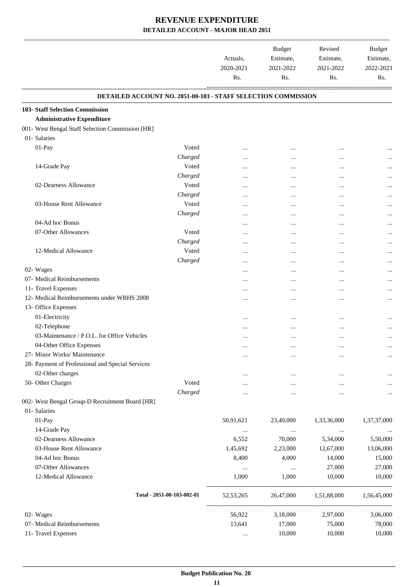|                                                               | Actuals,<br>2020-2021<br>Rs. | <b>Budget</b><br>Estimate,<br>2021-2022<br>Rs. | Revised<br>Estimate,<br>2021-2022<br>Rs. | <b>Budget</b><br>Estimate,<br>2022-2023<br>Rs. |
|---------------------------------------------------------------|------------------------------|------------------------------------------------|------------------------------------------|------------------------------------------------|
| DETAILED ACCOUNT NO. 2051-00-103 - STAFF SELECTION COMMISSION |                              |                                                |                                          |                                                |
| 103- Staff Selection Commission                               |                              |                                                |                                          |                                                |
| <b>Administrative Expenditure</b>                             |                              |                                                |                                          |                                                |
| 001- West Bengal Staff Selection Commission [HR]              |                              |                                                |                                          |                                                |
| 01- Salaries                                                  |                              |                                                |                                          |                                                |
| 01-Pay<br>Voted                                               | $\ddotsc$                    |                                                | $\cdots$                                 |                                                |
| Charged                                                       |                              |                                                | $\cdots$                                 |                                                |
| 14-Grade Pay<br>Voted                                         | $\ddotsc$                    |                                                |                                          |                                                |
| Charged                                                       |                              |                                                |                                          |                                                |
| 02-Dearness Allowance<br>Voted                                |                              | $\ddotsc$                                      |                                          |                                                |
| Charged                                                       |                              | $\cdots$                                       | $\cdots$                                 |                                                |
| 03-House Rent Allowance<br>Voted                              | $\ddotsc$                    | $\ddotsc$                                      | $\ddotsc$                                |                                                |
| Charged                                                       |                              | $\cdots$                                       | $\ddotsc$                                |                                                |
| 04-Ad hoc Bonus                                               |                              | $\cdots$                                       |                                          |                                                |
| 07-Other Allowances<br>Voted                                  |                              |                                                | $\cdots$                                 |                                                |
| Charged                                                       |                              | $\cdots$                                       |                                          |                                                |
| 12-Medical Allowance<br>Voted                                 |                              |                                                |                                          |                                                |
| Charged                                                       | $\ddotsc$                    |                                                |                                          |                                                |
| 02- Wages                                                     |                              | $\cdots$                                       | $\cdots$                                 | $\cdots$                                       |
| 07- Medical Reimbursements                                    |                              | $\ddotsc$                                      | $\ddotsc$                                |                                                |
| 11- Travel Expenses                                           |                              | $\cdots$                                       | $\cdots$                                 |                                                |
| 12- Medical Reimbursements under WBHS 2008                    |                              |                                                |                                          |                                                |
| 13- Office Expenses                                           |                              |                                                |                                          |                                                |
| 01-Electricity                                                |                              | $\ddotsc$                                      | $\cdots$                                 |                                                |
| 02-Telephone                                                  |                              | $\cdots$                                       | $\cdots$                                 |                                                |
| 03-Maintenance / P.O.L. for Office Vehicles                   |                              |                                                | $\ddotsc$                                |                                                |
| 04-Other Office Expenses                                      | $\ddotsc$                    | $\ddotsc$                                      | $\cdots$                                 | $\cdots$                                       |
| 27- Minor Works/ Maintenance                                  |                              |                                                | $\cdots$                                 |                                                |
| 28- Payment of Professional and Special Services              |                              |                                                |                                          |                                                |
| 02-Other charges                                              |                              |                                                |                                          |                                                |
| 50- Other Charges<br>Voted                                    |                              |                                                | $\cdots$                                 |                                                |
| Charged                                                       |                              |                                                | $\cdots$                                 |                                                |
| 002- West Bengal Group-D Recruitment Board [HR]               |                              |                                                |                                          |                                                |
| 01- Salaries                                                  |                              |                                                |                                          |                                                |
| 01-Pay                                                        | 50,91,621                    | 23,49,000                                      | 1,33,36,000                              | 1,37,37,000                                    |
| 14-Grade Pay                                                  | $\cdots$                     | $\cdots$                                       | $\cdots$                                 |                                                |
| 02-Dearness Allowance                                         | 6,552                        | 70,000                                         | 5,34,000                                 | 5,50,000                                       |
| 03-House Rent Allowance                                       | 1,45,692                     | 2,23,000                                       | 12,67,000                                | 13,06,000                                      |
| 04-Ad hoc Bonus                                               | 8,400                        | 4,000                                          | 14,000                                   | 15,000                                         |
| 07-Other Allowances                                           | $\cdots$                     | $\ldots$                                       | 27,000                                   | 27,000                                         |
| 12-Medical Allowance                                          | 1,000                        | 1,000                                          | 10,000                                   | 10,000                                         |
|                                                               |                              |                                                |                                          |                                                |
| Total - 2051-00-103-002-01                                    | 52, 53, 265                  | 26,47,000                                      | 1,51,88,000                              | 1,56,45,000                                    |
| 02- Wages                                                     | 56,922                       | 3,18,000                                       | 2,97,000                                 | 3,06,000                                       |
| 07- Medical Reimbursements                                    | 13,641                       | 17,000                                         | 75,000                                   | 78,000                                         |
| 11- Travel Expenses                                           | $\cdots$                     | 10,000                                         | 10,000                                   | 10,000                                         |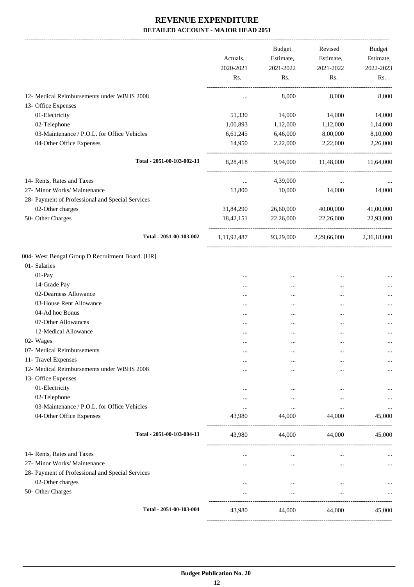|                                                  |                  | Budget           | Revised          | Budget           |
|--------------------------------------------------|------------------|------------------|------------------|------------------|
|                                                  | Actuals,         | Estimate,        | Estimate,        | Estimate,        |
|                                                  | 2020-2021<br>Rs. | 2021-2022<br>Rs. | 2021-2022<br>Rs. | 2022-2023<br>Rs. |
|                                                  |                  |                  |                  |                  |
| 12- Medical Reimbursements under WBHS 2008       | $\cdots$         | 8,000            | 8,000            | 8,000            |
| 13- Office Expenses                              |                  |                  |                  |                  |
| 01-Electricity                                   | 51,330           | 14,000           | 14,000           | 14,000           |
| 02-Telephone                                     | 1,00,893         | 1,12,000         | 1,12,000         | 1,14,000         |
| 03-Maintenance / P.O.L. for Office Vehicles      | 6,61,245         | 6,46,000         | 8,00,000         | 8,10,000         |
| 04-Other Office Expenses                         | 14,950           | 2,22,000         | 2,22,000         | 2,26,000         |
| Total - 2051-00-103-002-13                       | 8,28,418         | 9,94,000         | 11,48,000        | 11,64,000        |
| 14- Rents, Rates and Taxes                       | $\ldots$         | 4,39,000         | $\cdots$         |                  |
| 27- Minor Works/ Maintenance                     | 13,800           | 10,000           | 14,000           | 14,000           |
| 28- Payment of Professional and Special Services |                  |                  |                  |                  |
| 02-Other charges                                 | 31,84,290        | 26,60,000        | 40,00,000        | 41,00,000        |
| 50- Other Charges                                | 18,42,151        | 22,26,000        | 22,26,000        | 22,93,000        |
| Total - 2051-00-103-002                          | 1, 11, 92, 487   | 93,29,000        | 2,29,66,000      | 2,36,18,000      |
| 004- West Bengal Group D Recruitment Board. [HR] |                  |                  |                  |                  |
| 01- Salaries                                     |                  |                  |                  |                  |
| 01-Pay                                           |                  | $\cdots$         |                  |                  |
| 14-Grade Pay                                     |                  |                  |                  |                  |
| 02-Dearness Allowance                            |                  |                  |                  |                  |
| 03-House Rent Allowance                          |                  | $\cdots$         | $\cdots$         | $\cdots$         |
| 04-Ad hoc Bonus                                  |                  | $\ddotsc$        | $\cdots$         |                  |
| 07-Other Allowances                              |                  |                  |                  |                  |
| 12-Medical Allowance                             |                  | $\ddotsc$        |                  |                  |
| 02- Wages                                        |                  |                  |                  | $\cdots$         |
| 07- Medical Reimbursements                       |                  | $\cdots$         |                  | $\cdots$         |
| 11- Travel Expenses                              | $\cdots$         |                  |                  | $\cdots$         |
| 12- Medical Reimbursements under WBHS 2008       | .                |                  | $\cdots$         | $\cdots$         |
| 13- Office Expenses                              |                  |                  |                  |                  |
| 01-Electricity                                   |                  | $\cdots$         |                  |                  |
| 02-Telephone                                     |                  | $\cdots$         |                  | $\cdots$         |
| 03-Maintenance / P.O.L. for Office Vehicles      | $\cdots$         | $\ldots$         | $\cdots$         | $\cdots$         |
| 04-Other Office Expenses                         | 43,980           | 44,000           | 44,000           | 45,000           |
| Total - 2051-00-103-004-13                       | 43,980           | 44,000           | 44,000           | 45,000           |
| 14- Rents, Rates and Taxes                       | $\cdots$         | $\cdots$         | $\cdots$         |                  |
| 27- Minor Works/ Maintenance                     | .                | $\cdots$         | $\cdots$         | $\ldots$         |
| 28- Payment of Professional and Special Services |                  |                  |                  |                  |
| 02-Other charges                                 | $\cdots$         | $\cdots$         | $\cdots$         |                  |
| 50- Other Charges                                | $\cdots$         | $\cdots$         | $\cdots$         | $\cdots$         |
| Total - 2051-00-103-004                          | 43,980           | 44,000           | 44,000           | 45,000           |
|                                                  |                  |                  |                  |                  |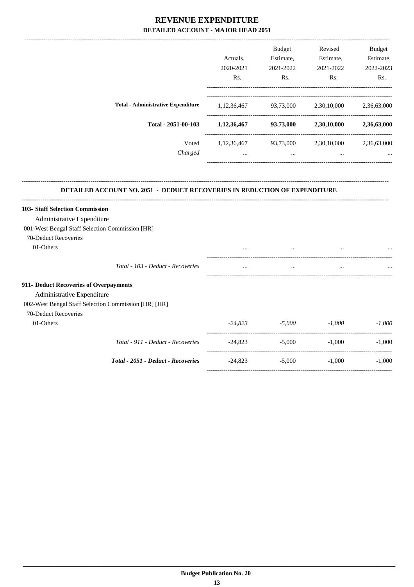|                                                                                                                                                      | Actuals,<br>2020-2021<br>Rs. | Budget<br>Estimate,<br>2021-2022<br>Rs. | Revised<br>Estimate,<br>2021-2022<br>Rs.       | <b>Budget</b><br>Estimate,<br>2022-2023<br>Rs. |
|------------------------------------------------------------------------------------------------------------------------------------------------------|------------------------------|-----------------------------------------|------------------------------------------------|------------------------------------------------|
| <b>Total - Administrative Expenditure</b>                                                                                                            | 1, 12, 36, 467               | 93,73,000                               | 2,30,10,000                                    | 2,36,63,000                                    |
| Total - 2051-00-103                                                                                                                                  |                              |                                         | $1,12,36,467$ $93,73,000$ $2,30,10,000$        | 2,36,63,000                                    |
| Voted<br>Charged                                                                                                                                     | $\ddots$                     | $\cdots$                                | 1,12,36,467 93,73,000 2,30,10,000<br>$\ddotsc$ | 2,36,63,000                                    |
| <b>103- Staff Selection Commission</b><br>Administrative Expenditure<br>001-West Bengal Staff Selection Commission [HR]                              |                              |                                         |                                                |                                                |
|                                                                                                                                                      |                              |                                         |                                                |                                                |
| 70-Deduct Recoveries<br>01-Others                                                                                                                    |                              | $\cdots$                                |                                                |                                                |
| Total - 103 - Deduct - Recoveries                                                                                                                    |                              |                                         |                                                |                                                |
| 911- Deduct Recoveries of Overpayments<br>Administrative Expenditure<br>002-West Bengal Staff Selection Commission [HR] [HR]<br>70-Deduct Recoveries |                              |                                         |                                                |                                                |
| 01-Others                                                                                                                                            |                              | $-24,823$ $-5,000$ $-1,000$             |                                                | $-1,000$                                       |
| Total - 911 - Deduct - Recoveries                                                                                                                    | $-24,823$                    | $-5,000$                                | $-1,000$                                       | $-1,000$                                       |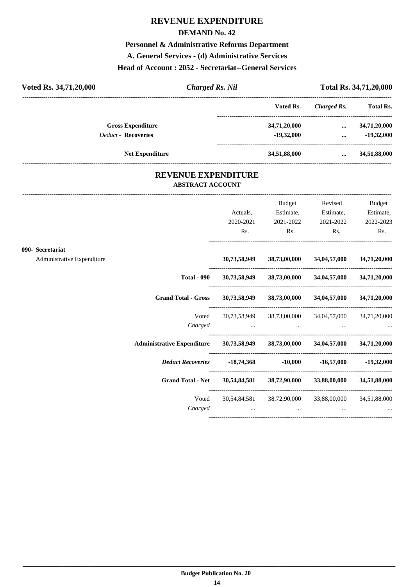#### **DEMAND No. 42**

## **Personnel & Administrative Reforms Department**

**A. General Services - (d) Administrative Services**

#### **Head of Account : 2052 - Secretariat--General Services**

| Voted Rs. 34,71,20,000     | <b>Charged Rs. Nil</b> |              |             | Total Rs. 34,71,20,000 |
|----------------------------|------------------------|--------------|-------------|------------------------|
|                            |                        | Voted Rs.    | Charged Rs. | <b>Total Rs.</b>       |
| <b>Gross Expenditure</b>   |                        | 34,71,20,000 | $\cdots$    | 34,71,20,000           |
| <b>Deduct - Recoveries</b> |                        | $-19.32,000$ | $\cdots$    | $-19,32,000$           |
| <b>Net Expenditure</b>     |                        | 34,51,88,000 | $\cdots$    | 34,51,88,000           |
|                            |                        |              |             |                        |

### **REVENUE EXPENDITURE ABSTRACT ACCOUNT**

---------------------------------------------------------------------------------------------------------------------------------------------------------------------------------

|                                                |                                                                                | Actuals,<br>2020-2021<br>Rs. | Budget<br>Estimate,<br>2021-2022<br>$\mathbf{Rs.}$                                                                                                                          | Revised<br>Estimate,<br>2021-2022<br>$\mathbf{Rs.}$ | <b>Budget</b><br>Estimate,<br>2022-2023<br>Rs. |
|------------------------------------------------|--------------------------------------------------------------------------------|------------------------------|-----------------------------------------------------------------------------------------------------------------------------------------------------------------------------|-----------------------------------------------------|------------------------------------------------|
| 090- Secretariat<br>Administrative Expenditure |                                                                                |                              | 30,73,58,949 38,73,00,000 34,04,57,000                                                                                                                                      |                                                     | 34,71,20,000                                   |
|                                                | <b>Total - 090</b>                                                             |                              | 30,73,58,949 38,73,00,000 34,04,57,000                                                                                                                                      |                                                     | 34,71,20,000                                   |
|                                                | Grand Total - Gross 30,73,58,949 38,73,00,000 34,04,57,000 34,71,20,000        |                              |                                                                                                                                                                             |                                                     |                                                |
|                                                | Voted<br>Charged                                                               |                              | 30,73,58,949 38,73,00,000 34,04,57,000 34,71,20,000<br>المستخدم المستخدم المستخدم المستخدم المستخدم المستخدم المستخدم المستخدم المستخدم المستخدم المستخدم المستخدم المستخدم |                                                     |                                                |
|                                                | Administrative Expenditure 30,73,58,949 38,73,00,000 34,04,57,000 34,71,20,000 |                              |                                                                                                                                                                             |                                                     |                                                |
|                                                | <i>Deduct Recoveries</i> -18,74,368 -10,000 -16,57,000 -19,32,000              |                              |                                                                                                                                                                             |                                                     |                                                |
|                                                | Grand Total - Net 30,54,84,581 38,72,90,000 33,88,00,000 34,51,88,000          |                              |                                                                                                                                                                             |                                                     |                                                |
|                                                | Voted<br>Charged                                                               | $\cdots$                     | 30,54,84,581 38,72,90,000 33,88,00,000 34,51,88,000<br>$\cdots$                                                                                                             |                                                     |                                                |
|                                                |                                                                                |                              |                                                                                                                                                                             |                                                     |                                                |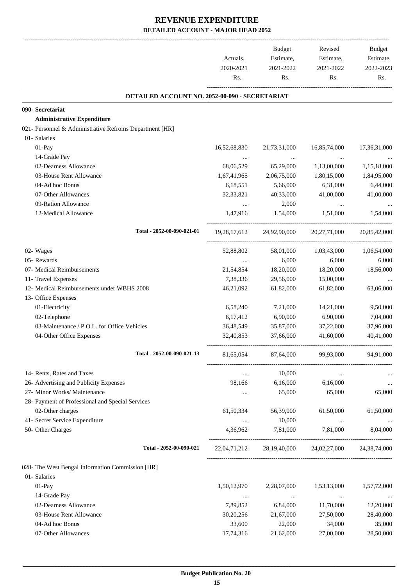|                                                         | Actuals,         | Budget<br>Estimate,       | Revised<br>Estimate,                   | Budget<br>Estimate, |
|---------------------------------------------------------|------------------|---------------------------|----------------------------------------|---------------------|
|                                                         | 2020-2021<br>Rs. | 2021-2022<br>Rs.          | 2021-2022<br>Rs.                       | 2022-2023<br>Rs.    |
| DETAILED ACCOUNT NO. 2052-00-090 - SECRETARIAT          |                  |                           |                                        |                     |
| 090- Secretariat                                        |                  |                           |                                        |                     |
| <b>Administrative Expenditure</b>                       |                  |                           |                                        |                     |
| 021- Personnel & Administrative Refroms Department [HR] |                  |                           |                                        |                     |
| 01- Salaries                                            |                  |                           |                                        |                     |
| 01-Pay                                                  | 16,52,68,830     | 21,73,31,000              | 16,85,74,000                           | 17,36,31,000        |
| 14-Grade Pay                                            |                  |                           |                                        |                     |
| 02-Dearness Allowance                                   | 68,06,529        | 65,29,000                 | 1,13,00,000                            | 1,15,18,000         |
| 03-House Rent Allowance                                 | 1,67,41,965      | 2,06,75,000               | 1,80,15,000                            | 1,84,95,000         |
| 04-Ad hoc Bonus                                         | 6,18,551         | 5,66,000                  | 6,31,000                               | 6,44,000            |
| 07-Other Allowances                                     | 32, 33, 821      | 40,33,000                 | 41,00,000                              | 41,00,000           |
| 09-Ration Allowance                                     | $\cdots$         | 2,000                     | $\cdots$                               |                     |
| 12-Medical Allowance                                    | 1,47,916         | 1,54,000                  | 1,51,000                               | 1,54,000            |
| Total - 2052-00-090-021-01                              |                  | 19,28,17,612 24,92,90,000 | 20, 27, 71, 000                        | 20,85,42,000        |
| 02- Wages                                               | 52,88,802        | 58,01,000                 | 1,03,43,000                            | 1,06,54,000         |
| 05- Rewards                                             | $\cdots$         | 6,000                     | 6,000                                  | 6,000               |
| 07- Medical Reimbursements                              | 21,54,854        | 18,20,000                 | 18,20,000                              | 18,56,000           |
| 11- Travel Expenses                                     | 7,38,336         | 29,56,000                 | 15,00,000                              |                     |
| 12- Medical Reimbursements under WBHS 2008              | 46,21,092        | 61,82,000                 | 61,82,000                              | 63,06,000           |
| 13- Office Expenses                                     |                  |                           |                                        |                     |
| 01-Electricity                                          | 6,58,240         | 7,21,000                  | 14,21,000                              | 9,50,000            |
| 02-Telephone                                            | 6,17,412         | 6,90,000                  | 6,90,000                               | 7,04,000            |
| 03-Maintenance / P.O.L. for Office Vehicles             | 36,48,549        | 35,87,000                 | 37,22,000                              | 37,96,000           |
| 04-Other Office Expenses                                | 32,40,853        | 37,66,000                 | 41,60,000                              | 40,41,000           |
| Total - 2052-00-090-021-13                              | 81,65,054        | 87,64,000                 | 99,93,000                              | 94,91,000           |
| 14- Rents, Rates and Taxes                              |                  | 10,000                    |                                        |                     |
| 26- Advertising and Publicity Expenses                  | 98,166           | 6,16,000                  | 6,16,000                               |                     |
| 27- Minor Works/ Maintenance                            | $\cdots$         | 65,000                    | 65,000                                 | 65,000              |
| 28- Payment of Professional and Special Services        |                  |                           |                                        |                     |
| 02-Other charges                                        | 61,50,334        | 56,39,000                 | 61,50,000                              | 61,50,000           |
| 41- Secret Service Expenditure                          | $\cdots$         | 10,000                    | $\cdots$                               | $\cdots$            |
| 50- Other Charges                                       | 4,36,962         | 7,81,000                  | 7,81,000                               | 8,04,000            |
| Total - 2052-00-090-021                                 |                  |                           | 22,04,71,212 28,19,40,000 24,02,27,000 | 24, 38, 74, 000     |
| 028- The West Bengal Information Commission [HR]        |                  |                           |                                        |                     |
| 01- Salaries                                            |                  |                           |                                        |                     |
| 01-Pay                                                  | 1,50,12,970      | 2,28,07,000               | 1,53,13,000                            | 1,57,72,000         |
| 14-Grade Pay                                            | $\cdots$         | $\ldots$                  | $\ldots$                               |                     |
| 02-Dearness Allowance                                   | 7,89,852         | 6,84,000                  | 11,70,000                              | 12,20,000           |
| 03-House Rent Allowance                                 | 30,20,256        | 21,67,000                 | 27,50,000                              | 28,40,000           |
| 04-Ad hoc Bonus                                         | 33,600           | 22,000                    | 34,000                                 | 35,000              |
| 07-Other Allowances                                     | 17,74,316        | 21,62,000                 | 27,00,000                              | 28,50,000           |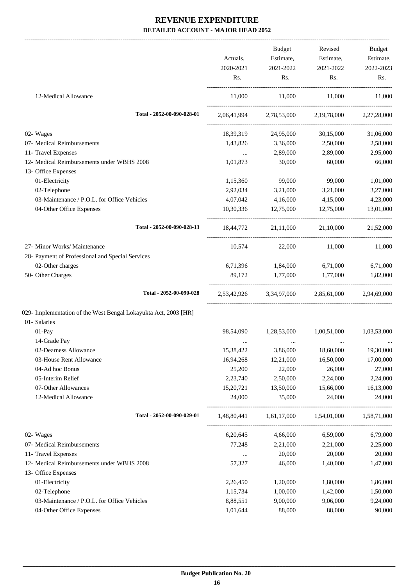|                                                                 |                  | Budget                                          | Revised          | Budget           |
|-----------------------------------------------------------------|------------------|-------------------------------------------------|------------------|------------------|
|                                                                 | Actuals,         | Estimate,                                       | Estimate,        | Estimate,        |
|                                                                 | 2020-2021<br>Rs. | 2021-2022<br>Rs.                                | 2021-2022<br>Rs. | 2022-2023<br>Rs. |
| 12-Medical Allowance                                            | 11,000           | 11,000                                          | 11,000           | 11,000           |
| Total - 2052-00-090-028-01                                      |                  | 2,06,41,994 2,78,53,000 2,19,78,000 2,27,28,000 |                  |                  |
| 02- Wages                                                       | 18,39,319        | 24,95,000                                       | 30,15,000        | 31,06,000        |
| 07- Medical Reimbursements                                      | 1,43,826         | 3,36,000                                        | 2,50,000         | 2,58,000         |
| 11- Travel Expenses                                             | $\cdots$         | 2,89,000                                        | 2,89,000         | 2,95,000         |
| 12- Medical Reimbursements under WBHS 2008                      | 1,01,873         | 30,000                                          | 60,000           | 66,000           |
| 13- Office Expenses                                             |                  |                                                 |                  |                  |
| 01-Electricity                                                  | 1,15,360         | 99,000                                          | 99,000           | 1,01,000         |
| 02-Telephone                                                    | 2,92,034         | 3,21,000                                        | 3,21,000         | 3,27,000         |
| 03-Maintenance / P.O.L. for Office Vehicles                     | 4,07,042         | 4,16,000                                        | 4,15,000         | 4,23,000         |
| 04-Other Office Expenses                                        | 10,30,336        | 12,75,000                                       | 12,75,000        | 13,01,000        |
| Total - 2052-00-090-028-13                                      |                  | 18,44,772 21,11,000 21,10,000 21,52,000         |                  |                  |
| 27- Minor Works/ Maintenance                                    | 10,574           | 22,000                                          | 11,000           | 11,000           |
| 28- Payment of Professional and Special Services                |                  |                                                 |                  |                  |
| 02-Other charges                                                |                  | 6,71,396 1,84,000                               | 6,71,000         | 6,71,000         |
| 50- Other Charges                                               | 89,172           | 1,77,000 1,77,000                               |                  | 1,82,000         |
| Total - 2052-00-090-028                                         |                  | 2,53,42,926 3,34,97,000 2,85,61,000 2,94,69,000 |                  |                  |
| 029- Implementation of the West Bengal Lokayukta Act, 2003 [HR] |                  |                                                 |                  |                  |
| 01- Salaries                                                    |                  |                                                 |                  |                  |
| 01-Pay                                                          | 98,54,090        | 1,28,53,000                                     | 1,00,51,000      | 1,03,53,000      |
| 14-Grade Pay                                                    |                  |                                                 |                  |                  |
| 02-Dearness Allowance                                           | 15,38,422        | 3,86,000                                        | 18,60,000        | 19,30,000        |
| 03-House Rent Allowance                                         | 16,94,268        | 12,21,000                                       | 16,50,000        | 17,00,000        |
| 04-Ad hoc Bonus                                                 | 25,200           | 22,000                                          | 26,000           | 27,000           |
| 05-Interim Relief                                               | 2,23,740         | 2,50,000                                        | 2,24,000         | 2,24,000         |
| 07-Other Allowances                                             | 15,20,721        | 13,50,000                                       | 15,66,000        | 16,13,000        |
| 12-Medical Allowance                                            | 24,000           | 35,000                                          | 24,000           | 24,000           |
| Total - 2052-00-090-029-01                                      | 1,48,80,441      | 1,61,17,000                                     | 1,54,01,000      | 1,58,71,000      |
| 02- Wages                                                       | 6,20,645         | 4,66,000                                        | 6,59,000         | 6,79,000         |
| 07- Medical Reimbursements                                      | 77,248           | 2,21,000                                        | 2,21,000         | 2,25,000         |
| 11- Travel Expenses                                             | $\ldots$         | 20,000                                          | 20,000           | 20,000           |
| 12- Medical Reimbursements under WBHS 2008                      | 57,327           | 46,000                                          | 1,40,000         | 1,47,000         |
| 13- Office Expenses                                             |                  |                                                 |                  |                  |
| 01-Electricity                                                  | 2,26,450         | 1,20,000                                        | 1,80,000         | 1,86,000         |
| 02-Telephone                                                    | 1,15,734         | 1,00,000                                        | 1,42,000         | 1,50,000         |
| 03-Maintenance / P.O.L. for Office Vehicles                     | 8,88,551         | 9,00,000                                        | 9,06,000         | 9,24,000         |
| 04-Other Office Expenses                                        | 1,01,644         | 88,000                                          | 88,000           | 90,000           |
|                                                                 |                  |                                                 |                  |                  |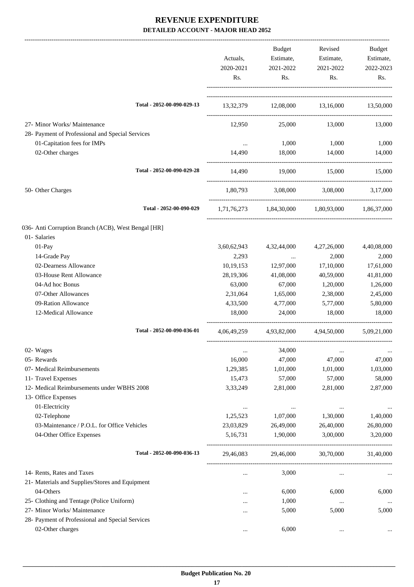|                                                     | Actuals,         | Budget<br>Estimate,      | Revised<br>Estimate,                                    | Budget<br>Estimate, |
|-----------------------------------------------------|------------------|--------------------------|---------------------------------------------------------|---------------------|
|                                                     | 2020-2021<br>Rs. | 2021-2022<br>Rs.         | 2021-2022<br>Rs.                                        | 2022-2023<br>Rs.    |
| Total - 2052-00-090-029-13                          |                  |                          | 13,32,379 12,08,000 13,16,000 13,50,000                 |                     |
| 27- Minor Works/ Maintenance                        | 12,950           | 25,000                   | 13,000                                                  | 13,000              |
| 28- Payment of Professional and Special Services    |                  |                          |                                                         |                     |
| 01-Capitation fees for IMPs                         |                  | 1,000                    | 1,000                                                   | 1,000               |
| 02-Other charges                                    | 14,490           | 18,000                   | 14,000                                                  | 14,000              |
| Total - 2052-00-090-029-28                          | 14,490           | 19,000                   | 15,000                                                  | 15,000              |
| 50- Other Charges                                   | 1,80,793         |                          | 3,08,000 3,08,000                                       | 3,17,000            |
| Total - 2052-00-090-029                             |                  |                          | $1,71,76,273$ $1,84,30,000$ $1,80,93,000$ $1,86,37,000$ |                     |
| 036- Anti Corruption Branch (ACB), West Bengal [HR] |                  |                          |                                                         |                     |
| 01- Salaries                                        |                  |                          |                                                         |                     |
| 01-Pay                                              | 3,60,62,943      | 4,32,44,000              | 4,27,26,000                                             | 4,40,08,000         |
| 14-Grade Pay                                        | 2,293            | <b>Contract Contract</b> | 2,000                                                   | 2,000               |
| 02-Dearness Allowance                               | 10,19,153        | 12,97,000                | 17,10,000                                               | 17,61,000           |
| 03-House Rent Allowance                             | 28,19,306        | 41,08,000                | 40,59,000                                               | 41,81,000           |
| 04-Ad hoc Bonus                                     | 63,000           | 67,000                   | 1,20,000                                                | 1,26,000            |
| 07-Other Allowances                                 | 2,31,064         | 1,65,000                 | 2,38,000                                                | 2,45,000            |
| 09-Ration Allowance                                 | 4,33,500         | 4,77,000                 | 5,77,000                                                | 5,80,000            |
| 12-Medical Allowance                                | 18,000           | 24,000                   | 18,000                                                  | 18,000              |
| Total - 2052-00-090-036-01                          |                  |                          | 4,06,49,259 4,93,82,000 4,94,50,000 5,09,21,000         |                     |
| 02- Wages                                           | $\cdots$         | 34,000                   | $\cdots$                                                | $\cdots$            |
| 05- Rewards                                         | 16,000           | 47,000                   | 47,000                                                  | 47,000              |
| 07- Medical Reimbursements                          | 1,29,385         | 1,01,000                 | 1,01,000                                                | 1,03,000            |
| 11- Travel Expenses                                 | 15,473           | 57,000                   | 57,000                                                  | 58,000              |
| 12- Medical Reimbursements under WBHS 2008          | 3,33,249         | 2,81,000                 | 2,81,000                                                | 2,87,000            |
| 13- Office Expenses                                 |                  |                          |                                                         |                     |
| 01-Electricity                                      | $\cdots$         | $\ddotsc$                | $\cdots$                                                |                     |
| 02-Telephone                                        | 1,25,523         | 1,07,000                 | 1,30,000                                                | 1,40,000            |
| 03-Maintenance / P.O.L. for Office Vehicles         | 23,03,829        | 26,49,000                | 26,40,000                                               | 26,80,000           |
| 04-Other Office Expenses                            | 5,16,731         | 1,90,000                 | 3,00,000                                                | 3,20,000            |
| Total - 2052-00-090-036-13                          | 29,46,083        | 29,46,000                | 30,70,000                                               | 31,40,000           |
| 14- Rents, Rates and Taxes                          | $\cdots$         | 3,000                    | $\cdots$                                                |                     |
| 21- Materials and Supplies/Stores and Equipment     |                  |                          |                                                         |                     |
| 04-Others                                           |                  | 6,000                    | 6,000                                                   | 6,000               |
| 25- Clothing and Tentage (Police Uniform)           |                  | 1,000                    | $\ldots$                                                |                     |
| 27- Minor Works/ Maintenance                        | $\cdots$         | 5,000                    | 5,000                                                   | 5,000               |
| 28- Payment of Professional and Special Services    |                  |                          |                                                         |                     |
| 02-Other charges                                    | $\cdots$         | 6,000                    | $\cdots$                                                | $\cdots$            |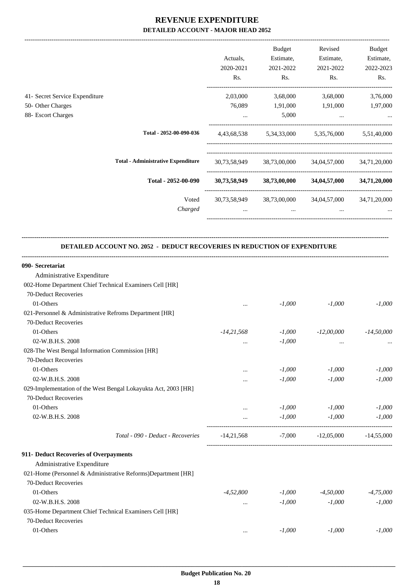-------------------------------------------------------------------------------------------------------------------------------------------------------------------------------

|                                                                           |                                           | Actuals.<br>2020-2021<br>Rs.   | <b>Budget</b><br>Estimate,<br>2021-2022<br>Rs. | Revised<br>Estimate,<br>2021-2022<br>Rs. | Budget<br>Estimate,<br>2022-2023<br>Rs. |
|---------------------------------------------------------------------------|-------------------------------------------|--------------------------------|------------------------------------------------|------------------------------------------|-----------------------------------------|
| 41- Secret Service Expenditure<br>50- Other Charges<br>88- Escort Charges |                                           | 2,03,000<br>76,089<br>$\cdots$ | 3,68,000<br>1,91,000<br>5,000                  | 3,68,000<br>1,91,000<br>$\cdots$         | 3,76,000<br>1,97,000<br>$\cdots$        |
|                                                                           | Total - 2052-00-090-036                   | 4,43,68,538                    | 5,34,33,000                                    | 5,35,76,000                              | 5,51,40,000                             |
|                                                                           | <b>Total - Administrative Expenditure</b> | 30,73,58,949                   | 38,73,00,000                                   | 34,04,57,000                             | 34,71,20,000                            |
|                                                                           | Total - 2052-00-090                       | 30,73,58,949                   | 38,73,00,000                                   | 34,04,57,000                             | 34,71,20,000                            |
|                                                                           | Voted<br>Charged                          | 30,73,58,949<br>$\cdots$       | 38,73,00,000<br>$\cdots$                       | 34,04,57,000<br>$\cdots$                 | 34,71,20,000                            |

#### **DETAILED ACCOUNT NO. 2052 - DEDUCT RECOVERIES IN REDUCTION OF EXPENDITURE**

**--------------------------------------------------------------------------------------------------------------------------------------------------------------------------------**

| 090- Secretariat                                               |              |          |              |              |
|----------------------------------------------------------------|--------------|----------|--------------|--------------|
| Administrative Expenditure                                     |              |          |              |              |
| 002-Home Department Chief Technical Examiners Cell [HR]        |              |          |              |              |
| 70-Deduct Recoveries                                           |              |          |              |              |
| 01-Others                                                      | $\cdots$     | $-1,000$ | $-1,000$     | $-1,000$     |
| 021-Personnel & Administrative Refroms Department [HR]         |              |          |              |              |
| 70-Deduct Recoveries                                           |              |          |              |              |
| 01-Others                                                      | $-14,21,568$ | $-1,000$ | $-12,00,000$ | $-14,50,000$ |
| 02-W.B.H.S. 2008                                               |              | $-1,000$ | $\cdots$     |              |
| 028-The West Bengal Information Commission [HR]                |              |          |              |              |
| 70-Deduct Recoveries                                           |              |          |              |              |
| 01-Others                                                      | $\cdots$     | $-1,000$ | $-1,000$     | $-1,000$     |
| 02-W.B.H.S. 2008                                               |              | $-1,000$ | $-1,000$     | $-1,000$     |
| 029-Implementation of the West Bengal Lokayukta Act, 2003 [HR] |              |          |              |              |
| 70-Deduct Recoveries                                           |              |          |              |              |
| 01-Others                                                      | $\cdots$     | $-1,000$ | $-1,000$     | $-1,000$     |
| 02-W.B.H.S. 2008                                               | $\cdots$     | $-1,000$ | $-1,000$     | $-1,000$     |
| Total - 090 - Deduct - Recoveries                              | $-14,21,568$ | $-7,000$ | $-12,05,000$ | $-14.55,000$ |
| 911- Deduct Recoveries of Overpayments                         |              |          |              |              |
| Administrative Expenditure                                     |              |          |              |              |
| 021-Home (Personnel & Administrative Reforms)Department [HR]   |              |          |              |              |
| 70-Deduct Recoveries                                           |              |          |              |              |
| 01-Others                                                      | $-4,52,800$  | $-1,000$ | $-4,50,000$  | $-4,75,000$  |
| 02-W.B.H.S. 2008                                               | $\cdots$     | $-1,000$ | $-1,000$     | $-1,000$     |
| 035-Home Department Chief Technical Examiners Cell [HR]        |              |          |              |              |
| 70-Deduct Recoveries                                           |              |          |              |              |
| 01-Others                                                      | $\cdots$     | $-1,000$ | $-1,000$     | $-1,000$     |
|                                                                |              |          |              |              |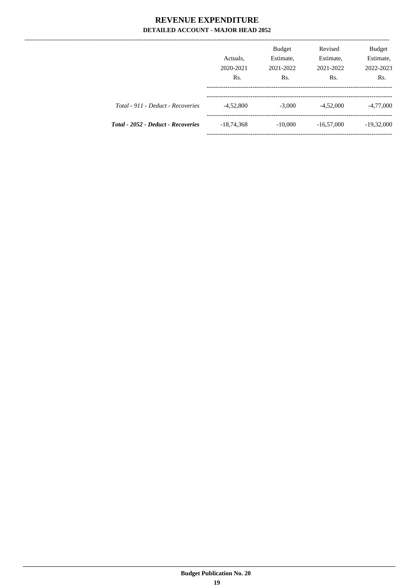---------------

|                                    | Actuals,<br>2020-2021<br>Rs. | <b>Budget</b><br>Estimate,<br>2021-2022<br>Rs. | Revised<br>Estimate,<br>2021-2022<br>Rs. | <b>Budget</b><br>Estimate,<br>2022-2023<br>Rs. |
|------------------------------------|------------------------------|------------------------------------------------|------------------------------------------|------------------------------------------------|
| Total - 911 - Deduct - Recoveries  | $-4,52,800$                  | $-3,000$                                       | $-4,52,000$                              | $-4,77,000$                                    |
| Total - 2052 - Deduct - Recoveries | $-18,74,368$                 | $-10,000$                                      | $-16,57,000$                             | $-19,32,000$                                   |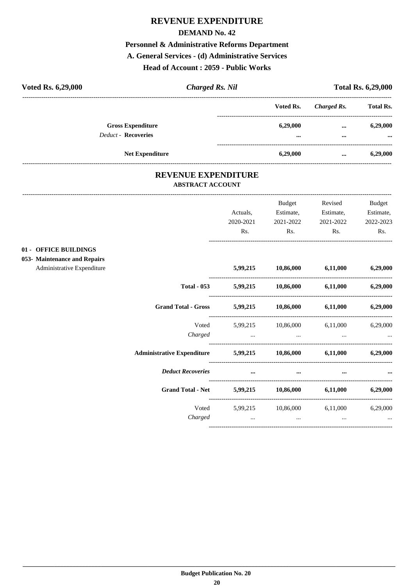#### **DEMAND No. 42**

## Personnel & Administrative Reforms Department

#### A. General Services - (d) Administrative Services

## Head of Account: 2059 - Public Works

| Voted Rs. 6,29,000                                     | <b>Charged Rs. Nil</b> |                      |              | <b>Total Rs. 6,29,000</b> |
|--------------------------------------------------------|------------------------|----------------------|--------------|---------------------------|
|                                                        |                        | Voted Rs.            | Charged Rs.  | <b>Total Rs.</b>          |
| <b>Gross Expenditure</b><br><b>Deduct - Recoveries</b> |                        | 6,29,000<br>$\cdots$ | $\cdots$<br> | 6,29,000<br>$\cdots$      |
| <b>Net Expenditure</b>                                 |                        | 6.29,000             | $\cdots$     | 6,29,000                  |

### REVENUE EXPENDITURE **ABSTRACT ACCOUNT**

|                                                                 | Actuals,<br>2020-2021                                                                                                                                         | <b>Budget</b><br>Estimate,<br>2021-2022 | Revised<br>Estimate,<br>2021-2022 | <b>Budget</b><br>Estimate,<br>2022-2023 |
|-----------------------------------------------------------------|---------------------------------------------------------------------------------------------------------------------------------------------------------------|-----------------------------------------|-----------------------------------|-----------------------------------------|
|                                                                 | Rs.                                                                                                                                                           | Rs.                                     | Rs.                               | Rs.                                     |
| 01 - OFFICE BUILDINGS                                           |                                                                                                                                                               |                                         |                                   |                                         |
| 053- Maintenance and Repairs<br>Administrative Expenditure      |                                                                                                                                                               | 5,99,215 10,86,000 6,11,000 6,29,000    |                                   |                                         |
|                                                                 | Total - 053 5,99,215 10,86,000 6,11,000                                                                                                                       |                                         |                                   | 6,29,000                                |
| Grand Total - Gross 5,99,215 10,86,000 6,11,000 6,29,000        |                                                                                                                                                               |                                         |                                   |                                         |
| Charged                                                         | Voted 5,99,215 10,86,000 6,11,000 6,29,000<br>المساوي المساوي المساوي المساوي المساوي المساوي المساوي المساوي المساوي المساوي المساوي المساوي المساوي المساوي |                                         |                                   |                                         |
| Administrative Expenditure 5,99,215 10,86,000 6,11,000 6,29,000 |                                                                                                                                                               |                                         |                                   |                                         |
| <b>Deduct Recoveries</b>                                        | <u>and the company of the second second</u>                                                                                                                   | $\cdots$                                | $\cdots$                          |                                         |
| Grand Total - Net 5,99,215 10,86,000 6,11,000                   |                                                                                                                                                               |                                         |                                   | 6,29,000                                |
| Charged                                                         | Voted 5,99,215 10,86,000 6,11,000<br>$\cdots$                                                                                                                 | $\cdots$                                | $\cdots$                          | 6,29,000<br>$\cdots$                    |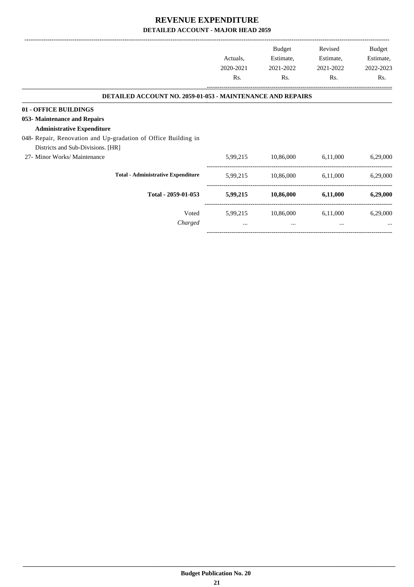|                                                                   |           | Budget    | Revised   | Budget    |
|-------------------------------------------------------------------|-----------|-----------|-----------|-----------|
|                                                                   | Actuals,  | Estimate, | Estimate, | Estimate, |
|                                                                   | 2020-2021 | 2021-2022 | 2021-2022 | 2022-2023 |
|                                                                   | Rs.       | Rs.       | Rs.       | Rs.       |
| <b>DETAILED ACCOUNT NO. 2059-01-053 - MAINTENANCE AND REPAIRS</b> |           |           |           |           |
| 01 - OFFICE BUILDINGS                                             |           |           |           |           |
| 053- Maintenance and Repairs                                      |           |           |           |           |
| <b>Administrative Expenditure</b>                                 |           |           |           |           |
| 048- Repair, Renovation and Up-gradation of Office Building in    |           |           |           |           |
| Districts and Sub-Divisions. [HR]                                 |           |           |           |           |
| 27- Minor Works/ Maintenance                                      | 5,99,215  | 10,86,000 | 6,11,000  | 6,29,000  |
| <b>Total - Administrative Expenditure</b>                         | 5,99,215  | 10,86,000 | 6,11,000  | 6,29,000  |
| Total - 2059-01-053                                               | 5,99,215  | 10,86,000 | 6,11,000  | 6,29,000  |
| Voted                                                             | 5,99,215  | 10,86,000 | 6,11,000  | 6,29,000  |
| Charged                                                           | $\cdots$  | $\cdots$  | $\cdots$  | $\cdots$  |

-----------------------------------------------------------------------------------------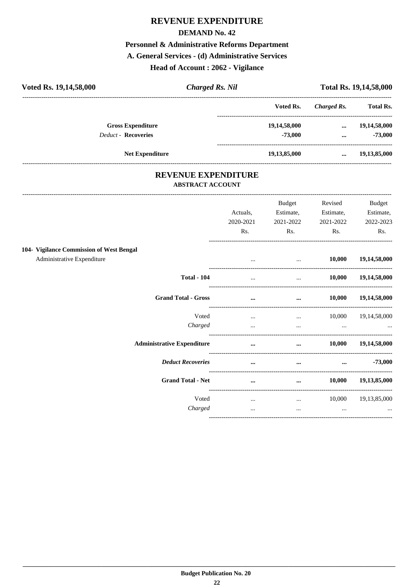#### **DEMAND No. 42**

## Personnel & Administrative Reforms Department

A. General Services - (d) Administrative Services

Head of Account: 2062 - Vigilance

| Voted Rs. 19,14,58,000     | <b>Charged Rs. Nil</b> |              |             | <b>Total Rs. 19,14,58,000</b> |
|----------------------------|------------------------|--------------|-------------|-------------------------------|
|                            |                        | Voted Rs.    | Charged Rs. | <b>Total Rs.</b>              |
| <b>Gross Expenditure</b>   |                        | 19,14,58,000 | $\cdots$    | 19,14,58,000                  |
| <b>Deduct - Recoveries</b> |                        | $-73,000$    | $\cdots$    | $-73,000$                     |
| <b>Net Expenditure</b>     |                        | 19,13,85,000 | $\cdots$    | 19,13,85,000                  |
|                            |                        |              |             |                               |

### REVENUE EXPENDITURE **ABSTRACT ACCOUNT**

|                                          |                                   | Actuals,<br>2020-2021<br>Rs. | <b>Budget</b><br>Estimate,<br>2021-2022<br>Rs. | Revised<br>Estimate,<br>2021-2022<br>Rs. | <b>Budget</b><br>Estimate,<br>2022-2023<br>Rs. |
|------------------------------------------|-----------------------------------|------------------------------|------------------------------------------------|------------------------------------------|------------------------------------------------|
| 104- Vigilance Commission of West Bengal |                                   |                              |                                                |                                          |                                                |
| Administrative Expenditure               |                                   |                              | $\cdots$                                       | 10,000                                   | 19,14,58,000                                   |
|                                          | <b>Total - 104</b>                | $\cdots$                     | $\cdots$                                       | 10,000                                   | 19,14,58,000                                   |
|                                          | <b>Grand Total - Gross</b>        | $\cdots$                     | $\cdots$                                       | 10,000                                   | 19,14,58,000                                   |
|                                          | Voted                             | $\cdots$                     | $\cdots$                                       | 10,000                                   | 19, 14, 58, 000                                |
|                                          | Charged                           | $\cdots$                     | $\cdots$                                       | $\cdots$                                 |                                                |
|                                          | <b>Administrative Expenditure</b> | $\cdots$                     | $\cdots$                                       | 10,000                                   | 19,14,58,000                                   |
|                                          | <b>Deduct Recoveries</b>          | $\cdots$                     | $\cdots$                                       | $\cdots$                                 | $-73,000$                                      |
|                                          | <b>Grand Total - Net</b>          | $\cdots$                     | $\cdots$                                       | 10,000                                   | 19,13,85,000                                   |
|                                          | Voted                             | $\cdots$                     | $\cdots$                                       | 10,000                                   | 19,13,85,000                                   |
|                                          | Charged                           | $\cdots$                     | $\cdots$                                       | $\cdots$                                 |                                                |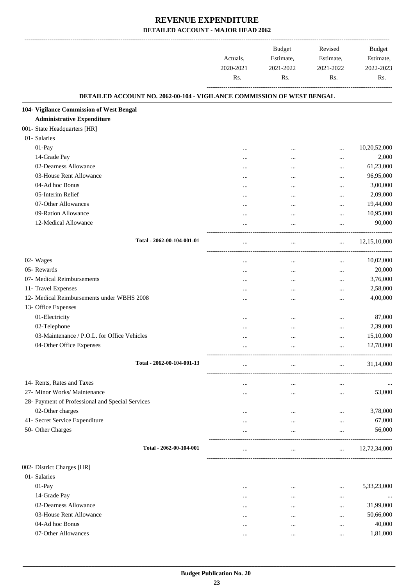|                                                                        | Actuals,<br>2020-2021<br>Rs. | <b>Budget</b><br>Estimate,<br>2021-2022<br>Rs. | Revised<br>Estimate,<br>2021-2022<br>Rs. | <b>Budget</b><br>Estimate,<br>2022-2023<br>Rs. |
|------------------------------------------------------------------------|------------------------------|------------------------------------------------|------------------------------------------|------------------------------------------------|
| DETAILED ACCOUNT NO. 2062-00-104 - VIGILANCE COMMISSION OF WEST BENGAL |                              |                                                |                                          |                                                |
| 104- Vigilance Commission of West Bengal                               |                              |                                                |                                          |                                                |
| <b>Administrative Expenditure</b>                                      |                              |                                                |                                          |                                                |
| 001- State Headquarters [HR]                                           |                              |                                                |                                          |                                                |
| 01- Salaries                                                           |                              |                                                |                                          |                                                |
| 01-Pay                                                                 |                              |                                                |                                          | 10,20,52,000                                   |
| 14-Grade Pay                                                           |                              |                                                |                                          | 2,000                                          |
| 02-Dearness Allowance                                                  |                              |                                                |                                          | 61,23,000                                      |
| 03-House Rent Allowance                                                |                              |                                                |                                          | 96,95,000                                      |
| 04-Ad hoc Bonus                                                        |                              |                                                |                                          | 3,00,000                                       |
| 05-Interim Relief                                                      |                              |                                                |                                          | 2,09,000                                       |
| 07-Other Allowances                                                    |                              |                                                | $\cdots$                                 | 19,44,000                                      |
| 09-Ration Allowance                                                    |                              |                                                |                                          | 10,95,000                                      |
| 12-Medical Allowance                                                   |                              |                                                | $\ddotsc$                                | 90,000                                         |
| Total - 2062-00-104-001-01                                             | $\ddotsc$                    | $\cdots$                                       | $\cdots$                                 | 12, 15, 10, 000                                |
| 02- Wages                                                              |                              |                                                |                                          | 10,02,000                                      |
| 05- Rewards                                                            |                              |                                                | $\cdots$                                 | 20,000                                         |
| 07- Medical Reimbursements                                             |                              |                                                | $\cdots$                                 | 3,76,000                                       |
| 11- Travel Expenses                                                    |                              |                                                | $\ddotsc$                                | 2,58,000                                       |
| 12- Medical Reimbursements under WBHS 2008                             |                              |                                                | $\ddotsc$                                | 4,00,000                                       |
| 13- Office Expenses                                                    |                              |                                                |                                          |                                                |
| 01-Electricity                                                         |                              |                                                |                                          | 87,000                                         |
| 02-Telephone                                                           |                              |                                                |                                          | 2,39,000                                       |
| 03-Maintenance / P.O.L. for Office Vehicles                            |                              |                                                |                                          | 15,10,000                                      |
| 04-Other Office Expenses                                               |                              |                                                | $\cdots$                                 | 12,78,000                                      |
|                                                                        |                              |                                                |                                          |                                                |
| Total - 2062-00-104-001-13                                             | $\cdots$                     | $\cdots$                                       | $\cdots$                                 | 31,14,000                                      |
| 14- Rents, Rates and Taxes                                             |                              | $\cdots$                                       | $\cdots$                                 |                                                |
| 27- Minor Works/ Maintenance                                           |                              | $\cdots$                                       | $\cdots$                                 | 53,000                                         |
| 28- Payment of Professional and Special Services                       |                              |                                                |                                          |                                                |
| 02-Other charges                                                       |                              | $\cdots$                                       | $\cdots$                                 | 3,78,000                                       |
| 41- Secret Service Expenditure                                         |                              | $\cdots$                                       | $\cdots$                                 | 67,000                                         |
| 50- Other Charges                                                      |                              | $\cdots$                                       | $\cdots$                                 | 56,000                                         |
| Total - 2062-00-104-001                                                |                              | $\cdots$                                       | $\cdots$                                 | 12,72,34,000                                   |
| 002- District Charges [HR]                                             |                              |                                                |                                          |                                                |
| 01- Salaries                                                           |                              |                                                |                                          |                                                |
| 01-Pay                                                                 | $\cdots$                     | $\cdots$                                       | $\ddotsc$                                | 5,33,23,000                                    |
| 14-Grade Pay                                                           |                              |                                                | $\ddotsc$                                |                                                |
| 02-Dearness Allowance                                                  |                              |                                                | $\ddotsc$                                | 31,99,000                                      |
| 03-House Rent Allowance                                                |                              |                                                | $\ddotsc$                                | 50,66,000                                      |
| 04-Ad hoc Bonus                                                        | $\cdots$                     | $\cdots$                                       | $\ddotsc$                                | 40,000                                         |
| 07-Other Allowances                                                    |                              | $\cdots$                                       | $\ddotsc$                                | 1,81,000                                       |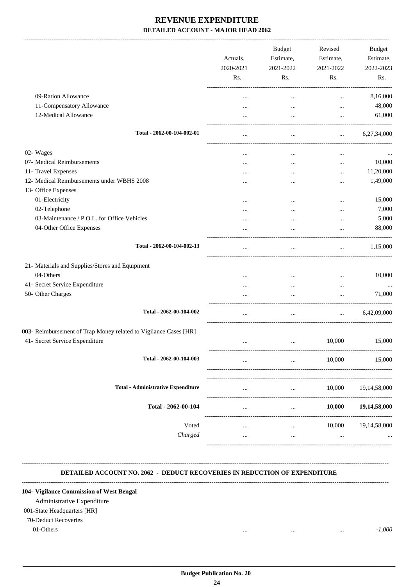-------------------------------------------------------------------------------------------------------------------------------------------------------------------------------

|                                                                  | Actuals,<br>2020-2021<br>Rs. | <b>Budget</b><br>Estimate,<br>2021-2022<br>Rs. | Revised<br>Estimate,<br>2021-2022<br>Rs. | <b>Budget</b><br>Estimate,<br>2022-2023<br>Rs. |
|------------------------------------------------------------------|------------------------------|------------------------------------------------|------------------------------------------|------------------------------------------------|
| 09-Ration Allowance                                              | $\ddotsc$                    | $\ddotsc$                                      | $\ddotsc$                                | 8,16,000                                       |
| 11-Compensatory Allowance                                        | $\ddotsc$                    | $\cdots$                                       | $\cdots$                                 | 48,000                                         |
| 12-Medical Allowance                                             | $\ddotsc$                    | $\cdots$                                       | $\cdots$                                 | 61,000                                         |
| Total - 2062-00-104-002-01                                       | $\ddotsc$                    | $\cdots$                                       | $\cdots$                                 | 6,27,34,000                                    |
| 02- Wages                                                        | $\cdots$                     | $\cdots$                                       | $\cdots$                                 |                                                |
| 07- Medical Reimbursements                                       | $\cdots$                     | $\cdots$                                       | $\cdots$                                 | 10,000                                         |
| 11- Travel Expenses                                              | $\ddotsc$                    |                                                | $\cdots$                                 | 11,20,000                                      |
| 12- Medical Reimbursements under WBHS 2008                       | $\ddotsc$                    |                                                | $\cdots$                                 | 1,49,000                                       |
| 13- Office Expenses                                              |                              |                                                |                                          |                                                |
| 01-Electricity                                                   | $\cdots$                     |                                                | $\cdots$                                 | 15,000                                         |
| 02-Telephone                                                     | $\ddotsc$                    |                                                |                                          | 7,000                                          |
| 03-Maintenance / P.O.L. for Office Vehicles                      |                              | $\cdots$                                       | $\cdots$                                 | 5,000                                          |
| 04-Other Office Expenses                                         |                              | $\ddotsc$                                      | $\ddotsc$                                | 88,000                                         |
| Total - 2062-00-104-002-13                                       |                              |                                                | $\cdots$                                 | 1,15,000                                       |
| 21- Materials and Supplies/Stores and Equipment                  |                              |                                                |                                          |                                                |
| 04-Others                                                        | $\ddotsc$                    | $\cdots$                                       | $\cdots$                                 | 10,000                                         |
| 41- Secret Service Expenditure                                   | $\cdots$                     | $\cdots$                                       | $\cdots$                                 | $\cdots$                                       |
| 50- Other Charges                                                |                              | $\ddotsc$                                      | $\cdots$                                 | 71,000                                         |
| Total - 2062-00-104-002                                          |                              | $\ddotsc$                                      | $\ddotsc$                                | 6,42,09,000                                    |
| 003- Reimbursement of Trap Money related to Vigilance Cases [HR] |                              |                                                |                                          |                                                |
| 41- Secret Service Expenditure                                   | $\cdots$                     | $\cdots$                                       | 10,000                                   | 15,000                                         |
| Total - 2062-00-104-003                                          |                              |                                                | 10,000                                   | 15,000                                         |
| <b>Total - Administrative Expenditure</b>                        |                              | $\cdots$                                       | 10,000                                   | 19, 14, 58, 000                                |
| Total - 2062-00-104                                              | $\ddotsc$                    | $\cdots$                                       | 10,000                                   | 19,14,58,000                                   |
| Voted<br>Charged                                                 |                              | $\cdots$                                       | 10,000<br>                               | 19,14,58,000                                   |
|                                                                  |                              |                                                |                                          |                                                |

## **DETAILED ACCOUNT NO. 2062 - DEDUCT RECOVERIES IN REDUCTION OF EXPENDITURE**

**--------------------------------------------------------------------------------------------------------------------------------------------------------------------------------**

**--------------------------------------------------------------------------------------------------------------------------------------------------------------------------------**

#### **104- Vigilance Commission of West Bengal**

Administrative Expenditure

## 001-State Headquarters [HR]

## 70-Deduct Recoveries

01-Others ... ... ... *-1,000*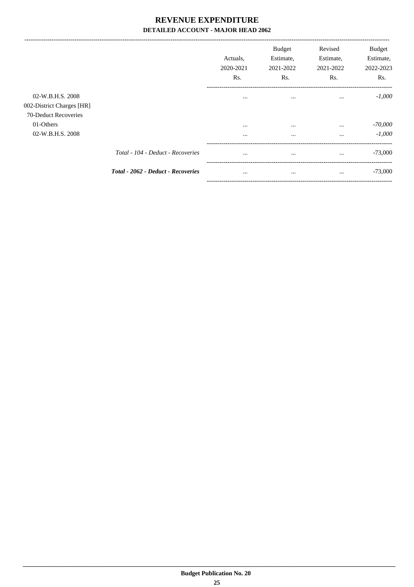|                                                                       |                                           | Actuals.<br>2020-2021<br>Rs. | <b>Budget</b><br>Estimate,<br>2021-2022<br>Rs. | Revised<br>Estimate,<br>2021-2022<br>Rs. | <b>Budget</b><br>Estimate,<br>2022-2023<br>Rs. |
|-----------------------------------------------------------------------|-------------------------------------------|------------------------------|------------------------------------------------|------------------------------------------|------------------------------------------------|
| 02-W.B.H.S. 2008<br>002-District Charges [HR]<br>70-Deduct Recoveries |                                           | $\cdots$                     | $\cdots$                                       | $\cdots$                                 | $-1,000$                                       |
| 01-Others<br>02-W.B.H.S. 2008                                         |                                           | $\cdots$<br>$\cdots$         | $\cdots$<br>$\cdots$                           | $\cdots$<br>$\cdots$                     | $-70,000$<br>$-1,000$                          |
|                                                                       | Total - 104 - Deduct - Recoveries         | $\cdots$                     | $\cdots$                                       | $\cdots$                                 | $-73,000$                                      |
|                                                                       | <b>Total - 2062 - Deduct - Recoveries</b> | $\cdots$                     | $\cdots$                                       | $\cdots$                                 | $-73,000$                                      |

--------------------------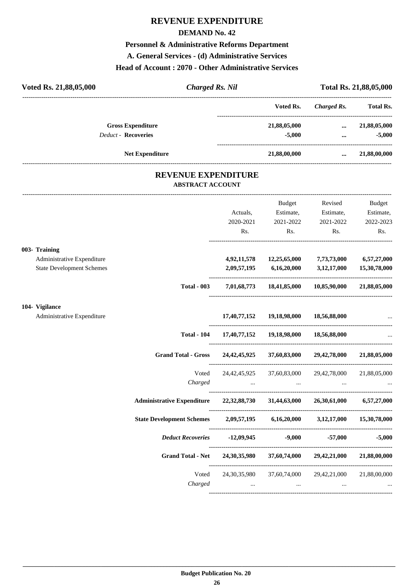#### **DEMAND No. 42**

### **Personnel & Administrative Reforms Department**

**A. General Services - (d) Administrative Services**

#### **Head of Account : 2070 - Other Administrative Services**

| Voted Rs. 21,88,05,000     | <b>Charged Rs. Nil</b> |              |             | Total Rs. 21,88,05,000 |
|----------------------------|------------------------|--------------|-------------|------------------------|
|                            |                        | Voted Rs.    | Charged Rs. | <b>Total Rs.</b>       |
| <b>Gross Expenditure</b>   |                        | 21,88,05,000 | $\cdots$    | 21,88,05,000           |
| <b>Deduct - Recoveries</b> |                        | $-5,000$     | $\cdots$    | $-5,000$               |
| <b>Net Expenditure</b>     |                        | 21,88,00,000 |             | 21,88,00,000           |
|                            |                        |              |             |                        |

### **REVENUE EXPENDITURE ABSTRACT ACCOUNT**

---------------------------------------------------------------------------------------------------------------------------------------------------------------------------------

|                                  |                                                                                     | Actuals,  | Budget<br>Estimate,                      | Revised<br>Estimate,                                             | <b>Budget</b><br>Estimate, |
|----------------------------------|-------------------------------------------------------------------------------------|-----------|------------------------------------------|------------------------------------------------------------------|----------------------------|
|                                  |                                                                                     | 2020-2021 | 2021-2022                                | 2021-2022                                                        | 2022-2023                  |
|                                  |                                                                                     | Rs.       |                                          | Rs. Rs.                                                          | Rs.                        |
| 003- Training                    |                                                                                     |           |                                          |                                                                  |                            |
| Administrative Expenditure       |                                                                                     |           |                                          | 4,92,11,578 12,25,65,000 7,73,73,000 6,57,27,000                 |                            |
| <b>State Development Schemes</b> |                                                                                     |           |                                          | $2,09,57,195$ $6,16,20,000$ $3,12,17,000$ $15,30,78,000$         |                            |
|                                  | <b>Total - 003</b>                                                                  |           |                                          | 7,01,68,773 18,41,85,000 10,85,90,000 21,88,05,000               |                            |
| 104- Vigilance                   |                                                                                     |           |                                          |                                                                  |                            |
| Administrative Expenditure       |                                                                                     |           | 17,40,77,152 19,18,98,000 18,56,88,000   |                                                                  |                            |
|                                  | <b>Total - 104</b>                                                                  |           | 17,40,77,152  19,18,98,000  18,56,88,000 |                                                                  |                            |
|                                  | Grand Total - Gross 24, 42, 45, 925 37, 60, 83, 000 29, 42, 78, 000 21, 88, 05, 000 |           |                                          |                                                                  |                            |
|                                  | Voted                                                                               |           |                                          | 24,42,45,925 37,60,83,000 29,42,78,000                           | 21,88,05,000               |
|                                  | Charged                                                                             |           |                                          |                                                                  |                            |
|                                  | Administrative Expenditure 22,32,88,730 31,44,63,000 26,30,61,000 6,57,27,000       |           |                                          |                                                                  |                            |
|                                  | State Development Schemes 2,09,57,195 6,16,20,000 3,12,17,000 15,30,78,000          |           |                                          |                                                                  |                            |
|                                  | Deduct Recoveries -12,09,945 -9,000                                                 |           |                                          |                                                                  | $-57,000$ $-5,000$         |
|                                  | Grand Total - Net 24,30,35,980 37,60,74,000 29,42,21,000 21,88,00,000               |           |                                          |                                                                  |                            |
|                                  |                                                                                     |           |                                          | Voted 24,30,35,980 37,60,74,000 29,42,21,000 21,88,00,000        |                            |
|                                  | Charged                                                                             | $\cdots$  |                                          | $\mathbf{r}$ , and the contract of $\mathbf{r}$ and $\mathbf{r}$ |                            |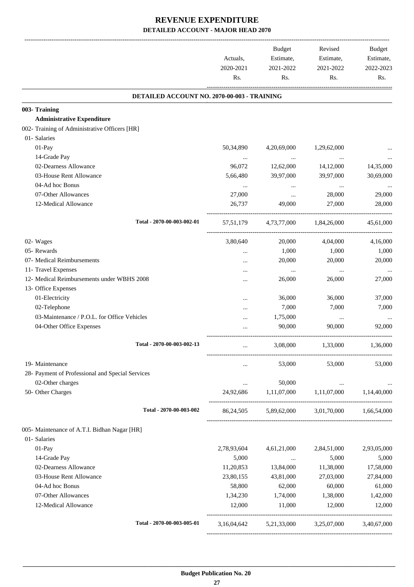|                                                  | Actuals,<br>2020-2021<br>Rs. | Budget<br>Estimate,<br>2021-2022<br>Rs. | Revised<br>Estimate,<br>2021-2022<br>Rs.        | Budget<br>Estimate,<br>2022-2023<br>Rs. |
|--------------------------------------------------|------------------------------|-----------------------------------------|-------------------------------------------------|-----------------------------------------|
| DETAILED ACCOUNT NO. 2070-00-003 - TRAINING      |                              |                                         |                                                 |                                         |
| 003- Training                                    |                              |                                         |                                                 |                                         |
| <b>Administrative Expenditure</b>                |                              |                                         |                                                 |                                         |
| 002- Training of Administrative Officers [HR]    |                              |                                         |                                                 |                                         |
| 01- Salaries                                     |                              |                                         |                                                 |                                         |
| 01-Pay                                           | 50,34,890                    | 4,20,69,000                             | 1,29,62,000                                     |                                         |
| 14-Grade Pay                                     | $\cdots$                     | $\cdots$                                |                                                 |                                         |
| 02-Dearness Allowance                            | 96,072                       | 12,62,000                               | 14,12,000                                       | 14,35,000                               |
| 03-House Rent Allowance                          | 5,66,480                     | 39,97,000                               | 39,97,000                                       | 30,69,000                               |
| 04-Ad hoc Bonus                                  | $\cdots$                     | $\cdots$                                | $\cdots$                                        |                                         |
| 07-Other Allowances                              | 27,000                       | $\cdots$                                | 28,000                                          | 29,000                                  |
| 12-Medical Allowance                             | 26,737                       | 49,000                                  | 27,000                                          | 28,000                                  |
| Total - 2070-00-003-002-01                       | 57, 51, 179                  |                                         | 4,73,77,000 1,84,26,000                         | 45,61,000                               |
| 02- Wages                                        | 3,80,640                     | 20,000                                  | 4,04,000                                        | 4,16,000                                |
| 05- Rewards                                      |                              | 1,000                                   | 1,000                                           | 1,000                                   |
| 07- Medical Reimbursements                       |                              | 20,000                                  | 20,000                                          | 20,000                                  |
| 11- Travel Expenses                              | $\cdots$                     | $\ldots$                                | $\cdots$                                        | $\ldots$                                |
| 12- Medical Reimbursements under WBHS 2008       |                              | 26,000                                  | 26,000                                          | 27,000                                  |
| 13- Office Expenses                              |                              |                                         |                                                 |                                         |
| 01-Electricity                                   |                              | 36,000                                  | 36,000                                          | 37,000                                  |
| 02-Telephone                                     |                              | 7,000                                   | 7,000                                           | 7,000                                   |
| 03-Maintenance / P.O.L. for Office Vehicles      |                              | 1,75,000                                | $\cdots$                                        |                                         |
| 04-Other Office Expenses                         |                              | 90,000                                  | 90,000                                          | 92,000                                  |
| Total - 2070-00-003-002-13                       | $\cdots$                     | 3,08,000                                | 1,33,000                                        | 1,36,000                                |
| 19- Maintenance                                  |                              | 53,000                                  | 53,000                                          | 53,000                                  |
| 28- Payment of Professional and Special Services |                              |                                         |                                                 |                                         |
| 02-Other charges                                 |                              | 50,000                                  |                                                 |                                         |
| 50- Other Charges                                | $\cdots$<br>24,92,686        | 1,11,07,000                             | $\ldots$<br>1,11,07,000 1,14,40,000             |                                         |
|                                                  |                              |                                         |                                                 |                                         |
| Total - 2070-00-003-002                          |                              |                                         | 86,24,505 5,89,62,000 3,01,70,000 1,66,54,000   |                                         |
| 005- Maintenance of A.T.I. Bidhan Nagar [HR]     |                              |                                         |                                                 |                                         |
| 01- Salaries                                     |                              |                                         |                                                 |                                         |
| $01-Pay$                                         | 2,78,93,604                  | 4,61,21,000                             | 2,84,51,000                                     | 2,93,05,000                             |
| 14-Grade Pay                                     | 5,000                        | <b>Contract Contract</b>                | 5,000                                           | 5,000                                   |
| 02-Dearness Allowance                            | 11,20,853                    | 13,84,000                               | 11,38,000                                       | 17,58,000                               |
| 03-House Rent Allowance                          | 23,80,155                    | 43,81,000                               | 27,03,000                                       | 27,84,000                               |
| 04-Ad hoc Bonus                                  | 58,800                       | 62,000                                  | 60,000                                          | 61,000                                  |
| 07-Other Allowances                              | 1,34,230                     | 1,74,000                                | 1,38,000                                        | 1,42,000                                |
| 12-Medical Allowance                             | 12,000                       | 11,000                                  | 12,000                                          | 12,000                                  |
| Total - 2070-00-003-005-01                       |                              |                                         | 3,16,04,642 5,21,33,000 3,25,07,000 3,40,67,000 |                                         |
|                                                  |                              |                                         |                                                 |                                         |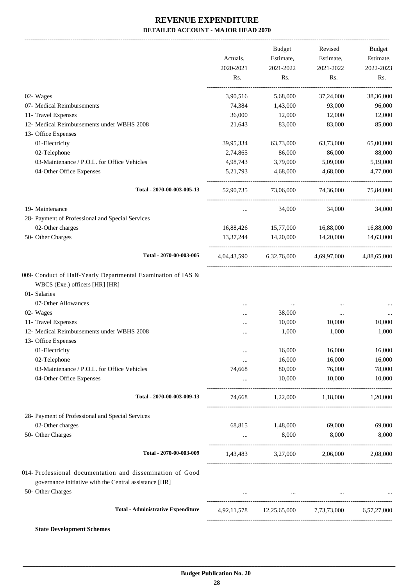-------------------------------------------------------------------------------------------------------------------------------------------------------------------------------

|                                                                                                                                        | Actuals,<br>2020-2021<br>Rs. | <b>Budget</b><br>Estimate,<br>2021-2022<br>Rs. | Revised<br>Estimate,<br>2021-2022<br>Rs. | <b>Budget</b><br>Estimate,<br>2022-2023<br>Rs. |
|----------------------------------------------------------------------------------------------------------------------------------------|------------------------------|------------------------------------------------|------------------------------------------|------------------------------------------------|
| 02- Wages                                                                                                                              | 3,90,516                     | 5,68,000                                       | 37,24,000                                | 38,36,000                                      |
| 07- Medical Reimbursements                                                                                                             | 74,384                       | 1,43,000                                       | 93,000                                   | 96,000                                         |
| 11- Travel Expenses                                                                                                                    | 36,000                       | 12,000                                         | 12,000                                   | 12,000                                         |
| 12- Medical Reimbursements under WBHS 2008                                                                                             | 21,643                       | 83,000                                         | 83,000                                   | 85,000                                         |
| 13- Office Expenses                                                                                                                    |                              |                                                |                                          |                                                |
| 01-Electricity                                                                                                                         | 39,95,334                    | 63,73,000                                      | 63,73,000                                | 65,00,000                                      |
| 02-Telephone                                                                                                                           | 2,74,865                     | 86,000                                         | 86,000                                   | 88,000                                         |
| 03-Maintenance / P.O.L. for Office Vehicles                                                                                            | 4,98,743                     | 3,79,000                                       | 5,09,000                                 | 5,19,000                                       |
| 04-Other Office Expenses                                                                                                               | 5, 21, 793                   | 4,68,000                                       | 4,68,000                                 | 4,77,000                                       |
| Total - 2070-00-003-005-13                                                                                                             | 52,90,735                    | 73,06,000                                      | 74,36,000                                | 75,84,000                                      |
| 19- Maintenance                                                                                                                        | $\cdots$                     | 34,000                                         | 34,000                                   | 34,000                                         |
| 28- Payment of Professional and Special Services                                                                                       |                              |                                                |                                          |                                                |
| 02-Other charges                                                                                                                       | 16,88,426                    | 15,77,000                                      | 16,88,000                                | 16,88,000                                      |
| 50- Other Charges                                                                                                                      | 13,37,244                    | 14,20,000                                      | 14,20,000                                | 14,63,000                                      |
| Total - 2070-00-003-005                                                                                                                |                              | 4,04,43,590 6,32,76,000 4,69,97,000            |                                          | 4,88,65,000                                    |
| 009- Conduct of Half-Yearly Departmental Examination of IAS &<br>WBCS (Exe.) officers [HR] [HR]<br>01- Salaries<br>07-Other Allowances |                              | $\cdots$                                       | $\ddotsc$                                |                                                |
| 02- Wages                                                                                                                              |                              | 38,000                                         | $\cdots$                                 |                                                |
| 11- Travel Expenses                                                                                                                    |                              | 10,000                                         | 10,000                                   | 10,000                                         |
| 12- Medical Reimbursements under WBHS 2008<br>13- Office Expenses                                                                      |                              | 1,000                                          | 1,000                                    | 1,000                                          |
| 01-Electricity                                                                                                                         | $\ddotsc$                    | 16,000                                         | 16,000                                   | 16,000                                         |
| 02-Telephone                                                                                                                           | $\ddotsc$                    | 16,000                                         | 16,000                                   | 16,000                                         |
| 03-Maintenance / P.O.L. for Office Vehicles                                                                                            | 74,668                       | 80,000                                         | 76,000                                   | 78,000                                         |
| 04-Other Office Expenses                                                                                                               |                              | 10,000                                         | 10,000                                   | 10,000                                         |
| Total - 2070-00-003-009-13                                                                                                             | 74,668                       | 1,22,000                                       | 1,18,000                                 | 1,20,000                                       |
| 28- Payment of Professional and Special Services                                                                                       |                              |                                                |                                          |                                                |
| 02-Other charges                                                                                                                       | 68,815                       | 1,48,000                                       | 69,000                                   | 69,000                                         |
| 50- Other Charges                                                                                                                      | $\cdots$                     | 8,000                                          | 8,000                                    | 8,000                                          |
| Total - 2070-00-003-009                                                                                                                | 1,43,483                     |                                                | 3,27,000 2,06,000                        | 2,08,000                                       |
| 014- Professional documentation and dissemination of Good<br>governance initiative with the Central assistance [HR]                    |                              |                                                |                                          |                                                |
| 50- Other Charges                                                                                                                      |                              |                                                | the company's property of the            |                                                |
| <b>Total - Administrative Expenditure</b>                                                                                              |                              | 4,92,11,578 12,25,65,000 7,73,73,000           |                                          | 6,57,27,000                                    |
|                                                                                                                                        |                              |                                                |                                          |                                                |

**State Development Schemes**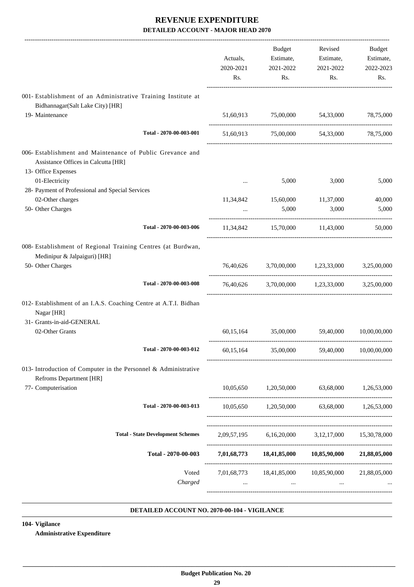|                                                                                                                         | Actuals,<br>2020-2021<br>Rs. | Budget<br>Estimate,<br>2021-2022<br>Rs. | Revised<br>Estimate,<br>2021-2022<br>Rs.              | Budget<br>Estimate,<br>2022-2023<br>Rs. |
|-------------------------------------------------------------------------------------------------------------------------|------------------------------|-----------------------------------------|-------------------------------------------------------|-----------------------------------------|
| 001- Establishment of an Administrative Training Institute at                                                           |                              |                                         |                                                       |                                         |
| Bidhannagar(Salt Lake City) [HR]<br>19- Maintenance                                                                     |                              | 51,60,913 75,00,000 54,33,000           |                                                       | 78,75,000                               |
| Total - 2070-00-003-001                                                                                                 |                              |                                         | 51,60,913 75,00,000 54,33,000 78,75,000               |                                         |
| 006- Establishment and Maintenance of Public Grevance and<br>Assistance Offices in Calcutta [HR]<br>13- Office Expenses |                              |                                         |                                                       |                                         |
| 01-Electricity                                                                                                          | $\cdots$                     | 5,000                                   | 3,000                                                 | 5,000                                   |
| 28- Payment of Professional and Special Services                                                                        |                              |                                         |                                                       |                                         |
| 02-Other charges                                                                                                        | 11,34,842                    | 15,60,000 11,37,000                     |                                                       | 40,000                                  |
| 50- Other Charges                                                                                                       |                              | 5,000                                   | 3,000                                                 | 5,000                                   |
| Total - 2070-00-003-006                                                                                                 |                              |                                         | 11,34,842 15,70,000 11,43,000                         | 50,000                                  |
| 008- Establishment of Regional Training Centres (at Burdwan,<br>Medinipur & Jalpaiguri) [HR]                            |                              |                                         |                                                       |                                         |
| 50- Other Charges                                                                                                       |                              |                                         | 76,40,626 3,70,00,000 1,23,33,000 3,25,00,000         |                                         |
| Total - 2070-00-003-008                                                                                                 |                              |                                         | 76,40,626 3,70,00,000 1,23,33,000 3,25,00,000         |                                         |
| 012- Establishment of an I.A.S. Coaching Centre at A.T.I. Bidhan<br>Nagar [HR]<br>31- Grants-in-aid-GENERAL             |                              |                                         |                                                       |                                         |
| 02-Other Grants                                                                                                         |                              | 60,15,164 35,00,000 59,40,000           |                                                       | 10,00,00,000                            |
| Total - 2070-00-003-012                                                                                                 | 60,15,164                    | 35,00,000                               | 59,40,000                                             | 10,00,00,000                            |
| 013- Introduction of Computer in the Personnel & Administrative<br><b>Refroms Department [HR]</b>                       |                              |                                         |                                                       |                                         |
| 77- Computerisation                                                                                                     |                              |                                         | $10,05,650$ $1,20,50,000$ $63,68,000$                 | 1,26,53,000                             |
| Total - 2070-00-003-013                                                                                                 |                              |                                         | 10,05,650 1,20,50,000 63,68,000 1,26,53,000           |                                         |
| <b>Total - State Development Schemes</b>                                                                                |                              |                                         | 2,09,57,195 6,16,20,000 3,12,17,000 15,30,78,000      |                                         |
| Total - 2070-00-003                                                                                                     |                              |                                         | 7,01,68,773 18,41,85,000 10,85,90,000 21,88,05,000    |                                         |
| Voted<br>Charged                                                                                                        |                              | $\cdots$                                | 7,01,68,773  18,41,85,000  10,85,90,000  21,88,05,000 |                                         |

#### **DETAILED ACCOUNT NO. 2070-00-104 - VIGILANCE .**

**104- Vigilance**

**Administrative Expenditure**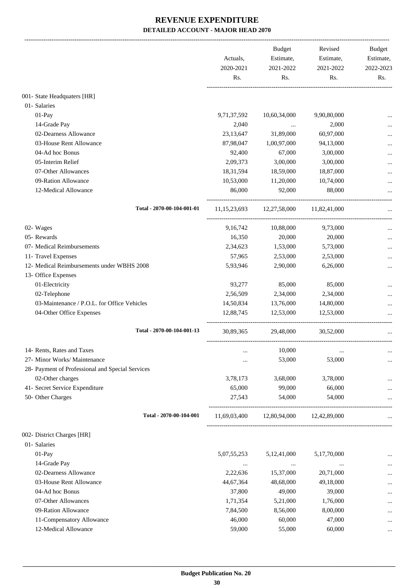|                                                  | Actuals,                                                                                                                                                                                                                                                                                                                                                                                                                                                                                                                                                                                                                                                                                                                                                             | Budget<br>Estimate,<br>2020-2021<br>2021-2022 | Revised<br>Estimate, | <b>Budget</b><br>Estimate, |
|--------------------------------------------------|----------------------------------------------------------------------------------------------------------------------------------------------------------------------------------------------------------------------------------------------------------------------------------------------------------------------------------------------------------------------------------------------------------------------------------------------------------------------------------------------------------------------------------------------------------------------------------------------------------------------------------------------------------------------------------------------------------------------------------------------------------------------|-----------------------------------------------|----------------------|----------------------------|
|                                                  | Rs.                                                                                                                                                                                                                                                                                                                                                                                                                                                                                                                                                                                                                                                                                                                                                                  | Rs.                                           | Rs.                  | 2022-2023<br>Rs.           |
| 001- State Headquaters [HR]                      |                                                                                                                                                                                                                                                                                                                                                                                                                                                                                                                                                                                                                                                                                                                                                                      |                                               |                      |                            |
| 01- Salaries                                     |                                                                                                                                                                                                                                                                                                                                                                                                                                                                                                                                                                                                                                                                                                                                                                      |                                               |                      |                            |
| 01-Pay                                           |                                                                                                                                                                                                                                                                                                                                                                                                                                                                                                                                                                                                                                                                                                                                                                      |                                               |                      |                            |
| 14-Grade Pay                                     |                                                                                                                                                                                                                                                                                                                                                                                                                                                                                                                                                                                                                                                                                                                                                                      |                                               |                      |                            |
| 02-Dearness Allowance                            |                                                                                                                                                                                                                                                                                                                                                                                                                                                                                                                                                                                                                                                                                                                                                                      |                                               |                      |                            |
| 03-House Rent Allowance                          |                                                                                                                                                                                                                                                                                                                                                                                                                                                                                                                                                                                                                                                                                                                                                                      |                                               |                      |                            |
| 04-Ad hoc Bonus                                  |                                                                                                                                                                                                                                                                                                                                                                                                                                                                                                                                                                                                                                                                                                                                                                      |                                               |                      |                            |
| 05-Interim Relief                                |                                                                                                                                                                                                                                                                                                                                                                                                                                                                                                                                                                                                                                                                                                                                                                      |                                               |                      |                            |
| 07-Other Allowances                              |                                                                                                                                                                                                                                                                                                                                                                                                                                                                                                                                                                                                                                                                                                                                                                      |                                               |                      |                            |
| 09-Ration Allowance                              |                                                                                                                                                                                                                                                                                                                                                                                                                                                                                                                                                                                                                                                                                                                                                                      |                                               |                      |                            |
| 12-Medical Allowance                             | 86,000                                                                                                                                                                                                                                                                                                                                                                                                                                                                                                                                                                                                                                                                                                                                                               | 92,000                                        | 88,000               |                            |
| Total - 2070-00-104-001-01                       |                                                                                                                                                                                                                                                                                                                                                                                                                                                                                                                                                                                                                                                                                                                                                                      |                                               |                      |                            |
| 02- Wages                                        | 9, 16, 742                                                                                                                                                                                                                                                                                                                                                                                                                                                                                                                                                                                                                                                                                                                                                           | 10,88,000                                     | 9,73,000             |                            |
| 05- Rewards                                      | 16,350                                                                                                                                                                                                                                                                                                                                                                                                                                                                                                                                                                                                                                                                                                                                                               | 20,000                                        | 20,000               |                            |
| 07- Medical Reimbursements                       | 2,34,623                                                                                                                                                                                                                                                                                                                                                                                                                                                                                                                                                                                                                                                                                                                                                             | 1,53,000                                      | 5,73,000             |                            |
| 11- Travel Expenses                              | 57,965                                                                                                                                                                                                                                                                                                                                                                                                                                                                                                                                                                                                                                                                                                                                                               | 2,53,000                                      | 2,53,000             |                            |
| 12- Medical Reimbursements under WBHS 2008       | 5,93,946                                                                                                                                                                                                                                                                                                                                                                                                                                                                                                                                                                                                                                                                                                                                                             | 2,90,000                                      | 6,26,000             |                            |
| 13- Office Expenses                              |                                                                                                                                                                                                                                                                                                                                                                                                                                                                                                                                                                                                                                                                                                                                                                      |                                               |                      |                            |
| 01-Electricity                                   | 93,277                                                                                                                                                                                                                                                                                                                                                                                                                                                                                                                                                                                                                                                                                                                                                               | 85,000                                        | 85,000               |                            |
| 02-Telephone                                     | 2,56,509                                                                                                                                                                                                                                                                                                                                                                                                                                                                                                                                                                                                                                                                                                                                                             | 2,34,000                                      | 2,34,000             |                            |
| 03-Maintenance / P.O.L. for Office Vehicles      | 14,50,834                                                                                                                                                                                                                                                                                                                                                                                                                                                                                                                                                                                                                                                                                                                                                            | 13,76,000                                     | 14,80,000            |                            |
| 04-Other Office Expenses                         | 12,88,745                                                                                                                                                                                                                                                                                                                                                                                                                                                                                                                                                                                                                                                                                                                                                            | 12,53,000                                     | 12,53,000            |                            |
| Total - 2070-00-104-001-13                       |                                                                                                                                                                                                                                                                                                                                                                                                                                                                                                                                                                                                                                                                                                                                                                      | 29,48,000                                     | 30,52,000            |                            |
| 14- Rents, Rates and Taxes                       |                                                                                                                                                                                                                                                                                                                                                                                                                                                                                                                                                                                                                                                                                                                                                                      | 10,000                                        |                      |                            |
| 27- Minor Works/ Maintenance                     |                                                                                                                                                                                                                                                                                                                                                                                                                                                                                                                                                                                                                                                                                                                                                                      | 53,000                                        | 53,000               | $\ldots$                   |
| 28- Payment of Professional and Special Services |                                                                                                                                                                                                                                                                                                                                                                                                                                                                                                                                                                                                                                                                                                                                                                      |                                               |                      |                            |
| 02-Other charges                                 | 3,78,173                                                                                                                                                                                                                                                                                                                                                                                                                                                                                                                                                                                                                                                                                                                                                             | 3,68,000                                      | 3,78,000             |                            |
| 41- Secret Service Expenditure                   | 65,000                                                                                                                                                                                                                                                                                                                                                                                                                                                                                                                                                                                                                                                                                                                                                               | 99,000                                        | 66,000               |                            |
| 50- Other Charges                                | 2021-2022<br>9,71,37,592<br>10,60,34,000<br>9,90,80,000<br>2,040<br>2,000<br>23,13,647<br>31,89,000<br>60,97,000<br>87,98,047<br>1,00,97,000<br>94,13,000<br>92,400<br>67,000<br>3,00,000<br>2,09,373<br>3,00,000<br>3,00,000<br>18,31,594<br>18,59,000<br>18,87,000<br>10,53,000<br>11,20,000<br>10,74,000<br>11,15,23,693 12,27,58,000 11,82,41,000<br>30.89.365<br>27,543<br>54,000<br>54,000<br>12,80,94,000<br>11,69,03,400<br>12,42,89,000<br>5,07,55,253<br>5,12,41,000<br>5,17,70,000<br>$\cdots$<br>$\cdots$<br>2,22,636<br>15,37,000<br>20,71,000<br>44,67,364<br>48,68,000<br>49,18,000<br>37,800<br>49,000<br>39,000<br>1,71,354<br>5,21,000<br>1,76,000<br>7,84,500<br>8,56,000<br>8,00,000<br>46,000<br>60,000<br>47,000<br>59,000<br>60,000<br>55,000 |                                               |                      |                            |
| Total - 2070-00-104-001                          |                                                                                                                                                                                                                                                                                                                                                                                                                                                                                                                                                                                                                                                                                                                                                                      |                                               |                      |                            |
| 002- District Charges [HR]                       |                                                                                                                                                                                                                                                                                                                                                                                                                                                                                                                                                                                                                                                                                                                                                                      |                                               |                      |                            |
| 01- Salaries                                     |                                                                                                                                                                                                                                                                                                                                                                                                                                                                                                                                                                                                                                                                                                                                                                      |                                               |                      |                            |
| 01-Pay                                           |                                                                                                                                                                                                                                                                                                                                                                                                                                                                                                                                                                                                                                                                                                                                                                      |                                               |                      | $\ddotsc$                  |
| 14-Grade Pay                                     |                                                                                                                                                                                                                                                                                                                                                                                                                                                                                                                                                                                                                                                                                                                                                                      |                                               |                      |                            |
| 02-Dearness Allowance                            |                                                                                                                                                                                                                                                                                                                                                                                                                                                                                                                                                                                                                                                                                                                                                                      |                                               |                      |                            |
| 03-House Rent Allowance                          |                                                                                                                                                                                                                                                                                                                                                                                                                                                                                                                                                                                                                                                                                                                                                                      |                                               |                      |                            |
| 04-Ad hoc Bonus                                  |                                                                                                                                                                                                                                                                                                                                                                                                                                                                                                                                                                                                                                                                                                                                                                      |                                               |                      | $\cdots$                   |
| 07-Other Allowances                              |                                                                                                                                                                                                                                                                                                                                                                                                                                                                                                                                                                                                                                                                                                                                                                      |                                               |                      |                            |
| 09-Ration Allowance                              |                                                                                                                                                                                                                                                                                                                                                                                                                                                                                                                                                                                                                                                                                                                                                                      |                                               |                      | $\cdots$                   |
| 11-Compensatory Allowance                        |                                                                                                                                                                                                                                                                                                                                                                                                                                                                                                                                                                                                                                                                                                                                                                      |                                               |                      | $\cdots$                   |
| 12-Medical Allowance                             |                                                                                                                                                                                                                                                                                                                                                                                                                                                                                                                                                                                                                                                                                                                                                                      |                                               |                      |                            |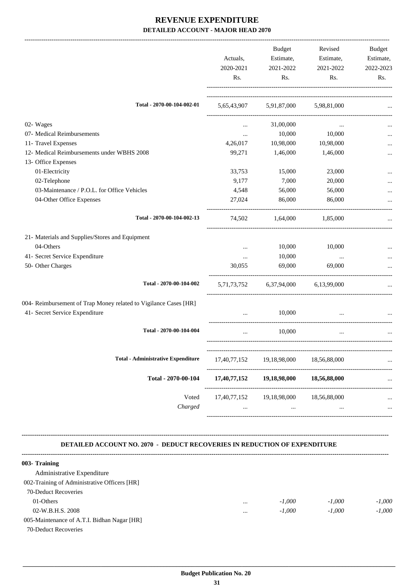|                                                                                                    | Actuals,<br>2020-2021<br>Rs. | <b>Budget</b><br>Estimate,<br>2021-2022<br>Rs. | Revised<br>Estimate,<br>2021-2022<br>Rs. | Budget<br>Estimate,<br>2022-2023<br>Rs. |
|----------------------------------------------------------------------------------------------------|------------------------------|------------------------------------------------|------------------------------------------|-----------------------------------------|
| Total - 2070-00-104-002-01                                                                         |                              | 5,65,43,907 5,91,87,000 5,98,81,000            |                                          |                                         |
|                                                                                                    |                              |                                                |                                          |                                         |
| 02- Wages                                                                                          | $\cdots$                     | 31,00,000                                      | $\cdots$                                 |                                         |
| 07- Medical Reimbursements                                                                         | $\cdots$                     | 10,000                                         | 10,000                                   |                                         |
| 11- Travel Expenses                                                                                | 4,26,017                     | 10,98,000                                      | 10,98,000                                |                                         |
| 12- Medical Reimbursements under WBHS 2008                                                         | 99,271                       | 1,46,000                                       | 1,46,000                                 |                                         |
| 13- Office Expenses                                                                                |                              |                                                |                                          |                                         |
| 01-Electricity                                                                                     | 33,753                       | 15,000                                         | 23,000                                   |                                         |
| 02-Telephone                                                                                       | 9,177                        | 7,000                                          | 20,000                                   |                                         |
| 03-Maintenance / P.O.L. for Office Vehicles                                                        | 4,548                        | 56,000                                         | 56,000                                   |                                         |
| 04-Other Office Expenses                                                                           | 27,024                       | 86,000                                         | 86,000                                   |                                         |
| Total - 2070-00-104-002-13                                                                         | 74,502                       | 1,64,000                                       | 1,85,000                                 |                                         |
| 21- Materials and Supplies/Stores and Equipment                                                    |                              |                                                |                                          |                                         |
| 04-Others                                                                                          | $\cdots$                     | 10,000                                         | 10,000                                   |                                         |
| 41- Secret Service Expenditure                                                                     | $\cdots$                     | 10,000                                         | $\cdots$                                 |                                         |
| 50- Other Charges                                                                                  | 30,055                       | 69,000                                         | 69,000                                   |                                         |
| Total - 2070-00-104-002                                                                            |                              | 5,71,73,752 6,37,94,000 6,13,99,000            |                                          |                                         |
|                                                                                                    |                              |                                                |                                          |                                         |
| 004- Reimbursement of Trap Money related to Vigilance Cases [HR]<br>41- Secret Service Expenditure | $\cdots$                     | 10,000                                         | $\ddotsc$                                |                                         |
| Total - 2070-00-104-004                                                                            |                              | 10,000                                         |                                          |                                         |
| <b>Total - Administrative Expenditure</b>                                                          |                              |                                                |                                          |                                         |
|                                                                                                    | 17,40,77,152                 | 19,18,98,000                                   | 18,56,88,000                             |                                         |
| Total - 2070-00-104                                                                                | 17,40,77,152                 | 19,18,98,000                                   | 18,56,88,000                             |                                         |
| Voted                                                                                              |                              | 17,40,77,152 19,18,98,000                      | 18,56,88,000                             |                                         |
| Charged                                                                                            | $\cdots$                     | $\cdots$                                       |                                          |                                         |

#### **DETAILED ACCOUNT NO. 2070 - DEDUCT RECOVERIES IN REDUCTION OF EXPENDITURE**

| 003- Training                                |          |          |          |          |
|----------------------------------------------|----------|----------|----------|----------|
| Administrative Expenditure                   |          |          |          |          |
| 002-Training of Administrative Officers [HR] |          |          |          |          |
| 70-Deduct Recoveries                         |          |          |          |          |
| 01-Others                                    | $\cdots$ | $-1.000$ | $-1.000$ | $-1.000$ |
| 02-W.B.H.S. 2008                             |          | $-1.000$ | $-1,000$ | $-1.000$ |
| 005-Maintenance of A.T.I. Bidhan Nagar [HR]  |          |          |          |          |
| 70-Deduct Recoveries                         |          |          |          |          |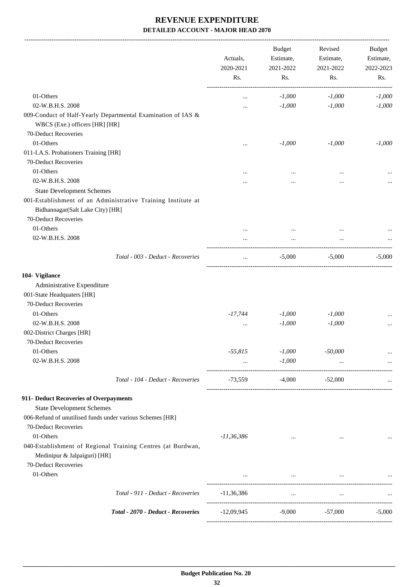|                                                                                                                          | Actuals,<br>2020-2021<br>Rs. | <b>Budget</b><br>Estimate,<br>2021-2022<br>Rs. | Revised<br>Estimate,<br>2021-2022<br>Rs. | Budget<br>Estimate,<br>2022-2023<br>Rs. |
|--------------------------------------------------------------------------------------------------------------------------|------------------------------|------------------------------------------------|------------------------------------------|-----------------------------------------|
| 01-Others                                                                                                                | $\ddotsc$                    | $-1,000$                                       | $-1,000$                                 | $-1,000$                                |
| 02-W.B.H.S. 2008                                                                                                         |                              | $-1,000$                                       | $-1,000$                                 | $-1,000$                                |
| 009-Conduct of Half-Yearly Departmental Examination of IAS &<br>WBCS (Exe.) officers [HR] [HR]                           |                              |                                                |                                          |                                         |
| 70-Deduct Recoveries                                                                                                     |                              |                                                |                                          |                                         |
| 01-Others                                                                                                                |                              | $-1,000$                                       | $-1,000$                                 | $-1,000$                                |
| 011-I.A.S. Probationers Training [HR]                                                                                    |                              |                                                |                                          |                                         |
| 70-Deduct Recoveries                                                                                                     |                              |                                                |                                          |                                         |
| 01-Others                                                                                                                |                              |                                                |                                          |                                         |
| 02-W.B.H.S. 2008                                                                                                         |                              |                                                |                                          |                                         |
| <b>State Development Schemes</b>                                                                                         |                              |                                                |                                          |                                         |
| 001-Establishment of an Administrative Training Institute at<br>Bidhannagar(Salt Lake City) [HR]<br>70-Deduct Recoveries |                              |                                                |                                          |                                         |
| 01-Others                                                                                                                |                              |                                                |                                          |                                         |
| 02-W.B.H.S. 2008                                                                                                         |                              |                                                |                                          |                                         |
| Total - 003 - Deduct - Recoveries                                                                                        |                              | $-5,000$                                       | $-5,000$                                 | $-5,000$                                |
| 104- Vigilance<br>Administrative Expenditure<br>001-State Headquaters [HR]<br>70-Deduct Recoveries                       |                              |                                                |                                          |                                         |
| 01-Others                                                                                                                | $-17,744$                    | $-1,000$                                       | $-1,000$                                 |                                         |
| 02-W.B.H.S. 2008                                                                                                         | $\cdots$                     | $-1,000$                                       | $-1,000$                                 |                                         |
| 002-District Charges [HR]                                                                                                |                              |                                                |                                          |                                         |
| 70-Deduct Recoveries                                                                                                     |                              |                                                |                                          |                                         |
| 01-Others                                                                                                                | $-55,815$                    | $-1,000$                                       | $-50,000$                                | $\cdots$                                |
| 02-W.B.H.S. 2008                                                                                                         | $\cdots$                     | $-1,000$                                       | $\cdots$                                 | $\cdots$                                |
| Total - 104 - Deduct - Recoveries                                                                                        | -73,559                      | $-4,000$                                       | $-52,000$                                |                                         |
| 911- Deduct Recoveries of Overpayments<br><b>State Development Schemes</b>                                               |                              |                                                |                                          |                                         |
| 006-Refund of unutilised funds under various Schemes [HR]<br>70-Deduct Recoveries<br>01-Others                           | $-11,36,386$                 | $\cdots$                                       | $\cdots$                                 |                                         |
| 040-Establishment of Regional Training Centres (at Burdwan,<br>Medinipur & Jalpaiguri) [HR]                              |                              |                                                |                                          |                                         |
| 70-Deduct Recoveries<br>01-Others                                                                                        | $\cdots$                     | $\cdots$                                       | $\cdots$                                 |                                         |
| Total - 911 - Deduct - Recoveries                                                                                        |                              |                                                |                                          |                                         |
|                                                                                                                          | $-11,36,386$                 | $\cdots$                                       | $\ldots$                                 |                                         |
| Total - 2070 - Deduct - Recoveries                                                                                       | -12,09,945                   | $-9,000$                                       | $-57,000$                                | $-5,000$                                |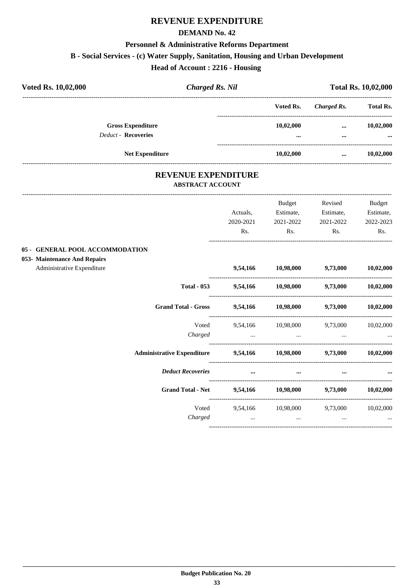#### **DEMAND No. 42**

#### **Personnel & Administrative Reforms Department**

#### **B - Social Services - (c) Water Supply, Sanitation, Housing and Urban Development**

**Head of Account : 2216 - Housing** 

| Voted Rs. 10,02,000                                             | <b>Charged Rs. Nil</b>                         |           |                             | <b>Total Rs. 10,02,000</b>            |                  |
|-----------------------------------------------------------------|------------------------------------------------|-----------|-----------------------------|---------------------------------------|------------------|
|                                                                 |                                                |           | Voted Rs.                   | <b>Charged Rs.</b>                    | <b>Total Rs.</b> |
| <b>Gross Expenditure</b>                                        |                                                |           | 10,02,000                   | $\cdots$                              | 10,02,000        |
| <b>Deduct - Recoveries</b>                                      |                                                |           |                             |                                       |                  |
|                                                                 | <b>Net Expenditure</b>                         |           | 10,02,000                   |                                       | 10,02,000        |
|                                                                 | REVENUE EXPENDITURE<br><b>ABSTRACT ACCOUNT</b> |           |                             |                                       |                  |
|                                                                 |                                                |           | Budget                      | Revised                               | <b>Budget</b>    |
|                                                                 |                                                | Actuals.  | Estimate,                   | Estimate,                             | Estimate,        |
|                                                                 |                                                | 2020-2021 | 2021-2022                   | 2021-2022                             | 2022-2023        |
|                                                                 |                                                | Rs.       | Rs.                         | Rs.                                   | Rs.              |
| 05 - GENERAL POOL ACCOMMODATION<br>053- Maintenance And Repairs |                                                |           |                             |                                       |                  |
| Administrative Expenditure                                      |                                                |           | 9,54,166 10,98,000 9,73,000 |                                       | 10,02,000        |
|                                                                 | <b>Total - 053</b>                             |           |                             | 9,54,166 10,98,000 9,73,000 10,02,000 |                  |
|                                                                 | <b>Grand Total - Gross</b>                     |           |                             | 9,54,166 10,98,000 9,73,000           | 10,02,000        |
|                                                                 | Voted                                          | 9.54.166  | 10.98.000                   | 9.73.000                              | 10.02.000        |

*Charged ... ... ... ...*

**Administrative Expenditure 9,54,166 10,98,000 9,73,000 10,02,000**

*Deduct Recoveries* **... ... ... ...**

**Grand Total - Net 9,54,166 10,98,000 9,73,000 10,02,000**

----------------------------------------------------------------------------------------

----------------------------------------------------------------------------------------

----------------------------------------------------------------------------------------

----------------------------------------------------------------------------------------

Voted 9,54,166 10,98,000 9,73,000 10,02,000 *Charged ... ... ... ...*

----------------------------------------------------------------------------------------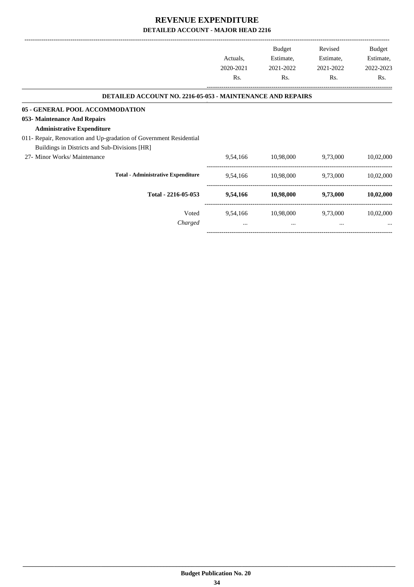|                                                                    |           | <b>Budget</b> | Revised   | Budget    |
|--------------------------------------------------------------------|-----------|---------------|-----------|-----------|
|                                                                    | Actuals,  | Estimate,     | Estimate, | Estimate, |
|                                                                    | 2020-2021 | 2021-2022     | 2021-2022 | 2022-2023 |
|                                                                    | Rs.       | Rs.           | Rs.       | Rs.       |
| DETAILED ACCOUNT NO. 2216-05-053 - MAINTENANCE AND REPAIRS         |           |               |           |           |
| 05 - GENERAL POOL ACCOMMODATION                                    |           |               |           |           |
| 053- Maintenance And Repairs                                       |           |               |           |           |
| <b>Administrative Expenditure</b>                                  |           |               |           |           |
| 011- Repair, Renovation and Up-gradation of Government Residential |           |               |           |           |
| Buildings in Districts and Sub-Divisions [HR]                      |           |               |           |           |
| 27- Minor Works/ Maintenance                                       | 9,54,166  | 10,98,000     | 9,73,000  | 10,02,000 |
| <b>Total - Administrative Expenditure</b>                          | 9,54,166  | 10,98,000     | 9,73,000  | 10,02,000 |
| Total - 2216-05-053                                                | 9,54,166  | 10,98,000     | 9,73,000  | 10,02,000 |
| Voted                                                              | 9,54,166  | 10,98,000     | 9,73,000  | 10,02,000 |
| Charged                                                            | $\cdots$  | $\cdots$      | $\cdots$  | $\cdots$  |

-----------------------------------------------------------------------------------------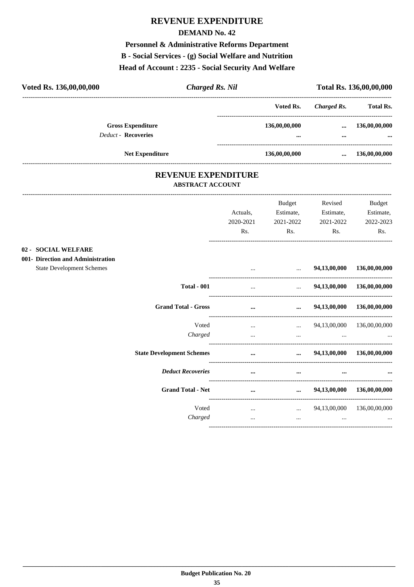#### **DEMAND No. 42**

# Personnel & Administrative Reforms Department

#### B - Social Services - (g) Social Welfare and Nutrition

#### Head of Account: 2235 - Social Security And Welfare

| Voted Rs. 136,00,00,000           | <b>Charged Rs. Nil</b>  |                            |               |                                                 | Total Rs. 136,00,00,000 |
|-----------------------------------|-------------------------|----------------------------|---------------|-------------------------------------------------|-------------------------|
|                                   |                         |                            | Voted Rs.     | <b>Charged Rs.</b>                              | <b>Total Rs.</b>        |
| <b>Gross Expenditure</b>          |                         |                            | 136,00,00,000 | $\cdots$                                        | 136,00,00,000           |
| <b>Deduct - Recoveries</b>        |                         |                            |               |                                                 |                         |
| <b>Net Expenditure</b>            |                         |                            | 136,00,00,000 | $\cdots$<br>----------------------------------- | 136,00,00,000           |
|                                   |                         | <b>REVENUE EXPENDITURE</b> |               |                                                 |                         |
|                                   | <b>ABSTRACT ACCOUNT</b> |                            |               |                                                 |                         |
|                                   |                         |                            | Budget        | Revised                                         | Budget                  |
|                                   |                         | Actuals,                   | Estimate,     | Estimate,                                       | Estimate,               |
|                                   |                         | 2020-2021                  | 2021-2022     | 2021-2022                                       | 2022-2023               |
|                                   |                         | Rs.                        | Rs.           | R <sub>s</sub> .                                | Rs.                     |
| 02 - SOCIAL WELFARE               |                         |                            |               |                                                 |                         |
| 001- Direction and Administration |                         |                            |               |                                                 |                         |
| <b>State Development Schemes</b>  |                         |                            | $\mathbf{r}$  | 94,13,00,000                                    | 136,00,00,000           |
|                                   | <b>Total - 001</b>      | $\cdots$                   | $\mathbf{r}$  | 94,13,00,000                                    | 136,00,00,000           |
| <b>Grand Total - Gross</b>        |                         | $\cdots$                   | $\cdots$      | 94,13,00,000                                    | 136,00,00,000           |
|                                   | Voted                   | $\cdots$                   | $\cdots$      | 94,13,00,000                                    | 136,00,00,000           |
|                                   | Charged                 | $\cdots$                   | $\cdots$      |                                                 |                         |
| <b>State Development Schemes</b>  |                         | $\cdots$                   | $\cdots$      | 94,13,00,000                                    | 136,00,00,000           |

**Deduct Recoveries** 

**Grand Total - Net** 

Voted

Charged

 $\dddot{\phantom{0}}$ 

 $\ldots$ 

 $\Delta \omega_{\rm{eff}}$ 

 $\cdots$ 

...  $94,13,00,000$   $136,00,00,000$ 

 $\sim$   $\sim$ 

94,13,00,000 136,00,00,000

 $\dddotsc$ 

 $\ldots$ 

 $\dddotsc$ 

 $\cdots$ 

 $\ldots$ 

 $\ldots$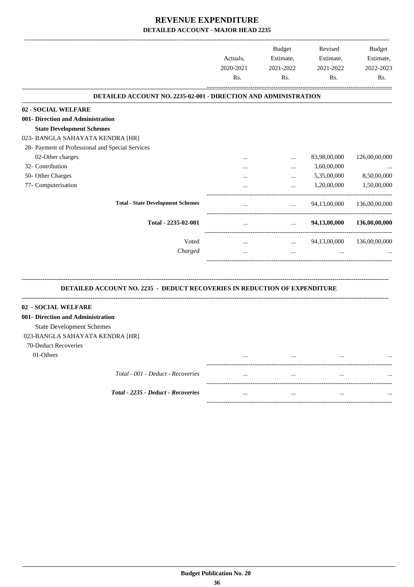|                                                                                  |           | <b>Budget</b>                                                       | Revised      | <b>Budget</b> |
|----------------------------------------------------------------------------------|-----------|---------------------------------------------------------------------|--------------|---------------|
|                                                                                  | Actuals,  | Estimate,                                                           | Estimate,    | Estimate,     |
|                                                                                  | 2020-2021 | 2021-2022                                                           | 2021-2022    | 2022-2023     |
|                                                                                  | Rs.       | Rs.                                                                 | Rs.          | Rs.           |
| <b>DETAILED ACCOUNT NO. 2235-02-001 - DIRECTION AND ADMINISTRATION</b>           |           |                                                                     |              |               |
| 02 - SOCIAL WELFARE                                                              |           |                                                                     |              |               |
| 001- Direction and Administration                                                |           |                                                                     |              |               |
| <b>State Development Schemes</b>                                                 |           |                                                                     |              |               |
| 023- BANGLA SAHAYATA KENDRA [HR]                                                 |           |                                                                     |              |               |
| 28- Payment of Professional and Special Services                                 |           |                                                                     |              |               |
| 02-Other charges                                                                 |           | $\cdots$                                                            | 83,98,00,000 | 126,00,00,000 |
| 32- Contribution                                                                 |           | $\cdots$                                                            | 3,60,00,000  |               |
| 50- Other Charges                                                                |           | $\cdots$                                                            | 5,35,00,000  | 8,50,00,000   |
| 77- Computerisation                                                              |           |                                                                     | 1,20,00,000  | 1,50,00,000   |
| <b>Total - State Development Schemes</b>                                         | $\cdots$  | $\cdots$                                                            | 94,13,00,000 | 136,00,00,000 |
| Total - 2235-02-001                                                              | $\cdots$  | <b>Sales Control</b>                                                | 94,13,00,000 | 136,00,00,000 |
| Voted                                                                            | $\cdots$  | --------------------------------<br>$\mathbf{r}$ , and $\mathbf{r}$ | 94,13,00,000 | 136,00,00,000 |
| Charged                                                                          |           | $\cdots$                                                            |              |               |
| <b>DETAILED ACCOUNT NO. 2235 - DEDUCT RECOVERIES IN REDUCTION OF EXPENDITURE</b> |           |                                                                     |              |               |
| 02 - SOCIAL WELFARE                                                              |           |                                                                     |              |               |
| 001- Direction and Administration                                                |           |                                                                     |              |               |
| <b>State Development Schemes</b>                                                 |           |                                                                     |              |               |
| 023-BANGLA SAHAYATA KENDRA [HR]                                                  |           |                                                                     |              |               |
| 70-Deduct Recoveries                                                             |           |                                                                     |              |               |
| 01-Others                                                                        |           |                                                                     |              |               |
|                                                                                  |           |                                                                     |              |               |
| Total - 001 - Deduct - Recoveries                                                |           |                                                                     |              |               |
| Total - 2235 - Deduct - Recoveries                                               | $\cdots$  |                                                                     | $\ddotsc$    |               |
|                                                                                  |           |                                                                     |              |               |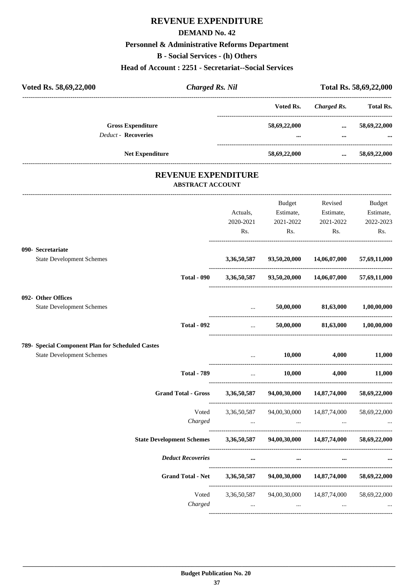#### **DEMAND No. 42**

# **Personnel & Administrative Reforms Department**

**B - Social Services - (h) Others**

## **Head of Account : 2251 - Secretariat--Social Services**

|                                  | Voted Rs. 58,69,22,000                                | <b>Charged Rs. Nil</b> |                                                                                                                                   |                                 | Total Rs. 58,69,22,000 |
|----------------------------------|-------------------------------------------------------|------------------------|-----------------------------------------------------------------------------------------------------------------------------------|---------------------------------|------------------------|
|                                  |                                                       |                        | Voted Rs.                                                                                                                         |                                 | Charged Rs. Total Rs.  |
|                                  | <b>Gross Expenditure</b>                              |                        | 58,69,22,000                                                                                                                      |                                 | $\ldots$ 58,69,22,000  |
|                                  | <b>Deduct - Recoveries</b>                            |                        |                                                                                                                                   |                                 |                        |
|                                  | Net Expenditure                                       |                        | 58,69,22,000                                                                                                                      |                                 | $\ldots$ 58,69,22,000  |
|                                  | <b>REVENUE EXPENDITURE</b><br><b>ABSTRACT ACCOUNT</b> |                        |                                                                                                                                   |                                 |                        |
|                                  |                                                       |                        | Budget                                                                                                                            | Revised                         | Budget                 |
|                                  |                                                       | Actuals,               |                                                                                                                                   | Estimate, Estimate,             | Estimate,              |
|                                  |                                                       | 2020-2021              | 2021-2022                                                                                                                         | 2021-2022                       | 2022-2023              |
|                                  |                                                       | Rs.                    | Rs.                                                                                                                               | Rs.                             | Rs.                    |
| 090- Secretariate                |                                                       |                        |                                                                                                                                   |                                 |                        |
| <b>State Development Schemes</b> |                                                       |                        | 3,36,50,587 93,50,20,000 14,06,07,000 57,69,11,000                                                                                |                                 |                        |
|                                  | <b>Total - 090</b>                                    |                        | 3,36,50,587 93,50,20,000 14,06,07,000 57,69,11,000                                                                                |                                 |                        |
| 092- Other Offices               |                                                       |                        |                                                                                                                                   |                                 |                        |
| <b>State Development Schemes</b> |                                                       |                        | 50,00,000<br>$\mathbf{r}$                                                                                                         | 81,63,000                       | $1,\!00,\!00,\!000$    |
|                                  | <b>Total - 092</b>                                    |                        | $\mathbf{1}_{\mathbf{1}_{\mathbf{2}}\mathbf{1}_{\mathbf{3}}\mathbf{2}_{\mathbf{4}}\mathbf{3}_{\mathbf{5}}\mathbf{4}_{\mathbf{6}}$ | 50,00,000 81,63,000 1,00,00,000 |                        |
|                                  | 789- Special Component Plan for Scheduled Castes      |                        |                                                                                                                                   |                                 |                        |
| <b>State Development Schemes</b> |                                                       | $\cdots$               | 10,000                                                                                                                            | 4,000                           | 11,000                 |
|                                  | <b>Total - 789</b>                                    | $\cdots$               | 10,000                                                                                                                            | 4,000                           | 11,000                 |
|                                  | <b>Grand Total - Gross</b>                            | 3,36,50,587            | 94,00,30,000                                                                                                                      | 14,87,74,000                    | 58,69,22,000           |
|                                  | Voted<br>Charged                                      | 3,36,50,587            | 94,00,30,000<br>the contract of the contract of the contract of the contract of the contract of                                   | 14,87,74,000<br>$\ldots$        | 58,69,22,000           |
|                                  | <b>State Development Schemes</b>                      | 3,36,50,587            |                                                                                                                                   | 94,00,30,000 14,87,74,000       | 58,69,22,000           |
|                                  | <b>Deduct Recoveries</b>                              | $\cdots$               | $\cdots$                                                                                                                          | $\cdots$                        |                        |
|                                  | <b>Grand Total - Net</b>                              | 3,36,50,587            |                                                                                                                                   | 94,00,30,000 14,87,74,000       | 58,69,22,000           |
|                                  | Voted<br>Charged                                      | $\cdots$               | 3,36,50,587 94,00,30,000 14,87,74,000<br>$\sim 100$ km s $^{-1}$                                                                  | $\cdots$                        | 58,69,22,000           |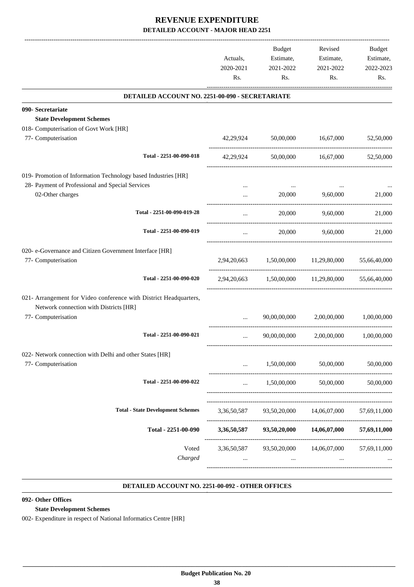|                                                                                                             | Actuals,<br>2020-2021   | <b>Budget</b><br>Estimate,<br>2021-2022 | Revised<br>Estimate,<br>2021-2022                 | Budget<br>Estimate,<br>2022-2023 |
|-------------------------------------------------------------------------------------------------------------|-------------------------|-----------------------------------------|---------------------------------------------------|----------------------------------|
|                                                                                                             | Rs.                     | Rs.                                     | Rs.                                               | Rs.                              |
| DETAILED ACCOUNT NO. 2251-00-090 - SECRETARIATE                                                             |                         |                                         |                                                   |                                  |
| 090- Secretariate                                                                                           |                         |                                         |                                                   |                                  |
| <b>State Development Schemes</b>                                                                            |                         |                                         |                                                   |                                  |
| 018- Computerisation of Govt Work [HR]                                                                      |                         |                                         |                                                   |                                  |
| 77- Computerisation                                                                                         |                         | 42,29,924 50,00,000                     | 16,67,000                                         | 52,50,000                        |
| Total - 2251-00-090-018                                                                                     | 42,29,924               |                                         | 50,00,000 16,67,000                               | 52,50,000                        |
| 019- Promotion of Information Technology based Industries [HR]                                              |                         |                                         |                                                   |                                  |
| 28- Payment of Professional and Special Services                                                            |                         |                                         |                                                   |                                  |
| 02-Other charges                                                                                            | $\cdots$                | 20,000                                  | 9,60,000                                          | 21,000                           |
| Total - 2251-00-090-019-28                                                                                  | $\cdots$                | 20,000                                  | 9,60,000                                          | 21,000                           |
| Total - 2251-00-090-019                                                                                     | $\cdots$                | 20,000                                  | 9.60.000                                          | 21,000                           |
| 020- e-Governance and Citizen Government Interface [HR]                                                     |                         |                                         |                                                   |                                  |
| 77- Computerisation                                                                                         |                         |                                         | 2,94,20,663 1,50,00,000 11,29,80,000 55,66,40,000 |                                  |
| Total - 2251-00-090-020                                                                                     |                         |                                         | 2,94,20,663 1,50,00,000 11,29,80,000              | 55,66,40,000                     |
| 021- Arrangement for Video conference with District Headquarters,<br>Network connection with Districts [HR] |                         |                                         |                                                   |                                  |
| 77- Computerisation                                                                                         |                         | 90,00,00,000                            | 2,00,00,000                                       | 1.00.00.000                      |
| Total - 2251-00-090-021                                                                                     |                         |                                         | 90,00,00,000 2,00,00,000 1,00,00,000              |                                  |
| 022- Network connection with Delhi and other States [HR]<br>77- Computerisation                             |                         | 1,50,00,000                             | 50,00,000                                         | 50,00,000                        |
| Total - 2251-00-090-022                                                                                     |                         | 1,50,00,000                             | 50,00,000                                         | 50,00,000                        |
| <b>Total - State Development Schemes</b>                                                                    | 3,36,50,587             |                                         |                                                   |                                  |
|                                                                                                             |                         | 93,50,20,000                            | 14,06,07,000                                      | 57,69,11,000                     |
| Total - 2251-00-090                                                                                         | 3,36,50,587             | 93,50,20,000                            | 14,06,07,000                                      | 57,69,11,000                     |
| Voted<br>Charged                                                                                            | 3,36,50,587<br>$\cdots$ | 93,50,20,000<br>$\cdots$                | 14,06,07,000<br>$\cdots$                          | 57,69,11,000                     |
|                                                                                                             |                         |                                         |                                                   |                                  |

#### **DETAILED ACCOUNT NO. 2251-00-092 - OTHER OFFICES .**

.

#### **092- Other Offices**

#### **State Development Schemes**

002- Expenditure in respect of National Informatics Centre [HR]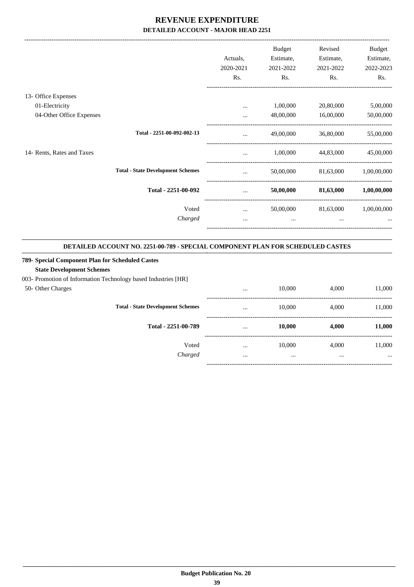|                            |                                          | Actuals,<br>2020-2021 | <b>Budget</b><br>Estimate,<br>2021-2022 | Revised<br>Estimate,<br>2021-2022 | Budget<br>Estimate,<br>2022-2023 |
|----------------------------|------------------------------------------|-----------------------|-----------------------------------------|-----------------------------------|----------------------------------|
|                            |                                          | Rs.                   | Rs.                                     | Rs.                               | Rs.                              |
| 13- Office Expenses        |                                          |                       |                                         |                                   |                                  |
| 01-Electricity             |                                          | $\cdots$              | 1,00,000                                | 20,80,000                         | 5,00,000                         |
| 04-Other Office Expenses   |                                          | $\cdots$              | 48,00,000                               | 16,00,000                         | 50,00,000                        |
|                            | Total - 2251-00-092-002-13               | $\cdots$              | 49,00,000                               | 36,80,000                         | 55,00,000                        |
| 14- Rents, Rates and Taxes |                                          | $\cdots$              | 1,00,000                                | 44,83,000                         | 45,00,000                        |
|                            | <b>Total - State Development Schemes</b> | $\cdots$              | 50,00,000                               | 81,63,000                         | 1,00,00,000                      |
|                            | Total - 2251-00-092                      | $\cdots$              | 50,00,000                               | 81,63,000                         | 1,00,00,000                      |
|                            | Voted                                    | $\cdots$              | 50,00,000                               | 81,63,000                         | 1,00,00,000                      |
|                            | Charged                                  | $\cdots$              | $\cdots$                                | $\cdots$                          |                                  |
|                            |                                          |                       |                                         |                                   |                                  |

#### **DETAILED ACCOUNT NO. 2251-00-789 - SPECIAL COMPONENT PLAN FOR SCHEDULED CASTES .**

#### **789- Special Component Plan for Scheduled Castes**

#### **State Development Schemes**

003- Promotion of Information Technology based Industries [HR]

#### 50- Other Charges

|                                          | $\cdots$ | 10,000 | 4,000 | 11,000   |
|------------------------------------------|----------|--------|-------|----------|
| <b>Total - State Development Schemes</b> | $\cdots$ | 10,000 | 4,000 | 11,000   |
| Total - 2251-00-789                      | $\cdots$ | 10,000 | 4,000 | 11,000   |
| Voted                                    | $\cdots$ | 10,000 | 4,000 | 11,000   |
| Charged                                  |          |        |       | $\cdots$ |
|                                          |          |        |       |          |

.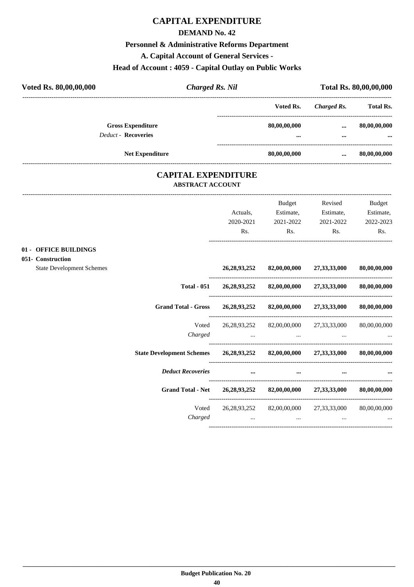## **CAPITAL EXPENDITURE**

#### **DEMAND No. 42**

#### **Personnel & Administrative Reforms Department**

**A. Capital Account of General Services -**

#### **Head of Account : 4059 - Capital Outlay on Public Works**

| Voted Rs. 80,00,00,000                     |                                                       | <b>Charged Rs. Nil</b> |                                                                                                     | Total Rs. 80,00,00,000 |                       |
|--------------------------------------------|-------------------------------------------------------|------------------------|-----------------------------------------------------------------------------------------------------|------------------------|-----------------------|
|                                            |                                                       |                        | Voted Rs.                                                                                           |                        | Charged Rs. Total Rs. |
|                                            | <b>Gross Expenditure</b>                              |                        | 80,00,00,000                                                                                        | $\cdots$               | 80,00,00,000          |
| <b>Deduct - Recoveries</b>                 |                                                       |                        |                                                                                                     | $\cdots$               |                       |
| <b>Net Expenditure</b>                     |                                                       | 80,00,00,000           |                                                                                                     |                        | $\dots$ 80,00,00,000  |
|                                            | <b>CAPITAL EXPENDITURE</b><br><b>ABSTRACT ACCOUNT</b> |                        |                                                                                                     |                        |                       |
|                                            |                                                       |                        | Budget                                                                                              | Revised                | <b>Budget</b>         |
|                                            |                                                       | Actuals,               |                                                                                                     | Estimate, Estimate,    | Estimate,             |
|                                            |                                                       | 2020-2021              | 2021-2022                                                                                           | 2021-2022              | 2022-2023             |
|                                            |                                                       | Rs.                    | Rs.                                                                                                 | Rs.                    | Rs.                   |
| 01 - OFFICE BUILDINGS<br>051- Construction |                                                       |                        |                                                                                                     |                        |                       |
| <b>State Development Schemes</b>           |                                                       |                        | 26,28,93,252 82,00,00,000 27,33,33,000 80,00,00,000                                                 |                        |                       |
|                                            | <b>Total - 051</b>                                    |                        | 26,28,93,252 82,00,00,000 27,33,33,000                                                              |                        | 80,00,00,000          |
|                                            | <b>Grand Total - Gross</b>                            |                        | 26,28,93,252 82,00,00,000 27,33,33,000                                                              |                        | 80,00,00,000          |
|                                            | Voted                                                 |                        | 26,28,93,252 82,00,00,000 27,33,33,000 80,00,00,000                                                 |                        |                       |
|                                            | Charged                                               | $\cdots$               | the contract of the contract of the contract of the contract of the contract of the contract of the | $\cdots$               |                       |
|                                            |                                                       |                        |                                                                                                     |                        |                       |

**State Development Schemes 26,28,93,252 82,00,00,000 27,33,33,000 80,00,00,000**

*Deduct Recoveries* **... ... ... ...**

**Grand Total - Net 26,28,93,252 82,00,00,000 27,33,33,000 80,00,00,000**

----------------------------------------------------------------------------------------

----------------------------------------------------------------------------------------

---------------------------------------------------------------------------------------- Voted 26,28,93,252 82,00,00,000 27,33,33,000 80,00,00,000 *Charged ... ... ... ...*

----------------------------------------------------------------------------------------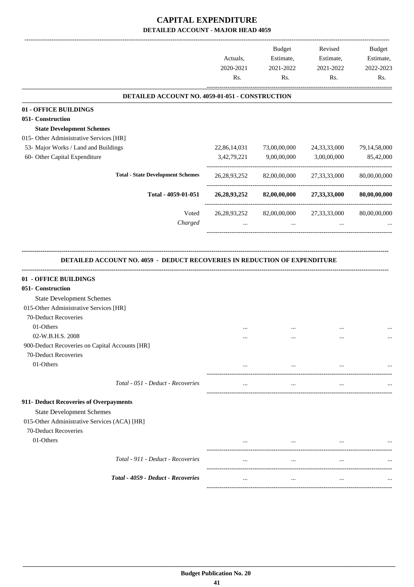# **CAPITAL EXPENDITURE DETAILED ACCOUNT - MAJOR HEAD 4059**

|                                                 | Actuals,<br>2020-2021<br>Rs. | <b>Budget</b><br>Estimate,<br>2021-2022<br>Rs. | Revised<br>Estimate,<br>2021-2022<br>Rs. | <b>Budget</b><br>Estimate,<br>2022-2023<br>Rs. |
|-------------------------------------------------|------------------------------|------------------------------------------------|------------------------------------------|------------------------------------------------|
| DETAILED ACCOUNT NO. 4059-01-051 - CONSTRUCTION |                              |                                                |                                          |                                                |
| 01 - OFFICE BUILDINGS                           |                              |                                                |                                          |                                                |
| 051- Construction                               |                              |                                                |                                          |                                                |
| <b>State Development Schemes</b>                |                              |                                                |                                          |                                                |
| 015- Other Administrative Services [HR]         |                              |                                                |                                          |                                                |
| 53- Major Works / Land and Buildings            | 22,86,14,031                 | 73,00,00,000                                   | 24, 33, 33, 000                          | 79,14,58,000                                   |
| 60- Other Capital Expenditure                   | 3,42,79,221                  | 9,00,00,000                                    | 3,00,00,000                              | 85,42,000                                      |
| <b>Total - State Development Schemes</b>        | 26, 28, 93, 252              | 82,00,00,000                                   | 27, 33, 33, 000                          | 80,00,00,000                                   |
| Total - 4059-01-051                             | 26, 28, 93, 252              | 82,00,00,000                                   | 27,33,33,000                             | 80,00,00,000                                   |
| Voted<br>Charged                                | 26, 28, 93, 252              | 82,00,00,000<br>$\cdots$                       | 27, 33, 33, 000<br>$\cdots$              | 80,00,00,000                                   |
| 01 - OFFICE BUILDINGS                           |                              |                                                |                                          |                                                |
| 051- Construction                               |                              |                                                |                                          |                                                |
| <b>State Development Schemes</b>                |                              |                                                |                                          |                                                |
| 015-Other Administrative Services [HR]          |                              |                                                |                                          |                                                |
| 70-Deduct Recoveries                            |                              |                                                |                                          |                                                |
| 01-Others                                       |                              |                                                |                                          |                                                |
| 02-W.B.H.S. 2008                                |                              |                                                |                                          |                                                |
| 900-Deduct Recoveries on Capital Accounts [HR]  |                              |                                                |                                          |                                                |
| 70-Deduct Recoveries                            |                              |                                                |                                          |                                                |
| 01-Others                                       |                              | $\cdots$                                       |                                          |                                                |
| Total - 051 - Deduct - Recoveries               | $\cdots$                     | $\cdots$                                       | $\cdots$                                 |                                                |
| 911- Deduct Recoveries of Overpayments          |                              |                                                |                                          |                                                |
| <b>State Development Schemes</b>                |                              |                                                |                                          |                                                |
| 015-Other Administrative Services (ACA) [HR]    |                              |                                                |                                          |                                                |
| 70-Deduct Recoveries                            |                              |                                                |                                          |                                                |
| 01-Others                                       |                              | $\cdots$                                       |                                          |                                                |
|                                                 |                              |                                                |                                          |                                                |
| Total - 911 - Deduct - Recoveries               | $\cdots$                     | $\cdots$                                       | $\cdots$                                 |                                                |
| Total - 4059 - Deduct - Recoveries              | $\cdots$                     | $\cdots$                                       | $\cdots$                                 |                                                |
|                                                 |                              |                                                |                                          |                                                |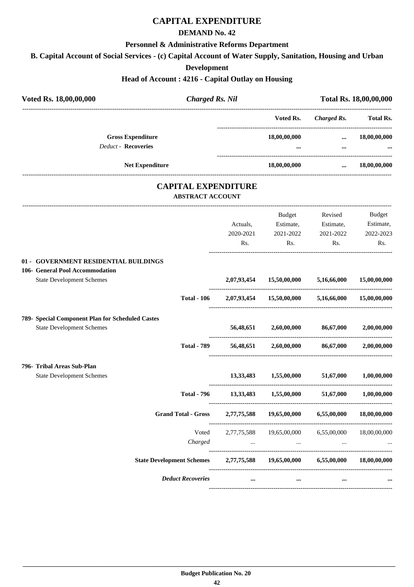# **CAPITAL EXPENDITURE**

## **DEMAND No. 42**

#### **Personnel & Administrative Reforms Department**

**B. Capital Account of Social Services - (c) Capital Account of Water Supply, Sanitation, Housing and Urban**

**Development**

# **Head of Account : 4216 - Capital Outlay on Housing**

| Voted Rs. 18,00,00,000                           | <b>Charged Rs. Nil</b>                                |             |                                                   | Total Rs. 18,00,00,000                        |                            |
|--------------------------------------------------|-------------------------------------------------------|-------------|---------------------------------------------------|-----------------------------------------------|----------------------------|
|                                                  |                                                       |             | Voted Rs.                                         | -----------------------<br><b>Charged Rs.</b> | <b>Total Rs.</b>           |
| <b>Gross Expenditure</b>                         |                                                       |             | 18,00,00,000                                      | $\cdots$                                      | 18,00,00,000               |
| <b>Deduct - Recoveries</b>                       |                                                       |             |                                                   | $\cdots$                                      |                            |
| <b>Net Expenditure</b>                           |                                                       |             | 18,00,00,000                                      | $\cdots$                                      | 18,00,00,000               |
|                                                  | <b>CAPITAL EXPENDITURE</b><br><b>ABSTRACT ACCOUNT</b> |             |                                                   |                                               |                            |
|                                                  |                                                       |             |                                                   |                                               |                            |
|                                                  |                                                       | Actuals,    | Budget<br>Estimate,                               | Revised<br>Estimate,                          | <b>Budget</b><br>Estimate, |
|                                                  |                                                       | 2020-2021   | 2021-2022                                         | 2021-2022                                     | 2022-2023                  |
|                                                  |                                                       | Rs.         | Rs.                                               | Rs.                                           | Rs.                        |
| 01 - GOVERNMENT RESIDENTIAL BUILDINGS            |                                                       |             |                                                   |                                               |                            |
| 106- General Pool Accommodation                  |                                                       |             |                                                   |                                               |                            |
| <b>State Development Schemes</b>                 |                                                       | 2,07,93,454 | 15,50,00,000                                      | 5,16,66,000                                   | 15,00,00,000               |
|                                                  | <b>Total - 106</b>                                    |             | 2,07,93,454 15,50,00,000 5,16,66,000 15,00,00,000 |                                               |                            |
| 789- Special Component Plan for Scheduled Castes |                                                       |             |                                                   |                                               |                            |
| <b>State Development Schemes</b>                 |                                                       |             | 56,48,651 2,60,00,000 86,67,000                   |                                               | 2,00,00,000                |
|                                                  | <b>Total - 789</b>                                    | 56,48,651   |                                                   | 2,60,00,000 86,67,000                         | 2,00,00,000                |
| 796- Tribal Areas Sub-Plan                       |                                                       |             |                                                   |                                               |                            |
| <b>State Development Schemes</b>                 |                                                       |             | 13,33,483 1,55,00,000 51,67,000                   |                                               | 1,00,00,000                |
|                                                  | <b>Total - 796</b>                                    |             | 13,33,483 1,55,00,000 51,67,000                   |                                               | 1,00,00,000                |
|                                                  | <b>Grand Total - Gross</b>                            | 2,77,75,588 | 19,65,00,000                                      | 6,55,00,000                                   | 18,00,00,000               |
|                                                  | Voted                                                 | 2,77,75,588 | 19,65,00,000                                      | 6,55,00,000                                   | 18,00,00,000               |
|                                                  | Charged                                               | $\cdots$    | $\cdots$                                          | $\cdots$                                      |                            |
|                                                  | <b>State Development Schemes</b>                      | 2,77,75,588 | 19,65,00,000                                      | 6,55,00,000                                   | 18,00,00,000               |
|                                                  | <b>Deduct Recoveries</b>                              | $\cdots$    |                                                   | $\cdots$                                      |                            |

----------------------------------------------------------------------------------------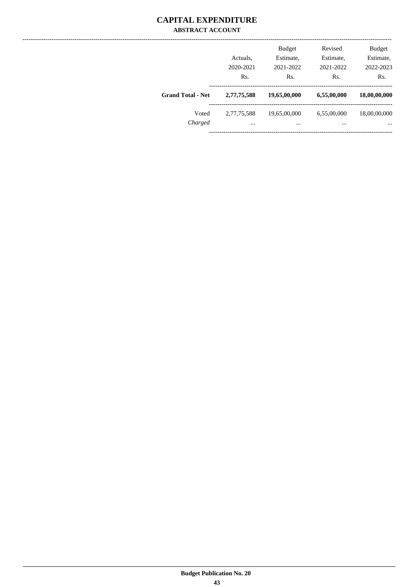## **CAPITAL EXPENDITURE ABSTRACT ACCOUNT**

|                          | Actuals,<br>2020-2021<br>Rs. | <b>Budget</b><br>Estimate,<br>2021-2022<br>Rs. | Revised<br>Estimate,<br>2021-2022<br>Rs. | <b>Budget</b><br>Estimate,<br>2022-2023<br>Rs. |
|--------------------------|------------------------------|------------------------------------------------|------------------------------------------|------------------------------------------------|
| <b>Grand Total - Net</b> | 2,77,75,588                  | 19,65,00,000                                   | 6,55,00,000                              | 18,00,00,000                                   |
| Voted<br>Charged         | 2,77,75,588<br>$\cdots$      | 19,65,00,000<br>                               | 6,55,00,000<br>                          | 18,00,00,000<br>$\cdots$                       |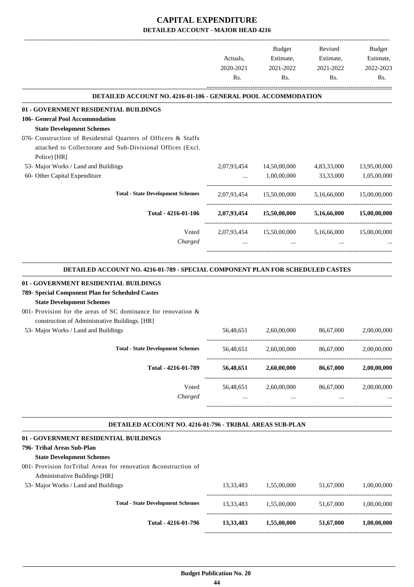# **CAPITAL EXPENDITURE DETAILED ACCOUNT - MAJOR HEAD 4216**

|                                                                                                 |             | Budget                               | Revised     | Budget       |
|-------------------------------------------------------------------------------------------------|-------------|--------------------------------------|-------------|--------------|
|                                                                                                 | Actuals,    | Estimate,                            | Estimate,   | Estimate,    |
|                                                                                                 | 2020-2021   | 2021-2022                            | 2021-2022   | 2022-2023    |
|                                                                                                 | Rs.         | Rs.                                  | Rs.         | Rs.          |
| <b>DETAILED ACCOUNT NO. 4216-01-106 - GENERAL POOL ACCOMMODATION</b>                            |             |                                      |             |              |
| 01 - GOVERNMENT RESIDENTIAL BUILDINGS                                                           |             |                                      |             |              |
| 106- General Pool Accommodation                                                                 |             |                                      |             |              |
| <b>State Development Schemes</b>                                                                |             |                                      |             |              |
| 076- Construction of Residential Quarters of Officers & Staffs                                  |             |                                      |             |              |
| attached to Collectorate and Sub-Divisional Offices (Excl.                                      |             |                                      |             |              |
| Police) [HR]                                                                                    |             |                                      |             |              |
| 53- Major Works / Land and Buildings                                                            | 2,07,93,454 | 14,50,00,000                         | 4,83,33,000 | 13,95,00,000 |
| 60- Other Capital Expenditure                                                                   |             | 1,00,00,000                          | 33,33,000   | 1,05,00,000  |
| <b>Total - State Development Schemes</b>                                                        |             | 2,07,93,454 15,50,00,000             | 5,16,66,000 | 15,00,00,000 |
| Total - 4216-01-106                                                                             |             | 2,07,93,454 15,50,00,000             | 5,16,66,000 | 15,00,00,000 |
|                                                                                                 |             |                                      |             |              |
| Voted<br>Charged                                                                                |             | 2,07,93,454 15,50,00,000 5,16,66,000 |             | 15,00,00,000 |
|                                                                                                 |             |                                      |             |              |
| DETAILED ACCOUNT NO. 4216-01-789 - SPECIAL COMPONENT PLAN FOR SCHEDULED CASTES                  |             |                                      |             |              |
|                                                                                                 |             |                                      |             |              |
| 01 - GOVERNMENT RESIDENTIAL BUILDINGS                                                           |             |                                      |             |              |
| 789- Special Component Plan for Scheduled Castes                                                |             |                                      |             |              |
| <b>State Development Schemes</b>                                                                |             |                                      |             |              |
| 001- Provision for the areas of SC dominance for renovation $\&$                                |             |                                      |             |              |
| construction of Administrative Buildings. [HR]                                                  |             |                                      |             |              |
| 53- Major Works / Land and Buildings                                                            | 56,48,651   | 2,60,00,000                          | 86,67,000   | 2,00,00,000  |
| <b>Total - State Development Schemes</b>                                                        | 56,48,651   | 2,60,00,000                          | 86,67,000   | 2,00,00,000  |
| Total - 4216-01-789                                                                             | 56,48,651   | 2,60,00,000                          | 86,67,000   | 2,00,00,000  |
| Voted                                                                                           | 56,48,651   | 2,60,00,000                          | 86,67,000   | 2,00,00,000  |
| Charged                                                                                         | $\cdots$    | $\mathbf{1}$ , $\mathbf{1}$          | $\cdots$    |              |
|                                                                                                 |             |                                      |             |              |
| DETAILED ACCOUNT NO. 4216-01-796 - TRIBAL AREAS SUB-PLAN                                        |             |                                      |             |              |
| 01 - GOVERNMENT RESIDENTIAL BUILDINGS                                                           |             |                                      |             |              |
| 796- Tribal Areas Sub-Plan                                                                      |             |                                      |             |              |
| <b>State Development Schemes</b>                                                                |             |                                      |             |              |
| 001- Provision forTribal Areas for renovation &construction of<br>Administrative Buildings [HR] |             |                                      |             |              |
| 53- Major Works / Land and Buildings                                                            | 13,33,483   | 1,55,00,000                          | 51,67,000   | 1,00,00,000  |
| <b>Total - State Development Schemes</b>                                                        |             |                                      |             |              |
|                                                                                                 | 13,33,483   | 1,55,00,000                          | 51,67,000   | 1,00,00,000  |
| Total - 4216-01-796                                                                             | 13,33,483   | 1,55,00,000                          | 51,67,000   | 1,00,00,000  |
|                                                                                                 |             |                                      |             |              |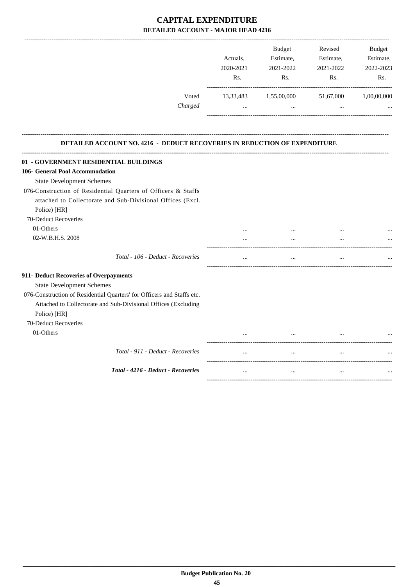# **CAPITAL EXPENDITURE DETAILED ACCOUNT - MAJOR HEAD 4216**

|                                                                                  |           | <b>Budget</b> | Revised   | <b>Budget</b> |
|----------------------------------------------------------------------------------|-----------|---------------|-----------|---------------|
|                                                                                  | Actuals,  | Estimate,     | Estimate, | Estimate,     |
|                                                                                  | 2020-2021 | 2021-2022     | 2021-2022 | 2022-2023     |
|                                                                                  | Rs.       | Rs.           | Rs.       | Rs.           |
| Voted                                                                            | 13,33,483 | 1,55,00,000   | 51,67,000 | 1,00,00,000   |
| Charged                                                                          | $\cdots$  | $\ddots$      | $\cdots$  |               |
| <b>DETAILED ACCOUNT NO. 4216 - DEDUCT RECOVERIES IN REDUCTION OF EXPENDITURE</b> |           |               |           |               |
| 01 - GOVERNMENT RESIDENTIAL BUILDINGS                                            |           |               |           |               |
| 106- General Pool Accommodation                                                  |           |               |           |               |
| <b>State Development Schemes</b>                                                 |           |               |           |               |
| 076-Construction of Residential Quarters of Officers & Staffs                    |           |               |           |               |
| attached to Collectorate and Sub-Divisional Offices (Excl.                       |           |               |           |               |
| Police) [HR]                                                                     |           |               |           |               |
| 70-Deduct Recoveries                                                             |           |               |           |               |
| 01-Others                                                                        | $\cdots$  |               |           |               |
| 02-W.B.H.S. 2008                                                                 | $\cdots$  | $\cdots$      |           |               |
| Total - 106 - Deduct - Recoveries                                                | $\ldots$  | $\cdots$      | $\cdots$  |               |
| 911- Deduct Recoveries of Overpayments                                           |           |               |           |               |
| <b>State Development Schemes</b>                                                 |           |               |           |               |
| 076-Construction of Residential Quarters' for Officers and Staffs etc.           |           |               |           |               |
| Attached to Collectorate and Sub-Divisional Offices (Excluding                   |           |               |           |               |
| Police) [HR]                                                                     |           |               |           |               |
| 70-Deduct Recoveries                                                             |           |               |           |               |
| 01-Others                                                                        | $\cdots$  | $\ddotsc$     |           |               |
| Total - 911 - Deduct - Recoveries                                                |           |               |           |               |
| Total - 4216 - Deduct - Recoveries                                               |           |               | $\ddotsc$ |               |
|                                                                                  |           |               |           |               |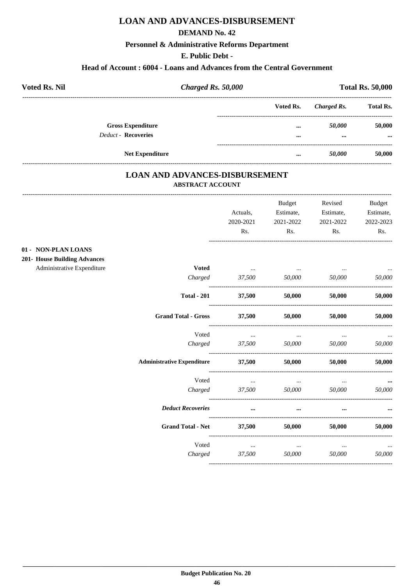# **LOAN AND ADVANCES-DISBURSEMENT**

#### **DEMAND No. 42**

#### Personnel & Administrative Reforms Department

#### E. Public Debt -

#### Head of Account: 6004 - Loans and Advances from the Central Government

| <b>Voted Rs. Nil</b>       | <b>Charged Rs. 50,000</b> |                         | <b>Total Rs. 50,000</b> |                  |  |
|----------------------------|---------------------------|-------------------------|-------------------------|------------------|--|
|                            |                           | Voted Rs.               | Charged Rs.             | <b>Total Rs.</b> |  |
| <b>Gross Expenditure</b>   |                           |                         | 50,000                  | 50,000           |  |
| <b>Deduct - Recoveries</b> |                           | $\bullet\bullet\bullet$ | $\cdots$                | $\cdots$         |  |
| <b>Net Expenditure</b>     |                           |                         | 50,000                  | 50,000           |  |

## **LOAN AND ADVANCES-DISBURSEMENT ABSTRACT ACCOUNT**

|                                     |                    | Actuals,<br>2020-2021<br>Rs. | <b>Budget</b><br>Estimate,<br>2021-2022<br>Rs.                                                      | Revised<br>Estimate,<br>2021-2022<br>Rs. | <b>Budget</b><br>Estimate,<br>2022-2023<br>Rs. |
|-------------------------------------|--------------------|------------------------------|-----------------------------------------------------------------------------------------------------|------------------------------------------|------------------------------------------------|
| 01 - NON-PLAN LOANS                 |                    |                              |                                                                                                     |                                          |                                                |
| <b>201- House Building Advances</b> |                    |                              |                                                                                                     |                                          |                                                |
| Administrative Expenditure          | <b>Voted</b>       |                              | the contract of the contract of the contract of the contract of the contract of the contract of the |                                          | $\cdots$                                       |
|                                     |                    |                              | Charged 37,500 50,000 50,000                                                                        |                                          | 50,000                                         |
|                                     | <b>Total - 201</b> | 37,500                       | 50,000                                                                                              | 50,000                                   | 50,000                                         |
| <b>Grand Total - Gross</b>          |                    | 37,500                       | 50,000                                                                                              | 50,000                                   | 50,000                                         |
|                                     | Voted              | $\cdots$                     | $\sim$ $\sim$                                                                                       | $\cdots$                                 |                                                |
|                                     |                    |                              | Charged 37,500 50,000 50,000                                                                        |                                          | 50,000                                         |
| <b>Administrative Expenditure</b>   |                    | 37,500                       | 50,000                                                                                              | 50,000                                   | 50,000                                         |
|                                     | Voted              | $\sim$ $\sim$                | <b>Contract Contract</b>                                                                            | $\cdots$                                 |                                                |
|                                     | Charged            | 37,500                       | 50,000                                                                                              | 50,000                                   | 50,000                                         |
| <b>Deduct Recoveries</b>            |                    | $\cdots$                     | $\cdots$                                                                                            |                                          |                                                |
| <b>Grand Total - Net</b>            |                    | 37,500                       | 50,000                                                                                              | 50,000                                   | 50,000                                         |
|                                     | Voted              | and the company of the       | $\sim 100$ and $\sim 100$                                                                           | $\cdots$                                 |                                                |
|                                     | Charged            | 37,500                       | 50,000                                                                                              | 50,000                                   | 50,000                                         |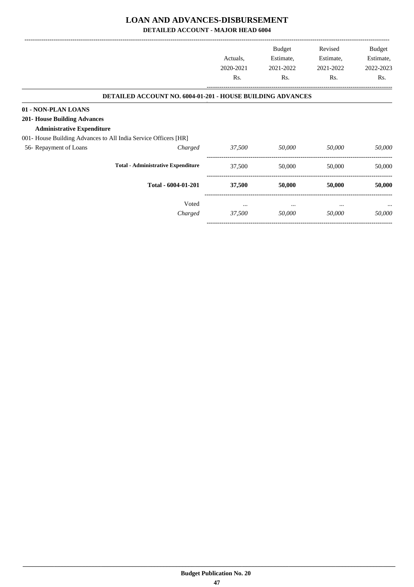## **LOAN AND ADVANCES-DISBURSEMENT**

**DETAILED ACCOUNT - MAJOR HEAD 6004**

|                                     |                                                                 |           | Budget    | Revised   | Budget    |
|-------------------------------------|-----------------------------------------------------------------|-----------|-----------|-----------|-----------|
|                                     |                                                                 | Actuals,  | Estimate, | Estimate, | Estimate, |
|                                     |                                                                 | 2020-2021 | 2021-2022 | 2021-2022 | 2022-2023 |
|                                     |                                                                 | Rs.       | Rs.       | Rs.       | Rs.       |
|                                     | DETAILED ACCOUNT NO. 6004-01-201 - HOUSE BUILDING ADVANCES      |           |           |           |           |
| 01 - NON-PLAN LOANS                 |                                                                 |           |           |           |           |
| <b>201- House Building Advances</b> |                                                                 |           |           |           |           |
| <b>Administrative Expenditure</b>   |                                                                 |           |           |           |           |
|                                     | 001- House Building Advances to All India Service Officers [HR] |           |           |           |           |
| 56- Repayment of Loans              | Charged                                                         | 37,500    | 50,000    | 50,000    | 50,000    |
|                                     | <b>Total - Administrative Expenditure</b>                       | 37,500    | 50,000    | 50,000    | 50,000    |
|                                     | Total - 6004-01-201                                             | 37,500    | 50,000    | 50,000    | 50,000    |
|                                     | Voted                                                           | $\cdots$  | $\cdots$  | $\cdots$  |           |
|                                     | Charged                                                         | 37,500    | 50,000    | 50,000    | 50,000    |
|                                     |                                                                 |           |           |           |           |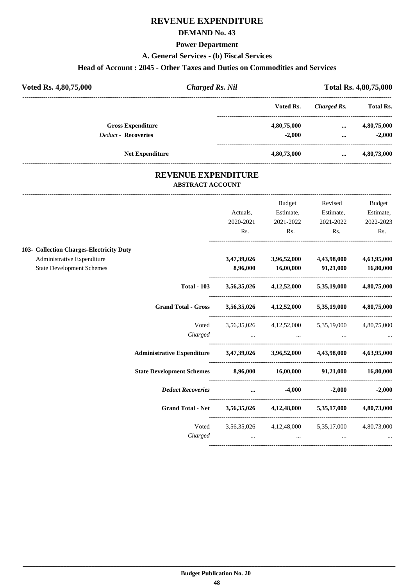#### **DEMAND No. 43**

#### **Power Department**

**A. General Services - (b) Fiscal Services**

#### **Head of Account : 2045 - Other Taxes and Duties on Commodities and Services**

| Voted Rs. 4,80,75,000      | <b>Charged Rs. Nil</b> |             |             | Total Rs. 4,80,75,000 |  |  |
|----------------------------|------------------------|-------------|-------------|-----------------------|--|--|
|                            |                        | Voted Rs.   | Charged Rs. | <b>Total Rs.</b>      |  |  |
| <b>Gross Expenditure</b>   |                        | 4,80,75,000 | $\cdots$    | 4,80,75,000           |  |  |
| <b>Deduct - Recoveries</b> |                        | $-2.000$    | $\cdots$    | $-2.000$              |  |  |
|                            | <b>Net Expenditure</b> | 4,80,73,000 | $\cdots$    | 4,80,73,000           |  |  |

## **REVENUE EXPENDITURE ABSTRACT ACCOUNT**

---------------------------------------------------------------------------------------------------------------------------------------------------------------------------------

|                                                                |                                                                            |           | Budget                                                                        | Revised        | Budget      |
|----------------------------------------------------------------|----------------------------------------------------------------------------|-----------|-------------------------------------------------------------------------------|----------------|-------------|
|                                                                |                                                                            | Actuals,  | Estimate,                                                                     | Estimate,      | Estimate,   |
|                                                                |                                                                            | 2020-2021 | 2021-2022                                                                     | 2021-2022      | 2022-2023   |
|                                                                |                                                                            | Rs.       | Rs.                                                                           | $\mathbf{Rs.}$ | Rs.         |
| 103- Collection Charges-Electricity Duty                       |                                                                            |           |                                                                               |                |             |
| Administrative Expenditure<br><b>State Development Schemes</b> |                                                                            |           | 3,47,39,026 3,96,52,000 4,43,98,000<br>8,96,000 16,00,000 91,21,000 16,80,000 |                | 4,63,95,000 |
|                                                                |                                                                            |           | Total - 103 3,56,35,026 4,12,52,000 5,35,19,000 4,80,75,000                   |                |             |
|                                                                | Grand Total - Gross 3,56,35,026 4,12,52,000 5,35,19,000 4,80,75,000        |           |                                                                               |                |             |
|                                                                | Voted                                                                      |           | 3,56,35,026 4,12,52,000 5,35,19,000 4,80,75,000                               |                |             |
|                                                                |                                                                            |           | Charged                                                                       |                |             |
|                                                                | Administrative Expenditure 3,47,39,026 3,96,52,000 4,43,98,000 4,63,95,000 |           |                                                                               |                |             |
|                                                                | State Development Schemes 8,96,000 16,00,000 91,21,000 16,80,000           |           |                                                                               |                |             |
|                                                                | <b>Deduct Recoveries</b>                                                   |           | $-4,000$ $-2,000$ $-2,000$                                                    |                |             |
|                                                                | Grand Total - Net 3,56,35,026 4,12,48,000 5,35,17,000 4,80,73,000          |           |                                                                               |                |             |
|                                                                |                                                                            |           | Voted 3,56,35,026 4,12,48,000 5,35,17,000 4,80,73,000                         |                |             |
|                                                                |                                                                            |           | Charged                                                                       |                |             |
|                                                                |                                                                            |           |                                                                               |                |             |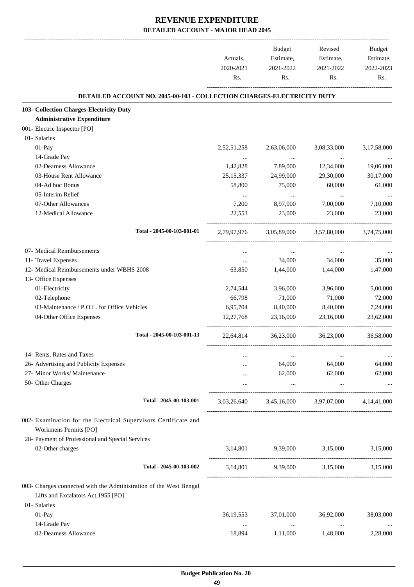-------------------------------------------------------------------------------------------------------------------------------------------------------------------------------

|                                                                                                          | Actuals,         | <b>Budget</b><br>Estimate,                      | Revised<br>Estimate,    | <b>Budget</b><br>Estimate, |
|----------------------------------------------------------------------------------------------------------|------------------|-------------------------------------------------|-------------------------|----------------------------|
|                                                                                                          | 2020-2021<br>Rs. | 2021-2022<br>Rs.                                | 2021-2022<br>Rs.        | 2022-2023<br>Rs.           |
| <b>DETAILED ACCOUNT NO. 2045-00-103 - COLLECTION CHARGES-ELECTRICITY DUTY</b>                            |                  |                                                 |                         |                            |
| 103- Collection Charges-Electricity Duty                                                                 |                  |                                                 |                         |                            |
| <b>Administrative Expenditure</b>                                                                        |                  |                                                 |                         |                            |
| 001- Electric Inspector [PO]                                                                             |                  |                                                 |                         |                            |
| 01- Salaries                                                                                             |                  |                                                 |                         |                            |
| $01-Pay$                                                                                                 | 2,52,51,258      | 2,63,06,000                                     | 3,08,33,000             | 3,17,58,000                |
| 14-Grade Pay                                                                                             | $\cdots$         | $\ldots$                                        | $\cdots$                |                            |
| 02-Dearness Allowance                                                                                    | 1,42,828         | 7,89,000                                        | 12,34,000               | 19,06,000                  |
| 03-House Rent Allowance                                                                                  | 25, 15, 337      | 24,99,000                                       | 29,30,000               | 30,17,000                  |
| 04-Ad hoc Bonus                                                                                          | 58,800           | 75,000                                          | 60,000                  | 61,000                     |
| 05-Interim Relief                                                                                        | $\cdots$         | $\cdots$                                        | $\cdots$                |                            |
| 07-Other Allowances                                                                                      | 7,200            | 8,97,000                                        | 7,00,000                | 7,10,000                   |
| 12-Medical Allowance                                                                                     | 22,553           | 23,000                                          | 23,000                  | 23,000                     |
| Total - 2045-00-103-001-01                                                                               | 2,79,97,976      |                                                 | 3,05,89,000 3,57,80,000 | 3,74,75,000                |
| 07- Medical Reimbursements                                                                               | $\cdots$         | $\cdots$                                        | $\cdots$                |                            |
| 11- Travel Expenses                                                                                      | $\cdots$         | 34,000                                          | 34,000                  | 35,000                     |
| 12- Medical Reimbursements under WBHS 2008                                                               | 63,850           | 1,44,000                                        | 1,44,000                | 1,47,000                   |
| 13- Office Expenses                                                                                      |                  |                                                 |                         |                            |
| 01-Electricity                                                                                           | 2,74,544         | 3,96,000                                        | 3,96,000                | 5,00,000                   |
| 02-Telephone                                                                                             | 66,798           | 71,000                                          | 71,000                  | 72,000                     |
| 03-Maintenance / P.O.L. for Office Vehicles                                                              | 6,95,704         | 8,40,000                                        | 8,40,000                | 7,24,000                   |
| 04-Other Office Expenses                                                                                 | 12,27,768        | 23,16,000                                       | 23,16,000               | 23,62,000                  |
| Total - 2045-00-103-001-13                                                                               | 22,64,814        | 36,23,000                                       | 36,23,000               | 36,58,000                  |
| 14- Rents, Rates and Taxes                                                                               |                  |                                                 |                         | $\cdots$                   |
| 26- Advertising and Publicity Expenses                                                                   |                  | 64,000                                          | 64,000                  | 64,000                     |
| 27- Minor Works/ Maintenance                                                                             |                  | 62,000                                          | 62,000                  | 62,000                     |
| 50- Other Charges                                                                                        | $\cdots$         | $\cdots$                                        | $\cdots$                |                            |
| Total - 2045-00-103-001                                                                                  |                  | 3,03,26,640 3,45,16,000 3,97,07,000 4,14,41,000 |                         |                            |
| 002- Examination for the Electrical Supervisors Certificate and<br>Workmens Permits [PO]                 |                  |                                                 |                         |                            |
| 28- Payment of Professional and Special Services                                                         |                  |                                                 |                         |                            |
| 02-Other charges                                                                                         |                  | 3,14,801 9,39,000 3,15,000 3,15,000             |                         |                            |
| Total - 2045-00-103-002                                                                                  |                  | 3,14,801 9,39,000 3,15,000                      |                         | 3,15,000                   |
| 003- Charges connected with the Administration of the West Bengal<br>Lifts and Excalators Act, 1955 [PO] |                  |                                                 |                         |                            |
| 01- Salaries                                                                                             |                  |                                                 |                         |                            |
| 01-Pay                                                                                                   | 36, 19, 553      | 37,01,000                                       | 36,92,000               | 38,03,000                  |
| 14-Grade Pay                                                                                             | $\cdots$         | $\ldots$                                        | $\cdots$                |                            |
| 02-Dearness Allowance                                                                                    | 18,894           | 1,11,000                                        | 1,48,000                | 2,28,000                   |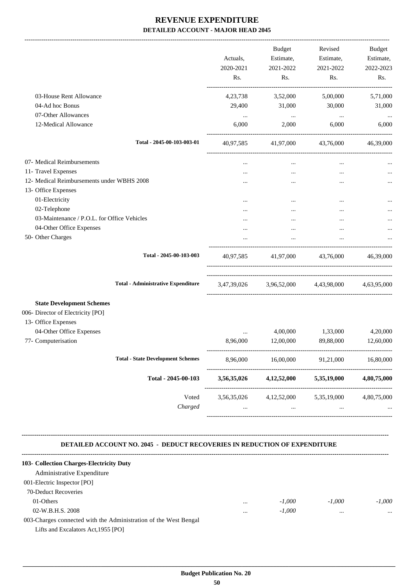|                                                                                                         | Actuals,<br>2020-2021<br>Rs.                    | <b>Budget</b><br>Estimate,<br>2021-2022<br>Rs.              | Revised<br>Estimate,<br>2021-2022<br>Rs.  | Budget<br>Estimate,<br>2022-2023<br>Rs. |
|---------------------------------------------------------------------------------------------------------|-------------------------------------------------|-------------------------------------------------------------|-------------------------------------------|-----------------------------------------|
| 03-House Rent Allowance                                                                                 | 4,23,738                                        | 3,52,000                                                    | 5,00,000                                  | 5,71,000                                |
| 04-Ad hoc Bonus                                                                                         | 29,400                                          | 31,000                                                      | 30,000                                    | 31,000                                  |
| 07-Other Allowances                                                                                     | $\cdots$                                        | $\sim$ $\sim$                                               | $\ldots$                                  |                                         |
| 12-Medical Allowance                                                                                    | 6,000                                           | 2,000                                                       | 6,000                                     | 6,000                                   |
| Total - 2045-00-103-003-01                                                                              | 40,97,585                                       |                                                             | 41,97,000 43,76,000                       | 46,39,000                               |
| 07- Medical Reimbursements                                                                              | $\ddotsc$                                       | $\cdots$                                                    | $\cdots$                                  |                                         |
| 11- Travel Expenses                                                                                     | $\ddotsc$                                       |                                                             | $\cdots$                                  |                                         |
| 12- Medical Reimbursements under WBHS 2008                                                              |                                                 | $\cdots$                                                    |                                           |                                         |
| 13- Office Expenses                                                                                     |                                                 |                                                             |                                           |                                         |
| 01-Electricity                                                                                          |                                                 | $\cdots$                                                    |                                           |                                         |
| 02-Telephone                                                                                            |                                                 |                                                             | $\cdots$                                  |                                         |
| 03-Maintenance / P.O.L. for Office Vehicles                                                             |                                                 |                                                             | $\ddotsc$                                 |                                         |
| 04-Other Office Expenses                                                                                | $\ddotsc$                                       | $\cdots$                                                    | $\cdots$                                  |                                         |
| 50- Other Charges                                                                                       |                                                 | $\cdots$                                                    | $\cdots$                                  |                                         |
| Total - 2045-00-103-003                                                                                 | 40,97,585                                       |                                                             | 41,97,000 43,76,000                       | 46,39,000                               |
| <b>Total - Administrative Expenditure</b>                                                               |                                                 |                                                             | 3,47,39,026 3,96,52,000 4,43,98,000       | 4,63,95,000                             |
| <b>State Development Schemes</b>                                                                        |                                                 |                                                             |                                           |                                         |
| 006- Director of Electricity [PO]                                                                       |                                                 |                                                             |                                           |                                         |
| 13- Office Expenses                                                                                     |                                                 |                                                             |                                           |                                         |
| 04-Other Office Expenses                                                                                |                                                 | 4,00,000                                                    | 1,33,000                                  | 4,20,000                                |
| 77- Computerisation                                                                                     | 8,96,000                                        | 12,00,000                                                   | 89,88,000                                 | 12,60,000                               |
| <b>Total - State Development Schemes</b>                                                                | 8,96,000                                        |                                                             | 16,00,000 91,21,000                       | 16,80,000                               |
| Total - 2045-00-103                                                                                     |                                                 |                                                             | $3,56,35,026$ $4,12,52,000$ $5,35,19,000$ | 4,80,75,000                             |
| Voted<br>Charged                                                                                        | 3,56,35,026 4,12,52,000 5,35,19,000 4,80,75,000 | and the state of the state of the state of the state of the |                                           |                                         |
|                                                                                                         |                                                 |                                                             | $\cdots$                                  |                                         |
| <b>DETAILED ACCOUNT NO. 2045 - DEDUCT RECOVERIES IN REDUCTION OF EXPENDITURE</b>                        |                                                 |                                                             |                                           |                                         |
| 103- Collection Charges-Electricity Duty                                                                |                                                 |                                                             |                                           |                                         |
| Administrative Expenditure                                                                              |                                                 |                                                             |                                           |                                         |
| 001-Electric Inspector [PO]                                                                             |                                                 |                                                             |                                           |                                         |
| 70-Deduct Recoveries                                                                                    |                                                 |                                                             |                                           |                                         |
| 01-Others                                                                                               | $\cdots$                                        | $-1,000$                                                    | $-1,000$                                  | $-1,000$                                |
| 02-W.B.H.S. 2008                                                                                        |                                                 | $-1,000$                                                    | $\cdots$                                  |                                         |
| 003-Charges connected with the Administration of the West Bengal<br>Lifts and Excalators Act, 1955 [PO] |                                                 |                                                             |                                           |                                         |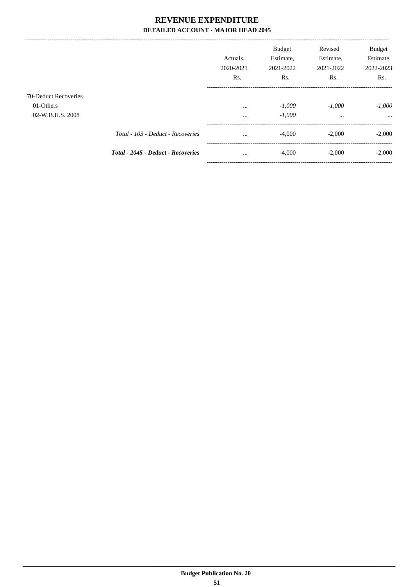----------------------------------

|                                                       |                                           | Actuals.<br>2020-2021<br>Rs. | <b>Budget</b><br>Estimate,<br>2021-2022<br>Rs. | Revised<br>Estimate,<br>2021-2022<br>Rs. | <b>Budget</b><br>Estimate,<br>2022-2023<br>Rs. |
|-------------------------------------------------------|-------------------------------------------|------------------------------|------------------------------------------------|------------------------------------------|------------------------------------------------|
| 70-Deduct Recoveries<br>01-Others<br>02-W.B.H.S. 2008 |                                           | $\cdots$<br>$\cdots$         | $-1.000$<br>$-1,000$                           | $-1.000$<br>$\cdots$                     | $-1,000$<br>$\cdots$                           |
|                                                       | Total - 103 - Deduct - Recoveries         | $\cdots$                     | $-4,000$                                       | $-2,000$                                 | $-2,000$                                       |
|                                                       | <b>Total - 2045 - Deduct - Recoveries</b> | $\cdots$                     | $-4,000$                                       | $-2.000$                                 | $-2,000$                                       |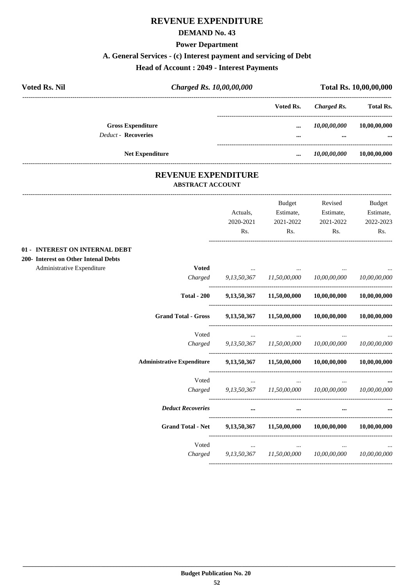#### **DEMAND No. 43**

#### **Power Department**

# **A. General Services - (c) Interest payment and servicing of Debt**

#### **Head of Account : 2049 - Interest Payments**

| <b>Voted Rs. Nil</b> | Charged Rs. 10,00,00,000   |  | Total Rs. 10,00,00,000 |              |                  |
|----------------------|----------------------------|--|------------------------|--------------|------------------|
|                      |                            |  | Voted Rs.              | Charged Rs.  | <b>Total Rs.</b> |
|                      | <b>Gross Expenditure</b>   |  |                        | 10,00,00,000 | 10,00,00,000     |
|                      | <b>Deduct - Recoveries</b> |  | $\cdots$               | $\cdots$     | $\cdots$         |
|                      | <b>Net Expenditure</b>     |  |                        | 10,00,00,000 | 10,00,00,000     |

## **REVENUE EXPENDITURE ABSTRACT ACCOUNT**

**200- Interest on Other Intenal Debts**

---------------------------------------------------------------------------------------------------------------------------------------------------------------------------------

|                                      |                                   |                                     | <b>Budget</b>                                                                   | Revised                                                    | <b>Budget</b> |
|--------------------------------------|-----------------------------------|-------------------------------------|---------------------------------------------------------------------------------|------------------------------------------------------------|---------------|
|                                      |                                   | Actuals,                            |                                                                                 | Estimate, Estimate,                                        | Estimate,     |
|                                      |                                   | 2020-2021                           | 2021-2022                                                                       | 2021-2022                                                  | 2022-2023     |
|                                      |                                   | Rs.                                 | Rs.                                                                             | Rs.                                                        | Rs.           |
| 01 - INTEREST ON INTERNAL DEBT       |                                   |                                     |                                                                                 |                                                            |               |
| 200- Interest on Other Intenal Debts |                                   |                                     |                                                                                 |                                                            |               |
| Administrative Expenditure           | <b>Voted</b>                      |                                     | the contract of the contract of the contract of the contract of the contract of |                                                            |               |
|                                      |                                   |                                     |                                                                                 | Charged 9,13,50,367 11,50,00,000 10,00,00,000 10,00,00,000 |               |
|                                      | <b>Total - 200</b>                |                                     |                                                                                 | 9,13,50,367 11,50,00,000 10,00,00,000                      | 10,00,00,000  |
|                                      | <b>Grand Total - Gross</b>        |                                     |                                                                                 | 9,13,50,367 11,50,00,000 10,00,00,000                      | 10,00,00,000  |
|                                      | Voted                             |                                     | <b>Second Contract Contract</b>                                                 |                                                            |               |
|                                      |                                   |                                     |                                                                                 | Charged 9,13,50,367 11,50,00,000 10,00,00,000 10,00,00,000 |               |
|                                      | <b>Administrative Expenditure</b> |                                     |                                                                                 | 9,13,50,367 11,50,00,000 10,00,00,000 10,00,00,000         |               |
|                                      | Voted                             | and the contract of the             |                                                                                 | $\cdots$                                                   |               |
|                                      |                                   |                                     |                                                                                 | Charged 9,13,50,367 11,50,00,000 10,00,00,000 10,00,00,000 |               |
|                                      | <b>Deduct Recoveries</b>          | $\cdots$                            | $\cdots$                                                                        |                                                            |               |
|                                      | <b>Grand Total - Net</b>          |                                     | 9,13,50,367 11,50,00,000 10,00,00,000                                           |                                                            | 10.00.00.000  |
|                                      | Voted                             | the contract of the contract of the | $\cdots$                                                                        |                                                            |               |
|                                      |                                   |                                     |                                                                                 | Charged 9,13,50,367 11,50,00,000 10,00,00,000 10,00,00,000 |               |
|                                      |                                   |                                     |                                                                                 |                                                            |               |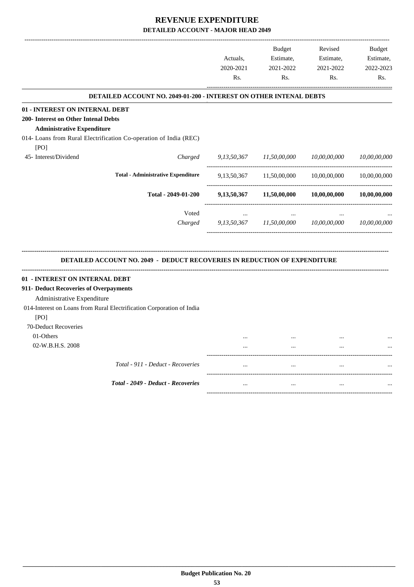|                                        |                                                                                  |                | <b>Budget</b> | Revised      | <b>Budget</b> |
|----------------------------------------|----------------------------------------------------------------------------------|----------------|---------------|--------------|---------------|
|                                        |                                                                                  | Actuals,       | Estimate,     | Estimate,    | Estimate,     |
|                                        |                                                                                  | 2020-2021      | 2021-2022     | 2021-2022    | 2022-2023     |
|                                        |                                                                                  | Rs.            | Rs.           | Rs.          | Rs.           |
|                                        | <b>DETAILED ACCOUNT NO. 2049-01-200 - INTEREST ON OTHER INTENAL DEBTS</b>        |                |               |              |               |
| 01 - INTEREST ON INTERNAL DEBT         |                                                                                  |                |               |              |               |
| 200- Interest on Other Intenal Debts   |                                                                                  |                |               |              |               |
| <b>Administrative Expenditure</b>      |                                                                                  |                |               |              |               |
|                                        | 014- Loans from Rural Electrification Co-operation of India (REC)                |                |               |              |               |
| [PO]                                   |                                                                                  |                |               |              |               |
| 45- Interest/Dividend                  | Charged                                                                          | 9,13,50,367    | 11,50,00,000  | 10,00,00,000 | 10,00,00,000  |
|                                        | <b>Total - Administrative Expenditure</b>                                        | 9, 13, 50, 367 | 11,50,00,000  | 10,00,00,000 | 10,00,00,000  |
|                                        | Total - 2049-01-200                                                              | 9, 13, 50, 367 | 11,50,00,000  | 10,00,00,000 | 10,00,00,000  |
|                                        | Voted                                                                            |                |               |              |               |
|                                        | Charged                                                                          | 9,13,50,367    | 11,50,00,000  | 10,00,00,000 | 10,00,00,000  |
|                                        | <b>DETAILED ACCOUNT NO. 2049 - DEDUCT RECOVERIES IN REDUCTION OF EXPENDITURE</b> |                |               |              |               |
| 01 - INTEREST ON INTERNAL DEBT         |                                                                                  |                |               |              |               |
| 911- Deduct Recoveries of Overpayments |                                                                                  |                |               |              |               |
| Administrative Expenditure             |                                                                                  |                |               |              |               |
|                                        | 014-Interest on Loans from Rural Electrification Corporation of India            |                |               |              |               |
| [PO]                                   |                                                                                  |                |               |              |               |
| 70-Deduct Recoveries                   |                                                                                  |                |               |              |               |
| 01-Others                              |                                                                                  |                |               |              |               |
| 02-W.B.H.S. 2008                       |                                                                                  |                |               |              |               |
|                                        |                                                                                  |                |               |              |               |
|                                        | Total - 911 - Deduct - Recoveries                                                |                |               |              |               |
|                                        | Total - 2049 - Deduct - Recoveries                                               | $\ddotsc$      |               | $\ddotsc$    |               |
|                                        |                                                                                  |                |               |              |               |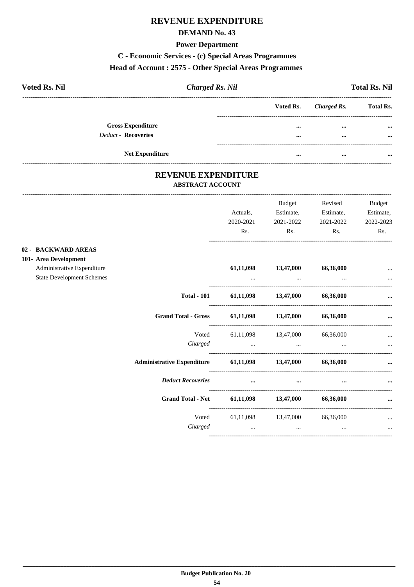#### **DEMAND No. 43**

#### **Power Department**

# C - Economic Services - (c) Special Areas Programmes

#### Head of Account: 2575 - Other Special Areas Programmes

| <b>Voted Rs. Nil</b>       | <b>Charged Rs. Nil</b> |  | <b>Total Rs. Nil</b>  |                  |  |
|----------------------------|------------------------|--|-----------------------|------------------|--|
|                            |                        |  | Voted Rs. Charged Rs. | <b>Total Rs.</b> |  |
| <b>Gross Expenditure</b>   |                        |  | $\cdots$              |                  |  |
| <b>Deduct - Recoveries</b> |                        |  |                       |                  |  |
|                            |                        |  |                       |                  |  |
| <b>Net Expenditure</b>     |                        |  | $\cdots$              |                  |  |

## REVENUE EXPENDITURE **ABSTRACT ACCOUNT**

----------------------------

|                                                                |                    | Actuals,<br>2020-2021 | Budget<br>Estimate,<br>2021-2022                                                           | Revised<br>Estimate,<br>2021-2022 | Budget<br>Estimate,<br>2022-2023 |
|----------------------------------------------------------------|--------------------|-----------------------|--------------------------------------------------------------------------------------------|-----------------------------------|----------------------------------|
|                                                                |                    | Rs.                   | $\mathbf{Rs.}$                                                                             | Rs.                               | Rs.                              |
| 02 - BACKWARD AREAS<br>101- Area Development                   |                    |                       |                                                                                            |                                   |                                  |
| Administrative Expenditure<br><b>State Development Schemes</b> |                    |                       | 61,11,098 13,47,000<br>and the control of the control of the control of the control of the | 66,36,000                         |                                  |
|                                                                | <b>Total - 101</b> |                       | $61,11,098$ $13,47,000$ $66,36,000$                                                        |                                   |                                  |
|                                                                |                    |                       | Grand Total - Gross 61,11,098 13,47,000 66,36,000                                          |                                   | $\cdots$                         |
|                                                                |                    |                       | Voted 61,11,098 13,47,000 66,36,000                                                        |                                   | $\cdots$                         |
| Administrative Expenditure 61,11,098 13,47,000 66,36,000       |                    |                       |                                                                                            |                                   |                                  |
| <b>Deduct Recoveries</b>                                       |                    |                       | $\cdots$                                                                                   |                                   |                                  |
|                                                                |                    |                       | Grand Total - Net 61,11,098 13,47,000 66,36,000                                            |                                   | $\cdots$                         |
|                                                                | Voted              |                       | 61,11,098 13,47,000 66,36,000<br>Charged                                                   |                                   | and the state of the state and   |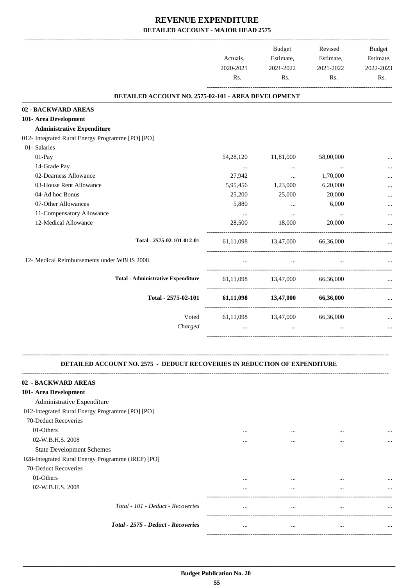|                                                     | Rs.                                        | 2021-2022<br>Rs.              | 2021-2022<br>Rs. | Estimate,<br>2022-2023<br>Rs. |
|-----------------------------------------------------|--------------------------------------------|-------------------------------|------------------|-------------------------------|
| DETAILED ACCOUNT NO. 2575-02-101 - AREA DEVELOPMENT |                                            |                               |                  |                               |
| 02 - BACKWARD AREAS                                 |                                            |                               |                  |                               |
| 101- Area Development                               |                                            |                               |                  |                               |
| <b>Administrative Expenditure</b>                   |                                            |                               |                  |                               |
| 012- Integrated Rural Energy Programme [PO] [PO]    |                                            |                               |                  |                               |
| 01- Salaries                                        |                                            |                               |                  |                               |
| $01-Pay$                                            | 54, 28, 120                                | 11,81,000                     | 58,00,000        | $\cdots$                      |
| 14-Grade Pay                                        | $\cdots$                                   | $\cdots$                      | $\cdots$         |                               |
| 02-Dearness Allowance                               | 27,942                                     | $\cdots$                      | 1,70,000         |                               |
| 03-House Rent Allowance                             | 5,95,456                                   | 1,23,000                      | 6,20,000         |                               |
| 04-Ad hoc Bonus                                     | 25,200                                     | 25,000                        | 20,000           |                               |
| 07-Other Allowances                                 | 5,880                                      | $\cdots$                      | 6,000            |                               |
| 11-Compensatory Allowance                           | $\ddots$                                   | $\cdots$                      | $\cdots$         |                               |
| 12-Medical Allowance                                | 28,500                                     | 18,000                        | 20,000           |                               |
| Total - 2575-02-101-012-01                          |                                            | 61,11,098 13,47,000 66,36,000 |                  |                               |
| 12- Medical Reimbursements under WBHS 2008          |                                            |                               |                  |                               |
| <b>Total - Administrative Expenditure</b>           |                                            | 61,11,098 13,47,000 66,36,000 |                  |                               |
| Total - 2575-02-101                                 | $61,11,098$ $13,47,000$ $66,36,000$        |                               |                  |                               |
| Voted<br>Charged                                    | 61,11,098 13,47,000 66,36,000<br>$\ddotsc$ | $\ddotsc$                     | $\ddotsc$        | $\cdots$                      |

#### **DETAILED ACCOUNT NO. 2575 - DEDUCT RECOVERIES IN REDUCTION OF EXPENDITURE**

**--------------------------------------------------------------------------------------------------------------------------------------------------------------------------------**

| 02 - BACKWARD AREAS                               |          |          |          |           |
|---------------------------------------------------|----------|----------|----------|-----------|
| 101- Area Development                             |          |          |          |           |
| Administrative Expenditure                        |          |          |          |           |
| 012-Integrated Rural Energy Programme [PO] [PO]   |          |          |          |           |
| 70-Deduct Recoveries                              |          |          |          |           |
| 01-Others                                         |          |          | $\cdots$ | $\ddotsc$ |
| 02-W.B.H.S. 2008                                  | $\cdots$ | $\cdots$ | $\cdots$ | $\ddotsc$ |
| <b>State Development Schemes</b>                  |          |          |          |           |
| 028-Integrated Rural Energy Programme (IREP) [PO] |          |          |          |           |
| 70-Deduct Recoveries                              |          |          |          |           |
| 01-Others                                         | $\cdots$ | $\cdots$ | $\cdots$ | $\ddotsc$ |
| 02-W.B.H.S. 2008                                  | $\cdots$ | $\cdots$ | $\cdots$ |           |
|                                                   |          |          |          |           |
| Total - 101 - Deduct - Recoveries                 | $\cdots$ | $\cdots$ | $\cdots$ | $\ddotsc$ |
|                                                   |          |          |          |           |
| Total - 2575 - Deduct - Recoveries                | $\cdots$ | $\cdots$ | $\cdots$ | $\ddotsc$ |
|                                                   |          |          |          |           |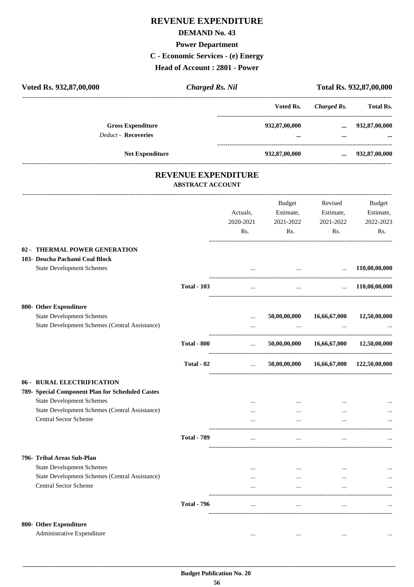## **DEMAND No. 43**

#### **Power Department**

**C - Economic Services - (e) Energy**

**Head of Account : 2801 - Power**

| Voted Rs. 932,87,00,000                                                                                                                                                                              | <b>Charged Rs. Nil</b>  |                                  |                                                   |                                          | Total Rs. 932,87,00,000                 |
|------------------------------------------------------------------------------------------------------------------------------------------------------------------------------------------------------|-------------------------|----------------------------------|---------------------------------------------------|------------------------------------------|-----------------------------------------|
|                                                                                                                                                                                                      |                         |                                  | Voted Rs.                                         | Charged Rs.                              | Total Rs.                               |
| <b>Gross Expenditure</b><br><b>Deduct - Recoveries</b>                                                                                                                                               |                         |                                  | 932,87,00,000                                     | $\cdots$<br>$\cdots$                     | 932,87,00,000                           |
| Net Expenditure                                                                                                                                                                                      |                         |                                  | --------------------------------<br>932,87,00,000 | $\cdots$                                 | 932,87,00,000                           |
|                                                                                                                                                                                                      | REVENUE EXPENDITURE     |                                  |                                                   |                                          |                                         |
|                                                                                                                                                                                                      | <b>ABSTRACT ACCOUNT</b> |                                  |                                                   |                                          |                                         |
|                                                                                                                                                                                                      |                         | Actuals,<br>2020-2021<br>Rs.     | <b>Budget</b><br>Estimate,<br>2021-2022<br>Rs.    | Revised<br>Estimate,<br>2021-2022<br>Rs. | Budget<br>Estimate,<br>2022-2023<br>Rs. |
| 02 - THERMAL POWER GENERATION<br>103- Deucha Pachami Coal Block<br><b>State Development Schemes</b>                                                                                                  |                         |                                  | $\cdots$                                          | $\ddots$                                 | 110,00,00,000                           |
|                                                                                                                                                                                                      | <b>Total - 103</b>      | $\cdots$                         | $\cdots$                                          | $\ddots$                                 | 110,00,00,000                           |
| 800- Other Expenditure<br><b>State Development Schemes</b><br>State Development Schemes (Central Assistance)                                                                                         |                         | <br>                             | 50,00,00,000                                      | 16,66,67,000                             | 12,50,00,000                            |
|                                                                                                                                                                                                      | <b>Total - 800</b>      | $\cdots$                         | 50,00,00,000                                      | 16,66,67,000                             | 12,50,00,000                            |
|                                                                                                                                                                                                      | Total - 02              | $\ddotsc$                        | -------------------<br>50,00,00,000               |                                          | 16,66,67,000 122,50,00,000              |
| 06 - RURAL ELECTRIFICATION<br>789- Special Component Plan for Scheduled Castes<br><b>State Development Schemes</b><br>State Development Schemes (Central Assistance)<br><b>Central Sector Scheme</b> |                         | <br>$\cdots$                     | $\cdots$<br>$\cdots$                              | $\cdots$<br>$\cdots$<br>$\cdots$         |                                         |
|                                                                                                                                                                                                      | <b>Total - 789</b>      | $\cdots$                         | $\cdots$                                          | $\cdots$                                 |                                         |
| 796- Tribal Areas Sub-Plan<br><b>State Development Schemes</b><br>State Development Schemes (Central Assistance)<br>Central Sector Scheme                                                            | <b>Total - 796</b>      | $\cdots$<br>$\cdots$<br>$\cdots$ | $\cdots$<br>$\cdots$<br>$\cdots$<br>$\cdots$      | $\cdots$<br>$\cdots$<br>$\cdots$         |                                         |
| 800- Other Expenditure<br>Administrative Expenditure                                                                                                                                                 |                         |                                  | $\cdots$                                          |                                          |                                         |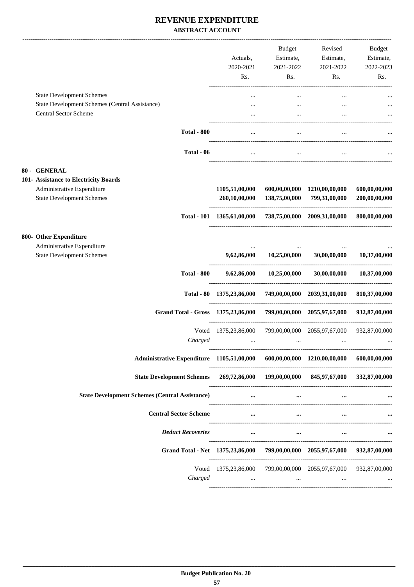## **REVENUE EXPENDITURE ABSTRACT ACCOUNT**

|                                                                                                                         |                                                                                      | Actuals,<br>2020-2021<br>Rs.                                    | Budget<br>Estimate,<br>2021-2022<br>Rs.                                                                                                                                                                                          | Revised<br>Estimate,<br>2021-2022<br>Rs. | Budget<br>Estimate,<br>2022-2023<br>Rs. |
|-------------------------------------------------------------------------------------------------------------------------|--------------------------------------------------------------------------------------|-----------------------------------------------------------------|----------------------------------------------------------------------------------------------------------------------------------------------------------------------------------------------------------------------------------|------------------------------------------|-----------------------------------------|
| <b>State Development Schemes</b><br>State Development Schemes (Central Assistance)<br><b>Central Sector Scheme</b>      |                                                                                      |                                                                 | $\cdots$<br>$\cdots$                                                                                                                                                                                                             |                                          |                                         |
|                                                                                                                         | <b>Total - 800</b>                                                                   | $\cdots$                                                        | $\ddotsc$                                                                                                                                                                                                                        | $\ddotsc$                                |                                         |
|                                                                                                                         | Total - 06                                                                           | $\cdots$                                                        | $\cdots$                                                                                                                                                                                                                         | $\cdots$                                 |                                         |
| 80 - GENERAL<br>101- Assistance to Electricity Boards<br>Administrative Expenditure<br><b>State Development Schemes</b> |                                                                                      | 1105,51,00,000<br>260,10,00,000                                 | 600,00,00,000<br>138,75,00,000                                                                                                                                                                                                   | 1210,00,00,000<br>799,31,00,000          | 600,00,00,000<br>200,00,00,000          |
|                                                                                                                         |                                                                                      | Total - 101 1365,61,00,000 738,75,00,000 2009,31,00,000         |                                                                                                                                                                                                                                  |                                          | 800.00.00.000                           |
| 800- Other Expenditure<br>Administrative Expenditure<br><b>State Development Schemes</b>                                |                                                                                      | 9,62,86,000                                                     | 10,25,00,000                                                                                                                                                                                                                     | 30,00,00,000                             | 10,37,00,000                            |
|                                                                                                                         | <b>Total - 800</b>                                                                   | 9,62,86,000                                                     | 10,25,00,000                                                                                                                                                                                                                     | 30,00,00,000                             | 10,37,00,000                            |
|                                                                                                                         |                                                                                      | Total - 80 1375,23,86,000 749,00,00,000 2039,31,00,000          |                                                                                                                                                                                                                                  |                                          | 810,37,00,000                           |
|                                                                                                                         | Grand Total - Gross 1375,23,86,000                                                   |                                                                 |                                                                                                                                                                                                                                  | 799,00,00,000 2055,97,67,000             | 932,87,00,000                           |
|                                                                                                                         | Voted<br>Charged                                                                     | 1375,23,86,000<br>$\cdots$                                      |                                                                                                                                                                                                                                  | 799,00,00,000 2055,97,67,000<br>$\cdots$ | 932,87,00,000                           |
|                                                                                                                         | Administrative Expenditure 1105,51,00,000 600,00,00,000 1210,00,00,000 600,00,00,000 |                                                                 |                                                                                                                                                                                                                                  |                                          |                                         |
|                                                                                                                         | State Development Schemes 269,72,86,000 199,00,00,000 845,97,67,000 332,87,00,000    |                                                                 |                                                                                                                                                                                                                                  |                                          |                                         |
| <b>State Development Schemes (Central Assistance)</b>                                                                   |                                                                                      | $\cdots$                                                        | <u>and the company of the second second</u>                                                                                                                                                                                      | $\cdots$                                 |                                         |
|                                                                                                                         | <b>Central Sector Scheme</b>                                                         |                                                                 | $\cdots$<br>$\cdots$                                                                                                                                                                                                             |                                          |                                         |
|                                                                                                                         | <b>Deduct Recoveries</b>                                                             |                                                                 | $\cdots$ . The contract of the contract of the contract of the contract of the contract of the contract of the contract of the contract of the contract of the contract of the contract of the contract of the contract of the c | $\cdots$                                 |                                         |
|                                                                                                                         | Grand Total - Net 1375,23,86,000 799,00,00,000 2055,97,67,000 932,87,00,000          |                                                                 |                                                                                                                                                                                                                                  |                                          |                                         |
|                                                                                                                         | Charged                                                                              | Voted 1375,23,86,000 799,00,00,000 2055,97,67,000 932,87,00,000 | the contract of the contract of the contract of the contract of the                                                                                                                                                              | $\sim$ $\sim$ $\sim$                     |                                         |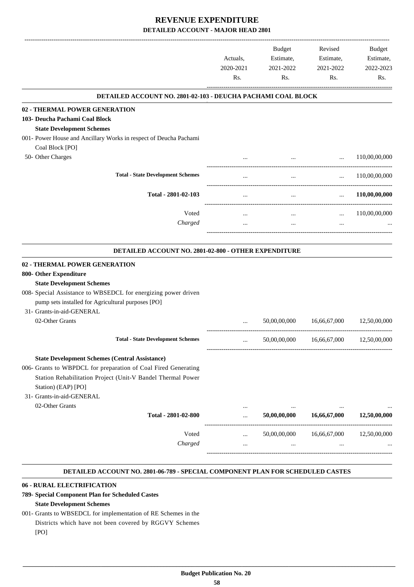|                                                                                                                                                                                                                                            | Actuals,<br>2020-2021<br>Rs. | Budget<br>Estimate,<br>2021-2022<br>Rs. | Revised<br>Estimate,<br>2021-2022<br>Rs.      | Budget<br>Estimate,<br>2022-2023<br>Rs. |
|--------------------------------------------------------------------------------------------------------------------------------------------------------------------------------------------------------------------------------------------|------------------------------|-----------------------------------------|-----------------------------------------------|-----------------------------------------|
| DETAILED ACCOUNT NO. 2801-02-103 - DEUCHA PACHAMI COAL BLOCK                                                                                                                                                                               |                              |                                         |                                               |                                         |
| 02 - THERMAL POWER GENERATION                                                                                                                                                                                                              |                              |                                         |                                               |                                         |
| 103- Deucha Pachami Coal Block                                                                                                                                                                                                             |                              |                                         |                                               |                                         |
| <b>State Development Schemes</b>                                                                                                                                                                                                           |                              |                                         |                                               |                                         |
| 001- Power House and Ancillary Works in respect of Deucha Pachami<br>Coal Block [PO]                                                                                                                                                       |                              |                                         |                                               |                                         |
| 50- Other Charges                                                                                                                                                                                                                          |                              |                                         | $\ddots$<br>and the state of the state of the | 110,00,00,000                           |
| <b>Total - State Development Schemes</b>                                                                                                                                                                                                   |                              | $\cdots$                                |                                               | $\ldots$ 110,00,00,000                  |
| Total - 2801-02-103                                                                                                                                                                                                                        | $\cdots$                     | $\cdots$                                | $\cdots$                                      | 110,00,00,000                           |
| Voted                                                                                                                                                                                                                                      | $\cdots$                     | $\cdots$                                | $\cdots$                                      | 110,00,00,000                           |
| Charged                                                                                                                                                                                                                                    | $\cdots$                     | $\cdots$                                | $\cdots$                                      |                                         |
| DETAILED ACCOUNT NO. 2801-02-800 - OTHER EXPENDITURE                                                                                                                                                                                       |                              |                                         |                                               |                                         |
| 02 - THERMAL POWER GENERATION<br>800- Other Expenditure                                                                                                                                                                                    |                              |                                         |                                               |                                         |
| <b>State Development Schemes</b>                                                                                                                                                                                                           |                              |                                         |                                               |                                         |
| 008- Special Assistance to WBSEDCL for energizing power driven<br>pump sets installed for Agricultural purposes [PO]                                                                                                                       |                              |                                         |                                               |                                         |
| 31- Grants-in-aid-GENERAL<br>02-Other Grants                                                                                                                                                                                               |                              | 50,00,00,000                            | 16,66,67,000                                  | 12,50,00,000                            |
|                                                                                                                                                                                                                                            | $\cdots$                     |                                         |                                               |                                         |
| <b>Total - State Development Schemes</b>                                                                                                                                                                                                   | $\cdots$                     | 50,00,00,000                            | 16,66,67,000                                  | 12,50,00,000                            |
| <b>State Development Schemes (Central Assistance)</b><br>006- Grants to WBPDCL for preparation of Coal Fired Generating<br>Station Rehabilitation Project (Unit-V Bandel Thermal Power<br>Station) (EAP) [PO]<br>31- Grants-in-aid-GENERAL |                              |                                         |                                               |                                         |
| 02-Other Grants                                                                                                                                                                                                                            | $\cdots$                     |                                         |                                               |                                         |
| Total - 2801-02-800                                                                                                                                                                                                                        | $\cdots$                     | 50,00,00,000                            | 16,66,67,000                                  | 12,50,00,000                            |
| Voted                                                                                                                                                                                                                                      | $\cdots$                     | 50,00,00,000                            | 16,66,67,000                                  | 12,50,00,000                            |
| Charged                                                                                                                                                                                                                                    | $\cdots$                     | $\cdots$                                | $\cdots$                                      |                                         |
|                                                                                                                                                                                                                                            |                              |                                         |                                               |                                         |

#### **DETAILED ACCOUNT NO. 2801-06-789 - SPECIAL COMPONENT PLAN FOR SCHEDULED CASTES .**

#### **06 - RURAL ELECTRIFICATION**

## **789- Special Component Plan for Scheduled Castes**

## **State Development Schemes**

001- Grants to WBSEDCL for implementation of RE Schemes in the Districts which have not been covered by RGGVY Schemes

[PO]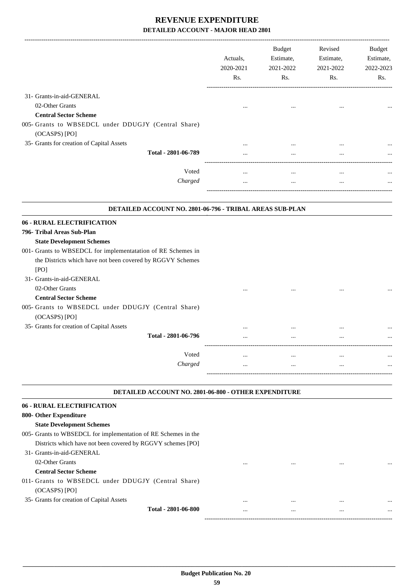| <b>Budget</b><br>Estimate,<br>2021-2022<br>Rs. | Revised<br>Estimate,<br>2021-2022<br>Rs. | <b>Budget</b><br>Estimate,<br>2022-2023<br>Rs. |
|------------------------------------------------|------------------------------------------|------------------------------------------------|
|                                                |                                          |                                                |
|                                                |                                          |                                                |
|                                                |                                          |                                                |
|                                                |                                          |                                                |
|                                                |                                          |                                                |
|                                                |                                          |                                                |
|                                                |                                          |                                                |
| $\ddotsc$                                      | $\ddotsc$                                |                                                |
|                                                |                                          |                                                |
|                                                |                                          |                                                |
|                                                |                                          |                                                |
|                                                |                                          |                                                |
|                                                |                                          |                                                |
|                                                |                                          |                                                |
|                                                |                                          |                                                |
|                                                |                                          |                                                |
|                                                | $\ldots$                                 |                                                |
|                                                | $\ddotsc$                                |                                                |
|                                                |                                          |                                                |

#### **DETAILED ACCOUNT NO. 2801-06-800 - OTHER EXPENDITURE .**

#### **06 - RURAL ELECTRIFICATION**

| 800- Other Expenditure                                         |          |          |          |          |
|----------------------------------------------------------------|----------|----------|----------|----------|
| <b>State Development Schemes</b>                               |          |          |          |          |
| 005- Grants to WBSEDCL for implementation of RE Schemes in the |          |          |          |          |
| Districts which have not been covered by RGGVY schemes [PO]    |          |          |          |          |
| 31- Grants-in-aid-GENERAL                                      |          |          |          |          |
| 02-Other Grants                                                | $\cdots$ | $\cdots$ | $\cdots$ | $\cdots$ |
| <b>Central Sector Scheme</b>                                   |          |          |          |          |
| 011- Grants to WBSEDCL under DDUGJY (Central Share)            |          |          |          |          |
| $(OCASPS)$ $[PO]$                                              |          |          |          |          |
| 35- Grants for creation of Capital Assets                      |          | $\cdots$ | $\cdots$ | $\cdots$ |
| Total - 2801-06-800                                            | $\cdots$ | $\cdots$ | $\cdots$ | $\cdots$ |
|                                                                |          |          |          |          |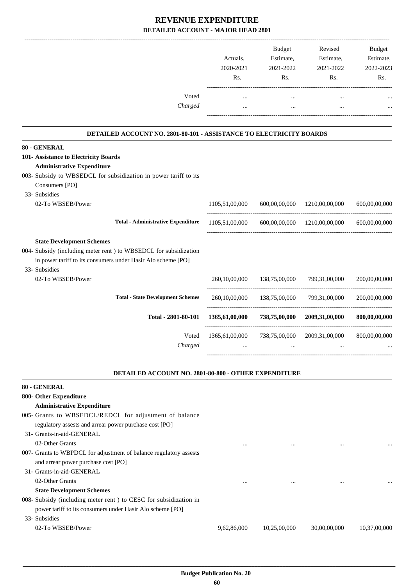|                                                                     | Actuals,<br>2020-2021<br>Rs. | <b>Budget</b><br>Estimate,<br>2021-2022<br>Rs. | Revised<br>Estimate,<br>2021-2022<br>Rs. | <b>Budget</b><br>Estimate,<br>2022-2023<br>Rs. |
|---------------------------------------------------------------------|------------------------------|------------------------------------------------|------------------------------------------|------------------------------------------------|
| Voted                                                               |                              | $\cdots$                                       | $\ddotsc$                                |                                                |
| Charged                                                             |                              | $\ddotsc$                                      | $\ddotsc$                                |                                                |
| DETAILED ACCOUNT NO. 2801-80-101 - ASSISTANCE TO ELECTRICITY BOARDS |                              |                                                |                                          |                                                |
| 80 - GENERAL                                                        |                              |                                                |                                          |                                                |
| 101- Assistance to Electricity Boards                               |                              |                                                |                                          |                                                |
| <b>Administrative Expenditure</b>                                   |                              |                                                |                                          |                                                |
| 003- Subsidy to WBSEDCL for subsidization in power tariff to its    |                              |                                                |                                          |                                                |
| Consumers [PO]                                                      |                              |                                                |                                          |                                                |
| 33- Subsidies                                                       |                              |                                                |                                          |                                                |
| 02-To WBSEB/Power                                                   | 1105,51,00,000               | 600,00,00,000                                  | 1210,00,00,000                           | 600.00.00.000                                  |
| <b>Total - Administrative Expenditure</b>                           | 1105,51,00,000               |                                                | 600,00,00,000 1210,00,00,000             | 600,00,00,000                                  |
| <b>State Development Schemes</b>                                    |                              |                                                |                                          |                                                |
| 004- Subsidy (including meter rent ) to WBSEDCL for subsidization   |                              |                                                |                                          |                                                |
| in power tariff to its consumers under Hasir Alo scheme [PO]        |                              |                                                |                                          |                                                |
| 33- Subsidies                                                       |                              |                                                |                                          |                                                |
| 02-To WBSEB/Power                                                   | 260,10,00,000                | 138,75,00,000                                  | 799,31,00,000                            | 200,00,00,000                                  |
| <b>Total - State Development Schemes</b>                            | 260,10,00,000                | 138,75,00,000                                  | 799,31,00,000                            | 200,00,00,000                                  |
| Total - 2801-80-101                                                 | 1365,61,00,000               | 738,75,00,000                                  | 2009,31,00,000                           | 800,00,00,000                                  |
| Voted                                                               | 1365,61,00,000               | 738,75,00,000                                  | 2009, 31, 00, 000                        | 800,00,00,000                                  |
| Charged                                                             | $\ddotsc$                    |                                                |                                          |                                                |
|                                                                     |                              |                                                |                                          |                                                |

#### **DETAILED ACCOUNT NO. 2801-80-800 - OTHER EXPENDITURE .**

# **80 - GENERAL**

# **800- Other Expenditure**

# **Administrative Expenditure**

005- Grants to WBSEDCL/REDCL for adjustment of balance regulatory assests and arrear power purchase cost [PO]

# 31- Grants-in-aid-GENERAL

02-Other Grants ... ... ... ...

007- Grants to WBPDCL for adjustment of balance regulatory assests and arrear power purchase cost [PO]

#### 31- Grants-in-aid-GENERAL

02-Other Grants ... ... ... ...

## **State Development Schemes**

008- Subsidy (including meter rent ) to CESC for subsidization in power tariff to its consumers under Hasir Alo scheme [PO]

## 33- Subsidies

02-To WBSEB/Power 9,62,86,000 10,25,00,000 30,00,00,000 10,37,00,000

.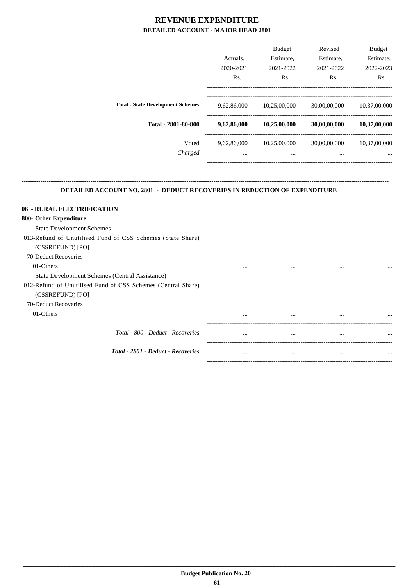|         |                                                                 | <b>Budget</b> | Revised      | <b>Budget</b> |
|---------|-----------------------------------------------------------------|---------------|--------------|---------------|
|         | Actuals.                                                        | Estimate,     | Estimate,    | Estimate,     |
|         | 2020-2021                                                       | 2021-2022     | 2021-2022    | 2022-2023     |
|         | Rs.                                                             | Rs.           | Rs.          | Rs.           |
|         |                                                                 |               |              | 10,37,00,000  |
|         |                                                                 |               |              |               |
|         | 9,62,86,000                                                     | 10,25,00,000  | 30,00,00,000 | 10,37,00,000  |
| Voted   | 9,62,86,000                                                     | 10,25,00,000  | 30,00,00,000 | 10,37,00,000  |
| Charged | $\cdots$                                                        | $\cdots$      | $\cdots$     | $\cdots$      |
|         |                                                                 |               |              |               |
|         | <b>Total - State Development Schemes</b><br>Total - 2801-80-800 | 9,62,86,000   | 10,25,00,000 | 30,00,00,000  |

#### **DETAILED ACCOUNT NO. 2801 - DEDUCT RECOVERIES IN REDUCTION OF EXPENDITURE**

**--------------------------------------------------------------------------------------------------------------------------------------------------------------------------------**

| 06 - RURAL ELECTRIFICATION                                   |          |          |          |          |
|--------------------------------------------------------------|----------|----------|----------|----------|
| 800- Other Expenditure                                       |          |          |          |          |
| <b>State Development Schemes</b>                             |          |          |          |          |
| 013-Refund of Unutilised Fund of CSS Schemes (State Share)   |          |          |          |          |
| (CSSREFUND) [PO]                                             |          |          |          |          |
| 70-Deduct Recoveries                                         |          |          |          |          |
| 01-Others                                                    | $\cdots$ | $\cdots$ | $\cdots$ | $\cdots$ |
| State Development Schemes (Central Assistance)               |          |          |          |          |
| 012-Refund of Unutilised Fund of CSS Schemes (Central Share) |          |          |          |          |
| (CSSREFUND) [PO]                                             |          |          |          |          |
| 70-Deduct Recoveries                                         |          |          |          |          |
| 01-Others                                                    | $\cdots$ | $\cdots$ | $\cdots$ | $\cdots$ |
| Total - 800 - Deduct - Recoveries                            | $\cdots$ | $\cdots$ | $\cdots$ | $\cdots$ |
| <b>Total - 2801 - Deduct - Recoveries</b>                    | $\cdots$ |          | $\cdots$ | $\cdots$ |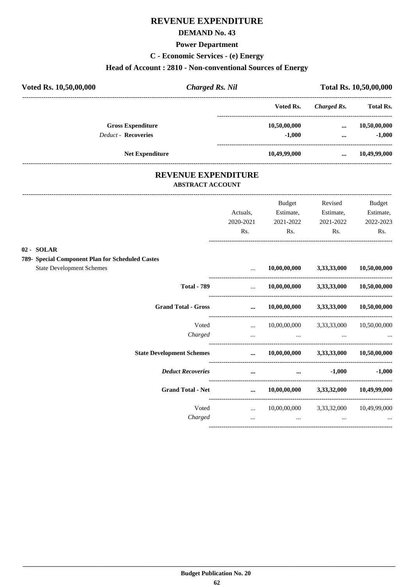## **DEMAND No. 43**

#### **Power Department**

**C - Economic Services - (e) Energy**

# **Head of Account : 2810 - Non-conventional Sources of Energy**

| <b>Charged Rs. Nil</b> |              | Total Rs. 10,50,00,000 |                  |  |
|------------------------|--------------|------------------------|------------------|--|
|                        | Voted Rs.    | Charged Rs.            | <b>Total Rs.</b> |  |
|                        | 10,50,00,000 | $\cdots$               | 10,50,00,000     |  |
|                        | $-1.000$     | $\cdots$               | $-1,000$         |  |
|                        | 10,49,99,000 | $\cdots$               | 10,49,99,000     |  |
|                        |              |                        |                  |  |

# **REVENUE EXPENDITURE**

---------------------------------------------------------------------------------------------------------------------------------------------------------------------------------

#### **ABSTRACT ACCOUNT**

|                                                                                      | Actuals,                      | <b>Budget</b><br>Estimate, | Revised<br>Estimate,     | <b>Budget</b><br>Estimate, |
|--------------------------------------------------------------------------------------|-------------------------------|----------------------------|--------------------------|----------------------------|
|                                                                                      | 2020-2021<br>Rs.              | 2021-2022<br>Rs.           | 2021-2022<br>Rs.         | 2022-2023<br>Rs.           |
| <b>SOLAR</b><br>$02 -$<br><b>Special Component Plan for Scheduled Castes</b><br>789- |                               |                            |                          |                            |
| <b>State Development Schemes</b>                                                     | $\cdots$                      | $10,\!00,\!00,\!000$       | 3,33,33,000              | 10,50,00,000               |
| <b>Total - 789</b>                                                                   | $\mathbf{r}$ and $\mathbf{r}$ | 10,00,00,000               | 3,33,33,000              | 10,50,00,000               |
| <b>Grand Total - Gross</b>                                                           | $\dddotsc$                    | $10,\!00,\!00,\!000$       | 3,33,33,000              | 10,50,00,000               |
| Voted                                                                                | $\mathbf{r}$                  |                            | 10,00,00,000 3,33,33,000 | 10,50,00,000               |
| Charged                                                                              | $\cdots$                      | $\cdots$                   |                          |                            |
| <b>State Development Schemes</b>                                                     | $\cdots$                      | 10,00,00,000               | 3,33,33,000              | 10,50,00,000               |
| <b>Deduct Recoveries</b>                                                             | $\cdots$                      | $\cdots$                   | $-1,000$                 | $-1,000$                   |
| <b>Grand Total - Net</b>                                                             | $\cdots$                      | $10,\!00,\!00,\!000$       |                          | 3,33,32,000 10,49,99,000   |
| Voted<br>Charged                                                                     | $\ddotsc$<br>$\cdots$         | 10,00,00,000<br>$\cdots$   | 3, 33, 32, 000           | 10,49,99,000               |
|                                                                                      |                               |                            |                          |                            |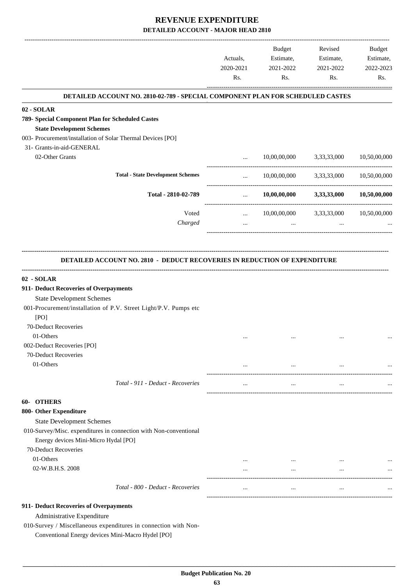|                                                                                  | Actuals,<br>2020-2021 | <b>Budget</b><br>Estimate,<br>2021-2022 | Revised<br>Estimate,<br>2021-2022 | Budget<br>Estimate,<br>2022-2023 |
|----------------------------------------------------------------------------------|-----------------------|-----------------------------------------|-----------------------------------|----------------------------------|
|                                                                                  | Rs.                   | Rs.                                     | Rs.                               | Rs.                              |
| DETAILED ACCOUNT NO. 2810-02-789 - SPECIAL COMPONENT PLAN FOR SCHEDULED CASTES   |                       |                                         |                                   |                                  |
| 02 - SOLAR                                                                       |                       |                                         |                                   |                                  |
| 789- Special Component Plan for Scheduled Castes                                 |                       |                                         |                                   |                                  |
| <b>State Development Schemes</b>                                                 |                       |                                         |                                   |                                  |
| 003- Procurement/installation of Solar Thermal Devices [PO]                      |                       |                                         |                                   |                                  |
| 31- Grants-in-aid-GENERAL                                                        |                       |                                         |                                   |                                  |
| 02-Other Grants                                                                  | $\cdots$              | 10,00,00,000                            | 3,33,33,000                       | 10,50,00,000                     |
| <b>Total - State Development Schemes</b>                                         | $\cdots$              |                                         | 10,00,00,000 3,33,33,000          | 10,50,00,000                     |
| Total - 2810-02-789                                                              | $\cdots$              | 10,00,00,000                            | 3,33,33,000                       | 10,50,00,000                     |
|                                                                                  |                       |                                         |                                   |                                  |
| Voted<br>Charged                                                                 | $\cdots$              | 10,00,00,000<br>$\ddots$                | 3,33,33,000<br>$\cdots$           | 10,50,00,000                     |
|                                                                                  | $\cdots$              |                                         |                                   |                                  |
|                                                                                  |                       |                                         |                                   |                                  |
| <b>DETAILED ACCOUNT NO. 2810 - DEDUCT RECOVERIES IN REDUCTION OF EXPENDITURE</b> |                       |                                         |                                   |                                  |
| 02 - SOLAR                                                                       |                       |                                         |                                   |                                  |
| 911- Deduct Recoveries of Overpayments                                           |                       |                                         |                                   |                                  |
| <b>State Development Schemes</b>                                                 |                       |                                         |                                   |                                  |
| 001-Procurement/installation of P.V. Street Light/P.V. Pumps etc<br>[PO]         |                       |                                         |                                   |                                  |
| 70-Deduct Recoveries                                                             |                       |                                         |                                   |                                  |
| 01-Others                                                                        |                       |                                         |                                   |                                  |
| 002-Deduct Recoveries [PO]                                                       |                       |                                         |                                   |                                  |
| 70-Deduct Recoveries                                                             |                       |                                         |                                   |                                  |
| 01-Others                                                                        | $\cdots$              | $\cdots$                                | $\cdots$                          |                                  |
| Total - 911 - Deduct - Recoveries                                                | $\cdots$              | $\cdots$                                | $\cdots$                          |                                  |
| 60- OTHERS                                                                       |                       |                                         |                                   |                                  |
| 800- Other Expenditure                                                           |                       |                                         |                                   |                                  |
| <b>State Development Schemes</b>                                                 |                       |                                         |                                   |                                  |
| 010-Survey/Misc. expenditures in connection with Non-conventional                |                       |                                         |                                   |                                  |
| Energy devices Mini-Micro Hydal [PO]                                             |                       |                                         |                                   |                                  |
| 70-Deduct Recoveries                                                             |                       |                                         |                                   |                                  |
| 01-Others                                                                        | $\cdots$              | $\cdots$                                | $\cdots$                          |                                  |
| 02-W.B.H.S. 2008                                                                 | $\cdots$              | $\cdots$                                | $\cdots$                          |                                  |
| Total - 800 - Deduct - Recoveries                                                | $\cdots$              | $\cdots$                                | $\cdots$                          |                                  |
| 911- Deduct Recoveries of Overpayments                                           |                       |                                         |                                   |                                  |
| Administrative Expenditure                                                       |                       |                                         |                                   |                                  |
| 010-Survey / Miscellaneous expenditures in connection with Non-                  |                       |                                         |                                   |                                  |
| Conventional Energy devices Mini-Macro Hydel [PO]                                |                       |                                         |                                   |                                  |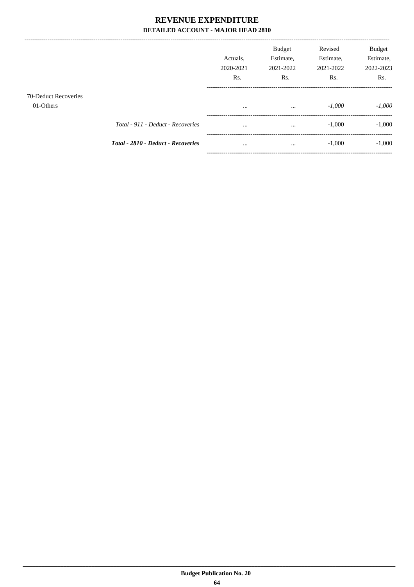---------------------------------

|                                   |                                           | Actuals,<br>2020-2021<br>R <sub>s</sub> . | <b>Budget</b><br>Estimate,<br>2021-2022<br>Rs. | Revised<br>Estimate,<br>2021-2022<br>Rs. | Budget<br>Estimate,<br>2022-2023<br>Rs. |
|-----------------------------------|-------------------------------------------|-------------------------------------------|------------------------------------------------|------------------------------------------|-----------------------------------------|
| 70-Deduct Recoveries<br>01-Others |                                           | $\cdots$                                  | $\cdots$                                       | $-1,000$                                 | $-1,000$                                |
|                                   | Total - 911 - Deduct - Recoveries         | $\cdots$                                  | $\cdots$                                       | $-1,000$                                 | $-1,000$                                |
|                                   | <b>Total - 2810 - Deduct - Recoveries</b> | $\cdots$                                  | $\cdots$                                       | $-1,000$                                 | $-1,000$                                |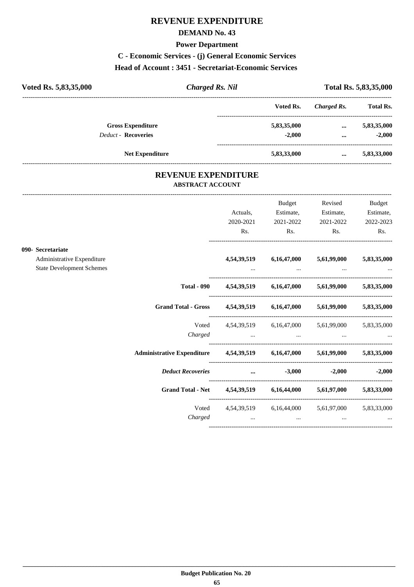## **DEMAND No. 43**

#### **Power Department**

# **C - Economic Services - (j) General Economic Services**

#### **Head of Account : 3451 - Secretariat-Economic Services**

| Voted Rs. 5,83,35,000      | <b>Charged Rs. Nil</b> |             | Total Rs. 5,83,35,000 |                  |  |
|----------------------------|------------------------|-------------|-----------------------|------------------|--|
|                            |                        | Voted Rs.   | Charged Rs.           | <b>Total Rs.</b> |  |
| <b>Gross Expenditure</b>   |                        | 5,83,35,000 | $\cdots$              | 5,83,35,000      |  |
| <b>Deduct - Recoveries</b> |                        | $-2.000$    | $\cdots$              | $-2.000$         |  |
| <b>Net Expenditure</b>     |                        | 5,83,33,000 | $\cdots$              | 5,83,33,000      |  |

## **REVENUE EXPENDITURE ABSTRACT ACCOUNT**

---------------------------------------------------------------------------------------------------------------------------------------------------------------------------------

|                                                                |                                                                                | Actuals,<br>2020-2021                   | <b>Budget</b><br>Estimate,<br>2021-2022 | Revised<br>Estimate,<br>2021-2022                     | Budget<br>Estimate,<br>2022-2023 |
|----------------------------------------------------------------|--------------------------------------------------------------------------------|-----------------------------------------|-----------------------------------------|-------------------------------------------------------|----------------------------------|
| 090- Secretariate                                              |                                                                                | Rs.                                     | Rs.                                     | Rs.                                                   | Rs.                              |
| Administrative Expenditure<br><b>State Development Schemes</b> |                                                                                | 4,54,39,519                             |                                         | 6,16,47,000 5,61,99,000                               | 5,83,35,000                      |
|                                                                | <b>Total - 090</b>                                                             |                                         |                                         | 4,54,39,519 6,16,47,000 5,61,99,000 5,83,35,000       |                                  |
|                                                                | <b>Grand Total - Gross</b>                                                     |                                         |                                         | 4,54,39,519 6,16,47,000 5,61,99,000 5,83,35,000       |                                  |
|                                                                | Charged                                                                        |                                         |                                         | Voted 4,54,39,519 6,16,47,000 5,61,99,000 5,83,35,000 |                                  |
|                                                                | Administrative Expenditure  4,54,39,519  6,16,47,000  5,61,99,000  5,83,35,000 |                                         |                                         |                                                       |                                  |
|                                                                | <b>Deduct Recoveries</b>                                                       | and the contract of the contract of the | $-3,000$                                |                                                       | $-2,000$ $-2,000$                |
|                                                                | Grand Total - Net 4,54,39,519 6,16,44,000 5,61,97,000 5,83,33,000              |                                         |                                         |                                                       |                                  |
|                                                                | Voted<br>Charged                                                               |                                         | $\cdots$                                | 4,54,39,519 6,16,44,000 5,61,97,000 5,83,33,000       |                                  |
|                                                                |                                                                                |                                         |                                         |                                                       |                                  |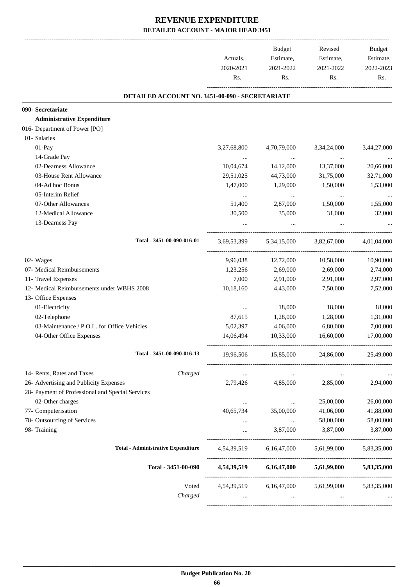|                                                  | Actuals,    | Budget<br>Estimate,     | Revised<br>Estimate, | Budget<br>Estimate, |
|--------------------------------------------------|-------------|-------------------------|----------------------|---------------------|
|                                                  | 2020-2021   | 2021-2022               | 2021-2022            | 2022-2023           |
|                                                  | Rs.         | Rs.                     | Rs.                  | Rs.                 |
| DETAILED ACCOUNT NO. 3451-00-090 - SECRETARIATE  |             |                         |                      |                     |
| 090- Secretariate                                |             |                         |                      |                     |
| <b>Administrative Expenditure</b>                |             |                         |                      |                     |
| 016- Department of Power [PO]                    |             |                         |                      |                     |
| 01- Salaries                                     |             |                         |                      |                     |
| 01-Pay                                           | 3,27,68,800 | 4,70,79,000             | 3,34,24,000          | 3,44,27,000         |
| 14-Grade Pay                                     | $\cdots$    | $\ldots$                |                      |                     |
| 02-Dearness Allowance                            | 10,04,674   | 14,12,000               | 13,37,000            | 20,66,000           |
| 03-House Rent Allowance                          | 29,51,025   | 44,73,000               | 31,75,000            | 32,71,000           |
| 04-Ad hoc Bonus                                  | 1,47,000    | 1,29,000                | 1,50,000             | 1,53,000            |
| 05-Interim Relief                                | $\ldots$    | $\cdots$                | $\cdots$             |                     |
| 07-Other Allowances                              | 51,400      | 2,87,000                | 1,50,000             | 1,55,000            |
| 12-Medical Allowance                             | 30,500      | 35,000                  | 31,000               | 32,000              |
| 13-Dearness Pay                                  |             |                         |                      |                     |
| Total - 3451-00-090-016-01                       | 3,69,53,399 | 5,34,15,000             | 3,82,67,000          | 4,01,04,000         |
| 02- Wages                                        | 9,96,038    | 12,72,000               | 10,58,000            | 10,90,000           |
| 07- Medical Reimbursements                       | 1,23,256    | 2,69,000                | 2,69,000             | 2,74,000            |
| 11- Travel Expenses                              | 7,000       | 2,91,000                | 2,91,000             | 2,97,000            |
| 12- Medical Reimbursements under WBHS 2008       | 10,18,160   | 4,43,000                | 7,50,000             | 7,52,000            |
| 13- Office Expenses                              |             |                         |                      |                     |
| 01-Electricity                                   | $\cdots$    | 18,000                  | 18,000               | 18,000              |
| 02-Telephone                                     | 87,615      | 1,28,000                | 1,28,000             | 1,31,000            |
| 03-Maintenance / P.O.L. for Office Vehicles      | 5,02,397    | 4,06,000                | 6,80,000             | 7,00,000            |
| 04-Other Office Expenses                         | 14,06,494   | 10,33,000               | 16,60,000            | 17,00,000           |
| Total - 3451-00-090-016-13                       | 19,96,506   | 15,85,000               | 24,86,000            | 25,49,000           |
| 14- Rents, Rates and Taxes<br>Charged            |             |                         |                      |                     |
| 26- Advertising and Publicity Expenses           | 2,79,426    | 4,85,000                | 2,85,000             | 2,94,000            |
| 28- Payment of Professional and Special Services |             |                         |                      |                     |
| 02-Other charges                                 | $\cdots$    | $\ldots$                | 25,00,000            | 26,00,000           |
| 77- Computerisation                              | 40,65,734   | 35,00,000               | 41,06,000            | 41,88,000           |
| 78- Outsourcing of Services                      |             | $\cdots$                | 58,00,000            | 58,00,000           |
| 98- Training                                     | $\cdots$    | 3,87,000                | 3,87,000             | 3,87,000            |
| <b>Total - Administrative Expenditure</b>        |             | 4,54,39,519 6,16,47,000 | 5,61,99,000          | 5,83,35,000         |
| Total - 3451-00-090                              | 4,54,39,519 | 6,16,47,000             | 5,61,99,000          | 5,83,35,000         |
| Voted                                            |             | 4,54,39,519 6,16,47,000 | 5,61,99,000          | 5,83,35,000         |
| Charged                                          |             |                         |                      |                     |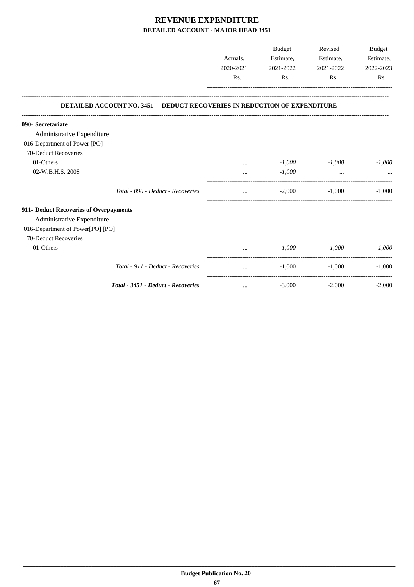|                                        |                                                                                  | Actuals,<br>2020-2021 | Budget<br>Estimate,<br>2021-2022 | Revised<br>Estimate,<br>2021-2022 | <b>Budget</b><br>Estimate,<br>2022-2023 |
|----------------------------------------|----------------------------------------------------------------------------------|-----------------------|----------------------------------|-----------------------------------|-----------------------------------------|
|                                        |                                                                                  | Rs.                   | Rs.                              | Rs.                               | Rs.                                     |
|                                        | <b>DETAILED ACCOUNT NO. 3451 - DEDUCT RECOVERIES IN REDUCTION OF EXPENDITURE</b> |                       |                                  |                                   |                                         |
| 090- Secretariate                      |                                                                                  |                       |                                  |                                   |                                         |
| Administrative Expenditure             |                                                                                  |                       |                                  |                                   |                                         |
| 016-Department of Power [PO]           |                                                                                  |                       |                                  |                                   |                                         |
| 70-Deduct Recoveries                   |                                                                                  |                       |                                  |                                   |                                         |
| 01-Others                              |                                                                                  | $\cdots$              | $-1,000$                         | $-1,000$                          | $-1,000$                                |
| 02-W.B.H.S. 2008                       |                                                                                  |                       | $-1,000$                         | $\ddotsc$                         |                                         |
|                                        | Total - 090 - Deduct - Recoveries                                                |                       | $-2.000$                         | $-1,000$                          | $-1.000$                                |
| 911- Deduct Recoveries of Overpayments |                                                                                  |                       |                                  |                                   |                                         |
| Administrative Expenditure             |                                                                                  |                       |                                  |                                   |                                         |
| 016-Department of Power[PO] [PO]       |                                                                                  |                       |                                  |                                   |                                         |
| 70-Deduct Recoveries                   |                                                                                  |                       |                                  |                                   |                                         |
| 01-Others                              |                                                                                  |                       | $-1,000$                         | $-1,000$                          | $-1,000$                                |
|                                        | Total - 911 - Deduct - Recoveries                                                | $\cdots$              | $-1,000$                         | $-1,000$                          | $-1,000$                                |
|                                        | <b>Total - 3451 - Deduct - Recoveries</b>                                        | $\cdots$              | $-3,000$                         | $-2,000$                          | $-2,000$                                |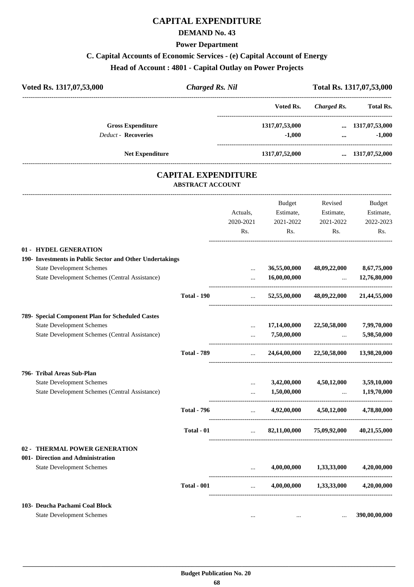# **CAPITAL EXPENDITURE**

## **DEMAND No. 43**

#### **Power Department**

# **C. Capital Accounts of Economic Services - (e) Capital Account of Energy**

#### **Head of Account : 4801 - Capital Outlay on Power Projects**

| Voted Rs. 1317,07,53,000                                 | <b>Charged Rs. Nil</b>                                |           |                |                    | Total Rs. 1317,07,53,000 |
|----------------------------------------------------------|-------------------------------------------------------|-----------|----------------|--------------------|--------------------------|
|                                                          |                                                       |           | Voted Rs.      | <b>Charged Rs.</b> | <b>Total Rs.</b>         |
| <b>Gross Expenditure</b>                                 |                                                       |           | 1317,07,53,000 | $\cdots$           | 1317,07,53,000           |
| <b>Deduct - Recoveries</b>                               |                                                       |           | $-1,000$       | $\ddotsc$          | $-1,000$                 |
| <b>Net Expenditure</b>                                   |                                                       |           | 1317,07,52,000 |                    | $\dots$ 1317,07,52,000   |
|                                                          | <b>CAPITAL EXPENDITURE</b><br><b>ABSTRACT ACCOUNT</b> |           |                |                    |                          |
|                                                          |                                                       |           | <b>Budget</b>  | Revised            | <b>Budget</b>            |
|                                                          |                                                       | Actuals,  | Estimate,      | Estimate,          | Estimate,                |
|                                                          |                                                       | 2020-2021 | 2021-2022      | 2021-2022          | 2022-2023                |
|                                                          |                                                       | Rs.       | Rs.            | Rs.                | Rs.                      |
| 01 - HYDEL GENERATION                                    |                                                       |           |                |                    |                          |
| 190- Investments in Public Sector and Other Undertakings |                                                       |           |                |                    |                          |
| <b>State Development Schemes</b>                         |                                                       | $\cdots$  | 36,55,00,000   | 48,09,22,000       | 8,67,75,000              |
| State Development Schemes (Central Assistance)           |                                                       |           | 16,00,00,000   | $\cdots$           | 12,76,80,000             |
|                                                          | <b>Total - 190</b>                                    | $\cdots$  | 52,55,00,000   | 48,09,22,000       | 21,44,55,000             |

| 789-   | <b>Special Component Plan for Scheduled Castes</b>    |                    |          |              |              |              |
|--------|-------------------------------------------------------|--------------------|----------|--------------|--------------|--------------|
|        | <b>State Development Schemes</b>                      |                    |          | 17,14,00,000 | 22,50,58,000 | 7,99,70,000  |
|        | <b>State Development Schemes (Central Assistance)</b> |                    | $\cdots$ | 7,50,00,000  |              | 5,98,50,000  |
|        |                                                       | <b>Total - 789</b> | $\cdots$ | 24,64,00,000 | 22,50,58,000 | 13,98,20,000 |
|        | 796- Tribal Areas Sub-Plan                            |                    |          |              |              |              |
|        | <b>State Development Schemes</b>                      |                    | $\cdots$ | 3,42,00,000  | 4,50,12,000  | 3,59,10,000  |
|        | State Development Schemes (Central Assistance)        |                    |          | 1,50,00,000  |              | 1,19,70,000  |
|        |                                                       | <b>Total - 796</b> | $\cdots$ | 4,92,00,000  | 4,50,12,000  | 4,78,80,000  |
|        |                                                       | Total - 01         | $\cdots$ | 82,11,00,000 | 75,09,92,000 | 40,21,55,000 |
| $02 -$ | <b>THERMAL POWER GENERATION</b>                       |                    |          |              |              |              |
|        | 001- Direction and Administration                     |                    |          |              |              |              |
|        | <b>State Development Schemes</b>                      |                    |          | 4,00,00,000  | 1,33,33,000  | 4,20,00,000  |
|        |                                                       | <b>Total - 001</b> | $\cdots$ | 4,00,00,000  | 1,33,33,000  | 4,20,00,000  |
|        |                                                       |                    |          |              |              |              |

#### **103- Deucha Pachami Coal Block**

State Development Schemes ... **390,00,00,000** ... **390,00,00,000** ... **390,00,000**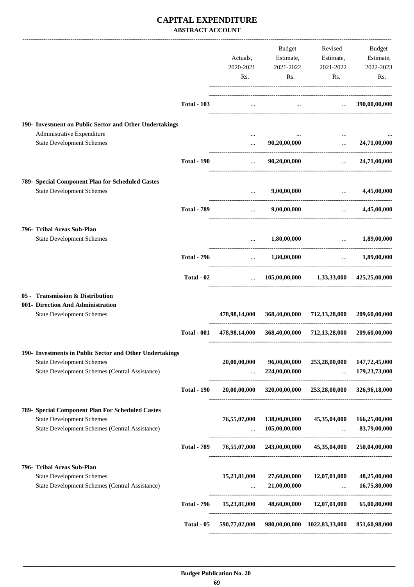## **CAPITAL EXPENDITURE ABSTRACT ACCOUNT**

|                                                                       |                    | Actuals,<br>2020-2021<br>Rs.             | Budget<br>Estimate,<br>2021-2022<br>Rs. | Revised<br>Estimate,<br>2021-2022<br>Rs.                                                                                                                                                                                                                                     | Budget<br>Estimate,<br>2022-2023<br>Rs. |
|-----------------------------------------------------------------------|--------------------|------------------------------------------|-----------------------------------------|------------------------------------------------------------------------------------------------------------------------------------------------------------------------------------------------------------------------------------------------------------------------------|-----------------------------------------|
|                                                                       |                    |                                          |                                         |                                                                                                                                                                                                                                                                              |                                         |
|                                                                       | <b>Total - 103</b> | $\cdots$                                 |                                         | $\ldots$ 390,00,00,000                                                                                                                                                                                                                                                       |                                         |
| 190- Investment on Public Sector and Other Undertakings               |                    |                                          |                                         |                                                                                                                                                                                                                                                                              |                                         |
| Administrative Expenditure                                            |                    | $\cdots$                                 |                                         |                                                                                                                                                                                                                                                                              |                                         |
| <b>State Development Schemes</b>                                      |                    | $\cdots$                                 | 90,20,00,000                            | $\cdots$                                                                                                                                                                                                                                                                     | 24,71,00,000                            |
|                                                                       | <b>Total - 190</b> | $\cdots$                                 | 90,20,00,000                            | $\ddotsc$                                                                                                                                                                                                                                                                    | 24,71,00,000                            |
| 789- Special Component Plan for Scheduled Castes                      |                    |                                          |                                         |                                                                                                                                                                                                                                                                              |                                         |
| <b>State Development Schemes</b>                                      |                    | $\cdots$<br>---------------------------- | 9,00,00,000                             | <u>and the company of the company of the company of the company of the company of the company of the company of the company of the company of the company of the company of the company of the company of the company of the com</u><br>------------------------------------ | 4,45,00,000                             |
|                                                                       | <b>Total - 789</b> |                                          | $\ldots$ 9,00,00,000                    | and the control and the                                                                                                                                                                                                                                                      | 4,45,00,000                             |
| 796- Tribal Areas Sub-Plan                                            |                    |                                          |                                         |                                                                                                                                                                                                                                                                              |                                         |
| <b>State Development Schemes</b>                                      |                    |                                          | $\dots$ 1,80,00,000                     | $\ldots$ 1,89,00,000                                                                                                                                                                                                                                                         |                                         |
|                                                                       | <b>Total - 796</b> | <b>Sales Control</b>                     | 1,80,00,000                             |                                                                                                                                                                                                                                                                              | $\dots$ 1,89,00,000                     |
|                                                                       | Total - 02         |                                          |                                         | $105,00,00,000$ $1,33,33,000$ $425,25,00,000$                                                                                                                                                                                                                                |                                         |
| 05 - Transmission & Distribution                                      |                    |                                          |                                         |                                                                                                                                                                                                                                                                              |                                         |
| 001- Direction And Administration<br><b>State Development Schemes</b> |                    | 478,98,14,000                            |                                         | 368,40,00,000 712,13,28,000                                                                                                                                                                                                                                                  | 209,60,00,000                           |
|                                                                       |                    |                                          |                                         |                                                                                                                                                                                                                                                                              |                                         |
|                                                                       | <b>Total - 001</b> |                                          |                                         | 478,98,14,000 368,40,00,000 712,13,28,000                                                                                                                                                                                                                                    | 209,60,00,000                           |
| 190- Investments in Public Sector and Other Undertakings              |                    |                                          |                                         |                                                                                                                                                                                                                                                                              |                                         |
| <b>State Development Schemes</b>                                      |                    | 20,00,00,000                             | 96,00,00,000                            | 253,28,00,000                                                                                                                                                                                                                                                                | 147,72,45,000                           |
| State Development Schemes (Central Assistance)                        |                    | $\cdots$                                 | 224,00,00,000                           | $\cdots$                                                                                                                                                                                                                                                                     | 179,23,73,000                           |
|                                                                       | <b>Total - 190</b> | 20,00,00,000                             | 320,00,00,000                           | 253,28,00,000                                                                                                                                                                                                                                                                | 326,96,18,000                           |
| 789- Special Component Plan For Scheduled Castes                      |                    |                                          |                                         |                                                                                                                                                                                                                                                                              |                                         |
| <b>State Development Schemes</b>                                      |                    | 76,55,07,000                             | 138,00,00,000                           | 45,35,04,000                                                                                                                                                                                                                                                                 | 166,25,00,000                           |
| State Development Schemes (Central Assistance)                        |                    | $\cdots$                                 | 105,00,00,000                           | $\cdots$<br>---------------------                                                                                                                                                                                                                                            | 83,79,00,000                            |
|                                                                       | <b>Total - 789</b> |                                          | 76,55,07,000 243,00,00,000              | 45,35,04,000                                                                                                                                                                                                                                                                 | 250,04,00,000                           |
| 796- Tribal Areas Sub-Plan                                            |                    |                                          |                                         |                                                                                                                                                                                                                                                                              |                                         |
| <b>State Development Schemes</b>                                      |                    | 15,23,81,000                             | 27,60,00,000                            | 12,07,01,000                                                                                                                                                                                                                                                                 | 48,25,00,000                            |
| State Development Schemes (Central Assistance)                        |                    | $\cdots$                                 | 21,00,00,000                            | $\ddots$<br>---------------------                                                                                                                                                                                                                                            | 16,75,80,000                            |
|                                                                       | <b>Total - 796</b> | 15,23,81,000                             | 48,60,00,000                            | 12,07,01,000                                                                                                                                                                                                                                                                 | 65,00,80,000                            |
|                                                                       | Total - 05         | 590,77,02,000                            |                                         | 980,00,00,000 1022,83,33,000                                                                                                                                                                                                                                                 | 851,60,98,000                           |
|                                                                       |                    |                                          |                                         |                                                                                                                                                                                                                                                                              |                                         |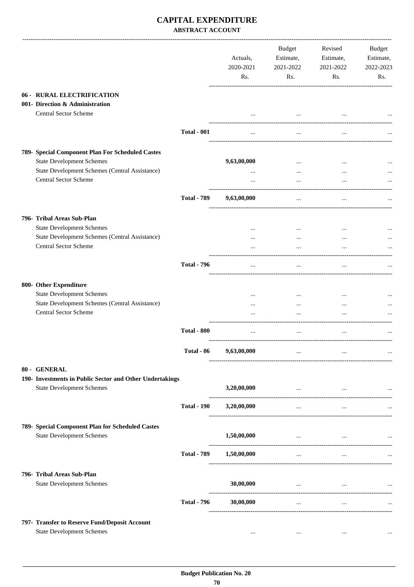### **CAPITAL EXPENDITURE ABSTRACT ACCOUNT**

|                                                                                                                                        |                    | Actuals,<br>2020-2021<br>Rs. | <b>Budget</b><br>Estimate,<br>2021-2022<br>Rs. | Revised<br>Estimate,<br>2021-2022<br>Rs.            | Budget<br>Estimate,<br>2022-2023<br>Rs. |
|----------------------------------------------------------------------------------------------------------------------------------------|--------------------|------------------------------|------------------------------------------------|-----------------------------------------------------|-----------------------------------------|
| 06 - RURAL ELECTRIFICATION<br>001- Direction & Administration<br><b>Central Sector Scheme</b>                                          |                    |                              |                                                |                                                     |                                         |
|                                                                                                                                        | <b>Total - 001</b> | $\cdots$                     | $\cdots$                                       | $\cdots$                                            |                                         |
| 789- Special Component Plan For Scheduled Castes<br><b>State Development Schemes</b><br>State Development Schemes (Central Assistance) |                    | 9,63,00,000<br>$\cdots$      | $\cdots$<br>$\cdots$                           | $\cdots$                                            |                                         |
| <b>Central Sector Scheme</b>                                                                                                           |                    | $\cdots$                     | $\cdots$                                       |                                                     |                                         |
|                                                                                                                                        | <b>Total - 789</b> | 9,63,00,000                  | $\cdots$                                       | $\cdots$                                            |                                         |
| 796- Tribal Areas Sub-Plan                                                                                                             |                    |                              |                                                |                                                     |                                         |
| <b>State Development Schemes</b><br>State Development Schemes (Central Assistance)                                                     |                    |                              | $\cdots$<br>$\cdots$                           | $\cdots$                                            |                                         |
| <b>Central Sector Scheme</b>                                                                                                           |                    |                              |                                                |                                                     |                                         |
|                                                                                                                                        | <b>Total - 796</b> | $\cdots$                     | $\cdots$                                       |                                                     |                                         |
| 800- Other Expenditure                                                                                                                 |                    |                              |                                                |                                                     |                                         |
| <b>State Development Schemes</b><br>State Development Schemes (Central Assistance)                                                     |                    | <br>$\cdots$                 | <br>$\cdots$                                   | $\cdots$<br>$\cdots$                                |                                         |
| <b>Central Sector Scheme</b>                                                                                                           |                    |                              | $\cdots$                                       | $\ddotsc$                                           |                                         |
|                                                                                                                                        | <b>Total - 800</b> | $\cdots$                     | $\cdots$                                       |                                                     |                                         |
|                                                                                                                                        | Total - 06         | 9,63,00,000                  | $\cdots$                                       | $\cdots$                                            |                                         |
| 80 - GENERAL                                                                                                                           |                    |                              |                                                |                                                     |                                         |
| 190- Investments in Public Sector and Other Undertakings<br><b>State Development Schemes</b>                                           |                    | 3,20,00,000                  | and the contract of the contract of            | $\cdots$                                            | $\ddots$                                |
|                                                                                                                                        | <b>Total - 190</b> | 3,20,00,000                  | $\cdots$                                       | $\cdots$                                            |                                         |
| 789- Special Component Plan for Scheduled Castes                                                                                       |                    |                              |                                                |                                                     |                                         |
| <b>State Development Schemes</b>                                                                                                       |                    | 1,50,00,000                  |                                                | the contract of the contract of the contract of the | $\cdots$                                |
|                                                                                                                                        | <b>Total - 789</b> | 1,50,00,000                  | $\cdots$                                       | $\cdots$                                            |                                         |
| 796- Tribal Areas Sub-Plan                                                                                                             |                    |                              |                                                |                                                     |                                         |
| <b>State Development Schemes</b>                                                                                                       |                    | 30,00,000                    | <b>Contract Contract</b>                       | $\cdots$                                            |                                         |
|                                                                                                                                        | <b>Total - 796</b> | 30,00,000                    | $\cdots$                                       | $\ldots$                                            |                                         |
| 797- Transfer to Reserve Fund/Deposit Account                                                                                          |                    |                              |                                                |                                                     |                                         |
| <b>State Development Schemes</b>                                                                                                       |                    | $\cdots$                     | $\cdots$                                       | $\cdots$                                            |                                         |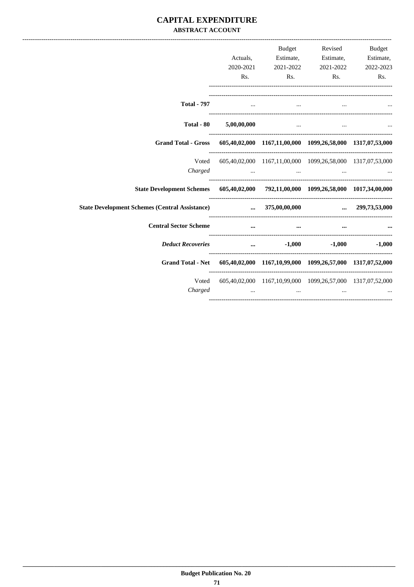### **CAPITAL EXPENDITURE ABSTRACT ACCOUNT**

|                                                                                     |                                                                                                                                                                                                                                      |                                                                                                                                                                               | Budget Revised Budget                                                                                                                                                                                                                        |                       |
|-------------------------------------------------------------------------------------|--------------------------------------------------------------------------------------------------------------------------------------------------------------------------------------------------------------------------------------|-------------------------------------------------------------------------------------------------------------------------------------------------------------------------------|----------------------------------------------------------------------------------------------------------------------------------------------------------------------------------------------------------------------------------------------|-----------------------|
|                                                                                     | Actuals,                                                                                                                                                                                                                             |                                                                                                                                                                               | Estimate, Estimate, Estimate,                                                                                                                                                                                                                |                       |
|                                                                                     | 2020-2021                                                                                                                                                                                                                            |                                                                                                                                                                               | 2021-2022 2021-2022                                                                                                                                                                                                                          | 2022-2023             |
|                                                                                     | Rs.                                                                                                                                                                                                                                  |                                                                                                                                                                               | Rs.                                                                                                                                                                                                                                          | $\mathbf{Rs.}$<br>Rs. |
| <b>Total - 797</b>                                                                  |                                                                                                                                                                                                                                      | $\mathbf{r}$                                                                                                                                                                  | $\cdots$ . The contract of the contract of the contract of the contract of the contract of the contract of the contract of the contract of the contract of the contract of the contract of the contract of the contract of the c<br>$\cdots$ |                       |
|                                                                                     | Total - $80$ $5,00,00,000$                                                                                                                                                                                                           |                                                                                                                                                                               | the contract of the contract of the contract of the contract of the contract of                                                                                                                                                              |                       |
| Grand Total - Gross 605,40,02,000 1167,11,00,000 1099,26,58,000 1317,07,53,000      |                                                                                                                                                                                                                                      |                                                                                                                                                                               |                                                                                                                                                                                                                                              |                       |
| Voted                                                                               |                                                                                                                                                                                                                                      | 605,40,02,000 1167,11,00,000 1099,26,58,000 1317,07,53,000                                                                                                                    |                                                                                                                                                                                                                                              |                       |
|                                                                                     |                                                                                                                                                                                                                                      | $Charged$ $\dots$ $\dots$ $\dots$ $\dots$                                                                                                                                     |                                                                                                                                                                                                                                              |                       |
| State Development Schemes 605,40,02,000 792,11,00,000 1099,26,58,000 1017,34,00,000 |                                                                                                                                                                                                                                      |                                                                                                                                                                               |                                                                                                                                                                                                                                              |                       |
|                                                                                     |                                                                                                                                                                                                                                      |                                                                                                                                                                               |                                                                                                                                                                                                                                              |                       |
| <b>Central Sector Scheme</b>                                                        |                                                                                                                                                                                                                                      |                                                                                                                                                                               |                                                                                                                                                                                                                                              |                       |
| <b>Deduct Recoveries</b>                                                            |                                                                                                                                                                                                                                      | $\dots$ $-1,000$                                                                                                                                                              |                                                                                                                                                                                                                                              | $-1,000$ $-1,000$     |
| Grand Total - Net 605,40,02,000 1167,10,99,000 1099,26,57,000 1317,07,52,000        |                                                                                                                                                                                                                                      |                                                                                                                                                                               |                                                                                                                                                                                                                                              |                       |
| Voted<br>Charged                                                                    | <u>and the community of the community of the community of the community of the community of the community of the community of the community of the community of the community of the community of the community of the community</u> | 605,40,02,000 1167,10,99,000 1099,26,57,000 1317,07,52,000<br>the contract of the contract of the contract of the contract of the contract of the contract of the contract of | $\cdots$                                                                                                                                                                                                                                     |                       |
|                                                                                     |                                                                                                                                                                                                                                      |                                                                                                                                                                               |                                                                                                                                                                                                                                              |                       |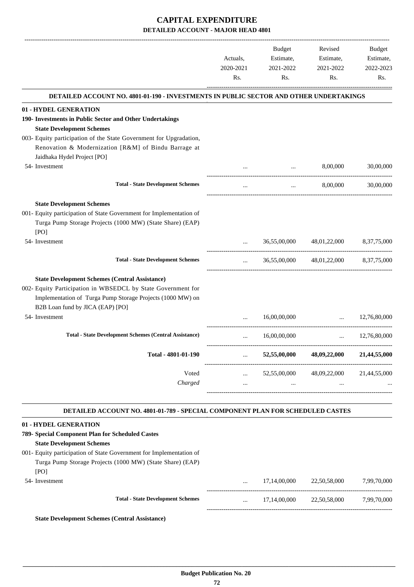|   | DETAILED ACCOUNT NO. 4801-01-190 - INVESTMENTS IN PUBLIC SECTOR AND OTHER UNDERTAKINGS |                  |                                                                                                                                                                                          |
|---|----------------------------------------------------------------------------------------|------------------|------------------------------------------------------------------------------------------------------------------------------------------------------------------------------------------|
|   |                                                                                        |                  |                                                                                                                                                                                          |
|   |                                                                                        |                  |                                                                                                                                                                                          |
|   |                                                                                        |                  |                                                                                                                                                                                          |
|   |                                                                                        |                  |                                                                                                                                                                                          |
|   |                                                                                        | 8,00,000         | 30,00,000                                                                                                                                                                                |
|   | $\cdots$                                                                               | 8,00,000         | 30,00,000                                                                                                                                                                                |
|   |                                                                                        |                  |                                                                                                                                                                                          |
|   | 36,55,00,000                                                                           | 48,01,22,000     | 8, 37, 75, 000                                                                                                                                                                           |
|   |                                                                                        |                  |                                                                                                                                                                                          |
|   |                                                                                        |                  |                                                                                                                                                                                          |
|   | 16,00,00,000                                                                           |                  | 12,76,80,000                                                                                                                                                                             |
|   | 16,00,00,000                                                                           |                  | 12,76,80,000                                                                                                                                                                             |
|   | 52,55,00,000                                                                           | 48,09,22,000     | 21,44,55,000                                                                                                                                                                             |
| . | 52,55,00,000<br>                                                                       | 48,09,22,000<br> | 21,44,55,000                                                                                                                                                                             |
|   |                                                                                        |                  |                                                                                                                                                                                          |
|   |                                                                                        |                  | 36,55,00,000 48,01,22,000 8,37,75,000<br>$\mathbf{r}$ , and the state of $\mathbf{r}$<br>and the state<br>DETAILED ACCOUNT NO. 4801-01-789 - SPECIAL COMPONENT PLAN FOR SCHEDULED CASTES |

| 789- Special Component Plan for Scheduled Castes                    |          |              |              |             |
|---------------------------------------------------------------------|----------|--------------|--------------|-------------|
| <b>State Development Schemes</b>                                    |          |              |              |             |
| 001- Equity participation of State Government for Implementation of |          |              |              |             |
| Turga Pump Storage Projects (1000 MW) (State Share) (EAP)           |          |              |              |             |
| [PO]                                                                |          |              |              |             |
| 54- Investment                                                      | $\cdots$ | 17,14,00,000 | 22,50,58,000 | 7.99.70.000 |
| <b>Total - State Development Schemes</b>                            | $\cdots$ | 17,14,00,000 | 22,50,58,000 | 7.99.70.000 |
| <b>State Development Schemes (Central Assistance)</b>               |          |              |              |             |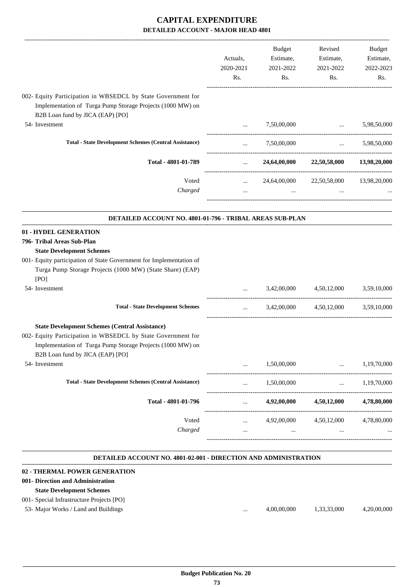|                                                                                                                                                                                                                         | Actuals,<br>2020-2021<br>Rs.                   | Budget<br>Estimate,<br>2021-2022                                                                                    |                                                                                               | Revised<br>Estimate,<br>2021-2022 | Budget<br>Estimate,<br>2022-2023 |
|-------------------------------------------------------------------------------------------------------------------------------------------------------------------------------------------------------------------------|------------------------------------------------|---------------------------------------------------------------------------------------------------------------------|-----------------------------------------------------------------------------------------------|-----------------------------------|----------------------------------|
|                                                                                                                                                                                                                         |                                                | Rs.                                                                                                                 | Rs.                                                                                           | Rs.                               |                                  |
| 002- Equity Participation in WBSEDCL by State Government for<br>Implementation of Turga Pump Storage Projects (1000 MW) on<br>B2B Loan fund by JICA (EAP) [PO]                                                          |                                                |                                                                                                                     |                                                                                               |                                   |                                  |
| 54- Investment                                                                                                                                                                                                          | $\ddotsc$                                      | 7,50,00,000                                                                                                         | <b><i>Committee Committee States and States</i></b><br>-------------------------------------- | 5,98,50,000                       |                                  |
| <b>Total - State Development Schemes (Central Assistance)</b>                                                                                                                                                           |                                                |                                                                                                                     | $7,50,00,000$ $5,98,50,000$                                                                   |                                   |                                  |
| Total - 4801-01-789                                                                                                                                                                                                     | $\mathbf{m}$                                   |                                                                                                                     | 24,64,00,000 22,50,58,000 13,98,20,000                                                        |                                   |                                  |
| Voted                                                                                                                                                                                                                   | <b>Sales Control</b>                           |                                                                                                                     | 24,64,00,000 22,50,58,000 13,98,20,000                                                        |                                   |                                  |
| Charged                                                                                                                                                                                                                 | $\mathbf{1}$ and $\mathbf{1}$ and $\mathbf{1}$ | and the contract of the contract of the contract of the contract of the contract of the contract of the contract of | <b>Contract</b>                                                                               |                                   |                                  |
| DETAILED ACCOUNT NO. 4801-01-796 - TRIBAL AREAS SUB-PLAN                                                                                                                                                                |                                                |                                                                                                                     |                                                                                               |                                   |                                  |
| 01 - HYDEL GENERATION<br>796- Tribal Areas Sub-Plan<br><b>State Development Schemes</b>                                                                                                                                 |                                                |                                                                                                                     |                                                                                               |                                   |                                  |
| 001- Equity participation of State Government for Implementation of<br>Turga Pump Storage Projects (1000 MW) (State Share) (EAP)<br>[PO]                                                                                |                                                |                                                                                                                     |                                                                                               |                                   |                                  |
| 54- Investment                                                                                                                                                                                                          | $\cdots$                                       |                                                                                                                     | 3,42,00,000 4,50,12,000                                                                       | 3,59,10,000                       |                                  |
| <b>Total - State Development Schemes</b>                                                                                                                                                                                |                                                |                                                                                                                     | $3,42,00,000$ $4,50,12,000$ $3,59,10,000$                                                     |                                   |                                  |
| <b>State Development Schemes (Central Assistance)</b><br>002- Equity Participation in WBSEDCL by State Government for<br>Implementation of Turga Pump Storage Projects (1000 MW) on<br>B2B Loan fund by JICA (EAP) [PO] |                                                |                                                                                                                     |                                                                                               |                                   |                                  |
| 54- Investment                                                                                                                                                                                                          |                                                | 1,50,00,000                                                                                                         | $\cdots$                                                                                      | 1,19,70,000                       |                                  |
| <b>Total - State Development Schemes (Central Assistance)</b>                                                                                                                                                           | $\cdots$                                       | 1,50,00,000                                                                                                         | $\cdots$                                                                                      | 1,19,70,000                       |                                  |
| Total - 4801-01-796                                                                                                                                                                                                     | $\cdots$                                       | 4,92,00,000                                                                                                         | 4,50,12,000                                                                                   | 4,78,80,000                       |                                  |
| Voted<br>Charged                                                                                                                                                                                                        | $\cdots$<br>                                   | 4,92,00,000                                                                                                         | 4,50,12,000                                                                                   | 4,78,80,000                       |                                  |

#### **DETAILED ACCOUNT NO. 4801-02-001 - DIRECTION AND ADMINISTRATION .**

.

| 02 - THERMAL POWER GENERATION              |          |             |             |             |
|--------------------------------------------|----------|-------------|-------------|-------------|
| 001- Direction and Administration          |          |             |             |             |
| <b>State Development Schemes</b>           |          |             |             |             |
| 001 - Special Infrastructure Projects [PO] |          |             |             |             |
| 53- Major Works / Land and Buildings       | $\cdots$ | 4,00,00,000 | 1,33,33,000 | 4,20,00,000 |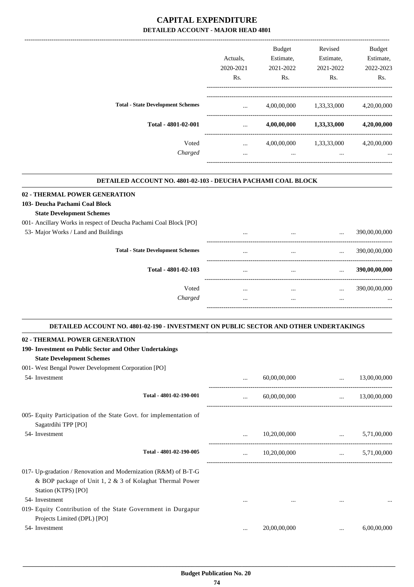|                                          | Actuals.<br>2020-2021<br>Rs. | <b>Budget</b><br>Estimate,<br>2021-2022<br>Rs. | Revised<br>Estimate,<br>2021-2022<br>Rs. | <b>Budget</b><br>Estimate,<br>2022-2023<br>Rs. |
|------------------------------------------|------------------------------|------------------------------------------------|------------------------------------------|------------------------------------------------|
| <b>Total - State Development Schemes</b> | $\cdots$                     | 4,00,00,000                                    | 1,33,33,000                              | 4,20,00,000                                    |
| Total - 4801-02-001                      | $\cdots$                     | 4,00,00,000                                    | 1,33,33,000                              | 4,20,00,000                                    |
| Voted<br>Charged                         | $\cdots$<br>$\cdots$         | 4,00,00,000<br>$\cdots$                        | 1,33,33,000<br>$\cdots$                  | 4,20,00,000<br>$\cdots$                        |
|                                          |                              |                                                |                                          |                                                |

-------------------------------------------------------------------------------------------------------------------------------------------------------------------------------

#### **DETAILED ACCOUNT NO. 4801-02-103 - DEUCHA PACHAMI COAL BLOCK**

| 02 - THERMAL POWER GENERATION                                     |          |          |          |               |
|-------------------------------------------------------------------|----------|----------|----------|---------------|
| 103- Deucha Pachami Coal Block                                    |          |          |          |               |
| <b>State Development Schemes</b>                                  |          |          |          |               |
| 001- Ancillary Works in respect of Deucha Pachami Coal Block [PO] |          |          |          |               |
| 53- Major Works / Land and Buildings                              | $\cdots$ | $\cdots$ | $\cdots$ | 390,00,00,000 |
| <b>Total - State Development Schemes</b>                          | $\cdots$ | $\cdots$ | $\cdots$ | 390,00,00,000 |
| Total - 4801-02-103                                               | $\cdots$ | $\cdots$ | $\cdots$ | 390,00,00,000 |
| Voted                                                             | $\cdots$ | $\cdots$ | $\cdots$ | 390,00,00,000 |
| Charged                                                           | $\cdots$ | $\cdots$ | $\cdots$ | $\cdots$      |
|                                                                   |          |          |          |               |

| DETAILED ACCOUNT NO. 4801-02-190 - INVESTMENT ON PUBLIC SECTOR AND OTHER UNDERTAKINGS       |          |                              |                                                                            |                       |
|---------------------------------------------------------------------------------------------|----------|------------------------------|----------------------------------------------------------------------------|-----------------------|
| 02 - THERMAL POWER GENERATION                                                               |          |                              |                                                                            |                       |
| 190- Investment on Public Sector and Other Undertakings                                     |          |                              |                                                                            |                       |
| <b>State Development Schemes</b>                                                            |          |                              |                                                                            |                       |
| 001- West Bengal Power Development Corporation [PO]                                         |          |                              |                                                                            |                       |
| 54- Investment                                                                              |          | 60,00,00,000                 | $\ddotsc$                                                                  | 13,00,00,000          |
| Total - 4801-02-190-001                                                                     |          | 60,00,00,000                 |                                                                            | $\ldots$ 13,00,00,000 |
| 005- Equity Participation of the State Govt. for implementation of<br>Sagatrdihi TPP [PO]   |          |                              |                                                                            |                       |
| 54- Investment                                                                              |          | 10,20,00,000                 | $\mathbf{r}$ and $\mathbf{r}$ and $\mathbf{r}$ are the set of $\mathbf{r}$ | 5,71,00,000           |
| Total - 4801-02-190-005                                                                     | $\cdots$ | $10,20,00,000$ $5,71,00,000$ |                                                                            |                       |
| 017- Up-gradation / Renovation and Modernization (R&M) of B-T-G                             |          |                              |                                                                            |                       |
| & BOP package of Unit 1, 2 & 3 of Kolaghat Thermal Power                                    |          |                              |                                                                            |                       |
| Station (KTPS) [PO]                                                                         |          |                              |                                                                            |                       |
| 54- Investment                                                                              |          |                              |                                                                            |                       |
| 019- Equity Contribution of the State Government in Durgapur<br>Projects Limited (DPL) [PO] |          |                              |                                                                            |                       |
| 54- Investment                                                                              | $\cdots$ | 20,00,00,000                 | $\cdots$                                                                   | 6,00,00,000           |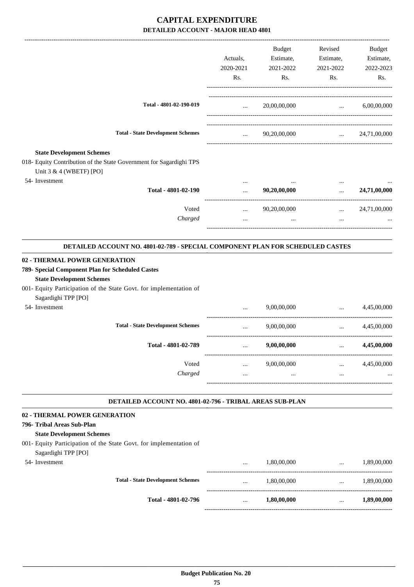|                                                                                                                       |                               | Budget       | Revised                                                             | Budget                |
|-----------------------------------------------------------------------------------------------------------------------|-------------------------------|--------------|---------------------------------------------------------------------|-----------------------|
|                                                                                                                       | Actuals,                      | Estimate,    | Estimate,                                                           | Estimate,             |
|                                                                                                                       | 2020-2021                     | 2021-2022    | 2021-2022                                                           | 2022-2023             |
|                                                                                                                       | Rs.                           | Rs.          | Rs.                                                                 | Rs.                   |
| Total - 4801-02-190-019                                                                                               | <b>Sales Control</b>          | 20,00,00,000 | and the company of the company of                                   | 6,00,00,000           |
|                                                                                                                       |                               |              |                                                                     |                       |
| <b>Total - State Development Schemes</b>                                                                              | $\mathbf{r}$ and $\mathbf{r}$ | 90,20,00,000 |                                                                     | $\ldots$ 24,71,00,000 |
| <b>State Development Schemes</b>                                                                                      |                               |              |                                                                     |                       |
| 018- Equity Contribution of the State Government for Sagardighi TPS<br>Unit 3 & 4 (WBETF) [PO]                        |                               |              |                                                                     |                       |
| 54- Investment                                                                                                        |                               |              |                                                                     |                       |
| Total - 4801-02-190                                                                                                   | $\cdots$                      | 90,20,00,000 | $\mathbf{1}$ , $\mathbf{1}$                                         | 24,71,00,000          |
| Voted                                                                                                                 | $\cdots$                      | 90,20,00,000 |                                                                     | $\ldots$ 24,71,00,000 |
| Charged                                                                                                               |                               | $\cdots$     | $\cdots$                                                            |                       |
| DETAILED ACCOUNT NO. 4801-02-789 - SPECIAL COMPONENT PLAN FOR SCHEDULED CASTES                                        |                               |              |                                                                     |                       |
| 02 - THERMAL POWER GENERATION<br>789- Special Component Plan for Scheduled Castes<br><b>State Development Schemes</b> |                               |              |                                                                     |                       |
| 001- Equity Participation of the State Govt. for implementation of                                                    |                               |              |                                                                     |                       |
| Sagardighi TPP [PO]                                                                                                   |                               |              |                                                                     |                       |
| 54- Investment                                                                                                        |                               | 9,00,00,000  | $\ddotsc$<br>-------------------------------                        | 4.45.00.000           |
| <b>Total - State Development Schemes</b>                                                                              | $\cdots$                      | 9,00,00,000  | $\mathbf{1}$ , and $\mathbf{1}$<br>-------------------------------- | 4,45,00,000           |
| Total - 4801-02-789                                                                                                   | $\ldots$                      | 9,00,00,000  | $\cdots$                                                            | 4,45,00,000           |
| Voted                                                                                                                 | $\ldots$                      | 9,00,00,000  | $\mathbf{1}$ and $\mathbf{1}$ and $\mathbf{1}$                      | 4,45,00,000           |
| Charged                                                                                                               | $\cdots$                      | $\ddots$     | $\cdots$                                                            |                       |
| DETAILED ACCOUNT NO. 4801-02-796 - TRIBAL AREAS SUB-PLAN                                                              |                               |              |                                                                     |                       |
| 02 - THERMAL POWER GENERATION                                                                                         |                               |              |                                                                     |                       |
| 796- Tribal Areas Sub-Plan<br><b>State Development Schemes</b>                                                        |                               |              |                                                                     |                       |
| 001- Equity Participation of the State Govt. for implementation of<br>Sagardighi TPP [PO]                             |                               |              |                                                                     |                       |
| 54- Investment                                                                                                        | $\cdots$                      | 1,80,00,000  | $\cdots$                                                            | 1,89,00,000           |
| <b>Total - State Development Schemes</b>                                                                              | $\cdots$                      | 1,80,00,000  | ----------------------------------                                  | $\ldots$ 1,89,00,000  |
| Total - 4801-02-796                                                                                                   | $\cdots$                      | 1,80,00,000  | $\cdots$                                                            | 1,89,00,000           |
|                                                                                                                       |                               |              |                                                                     |                       |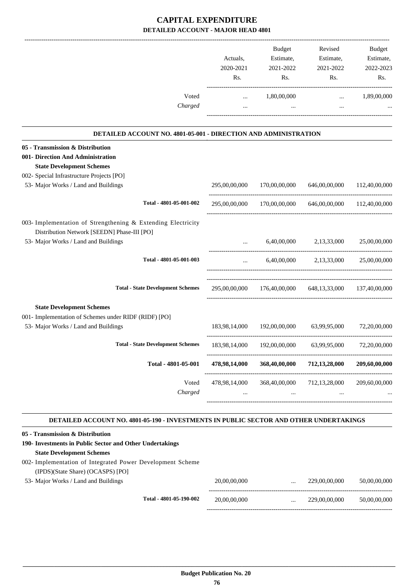|                                                                                                | Actuals,<br>2020-2021<br>Rs. | Budget<br>Estimate,<br>2021-2022<br>Rs.     | Revised<br>Estimate,<br>2021-2022<br>Rs.                | Budget<br>Estimate,<br>2022-2023<br>Rs. |
|------------------------------------------------------------------------------------------------|------------------------------|---------------------------------------------|---------------------------------------------------------|-----------------------------------------|
| Voted<br>Charged                                                                               | $\cdots$                     | 1,80,00,000                                 | $\cdots$                                                | 1,89,00,000                             |
|                                                                                                |                              |                                             |                                                         |                                         |
| DETAILED ACCOUNT NO. 4801-05-001 - DIRECTION AND ADMINISTRATION                                |                              |                                             |                                                         |                                         |
| 05 - Transmission & Distribution                                                               |                              |                                             |                                                         |                                         |
| 001- Direction And Administration                                                              |                              |                                             |                                                         |                                         |
| <b>State Development Schemes</b>                                                               |                              |                                             |                                                         |                                         |
| 002- Special Infrastructure Projects [PO]                                                      |                              |                                             |                                                         |                                         |
| 53- Major Works / Land and Buildings                                                           | 295,00,00,000                | 170,00,00,000                               | 646,00,00,000                                           | 112,40,00,000                           |
| Total - 4801-05-001-002                                                                        | 295,00,00,000                | 170,00,00,000                               | 646,00,00,000                                           | 112,40,00,000                           |
| 003- Implementation of Strengthening & Extending Electricity                                   |                              |                                             |                                                         |                                         |
| Distribution Network [SEEDN] Phase-III [PO]                                                    |                              |                                             |                                                         |                                         |
| 53- Major Works / Land and Buildings                                                           |                              | 6,40,00,000                                 | 2,13,33,000                                             | 25,00,00,000                            |
| Total - 4801-05-001-003                                                                        |                              |                                             | 6,40,00,000 2,13,33,000 25,00,00,000                    |                                         |
| <b>Total - State Development Schemes</b>                                                       |                              |                                             | 295,00,00,000 176,40,00,000 648,13,33,000 137,40,00,000 |                                         |
| <b>State Development Schemes</b>                                                               |                              |                                             |                                                         |                                         |
| 001- Implementation of Schemes under RIDF (RIDF) [PO]                                          |                              |                                             |                                                         |                                         |
| 53- Major Works / Land and Buildings                                                           | 183,98,14,000                | 192,00,00,000                               | 63,99,95,000                                            | 72,20,00,000                            |
| <b>Total - State Development Schemes</b>                                                       | 183,98,14,000                | 192,00,00,000                               | 63,99,95,000                                            | 72,20,00,000                            |
| Total - 4801-05-001                                                                            | 478,98,14,000                | 368,40,00,000                               | 712,13,28,000                                           | 209,60,00,000                           |
| Voted                                                                                          | 478,98,14,000                | 368,40,00,000                               | 712,13,28,000                                           | 209,60,00,000                           |
| Charged                                                                                        |                              | $\cdots$                                    |                                                         |                                         |
| DETAILED ACCOUNT NO. 4801-05-190 - INVESTMENTS IN PUBLIC SECTOR AND OTHER UNDERTAKINGS         |                              |                                             |                                                         |                                         |
| 05 - Transmission & Distribution                                                               |                              |                                             |                                                         |                                         |
| 190- Investments in Public Sector and Other Undertakings                                       |                              |                                             |                                                         |                                         |
| <b>State Development Schemes</b><br>002- Implementation of Integrated Power Development Scheme |                              |                                             |                                                         |                                         |
| (IPDS)(State Share) (OCASPS) [PO]                                                              |                              |                                             |                                                         |                                         |
| 53- Major Works / Land and Buildings                                                           | 20,00,00,000                 | $\cdots$                                    | 229,00,00,000                                           | 50,00,00,000                            |
| Total - 4801-05-190-002                                                                        | 20,00,00,000                 | -------------------------------<br>$\cdots$ | 229,00,00,000                                           | 50,00,00,000                            |

-----------------------------------------------------------------------------------------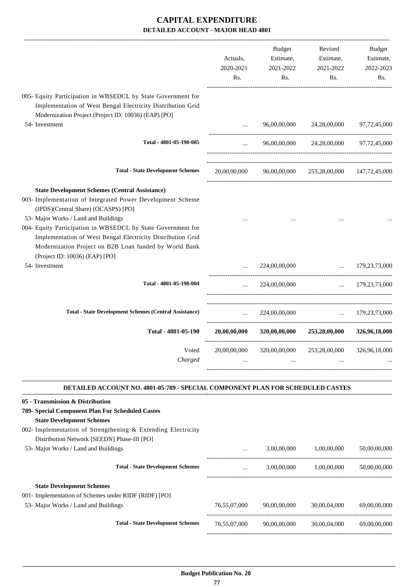| Actuals,<br>2020-2021<br>Rs. | <b>Budget</b><br>Estimate,<br>2021-2022<br>Rs. | Revised<br>Estimate,<br>2021-2022<br>Rs. | <b>Budget</b><br>Estimate,<br>2022-2023<br>Rs.                                                   |
|------------------------------|------------------------------------------------|------------------------------------------|--------------------------------------------------------------------------------------------------|
|                              |                                                |                                          |                                                                                                  |
|                              | 96,00,00,000                                   | 24,28,00,000                             | 97,72,45,000                                                                                     |
| $\cdots$                     |                                                | 24,28,00,000                             | 97,72,45,000                                                                                     |
| 20,00,00,000                 |                                                | 253,28,00,000                            | 147, 72, 45, 000                                                                                 |
|                              |                                                |                                          |                                                                                                  |
|                              | 224,00,00,000                                  |                                          | $\ldots$ 179,23,73,000                                                                           |
| $\cdots$                     | 224,00,00,000                                  |                                          | $\ldots$ 179,23,73,000                                                                           |
| $\ddotsc$                    | 224,00,00,000                                  |                                          | $\ldots$ 179,23,73,000                                                                           |
| 20,00,00,000                 |                                                |                                          | 326,96,18,000                                                                                    |
| 20,00,00,000                 |                                                |                                          | 326,96,18,000                                                                                    |
|                              |                                                |                                          | 96,00,00,000<br>96,00,00,000<br>320,00,00,000<br>253,28,00,000<br>320,00,00,000<br>253,28,00,000 |

| 05 - Transmission & Distribution                             |              |              |              |              |
|--------------------------------------------------------------|--------------|--------------|--------------|--------------|
| 789- Special Component Plan For Scheduled Castes             |              |              |              |              |
| <b>State Development Schemes</b>                             |              |              |              |              |
| 002- Implementation of Strengthening & Extending Electricity |              |              |              |              |
| Distribution Network [SEEDN] Phase-III [PO]                  |              |              |              |              |
| 53- Major Works / Land and Buildings                         | $\cdots$     | 3,00,00,000  | 1.00.00.000  | 50,00,00,000 |
| <b>Total - State Development Schemes</b>                     |              | 3,00,00,000  | 1,00,00,000  | 50,00,00,000 |
| <b>State Development Schemes</b>                             |              |              |              |              |
| 001- Implementation of Schemes under RIDF (RIDF) [PO]        |              |              |              |              |
| 53- Major Works / Land and Buildings                         | 76,55,07,000 | 90.00.00.000 | 30,00,04,000 | 69,00,00,000 |
| <b>Total - State Development Schemes</b>                     | 76,55,07,000 | 90,00,00,000 | 30,00,04,000 | 69,00,00,000 |
|                                                              |              |              |              |              |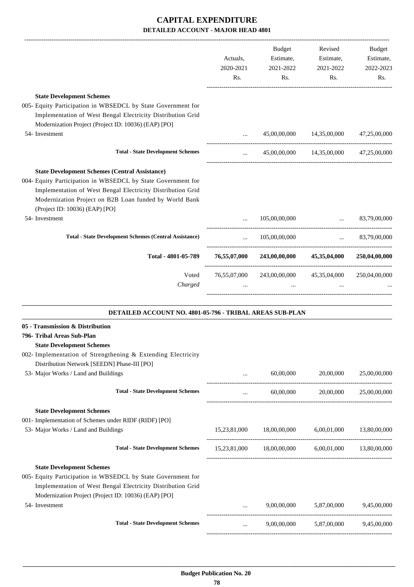|                                                                                                                                                                                                                                                                                                    | Actuals,<br>2020-2021<br>Rs.                   | <b>Budget</b><br>Estimate,<br>2021-2022<br>Rs.                     | Revised<br>Estimate,<br>2021-2022<br>Rs. | Budget<br>Estimate,<br>2022-2023<br>Rs. |
|----------------------------------------------------------------------------------------------------------------------------------------------------------------------------------------------------------------------------------------------------------------------------------------------------|------------------------------------------------|--------------------------------------------------------------------|------------------------------------------|-----------------------------------------|
| <b>State Development Schemes</b>                                                                                                                                                                                                                                                                   |                                                |                                                                    |                                          |                                         |
| 005- Equity Participation in WBSEDCL by State Government for<br>Implementation of West Bengal Electricity Distribution Grid<br>Modernization Project (Project ID: 10036) (EAP) [PO]<br>54- Investment                                                                                              |                                                |                                                                    | 45,00,00,000 14,35,00,000 47,25,00,000   |                                         |
| <b>Total - State Development Schemes</b>                                                                                                                                                                                                                                                           | $\mathbf{1}$ and $\mathbf{1}$ and $\mathbf{1}$ |                                                                    | 45,00,00,000 14,35,00,000 47,25,00,000   |                                         |
| <b>State Development Schemes (Central Assistance)</b><br>004- Equity Participation in WBSEDCL by State Government for<br>Implementation of West Bengal Electricity Distribution Grid<br>Modernization Project on B2B Loan funded by World Bank<br>(Project ID: 10036) (EAP) [PO]<br>54- Investment |                                                | 105,00,00,000                                                      |                                          | $\ldots$ 83,79,00,000                   |
|                                                                                                                                                                                                                                                                                                    |                                                |                                                                    |                                          |                                         |
| <b>Total - State Development Schemes (Central Assistance)</b>                                                                                                                                                                                                                                      | $\cdots$                                       | 105,00,00,000                                                      |                                          | $\ldots$ 83,79,00,000                   |
| Total - 4801-05-789                                                                                                                                                                                                                                                                                |                                                | 76,55,07,000 243,00,00,000 45,35,04,000 250,04,00,000              |                                          |                                         |
| Voted<br>Charged                                                                                                                                                                                                                                                                                   |                                                | 76,55,07,000 243,00,00,000 45,35,04,000 250,04,00,000<br>$\ddotsc$ | $\cdots$                                 |                                         |
| DETAILED ACCOUNT NO. 4801-05-796 - TRIBAL AREAS SUB-PLAN                                                                                                                                                                                                                                           |                                                |                                                                    |                                          |                                         |
| 05 - Transmission & Distribution<br>796- Tribal Areas Sub-Plan<br><b>State Development Schemes</b><br>002- Implementation of Strengthening & Extending Electricity<br>Distribution Network [SEEDN] Phase-III [PO]                                                                                  |                                                |                                                                    |                                          |                                         |
| 53- Major Works / Land and Buildings                                                                                                                                                                                                                                                               |                                                | 60,00,000                                                          | 20,00,000                                | 25,00,00,000                            |
| <b>Total - State Development Schemes</b>                                                                                                                                                                                                                                                           | $\cdots$                                       | 60,00,000                                                          | 20,00,000                                | 25,00,00,000                            |
| <b>State Development Schemes</b><br>001- Implementation of Schemes under RIDF (RIDF) [PO]<br>53- Major Works / Land and Buildings<br><b>Total - State Development Schemes</b>                                                                                                                      | 15,23,81,000                                   | 18,00,00,000<br>15,23,81,000 18,00,00,000 6,00,01,000 13,80,00,000 | 6,00,01,000                              | 13,80,00,000                            |
| <b>State Development Schemes</b><br>005- Equity Participation in WBSEDCL by State Government for<br>Implementation of West Bengal Electricity Distribution Grid<br>Modernization Project (Project ID: 10036) (EAP) [PO]                                                                            |                                                |                                                                    |                                          |                                         |
| 54- Investment                                                                                                                                                                                                                                                                                     |                                                | 9,00,00,000                                                        | 5,87,00,000                              | 9,45,00,000                             |
| <b>Total - State Development Schemes</b>                                                                                                                                                                                                                                                           | $\cdots$                                       | 9,00,00,000                                                        | 5,87,00,000                              | 9,45,00,000                             |

-----------------------------------------------------------------------------------------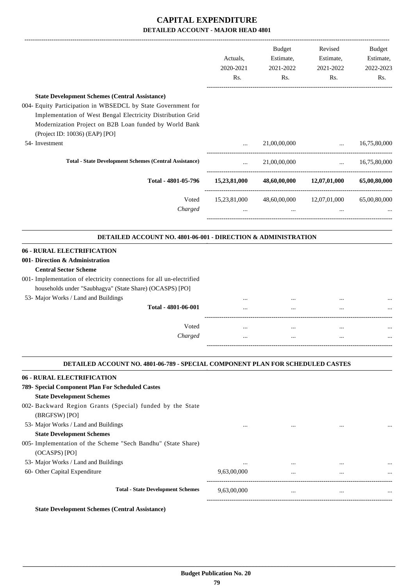|                                                                                                                                                                                                                                                                                   | Actuals,<br>2020-2021<br>Rs. | <b>Budget</b><br>Estimate,<br>2021-2022<br>Rs. | Revised<br>Estimate,<br>2021-2022<br>Rs. | <b>Budget</b><br>Estimate,<br>2022-2023<br>Rs. |
|-----------------------------------------------------------------------------------------------------------------------------------------------------------------------------------------------------------------------------------------------------------------------------------|------------------------------|------------------------------------------------|------------------------------------------|------------------------------------------------|
| <b>State Development Schemes (Central Assistance)</b><br>004- Equity Participation in WBSEDCL by State Government for<br>Implementation of West Bengal Electricity Distribution Grid<br>Modernization Project on B2B Loan funded by World Bank<br>(Project ID: 10036) (EAP) [PO]  |                              |                                                |                                          |                                                |
| 54- Investment                                                                                                                                                                                                                                                                    | $\cdots$                     | 21,00,00,000                                   | $\ddots$                                 | 16,75,80,000                                   |
| <b>Total - State Development Schemes (Central Assistance)</b>                                                                                                                                                                                                                     | $\cdots$                     | 21,00,00,000                                   | $\cdots$                                 | 16,75,80,000                                   |
| Total - 4801-05-796                                                                                                                                                                                                                                                               | 15,23,81,000                 | 48,60,00,000                                   | 12,07,01,000                             | 65,00,80,000                                   |
| Voted<br>Charged                                                                                                                                                                                                                                                                  | 15,23,81,000                 | 48,60,00,000                                   | 12,07,01,000                             | 65,00,80,000                                   |
| <b>DETAILED ACCOUNT NO. 4801-06-001 - DIRECTION &amp; ADMINISTRATION</b>                                                                                                                                                                                                          |                              |                                                |                                          |                                                |
| <b>06 - RURAL ELECTRIFICATION</b><br>001- Direction & Administration<br><b>Central Sector Scheme</b><br>001- Implementation of electricity connections for all un-electrified<br>households under "Saubhagya" (State Share) (OCASPS) [PO]<br>53- Major Works / Land and Buildings |                              |                                                |                                          |                                                |
| Total - 4801-06-001                                                                                                                                                                                                                                                               |                              |                                                |                                          |                                                |
| Voted<br>Charged                                                                                                                                                                                                                                                                  | <br>                         | $\cdots$                                       | $\ddotsc$<br>$\ddotsc$                   |                                                |
| <b>DETAILED ACCOUNT NO. 4801-06-789 - SPECIAL COMPONENT PLAN FOR SCHEDULED CASTES</b>                                                                                                                                                                                             |                              |                                                |                                          |                                                |
| <b>06 - RURAL ELECTRIFICATION</b><br>789- Special Component Plan For Scheduled Castes<br><b>State Development Schemes</b><br>002- Backward Region Grants (Special) funded by the State                                                                                            |                              |                                                |                                          |                                                |
| (BRGFSW) [PO]<br>53- Major Works / Land and Buildings<br><b>State Development Schemes</b><br>005- Implementation of the Scheme "Sech Bandhu" (State Share)<br>(OCASPS) [PO]                                                                                                       | $\cdots$                     | $\cdots$                                       | $\ddotsc$                                |                                                |
| 53- Major Works / Land and Buildings<br>60- Other Capital Expenditure                                                                                                                                                                                                             | <br>9,63,00,000              |                                                |                                          |                                                |
| <b>Total - State Development Schemes</b>                                                                                                                                                                                                                                          | 9,63,00,000                  | $\ldots$                                       | $\cdots$                                 | $\cdots$                                       |

**State Development Schemes (Central Assistance)**

-----------------------------------------------------------------------------------------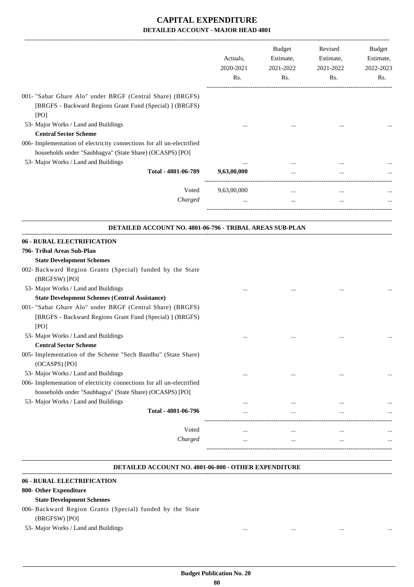|                                                                                                                                                                           | Actuals,<br>2020-2021<br>Rs. | <b>Budget</b><br>Estimate,<br>2021-2022<br>Rs. | Revised<br>Estimate,<br>2021-2022<br>Rs. | Budget<br>Estimate,<br>2022-2023<br>Rs. |
|---------------------------------------------------------------------------------------------------------------------------------------------------------------------------|------------------------------|------------------------------------------------|------------------------------------------|-----------------------------------------|
| 001- "Sabar Ghare Alo" under BRGF (Central Share) (BRGFS)<br>[BRGFS - Backward Regions Grant Fund (Special) ] (BRGFS)<br>[PO]                                             |                              |                                                |                                          |                                         |
| 53- Major Works / Land and Buildings<br><b>Central Sector Scheme</b>                                                                                                      |                              |                                                |                                          |                                         |
| 006- Implementation of electricity connections for all un-electrified<br>households under "Saubhagya" (State Share) (OCASPS) [PO]                                         |                              |                                                |                                          |                                         |
| 53- Major Works / Land and Buildings<br>Total - 4801-06-789                                                                                                               | 9,63,00,000                  |                                                |                                          |                                         |
| Voted                                                                                                                                                                     | 9,63,00,000                  | $\cdots$                                       | $\cdots$                                 |                                         |
| Charged                                                                                                                                                                   |                              | $\cdots$                                       |                                          |                                         |
| <b>06 - RURAL ELECTRIFICATION</b><br>796- Tribal Areas Sub-Plan                                                                                                           |                              |                                                |                                          |                                         |
| <b>State Development Schemes</b><br>002- Backward Region Grants (Special) funded by the State                                                                             |                              |                                                |                                          |                                         |
| (BRGFSW) [PO]<br>53- Major Works / Land and Buildings<br><b>State Development Schemes (Central Assistance)</b>                                                            |                              |                                                |                                          |                                         |
| 001- "Sabar Ghare Alo" under BRGF (Central Share) (BRGFS)<br>[BRGFS - Backward Regions Grant Fund (Special) ] (BRGFS)<br>[PO]                                             |                              |                                                |                                          |                                         |
| 53- Major Works / Land and Buildings<br><b>Central Sector Scheme</b>                                                                                                      |                              |                                                |                                          |                                         |
| 005- Implementation of the Scheme "Sech Bandhu" (State Share)<br>(OCASPS) [PO]                                                                                            |                              |                                                |                                          |                                         |
| 53- Major Works / Land and Buildings<br>006- Implementation of electricity connections for all un-electrified<br>households under "Saubhagya" (State Share) (OCASPS) [PO] |                              | $\cdots$                                       |                                          |                                         |
| 53- Major Works / Land and Buildings<br>Total - 4801-06-796                                                                                                               |                              |                                                | $\ddotsc$                                |                                         |
| Voted                                                                                                                                                                     |                              |                                                | $\ddotsc$                                |                                         |
| Charged                                                                                                                                                                   |                              | $\cdots$                                       | $\ddotsc$                                |                                         |

#### **DETAILED ACCOUNT NO. 4801-06-800 - OTHER EXPENDITURE .**

.

#### **06 - RURAL ELECTRIFICATION**

#### **800- Other Expenditure**

- **State Development Schemes**
- 006- Backward Region Grants (Special) funded by the State
	- (BRGFSW) [PO]
- 53- Major Works / Land and Buildings ... ... ... ...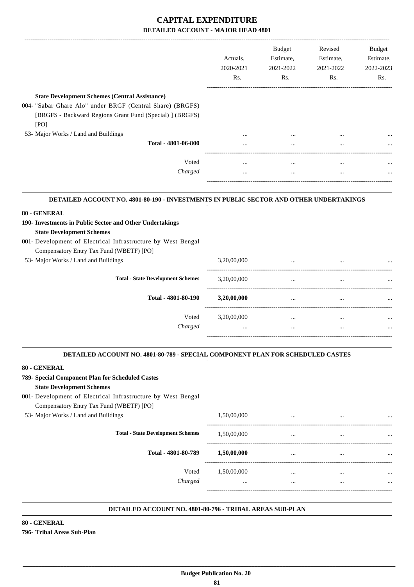|                                                                                                                                                                                                                              | Actuals,<br>2020-2021<br>Rs. | <b>Budget</b><br>Estimate,<br>2021-2022<br>Rs. | Revised<br>Estimate,<br>2021-2022<br>Rs. | Budget<br>Estimate,<br>2022-2023<br>Rs. |
|------------------------------------------------------------------------------------------------------------------------------------------------------------------------------------------------------------------------------|------------------------------|------------------------------------------------|------------------------------------------|-----------------------------------------|
| <b>State Development Schemes (Central Assistance)</b>                                                                                                                                                                        |                              |                                                |                                          |                                         |
| 004- "Sabar Ghare Alo" under BRGF (Central Share) (BRGFS)                                                                                                                                                                    |                              |                                                |                                          |                                         |
| [BRGFS - Backward Regions Grant Fund (Special) ] (BRGFS)<br>[PO]                                                                                                                                                             |                              |                                                |                                          |                                         |
| 53- Major Works / Land and Buildings                                                                                                                                                                                         |                              |                                                |                                          |                                         |
| Total - 4801-06-800                                                                                                                                                                                                          |                              |                                                |                                          |                                         |
| Voted                                                                                                                                                                                                                        | $\cdots$                     | $\cdots$                                       | $\cdots$                                 |                                         |
| Charged                                                                                                                                                                                                                      | $\cdots$                     | $\cdots$                                       | $\cdots$                                 |                                         |
| DETAILED ACCOUNT NO. 4801-80-190 - INVESTMENTS IN PUBLIC SECTOR AND OTHER UNDERTAKINGS                                                                                                                                       |                              |                                                |                                          |                                         |
|                                                                                                                                                                                                                              |                              |                                                |                                          |                                         |
|                                                                                                                                                                                                                              |                              |                                                |                                          |                                         |
| <b>State Development Schemes</b>                                                                                                                                                                                             |                              |                                                |                                          |                                         |
| 80 - GENERAL<br>190- Investments in Public Sector and Other Undertakings<br>001- Development of Electrical Infrastructure by West Bengal<br>Compensatory Entry Tax Fund (WBETF) [PO]<br>53- Major Works / Land and Buildings | 3,20,00,000                  | $\cdots$                                       |                                          |                                         |

| Total - 4801-80-190 | 3,20,00,000 | $\cdots$ | $\cdots$ | $\cdots$ |
|---------------------|-------------|----------|----------|----------|
| Voted               | 3,20,00,000 | $\cdots$ | $\cdots$ | $\cdots$ |
| Charged             | $\cdots$    | $\cdots$ | $\cdots$ | $\cdots$ |
|                     |             |          |          |          |

.

.

#### **DETAILED ACCOUNT NO. 4801-80-789 - SPECIAL COMPONENT PLAN FOR SCHEDULED CASTES .**

#### **80 - GENERAL**

### **789- Special Component Plan for Scheduled Castes**

**State Development Schemes**

#### 001- Development of Electrical Infrastructure by West Bengal Compensatory Entry Tax Fund (WBETF) [PO]

### 53- Major Works / Land and Buildings 1,50,00,000 ... ... ... ----------------------------------------------------------------------------------------- **Total - State Development Schemes** 1,50,00,000 ... ... ... ----------------------------------------------------------------------------------------- **Total - 4801-80-789 1,50,00,000** ... ... ... ------------------------------------------------------------------------------------------ Voted 1,50,00,000 ... ... ... *Charged* ... ... ... ... -----------------------------------------------------------------------------------------

#### **DETAILED ACCOUNT NO. 4801-80-796 - TRIBAL AREAS SUB-PLAN .**

#### **80 - GENERAL 796- Tribal Areas Sub-Plan**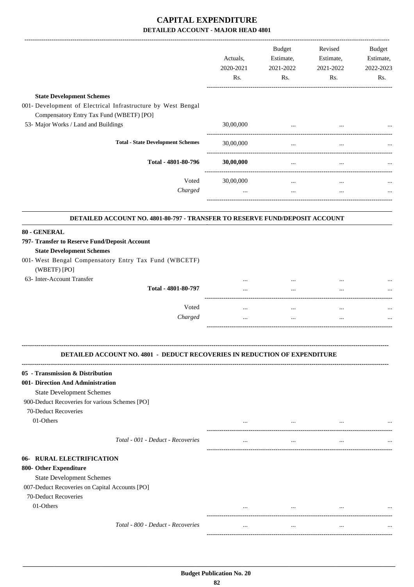| <b>State Development Schemes</b><br>Compensatory Entry Tax Fund (WBETF) [PO]<br>53- Major Works / Land and Buildings<br>30,00,000<br>$\cdots$<br><b>Total - State Development Schemes</b><br>30,00,000<br>$\cdots$<br>Total - 4801-80-796<br>30,00,000<br>$\cdots$<br>$\ldots$<br>Voted<br>30,00,000<br>$\cdots$<br>$\cdots$<br>Charged<br>$\cdots$<br>$\cdots$<br>$\cdots$<br>DETAILED ACCOUNT NO. 4801-80-797 - TRANSFER TO RESERVE FUND/DEPOSIT ACCOUNT<br>797- Transfer to Reserve Fund/Deposit Account<br><b>State Development Schemes</b><br>(WBETF) [PO]<br>63- Inter-Account Transfer<br>Total - 4801-80-797<br>Voted<br>$\cdots$<br>$\cdots$<br>$\cdots$<br>Charged<br><br>$\cdots$<br>$\cdots$<br><b>DETAILED ACCOUNT NO. 4801 - DEDUCT RECOVERIES IN REDUCTION OF EXPENDITURE</b><br><b>State Development Schemes</b><br>900-Deduct Recoveries for various Schemes [PO]<br>70-Deduct Recoveries<br>01-Others<br>$\cdots$<br>$\cdots$<br>$\cdots$ | Rs. |
|-------------------------------------------------------------------------------------------------------------------------------------------------------------------------------------------------------------------------------------------------------------------------------------------------------------------------------------------------------------------------------------------------------------------------------------------------------------------------------------------------------------------------------------------------------------------------------------------------------------------------------------------------------------------------------------------------------------------------------------------------------------------------------------------------------------------------------------------------------------------------------------------------------------------------------------------------------------|-----|
| 001- Development of Electrical Infrastructure by West Bengal                                                                                                                                                                                                                                                                                                                                                                                                                                                                                                                                                                                                                                                                                                                                                                                                                                                                                                |     |
|                                                                                                                                                                                                                                                                                                                                                                                                                                                                                                                                                                                                                                                                                                                                                                                                                                                                                                                                                             |     |
|                                                                                                                                                                                                                                                                                                                                                                                                                                                                                                                                                                                                                                                                                                                                                                                                                                                                                                                                                             |     |
|                                                                                                                                                                                                                                                                                                                                                                                                                                                                                                                                                                                                                                                                                                                                                                                                                                                                                                                                                             |     |
|                                                                                                                                                                                                                                                                                                                                                                                                                                                                                                                                                                                                                                                                                                                                                                                                                                                                                                                                                             |     |
|                                                                                                                                                                                                                                                                                                                                                                                                                                                                                                                                                                                                                                                                                                                                                                                                                                                                                                                                                             |     |
|                                                                                                                                                                                                                                                                                                                                                                                                                                                                                                                                                                                                                                                                                                                                                                                                                                                                                                                                                             |     |
| 80 - GENERAL<br>001- West Bengal Compensatory Entry Tax Fund (WBCETF)<br>05 - Transmission & Distribution<br>001- Direction And Administration                                                                                                                                                                                                                                                                                                                                                                                                                                                                                                                                                                                                                                                                                                                                                                                                              |     |
|                                                                                                                                                                                                                                                                                                                                                                                                                                                                                                                                                                                                                                                                                                                                                                                                                                                                                                                                                             |     |
|                                                                                                                                                                                                                                                                                                                                                                                                                                                                                                                                                                                                                                                                                                                                                                                                                                                                                                                                                             |     |
|                                                                                                                                                                                                                                                                                                                                                                                                                                                                                                                                                                                                                                                                                                                                                                                                                                                                                                                                                             |     |
|                                                                                                                                                                                                                                                                                                                                                                                                                                                                                                                                                                                                                                                                                                                                                                                                                                                                                                                                                             |     |
|                                                                                                                                                                                                                                                                                                                                                                                                                                                                                                                                                                                                                                                                                                                                                                                                                                                                                                                                                             |     |
|                                                                                                                                                                                                                                                                                                                                                                                                                                                                                                                                                                                                                                                                                                                                                                                                                                                                                                                                                             |     |
|                                                                                                                                                                                                                                                                                                                                                                                                                                                                                                                                                                                                                                                                                                                                                                                                                                                                                                                                                             |     |
|                                                                                                                                                                                                                                                                                                                                                                                                                                                                                                                                                                                                                                                                                                                                                                                                                                                                                                                                                             |     |
|                                                                                                                                                                                                                                                                                                                                                                                                                                                                                                                                                                                                                                                                                                                                                                                                                                                                                                                                                             |     |
|                                                                                                                                                                                                                                                                                                                                                                                                                                                                                                                                                                                                                                                                                                                                                                                                                                                                                                                                                             |     |
|                                                                                                                                                                                                                                                                                                                                                                                                                                                                                                                                                                                                                                                                                                                                                                                                                                                                                                                                                             |     |
|                                                                                                                                                                                                                                                                                                                                                                                                                                                                                                                                                                                                                                                                                                                                                                                                                                                                                                                                                             |     |
| Total - 001 - Deduct - Recoveries<br>$\cdots$<br>$\cdots$<br>                                                                                                                                                                                                                                                                                                                                                                                                                                                                                                                                                                                                                                                                                                                                                                                                                                                                                               |     |
| 06- RURAL ELECTRIFICATION<br>800- Other Expenditure<br><b>State Development Schemes</b><br>007-Deduct Recoveries on Capital Accounts [PO]<br>70-Deduct Recoveries                                                                                                                                                                                                                                                                                                                                                                                                                                                                                                                                                                                                                                                                                                                                                                                           |     |
| 01-Others                                                                                                                                                                                                                                                                                                                                                                                                                                                                                                                                                                                                                                                                                                                                                                                                                                                                                                                                                   |     |
| Total - 800 - Deduct - Recoveries<br>$\cdots$<br>$\ddotsc$<br>$\cdots$                                                                                                                                                                                                                                                                                                                                                                                                                                                                                                                                                                                                                                                                                                                                                                                                                                                                                      |     |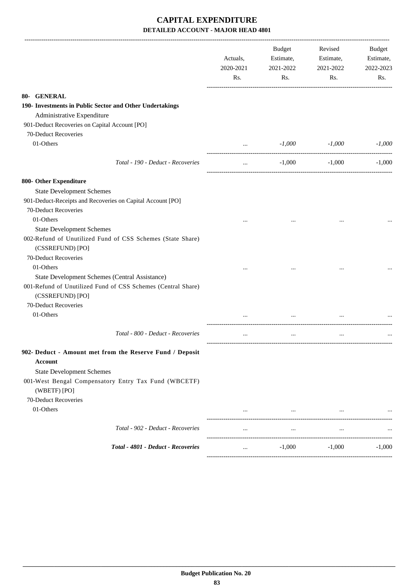|                                                                                  | Actuals,<br>2020-2021 | Budget<br>Estimate,<br>2021-2022 | Revised<br>Estimate,<br>2021-2022 | Budget<br>Estimate,<br>2022-2023 |
|----------------------------------------------------------------------------------|-----------------------|----------------------------------|-----------------------------------|----------------------------------|
|                                                                                  | Rs.                   | Rs.                              | Rs.                               | Rs.                              |
| 80- GENERAL                                                                      |                       |                                  |                                   |                                  |
| 190- Investments in Public Sector and Other Undertakings                         |                       |                                  |                                   |                                  |
| Administrative Expenditure                                                       |                       |                                  |                                   |                                  |
| 901-Deduct Recoveries on Capital Account [PO]                                    |                       |                                  |                                   |                                  |
| 70-Deduct Recoveries                                                             |                       |                                  |                                   |                                  |
| 01-Others                                                                        | $\cdots$              | $-1,000$                         | -1,000                            | $-1,000$                         |
| Total - 190 - Deduct - Recoveries                                                | $\cdots$              | $-1,000$                         | $-1,000$                          | $-1,000$                         |
| 800- Other Expenditure                                                           |                       |                                  |                                   |                                  |
| <b>State Development Schemes</b>                                                 |                       |                                  |                                   |                                  |
| 901-Deduct-Receipts and Recoveries on Capital Account [PO]                       |                       |                                  |                                   |                                  |
| 70-Deduct Recoveries                                                             |                       |                                  |                                   |                                  |
| 01-Others                                                                        |                       |                                  | $\cdots$                          |                                  |
| <b>State Development Schemes</b>                                                 |                       |                                  |                                   |                                  |
| 002-Refund of Unutilized Fund of CSS Schemes (State Share)                       |                       |                                  |                                   |                                  |
| (CSSREFUND) [PO]                                                                 |                       |                                  |                                   |                                  |
| 70-Deduct Recoveries                                                             |                       |                                  |                                   |                                  |
| 01-Others                                                                        |                       |                                  |                                   |                                  |
| State Development Schemes (Central Assistance)                                   |                       |                                  |                                   |                                  |
| 001-Refund of Unutilized Fund of CSS Schemes (Central Share)<br>(CSSREFUND) [PO] |                       |                                  |                                   |                                  |
| 70-Deduct Recoveries                                                             |                       |                                  |                                   |                                  |
| 01-Others                                                                        |                       |                                  |                                   |                                  |
| Total - 800 - Deduct - Recoveries                                                | $\cdots$              | $\cdots$                         | $\ddotsc$                         |                                  |
| 902- Deduct - Amount met from the Reserve Fund / Deposit                         |                       |                                  |                                   |                                  |
| <b>Account</b>                                                                   |                       |                                  |                                   |                                  |
| <b>State Development Schemes</b>                                                 |                       |                                  |                                   |                                  |
| 001-West Bengal Compensatory Entry Tax Fund (WBCETF)<br>(WBETF) [PO]             |                       |                                  |                                   |                                  |
| 70-Deduct Recoveries                                                             |                       |                                  |                                   |                                  |
| 01-Others                                                                        |                       |                                  |                                   |                                  |
|                                                                                  | $\cdots$              | $\cdots$                         | $\cdots$                          |                                  |
| Total - 902 - Deduct - Recoveries                                                | $\cdots$              | $\ldots$                         | $\cdots$                          |                                  |
| Total - 4801 - Deduct - Recoveries                                               | $\cdots$              | $-1,000$                         | $-1,000$                          | $-1.000$                         |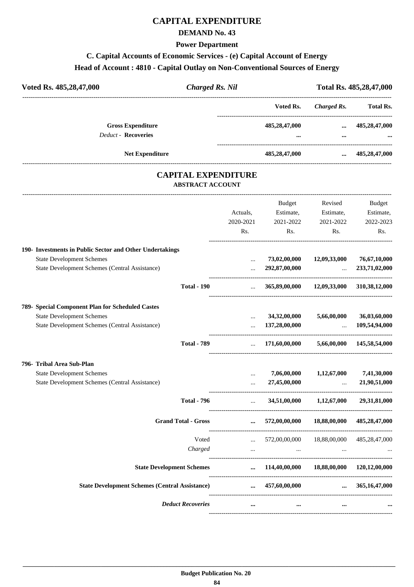## **CAPITAL EXPENDITURE**

### **DEMAND No. 43**

#### **Power Department**

# **C. Capital Accounts of Economic Services - (e) Capital Account of Energy Head of Account : 4810 - Capital Outlay on Non-Conventional Sources of Energy**

| Voted Rs. 485,28,47,000                                | <b>Charged Rs. Nil</b> |                          | Total Rs. 485,28,47,000                            |
|--------------------------------------------------------|------------------------|--------------------------|----------------------------------------------------|
|                                                        |                        | Voted Rs.<br>Charged Rs. | <b>Total Rs.</b>                                   |
| <b>Gross Expenditure</b><br><b>Deduct - Recoveries</b> | 485,28,47,000          | $\bullet\bullet\bullet$  | 485,28,47,000<br>$\cdots$<br>$\ddotsc$<br>$\cdots$ |
| <b>Net Expenditure</b>                                 | 485,28,47,000          |                          | 485,28,47,000<br>$\cdots$                          |

### **CAPITAL EXPENDITURE ABSTRACT ACCOUNT**

---------------------------------------------------------------------------------------------------------------------------------------------------------------------------------

|                                                          | Actuals,<br>2020-2021<br>Rs. | <b>Budget</b><br>Estimate,<br>2021-2022<br>Rs.    | Revised<br>Estimate,<br>2021-2022<br>Rs.        | <b>Budget</b><br>Estimate,<br>2022-2023<br>Rs. |
|----------------------------------------------------------|------------------------------|---------------------------------------------------|-------------------------------------------------|------------------------------------------------|
| 190- Investments in Public Sector and Other Undertakings |                              |                                                   |                                                 |                                                |
| <b>State Development Schemes</b>                         | $\cdots$                     | 73,02,00,000                                      | 12,09,33,000                                    | 76,67,10,000                                   |
| <b>State Development Schemes (Central Assistance)</b>    | $\cdots$                     | 292,87,00,000                                     | $\ddots$<br>----------------------------------- | 233,71,02,000                                  |
| <b>Total - 190</b>                                       | $\cdots$                     |                                                   | 365,89,00,000 12,09,33,000 310,38,12,000        |                                                |
| 789- Special Component Plan for Scheduled Castes         |                              |                                                   |                                                 |                                                |
| <b>State Development Schemes</b>                         | $\cdots$                     | 34,32,00,000                                      | 5,66,00,000                                     | 36,03,60,000                                   |
| State Development Schemes (Central Assistance)           | $\ddotsc$                    | 137,28,00,000                                     | $\ddotsc$                                       | 109,54,94,000                                  |
| <b>Total - 789</b>                                       | $\cdots$                     | 171,60,00,000                                     |                                                 | 5,66,00,000 145,58,54,000                      |
| 796- Tribal Area Sub-Plan                                |                              |                                                   |                                                 |                                                |
| <b>State Development Schemes</b>                         | $\ddotsc$                    | 7,06,00,000                                       | 1,12,67,000                                     | 7,41,30,000                                    |
| State Development Schemes (Central Assistance)           | $\cdots$                     | 27,45,00,000                                      | $\ddots$                                        | 21,90,51,000                                   |
| <b>Total - 796</b>                                       | $\mathbf{r}$                 |                                                   | 34,51,00,000 1,12,67,000                        | 29,31,81,000                                   |
| <b>Grand Total - Gross</b>                               | $\cdots$                     | 572,00,00,000                                     | 18,88,00,000                                    | 485,28,47,000                                  |
| Voted                                                    | $\mathbf{1}$                 | 572,00,00,000 18,88,00,000                        |                                                 | 485,28,47,000                                  |
| Charged                                                  | $\cdots$                     | $\cdots$                                          |                                                 |                                                |
| <b>State Development Schemes</b>                         |                              | $\ldots$ 114,40,00,000 18,88,00,000 120,12,00,000 |                                                 |                                                |
| <b>State Development Schemes (Central Assistance)</b>    | $\cdots$                     | 457,60,00,000                                     | $\cdots$                                        | 365,16,47,000                                  |
| <b>Deduct Recoveries</b>                                 | $\cdots$                     | $\cdots$                                          | $\ddotsc$                                       |                                                |
|                                                          |                              |                                                   |                                                 |                                                |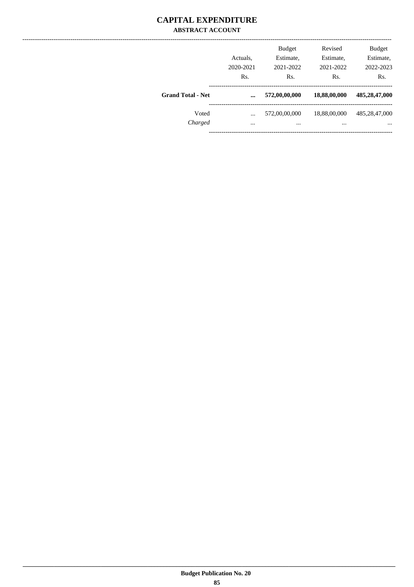### **CAPITAL EXPENDITURE ABSTRACT ACCOUNT**

|                          | Actuals.<br>2020-2021<br>Rs. | <b>Budget</b><br>Estimate,<br>2021-2022<br>Rs. | Revised<br>Estimate,<br>2021-2022<br>Rs. | <b>Budget</b><br>Estimate,<br>2022-2023<br>Rs. |
|--------------------------|------------------------------|------------------------------------------------|------------------------------------------|------------------------------------------------|
| <b>Grand Total - Net</b> | $\ddotsc$                    | 572,00,00,000                                  | 18,88,00,000                             | 485,28,47,000                                  |
| Voted<br>Charged         | $\ddotsc$<br>$\cdots$        | 572,00,00,000<br>$\cdots$                      | 18,88,00,000<br>$\cdots$                 | 485,28,47,000<br>$\cdots$                      |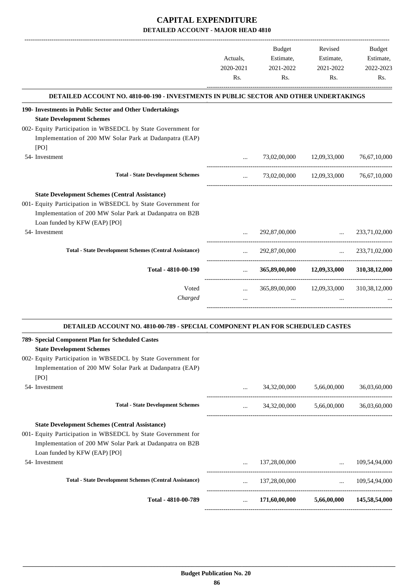|                                                                                               |                             | <b>Budget</b> | Revised                                                                            | Budget        |
|-----------------------------------------------------------------------------------------------|-----------------------------|---------------|------------------------------------------------------------------------------------|---------------|
|                                                                                               | Actuals,                    | Estimate,     | Estimate,                                                                          | Estimate,     |
|                                                                                               | 2020-2021                   | 2021-2022     | 2021-2022                                                                          | 2022-2023     |
|                                                                                               | Rs.                         | Rs.           | Rs.                                                                                | Rs.           |
| <b>DETAILED ACCOUNT NO. 4810-00-190 - INVESTMENTS IN PUBLIC SECTOR AND OTHER UNDERTAKINGS</b> |                             |               |                                                                                    |               |
| 190- Investments in Public Sector and Other Undertakings<br><b>State Development Schemes</b>  |                             |               |                                                                                    |               |
| 002- Equity Participation in WBSEDCL by State Government for                                  |                             |               |                                                                                    |               |
| Implementation of 200 MW Solar Park at Dadanpatra (EAP)                                       |                             |               |                                                                                    |               |
| [PO]                                                                                          |                             |               |                                                                                    |               |
| 54- Investment                                                                                | $\ddotsc$                   |               | 73,02,00,000 12,09,33,000                                                          | 76,67,10,000  |
| <b>Total - State Development Schemes</b>                                                      | $\cdots$                    |               | 73,02,00,000 12,09,33,000                                                          | 76,67,10,000  |
| <b>State Development Schemes (Central Assistance)</b>                                         |                             |               |                                                                                    |               |
| 001- Equity Participation in WBSEDCL by State Government for                                  |                             |               |                                                                                    |               |
| Implementation of 200 MW Solar Park at Dadanpatra on B2B<br>Loan funded by KFW (EAP) [PO]     |                             |               |                                                                                    |               |
| 54- Investment                                                                                |                             |               | 292,87,00,000                                                                      | 233,71,02,000 |
| <b>Total - State Development Schemes (Central Assistance)</b>                                 | $\mathbf{r}$                | 292,87,00,000 | $\sim 10^{-10}$                                                                    | 233,71,02,000 |
| Total - 4810-00-190                                                                           | $\mathbf{r}$ , $\mathbf{r}$ |               | --------------------------------------<br>365,89,00,000 12,09,33,000 310,38,12,000 |               |
| Voted                                                                                         | $\cdots$                    |               | 365,89,00,000 12,09,33,000 310,38,12,000                                           |               |
| Charged                                                                                       | $\ddotsc$                   | $\cdots$      |                                                                                    |               |
|                                                                                               |                             |               |                                                                                    |               |
| DETAILED ACCOUNT NO. 4810-00-789 - SPECIAL COMPONENT PLAN FOR SCHEDULED CASTES                |                             |               |                                                                                    |               |
| 789- Special Component Plan for Scheduled Castes<br><b>State Development Schemes</b>          |                             |               |                                                                                    |               |
| 002- Equity Participation in WBSEDCL by State Government for                                  |                             |               |                                                                                    |               |
| Implementation of 200 MW Solar Park at Dadanpatra (EAP)                                       |                             |               |                                                                                    |               |
| [PO]                                                                                          |                             |               |                                                                                    |               |

| Total - 4810-00-789                                           | $\cdots$ | 171,60,00,000 | 5,66,00,000 | 145,58,54,000 |
|---------------------------------------------------------------|----------|---------------|-------------|---------------|
| <b>Total - State Development Schemes (Central Assistance)</b> | $\cdots$ | 137,28,00,000 | $\ddotsc$   | 109.54.94.000 |
| 54- Investment                                                | $\cdots$ | 137,28,00,000 | $\cdots$    | 109.54.94.000 |
| Loan funded by KFW (EAP) [PO]                                 |          |               |             |               |
| Implementation of 200 MW Solar Park at Dadanpatra on B2B      |          |               |             |               |
| 001- Equity Participation in WBSEDCL by State Government for  |          |               |             |               |
| <b>State Development Schemes (Central Assistance)</b>         |          |               |             |               |
| <b>Total - State Development Schemes</b>                      | $\cdots$ | 34,32,00,000  | 5,66,00,000 | 36,03,60,000  |
| 54- Investment                                                | $\cdots$ | 34,32,00,000  | 5,66,00,000 | 36,03,60,000  |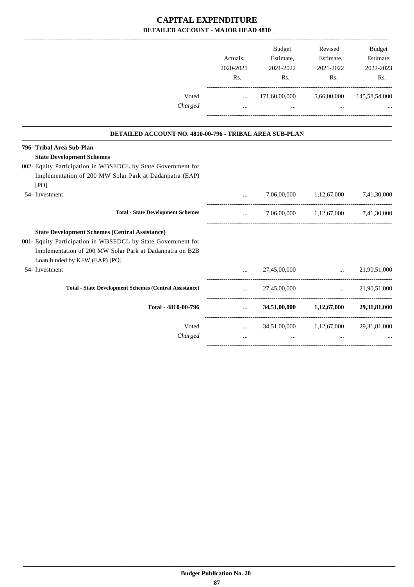|                                                                                                                                                                                                                    | Actuals,<br>2020-2021<br>Rs.        | Budget<br>Estimate,<br>2021-2022<br>Rs.                                      | Revised<br>Estimate,<br>2021-2022<br>Rs.                                | <b>Budget</b><br>Estimate,<br>2022-2023<br>Rs. |
|--------------------------------------------------------------------------------------------------------------------------------------------------------------------------------------------------------------------|-------------------------------------|------------------------------------------------------------------------------|-------------------------------------------------------------------------|------------------------------------------------|
| Voted<br>Charged                                                                                                                                                                                                   | $\cdots$                            | 171,60,00,000 5,66,00,000 145,58,54,000                                      |                                                                         |                                                |
|                                                                                                                                                                                                                    | $\cdots$                            |                                                                              | $\mathbf{r}$ and $\mathbf{r}$ are all the set of $\mathbf{r}$<br>$\sim$ |                                                |
| DETAILED ACCOUNT NO. 4810-00-796 - TRIBAL AREA SUB-PLAN                                                                                                                                                            |                                     |                                                                              |                                                                         |                                                |
| 796- Tribal Area Sub-Plan<br><b>State Development Schemes</b>                                                                                                                                                      |                                     |                                                                              |                                                                         |                                                |
| 002- Equity Participation in WBSEDCL by State Government for<br>Implementation of 200 MW Solar Park at Dadanpatra (EAP)<br>[PO]                                                                                    |                                     |                                                                              |                                                                         |                                                |
| 54- Investment                                                                                                                                                                                                     | $\cdots$                            |                                                                              | 7,06,00,000 1,12,67,000 7,41,30,000                                     |                                                |
| <b>Total - State Development Schemes</b>                                                                                                                                                                           | $\cdots$                            |                                                                              | 7,06,00,000 1,12,67,000 7,41,30,000                                     |                                                |
| <b>State Development Schemes (Central Assistance)</b><br>001- Equity Participation in WBSEDCL by State Government for<br>Implementation of 200 MW Solar Park at Dadanpatra on B2B<br>Loan funded by KFW (EAP) [PO] |                                     |                                                                              |                                                                         |                                                |
| 54- Investment                                                                                                                                                                                                     | $\cdots$                            | 27,45,00,000                                                                 | $\mathbf{r}$                                                            | 21,90,51,000                                   |
| <b>Total - State Development Schemes (Central Assistance)</b>                                                                                                                                                      | $\mathbf{11.1}$ and $\mathbf{11.1}$ | 27,45,00,000                                                                 | $\mathbf{r}$ , and $\mathbf{r}$                                         | 21,90,51,000                                   |
| Total - 4810-00-796                                                                                                                                                                                                | $\mathbf{L}$ and $\mathbf{L}$       |                                                                              | 34,51,00,000 1,12,67,000 29,31,81,000                                   |                                                |
| Voted<br>Charged                                                                                                                                                                                                   | $\cdots$                            | $34,51,00,000$ $1,12,67,000$ $29,31,81,000$<br>$\mathbf{r}$ and $\mathbf{r}$ | $\ddots$                                                                |                                                |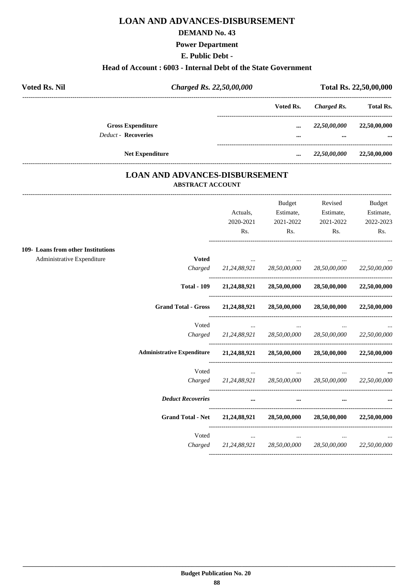### **LOAN AND ADVANCES-DISBURSEMENT**

#### **DEMAND No. 43**

**Power Department**

**E. Public Debt -**

#### **Head of Account : 6003 - Internal Debt of the State Government**

| <b>Voted Rs. Nil</b> |                            | Charged Rs. 22,50,00,000 | Total Rs. 22,50,00,000 |                  |  |
|----------------------|----------------------------|--------------------------|------------------------|------------------|--|
|                      |                            | Voted Rs.                | Charged Rs.            | <b>Total Rs.</b> |  |
|                      | <b>Gross Expenditure</b>   | $\cdots$                 | 22,50,00,000           | 22,50,00,000     |  |
|                      | <b>Deduct - Recoveries</b> |                          | $\cdots$               | $\cdots$         |  |
|                      | <b>Net Expenditure</b>     |                          | 22,50,00,000           | 22,50,00,000     |  |

### **LOAN AND ADVANCES-DISBURSEMENT ABSTRACT ACCOUNT**

|                                    |                                                            | Actuals,<br>2020-2021                                           | <b>Budget</b><br>Estimate,<br>2021-2022     | Revised<br>Estimate,<br>2021-2022            | Budget<br>Estimate,<br>2022-2023 |
|------------------------------------|------------------------------------------------------------|-----------------------------------------------------------------|---------------------------------------------|----------------------------------------------|----------------------------------|
|                                    |                                                            | Rs.                                                             | $\mathbf{Rs.}$                              | Rs.                                          | Rs.                              |
| 109- Loans from other Institutions |                                                            |                                                                 |                                             |                                              |                                  |
| Administrative Expenditure         | <b>Voted</b>                                               |                                                                 | <b>Contract Contract Contract</b>           |                                              |                                  |
|                                    |                                                            | Charged 21,24,88,921 28,50,00,000 28,50,00,000                  |                                             |                                              | 22,50,00,000                     |
|                                    |                                                            | Total - 109 21,24,88,921 28,50,00,000 28,50,00,000 22,50,00,000 |                                             |                                              |                                  |
|                                    | Grand Total - Gross 21,24,88,921 28,50,00,000 28,50,00,000 |                                                                 |                                             |                                              | 22,50,00,000                     |
|                                    | Voted                                                      | $\cdots$                                                        | $\cdots$                                    |                                              |                                  |
|                                    |                                                            | Charged 21,24,88,921 28,50,00,000 28,50,00,000 22,50,00,000     |                                             |                                              |                                  |
|                                    | <b>Administrative Expenditure</b>                          | 21,24,88,921 28,50,00,000 28,50,00,000 22,50,00,000             |                                             |                                              |                                  |
|                                    | Voted                                                      |                                                                 | <b>Second Contract Contract</b><br>$\cdots$ |                                              |                                  |
|                                    |                                                            | Charged 21,24,88,921 28,50,00,000 28,50,00,000 22,50,00,000     |                                             |                                              |                                  |
|                                    | <b>Deduct Recoveries</b>                                   | $\cdots$                                                        | $\cdots$                                    |                                              |                                  |
|                                    | <b>Grand Total - Net</b>                                   |                                                                 |                                             | $21,24,88,921$ $28,50,00,000$ $28,50,00,000$ | 22,50,00,000                     |
|                                    | Voted                                                      | the contract of the contract of the con-                        | $\cdots$                                    |                                              |                                  |
|                                    |                                                            | Charged 21,24,88,921 28,50,00,000 28,50,00,000                  |                                             |                                              | 22,50,00,000                     |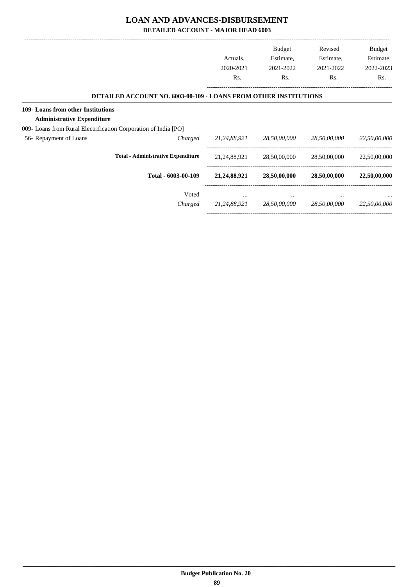### **LOAN AND ADVANCES-DISBURSEMENT**

**DETAILED ACCOUNT - MAJOR HEAD 6003**

|                                                                         |                                                                         | Actuals,<br>2020-2021<br>Rs. | <b>Budget</b><br>Estimate,<br>2021-2022<br>Rs. | Revised<br>Estimate,<br>2021-2022<br>Rs. | Budget<br>Estimate,<br>2022-2023<br>Rs. |
|-------------------------------------------------------------------------|-------------------------------------------------------------------------|------------------------------|------------------------------------------------|------------------------------------------|-----------------------------------------|
|                                                                         | <b>DETAILED ACCOUNT NO. 6003-00-109 - LOANS FROM OTHER INSTITUTIONS</b> |                              |                                                |                                          |                                         |
| 109- Loans from other Institutions<br><b>Administrative Expenditure</b> |                                                                         |                              |                                                |                                          |                                         |
| 009- Loans from Rural Electrification Corporation of India [PO]         |                                                                         |                              |                                                |                                          |                                         |
| 56- Repayment of Loans                                                  | Charged                                                                 | 21,24,88,921                 | 28,50,00,000                                   | 28,50,00,000                             | 22,50,00,000                            |
|                                                                         | <b>Total - Administrative Expenditure</b>                               | 21, 24, 88, 921              | 28,50,00,000                                   | 28,50,00,000                             | 22,50,00,000                            |
|                                                                         | Total - 6003-00-109                                                     | 21, 24, 88, 921              | 28,50,00,000                                   | 28,50,00,000                             | 22,50,00,000                            |
|                                                                         | Voted                                                                   | $\cdots$                     | $\cdots$                                       |                                          | $\cdots$                                |
|                                                                         | Charged                                                                 | 21,24,88,921                 | 28,50,00,000                                   | 28,50,00,000                             | 22,50,00,000                            |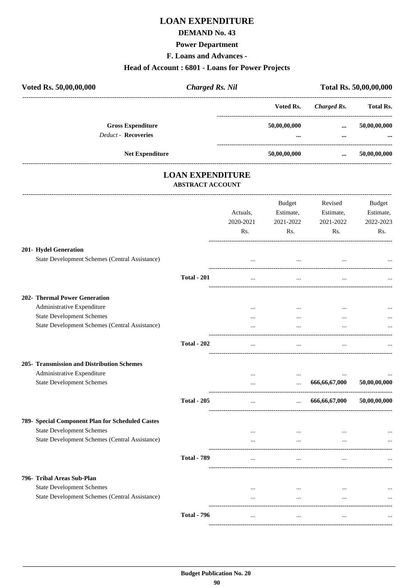# **LOAN EXPENDITURE**

### **DEMAND No. 43**

#### **Power Department**

**F. Loans and Advances -**

#### **Head of Account : 6801 - Loans for Power Projects**

| Voted Rs. 50,00,00,000                                 | <b>Charged Rs. Nil</b> |                  |              | Total Rs. 50,00,00,000 |
|--------------------------------------------------------|------------------------|------------------|--------------|------------------------|
|                                                        |                        | Voted Rs.        | Charged Rs.  | <b>Total Rs.</b>       |
| <b>Gross Expenditure</b><br><b>Deduct - Recoveries</b> |                        | 50,00,00,000<br> | $\cdots$<br> | 50,00,00,000<br>       |
| <b>Net Expenditure</b>                                 |                        | 50,00,00,000     | $\cdots$     | 50,00,00,000           |
|                                                        |                        |                  |              |                        |

# **LOAN EXPENDITURE**

#### **ABSTRACT ACCOUNT**

---------------------------------------------------------------------------------------------------------------------------------------------------------------------------------

|                                                  |                    | Actuals,<br>2020-2021<br>Rs. | <b>Budget</b><br>Estimate,<br>2021-2022<br>Rs. | Revised<br>Estimate,<br>2021-2022<br>Rs. | <b>Budget</b><br>Estimate,<br>2022-2023<br>Rs. |
|--------------------------------------------------|--------------------|------------------------------|------------------------------------------------|------------------------------------------|------------------------------------------------|
|                                                  |                    |                              |                                                |                                          |                                                |
| 201- Hydel Generation                            |                    |                              |                                                |                                          |                                                |
| State Development Schemes (Central Assistance)   |                    | $\ddotsc$                    | $\cdots$                                       |                                          |                                                |
|                                                  | <b>Total - 201</b> | $\cdots$                     | $\ldots$                                       | $\cdots$                                 |                                                |
| 202- Thermal Power Generation                    |                    |                              |                                                |                                          |                                                |
| Administrative Expenditure                       |                    | $\cdots$                     | $\cdots$                                       | $\cdots$                                 |                                                |
| <b>State Development Schemes</b>                 |                    | $\ddots$                     | $\dddotsc$                                     |                                          |                                                |
| State Development Schemes (Central Assistance)   |                    | $\ddotsc$                    | $\ddotsc$                                      |                                          |                                                |
|                                                  | <b>Total - 202</b> | $\cdots$                     | $\ddotsc$                                      |                                          |                                                |
| 205- Transmission and Distribution Schemes       |                    |                              |                                                |                                          |                                                |
| Administrative Expenditure                       |                    | $\cdots$                     | $\cdots$                                       |                                          |                                                |
| <b>State Development Schemes</b>                 |                    | $\ddotsc$                    | $\cdots$                                       | 666,66,67,000                            | 50,00,00,000                                   |
|                                                  | <b>Total - 205</b> | $\cdots$                     | $\mathbf{1}$ and $\mathbf{1}$                  | 666,66,67,000                            | 50,00,00,000                                   |
| 789- Special Component Plan for Scheduled Castes |                    |                              |                                                |                                          |                                                |
| <b>State Development Schemes</b>                 |                    | $\cdots$                     | $\cdots$                                       | $\cdots$                                 |                                                |
| State Development Schemes (Central Assistance)   |                    |                              | $\cdots$                                       |                                          |                                                |
|                                                  | <b>Total - 789</b> | $\ddotsc$                    | $\overline{\phantom{a}}$                       | $\ddotsc$                                |                                                |
| 796- Tribal Areas Sub-Plan                       |                    |                              |                                                |                                          |                                                |
| <b>State Development Schemes</b>                 |                    | $\cdots$                     | $\cdots$                                       | $\cdots$                                 |                                                |
| State Development Schemes (Central Assistance)   |                    | $\cdots$                     | $\ddotsc$                                      | $\ddotsc$                                |                                                |
|                                                  | <b>Total - 796</b> | $\cdots$                     | $\cdots$                                       | $\cdots$                                 |                                                |
|                                                  |                    |                              |                                                |                                          |                                                |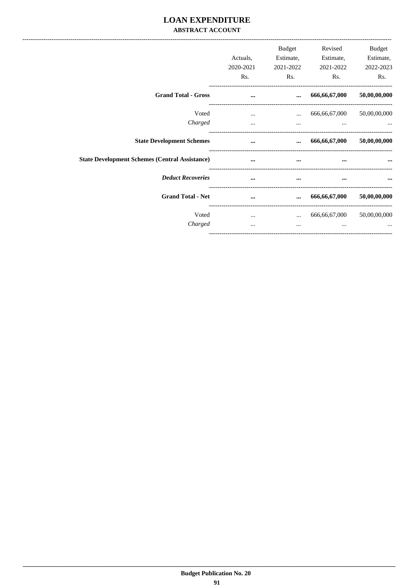### **LOAN EXPENDITURE ABSTRACT ACCOUNT**

|                                                       | Actuals,  | Budget<br>Estimate, | Revised<br>Estimate, | Budget<br>Estimate, |
|-------------------------------------------------------|-----------|---------------------|----------------------|---------------------|
|                                                       | 2020-2021 | 2021-2022           | 2021-2022            | 2022-2023           |
|                                                       | Rs.       | Rs.                 | Rs.                  | Rs.                 |
| <b>Grand Total - Gross</b>                            | $\cdots$  | $\cdots$            | 666,66,67,000        | 50,00,00,000        |
| Voted                                                 | $\cdots$  | $\cdots$            | 666,66,67,000        | 50,00,00,000        |
| Charged                                               | $\cdots$  | $\cdots$            | $\cdots$             |                     |
| <b>State Development Schemes</b>                      | $\cdots$  | $\cdots$            | 666,66,67,000        | 50,00,00,000        |
| <b>State Development Schemes (Central Assistance)</b> | $\cdots$  | $\cdots$            | $\cdots$             | $\cdots$            |
| <b>Deduct Recoveries</b>                              | $\cdots$  | $\cdots$            | $\cdots$             |                     |
| <b>Grand Total - Net</b>                              | $\cdots$  | $\cdots$            | 666,66,67,000        | 50,00,00,000        |
| Voted                                                 | $\cdots$  | $\cdots$            | 666,66,67,000        | 50,00,00,000        |
| Charged                                               | $\cdots$  | $\cdots$            | $\cdots$             |                     |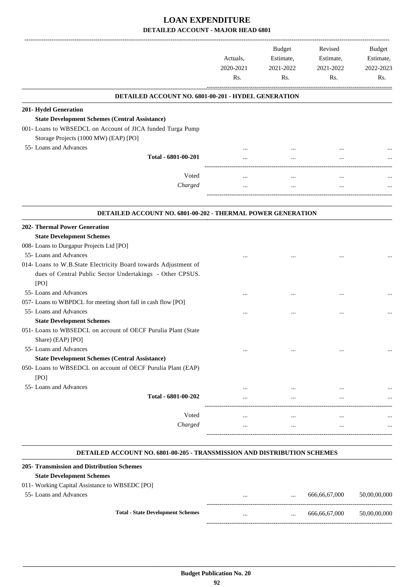|                                                                 | Actuals.<br>2020-2021 |          | <b>Budget</b><br>Estimate, |     |  |  | Revised<br>Estimate,<br>2021-2022 | 2021-2022 | Budget<br>Estimate,<br>2022-2023 |
|-----------------------------------------------------------------|-----------------------|----------|----------------------------|-----|--|--|-----------------------------------|-----------|----------------------------------|
|                                                                 | Rs.                   | Rs.      | Rs.                        | Rs. |  |  |                                   |           |                                  |
| DETAILED ACCOUNT NO. 6801-00-201 - HYDEL GENERATION             |                       |          |                            |     |  |  |                                   |           |                                  |
| 201- Hydel Generation                                           |                       |          |                            |     |  |  |                                   |           |                                  |
| <b>State Development Schemes (Central Assistance)</b>           |                       |          |                            |     |  |  |                                   |           |                                  |
| 001- Loans to WBSEDCL on Account of JICA funded Turga Pump      |                       |          |                            |     |  |  |                                   |           |                                  |
| Storage Projects (1000 MW) (EAP) [PO]                           |                       |          |                            |     |  |  |                                   |           |                                  |
| 55- Loans and Advances                                          |                       |          |                            |     |  |  |                                   |           |                                  |
| Total - 6801-00-201                                             |                       |          |                            |     |  |  |                                   |           |                                  |
| Voted                                                           |                       |          |                            |     |  |  |                                   |           |                                  |
| Charged                                                         |                       |          | $\cdots$                   |     |  |  |                                   |           |                                  |
|                                                                 |                       |          |                            |     |  |  |                                   |           |                                  |
| DETAILED ACCOUNT NO. 6801-00-202 - THERMAL POWER GENERATION     |                       |          |                            |     |  |  |                                   |           |                                  |
| <b>202- Thermal Power Generation</b>                            |                       |          |                            |     |  |  |                                   |           |                                  |
| <b>State Development Schemes</b>                                |                       |          |                            |     |  |  |                                   |           |                                  |
| 008- Loans to Durgapur Projects Ltd [PO]                        |                       |          |                            |     |  |  |                                   |           |                                  |
| 55- Loans and Advances                                          |                       |          |                            |     |  |  |                                   |           |                                  |
| 014- Loans to W.B.State Electricity Board towards Adjustment of |                       |          |                            |     |  |  |                                   |           |                                  |
| dues of Central Public Sector Undertakings - Other CPSUS.       |                       |          |                            |     |  |  |                                   |           |                                  |
| [PO]                                                            |                       |          |                            |     |  |  |                                   |           |                                  |
| 55- Loans and Advances                                          |                       |          |                            |     |  |  |                                   |           |                                  |
| 057- Loans to WBPDCL for meeting short fall in cash flow [PO]   |                       |          |                            |     |  |  |                                   |           |                                  |
| 55-Loans and Advances                                           |                       |          |                            |     |  |  |                                   |           |                                  |
| <b>State Development Schemes</b>                                |                       |          |                            |     |  |  |                                   |           |                                  |
| 051- Loans to WBSEDCL on account of OECF Purulia Plant (State   |                       |          |                            |     |  |  |                                   |           |                                  |
| Share) (EAP) [PO]                                               |                       |          |                            |     |  |  |                                   |           |                                  |
| 55- Loans and Advances                                          |                       |          |                            |     |  |  |                                   |           |                                  |
| <b>State Development Schemes (Central Assistance)</b>           |                       |          |                            |     |  |  |                                   |           |                                  |
| 050- Loans to WBSEDCL on account of OECF Purulia Plant (EAP)    |                       |          |                            |     |  |  |                                   |           |                                  |
| [PO]                                                            |                       |          |                            |     |  |  |                                   |           |                                  |
| 55- Loans and Advances                                          |                       |          |                            |     |  |  |                                   |           |                                  |
| Total - 6801-00-202                                             |                       |          |                            |     |  |  |                                   |           |                                  |
| Voted                                                           |                       |          |                            |     |  |  |                                   |           |                                  |
| Charged                                                         |                       | $\cdots$ | $\cdots$                   |     |  |  |                                   |           |                                  |
|                                                                 |                       |          |                            |     |  |  |                                   |           |                                  |

#### **DETAILED ACCOUNT NO. 6801-00-205 - TRANSMISSION AND DISTRIBUTION SCHEMES**

#### **. 205- Transmission and Distribution Schemes State Development Schemes** 011- Working Capital Assistance to WBSEDC [PO] 55- Loans and Advances ... ... 666,66,67,000 50,00,00,000 ----------------------------------------------------------------------------------------- **Total - State Development Schemes** ... ... ... ... ... ... ... ... 666,66,67,000 50,00,00,000

-----------------------------------------------------------------------------------------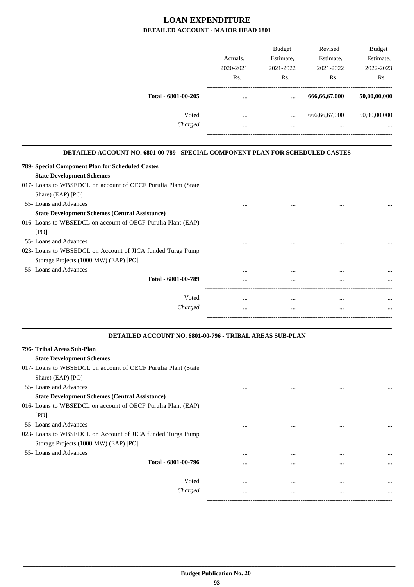|                     | Actuals.<br>2020-2021<br>Rs. | <b>Budget</b><br>Estimate,<br>2021-2022<br>Rs. | Revised<br>Estimate,<br>2021-2022<br>Rs. | Budget<br>Estimate,<br>2022-2023<br>Rs. |
|---------------------|------------------------------|------------------------------------------------|------------------------------------------|-----------------------------------------|
| Total - 6801-00-205 | $\cdots$                     | $\cdots$                                       | 666,66,67,000                            | 50,00,00,000                            |
| Voted               | $\cdots$                     | $\cdots$                                       | 666,66,67,000                            | 50,00,00,000                            |
| Charged             | $\cdots$                     | $\cdots$                                       | $\cdots$                                 | $\cdots$                                |

| <b>DETAILED ACCOUNT NO. 6801-00-789 - SPECIAL COMPONENT PLAN FOR SCHEDULED CASTES</b> |          |          |          |          |
|---------------------------------------------------------------------------------------|----------|----------|----------|----------|
| 789- Special Component Plan for Scheduled Castes                                      |          |          |          |          |
| <b>State Development Schemes</b>                                                      |          |          |          |          |
| 017- Loans to WBSEDCL on account of OECF Purulia Plant (State                         |          |          |          |          |
| Share) (EAP) [PO]                                                                     |          |          |          |          |
| 55- Loans and Advances                                                                |          |          |          |          |
| <b>State Development Schemes (Central Assistance)</b>                                 |          |          |          |          |
| 016- Loans to WBSEDCL on account of OECF Purulia Plant (EAP)                          |          |          |          |          |
| [PO]                                                                                  |          |          |          |          |
| 55- Loans and Advances                                                                |          | $\cdots$ |          |          |
| 023- Loans to WBSEDCL on Account of JICA funded Turga Pump                            |          |          |          |          |
| Storage Projects (1000 MW) (EAP) [PO]                                                 |          |          |          |          |
| 55- Loans and Advances                                                                | $\cdots$ | $\cdots$ |          |          |
| Total - 6801-00-789                                                                   | $\cdots$ | $\cdots$ | $\cdots$ | $\cdots$ |
|                                                                                       |          |          |          |          |
| Voted                                                                                 |          | $\cdots$ | $\cdots$ |          |
| Charged                                                                               | $\cdots$ | $\cdots$ | $\cdots$ | $\cdots$ |
|                                                                                       |          |          |          |          |

| <b>DETAILED ACCOUNT NO. 6801-00-796 - TRIBAL AREAS SUB-PLAN</b> |          |          |          |          |
|-----------------------------------------------------------------|----------|----------|----------|----------|
| 796- Tribal Areas Sub-Plan                                      |          |          |          |          |
| <b>State Development Schemes</b>                                |          |          |          |          |
| 017- Loans to WBSEDCL on account of OECF Purulia Plant (State   |          |          |          |          |
| Share) (EAP) [PO]                                               |          |          |          |          |
| 55- Loans and Advances                                          |          |          | $\cdots$ |          |
| <b>State Development Schemes (Central Assistance)</b>           |          |          |          |          |
| 016- Loans to WBSEDCL on account of OECF Purulia Plant (EAP)    |          |          |          |          |
| [PO]                                                            |          |          |          |          |
| 55- Loans and Advances                                          |          | $\cdots$ | $\cdots$ | $\cdots$ |
| 023- Loans to WBSEDCL on Account of JICA funded Turga Pump      |          |          |          |          |
| Storage Projects (1000 MW) (EAP) [PO]                           |          |          |          |          |
| 55-Loans and Advances                                           | $\cdots$ | $\cdots$ | $\cdots$ | $\cdots$ |
| Total - 6801-00-796                                             | $\cdots$ |          | $\cdots$ | $\cdots$ |
|                                                                 |          |          |          |          |
| Voted                                                           | $\cdots$ | $\cdots$ | $\cdots$ |          |
| Charged                                                         | $\cdots$ | $\cdots$ | $\cdots$ | $\cdots$ |
|                                                                 |          |          |          |          |

.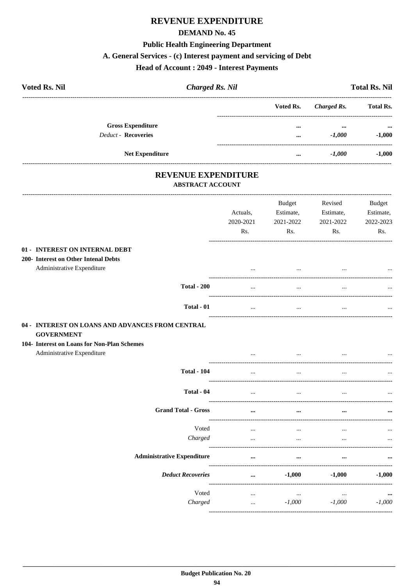### **REVENUE EXPENDITURE**

#### **DEMAND No. 45**

#### **Public Health Engineering Department**

#### A. General Services - (c) Interest payment and servicing of Debt

#### **Head of Account: 2049 - Interest Payments**

| <b>Voted Rs. Nil</b> |                                                        | <b>Charged Rs. Nil</b> |           |                      | <b>Total Rs. Nil</b> |
|----------------------|--------------------------------------------------------|------------------------|-----------|----------------------|----------------------|
|                      |                                                        |                        | Voted Rs. | Charged Rs.          | <b>Total Rs.</b>     |
|                      | <b>Gross Expenditure</b><br><b>Deduct - Recoveries</b> |                        | <br>      | $\cdots$<br>$-1,000$ | $\cdots$<br>$-1,000$ |
|                      | <b>Net Expenditure</b>                                 |                        |           | $-1,000$             | $-1,000$             |
|                      |                                                        |                        |           |                      |                      |

#### **REVENUE EXPENDITURE ABSTRACT ACCOUNT**

#### -----------------------------------Budget Revised **Budget** Estimate, Estimate, Estimate, Actuals, 2020-2021 2021-2022 2021-2022 2022-2023  $Rs.$  $Rs.$  $Rs.$ Rs. ---------01 - INTEREST ON INTERNAL DEBT 200- Interest on Other Intenal Debts Administrative Expenditure  $\ddotsc$  $\ddotsc$  $\ddotsc$  $\ddotsc$ **Total - 200**  $\ddotsc$  $\ddotsc$  $\ddotsc$  $\ddotsc$ ------Total - 01  $\ddotsc$  $\sim$  $\sim$  $\ddotsc$ 04 - INTEREST ON LOANS AND ADVANCES FROM CENTRAL **GOVERNMENT** 104- Interest on Loans for Non-Plan Schemes Administrative Expenditure  $\ldots$  $\ddotsc$  $\ddotsc$  $\ddotsc$ **Total - 104**  $\ddotsc$  $\ddotsc$  $\ddotsc$  $\ddotsc$ Total - 04  $\ddotsc$  $\ddotsc$  $\ddotsc$  $\ddotsc$ ----**Grand Total - Gross**  $\ddot{\phantom{a}}$  $\ddotsc$  $\ddot{\cdot}$  $\ddotsc$ Voted  $\ddotsc$  $\ddotsc$  $\ddotsc$  $\ddotsc$ Charged  $\ddots$  $\ddots$  $\ddots$  $\ddots$ --------. . . . . . . . . . . **Administrative Expenditure** ...  $\ddot{\phantom{a}}$  $\ddot{\cdot}$ ... **Deduct Recoveries** ...  $-1,000$  $-1,000$  $-1.000$ ------------Voted  $\ddotsc$  $\mathbf{r}$  $\overline{\phantom{a}}$  $\ddot{\phantom{a}}$ Charged  $-1,000$  $-1,000$  $-1,000$  $\ddotsc$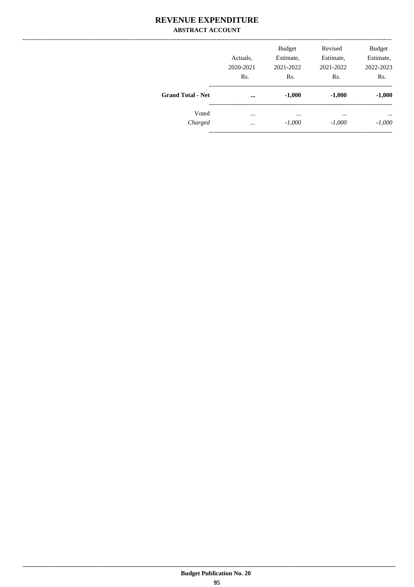### **REVENUE EXPENDITURE ABSTRACT ACCOUNT**

|                          | Actuals.<br>2020-2021<br>Rs. | <b>Budget</b><br>Estimate,<br>2021-2022<br>Rs. | Revised<br>Estimate,<br>2021-2022<br>Rs. | <b>Budget</b><br>Estimate,<br>2022-2023<br>Rs. |
|--------------------------|------------------------------|------------------------------------------------|------------------------------------------|------------------------------------------------|
| <b>Grand Total - Net</b> | $\cdots$                     | $-1,000$                                       | $-1,000$                                 | $-1,000$                                       |
| Voted<br>Charged         | $\cdots$<br>$\cdots$         | $\cdots$<br>$-1,000$                           | $\cdots$<br>$-1,000$                     | $\cdots$<br>$-1,000$                           |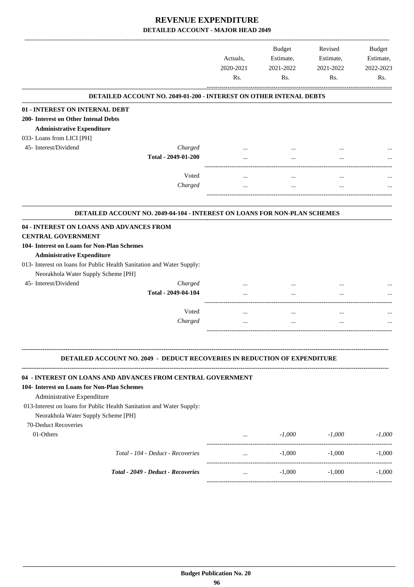|                                                                                                                                                           |                                                                                  | Actuals,<br>2020-2021<br>Rs. | Budget<br>Estimate,<br>2021-2022<br>Rs. | Revised<br>Estimate,<br>2021-2022<br>Rs. | <b>Budget</b><br>Estimate,<br>2022-2023<br>Rs. |
|-----------------------------------------------------------------------------------------------------------------------------------------------------------|----------------------------------------------------------------------------------|------------------------------|-----------------------------------------|------------------------------------------|------------------------------------------------|
|                                                                                                                                                           | <b>DETAILED ACCOUNT NO. 2049-01-200 - INTEREST ON OTHER INTENAL DEBTS</b>        |                              |                                         |                                          |                                                |
| 01 - INTEREST ON INTERNAL DEBT                                                                                                                            |                                                                                  |                              |                                         |                                          |                                                |
| 200- Interest on Other Intenal Debts                                                                                                                      |                                                                                  |                              |                                         |                                          |                                                |
| <b>Administrative Expenditure</b>                                                                                                                         |                                                                                  |                              |                                         |                                          |                                                |
| 033- Loans from LICI [PH]                                                                                                                                 |                                                                                  |                              |                                         |                                          |                                                |
| 45- Interest/Dividend                                                                                                                                     | Charged                                                                          |                              |                                         |                                          |                                                |
|                                                                                                                                                           | Total - 2049-01-200                                                              | $\cdots$                     | $\cdots$                                |                                          |                                                |
|                                                                                                                                                           | Voted                                                                            |                              |                                         |                                          |                                                |
|                                                                                                                                                           | Charged                                                                          |                              |                                         |                                          |                                                |
|                                                                                                                                                           |                                                                                  |                              |                                         |                                          |                                                |
|                                                                                                                                                           | DETAILED ACCOUNT NO. 2049-04-104 - INTEREST ON LOANS FOR NON-PLAN SCHEMES        |                              |                                         |                                          |                                                |
| 04 - INTEREST ON LOANS AND ADVANCES FROM<br><b>CENTRAL GOVERNMENT</b><br>104- Interest on Loans for Non-Plan Schemes<br><b>Administrative Expenditure</b> | 013- Interest on loans for Public Health Sanitation and Water Supply:            |                              |                                         |                                          |                                                |
| Neorakhola Water Supply Scheme [PH]                                                                                                                       |                                                                                  |                              |                                         |                                          |                                                |
| 45- Interest/Dividend                                                                                                                                     | Charged                                                                          |                              |                                         |                                          |                                                |
|                                                                                                                                                           | Total - 2049-04-104                                                              |                              |                                         |                                          |                                                |
|                                                                                                                                                           | Voted                                                                            | $\cdots$                     | $\cdots$                                | $\cdots$                                 |                                                |
|                                                                                                                                                           | Charged                                                                          | $\ddotsc$                    |                                         | $\ddotsc$                                |                                                |
|                                                                                                                                                           | <b>DETAILED ACCOUNT NO. 2049 - DEDUCT RECOVERIES IN REDUCTION OF EXPENDITURE</b> |                              |                                         |                                          |                                                |
|                                                                                                                                                           |                                                                                  |                              |                                         |                                          |                                                |
| 104- Interest on Loans for Non-Plan Schemes<br>Administrative Expenditure                                                                                 | 04 - INTEREST ON LOANS AND ADVANCES FROM CENTRAL GOVERNMENT                      |                              |                                         |                                          |                                                |
| Neorakhola Water Supply Scheme [PH]                                                                                                                       | 013-Interest on loans for Public Health Sanitation and Water Supply:             |                              |                                         |                                          |                                                |
| 70-Deduct Recoveries<br>$01$ -Others                                                                                                                      |                                                                                  | and the state of the         | $-1,000$                                | $-1,000$                                 | $-1,000$                                       |
|                                                                                                                                                           | Total - 104 - Deduct - Recoveries                                                | $\cdots$                     | $-1,000$                                | $-1,000$                                 | $-1,000$                                       |
|                                                                                                                                                           | Total - 2049 - Deduct - Recoveries                                               | $\cdots$                     | $-1,000$                                | $-1,000$                                 | $-1,000$                                       |
|                                                                                                                                                           |                                                                                  |                              |                                         |                                          |                                                |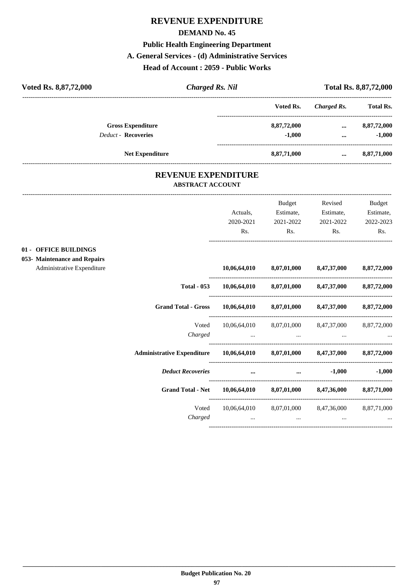# **REVENUE EXPENDITURE DEMAND No. 45 Public Health Engineering Department A. General Services - (d) Administrative Services Head of Account : 2059 - Public Works**

| Voted Rs. 8,87,72,000             |                                                       | <b>Charged Rs. Nil</b> |             | Total Rs. 8,87,72,000 |                  |
|-----------------------------------|-------------------------------------------------------|------------------------|-------------|-----------------------|------------------|
|                                   |                                                       |                        | Voted Rs.   | <b>Charged Rs.</b>    | <b>Total Rs.</b> |
|                                   | <b>Gross Expenditure</b>                              |                        | 8,87,72,000 | $\ddotsc$             | 8,87,72,000      |
| <b>Deduct - Recoveries</b>        |                                                       |                        | $-1,000$    |                       | $-1,000$         |
|                                   | <b>Net Expenditure</b>                                |                        | 8,87,71,000 | $\cdots$              | 8,87,71,000      |
|                                   | <b>REVENUE EXPENDITURE</b><br><b>ABSTRACT ACCOUNT</b> |                        |             |                       |                  |
|                                   |                                                       |                        | Budget      | Revised               | Budget           |
|                                   |                                                       | Actuals,               | Estimate,   | Estimate,             | Estimate,        |
|                                   |                                                       | 2020-2021              | 2021-2022   | 2021-2022             | 2022-2023        |
|                                   |                                                       | Rs.                    | Rs.         | Rs.                   | Rs.              |
| <b>OFFICE BUILDINGS</b><br>$01 -$ |                                                       |                        |             |                       |                  |
| 053- Maintenance and Repairs      |                                                       |                        |             |                       |                  |
| Administrative Expenditure        |                                                       | 10,06,64,010           | 8,07,01,000 | 8,47,37,000           | 8,87,72,000      |
|                                   | <b>Total - 053</b>                                    | 10,06,64,010           | 8,07,01,000 | 8,47,37,000           | 8,87,72,000      |

| <b>Total - 053</b>                | 10,06,64,010             | 8,07,01,000             | 8,47,37,000                         | 8,87,72,000 |
|-----------------------------------|--------------------------|-------------------------|-------------------------------------|-------------|
| <b>Grand Total - Gross</b>        | 10,06,64,010             | 8,07,01,000             | 8,47,37,000                         | 8,87,72,000 |
| Voted<br>Charged                  | 10,06,64,010<br>$\cdots$ | $\cdots$                | 8,07,01,000 8,47,37,000<br>$\cdots$ | 8,87,72,000 |
| <b>Administrative Expenditure</b> | 10,06,64,010             | 8,07,01,000             | 8,47,37,000                         | 8,87,72,000 |
| <b>Deduct Recoveries</b>          |                          | $\cdots$                | $-1,000$                            | $-1,000$    |
| <b>Grand Total - Net</b>          | 10,06,64,010             | 8,07,01,000             | 8,47,36,000                         | 8,87,71,000 |
| Voted<br>Charged                  | 10,06,64,010<br>$\cdots$ | 8,07,01,000<br>$\cdots$ | 8,47,36,000<br>$\cdots$             | 8,87,71,000 |
|                                   |                          |                         |                                     |             |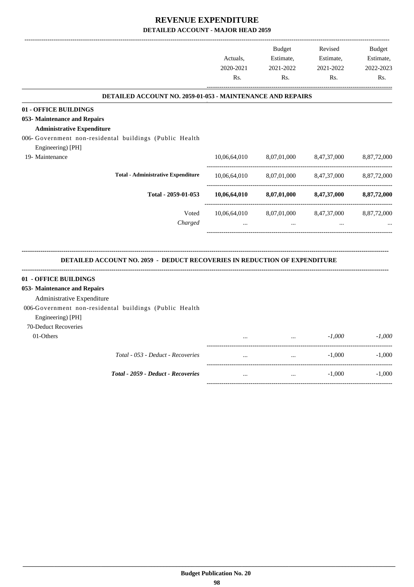-------------------------------------------------------------------------------------------------------------------------------------------------------------------------------

|                                                                                  | Actuals,<br>2020-2021<br>Rs. | <b>Budget</b><br>Estimate,<br>2021-2022<br>Rs. | Revised<br>Estimate,<br>2021-2022<br>Rs. | <b>Budget</b><br>Estimate,<br>2022-2023<br>Rs. |
|----------------------------------------------------------------------------------|------------------------------|------------------------------------------------|------------------------------------------|------------------------------------------------|
| <b>DETAILED ACCOUNT NO. 2059-01-053 - MAINTENANCE AND REPAIRS</b>                |                              |                                                |                                          |                                                |
| 01 - OFFICE BUILDINGS                                                            |                              |                                                |                                          |                                                |
| 053- Maintenance and Repairs                                                     |                              |                                                |                                          |                                                |
| <b>Administrative Expenditure</b>                                                |                              |                                                |                                          |                                                |
| 006- Government non-residental buildings (Public Health                          |                              |                                                |                                          |                                                |
| Engineering) [PH]                                                                |                              |                                                |                                          |                                                |
| 19- Maintenance                                                                  | 10,06,64,010                 | 8,07,01,000                                    | 8,47,37,000                              | 8,87,72,000                                    |
| <b>Total - Administrative Expenditure</b>                                        | 10,06,64,010                 | 8,07,01,000                                    | 8,47,37,000                              | 8,87,72,000                                    |
| Total - 2059-01-053                                                              | 10,06,64,010                 | 8,07,01,000                                    | 8,47,37,000                              | 8,87,72,000                                    |
| Voted                                                                            | 10,06,64,010                 | 8,07,01,000                                    | 8,47,37,000                              | 8,87,72,000                                    |
| Charged                                                                          |                              | $\cdots$                                       | $\cdots$                                 |                                                |
| <b>DETAILED ACCOUNT NO. 2059 - DEDUCT RECOVERIES IN REDUCTION OF EXPENDITURE</b> |                              |                                                |                                          |                                                |
| 01 - OFFICE BUILDINGS                                                            |                              |                                                |                                          |                                                |
| 053- Maintenance and Repairs                                                     |                              |                                                |                                          |                                                |
| Administrative Expenditure                                                       |                              |                                                |                                          |                                                |
| 006-Government non-residental buildings (Public Health<br>Engineering) [PH]      |                              |                                                |                                          |                                                |
| 70-Deduct Recoveries                                                             |                              |                                                |                                          |                                                |
| 01-Others                                                                        |                              | $\cdots$                                       | $-1,000$                                 | $-1,000$                                       |
| Total - 053 - Deduct - Recoveries                                                | $\dddotsc$                   | $\cdots$                                       | $-1,000$<br>_______________________      | $-1,000$                                       |
| Total - 2059 - Deduct - Recoveries                                               | $\cdots$                     | $\cdots$                                       | $-1,000$                                 | $-1,000$                                       |
|                                                                                  |                              |                                                |                                          |                                                |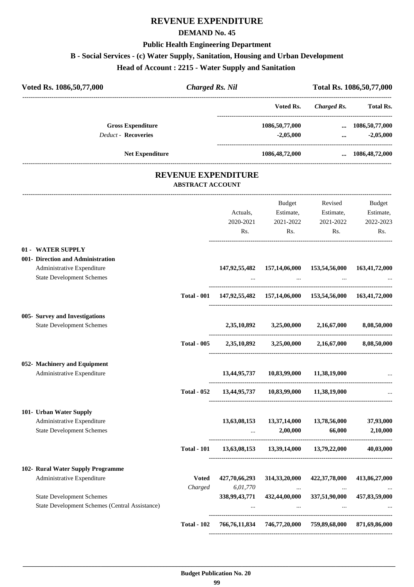# **REVENUE EXPENDITURE**

#### **DEMAND No. 45**

#### **Public Health Engineering Department**

### **B - Social Services - (c) Water Supply, Sanitation, Housing and Urban Development**

**Head of Account : 2215 - Water Supply and Sanitation** 

| Voted Rs. 1086,50,77,000          | <b>Charged Rs. Nil</b>  |                            |                                                                     |                | Total Rs. 1086,50,77,000 |
|-----------------------------------|-------------------------|----------------------------|---------------------------------------------------------------------|----------------|--------------------------|
|                                   |                         |                            | Voted Rs.                                                           | Charged Rs.    | Total Rs.                |
| <b>Gross Expenditure</b>          |                         |                            | 1086,50,77,000  1086,50,77,000                                      |                |                          |
| Deduct - Recoveries               |                         |                            | $-2,05,000$                                                         |                | $\ldots$ $-2,05,000$     |
| <b>Net Expenditure</b>            |                         |                            | 1086,48,72,000                                                      |                | $\dots$ 1086,48,72,000   |
|                                   | <b>ABSTRACT ACCOUNT</b> | <b>REVENUE EXPENDITURE</b> |                                                                     |                |                          |
|                                   |                         |                            |                                                                     | Budget Revised | Budget                   |
|                                   |                         |                            | Actuals, Estimate, Estimate, Estimate,                              |                |                          |
|                                   |                         |                            | 2020-2021 2021-2022                                                 | 2021-2022      | 2022-2023                |
|                                   |                         | Rs.                        | Rs.                                                                 | Rs.            | Rs.                      |
| 01 - WATER SUPPLY                 |                         |                            |                                                                     |                |                          |
| 001- Direction and Administration |                         |                            |                                                                     |                |                          |
| Administrative Expenditure        |                         |                            | 147,92,55,482 157,14,06,000 153,54,56,000 163,41,72,000             |                |                          |
| <b>State Development Schemes</b>  |                         |                            |                                                                     |                |                          |
|                                   |                         |                            | Total - 001 147,92,55,482 157,14,06,000 153,54,56,000 163,41,72,000 |                |                          |
| 005- Survey and Investigations    |                         |                            |                                                                     |                |                          |
| <b>State Development Schemes</b>  |                         |                            | $2,35,10,892$ $3,25,00,000$ $2,16,67,000$                           |                | 8,08,50,000              |
|                                   | <b>Total - 005</b>      |                            | 2,35,10,892 3,25,00,000 2,16,67,000 8,08,50,000                     |                |                          |
| 052- Machinery and Equipment      |                         |                            |                                                                     |                |                          |
| Administrative Expenditure        |                         |                            | 13,44,95,737 10,83,99,000 11,38,19,000                              |                |                          |
|                                   | <b>Total - 052</b>      | 13,44,95,737               | 10,83,99,000                                                        | 11,38,19,000   |                          |
| 101- Urban Water Supply           |                         |                            |                                                                     |                |                          |
| Administrative Expenditure        |                         | 13,63,08,153               | 13,37,14,000                                                        | 13,78,56,000   | 37,93,000                |
| <b>State Development Schemes</b>  |                         |                            | 2,00,000                                                            | 66,000         | 2,10,000                 |
|                                   | <b>Total - 101</b>      |                            | 13,63,08,153 13,39,14,000                                           | 13,79,22,000   | 40,03,000                |
| 102- Rural Water Supply Programme |                         |                            |                                                                     |                |                          |
| Administrative Expenditure        | <b>Voted</b>            | 427,70,66,293              | 314, 33, 20, 000                                                    | 422,37,78,000  | 413,86,27,000            |
|                                   | Charged                 | $6,\!01,\!770$             | $\cdots$                                                            | $\cdots$       |                          |
| <b>State Development Schemes</b>  |                         | 338,99,43,771              | 432,44,00,000                                                       | 337,51,90,000  | 457,83,59,000            |
|                                   |                         |                            |                                                                     |                |                          |

**Total - 102 766,76,11,834 746,77,20,000 759,89,68,000 871,69,86,000**

----------------------------------------------------------------------------------------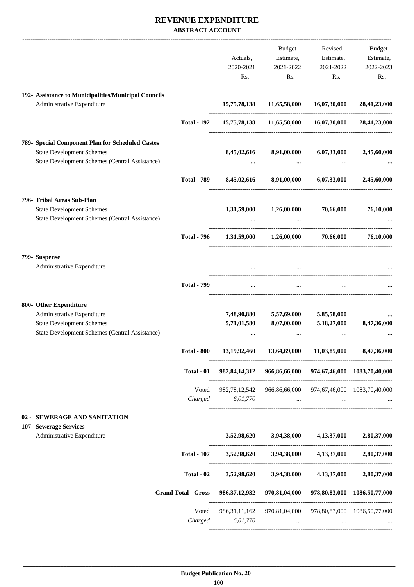### **REVENUE EXPENDITURE ABSTRACT ACCOUNT**

|                                                      |                            |                  | Budget                                                               | Revised                          | Budget                       |
|------------------------------------------------------|----------------------------|------------------|----------------------------------------------------------------------|----------------------------------|------------------------------|
|                                                      |                            | Actuals,         |                                                                      | Estimate, Estimate,              | Estimate,                    |
|                                                      |                            | 2020-2021        | 2021-2022                                                            | 2021-2022                        | 2022-2023                    |
|                                                      |                            | Rs.              | Rs.                                                                  | Rs.                              | Rs.                          |
|                                                      |                            |                  |                                                                      |                                  |                              |
| 192- Assistance to Municipalities/Municipal Councils |                            |                  |                                                                      |                                  |                              |
| Administrative Expenditure                           |                            | 15,75,78,138     | 11,65,58,000                                                         | 16,07,30,000                     | 28,41,23,000                 |
|                                                      | <b>Total - 192</b>         |                  | 15,75,78,138 11,65,58,000 16,07,30,000 28,41,23,000                  |                                  |                              |
| 789- Special Component Plan for Scheduled Castes     |                            |                  |                                                                      |                                  |                              |
| <b>State Development Schemes</b>                     |                            | 8,45,02,616      | 8,91,00,000 6,07,33,000                                              |                                  | 2,45,60,000                  |
| State Development Schemes (Central Assistance)       |                            |                  |                                                                      |                                  |                              |
|                                                      |                            |                  |                                                                      |                                  |                              |
|                                                      | <b>Total - 789</b>         |                  | 8,45,02,616 8,91,00,000 6,07,33,000                                  |                                  | 2,45,60,000                  |
| 796- Tribal Areas Sub-Plan                           |                            |                  |                                                                      |                                  |                              |
| <b>State Development Schemes</b>                     |                            |                  | $1,31,59,000$ $1,26,00,000$ $70,66,000$                              |                                  | 76,10,000                    |
| State Development Schemes (Central Assistance)       |                            |                  | $\sim$                                                               |                                  |                              |
|                                                      | <b>Total - 796</b>         |                  | $1,31,59,000$ $1,26,00,000$ $70,66,000$                              |                                  | 76,10,000                    |
|                                                      |                            |                  |                                                                      |                                  |                              |
| 799- Suspense                                        |                            |                  |                                                                      |                                  |                              |
| Administrative Expenditure                           |                            |                  |                                                                      |                                  |                              |
|                                                      | <b>Total - 799</b>         | $\cdots$         | and the contract of the con-                                         |                                  |                              |
| 800- Other Expenditure                               |                            |                  |                                                                      |                                  |                              |
| Administrative Expenditure                           |                            |                  | 7,48,90,880 5,57,69,000 5,85,58,000                                  |                                  |                              |
| <b>State Development Schemes</b>                     |                            | 5,71,01,580      | 8,07,00,000                                                          | 5,18,27,000                      | 8,47,36,000                  |
| State Development Schemes (Central Assistance)       |                            |                  |                                                                      |                                  |                              |
|                                                      | <b>Total - 800</b>         | 13,19,92,460     | 13,64,69,000                                                         | 11,03,85,000                     | 8,47,36,000                  |
|                                                      | Total - 01                 | 982, 84, 14, 312 | 966,86,66,000                                                        |                                  | 974,67,46,000 1083,70,40,000 |
|                                                      |                            |                  |                                                                      | -------------------------------- |                              |
|                                                      | Voted                      | 982, 78, 12, 542 | 966,86,66,000 974,67,46,000 1083,70,40,000                           |                                  |                              |
|                                                      | Charged                    | 6,01,770         | $\cdots$                                                             | $\cdots$                         |                              |
| 02 - SEWERAGE AND SANITATION                         |                            |                  |                                                                      |                                  |                              |
| 107- Sewerage Services                               |                            |                  |                                                                      |                                  |                              |
| Administrative Expenditure                           |                            | 3,52,98,620      | 3,94,38,000                                                          | 4,13,37,000                      | 2,80,37,000                  |
|                                                      | <b>Total - 107</b>         | 3,52,98,620      | 3,94,38,000                                                          | 4, 13, 37, 000                   | 2,80,37,000                  |
|                                                      | Total - 02                 |                  | 3,52,98,620 3,94,38,000                                              | 4,13,37,000                      | 2,80,37,000                  |
|                                                      | <b>Grand Total - Gross</b> | 986, 37, 12, 932 | 970,81,04,000                                                        |                                  | 978,80,83,000 1086,50,77,000 |
|                                                      | Voted                      |                  | 986, 31, 11, 162 970, 81, 04, 000 978, 80, 83, 000 1086, 50, 77, 000 |                                  |                              |
|                                                      | Charged                    | 6,01,770         | $\cdots$                                                             |                                  |                              |
|                                                      |                            |                  |                                                                      |                                  |                              |
|                                                      |                            |                  |                                                                      |                                  |                              |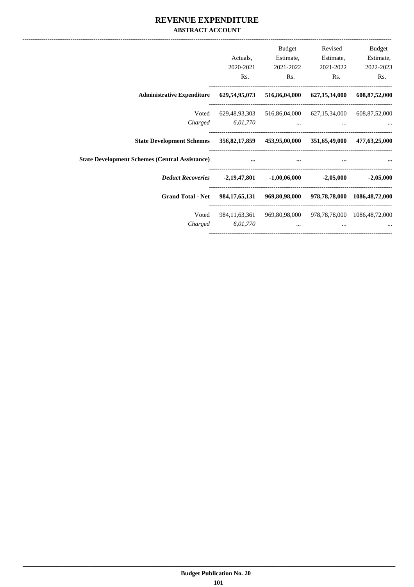### **REVENUE EXPENDITURE ABSTRACT ACCOUNT**

| Budget           | Revised                                 | Budget                                                   |                                                     |                                                                     |
|------------------|-----------------------------------------|----------------------------------------------------------|-----------------------------------------------------|---------------------------------------------------------------------|
| Estimate,        | Estimate,                               | Estimate,                                                | Actuals,                                            |                                                                     |
| 2022-2023        | 2021-2022                               | 2021-2022                                                | 2020-2021                                           |                                                                     |
| Rs.              | Rs.                                     | Rs.                                                      | Rs.                                                 |                                                                     |
| 608, 87, 52, 000 | 516,86,04,000 627,15,34,000             |                                                          | 629,54,95,073                                       | <b>Administrative Expenditure</b>                                   |
|                  |                                         | 629,48,93,303 516,86,04,000 627,15,34,000 608,87,52,000  |                                                     | Voted                                                               |
|                  | $\cdots$                                |                                                          | 6,01,770                                            | Charged                                                             |
| 477,63,25,000    |                                         |                                                          |                                                     | State Development Schemes 356,82,17,859 453,95,00,000 351,65,49,000 |
|                  | and the contract of the contract of the | $\cdots$                                                 | the contract of the contract of the contract of the | <b>State Development Schemes (Central Assistance)</b>               |
| $-2,05,000$      |                                         |                                                          |                                                     |                                                                     |
|                  |                                         | 984,17,65,131 969,80,98,000 978,78,78,000 1086,48,72,000 |                                                     | <b>Grand Total - Net</b>                                            |
|                  |                                         | 984,11,63,361 969,80,98,000 978,78,78,000 1086,48,72,000 |                                                     | Voted                                                               |
|                  |                                         | $\cdots$                                                 | 6,01,770                                            | Charged                                                             |
|                  |                                         |                                                          |                                                     |                                                                     |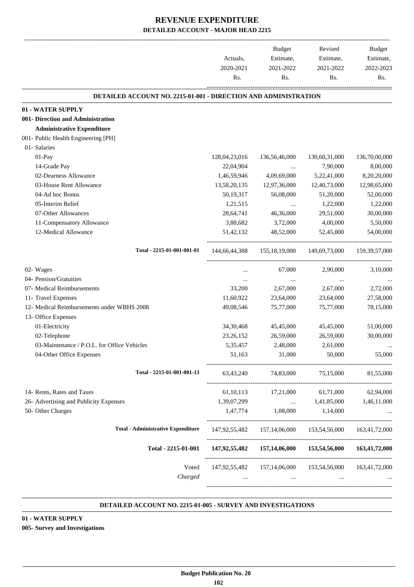-------------------------------------------------------------------------------------------------------------------------------------------------------------------------------

|                                                                          | Actuals,<br>2020-2021 | <b>Budget</b><br>Estimate,<br>2021-2022                        | Revised<br>Estimate,<br>2021-2022       | <b>Budget</b><br>Estimate,<br>2022-2023 |
|--------------------------------------------------------------------------|-----------------------|----------------------------------------------------------------|-----------------------------------------|-----------------------------------------|
|                                                                          | Rs.                   | Rs.                                                            | Rs.                                     | Rs.                                     |
| <b>DETAILED ACCOUNT NO. 2215-01-001 - DIRECTION AND ADMINISTRATION</b>   |                       |                                                                |                                         |                                         |
| 01 - WATER SUPPLY                                                        |                       |                                                                |                                         |                                         |
| 001- Direction and Administration                                        |                       |                                                                |                                         |                                         |
| <b>Administrative Expenditure</b><br>001- Public Health Engineering [PH] |                       |                                                                |                                         |                                         |
| 01- Salaries                                                             |                       |                                                                |                                         |                                         |
| 01-Pay                                                                   | 128,04,23,016         | 136,56,46,000                                                  | 130,60,31,000                           | 136,70,00,000                           |
| 14-Grade Pay                                                             | 22,04,904             | $\cdots$                                                       | 7,90,000                                | 8,00,000                                |
| 02-Dearness Allowance                                                    | 1,46,59,946           | 4,09,69,000                                                    | 5,22,41,000                             | 8,20,20,000                             |
| 03-House Rent Allowance                                                  | 13,58,20,135          | 12,97,36,000                                                   | 12,40,73,000                            | 12,98,65,000                            |
| 04-Ad hoc Bonus                                                          | 50,19,317             | 56,08,000                                                      | 51,20,000                               | 52,00,000                               |
| 05-Interim Relief                                                        | 1,21,515              | $\ldots$                                                       | 1,22,000                                | 1,22,000                                |
| 07-Other Allowances                                                      | 28,64,741             | 46,36,000                                                      | 29,51,000                               | 30,00,000                               |
| 11-Compensatory Allowance                                                | 3,88,682              | 3,72,000                                                       | 4,00,000                                | 5,50,000                                |
| 12-Medical Allowance                                                     | 51,42,132             | 48,52,000                                                      | 52,45,000                               | 54,00,000                               |
| Total - 2215-01-001-001-01                                               | 144,66,44,388         | 155, 18, 19, 000                                               | 149,69,73,000                           | 159, 39, 57, 000                        |
| 02- Wages                                                                |                       | 67,000                                                         | 2,90,000                                | 3,10,000                                |
| 04- Pension/Gratuities                                                   | $\ldots$              | $\ldots$                                                       | $\cdots$                                |                                         |
| 07- Medical Reimbursements                                               | 33,200                | 2,67,000                                                       | 2,67,000                                | 2,72,000                                |
| 11- Travel Expenses                                                      | 11,60,922             | 23,64,000                                                      | 23,64,000                               | 27,58,000                               |
| 12- Medical Reimbursements under WBHS 2008                               | 49,08,546             | 75,77,000                                                      | 75,77,000                               | 78,15,000                               |
| 13- Office Expenses                                                      |                       |                                                                |                                         |                                         |
| 01-Electricity                                                           | 34, 30, 468           | 45,45,000                                                      | 45,45,000                               | 51,00,000                               |
| 02-Telephone                                                             | 23, 26, 152           | 26,59,000                                                      | 26,59,000                               | 30,00,000                               |
| 03-Maintenance / P.O.L. for Office Vehicles                              | 5,35,457              | 2,48,000                                                       | 2,61,000                                |                                         |
| 04-Other Office Expenses                                                 | 51,163                | 31,000                                                         | 50,000                                  | 55,000                                  |
| Total - 2215-01-001-001-13                                               | 63,43,240             | 74,83,000                                                      | 75,15,000                               | 81,55,000                               |
| 14- Rents, Rates and Taxes                                               | 61, 10, 113           | 17,21,000                                                      | 61,71,000                               | 62,94,000                               |
| 26- Advertising and Publicity Expenses                                   | 1,39,07,299           | $\ldots$                                                       | 1,41,85,000                             | 1,46,11,000                             |
| 50- Other Charges                                                        | 1,47,774              | 1,08,000                                                       | 1,14,000                                |                                         |
| <b>Total - Administrative Expenditure</b>                                | 147,92,55,482         | 157, 14, 06, 000                                               | 153,54,56,000                           | 163,41,72,000                           |
| Total - 2215-01-001                                                      | 147,92,55,482         | 157,14,06,000                                                  | 153,54,56,000                           | 163,41,72,000                           |
| Voted<br>Charged                                                         | $\cdots$              | 147,92,55,482 157,14,06,000<br>$\mathbf{a}$ , and $\mathbf{a}$ | 153,54,56,000 163,41,72,000<br>$\cdots$ |                                         |
|                                                                          |                       |                                                                |                                         |                                         |

#### **DETAILED ACCOUNT NO. 2215-01-005 - SURVEY AND INVESTIGATIONS .**

**01 - WATER SUPPLY 005- Survey and Investigations**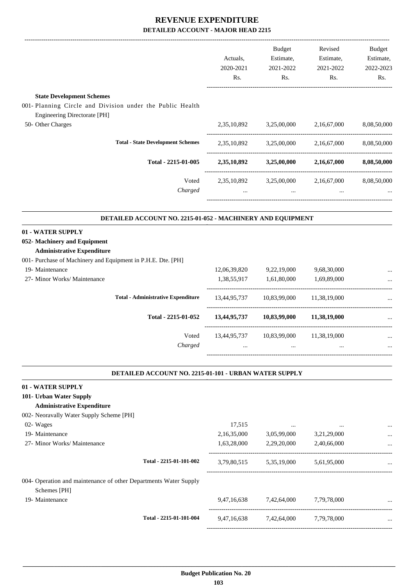|                                                                                                                                                           |                                                            | Actuals,<br>2020-2021<br>Rs. | Budget<br>Estimate,<br>2021-2022<br>Rs. | Revised<br>Estimate,<br>2021-2022<br>Rs. | <b>Budget</b><br>Estimate,<br>2022-2023<br>Rs. |
|-----------------------------------------------------------------------------------------------------------------------------------------------------------|------------------------------------------------------------|------------------------------|-----------------------------------------|------------------------------------------|------------------------------------------------|
|                                                                                                                                                           |                                                            |                              |                                         |                                          |                                                |
| <b>State Development Schemes</b><br>001- Planning Circle and Division under the Public Health<br><b>Engineering Directorate [PH]</b><br>50- Other Charges |                                                            | 2,35,10,892                  | 3,25,00,000                             | 2,16,67,000                              | 8,08,50,000                                    |
|                                                                                                                                                           |                                                            |                              |                                         |                                          |                                                |
|                                                                                                                                                           | <b>Total - State Development Schemes</b>                   | 2,35,10,892                  | 3,25,00,000                             | 2,16,67,000                              | 8,08,50,000                                    |
|                                                                                                                                                           | Total - 2215-01-005                                        | 2,35,10,892                  | 3,25,00,000                             | 2,16,67,000                              | 8,08,50,000                                    |
|                                                                                                                                                           | Voted                                                      |                              | 2,35,10,892 3,25,00,000 2,16,67,000     |                                          | 8,08,50,000                                    |
|                                                                                                                                                           | Charged                                                    |                              | $\cdots$                                | $\cdots$                                 |                                                |
|                                                                                                                                                           | DETAILED ACCOUNT NO. 2215-01-052 - MACHINERY AND EQUIPMENT |                              |                                         |                                          |                                                |
| 01 - WATER SUPPLY<br>052- Machinery and Equipment<br><b>Administrative Expenditure</b>                                                                    |                                                            |                              |                                         |                                          |                                                |
| 001- Purchase of Machinery and Equipment in P.H.E. Dte. [PH]                                                                                              |                                                            |                              |                                         |                                          |                                                |
| 19- Maintenance<br>27- Minor Works/ Maintenance                                                                                                           |                                                            | 12,06,39,820<br>1,38,55,917  | 9,22,19,000<br>1,61,80,000              | 9,68,30,000<br>1,69,89,000               |                                                |
|                                                                                                                                                           |                                                            |                              |                                         |                                          |                                                |
|                                                                                                                                                           | <b>Total - Administrative Expenditure</b>                  | 13,44,95,737                 | 10,83,99,000                            | 11,38,19,000                             |                                                |
|                                                                                                                                                           | Total - 2215-01-052                                        | 13,44,95,737                 | 10,83,99,000                            | 11,38,19,000                             |                                                |
|                                                                                                                                                           | Voted                                                      | 13,44,95,737                 | 10,83,99,000                            | 11,38,19,000                             |                                                |
|                                                                                                                                                           | Charged                                                    |                              |                                         |                                          |                                                |
|                                                                                                                                                           | DETAILED ACCOUNT NO. 2215-01-101 - URBAN WATER SUPPLY      |                              |                                         |                                          |                                                |
| 01 - WATER SUPPLY                                                                                                                                         |                                                            |                              |                                         |                                          |                                                |
| 101- Urban Water Supply<br><b>Administrative Expenditure</b>                                                                                              |                                                            |                              |                                         |                                          |                                                |
| 002- Neoravally Water Supply Scheme [PH]                                                                                                                  |                                                            |                              |                                         |                                          |                                                |
| 02- Wages                                                                                                                                                 |                                                            | 17,515                       | $\cdots$                                |                                          |                                                |
| 19- Maintenance                                                                                                                                           |                                                            | 2,16,35,000                  | 3,05,99,000                             | 3,21,29,000                              |                                                |
| 27- Minor Works/ Maintenance                                                                                                                              |                                                            | 1,63,28,000                  | 2,29,20,000                             | 2,40,66,000                              |                                                |
|                                                                                                                                                           | Total - 2215-01-101-002                                    | 3,79,80,515                  | 5,35,19,000                             | 5,61,95,000                              |                                                |
| 004- Operation and maintenance of other Departments Water Supply<br>Schemes [PH]                                                                          |                                                            |                              |                                         |                                          |                                                |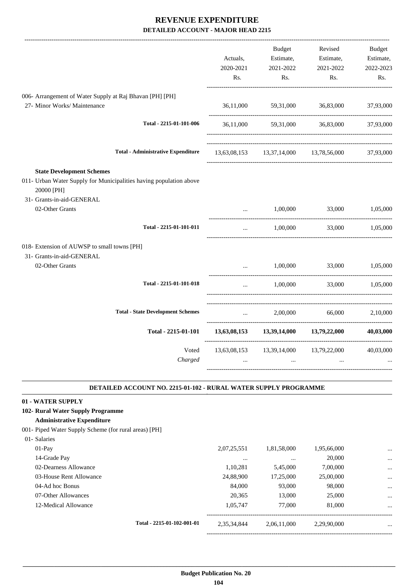|                                                                                                                                                   | Actuals,<br>2020-2021<br>Rs. | Budget<br>Estimate,<br>2021-2022<br>Rs.                  | Revised<br>Estimate,<br>2021-2022<br>Rs.           | Budget<br>Estimate,<br>2022-2023<br>Rs. |
|---------------------------------------------------------------------------------------------------------------------------------------------------|------------------------------|----------------------------------------------------------|----------------------------------------------------|-----------------------------------------|
| 006- Arrangement of Water Supply at Raj Bhavan [PH] [PH]                                                                                          |                              |                                                          |                                                    |                                         |
| 27- Minor Works/ Maintenance                                                                                                                      | 36,11,000                    | 59,31,000                                                | 36,83,000                                          | 37,93,000                               |
| Total - 2215-01-101-006                                                                                                                           |                              |                                                          | 36,11,000 59,31,000 36,83,000                      | 37,93,000                               |
| <b>Total - Administrative Expenditure</b>                                                                                                         |                              | 13,63,08,153 13,37,14,000 13,78,56,000                   |                                                    | 37,93,000                               |
| <b>State Development Schemes</b><br>011- Urban Water Supply for Municipalities having population above<br>20000 [PH]<br>31- Grants-in-aid-GENERAL |                              |                                                          |                                                    |                                         |
| 02-Other Grants<br>Total - 2215-01-101-011                                                                                                        | $\ddotsc$                    | 1,00,000                                                 | 33,000<br>1.00.000 33.000 1.05.000                 | 1,05,000                                |
| 018- Extension of AUWSP to small towns [PH]<br>31- Grants-in-aid-GENERAL<br>02-Other Grants<br>Total - 2215-01-101-018                            | $\ddotsc$                    | 1,00,000<br>1,00,000                                     | 33,000<br>33,000                                   | 1,05,000<br>1,05,000                    |
| <b>Total - State Development Schemes</b>                                                                                                          |                              | 2,00,000<br>$\mathbf{r}$ , and the state of $\mathbf{r}$ | 66,000                                             | 2,10,000                                |
| Total - 2215-01-101                                                                                                                               |                              |                                                          | $13,63,08,153$ $13,39,14,000$ $13,79,22,000$       | 40,03,000                               |
| Voted<br>Charged                                                                                                                                  | $\cdots$                     | $\ddotsc$                                                | 13,63,08,153 13,39,14,000 13,79,22,000<br>$\cdots$ | 40,03,000                               |

#### **DETAILED ACCOUNT NO. 2215-01-102 - RURAL WATER SUPPLY PROGRAMME .**

.

#### **01 - WATER SUPPLY**

#### **102- Rural Water Supply Programme**

#### **Administrative Expenditure**

001- Piped Water Supply Scheme (for rural areas) [PH]

| 01- Salaries |
|--------------|
|              |

| $01-Pav$                |                            | 2,07,25,551 | 1,81,58,000 | 1,95,66,000 | $\cdots$  |
|-------------------------|----------------------------|-------------|-------------|-------------|-----------|
| 14-Grade Pay            |                            | $\cdots$    |             | 20,000      | $\cdots$  |
| 02-Dearness Allowance   |                            | 1,10,281    | 5,45,000    | 7,00,000    | $\ddotsc$ |
| 03-House Rent Allowance |                            | 24,88,900   | 17,25,000   | 25,00,000   | $\cdots$  |
| 04-Ad hoc Bonus         |                            | 84,000      | 93,000      | 98,000      | $\ddotsc$ |
| 07-Other Allowances     |                            | 20.365      | 13,000      | 25,000      | $\ddotsc$ |
| 12-Medical Allowance    |                            | 1,05,747    | 77,000      | 81,000      | $\cdots$  |
|                         |                            |             |             |             |           |
|                         | Total - 2215-01-102-001-01 | 2,35,34,844 | 2,06,11,000 | 2,29,90,000 | $\cdots$  |
|                         |                            |             |             |             |           |

-----------------------------------------------------------------------------------------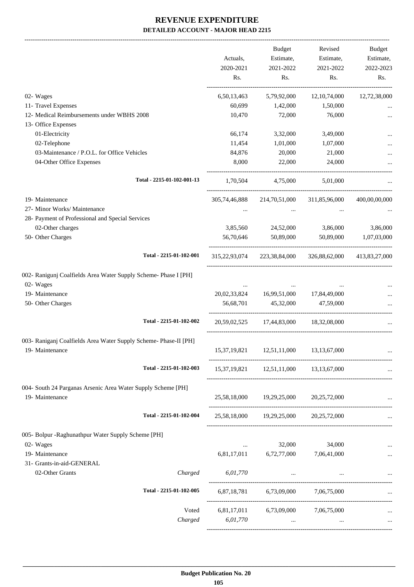-------------------------------------------------------------------------------------------------------------------------------------------------------------------------------

|                                                                                     |                            | Actuals,<br>2020-2021<br>Rs. | <b>Budget</b><br>Estimate,<br>2021-2022<br>Rs. | Revised<br>Estimate,<br>2021-2022<br>Rs. | <b>Budget</b><br>Estimate,<br>2022-2023<br>Rs. |
|-------------------------------------------------------------------------------------|----------------------------|------------------------------|------------------------------------------------|------------------------------------------|------------------------------------------------|
| 02- Wages                                                                           |                            | 6,50,13,463                  | 5,79,92,000                                    | 12, 10, 74, 000                          | 12,72,38,000                                   |
| 11- Travel Expenses                                                                 |                            | 60,699                       | 1,42,000                                       | 1,50,000                                 |                                                |
| 12- Medical Reimbursements under WBHS 2008                                          |                            | 10,470                       | 72,000                                         | 76,000                                   |                                                |
| 13- Office Expenses                                                                 |                            |                              |                                                |                                          |                                                |
| 01-Electricity                                                                      |                            | 66,174                       | 3,32,000                                       | 3,49,000                                 |                                                |
| 02-Telephone                                                                        |                            | 11,454                       | 1,01,000                                       | 1,07,000                                 |                                                |
| 03-Maintenance / P.O.L. for Office Vehicles                                         |                            | 84,876                       | 20,000                                         | 21,000                                   |                                                |
| 04-Other Office Expenses                                                            |                            | 8,000                        | 22,000                                         | 24,000                                   |                                                |
|                                                                                     | Total - 2215-01-102-001-13 | 1,70,504                     | 4,75,000                                       | 5,01,000                                 |                                                |
| 19- Maintenance                                                                     |                            | 305,74,46,888                | 214,70,51,000                                  | 311,85,96,000                            | 400,00,00,000                                  |
| 27- Minor Works/ Maintenance                                                        |                            |                              |                                                |                                          |                                                |
| 28- Payment of Professional and Special Services                                    |                            |                              |                                                |                                          |                                                |
| 02-Other charges                                                                    |                            | 3,85,560                     | 24,52,000                                      | 3,86,000                                 | 3,86,000                                       |
| 50- Other Charges                                                                   |                            | 56,70,646                    | 50.89,000                                      | 50,89,000                                | 1,07,03,000                                    |
|                                                                                     | Total - 2215-01-102-001    | 315,22,93,074                | 223,38,84,000                                  | 326,88,62,000                            | 413,83,27,000                                  |
| 002- Ranigunj Coalfields Area Water Supply Scheme- Phase I [PH]<br>02- Wages        |                            |                              |                                                |                                          |                                                |
| 19- Maintenance                                                                     |                            | 20,02,33,824                 | 16,99,51,000                                   | 17,84,49,000                             |                                                |
| 50- Other Charges                                                                   |                            | 56,68,701                    | 45,32,000                                      | 47,59,000                                |                                                |
|                                                                                     | Total - 2215-01-102-002    |                              | 20.59.02.525 17.44.83.000 18.32.08.000         |                                          |                                                |
| 003- Raniganj Coalfields Area Water Supply Scheme- Phase-II [PH]<br>19- Maintenance |                            | 15,37,19,821                 | 12,51,11,000                                   | 13, 13, 67, 000                          |                                                |
|                                                                                     | Total - 2215-01-102-003    |                              | 15,37,19,821 12,51,11,000                      | 13, 13, 67, 000                          |                                                |
| 004- South 24 Parganas Arsenic Area Water Supply Scheme [PH]<br>19- Maintenance     |                            | 25,58,18,000                 | 19,29,25,000                                   | 20,25,72,000                             |                                                |
|                                                                                     | Total - 2215-01-102-004    |                              | 25,58,18,000 19,29,25,000 20,25,72,000         |                                          |                                                |
| 005- Bolpur - Raghunathpur Water Supply Scheme [PH]                                 |                            |                              |                                                |                                          |                                                |
| 02- Wages                                                                           |                            | $\ldots$                     | 32,000                                         | 34,000                                   |                                                |
| 19- Maintenance                                                                     |                            | 6,81,17,011                  | 6,72,77,000                                    | 7,06,41,000                              |                                                |
| 31- Grants-in-aid-GENERAL                                                           |                            |                              |                                                |                                          |                                                |
| 02-Other Grants                                                                     | Charged                    | 6,01,770                     | $\cdots$                                       |                                          |                                                |
|                                                                                     | Total - 2215-01-102-005    |                              | 6,87,18,781 6,73,09,000 7,06,75,000            |                                          |                                                |
|                                                                                     | Voted                      |                              | 6,81,17,011 6,73,09,000 7,06,75,000            |                                          |                                                |
|                                                                                     | Charged                    | 6,01,770                     | $\cdots$                                       |                                          |                                                |
|                                                                                     |                            |                              |                                                |                                          |                                                |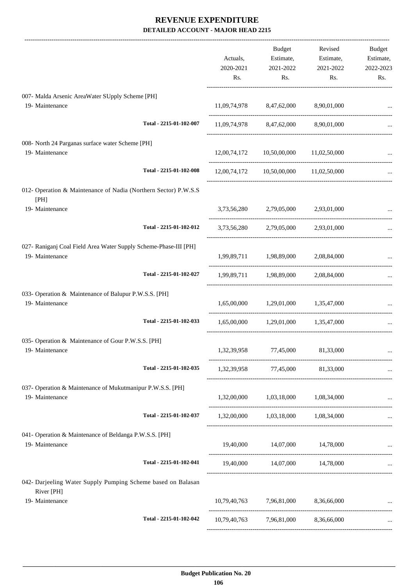|                                                                                     | Actuals,<br>2020-2021<br>Rs. | <b>Budget</b><br>Estimate,<br>2021-2022<br>Rs. | Revised<br>Estimate,<br>2021-2022<br>Rs. | <b>Budget</b><br>Estimate,<br>2022-2023<br>Rs. |
|-------------------------------------------------------------------------------------|------------------------------|------------------------------------------------|------------------------------------------|------------------------------------------------|
| 007- Malda Arsenic AreaWater SUpply Scheme [PH]<br>19- Maintenance                  |                              | 11,09,74,978 8,47,62,000 8,90,01,000           |                                          |                                                |
| Total - 2215-01-102-007                                                             |                              | 11,09,74,978 8,47,62,000                       | 8,90,01,000                              |                                                |
| 008- North 24 Parganas surface water Scheme [PH]<br>19- Maintenance                 |                              | 12,00,74,172 10,50,00,000 11,02,50,000         |                                          |                                                |
| Total - 2215-01-102-008                                                             |                              | 12,00,74,172 10,50,00,000 11,02,50,000         |                                          |                                                |
| 012- Operation & Maintenance of Nadia (Northern Sector) P.W.S.S<br>[PH]             |                              |                                                |                                          |                                                |
| 19- Maintenance                                                                     | 3,73,56,280                  | 2,79,05,000                                    | 2,93,01,000                              |                                                |
| Total - 2215-01-102-012                                                             |                              | 3,73,56,280 2,79,05,000 2,93,01,000            |                                          |                                                |
| 027- Raniganj Coal Field Area Water Supply Scheme-Phase-III [PH]<br>19- Maintenance |                              | 1,99,89,711 1,98,89,000 2,08,84,000            |                                          |                                                |
| Total - 2215-01-102-027                                                             |                              | 1,99,89,711 1,98,89,000                        | 2,08,84,000                              |                                                |
| 033- Operation & Maintenance of Balupur P.W.S.S. [PH]<br>19- Maintenance            |                              | 1,65,00,000 1,29,01,000 1,35,47,000            |                                          |                                                |
| Total - 2215-01-102-033                                                             | 1,65,00,000                  | 1,29,01,000 1,35,47,000                        |                                          |                                                |
| 035- Operation & Maintenance of Gour P.W.S.S. [PH]<br>19- Maintenance               |                              | 1,32,39,958 77,45,000 81,33,000                |                                          |                                                |
| Total - 2215-01-102-035                                                             |                              | 1,32,39,958 77,45,000 81,33,000                |                                          |                                                |
| 037- Operation & Maintenance of Mukutmanipur P.W.S.S. [PH]<br>19- Maintenance       |                              | 1,32,00,000 1,03,18,000 1,08,34,000            |                                          |                                                |
| Total - 2215-01-102-037                                                             |                              | 1,32,00,000 1,03,18,000 1,08,34,000            |                                          |                                                |
| 041- Operation & Maintenance of Beldanga P.W.S.S. [PH]<br>19- Maintenance           |                              | 19,40,000 14,07,000 14,78,000                  |                                          |                                                |
| Total - 2215-01-102-041                                                             |                              | 19,40,000 14,07,000 14,78,000                  |                                          |                                                |
| 042- Darjeeling Water Supply Pumping Scheme based on Balasan<br>River [PH]          |                              |                                                |                                          |                                                |
| 19- Maintenance                                                                     |                              | 10,79,40,763 7,96,81,000 8,36,66,000           |                                          |                                                |
| Total - 2215-01-102-042                                                             |                              | 10,79,40,763 7,96,81,000 8,36,66,000           |                                          |                                                |
|                                                                                     |                              |                                                |                                          |                                                |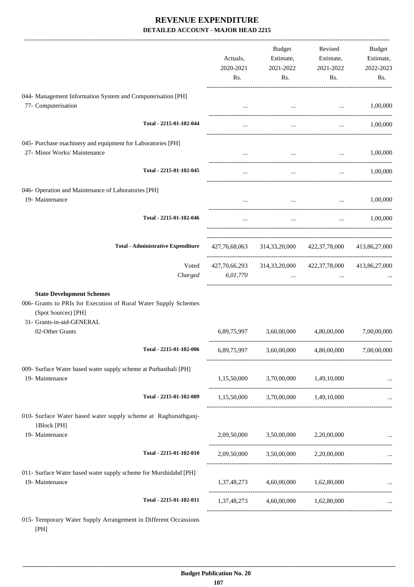|                                                                                                                                                                            | Actuals,<br>2020-2021<br>Rs. | Budget<br>Estimate,<br>2021-2022<br>Rs.                             | Revised<br>Estimate,<br>2021-2022<br>Rs.      | Budget<br>Estimate,<br>2022-2023<br>Rs. |
|----------------------------------------------------------------------------------------------------------------------------------------------------------------------------|------------------------------|---------------------------------------------------------------------|-----------------------------------------------|-----------------------------------------|
| 044- Management Information System and Computerisation [PH]<br>77- Computerisation                                                                                         |                              |                                                                     | and the state of the state of the state of    | 1,00,000                                |
| Total - 2215-01-102-044                                                                                                                                                    |                              | $\cdots$                                                            | $\cdots$                                      | 1,00,000                                |
| 045- Purchase machinery and equipment for Laboratories [PH]<br>27- Minor Works/ Maintenance                                                                                | $\cdots$                     |                                                                     | $\sim$ .<br>and the state of the state of the | 1,00,000                                |
| Total - 2215-01-102-045                                                                                                                                                    | $\cdots$                     | $\ddotsc$                                                           | $\cdots$                                      | 1,00,000                                |
| 046- Operation and Maintenance of Laboratories [PH]<br>19- Maintenance                                                                                                     |                              | $\sim 10^{-10}$                                                     | $\mathbf{r}$                                  | 1,00,000                                |
| Total - 2215-01-102-046                                                                                                                                                    |                              | $\ddots$                                                            |                                               | $\ldots$ 1,00,000                       |
| <b>Total - Administrative Expenditure</b>                                                                                                                                  |                              | 427,76,68,063 314,33,20,000 422,37,78,000 413,86,27,000             |                                               |                                         |
| Voted<br>Charged                                                                                                                                                           | 6,01,770                     | 427,70,66,293 314,33,20,000 422,37,78,000 413,86,27,000<br>$\cdots$ |                                               |                                         |
| <b>State Development Schemes</b><br>006- Grants to PRIs for Execution of Rural Water Supply Schemes<br>(Spot Sources) [PH]<br>31- Grants-in-aid-GENERAL<br>02-Other Grants |                              | 6,89,75,997 3,60,00,000 4,80,00,000                                 |                                               | 7,00,00,000                             |
| Total - 2215-01-102-006                                                                                                                                                    |                              | 6,89,75,997 3,60,00,000 4,80,00,000 7,00,00,000                     |                                               |                                         |
| 009- Surface Water based water supply scheme at Purbasthali [PH]<br>19- Maintenance                                                                                        |                              | 1,15,50,000 3,70,00,000 1,49,10,000                                 |                                               |                                         |
| Total - 2215-01-102-009                                                                                                                                                    |                              | 1,15,50,000 3,70,00,000 1,49,10,000                                 |                                               | __________________________              |
| 010- Surface Water based water supply scheme at Raghunathganj-<br>1Block [PH]<br>19- Maintenance                                                                           |                              | $2,09,50,000$ $3,50,00,000$ $2,20,00,000$                           |                                               |                                         |
| Total - 2215-01-102-010                                                                                                                                                    |                              | 2,09,50,000 3,50,00,000 2,20,00,000                                 |                                               |                                         |
| 011- Surface Water based water supply scheme for Murshidabd [PH]<br>19- Maintenance                                                                                        |                              | 1,37,48,273 4,60,00,000 1,62,80,000                                 |                                               |                                         |
| Total - 2215-01-102-011                                                                                                                                                    |                              | 1,37,48,273 4,60,00,000 1,62,80,000                                 |                                               |                                         |
| 015- Temporary Water Supply Arrangement in Different Occassions                                                                                                            |                              |                                                                     |                                               |                                         |

 **\_\_\_\_\_\_\_\_\_\_\_\_\_\_\_\_\_\_\_\_\_\_\_\_\_\_\_\_\_\_\_\_\_\_\_\_\_\_\_\_\_\_\_\_\_\_\_\_\_\_\_\_\_\_\_\_\_\_\_\_\_\_\_\_\_\_\_\_\_\_\_\_\_\_\_\_\_\_\_\_\_\_\_\_\_\_\_\_\_\_\_\_\_\_\_\_\_\_\_\_\_\_\_\_\_\_\_\_\_\_\_\_\_\_\_\_\_\_\_**

[PH]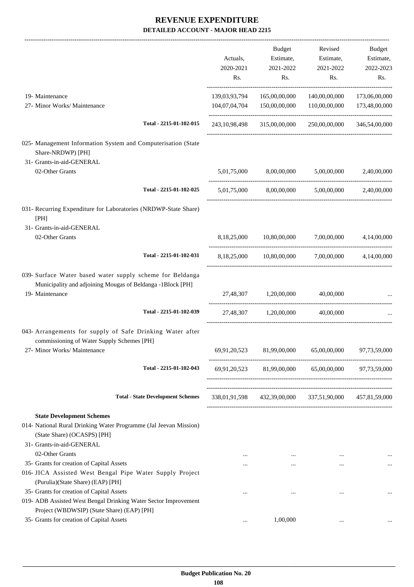| Actuals,<br>2020-2021 | Budget<br>Estimate,<br>2021-2022 | Revised<br>Estimate,<br>2021-2022                               | Budget<br>Estimate,<br>2022-2023<br>Rs.                                                                                                                                                                                                                                                                                                                                                                                    |
|-----------------------|----------------------------------|-----------------------------------------------------------------|----------------------------------------------------------------------------------------------------------------------------------------------------------------------------------------------------------------------------------------------------------------------------------------------------------------------------------------------------------------------------------------------------------------------------|
|                       |                                  |                                                                 |                                                                                                                                                                                                                                                                                                                                                                                                                            |
| 139,03,93,794         | 165,00,00,000                    | 140,00,00,000                                                   | 173,06,00,000                                                                                                                                                                                                                                                                                                                                                                                                              |
| 104,07,04,704         | 150,00,00,000                    |                                                                 | 173,48,00,000                                                                                                                                                                                                                                                                                                                                                                                                              |
|                       |                                  |                                                                 | 346,54,00,000                                                                                                                                                                                                                                                                                                                                                                                                              |
|                       |                                  |                                                                 |                                                                                                                                                                                                                                                                                                                                                                                                                            |
|                       |                                  |                                                                 |                                                                                                                                                                                                                                                                                                                                                                                                                            |
|                       |                                  | 5,00,00,000                                                     | 2,40,00,000                                                                                                                                                                                                                                                                                                                                                                                                                |
|                       |                                  |                                                                 |                                                                                                                                                                                                                                                                                                                                                                                                                            |
|                       |                                  |                                                                 |                                                                                                                                                                                                                                                                                                                                                                                                                            |
|                       |                                  |                                                                 |                                                                                                                                                                                                                                                                                                                                                                                                                            |
|                       |                                  |                                                                 | 4,14,00,000                                                                                                                                                                                                                                                                                                                                                                                                                |
|                       |                                  |                                                                 | 4,14,00,000                                                                                                                                                                                                                                                                                                                                                                                                                |
|                       |                                  |                                                                 |                                                                                                                                                                                                                                                                                                                                                                                                                            |
|                       |                                  | 40,00,000                                                       |                                                                                                                                                                                                                                                                                                                                                                                                                            |
|                       |                                  |                                                                 |                                                                                                                                                                                                                                                                                                                                                                                                                            |
|                       |                                  |                                                                 |                                                                                                                                                                                                                                                                                                                                                                                                                            |
|                       |                                  |                                                                 |                                                                                                                                                                                                                                                                                                                                                                                                                            |
|                       |                                  |                                                                 |                                                                                                                                                                                                                                                                                                                                                                                                                            |
|                       |                                  |                                                                 |                                                                                                                                                                                                                                                                                                                                                                                                                            |
| $\cdots$              | $\cdots$                         | $\cdots$                                                        |                                                                                                                                                                                                                                                                                                                                                                                                                            |
| $\cdots$              |                                  |                                                                 |                                                                                                                                                                                                                                                                                                                                                                                                                            |
|                       |                                  |                                                                 |                                                                                                                                                                                                                                                                                                                                                                                                                            |
|                       |                                  |                                                                 |                                                                                                                                                                                                                                                                                                                                                                                                                            |
| $\ddotsc$             | 1,00,000                         |                                                                 |                                                                                                                                                                                                                                                                                                                                                                                                                            |
|                       | Rs.                              | Rs.<br>243, 10, 98, 498<br>5,01,75,000<br>27,48,307 1,20,00,000 | Rs.<br>110,00,00,000<br>250,00,00,000<br>315,00,00,000<br>8,00,00,000<br>5,01,75,000 8,00,00,000 5,00,00,000 2,40,00,000<br>8,18,25,000 10,80,00,000 7,00,00,000<br>8,18,25,000 10,80,00,000<br>7,00,00,000<br>40,00,000<br>27,48,307 1,20,00,000<br>69,91,20,523 81,99,00,000 65,00,00,000 97,73,59,000<br>69,91,20,523 81,99,00,000 65,00,00,000 97,73,59,000<br>338,01,91,598 432,39,00,000 337,51,90,000 457,81,59,000 |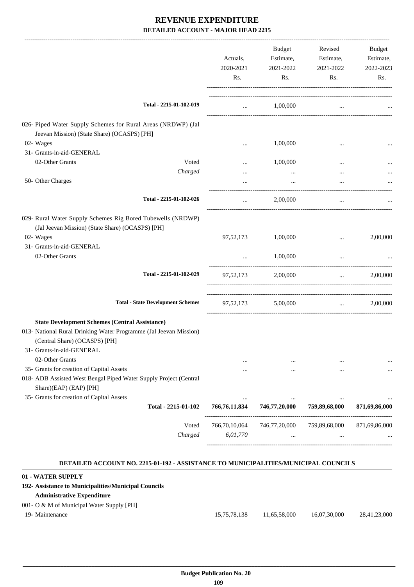|                                                                                                                                                                                          | Actuals,<br>2020-2021<br>Rs.  | <b>Budget</b><br>Estimate,<br>2021-2022<br>Rs. | Revised<br>Estimate,<br>2021-2022<br>Rs. | Budget<br>Estimate,<br>2022-2023<br>Rs.       |
|------------------------------------------------------------------------------------------------------------------------------------------------------------------------------------------|-------------------------------|------------------------------------------------|------------------------------------------|-----------------------------------------------|
| Total - 2215-01-102-019                                                                                                                                                                  | $\cdots$                      | 1,00,000                                       |                                          |                                               |
| 026- Piped Water Supply Schemes for Rural Areas (NRDWP) (Jal<br>Jeevan Mission) (State Share) (OCASPS) [PH]                                                                              |                               |                                                |                                          |                                               |
| 02- Wages                                                                                                                                                                                |                               | 1,00,000                                       |                                          |                                               |
| 31- Grants-in-aid-GENERAL                                                                                                                                                                |                               |                                                |                                          |                                               |
| 02-Other Grants<br>Voted                                                                                                                                                                 | $\cdots$                      | 1,00,000                                       | $\cdots$                                 |                                               |
| Charged                                                                                                                                                                                  |                               |                                                | $\cdots$                                 |                                               |
| 50- Other Charges                                                                                                                                                                        |                               | $\cdots$                                       | $\ddotsc$                                |                                               |
| Total - 2215-01-102-026                                                                                                                                                                  | $\cdots$                      | 2,00,000                                       | $\ddotsc$                                |                                               |
| 029- Rural Water Supply Schemes Rig Bored Tubewells (NRDWP)<br>(Jal Jeevan Mission) (State Share) (OCASPS) [PH]                                                                          |                               |                                                |                                          |                                               |
| 02- Wages                                                                                                                                                                                | 97,52,173                     | 1,00,000                                       | $\cdots$                                 | 2,00,000                                      |
| 31- Grants-in-aid-GENERAL<br>02-Other Grants                                                                                                                                             |                               | 1,00,000                                       |                                          |                                               |
|                                                                                                                                                                                          | $\cdots$                      |                                                |                                          |                                               |
| Total - 2215-01-102-029                                                                                                                                                                  |                               | 97,52,173 2,00,000                             | $\cdots$                                 | 2,00,000                                      |
| <b>Total - State Development Schemes</b>                                                                                                                                                 |                               | 97,52,173 5,00,000                             |                                          | 2,00,000<br><b>Section</b> of the contract of |
| <b>State Development Schemes (Central Assistance)</b><br>013- National Rural Drinking Water Programme (Jal Jeevan Mission)<br>(Central Share) (OCASPS) [PH]<br>31- Grants-in-aid-GENERAL |                               |                                                |                                          |                                               |
| 02-Other Grants                                                                                                                                                                          |                               |                                                |                                          |                                               |
| 35- Grants for creation of Capital Assets<br>018- ADB Assisted West Bengal Piped Water Supply Project (Central                                                                           |                               |                                                | $\cdots$                                 |                                               |
| Share)(EAP) (EAP) [PH]                                                                                                                                                                   |                               |                                                |                                          |                                               |
| 35- Grants for creation of Capital Assets<br>Total - 2215-01-102                                                                                                                         | $\ddotsc$<br>766, 76, 11, 834 | 746,77,20,000                                  | $\ddotsc$<br>759,89,68,000               | 871,69,86,000                                 |
|                                                                                                                                                                                          |                               |                                                |                                          |                                               |
|                                                                                                                                                                                          |                               |                                                |                                          |                                               |
| Voted                                                                                                                                                                                    | 766,70,10,064                 | 746,77,20,000                                  | 759,89,68,000                            | 871,69,86,000                                 |

#### **DETAILED ACCOUNT NO. 2215-01-192 - ASSISTANCE TO MUNICIPALITIES/MUNICIPAL COUNCILS .**

.

### **01 - WATER SUPPLY**

### **192- Assistance to Municipalities/Municipal Councils**

### **Administrative Expenditure**

### 001- O & M of Municipal Water Supply [PH]

| 15,75,78,138 |              | 28,41,23,000 |
|--------------|--------------|--------------|
|              | 11,65,58,000 | 16,07,30,000 |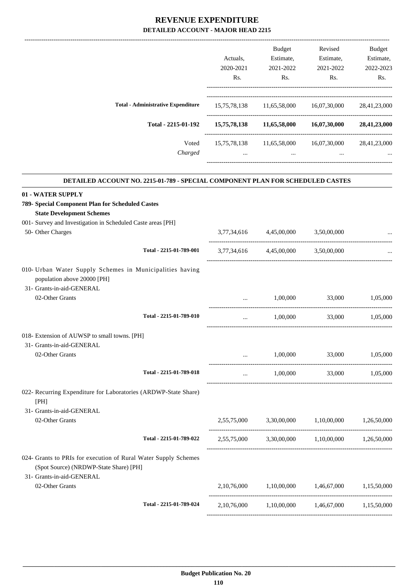|                                                                                                                                                                          | Actuals,<br>2020-2021<br>Rs. | Budget<br>Estimate,<br>2021-2022<br>Rs. | Revised<br>Estimate,<br>2021-2022<br>Rs.                                     | Budget<br>Estimate,<br>2022-2023<br>Rs. |
|--------------------------------------------------------------------------------------------------------------------------------------------------------------------------|------------------------------|-----------------------------------------|------------------------------------------------------------------------------|-----------------------------------------|
| <b>Total - Administrative Expenditure</b>                                                                                                                                |                              |                                         | 15,75,78,138 11,65,58,000 16,07,30,000                                       | 28,41,23,000                            |
| Total - 2215-01-192                                                                                                                                                      |                              | 15,75,78,138 11,65,58,000               | 16,07,30,000                                                                 | 28,41,23,000                            |
| Voted<br>Charged                                                                                                                                                         | $\cdots$                     | 15,75,78,138 11,65,58,000<br>$\cdots$   | 16,07,30,000                                                                 | 28,41,23,000                            |
| DETAILED ACCOUNT NO. 2215-01-789 - SPECIAL COMPONENT PLAN FOR SCHEDULED CASTES                                                                                           |                              |                                         |                                                                              |                                         |
| 01 - WATER SUPPLY<br>789- Special Component Plan for Scheduled Castes<br><b>State Development Schemes</b><br>001- Survey and Investigation in Scheduled Caste areas [PH] |                              |                                         |                                                                              |                                         |
| 50- Other Charges                                                                                                                                                        | 3,77,34,616                  | 4,45,00,000                             | 3,50,00,000                                                                  |                                         |
| Total - 2215-01-789-001                                                                                                                                                  |                              | 3,77,34,616 4,45,00,000 3,50,00,000     |                                                                              |                                         |
| 010- Urban Water Supply Schemes in Municipalities having<br>population above 20000 [PH]                                                                                  |                              |                                         |                                                                              |                                         |
| 31- Grants-in-aid-GENERAL<br>02-Other Grants                                                                                                                             |                              | 1,00,000                                | 33,000                                                                       | 1,05,000                                |
| Total - 2215-01-789-010                                                                                                                                                  | $\cdots$                     | 1,00,000                                | 33,000                                                                       | 1,05,000                                |
| 018- Extension of AUWSP to small towns. [PH]<br>31- Grants-in-aid-GENERAL                                                                                                |                              |                                         |                                                                              |                                         |
| 02-Other Grants                                                                                                                                                          |                              | 1,00,000                                | 33,000                                                                       | 1,05,000                                |
| Total - 2215-01-789-018                                                                                                                                                  | $\cdots$                     | 1,00,000                                | -------------------------------------<br>33,000                              | 1,05,000                                |
| 022- Recurring Expenditure for Laboratories (ARDWP-State Share)<br>[PH]                                                                                                  |                              |                                         |                                                                              |                                         |
| 31- Grants-in-aid-GENERAL<br>02-Other Grants                                                                                                                             | 2,55,75,000                  | 3,30,00,000                             | 1,10,00,000                                                                  | 1,26,50,000                             |
| Total - 2215-01-789-022                                                                                                                                                  | 2,55,75,000                  |                                         | -------------------------------------<br>3,30,00,000 1,10,00,000 1,26,50,000 |                                         |
| 024- Grants to PRIs for execution of Rural Water Supply Schemes<br>(Spot Source) (NRDWP-State Share) [PH]<br>31- Grants-in-aid-GENERAL                                   |                              |                                         |                                                                              |                                         |
| 02-Other Grants                                                                                                                                                          | 2,10,76,000                  | 1,10,00,000                             | 1,46,67,000                                                                  | 1,15,50,000                             |

----------------------------------------------------------------------------------------

-----------------------------------------------------------------------------------------

**Total - 2215-01-789-024** 2,10,76,000 1,10,00,000 1,46,67,000 1,15,50,000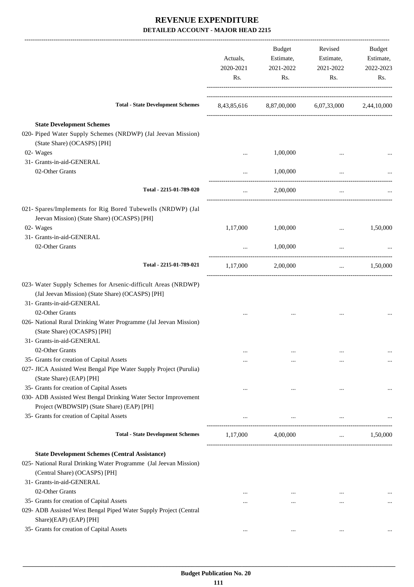|                                                                                                            | Actuals,<br>2020-2021<br>Rs. | Budget<br>Estimate,<br>2021-2022<br>Rs. | Revised<br>Estimate,<br>2021-2022<br>Rs.        | Budget<br>Estimate,<br>2022-2023<br>Rs. |
|------------------------------------------------------------------------------------------------------------|------------------------------|-----------------------------------------|-------------------------------------------------|-----------------------------------------|
| <b>Total - State Development Schemes</b>                                                                   |                              |                                         | 8,43,85,616 8,87,00,000 6,07,33,000 2,44,10,000 |                                         |
| <b>State Development Schemes</b>                                                                           |                              |                                         |                                                 |                                         |
| 020- Piped Water Supply Schemes (NRDWP) (Jal Jeevan Mission)                                               |                              |                                         |                                                 |                                         |
| (State Share) (OCASPS) [PH]                                                                                |                              |                                         |                                                 |                                         |
| 02- Wages<br>31- Grants-in-aid-GENERAL                                                                     |                              | 1,00,000                                | $\cdots$                                        |                                         |
| 02-Other Grants                                                                                            |                              |                                         |                                                 |                                         |
|                                                                                                            | $\cdots$                     | 1,00,000                                | $\cdots$                                        |                                         |
| Total - 2215-01-789-020                                                                                    |                              | 2,00,000                                | $\cdots$                                        |                                         |
| 021- Spares/Implements for Rig Bored Tubewells (NRDWP) (Jal<br>Jeevan Mission) (State Share) (OCASPS) [PH] |                              |                                         |                                                 |                                         |
| 02- Wages                                                                                                  | 1,17,000                     | 1,00,000                                |                                                 | 1,50,000                                |
| 31- Grants-in-aid-GENERAL                                                                                  |                              |                                         |                                                 |                                         |
| 02-Other Grants                                                                                            | $\ddotsc$                    | 1,00,000                                | $\cdots$                                        |                                         |
| Total - 2215-01-789-021                                                                                    | 1,17,000                     | 2,00,000                                | $\cdots$                                        | 1,50,000                                |
| 023- Water Supply Schemes for Arsenic-difficult Areas (NRDWP)                                              |                              |                                         |                                                 |                                         |
| (Jal Jeevan Mission) (State Share) (OCASPS) [PH]                                                           |                              |                                         |                                                 |                                         |
| 31- Grants-in-aid-GENERAL                                                                                  |                              |                                         |                                                 |                                         |
| 02-Other Grants                                                                                            |                              |                                         |                                                 |                                         |
| 026- National Rural Drinking Water Programme (Jal Jeevan Mission)                                          |                              |                                         |                                                 |                                         |
| (State Share) (OCASPS) [PH]                                                                                |                              |                                         |                                                 |                                         |
| 31- Grants-in-aid-GENERAL                                                                                  |                              |                                         |                                                 |                                         |
| 02-Other Grants                                                                                            |                              | $\cdots$                                |                                                 | $\cdots$                                |
| 35- Grants for creation of Capital Assets                                                                  | $\cdots$                     | $\cdots$                                |                                                 | $\cdots$                                |
| 027- JICA Assisted West Bengal Pipe Water Supply Project (Purulia)                                         |                              |                                         |                                                 |                                         |
| (State Share) (EAP) [PH]                                                                                   |                              |                                         |                                                 |                                         |
| 35- Grants for creation of Capital Assets                                                                  | $\cdots$                     | $\cdots$                                | $\ddotsc$                                       |                                         |
| 030- ADB Assisted West Bengal Drinking Water Sector Improvement                                            |                              |                                         |                                                 |                                         |
| Project (WBDWSIP) (State Share) (EAP) [PH]                                                                 |                              |                                         |                                                 |                                         |
| 35- Grants for creation of Capital Assets                                                                  |                              | $\cdots$                                | $\ldots$                                        |                                         |
| <b>Total - State Development Schemes</b>                                                                   | 1,17,000                     | 4,00,000                                | $\cdots$                                        | 1,50,000                                |
| <b>State Development Schemes (Central Assistance)</b>                                                      |                              |                                         |                                                 |                                         |
| 025- National Rural Drinking Water Programme (Jal Jeevan Mission)                                          |                              |                                         |                                                 |                                         |
| (Central Share) (OCASPS) [PH]                                                                              |                              |                                         |                                                 |                                         |
| 31- Grants-in-aid-GENERAL                                                                                  |                              |                                         |                                                 |                                         |
| 02-Other Grants                                                                                            | $\cdots$                     | $\cdots$                                | $\cdots$                                        |                                         |
| 35- Grants for creation of Capital Assets                                                                  | $\cdots$                     | $\cdots$                                |                                                 | $\ldots$                                |
| 029- ADB Assisted West Bengal Piped Water Supply Project (Central                                          |                              |                                         |                                                 |                                         |
| Share)(EAP) (EAP) [PH]                                                                                     |                              |                                         |                                                 |                                         |
| 35- Grants for creation of Capital Assets                                                                  | $\cdots$                     | $\cdots$                                | $\cdots$                                        |                                         |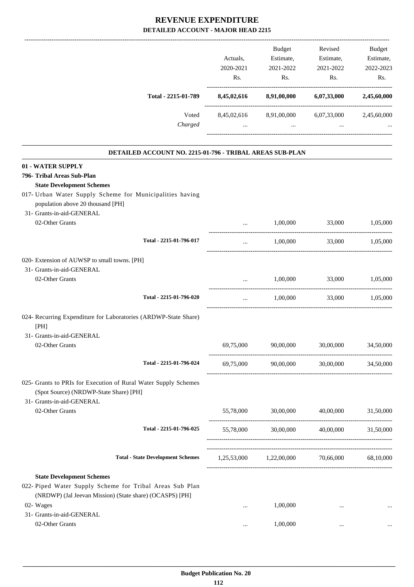|                                                                                                                                                                                      | Actuals,<br>2020-2021<br>Rs. | Budget<br>Estimate,<br>2021-2022<br>Rs.     | Revised<br>Estimate,<br>2021-2022<br>Rs. | <b>Budget</b><br>Estimate,<br>2022-2023<br>Rs. |
|--------------------------------------------------------------------------------------------------------------------------------------------------------------------------------------|------------------------------|---------------------------------------------|------------------------------------------|------------------------------------------------|
| Total - 2215-01-789                                                                                                                                                                  | 8,45,02,616                  | 8,91,00,000                                 | 6,07,33,000                              | 2,45,60,000                                    |
| Voted<br>Charged                                                                                                                                                                     | 8,45,02,616<br>$\cdots$      | 8,91,00,000<br>$\cdots$                     | 6,07,33,000<br>$\cdots$                  | 2,45,60,000                                    |
| DETAILED ACCOUNT NO. 2215-01-796 - TRIBAL AREAS SUB-PLAN                                                                                                                             |                              |                                             |                                          |                                                |
| 01 - WATER SUPPLY<br>796- Tribal Areas Sub-Plan<br><b>State Development Schemes</b><br>017- Urban Water Supply Scheme for Municipalities having<br>population above 20 thousand [PH] |                              |                                             |                                          |                                                |
| 31- Grants-in-aid-GENERAL<br>02-Other Grants                                                                                                                                         |                              | 1,00,000                                    | 33,000                                   | 1,05,000                                       |
| Total - 2215-01-796-017                                                                                                                                                              | $\cdots$                     | 1,00,000                                    | 33,000                                   | 1,05,000                                       |
| 020- Extension of AUWSP to small towns. [PH]<br>31- Grants-in-aid-GENERAL<br>02-Other Grants                                                                                         |                              | 1,00,000                                    | 33,000                                   | 1,05,000                                       |
| Total - 2215-01-796-020<br>024- Recurring Expenditure for Laboratories (ARDWP-State Share)<br>[PH]                                                                                   |                              | 1,00,000                                    | 33,000                                   | 1,05,000                                       |
| 31- Grants-in-aid-GENERAL<br>02-Other Grants                                                                                                                                         | 69.75.000                    | 90.00.000                                   | 30,00,000                                | 34.50.000                                      |
| Total - 2215-01-796-024                                                                                                                                                              | 69,75,000                    | 90,00,000                                   | 30,00,000                                | 34,50,000                                      |
| 025- Grants to PRIs for Execution of Rural Water Supply Schemes<br>(Spot Source) (NRDWP-State Share) [PH]<br>31- Grants-in-aid-GENERAL                                               |                              |                                             |                                          |                                                |
| 02-Other Grants                                                                                                                                                                      | 55,78,000                    | 30,00,000                                   | 40,00,000                                | 31,50,000                                      |
| Total - 2215-01-796-025                                                                                                                                                              | 55,78,000                    |                                             | 30,00,000 40,00,000                      | 31,50,000                                      |
| <b>Total - State Development Schemes</b>                                                                                                                                             |                              | 1,25,53,000 1,22,00,000 70,66,000 68,10,000 |                                          |                                                |
| <b>State Development Schemes</b><br>022- Piped Water Supply Scheme for Tribal Areas Sub Plan<br>(NRDWP) (Jal Jeevan Mission) (State share) (OCASPS) [PH]                             |                              |                                             |                                          |                                                |
| 02- Wages<br>31- Grants-in-aid-GENERAL                                                                                                                                               |                              | 1,00,000                                    | $\cdots$                                 |                                                |
| 02-Other Grants                                                                                                                                                                      | $\cdots$                     | 1,00,000                                    | $\cdots$                                 |                                                |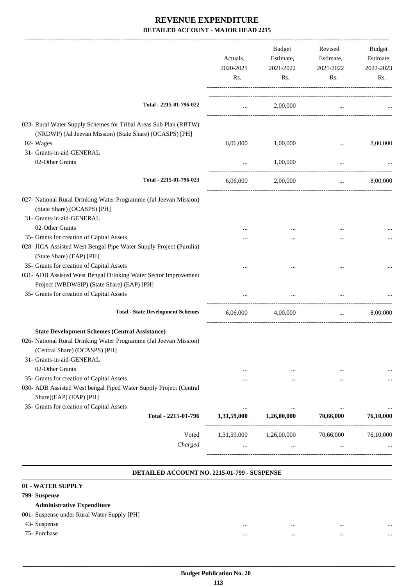|                                                                                                                               | Actuals,<br>2020-2021 | <b>Budget</b><br>Estimate,<br>2021-2022 | Revised<br>Estimate,<br>2021-2022 | Budget<br>Estimate,<br>2022-2023 |
|-------------------------------------------------------------------------------------------------------------------------------|-----------------------|-----------------------------------------|-----------------------------------|----------------------------------|
|                                                                                                                               | Rs.                   | Rs.                                     | Rs.                               | Rs.                              |
| Total - 2215-01-796-022                                                                                                       | $\cdots$              | 2,00,000                                | $\cdots$                          |                                  |
| 023- Rural Water Supply Schemes for Tribal Areas Sub Plan (RBTW)                                                              |                       |                                         |                                   |                                  |
| (NRDWP) (Jal Jeevan Mission) (State Share) (OCASPS) [PH]                                                                      |                       |                                         |                                   |                                  |
| 02- Wages                                                                                                                     | 6,06,000              | 1,00,000                                |                                   | 8,00,000                         |
| 31- Grants-in-aid-GENERAL                                                                                                     |                       |                                         |                                   |                                  |
| 02-Other Grants                                                                                                               | $\cdots$              | 1,00,000                                |                                   |                                  |
| Total - 2215-01-796-023                                                                                                       | 6,06,000              | 2,00,000                                | $\ldots$                          | 8,00,000                         |
| 027- National Rural Drinking Water Programme (Jal Jeevan Mission)<br>(State Share) (OCASPS) [PH]<br>31- Grants-in-aid-GENERAL |                       |                                         |                                   |                                  |
| 02-Other Grants                                                                                                               | $\cdots$              |                                         | $\cdots$                          |                                  |
| 35- Grants for creation of Capital Assets                                                                                     | $\cdots$              |                                         | $\cdots$                          |                                  |
| 028- JICA Assisted West Bengal Pipe Water Supply Project (Purulia)<br>(State Share) (EAP) [PH]                                |                       |                                         |                                   |                                  |
| 35- Grants for creation of Capital Assets                                                                                     |                       |                                         |                                   |                                  |
| 031- ADB Assisted West Bengal Drinking Water Sector Improvement<br>Project (WBDWSIP) (State Share) (EAP) [PH]                 |                       |                                         |                                   |                                  |
| 35- Grants for creation of Capital Assets                                                                                     |                       |                                         |                                   |                                  |
| <b>Total - State Development Schemes</b>                                                                                      | 6,06,000              | 4,00,000                                | $\cdots$                          | 8,00,000                         |
| <b>State Development Schemes (Central Assistance)</b><br>026- National Rural Drinking Water Programme (Jal Jeevan Mission)    |                       |                                         |                                   |                                  |
| (Central Share) (OCASPS) [PH]<br>31- Grants-in-aid-GENERAL                                                                    |                       |                                         |                                   |                                  |
| 02-Other Grants                                                                                                               | $\cdots$              |                                         |                                   |                                  |
| 35- Grants for creation of Capital Assets                                                                                     | $\cdots$              |                                         | $\cdots$                          |                                  |
| 030- ADB Assisted West bengal Piped Water Supply Project (Central<br>Share)(EAP) (EAP) [PH]                                   |                       |                                         |                                   |                                  |
| 35- Grants for creation of Capital Assets                                                                                     |                       |                                         |                                   |                                  |
| Total - 2215-01-796                                                                                                           | 1,31,59,000           | 1,26,00,000                             | 70,66,000                         | 76,10,000                        |
| Voted                                                                                                                         | 1,31,59,000           | 1,26,00,000                             | 70,66,000                         | 76,10,000                        |
| Charged                                                                                                                       |                       |                                         |                                   |                                  |
|                                                                                                                               |                       |                                         |                                   |                                  |

### **DETAILED ACCOUNT NO. 2215-01-799 - SUSPENSE**

### **. 01 - WATER SUPPLY 799- Suspense Administrative Expenditure** 001- Suspense under Rural Water Supply [PH] 43- Suspense ... ... ... ... 75- Purchase ... ... ... ...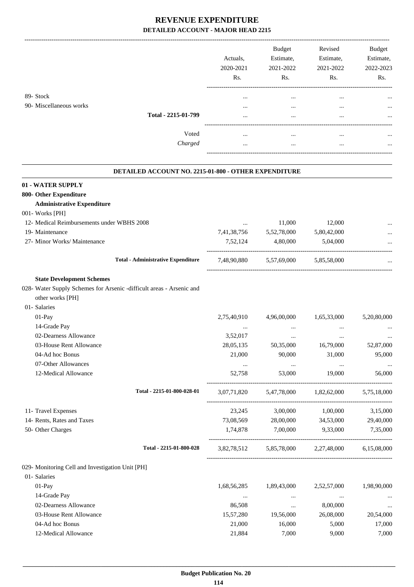|                         |                     | Actuals.<br>2020-2021<br>Rs. | <b>Budget</b><br>Estimate,<br>2021-2022<br>Rs. | Revised<br>Estimate,<br>2021-2022<br>Rs. | <b>Budget</b><br>Estimate,<br>2022-2023<br>Rs. |
|-------------------------|---------------------|------------------------------|------------------------------------------------|------------------------------------------|------------------------------------------------|
| 89- Stock               |                     | $\cdots$                     |                                                |                                          | $\cdots$                                       |
| 90- Miscellaneous works |                     | $\cdots$                     |                                                |                                          | $\cdots$                                       |
|                         | Total - 2215-01-799 | $\cdots$                     | $\cdots$                                       |                                          |                                                |
|                         | Voted               | $\cdots$                     |                                                |                                          | $\cdots$                                       |
|                         | Charged             |                              |                                                |                                          | $\cdots$                                       |
|                         |                     |                              |                                                |                                          |                                                |

### **DETAILED ACCOUNT NO. 2215-01-800 - OTHER EXPENDITURE**

.

| 01 - WATER SUPPLY                                |                                                                      |             |                                     |                                                 |                    |
|--------------------------------------------------|----------------------------------------------------------------------|-------------|-------------------------------------|-------------------------------------------------|--------------------|
| 800- Other Expenditure                           |                                                                      |             |                                     |                                                 |                    |
| <b>Administrative Expenditure</b>                |                                                                      |             |                                     |                                                 |                    |
| 001- Works [PH]                                  |                                                                      |             |                                     |                                                 |                    |
| 12- Medical Reimbursements under WBHS 2008       |                                                                      |             | 11,000                              | 12,000                                          |                    |
| 19- Maintenance                                  |                                                                      | 7,41,38,756 | 5,52,78,000                         | 5,80,42,000                                     |                    |
| 27- Minor Works/ Maintenance                     |                                                                      | 7,52,124    | 4,80,000                            | 5,04,000                                        | __________________ |
|                                                  | <b>Total - Administrative Expenditure</b>                            |             | 7,48,90,880 5,57,69,000             | 5,85,58,000                                     |                    |
| <b>State Development Schemes</b>                 |                                                                      |             |                                     |                                                 |                    |
|                                                  | 028- Water Supply Schemes for Arsenic -difficult areas - Arsenic and |             |                                     |                                                 |                    |
| other works [PH]                                 |                                                                      |             |                                     |                                                 |                    |
| 01- Salaries                                     |                                                                      |             |                                     |                                                 |                    |
| 01-Pay                                           |                                                                      | 2,75,40,910 | 4,96,00,000                         | 1,65,33,000                                     | 5,20,80,000        |
| 14-Grade Pay                                     |                                                                      | $\cdots$    | $\ldots$                            | $\cdots$                                        |                    |
| 02-Dearness Allowance                            |                                                                      | 3,52,017    | $\ddots$                            | $\cdots$                                        |                    |
| 03-House Rent Allowance                          |                                                                      | 28,05,135   | 50,35,000                           | 16,79,000                                       | 52,87,000          |
| 04-Ad hoc Bonus                                  |                                                                      | 21,000      | 90,000                              | 31,000                                          | 95,000             |
| 07-Other Allowances                              |                                                                      | $\ddots$    | $\ldots$                            | $\ddots$                                        |                    |
| 12-Medical Allowance                             |                                                                      | 52,758      | 53,000                              | 19,000                                          | 56,000             |
|                                                  | Total - 2215-01-800-028-01                                           |             | 3,07,71,820 5,47,78,000 1,82,62,000 |                                                 | 5,75,18,000        |
| 11- Travel Expenses                              |                                                                      | 23,245      | 3,00,000                            | 1,00,000                                        | 3,15,000           |
| 14- Rents, Rates and Taxes                       |                                                                      | 73,08,569   | 28,00,000                           | 34,53,000                                       | 29,40,000          |
| 50- Other Charges                                |                                                                      | 1,74,878    | 7,00,000                            | 9,33,000                                        | 7,35,000           |
|                                                  | Total - 2215-01-800-028                                              |             |                                     | 3,82,78,512 5,85,78,000 2,27,48,000 6,15,08,000 |                    |
| 029- Monitoring Cell and Investigation Unit [PH] |                                                                      |             |                                     |                                                 |                    |
| 01- Salaries                                     |                                                                      |             |                                     |                                                 |                    |
| 01-Pay                                           |                                                                      | 1,68,56,285 | 1,89,43,000                         | 2,52,57,000                                     | 1,98,90,000        |
| 14-Grade Pay                                     |                                                                      | $\cdots$    | $\cdots$                            | $\cdots$                                        |                    |
| 02-Dearness Allowance                            |                                                                      | 86,508      | $\ldots$                            | 8,00,000                                        |                    |
| 03-House Rent Allowance                          |                                                                      | 15,57,280   | 19,56,000                           | 26,08,000                                       | 20,54,000          |
| 04-Ad hoc Bonus                                  |                                                                      | 21,000      | 16,000                              | 5,000                                           | 17,000             |
| 12-Medical Allowance                             |                                                                      | 21,884      | 7,000                               | 9,000                                           | 7,000              |
|                                                  |                                                                      |             |                                     |                                                 |                    |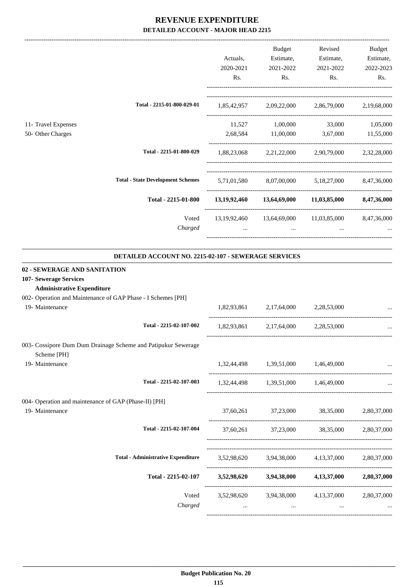-------------------------------------------------------------------------------------------------------------------------------------------------------------------------------

|                              |                                                             |           | <b>Budget</b> | Revised                                                        | <b>Budget</b> |
|------------------------------|-------------------------------------------------------------|-----------|---------------|----------------------------------------------------------------|---------------|
|                              |                                                             | Actuals,  | Estimate,     | Estimate,                                                      | Estimate,     |
|                              |                                                             | 2020-2021 | 2021-2022     | 2021-2022                                                      | 2022-2023     |
|                              |                                                             | Rs.       | Rs.           | Rs.                                                            | Rs.           |
|                              | Total - 2215-01-800-029-01                                  |           |               | 1,85,42,957 2,09,22,000 2,86,79,000 2,19,68,000                |               |
| 11- Travel Expenses          |                                                             |           |               | 11,527 1,00,000 33,000 1,05,000                                |               |
| 50- Other Charges            |                                                             |           |               | 2,68,584 11,00,000 3,67,000 11,55,000                          |               |
|                              | Total - 2215-01-800-029                                     |           |               | 1,88,23,068 2,21,22,000 2,90,79,000 2,32,28,000                |               |
|                              | <b>Total - State Development Schemes</b>                    |           |               | 5,71,01,580 8,07,00,000 5,18,27,000 8,47,36,000                |               |
|                              | Total - 2215-01-800                                         |           |               | 13,19,92,460 13,64,69,000 11,03,85,000 8,47,36,000             |               |
|                              | Voted<br>Charged                                            |           | $\cdots$      | 13, 19, 92, 460 13, 64, 69, 000 11, 03, 85, 000 8, 47, 36, 000 |               |
|                              | <b>DETAILED ACCOUNT NO. 2215-02-107 - SEWERAGE SERVICES</b> |           |               |                                                                |               |
| 02 - SEWERAGE AND SANITATION |                                                             |           |               |                                                                |               |

# **107- Sewerage Services**

# **Administrative Expenditure**

|  | 002- Operation and Maintenance of GAP Phase - I Schemes [PH] |  |  |
|--|--------------------------------------------------------------|--|--|
|  |                                                              |  |  |

| 19- Maintenance                                                              | 1,82,93,861 2,17,64,000 2,28,53,000 |                                                 |          |
|------------------------------------------------------------------------------|-------------------------------------|-------------------------------------------------|----------|
| Total - 2215-02-107-002                                                      | 1,82,93,861 2,17,64,000 2,28,53,000 |                                                 |          |
| 003- Cossipore Dum Dum Drainage Scheme and Patipukur Sewerage<br>Scheme [PH] |                                     |                                                 |          |
| 19- Maintenance                                                              | 1,32,44,498 1,39,51,000 1,46,49,000 |                                                 |          |
| Total - 2215-02-107-003                                                      | 1,32,44,498 1,39,51,000 1,46,49,000 |                                                 | $\ddots$ |
| 004- Operation and maintenance of GAP (Phase-II) [PH]                        |                                     |                                                 |          |
| 19- Maintenance                                                              |                                     | 37,60,261 37,23,000 38,35,000 2,80,37,000       |          |
| Total - 2215-02-107-004                                                      |                                     | 37,60,261 37,23,000 38,35,000 2,80,37,000       |          |
|                                                                              |                                     |                                                 |          |
| <b>Total - Administrative Expenditure</b>                                    |                                     | 3,52,98,620 3,94,38,000 4,13,37,000 2,80,37,000 |          |
| Total - 2215-02-107                                                          |                                     | 3,52,98,620 3,94,38,000 4,13,37,000 2,80,37,000 |          |
| Voted                                                                        |                                     | 3,52,98,620 3,94,38,000 4,13,37,000 2,80,37,000 |          |
| Charged                                                                      | $\cdots$                            | $\cdots$                                        |          |
|                                                                              |                                     |                                                 |          |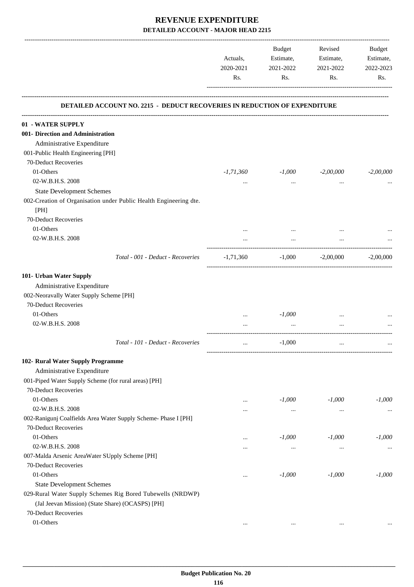|                                                                           | Actuals,         | Budget<br>Estimate, | Revised<br>Estimate, | Budget<br>Estimate, |
|---------------------------------------------------------------------------|------------------|---------------------|----------------------|---------------------|
|                                                                           | 2020-2021<br>Rs. | 2021-2022<br>Rs.    | 2021-2022<br>Rs.     | 2022-2023<br>Rs.    |
| DETAILED ACCOUNT NO. 2215 - DEDUCT RECOVERIES IN REDUCTION OF EXPENDITURE |                  |                     |                      |                     |
| 01 - WATER SUPPLY                                                         |                  |                     |                      |                     |
| 001- Direction and Administration                                         |                  |                     |                      |                     |
| Administrative Expenditure                                                |                  |                     |                      |                     |
| 001-Public Health Engineering [PH]                                        |                  |                     |                      |                     |
| 70-Deduct Recoveries                                                      |                  |                     |                      |                     |
| 01-Others                                                                 | $-1,71,360$      | -1,000              | $-2,00,000$          | $-2,00,000$         |
| 02-W.B.H.S. 2008                                                          | $\cdots$         | $\cdots$            | $\cdots$             |                     |
| <b>State Development Schemes</b>                                          |                  |                     |                      |                     |
| 002-Creation of Organisation under Public Health Engineering dte.<br>[PH] |                  |                     |                      |                     |
| 70-Deduct Recoveries                                                      |                  |                     |                      |                     |
| 01-Others                                                                 |                  |                     |                      |                     |
| 02-W.B.H.S. 2008                                                          |                  |                     |                      |                     |
| Total - 001 - Deduct - Recoveries                                         | -1,71,360        | $-1,000$            | $-2,00,000$          | $-2,00,000$         |
| 101- Urban Water Supply                                                   |                  |                     |                      |                     |
| Administrative Expenditure                                                |                  |                     |                      |                     |
| 002-Neoravally Water Supply Scheme [PH]                                   |                  |                     |                      |                     |
| 70-Deduct Recoveries                                                      |                  |                     |                      |                     |
| 01-Others                                                                 | $\cdots$         | $-1,000$            |                      |                     |
| 02-W.B.H.S. 2008                                                          |                  | $\cdots$            |                      |                     |
| Total - 101 - Deduct - Recoveries                                         | $\cdots$         | $-1,000$            | $\cdots$             | $\cdots$            |
| 102- Rural Water Supply Programme                                         |                  |                     |                      |                     |
| Administrative Expenditure                                                |                  |                     |                      |                     |
| 001-Piped Water Supply Scheme (for rural areas) [PH]                      |                  |                     |                      |                     |
| 70-Deduct Recoveries                                                      |                  |                     |                      |                     |
| 01-Others                                                                 | $\cdots$         | $-1,000$            | $-1,000$             | $-1,000$            |
| 02-W.B.H.S. 2008                                                          |                  |                     |                      |                     |
| 002-Ranigunj Coalfields Area Water Supply Scheme- Phase I [PH]            |                  |                     |                      |                     |
| 70-Deduct Recoveries                                                      |                  |                     |                      |                     |
| 01-Others                                                                 | $\cdots$         | $-1,000$            | $-1,000$             | $-1,000$            |
| 02-W.B.H.S. 2008                                                          | $\cdots$         | $\cdots$            | $\cdots$             |                     |
| 007-Malda Arsenic AreaWater SUpply Scheme [PH]                            |                  |                     |                      |                     |
| 70-Deduct Recoveries                                                      |                  |                     |                      |                     |
| 01-Others                                                                 | $\cdots$         | $-1,000$            | $-1,000$             | $-1,000$            |
| <b>State Development Schemes</b>                                          |                  |                     |                      |                     |
| 029-Rural Water Supply Schemes Rig Bored Tubewells (NRDWP)                |                  |                     |                      |                     |
| (Jal Jeevan Mission) (State Share) (OCASPS) [PH]                          |                  |                     |                      |                     |
| 70-Deduct Recoveries                                                      |                  |                     |                      |                     |
| 01-Others                                                                 | $\cdots$         |                     | $\cdots$             |                     |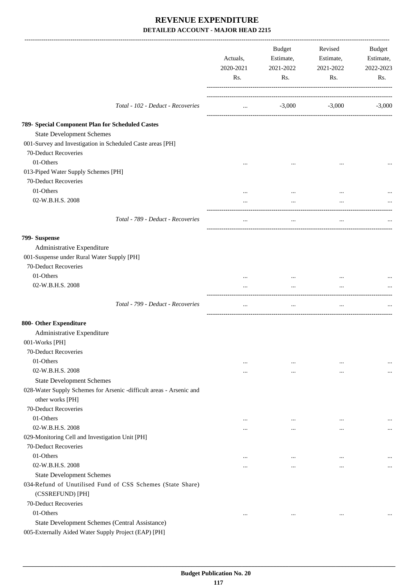|                                                                                                        | Actuals,<br>2020-2021<br>Rs. | Budget<br>Estimate,<br>2021-2022<br>Rs. | Revised<br>Estimate,<br>2021-2022<br>Rs. | Budget<br>Estimate,<br>2022-2023<br>Rs. |
|--------------------------------------------------------------------------------------------------------|------------------------------|-----------------------------------------|------------------------------------------|-----------------------------------------|
| Total - 102 - Deduct - Recoveries                                                                      | $\cdots$                     |                                         | $-3,000$ $-3,000$                        | $-3,000$                                |
| 789- Special Component Plan for Scheduled Castes                                                       |                              |                                         |                                          |                                         |
| <b>State Development Schemes</b>                                                                       |                              |                                         |                                          |                                         |
| 001-Survey and Investigation in Scheduled Caste areas [PH]<br>70-Deduct Recoveries                     |                              |                                         |                                          |                                         |
| 01-Others                                                                                              | $\cdots$                     | $\cdots$                                | $\ddotsc$                                |                                         |
| 013-Piped Water Supply Schemes [PH]                                                                    |                              |                                         |                                          |                                         |
| 70-Deduct Recoveries                                                                                   |                              |                                         |                                          |                                         |
| 01-Others                                                                                              | $\cdots$                     | $\cdots$                                | $\ddotsc$                                |                                         |
| 02-W.B.H.S. 2008                                                                                       |                              | $\cdots$                                |                                          |                                         |
| Total - 789 - Deduct - Recoveries                                                                      | $\cdots$                     | $\ldots$                                | $\cdots$                                 |                                         |
| 799- Suspense                                                                                          |                              |                                         |                                          |                                         |
| Administrative Expenditure                                                                             |                              |                                         |                                          |                                         |
| 001-Suspense under Rural Water Supply [PH]                                                             |                              |                                         |                                          |                                         |
| 70-Deduct Recoveries                                                                                   |                              |                                         |                                          |                                         |
| 01-Others                                                                                              | $\cdots$                     | $\cdots$                                |                                          |                                         |
| 02-W.B.H.S. 2008                                                                                       |                              |                                         |                                          |                                         |
| Total - 799 - Deduct - Recoveries                                                                      | $\cdots$                     | $\ldots$                                | $\ldots$                                 |                                         |
| 800- Other Expenditure                                                                                 |                              |                                         |                                          |                                         |
| Administrative Expenditure                                                                             |                              |                                         |                                          |                                         |
| 001-Works [PH]                                                                                         |                              |                                         |                                          |                                         |
| 70-Deduct Recoveries                                                                                   |                              |                                         |                                          |                                         |
| 01-Others                                                                                              | $\cdots$                     | $\cdots$                                | $\ddotsc$                                |                                         |
| 02-W.B.H.S. 2008                                                                                       | $\cdots$                     | $\cdots$                                | $\cdots$                                 | $\cdots$                                |
| <b>State Development Schemes</b>                                                                       |                              |                                         |                                          |                                         |
| 028-Water Supply Schemes for Arsenic -difficult areas - Arsenic and                                    |                              |                                         |                                          |                                         |
| other works [PH]                                                                                       |                              |                                         |                                          |                                         |
| 70-Deduct Recoveries                                                                                   |                              |                                         |                                          |                                         |
| 01-Others                                                                                              | $\cdots$                     | $\cdots$                                | $\ddotsc$                                |                                         |
| 02-W.B.H.S. 2008                                                                                       | $\cdots$                     | $\cdots$                                | $\ddotsc$                                | $\cdots$                                |
| 029-Monitoring Cell and Investigation Unit [PH]                                                        |                              |                                         |                                          |                                         |
| 70-Deduct Recoveries                                                                                   |                              |                                         |                                          |                                         |
| 01-Others                                                                                              | $\cdots$                     | $\cdots$                                | $\cdots$                                 | $\cdots$                                |
| 02-W.B.H.S. 2008                                                                                       | $\cdots$                     | $\cdots$                                | $\ddotsc$                                | $\cdots$                                |
| <b>State Development Schemes</b>                                                                       |                              |                                         |                                          |                                         |
| 034-Refund of Unutilised Fund of CSS Schemes (State Share)<br>(CSSREFUND) [PH]                         |                              |                                         |                                          |                                         |
| 70-Deduct Recoveries                                                                                   |                              |                                         |                                          |                                         |
| 01-Others                                                                                              | $\cdots$                     | $\cdots$                                | $\cdots$                                 |                                         |
| State Development Schemes (Central Assistance)<br>005-Externally Aided Water Supply Project (EAP) [PH] |                              |                                         |                                          |                                         |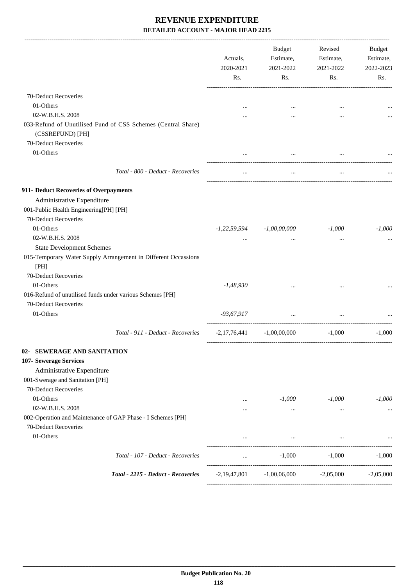|                                                                                     |                                                                | Actuals,<br>2020-2021<br>Rs. | Budget<br>Estimate,<br>2021-2022<br>Rs. | Revised<br>Estimate,<br>2021-2022<br>Rs. | Budget<br>Estimate,<br>2022-2023<br>Rs. |
|-------------------------------------------------------------------------------------|----------------------------------------------------------------|------------------------------|-----------------------------------------|------------------------------------------|-----------------------------------------|
| 70-Deduct Recoveries                                                                |                                                                |                              |                                         |                                          |                                         |
| 01-Others                                                                           |                                                                |                              |                                         | $\ddotsc$                                |                                         |
| 02-W.B.H.S. 2008                                                                    |                                                                |                              |                                         | $\ddotsc$                                |                                         |
|                                                                                     | 033-Refund of Unutilised Fund of CSS Schemes (Central Share)   |                              |                                         |                                          |                                         |
| (CSSREFUND) [PH]                                                                    |                                                                |                              |                                         |                                          |                                         |
| 70-Deduct Recoveries                                                                |                                                                |                              |                                         |                                          |                                         |
| 01-Others                                                                           |                                                                |                              | $\cdots$                                |                                          |                                         |
|                                                                                     |                                                                |                              |                                         |                                          |                                         |
|                                                                                     | Total - 800 - Deduct - Recoveries                              | $\cdots$                     | $\ldots$                                | $\cdots$                                 |                                         |
| 911- Deduct Recoveries of Overpayments                                              |                                                                |                              |                                         |                                          |                                         |
| Administrative Expenditure                                                          |                                                                |                              |                                         |                                          |                                         |
| 001-Public Health Engineering[PH] [PH]                                              |                                                                |                              |                                         |                                          |                                         |
| 70-Deduct Recoveries                                                                |                                                                |                              |                                         |                                          |                                         |
| 01-Others                                                                           |                                                                |                              | $-1,22,59,594$ $-1,00,00,000$           | $-1,000$                                 | $-1,000$                                |
| 02-W.B.H.S. 2008                                                                    |                                                                | $\cdots$                     |                                         | $\ddotsc$                                |                                         |
| <b>State Development Schemes</b>                                                    |                                                                |                              |                                         |                                          |                                         |
| [PH]                                                                                | 015-Temporary Water Supply Arrangement in Different Occassions |                              |                                         |                                          |                                         |
| 70-Deduct Recoveries                                                                |                                                                |                              |                                         |                                          |                                         |
| 01-Others                                                                           |                                                                | $-1,48,930$                  |                                         |                                          |                                         |
| 016-Refund of unutilised funds under various Schemes [PH]                           |                                                                |                              |                                         |                                          |                                         |
| 70-Deduct Recoveries                                                                |                                                                |                              |                                         |                                          |                                         |
| 01-Others                                                                           |                                                                | -93,67,917                   | $\cdots$                                | $\cdots$                                 |                                         |
|                                                                                     | Total - 911 - Deduct - Recoveries                              |                              | $-2,17,76,441$ $-1,00,00,000$           | $-1.000$                                 | $-1.000$                                |
| 02- SEWERAGE AND SANITATION                                                         |                                                                |                              |                                         |                                          |                                         |
| 107- Sewerage Services                                                              |                                                                |                              |                                         |                                          |                                         |
| Administrative Expenditure                                                          |                                                                |                              |                                         |                                          |                                         |
| 001-Swerage and Sanitation [PH]                                                     |                                                                |                              |                                         |                                          |                                         |
| 70-Deduct Recoveries                                                                |                                                                |                              |                                         |                                          |                                         |
| 01-Others                                                                           |                                                                |                              | $-1,000$                                | $-1,000$                                 | $-1,000$                                |
| 02-W.B.H.S. 2008                                                                    |                                                                |                              | $\ldots$                                | $\cdots$                                 | $\cdots$                                |
| 002-Operation and Maintenance of GAP Phase - I Schemes [PH]<br>70-Deduct Recoveries |                                                                |                              |                                         |                                          |                                         |
| 01-Others                                                                           |                                                                | $\cdots$                     | $\cdots$                                | $\cdots$                                 |                                         |
|                                                                                     | Total - 107 - Deduct - Recoveries                              | $\cdots$                     | $-1,000$                                | $-1,000$                                 | $-1,000$                                |
|                                                                                     | Total - 2215 - Deduct - Recoveries                             | -2,19,47,801                 | $-1,00,06,000$                          | $-2,05,000$                              | $-2,05,000$                             |
|                                                                                     |                                                                |                              |                                         |                                          |                                         |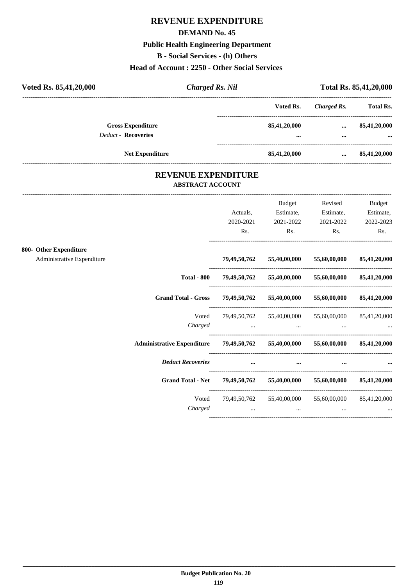# **REVENUE EXPENDITURE**

### **DEMAND No. 45**

# **Public Health Engineering Department**

**B - Social Services - (h) Others**

## **Head of Account : 2250 - Other Social Services**

| Voted Rs. 85,41,20,000 |                            | <b>Charged Rs. Nil</b>                                |                            | Total Rs. 85,41,20,000 |                            |
|------------------------|----------------------------|-------------------------------------------------------|----------------------------|------------------------|----------------------------|
|                        |                            |                                                       | Voted Rs.                  | <b>Charged Rs.</b>     | <b>Total Rs.</b>           |
|                        | <b>Gross Expenditure</b>   |                                                       | 85,41,20,000               | $\cdots$               | 85,41,20,000               |
|                        | <b>Deduct - Recoveries</b> |                                                       | $\cdots$                   | $\cdots$               | $\cdots$                   |
|                        | <b>Net Expenditure</b>     |                                                       | 85,41,20,000               | $\cdots$               | 85,41,20,000               |
|                        |                            | <b>REVENUE EXPENDITURE</b><br><b>ABSTRACT ACCOUNT</b> |                            |                        |                            |
|                        |                            | Actuals.                                              | <b>Budget</b><br>Estimate, | Revised<br>Estimate,   | <b>Budget</b><br>Estimate, |
|                        |                            | 2020-2021                                             | 2021-2022                  | 2021-2022              | 2022-2023                  |
|                        |                            | Rs.                                                   | Rs.                        | Rs.                    | Rs.                        |

### **800- Other Expenditure**

Administrative Expenditure **79,49,50,762 55,40,00,000 55,60,00,000 85,41,20,000**

|                                             |                           | 79,49,50,762 55,40,00,000             | 55,60,00,000 | 85,41,20,000              |
|---------------------------------------------|---------------------------|---------------------------------------|--------------|---------------------------|
| <b>Total - 800</b>                          | 79,49,50,762              | 55,40,00,000                          | 55,60,00,000 | 85,41,20,000              |
| <b>Grand Total - Gross</b>                  | 79,49,50,762              | 55,40,00,000                          | 55,60,00,000 | 85,41,20,000              |
| Voted<br>Charged                            |                           | 79,49,50,762 55,40,00,000<br>$\cdots$ |              | 55,60,00,000 85,41,20,000 |
| Administrative Expenditure 79,49,50,762     |                           | 55,40,00,000                          | 55,60,00,000 | 85,41,20,000              |
| <b>Deduct Recoveries</b>                    |                           | $\cdots$                              |              |                           |
| Grand Total - Net 79,49,50,762 55,40,00,000 |                           |                                       | 55,60,00,000 | 85,41,20,000              |
| Voted<br>Charged                            | 79,49,50,762 55,40,00,000 |                                       | $\cdots$     | 55,60,00,000 85,41,20,000 |
|                                             |                           |                                       |              |                           |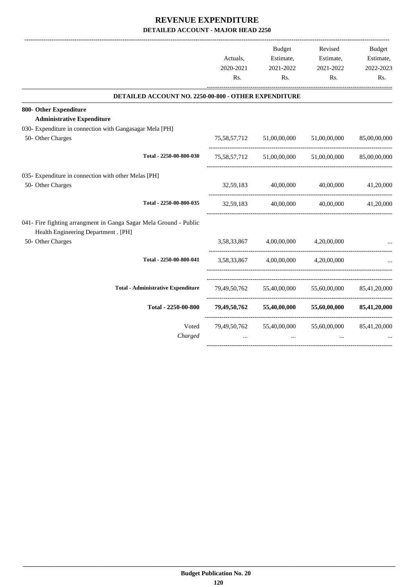|                                                                                                           |             | <b>Budget</b>                          | Revised                                | Budget       |
|-----------------------------------------------------------------------------------------------------------|-------------|----------------------------------------|----------------------------------------|--------------|
|                                                                                                           | Actuals,    | Estimate,                              | Estimate,                              | Estimate,    |
|                                                                                                           | 2020-2021   | 2021-2022                              | 2021-2022                              | 2022-2023    |
|                                                                                                           | Rs.         | Rs.                                    | Rs.                                    | Rs.          |
| DETAILED ACCOUNT NO. 2250-00-800 - OTHER EXPENDITURE                                                      |             |                                        |                                        |              |
| 800- Other Expenditure                                                                                    |             |                                        |                                        |              |
| <b>Administrative Expenditure</b>                                                                         |             |                                        |                                        |              |
| 030- Expenditure in connection with Gangasagar Mela [PH]                                                  |             |                                        |                                        |              |
| 50- Other Charges                                                                                         |             | 75,58,57,712 51,00,00,000 51,00,00,000 |                                        | 85,00,00,000 |
| Total - 2250-00-800-030                                                                                   |             |                                        | 75,58,57,712 51,00,00,000 51,00,00,000 | 85,00,00,000 |
| 035- Expenditure in connection with other Melas [PH]                                                      |             |                                        |                                        |              |
| 50- Other Charges                                                                                         | 32,59,183   | 40,00,000                              | 40,00,000                              | 41,20,000    |
| Total - 2250-00-800-035                                                                                   | 32,59,183   | 40,00,000                              | 40,00,000                              | 41,20,000    |
| 041- Fire fighting arrangment in Ganga Sagar Mela Ground - Public<br>Health Engineering Department . [PH] |             |                                        |                                        |              |
| 50- Other Charges                                                                                         | 3,58,33,867 | 4,00,00,000                            | 4,20,00,000                            |              |
| Total - 2250-00-800-041                                                                                   |             | 3,58,33,867 4,00,00,000 4,20,00,000    |                                        |              |
| <b>Total - Administrative Expenditure</b>                                                                 |             |                                        | 79,49,50,762 55,40,00,000 55,60,00,000 | 85,41,20,000 |
| Total - 2250-00-800                                                                                       |             | 79,49,50,762 55,40,00,000              | 55,60,00,000                           | 85,41,20,000 |
| Voted                                                                                                     |             | 79,49,50,762 55,40,00,000              | 55,60,00,000                           | 85,41,20,000 |
| Charged                                                                                                   | $\cdots$    | $\cdots$                               | $\ddotsc$                              |              |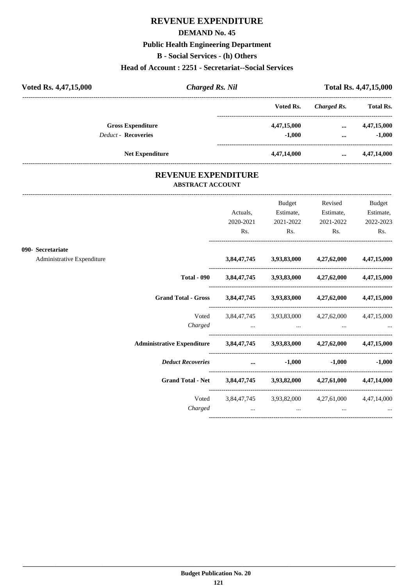# **REVENUE EXPENDITURE**

### **DEMAND No. 45**

# **Public Health Engineering Department**

**B - Social Services - (h) Others**

## **Head of Account : 2251 - Secretariat--Social Services**

| Voted Rs. 4,47,15,000      | <b>Charged Rs. Nil</b> |             | <b>Total Rs. 4,47,15,000</b> |                  |
|----------------------------|------------------------|-------------|------------------------------|------------------|
|                            |                        | Voted Rs.   | Charged Rs.                  | <b>Total Rs.</b> |
| <b>Gross Expenditure</b>   |                        | 4,47,15,000 | $\cdots$                     | 4,47,15,000      |
| <b>Deduct - Recoveries</b> |                        | $-1.000$    | $\cdots$                     | $-1.000$         |
| <b>Net Expenditure</b>     |                        | 4,47,14,000 | $\cdots$                     | 4,47,14,000      |

## **REVENUE EXPENDITURE ABSTRACT ACCOUNT**

---------------------------------------------------------------------------------------------------------------------------------------------------------------------------------

|                            |                                                                                                                                                                                                                                |          | Budget                           | Revised                                                     | <b>Budget</b>          |
|----------------------------|--------------------------------------------------------------------------------------------------------------------------------------------------------------------------------------------------------------------------------|----------|----------------------------------|-------------------------------------------------------------|------------------------|
|                            |                                                                                                                                                                                                                                | Actuals, | Estimate,<br>2020-2021 2021-2022 | Estimate,<br>2021-2022                                      | Estimate,<br>2022-2023 |
|                            |                                                                                                                                                                                                                                | Rs.      | $\mathbf{Rs.}$                   | $\mathbf{Rs.}$                                              | Rs.                    |
| 090- Secretariate          |                                                                                                                                                                                                                                |          |                                  |                                                             |                        |
| Administrative Expenditure |                                                                                                                                                                                                                                |          |                                  | 3,84,47,745 3,93,83,000 4,27,62,000 4,47,15,000             |                        |
|                            |                                                                                                                                                                                                                                |          |                                  | Total - 090 3,84,47,745 3,93,83,000 4,27,62,000 4,47,15,000 |                        |
|                            | Grand Total - Gross 3,84,47,745 3,93,83,000 4,27,62,000 4,47,15,000                                                                                                                                                            |          |                                  |                                                             |                        |
|                            |                                                                                                                                                                                                                                |          |                                  | Voted 3,84,47,745 3,93,83,000 4,27,62,000 4,47,15,000       |                        |
|                            |                                                                                                                                                                                                                                |          |                                  | Charged                                                     |                        |
|                            | Administrative Expenditure 3,84,47,745 3,93,83,000 4,27,62,000 4,47,15,000                                                                                                                                                     |          |                                  |                                                             |                        |
|                            | Deduct Recoveries and the settlement of the settlement of the settlement of the settlement of the set of the set of the set of the set of the set of the set of the set of the set of the set of the set of the set of the set |          |                                  |                                                             | $-1,000$ $-1,000$      |
|                            | Grand Total - Net 3,84,47,745 3,93,82,000 4,27,61,000 4,47,14,000                                                                                                                                                              |          |                                  |                                                             |                        |
|                            |                                                                                                                                                                                                                                |          |                                  | Voted 3,84,47,745 3,93,82,000 4,27,61,000 4,47,14,000       |                        |
|                            | Charged                                                                                                                                                                                                                        |          | and the contract of the same     | and the contract of the state                               |                        |
|                            |                                                                                                                                                                                                                                |          |                                  |                                                             |                        |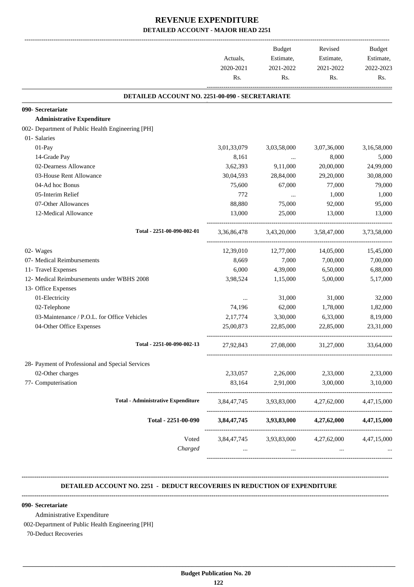|                                                   | Actuals,<br>2020-2021 | <b>Budget</b><br>Estimate,<br>2021-2022 | Revised<br>Estimate,<br>2021-2022               | Budget<br>Estimate,<br>2022-2023 |
|---------------------------------------------------|-----------------------|-----------------------------------------|-------------------------------------------------|----------------------------------|
|                                                   | Rs.                   | Rs.                                     | Rs.                                             | Rs.                              |
| DETAILED ACCOUNT NO. 2251-00-090 - SECRETARIATE   |                       |                                         |                                                 |                                  |
| 090- Secretariate                                 |                       |                                         |                                                 |                                  |
| <b>Administrative Expenditure</b>                 |                       |                                         |                                                 |                                  |
| 002- Department of Public Health Engineering [PH] |                       |                                         |                                                 |                                  |
| 01- Salaries                                      |                       |                                         |                                                 |                                  |
| 01-Pay                                            | 3,01,33,079           | 3,03,58,000                             | 3,07,36,000                                     | 3,16,58,000                      |
| 14-Grade Pay                                      | 8,161                 | $\cdots$                                | 8,000                                           | 5,000                            |
| 02-Dearness Allowance                             | 3,62,393              | 9,11,000                                | 20,00,000                                       | 24,99,000                        |
| 03-House Rent Allowance                           | 30,04,593             | 28,84,000                               | 29,20,000                                       | 30,08,000                        |
| 04-Ad hoc Bonus                                   | 75,600                | 67,000                                  | 77,000                                          | 79,000                           |
| 05-Interim Relief                                 | 772                   | $\cdots$                                | 1,000                                           | 1,000                            |
| 07-Other Allowances                               | 88,880                | 75,000                                  | 92,000                                          | 95,000                           |
| 12-Medical Allowance                              | 13,000                | 25,000                                  | 13,000                                          | 13,000                           |
| Total - 2251-00-090-002-01                        | 3,36,86,478           | 3,43,20,000                             | 3,58,47,000                                     | 3,73,58,000                      |
| 02- Wages                                         | 12,39,010             | 12,77,000                               | 14,05,000                                       | 15,45,000                        |
| 07- Medical Reimbursements                        | 8,669                 | 7,000                                   | 7,00,000                                        | 7,00,000                         |
| 11- Travel Expenses                               | 6,000                 | 4,39,000                                | 6,50,000                                        | 6,88,000                         |
| 12- Medical Reimbursements under WBHS 2008        | 3,98,524              | 1,15,000                                | 5,00,000                                        | 5,17,000                         |
| 13- Office Expenses                               |                       |                                         |                                                 |                                  |
| 01-Electricity                                    | $\cdots$              | 31,000                                  | 31,000                                          | 32,000                           |
| 02-Telephone                                      | 74,196                | 62,000                                  | 1,78,000                                        | 1,82,000                         |
| 03-Maintenance / P.O.L. for Office Vehicles       | 2,17,774              | 3,30,000                                | 6,33,000                                        | 8,19,000                         |
| 04-Other Office Expenses                          | 25,00,873             | 22,85,000                               | 22,85,000                                       | 23,31,000                        |
| Total - 2251-00-090-002-13                        | 27,92,843             | 27,08,000                               | 31,27,000                                       | 33,64,000                        |
| 28- Payment of Professional and Special Services  |                       |                                         |                                                 |                                  |
| 02-Other charges                                  | 2,33,057              | 2,26,000                                | 2,33,000                                        | 2,33,000                         |
| 77- Computerisation                               | 83,164                | 2,91,000                                | 3,00,000                                        | 3,10,000                         |
| <b>Total - Administrative Expenditure</b>         | 3,84,47,745           | 3,93,83,000                             | 4,27,62,000                                     | 4,47,15,000                      |
| Total - 2251-00-090                               |                       |                                         | $3,84,47,745$ $3,93,83,000$ $4,27,62,000$       | 4,47,15,000                      |
| Voted                                             |                       |                                         | 3,84,47,745 3,93,83,000 4,27,62,000 4,47,15,000 |                                  |
| Charged                                           |                       | $\cdots$                                |                                                 |                                  |

### **DETAILED ACCOUNT NO. 2251 - DEDUCT RECOVERIES IN REDUCTION OF EXPENDITURE**

**--------------------------------------------------------------------------------------------------------------------------------------------------------------------------------**

### **090- Secretariate**

Administrative Expenditure

002-Department of Public Health Engineering [PH]

**--------------------------------------------------------------------------------------------------------------------------------------------------------------------------------**

70-Deduct Recoveries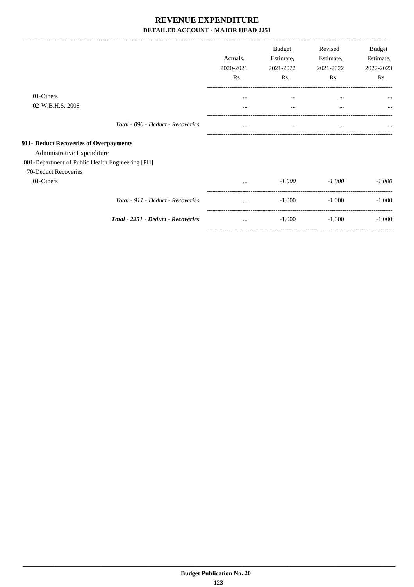-------------------------------------------------------------------------------------------------------------------------------------------------------------------------------

|                                                                      |                                    | Actuals,<br>2020-2021<br>Rs. | <b>Budget</b><br>Estimate,<br>2021-2022<br>Rs. | Revised<br>Estimate,<br>2021-2022<br>Rs. | Budget<br>Estimate,<br>2022-2023<br>Rs. |
|----------------------------------------------------------------------|------------------------------------|------------------------------|------------------------------------------------|------------------------------------------|-----------------------------------------|
| 01-Others<br>02-W.B.H.S. 2008                                        |                                    |                              | $\cdots$                                       | $\cdots$                                 |                                         |
|                                                                      | Total - 090 - Deduct - Recoveries  | $\cdots$<br>                 | $\cdots$<br>$\cdots$                           | $\cdots$<br>$\cdots$                     | $\cdots$                                |
| 911- Deduct Recoveries of Overpayments<br>Administrative Expenditure |                                    |                              |                                                |                                          |                                         |
| 001-Department of Public Health Engineering [PH]                     |                                    |                              |                                                |                                          |                                         |
| 70-Deduct Recoveries<br>01-Others                                    |                                    | $\cdots$                     | $-1,000$                                       | $-1,000$                                 | $-1,000$                                |
|                                                                      | Total - 911 - Deduct - Recoveries  | $\cdots$                     | $-1,000$                                       | $-1,000$                                 | $-1,000$                                |
|                                                                      | Total - 2251 - Deduct - Recoveries | $\cdots$                     | $-1,000$                                       | $-1,000$                                 | $-1,000$                                |
|                                                                      |                                    |                              |                                                |                                          |                                         |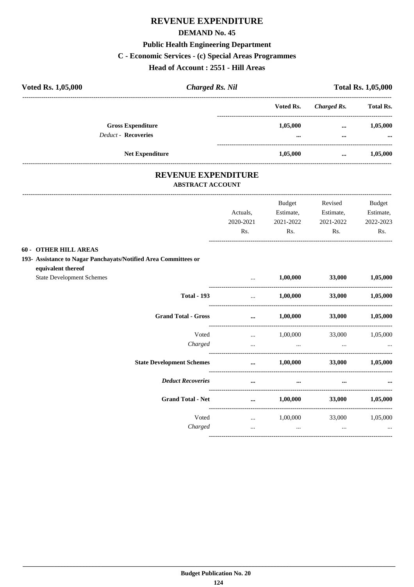# REVENUE EXPENDITURE

## **DEMAND No. 45**

# **Public Health Engineering Department**

## C - Economic Services - (c) Special Areas Programmes

## Head of Account : 2551 - Hill Areas

| <b>Voted Rs. 1,05,000</b> |                                                        | <b>Charged Rs. Nil</b> |                      | <b>Total Rs. 1,05,000</b> |                      |  |
|---------------------------|--------------------------------------------------------|------------------------|----------------------|---------------------------|----------------------|--|
|                           |                                                        |                        | Voted Rs.            | Charged Rs.               | <b>Total Rs.</b>     |  |
|                           | <b>Gross Expenditure</b><br><b>Deduct - Recoveries</b> |                        | 1,05,000<br>$\cdots$ | $\cdots$<br>$\cdots$      | 1,05,000<br>$\cdots$ |  |
|                           | <b>Net Expenditure</b>                                 |                        | 1,05,000             | $\cdots$                  | 1,05,000             |  |

# REVENUE EXPENDITURE

### **ABSTRACT ACCOUNT**

|                                                                 |                                            | Budget           | Revised                        | <b>Budget</b>   |
|-----------------------------------------------------------------|--------------------------------------------|------------------|--------------------------------|-----------------|
|                                                                 | Actuals,                                   | Estimate,        | Estimate,                      | Estimate,       |
|                                                                 | 2020-2021                                  | 2021-2022        | 2021-2022                      | 2022-2023       |
|                                                                 | Rs.                                        | Rs.              | Rs.                            | Rs.             |
| <b>60 - OTHER HILL AREAS</b>                                    |                                            |                  |                                |                 |
| 193- Assistance to Nagar Panchayats/Notified Area Committees or |                                            |                  |                                |                 |
| equivalent thereof<br><b>State Development Schemes</b>          | and the state of the                       | 1,00,000         | <b>33,000</b>                  | 1,05,000        |
| <b>Total - 193</b>                                              | $\ddots$                                   | 1,00,000         |                                | 33,000 1,05,000 |
| <b>Grand Total - Gross</b>                                      | $\mathbf{r} = \mathbf{r} \cdot \mathbf{r}$ | 1,00,000         | <b>33,000</b>                  | 1,05,000        |
| Voted                                                           |                                            |                  | $1,00,000$ $33,000$ $1,05,000$ |                 |
| Charged                                                         | $\cdots$                                   |                  |                                |                 |
| <b>State Development Schemes</b>                                | $\cdots$                                   | 1,00,000         | <b>33,000</b>                  | 1,05,000        |
| <b>Deduct Recoveries</b>                                        | $\cdots$                                   | $\cdots$         | $\cdots$                       |                 |
| <b>Grand Total - Net</b>                                        |                                            | $\dots$ 1,00,000 | <b>33,000</b>                  | 1,05,000        |
| Voted                                                           |                                            |                  | $1,00,000$ $33,000$ $1,05,000$ |                 |
| Charged                                                         | $\cdots$                                   | $\cdots$         | $\cdots$                       | $\cdots$        |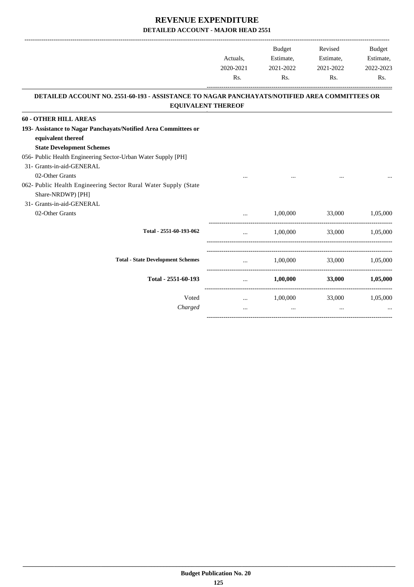-------------------------------------------------------------------------------------------------------------------------------------------------------------------------------

|                                                                                                                            | Actuals,<br>2020-2021<br>Rs. | <b>Budget</b><br>Estimate,<br>2021-2022<br>Rs. | Revised<br>Estimate,<br>2021-2022<br>Rs. | <b>Budget</b><br>Estimate,<br>2022-2023<br>Rs. |
|----------------------------------------------------------------------------------------------------------------------------|------------------------------|------------------------------------------------|------------------------------------------|------------------------------------------------|
| DETAILED ACCOUNT NO. 2551-60-193 - ASSISTANCE TO NAGAR PANCHAYATS/NOTIFIED AREA COMMITTEES OR<br><b>EQUIVALENT THEREOF</b> |                              |                                                |                                          |                                                |
| <b>60 - OTHER HILL AREAS</b>                                                                                               |                              |                                                |                                          |                                                |
| 193- Assistance to Nagar Panchayats/Notified Area Committees or<br>equivalent thereof<br><b>State Development Schemes</b>  |                              |                                                |                                          |                                                |
| 056- Public Health Engineering Sector-Urban Water Supply [PH]                                                              |                              |                                                |                                          |                                                |
| 31- Grants-in-aid-GENERAL                                                                                                  |                              |                                                |                                          |                                                |
| 02-Other Grants<br>062- Public Health Engineering Sector Rural Water Supply (State<br>Share-NRDWP) [PH]                    |                              |                                                |                                          |                                                |
| 31- Grants-in-aid-GENERAL<br>02-Other Grants                                                                               | $\cdots$                     | 1,00,000                                       | 33,000                                   | 1,05,000                                       |
| Total - 2551-60-193-062                                                                                                    | $\ddotsc$                    |                                                | 1,00,000 33,000 1,05,000                 |                                                |
| <b>Total - State Development Schemes</b>                                                                                   |                              |                                                | $1,00,000$ $33,000$ $1,05,000$           |                                                |
| Total - 2551-60-193                                                                                                        | $\cdots$                     | 1,00,000                                       | 33,000                                   | 1,05,000                                       |
| Voted                                                                                                                      | $\cdots$                     | 1,00,000                                       |                                          | 33,000 1,05,000                                |
| Charged                                                                                                                    | $\cdots$                     | $\cdots$                                       | $\cdots$                                 |                                                |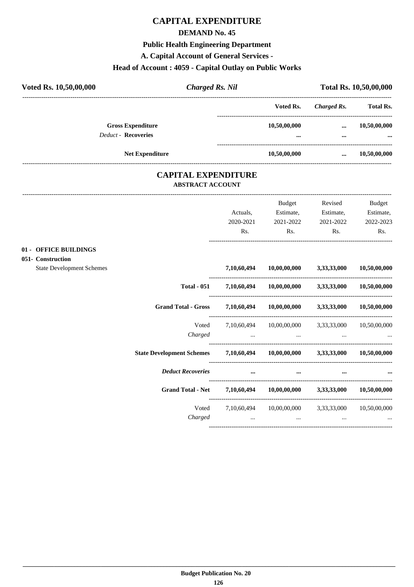# **CAPITAL EXPENDITURE**

### **DEMAND No. 45**

# **Public Health Engineering Department**

**A. Capital Account of General Services -**

# **Head of Account : 4059 - Capital Outlay on Public Works**

| Voted Rs. 10,50,00,000 | <b>Charged Rs. Nil</b>     |                                                       | Total Rs. 10,50,00,000 |             |                  |
|------------------------|----------------------------|-------------------------------------------------------|------------------------|-------------|------------------|
|                        |                            |                                                       | Voted Rs.              | Charged Rs. | <b>Total Rs.</b> |
|                        | <b>Gross Expenditure</b>   |                                                       | 10,50,00,000           | $\cdots$    | 10,50,00,000     |
|                        | <b>Deduct - Recoveries</b> |                                                       |                        |             |                  |
|                        | <b>Net Expenditure</b>     |                                                       | 10,50,00,000           | $\cdots$    | 10,50,00,000     |
|                        |                            | <b>CAPITAL EXPENDITURE</b><br><b>ABSTRACT ACCOUNT</b> |                        |             |                  |
|                        |                            |                                                       | <b>Budget</b>          | Revised     | Budget           |

|                                  |                                                                             |                      | Duuget                                                                                                          | we vised  | Duugve       |
|----------------------------------|-----------------------------------------------------------------------------|----------------------|-----------------------------------------------------------------------------------------------------------------|-----------|--------------|
|                                  |                                                                             | Actuals,             | Estimate,                                                                                                       | Estimate, | Estimate,    |
|                                  |                                                                             | 2020-2021            | 2021-2022                                                                                                       | 2021-2022 | 2022-2023    |
|                                  |                                                                             | Rs.                  | Rs.                                                                                                             | Rs.       | Rs.          |
| 01 - OFFICE BUILDINGS            |                                                                             |                      |                                                                                                                 |           |              |
| 051- Construction                |                                                                             |                      |                                                                                                                 |           |              |
| <b>State Development Schemes</b> |                                                                             |                      | 7,10,60,494 10,00,00,000 3,33,33,000 10,50,00,000                                                               |           |              |
|                                  | <b>Total - 051</b>                                                          |                      | 7,10,60,494 10,00,00,000 3,33,33,000 10,50,00,000                                                               |           |              |
|                                  | Grand Total - Gross 7,10,60,494 10,00,00,000 3,33,33,000 10,50,00,000       |                      |                                                                                                                 |           |              |
|                                  | Voted                                                                       |                      | 7,10,60,494 10,00,00,000 3,33,33,000                                                                            |           | 10,50,00,000 |
|                                  | Charged                                                                     |                      | the contract of the contract of the contract of the contract of the contract of the contract of the contract of |           |              |
|                                  | State Development Schemes 7,10,60,494 10,00,00,000 3,33,33,000 10,50,00,000 |                      |                                                                                                                 |           |              |
|                                  | <b>Deduct Recoveries</b>                                                    | $\sim$ $\sim$ $\sim$ | $\cdots$                                                                                                        | $\cdots$  |              |
|                                  | Grand Total - Net 7,10,60,494 10,00,00,000 3,33,33,000 10,50,00,000         |                      |                                                                                                                 |           |              |
|                                  | Voted                                                                       |                      | 7,10,60,494 10,00,00,000 3,33,33,000 10,50,00,000                                                               |           |              |
|                                  | Charged                                                                     | $\cdots$             | the contract of the contract of the contract of                                                                 | $\cdots$  |              |
|                                  |                                                                             |                      |                                                                                                                 |           |              |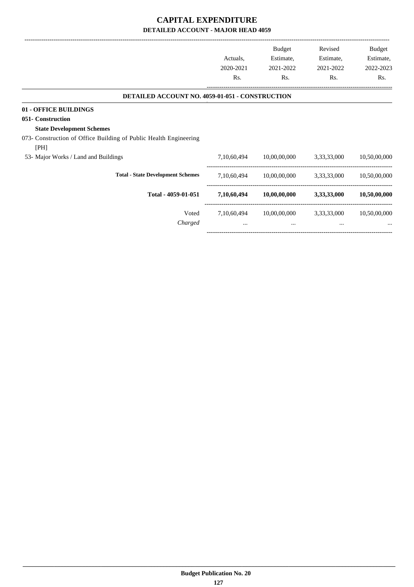-------------------------------------------------------------------------------------------------------------------------------------------------------------------------------

|                                                                           | Actuals,<br>2020-2021<br>Rs. | <b>Budget</b><br>Estimate,<br>2021-2022<br>Rs. | Revised<br>Estimate,<br>2021-2022<br>Rs. | Budget<br>Estimate,<br>2022-2023<br>Rs. |
|---------------------------------------------------------------------------|------------------------------|------------------------------------------------|------------------------------------------|-----------------------------------------|
| <b>DETAILED ACCOUNT NO. 4059-01-051 - CONSTRUCTION</b>                    |                              |                                                |                                          |                                         |
| 01 - OFFICE BUILDINGS<br>051- Construction                                |                              |                                                |                                          |                                         |
| <b>State Development Schemes</b>                                          |                              |                                                |                                          |                                         |
| 073- Construction of Office Building of Public Health Engineering<br>[PH] |                              |                                                |                                          |                                         |
| 53- Major Works / Land and Buildings                                      | 7,10,60,494                  | 10,00,00,000                                   | 3,33,33,000                              | 10,50,00,000                            |
| <b>Total - State Development Schemes</b>                                  | 7,10,60,494                  | 10,00,00,000                                   | 3,33,33,000                              | 10,50,00,000                            |
| Total - 4059-01-051                                                       | 7,10,60,494                  | $10,\!00,\!00,\!000$                           | 3,33,33,000                              | 10,50,00,000                            |
| Voted<br>Charged                                                          | 7,10,60,494<br>$\cdots$      | 10,00,00,000<br>$\cdots$                       | 3,33,33,000<br>$\cdots$                  | 10,50,00,000                            |
|                                                                           |                              |                                                |                                          |                                         |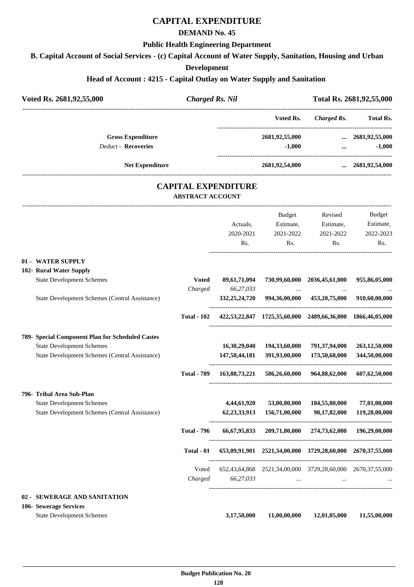# **CAPITAL EXPENDITURE**

## **DEMAND No. 45**

### **Public Health Engineering Department**

**B. Capital Account of Social Services - (c) Capital Account of Water Supply, Sanitation, Housing and Urban**

## **Development**

# **Head of Account : 4215 - Capital Outlay on Water Supply and Sanitation**

| Voted Rs. 2681,92,55,000 |                                                  | <b>Charged Rs. Nil</b>                                |                  |                |                                                            | Total Rs. 2681,92,55,000 |  |
|--------------------------|--------------------------------------------------|-------------------------------------------------------|------------------|----------------|------------------------------------------------------------|--------------------------|--|
|                          |                                                  |                                                       |                  | Voted Rs.      | <b>Charged Rs.</b>                                         | Total Rs.                |  |
|                          | <b>Gross Expenditure</b>                         |                                                       |                  | 2681,92,55,000 |                                                            | $\ldots$ 2681,92,55,000  |  |
|                          | <b>Deduct - Recoveries</b>                       |                                                       |                  | $-1,000$       | $\cdots$                                                   | $-1,000$                 |  |
|                          | <b>Net Expenditure</b>                           |                                                       |                  | 2681,92,54,000 |                                                            | $\ldots$ 2681,92,54,000  |  |
|                          |                                                  | <b>CAPITAL EXPENDITURE</b><br><b>ABSTRACT ACCOUNT</b> |                  |                |                                                            |                          |  |
|                          |                                                  |                                                       |                  | Budget         | Revised                                                    | Budget                   |  |
|                          |                                                  |                                                       | Actuals,         | Estimate,      | Estimate,                                                  | Estimate,                |  |
|                          |                                                  |                                                       | 2020-2021        | 2021-2022      | 2021-2022                                                  | 2022-2023                |  |
|                          |                                                  |                                                       | Rs.              | Rs.            | Rs.                                                        | Rs.                      |  |
|                          | 01 - WATER SUPPLY                                |                                                       |                  |                |                                                            |                          |  |
|                          | 102- Rural Water Supply                          |                                                       |                  |                |                                                            |                          |  |
|                          | <b>State Development Schemes</b>                 | <b>Voted</b>                                          | 89,61,71,094     |                | 730,99,60,000 2036,45,61,000                               | 955,86,05,000            |  |
|                          |                                                  | Charged                                               | 66,27,033        | $\sim 100$     | $\cdots$                                                   |                          |  |
|                          | State Development Schemes (Central Assistance)   |                                                       | 332, 25, 24, 720 |                | 994,36,00,000 453,20,75,000                                | 910,60,00,000            |  |
|                          |                                                  | <b>Total - 102</b>                                    |                  |                | 422,53,22,847 1725,35,60,000 2489,66,36,000 1866,46,05,000 |                          |  |
|                          | 789- Special Component Plan for Scheduled Castes |                                                       |                  |                |                                                            |                          |  |
|                          | <b>State Development Schemes</b>                 |                                                       | 16,30,29,040     | 194,33,60,000  | 791,37,94,000                                              | 263, 12, 50, 000         |  |
|                          | State Development Schemes (Central Assistance)   |                                                       | 147,58,44,181    | 391,93,00,000  | 173,50,68,000                                              | 344,50,00,000            |  |
|                          |                                                  | <b>Total - 789</b>                                    | 163,88,73,221    |                | 586,26,60,000 964,88,62,000                                | 607,62,50,000            |  |
|                          | 796- Tribal Area Sub-Plan                        |                                                       |                  |                |                                                            |                          |  |
|                          | <b>State Development Schemes</b>                 |                                                       | 4,44,61,920      | 53,00,80,000   | 184,55,80,000                                              | 77,01,00,000             |  |
|                          | State Development Schemes (Central Assistance)   |                                                       | 62, 23, 33, 913  | 156,71,00,000  | 90,17,82,000                                               | 119,28,00,000            |  |
|                          |                                                  | <b>Total - 796</b>                                    | 66,67,95,833     |                | 209,71,80,000 274,73,62,000 196,29,00,000                  |                          |  |
|                          |                                                  | Total - 01                                            |                  |                | 653,09,91,901 2521,34,00,000 3729,28,60,000 2670,37,55,000 |                          |  |
|                          |                                                  | Voted                                                 |                  |                | 652,43,64,868 2521,34,00,000 3729,28,60,000 2670,37,55,000 |                          |  |
|                          |                                                  | Charged                                               | 66,27,033        | $\cdots$       |                                                            |                          |  |
|                          | 02 - SEWERAGE AND SANITATION                     |                                                       |                  |                |                                                            |                          |  |
|                          | 106- Sewerage Services                           |                                                       |                  |                |                                                            |                          |  |
|                          | <b>State Development Schemes</b>                 |                                                       | 3,17,50,000      | 11,00,00,000   | 12,01,05,000                                               | 11,55,00,000             |  |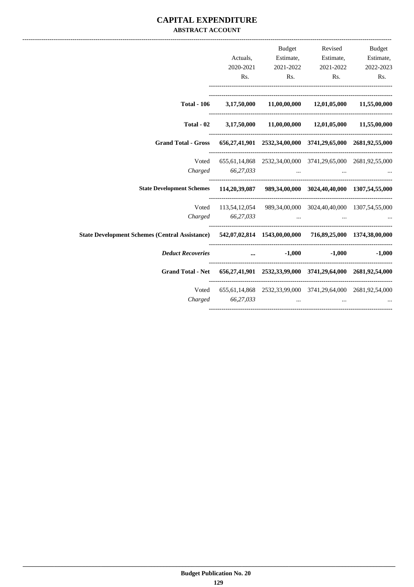## **CAPITAL EXPENDITURE ABSTRACT ACCOUNT**

| Revised Budget |                                                                  | Budget    |           |                                                                                                          |
|----------------|------------------------------------------------------------------|-----------|-----------|----------------------------------------------------------------------------------------------------------|
|                | Estimate, Estimate, Estimate,                                    |           | Actuals,  |                                                                                                          |
| 2022-2023      | 2021-2022                                                        | 2021-2022 | 2020-2021 |                                                                                                          |
| Rs.            | Rs. Rs.                                                          |           | Rs.       |                                                                                                          |
|                | Total - 106 3,17,50,000 11,00,00,000 12,01,05,000 11,55,00,000   |           |           |                                                                                                          |
|                | $3,17,50,000$ $11,00,00,000$ $12,01,05,000$ $11,55,00,000$       |           |           | Total - 02                                                                                               |
|                |                                                                  |           |           | Grand Total - Gross 656,27,41,901 2532,34,00,000 3741,29,65,000 2681,92,55,000                           |
|                | 655,61,14,868 2532,34,00,000 3741,29,65,000 2681,92,55,000       |           |           | Voted                                                                                                    |
|                | Charged 66,27,033                                                |           |           |                                                                                                          |
|                |                                                                  |           |           | State Development Schemes 114,20,39,087 989,34,00,000 3024,40,40,000 1307,54,55,000                      |
|                | Voted 113,54,12,054 989,34,00,000 3024,40,40,000 1307,54,55,000  |           |           |                                                                                                          |
|                | Charged 66,27,033                                                |           |           |                                                                                                          |
|                |                                                                  |           |           | State Development Schemes (Central Assistance) 542,07,02,814 1543,00,00,000 716,89,25,000 1374,38,00,000 |
|                | $-1,000$ $-1,000$ $-1,000$                                       |           |           | <b>Deduct Recoveries</b>                                                                                 |
|                |                                                                  |           |           | Grand Total - Net 656,27,41,901 2532,33,99,000 3741,29,64,000 2681,92,54,000                             |
|                | Voted 655,61,14,868 2532,33,99,000 3741,29,64,000 2681,92,54,000 |           |           |                                                                                                          |
| $\cdots$       | $Charged \t\t 66,27,033 \t\t $                                   |           |           |                                                                                                          |
|                |                                                                  |           |           |                                                                                                          |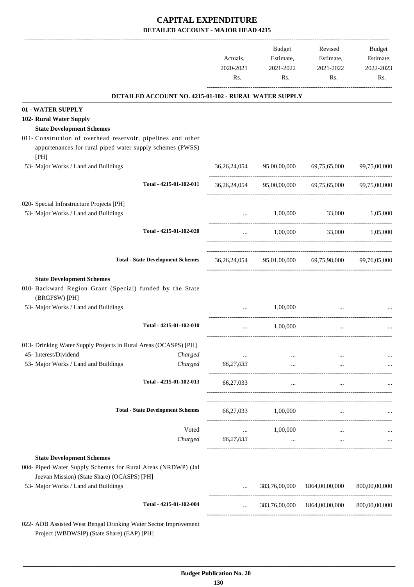|                                                                                                                                   |                                                       | Actuals,<br>2020-2021<br>Rs.   | <b>Budget</b><br>Estimate,<br>2021-2022<br>Rs. | Revised<br>Estimate,<br>2021-2022<br>Rs.            | Budget<br>Estimate,<br>2022-2023<br>Rs. |
|-----------------------------------------------------------------------------------------------------------------------------------|-------------------------------------------------------|--------------------------------|------------------------------------------------|-----------------------------------------------------|-----------------------------------------|
|                                                                                                                                   | DETAILED ACCOUNT NO. 4215-01-102 - RURAL WATER SUPPLY |                                |                                                |                                                     |                                         |
| 01 - WATER SUPPLY                                                                                                                 |                                                       |                                |                                                |                                                     |                                         |
| 102- Rural Water Supply                                                                                                           |                                                       |                                |                                                |                                                     |                                         |
| <b>State Development Schemes</b>                                                                                                  |                                                       |                                |                                                |                                                     |                                         |
| 011- Construction of overhead reservoir, pipelines and other<br>appurtenances for rural piped water supply schemes (PWSS)<br>[PH] |                                                       |                                |                                                |                                                     |                                         |
| 53- Major Works / Land and Buildings                                                                                              |                                                       | 36, 26, 24, 054                | 95,00,00,000                                   | 69,75,65,000                                        | 99,75,00,000                            |
|                                                                                                                                   | Total - 4215-01-102-011                               | 36, 26, 24, 054                |                                                | 95,00,00,000 69,75,65,000                           | 99,75,00,000                            |
| 020- Special Infrastructure Projects [PH]                                                                                         |                                                       |                                |                                                |                                                     |                                         |
| 53- Major Works / Land and Buildings                                                                                              |                                                       | $\cdots$                       | 1,00,000                                       | 33,000                                              | 1,05,000                                |
|                                                                                                                                   | Total - 4215-01-102-020                               | $\cdots$                       | 1,00,000                                       | 33,000                                              | 1,05,000                                |
|                                                                                                                                   | <b>Total - State Development Schemes</b>              |                                |                                                | 36,26,24,054 95,01,00,000 69,75,98,000 99,76,05,000 |                                         |
| <b>State Development Schemes</b>                                                                                                  |                                                       |                                |                                                |                                                     |                                         |
| 010- Backward Region Grant (Special) funded by the State<br>(BRGFSW) [PH]                                                         |                                                       |                                |                                                |                                                     |                                         |
| 53- Major Works / Land and Buildings                                                                                              |                                                       |                                | 1,00,000                                       |                                                     |                                         |
|                                                                                                                                   | Total - 4215-01-102-010                               | $\cdots$                       | 1,00,000                                       | $\cdots$                                            |                                         |
| 013- Drinking Water Supply Projects in Rural Areas (OCASPS) [PH]                                                                  |                                                       |                                |                                                |                                                     |                                         |
| 45- Interest/Dividend                                                                                                             | Charged                                               | $\cdots$                       | $\cdots$                                       |                                                     | $\cdots$                                |
| 53- Major Works / Land and Buildings                                                                                              | Charged                                               | 66,27,033                      | $\cdots$                                       | $\cdots$                                            |                                         |
|                                                                                                                                   | Total - 4215-01-102-013                               | 66,27,033                      | $\cdots$                                       | $\cdots$                                            |                                         |
|                                                                                                                                   | <b>Total - State Development Schemes</b>              |                                | 66,27,033 1,00,000                             | $\cdots$                                            |                                         |
|                                                                                                                                   | Voted                                                 |                                | 1,00,000                                       |                                                     |                                         |
|                                                                                                                                   | Charged                                               | <b>Contractor</b><br>66,27,033 | $\ldots$                                       | $\cdots$<br>$\cdots$                                | $\ldots$                                |
| <b>State Development Schemes</b>                                                                                                  |                                                       |                                |                                                |                                                     |                                         |
| 004- Piped Water Supply Schemes for Rural Areas (NRDWP) (Jal                                                                      |                                                       |                                |                                                |                                                     |                                         |
| Jeevan Mission) (State Share) (OCASPS) [PH]<br>53- Major Works / Land and Buildings                                               |                                                       |                                | 383,76,00,000                                  | 1864,00,00,000                                      | 800,00,00,000                           |
|                                                                                                                                   | Total - 4215-01-102-004                               | $\cdots$                       |                                                | 383,76,00,000 1864,00,00,000                        | 800,00,00,000                           |
| 022- ADB Assisted West Bengal Drinking Water Sector Improvement<br>Project (WBDWSIP) (State Share) (EAP) [PH]                     |                                                       |                                |                                                |                                                     |                                         |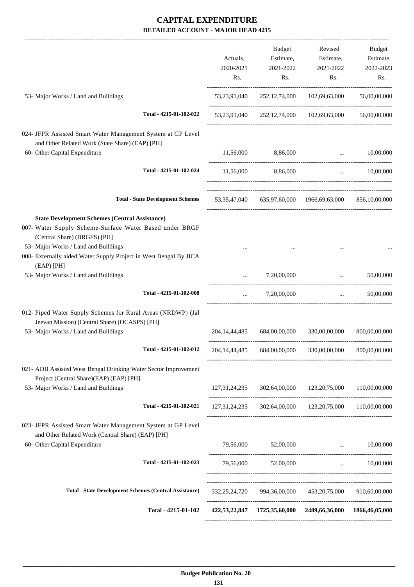|                                                                                                                                                                                                                                                               | Actuals,<br>2020-2021<br>Rs. | Budget<br>Estimate,<br>2021-2022<br>Rs. | Revised<br>Estimate,<br>2021-2022<br>Rs.                   | Budget<br>Estimate,<br>2022-2023<br>Rs. |
|---------------------------------------------------------------------------------------------------------------------------------------------------------------------------------------------------------------------------------------------------------------|------------------------------|-----------------------------------------|------------------------------------------------------------|-----------------------------------------|
| 53- Major Works / Land and Buildings                                                                                                                                                                                                                          |                              |                                         | 53,23,91,040 252,12,74,000 102,69,63,000                   | 56,00,00,000                            |
| Total - 4215-01-102-022                                                                                                                                                                                                                                       |                              |                                         | 53,23,91,040 252,12,74,000 102,69,63,000                   | 56,00,00,000                            |
| 024- JFPR Assisted Smart Water Management System at GP Level<br>and Other Related Work (State Share) (EAP) [PH]                                                                                                                                               |                              |                                         |                                                            |                                         |
| 60- Other Capital Expenditure                                                                                                                                                                                                                                 | 11,56,000                    | 8,86,000                                | $\ddotsc$                                                  | 10,00,000                               |
| Total - 4215-01-102-024                                                                                                                                                                                                                                       | 11,56,000                    | 8,86,000                                | $\ddots$                                                   | 10,00,000                               |
| <b>Total - State Development Schemes</b>                                                                                                                                                                                                                      |                              |                                         | 53,35,47,040 635,97,60,000 1966,69,63,000 856,10,00,000    |                                         |
| <b>State Development Schemes (Central Assistance)</b><br>007- Water Supply Scheme-Surface Water Based under BRGF<br>(Central Share) (BRGFS) [PH]<br>53- Major Works / Land and Buildings<br>008- Externally aided Water Supply Project in West Bengal By JICA |                              |                                         |                                                            |                                         |
| $(EAP)$ [PH]                                                                                                                                                                                                                                                  |                              |                                         |                                                            |                                         |
| 53- Major Works / Land and Buildings                                                                                                                                                                                                                          |                              | 7,20,00,000                             | $\mathbf{r}$<br>-------------------------------------      | 50,00,000                               |
| Total - 4215-01-102-008                                                                                                                                                                                                                                       | $\cdots$                     | 7,20,00,000                             |                                                            | 50,00,000<br><b>Section</b> (1997)      |
| 012- Piped Water Supply Schemes for Rural Areas (NRDWP) (Jal<br>Jeevan Mission) (Central Share) (OCASPS) [PH]<br>53- Major Works / Land and Buildings                                                                                                         | 204, 14, 44, 485             | 684,00,00,000                           | 330,00,00,000                                              | 800,00,00,000                           |
| Total - 4215-01-102-012                                                                                                                                                                                                                                       |                              |                                         | 204,14,44,485 684,00,00,000 330,00,00,000 800,00,00,000    |                                         |
| 021- ADB Assisted West Bengal Drinking Water Sector Improvement<br>Project (Central Share)(EAP) (EAP) [PH]<br>53- Major Works / Land and Buildings                                                                                                            |                              |                                         | 127,31,24,235 302,64,00,000 123,20,75,000                  | 110,00,00,000                           |
|                                                                                                                                                                                                                                                               |                              |                                         |                                                            |                                         |
| Total - 4215-01-102-021                                                                                                                                                                                                                                       |                              |                                         | 127,31,24,235 302,64,00,000 123,20,75,000 110,00,00,000    |                                         |
| 023- JFPR Assisted Smart Water Management System at GP Level<br>and Other Related Work (Central Share) (EAP) [PH]<br>60- Other Capital Expenditure                                                                                                            |                              |                                         | 79,56,000 52,00,000  10,00,000                             |                                         |
| Total - 4215-01-102-023                                                                                                                                                                                                                                       |                              | 79,56,000 52,00,000                     |                                                            | $\ldots$ 10,00,000                      |
|                                                                                                                                                                                                                                                               |                              |                                         |                                                            |                                         |
| <b>Total - State Development Schemes (Central Assistance)</b>                                                                                                                                                                                                 |                              |                                         | 332,25,24,720 994,36,00,000 453,20,75,000 910,60,00,000    |                                         |
| Total - 4215-01-102                                                                                                                                                                                                                                           |                              |                                         | 422,53,22,847 1725,35,60,000 2489,66,36,000 1866,46,05,000 |                                         |
|                                                                                                                                                                                                                                                               |                              |                                         |                                                            |                                         |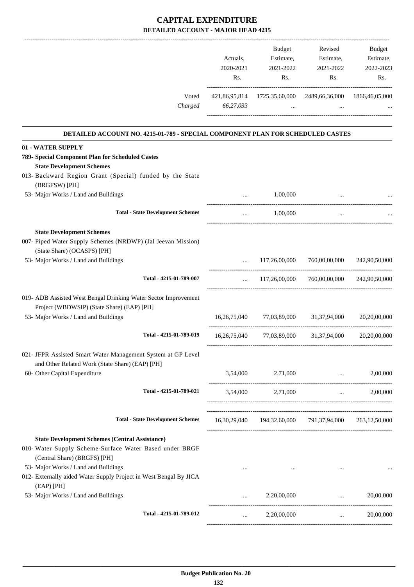|                                                                                                                                                                       | Actuals,<br>2020-2021<br>Rs. | Budget<br>Estimate,<br>2021-2022<br>Rs. | Revised<br>Estimate,<br>2021-2022<br>Rs.                               | Budget<br>Estimate,<br>2022-2023<br>Rs.                         |
|-----------------------------------------------------------------------------------------------------------------------------------------------------------------------|------------------------------|-----------------------------------------|------------------------------------------------------------------------|-----------------------------------------------------------------|
| Voted<br>Charged                                                                                                                                                      | 66,27,033                    | $\sim$                                  | 421,86,95,814 1725,35,60,000 2489,66,36,000 1866,46,05,000<br>$\cdots$ |                                                                 |
| DETAILED ACCOUNT NO. 4215-01-789 - SPECIAL COMPONENT PLAN FOR SCHEDULED CASTES                                                                                        |                              |                                         |                                                                        |                                                                 |
| 01 - WATER SUPPLY<br>789- Special Component Plan for Scheduled Castes<br><b>State Development Schemes</b><br>013- Backward Region Grant (Special) funded by the State |                              |                                         |                                                                        |                                                                 |
| (BRGFSW) [PH]<br>53- Major Works / Land and Buildings                                                                                                                 |                              | 1,00,000                                |                                                                        |                                                                 |
| <b>Total - State Development Schemes</b>                                                                                                                              | $\cdots$                     | 1,00,000                                | $\cdots$                                                               |                                                                 |
| <b>State Development Schemes</b><br>007- Piped Water Supply Schemes (NRDWP) (Jal Jeevan Mission)<br>(State Share) (OCASPS) [PH]                                       |                              |                                         |                                                                        |                                                                 |
| 53- Major Works / Land and Buildings                                                                                                                                  |                              |                                         | 117,26,00,000 760,00,00,000 242,90,50,000                              |                                                                 |
| Total - 4215-01-789-007                                                                                                                                               | $\cdots$                     | 117,26,00,000                           | 760,00,00,000                                                          | 242,90,50,000                                                   |
| 019- ADB Assisted West Bengal Drinking Water Sector Improvement<br>Project (WBDWSIP) (State Share) (EAP) [PH]                                                         |                              |                                         |                                                                        |                                                                 |
| 53- Major Works / Land and Buildings                                                                                                                                  |                              |                                         | 16,26,75,040 77,03,89,000 31,37,94,000                                 | 20,20,00,000                                                    |
| Total - 4215-01-789-019                                                                                                                                               |                              |                                         | 16,26,75,040 77,03,89,000 31,37,94,000 20,20,00,000                    |                                                                 |
| 021- JFPR Assisted Smart Water Management System at GP Level<br>and Other Related Work (State Share) (EAP) [PH]<br>60- Other Capital Expenditure                      |                              | 3,54,000 2,71,000                       | and the company of the company of                                      | 2,00,000                                                        |
| Total - 4215-01-789-021                                                                                                                                               |                              | 3,54,000 2,71,000                       |                                                                        | 2,00,000<br>$\sim 10^{-10}$ and $\sim 10^{-10}$                 |
| <b>Total - State Development Schemes</b>                                                                                                                              |                              |                                         | 16,30,29,040 194,32,60,000 791,37,94,000 263,12,50,000                 |                                                                 |
| <b>State Development Schemes (Central Assistance)</b><br>010- Water Supply Scheme-Surface Water Based under BRGF<br>(Central Share) (BRGFS) [PH]                      |                              |                                         |                                                                        |                                                                 |
| 53- Major Works / Land and Buildings<br>012- Externally aided Water Supply Project in West Bengal By JICA<br>$(EAP)$ [PH]                                             | $\cdots$                     |                                         |                                                                        |                                                                 |
| 53- Major Works / Land and Buildings                                                                                                                                  |                              | 2,20,00,000                             |                                                                        | 20,00,000<br>$\mathbf{1}$ , and $\mathbf{1}$ , and $\mathbf{1}$ |
| Total - 4215-01-789-012                                                                                                                                               |                              | 2,20,00,000                             |                                                                        | 20,00,000<br>and the state                                      |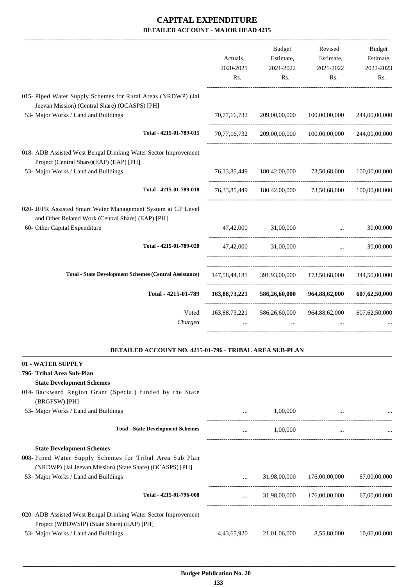|                                                                                                                   |               | Budget                                                               | Revised                                   | Budget                                                      |
|-------------------------------------------------------------------------------------------------------------------|---------------|----------------------------------------------------------------------|-------------------------------------------|-------------------------------------------------------------|
|                                                                                                                   | Actuals,      | Estimate,                                                            | Estimate,                                 | Estimate,                                                   |
|                                                                                                                   | 2020-2021     | 2021-2022                                                            | 2021-2022                                 | 2022-2023                                                   |
|                                                                                                                   | Rs.           | Rs.                                                                  | Rs.                                       | Rs.                                                         |
| 015- Piped Water Supply Schemes for Rural Areas (NRDWP) (Jal                                                      |               |                                                                      |                                           |                                                             |
| Jeevan Mission) (Central Share) (OCASPS) [PH]                                                                     |               |                                                                      |                                           |                                                             |
| 53- Major Works / Land and Buildings                                                                              | 70,77,16,732  |                                                                      | 209,00,00,000 100,00,00,000               | 244,00,00,000                                               |
| Total - 4215-01-789-015                                                                                           | 70,77,16,732  |                                                                      | 209,00,00,000 100,00,00,000               | 244,00,00,000                                               |
| 018- ADB Assisted West Bengal Drinking Water Sector Improvement<br>Project (Central Share)(EAP) (EAP) [PH]        |               |                                                                      |                                           |                                                             |
| 53- Major Works / Land and Buildings                                                                              |               | 76, 33, 85, 449 180, 42, 00, 000 73, 50, 68, 000                     |                                           | 100,00,00,000                                               |
| Total - 4215-01-789-018                                                                                           |               | 76, 33, 85, 449 180, 42, 00, 000 73, 50, 68, 000 100, 00, 00, 00, 00 |                                           |                                                             |
| 020- JFPR Assisted Smart Water Management System at GP Level<br>and Other Related Work (Central Share) (EAP) [PH] |               |                                                                      |                                           |                                                             |
| 60- Other Capital Expenditure                                                                                     |               | 47,42,000 31,00,000                                                  | $\cdots$                                  | 30,00,000                                                   |
| Total - 4215-01-789-020                                                                                           | 47,42,000     | 31,00,000                                                            |                                           | 30,00,000<br>$\mathbf{r}$ and $\mathbf{r}$ and $\mathbf{r}$ |
| <b>Total - State Development Schemes (Central Assistance)</b>                                                     |               | 147,58,44,181 391,93,00,000 173,50,68,000 344,50,00,000              |                                           |                                                             |
| Total - 4215-01-789                                                                                               | 163,88,73,221 | 586,26,60,000                                                        | 964,88,62,000                             | 607, 62, 50, 000                                            |
| Voted<br>Charged                                                                                                  | 163,88,73,221 |                                                                      | 586,26,60,000 964,88,62,000 607,62,50,000 |                                                             |
|                                                                                                                   |               |                                                                      |                                           |                                                             |

### **DETAILED ACCOUNT NO. 4215-01-796 - TRIBAL AREA SUB-PLAN**

.

| 01 - WATER SUPPLY                                                                                                    |             |              |               |              |
|----------------------------------------------------------------------------------------------------------------------|-------------|--------------|---------------|--------------|
| 796- Tribal Area Sub-Plan                                                                                            |             |              |               |              |
| <b>State Development Schemes</b>                                                                                     |             |              |               |              |
| 014- Backward Region Grant (Special) funded by the State<br>(BRGFSW) [PH]                                            |             |              |               |              |
| 53- Major Works / Land and Buildings                                                                                 | $\cdots$    | 1,00,000     |               |              |
| <b>Total - State Development Schemes</b>                                                                             | $\cdots$    | 1,00,000     | $\cdots$      |              |
| <b>State Development Schemes</b>                                                                                     |             |              |               |              |
| 008- Piped Water Supply Schemes for Tribal Area Sub Plan<br>(NRDWP) (Jal Jeevan Mission) (State Share) (OCASPS) [PH] |             |              |               |              |
| 53- Major Works / Land and Buildings                                                                                 |             | 31,98,00,000 | 176,00,00,000 | 67,00,00,000 |
| Total - 4215-01-796-008                                                                                              |             | 31,98,00,000 | 176,00,00,000 | 67,00,00,000 |
| 020- ADB Assisted West Bengal Drinking Water Sector Improvement<br>Project (WBDWSIP) (State Share) (EAP) [PH]        |             |              |               |              |
| 53- Major Works / Land and Buildings                                                                                 | 4,43,65,920 | 21,01,06,000 | 8,55,80,000   | 10,00,00,000 |
|                                                                                                                      |             |              |               |              |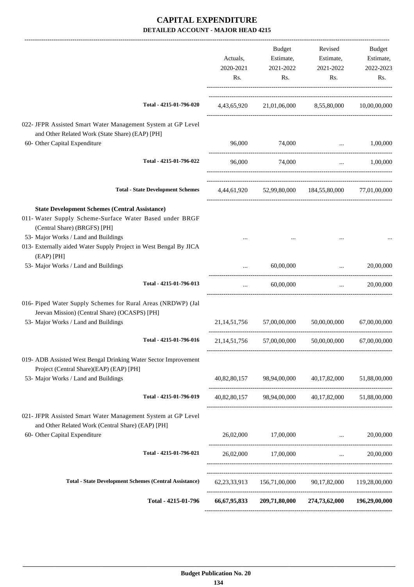|                                                                                                                                                                                                                                                               | Actuals,<br>2020-2021<br>Rs. | Budget<br>Estimate,<br>2021-2022<br>Rs. | Revised<br>Estimate,<br>2021-2022<br>Rs.               | Budget<br>Estimate,<br>2022-2023<br>Rs. |
|---------------------------------------------------------------------------------------------------------------------------------------------------------------------------------------------------------------------------------------------------------------|------------------------------|-----------------------------------------|--------------------------------------------------------|-----------------------------------------|
| Total - 4215-01-796-020                                                                                                                                                                                                                                       |                              |                                         | 4,43,65,920 21,01,06,000 8,55,80,000 10,00,00,000      |                                         |
| 022- JFPR Assisted Smart Water Management System at GP Level<br>and Other Related Work (State Share) (EAP) [PH]                                                                                                                                               |                              |                                         |                                                        |                                         |
| 60- Other Capital Expenditure                                                                                                                                                                                                                                 | 96,000                       | 74,000                                  |                                                        | $\ldots$ 1,00,000                       |
| Total - 4215-01-796-022                                                                                                                                                                                                                                       | 96,000                       | 74,000                                  |                                                        | 1,00,000<br>$\mathbf{m}$                |
| <b>Total - State Development Schemes</b>                                                                                                                                                                                                                      |                              |                                         | 4,44,61,920 52,99,80,000 184,55,80,000 77,01,00,000    |                                         |
| <b>State Development Schemes (Central Assistance)</b><br>011- Water Supply Scheme-Surface Water Based under BRGF<br>(Central Share) (BRGFS) [PH]<br>53- Major Works / Land and Buildings<br>013- Externally aided Water Supply Project in West Bengal By JICA |                              |                                         |                                                        |                                         |
| (EAP) [PH]                                                                                                                                                                                                                                                    |                              |                                         |                                                        |                                         |
| 53- Major Works / Land and Buildings                                                                                                                                                                                                                          |                              | 60,00,000                               | ----------------------------------                     | 20,00,000<br><b>Section</b> Contractor  |
| Total - 4215-01-796-013                                                                                                                                                                                                                                       | $\cdots$                     | 60,00,000                               |                                                        | $\ldots$ 20,00,000                      |
| 016- Piped Water Supply Schemes for Rural Areas (NRDWP) (Jal<br>Jeevan Mission) (Central Share) (OCASPS) [PH]                                                                                                                                                 |                              |                                         |                                                        |                                         |
| 53- Major Works / Land and Buildings                                                                                                                                                                                                                          |                              | 21,14,51,756 57,00,00,000               | 50,00,00,000                                           | 67,00,00,000                            |
| Total - 4215-01-796-016                                                                                                                                                                                                                                       |                              | 21,14,51,756 57,00,00,000               | 50,00,00,000                                           | 67,00,00,000                            |
| 019- ADB Assisted West Bengal Drinking Water Sector Improvement<br>Project (Central Share)(EAP) (EAP) [PH]                                                                                                                                                    |                              |                                         |                                                        |                                         |
| 53- Major Works / Land and Buildings                                                                                                                                                                                                                          |                              |                                         | 40,82,80,157 98,94,00,000 40,17,82,000 51,88,00,000    |                                         |
| Total - 4215-01-796-019                                                                                                                                                                                                                                       |                              |                                         | 40,82,80,157 98,94,00,000 40,17,82,000 51,88,00,000    |                                         |
| 021- JFPR Assisted Smart Water Management System at GP Level<br>and Other Related Work (Central Share) (EAP) [PH]                                                                                                                                             |                              |                                         |                                                        |                                         |
| 60- Other Capital Expenditure                                                                                                                                                                                                                                 |                              | 26,02,000 17,00,000                     | and the control of the control of                      | 20,00,000                               |
| Total - 4215-01-796-021                                                                                                                                                                                                                                       |                              | 26,02,000 17,00,000                     |                                                        | $\ldots$ 20,00,000                      |
| <b>Total - State Development Schemes (Central Assistance)</b>                                                                                                                                                                                                 |                              |                                         | 62,23,33,913 156,71,00,000 90,17,82,000 119,28,00,000  |                                         |
| Total - 4215-01-796                                                                                                                                                                                                                                           |                              |                                         | 66,67,95,833 209,71,80,000 274,73,62,000 196,29,00,000 |                                         |
|                                                                                                                                                                                                                                                               |                              |                                         |                                                        |                                         |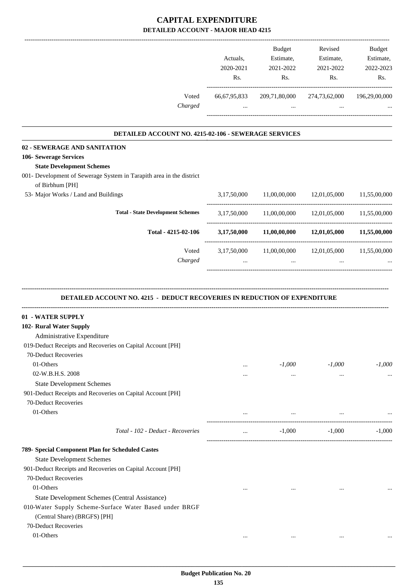|                                                                                                                             | Actuals,<br>2020-2021<br>Rs. | Budget<br>Estimate,<br>2021-2022<br>Rs. | Revised<br>Estimate,<br>2021-2022<br>Rs.                   | Budget<br>Estimate,<br>2022-2023<br>Rs. |
|-----------------------------------------------------------------------------------------------------------------------------|------------------------------|-----------------------------------------|------------------------------------------------------------|-----------------------------------------|
| Voted<br>Charged                                                                                                            | 66, 67, 95, 833<br>$\cdots$  | 209,71,80,000<br>$\cdots$               | 274,73,62,000<br>$\cdots$                                  | 196,29,00,000                           |
|                                                                                                                             |                              |                                         |                                                            |                                         |
| DETAILED ACCOUNT NO. 4215-02-106 - SEWERAGE SERVICES                                                                        |                              |                                         |                                                            |                                         |
| 02 - SEWERAGE AND SANITATION                                                                                                |                              |                                         |                                                            |                                         |
| 106- Sewerage Services                                                                                                      |                              |                                         |                                                            |                                         |
| <b>State Development Schemes</b><br>001- Development of Sewerage System in Tarapith area in the district<br>of Birbhum [PH] |                              |                                         |                                                            |                                         |
| 53- Major Works / Land and Buildings                                                                                        | 3,17,50,000                  | 11,00,00,000                            | 12,01,05,000                                               | 11,55,00,000                            |
| <b>Total - State Development Schemes</b>                                                                                    |                              |                                         | 3,17,50,000 11,00,00,000 12,01,05,000 11,55,00,000         |                                         |
| Total - 4215-02-106                                                                                                         |                              |                                         | $3,17,50,000$ $11,00,00,000$ $12,01,05,000$ $11,55,00,000$ |                                         |
| Voted<br>Charged                                                                                                            | $\cdots$                     | $\cdots$                                | 3,17,50,000 11,00,00,000 12,01,05,000                      | 11,55,00,000                            |
| 01 - WATER SUPPLY<br>102- Rural Water Supply                                                                                |                              |                                         |                                                            |                                         |
|                                                                                                                             |                              |                                         |                                                            |                                         |
| Administrative Expenditure<br>019-Deduct Receipts and Recoveries on Capital Account [PH]                                    |                              |                                         |                                                            |                                         |
| 70-Deduct Recoveries                                                                                                        |                              |                                         |                                                            |                                         |
| 01-Others                                                                                                                   | $\cdots$                     | $-1,000$                                | $-1,000$                                                   | $-1,000$                                |
| 02-W.B.H.S. 2008                                                                                                            | $\cdots$                     | $\cdots$                                | $\cdots$                                                   | $\cdots$                                |
| <b>State Development Schemes</b>                                                                                            |                              |                                         |                                                            |                                         |
| 901-Deduct Receipts and Recoveries on Capital Account [PH]                                                                  |                              |                                         |                                                            |                                         |
| 70-Deduct Recoveries                                                                                                        |                              |                                         |                                                            |                                         |
| 01-Others                                                                                                                   |                              | $\cdots$                                |                                                            |                                         |
| Total - 102 - Deduct - Recoveries                                                                                           | $\cdots$                     | $-1,000$                                | $-1,000$                                                   | $-1,000$                                |
| 789- Special Component Plan for Scheduled Castes                                                                            |                              |                                         |                                                            |                                         |
| <b>State Development Schemes</b>                                                                                            |                              |                                         |                                                            |                                         |
| 901-Deduct Receipts and Recoveries on Capital Account [PH]                                                                  |                              |                                         |                                                            |                                         |
| 70-Deduct Recoveries                                                                                                        |                              |                                         |                                                            |                                         |
| 01-Others                                                                                                                   | $\cdots$                     | $\cdots$                                | $\cdots$                                                   |                                         |
| State Development Schemes (Central Assistance)                                                                              |                              |                                         |                                                            |                                         |
| 010-Water Supply Scheme-Surface Water Based under BRGF<br>(Central Share) (BRGFS) [PH]                                      |                              |                                         |                                                            |                                         |
| 70-Deduct Recoveries                                                                                                        |                              |                                         |                                                            |                                         |
| 01-Others                                                                                                                   | $\cdots$                     | $\cdots$                                | $\cdots$                                                   |                                         |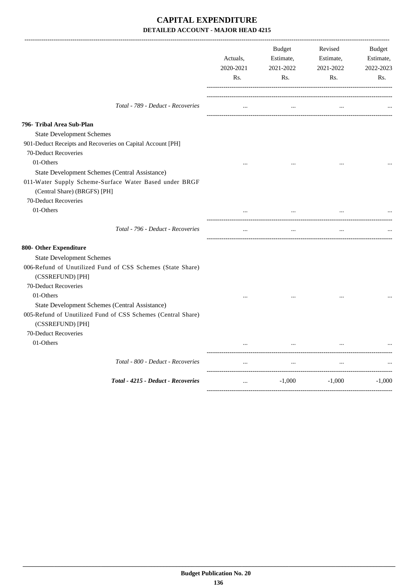|                                                                                  | Actuals,<br>2020-2021<br>Rs. | <b>Budget</b><br>Estimate,<br>2021-2022<br>Rs. | Revised<br>Estimate,<br>2021-2022<br>Rs. | <b>Budget</b><br>Estimate,<br>2022-2023<br>Rs. |
|----------------------------------------------------------------------------------|------------------------------|------------------------------------------------|------------------------------------------|------------------------------------------------|
| Total - 789 - Deduct - Recoveries                                                | $\cdots$                     | $\cdots$                                       |                                          |                                                |
| 796- Tribal Area Sub-Plan                                                        |                              |                                                |                                          |                                                |
| <b>State Development Schemes</b>                                                 |                              |                                                |                                          |                                                |
| 901-Deduct Receipts and Recoveries on Capital Account [PH]                       |                              |                                                |                                          |                                                |
| 70-Deduct Recoveries                                                             |                              |                                                |                                          |                                                |
| 01-Others                                                                        |                              |                                                |                                          |                                                |
| State Development Schemes (Central Assistance)                                   |                              |                                                |                                          |                                                |
| 011-Water Supply Scheme-Surface Water Based under BRGF                           |                              |                                                |                                          |                                                |
| (Central Share) (BRGFS) [PH]                                                     |                              |                                                |                                          |                                                |
| 70-Deduct Recoveries                                                             |                              |                                                |                                          |                                                |
| 01-Others                                                                        |                              |                                                | $\ddotsc$                                |                                                |
| Total - 796 - Deduct - Recoveries                                                | $\cdots$                     | $\cdots$                                       | $\cdots$                                 |                                                |
| 800- Other Expenditure                                                           |                              |                                                |                                          |                                                |
| <b>State Development Schemes</b>                                                 |                              |                                                |                                          |                                                |
| 006-Refund of Unutilized Fund of CSS Schemes (State Share)                       |                              |                                                |                                          |                                                |
| (CSSREFUND) [PH]                                                                 |                              |                                                |                                          |                                                |
| 70-Deduct Recoveries                                                             |                              |                                                |                                          |                                                |
| 01-Others                                                                        |                              |                                                |                                          |                                                |
| State Development Schemes (Central Assistance)                                   |                              |                                                |                                          |                                                |
| 005-Refund of Unutilized Fund of CSS Schemes (Central Share)<br>(CSSREFUND) [PH] |                              |                                                |                                          |                                                |
| 70-Deduct Recoveries                                                             |                              |                                                |                                          |                                                |
| 01-Others                                                                        |                              |                                                |                                          |                                                |
| Total - 800 - Deduct - Recoveries                                                | $\cdots$                     | $\ddotsc$                                      | $\ddotsc$                                |                                                |
| Total - 4215 - Deduct - Recoveries                                               | $\ddots$                     | $-1,000$                                       | $-1,000$                                 | $-1,000$                                       |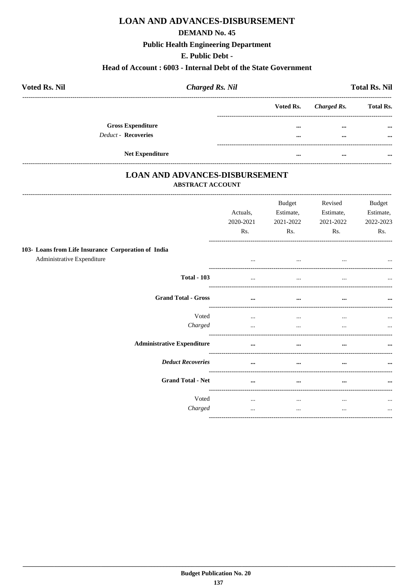## **DEMAND No. 45**

## **Public Health Engineering Department**

## E. Public Debt -

## Head of Account: 6003 - Internal Debt of the State Government

| <b>Voted Rs. Nil</b>     | <b>Charged Rs. Nil</b> |                         |             | <b>Total Rs. Nil</b> |
|--------------------------|------------------------|-------------------------|-------------|----------------------|
|                          |                        | Voted Rs.               | Charged Rs. | <b>Total Rs.</b>     |
| <b>Gross Expenditure</b> |                        | $\bullet\bullet\bullet$ | $\cdots$    | $\cdots$             |
| Deduct - Recoveries      |                        | $\bullet\bullet\bullet$ | $\cdots$    | $\cdots$             |
| <b>Net Expenditure</b>   |                        | $\bullet\bullet\bullet$ | $\cdots$    | $\cdots$             |

## **LOAN AND ADVANCES-DISBURSEMENT** ABSTRACT ACCOUNT

|                                                     | Actuals,<br>2020-2021<br>Rs. | Budget<br>Estimate,<br>2021-2022<br>Rs. | Revised<br>Estimate,<br>2021-2022<br>Rs. | <b>Budget</b><br>Estimate,<br>2022-2023<br>Rs. |
|-----------------------------------------------------|------------------------------|-----------------------------------------|------------------------------------------|------------------------------------------------|
| 103- Loans from Life Insurance Corporation of India |                              |                                         |                                          |                                                |
| Administrative Expenditure                          | $\cdots$                     | $\cdots$                                |                                          | $\cdots$                                       |
| <b>Total - 103</b>                                  | $\cdots$                     | $\cdots$                                | $\cdots$                                 |                                                |
| <b>Grand Total - Gross</b>                          | $\cdots$                     | $\cdots$                                | $\cdots$                                 | $\cdots$                                       |
| Voted                                               | $\cdots$                     | $\cdots$                                | $\cdots$                                 | $\cdots$                                       |
| Charged                                             | $\cdots$                     | $\cdots$                                | $\cdots$                                 |                                                |
| <b>Administrative Expenditure</b>                   | $\cdots$                     | $\cdots$                                | $\cdots$                                 | $\cdots$                                       |
| <b>Deduct Recoveries</b>                            | $\cdots$                     | $\cdots$                                | $\cdots$                                 | $\cdots$                                       |
| <b>Grand Total - Net</b>                            | $\cdots$                     | $\cdots$                                | $\cdots$                                 | $\cdots$                                       |
| Voted                                               | $\cdots$                     | $\cdots$                                | $\cdots$                                 | $\cdots$                                       |
| Charged                                             | $\cdots$                     | $\cdots$                                | $\cdots$                                 | $\cdots$                                       |
|                                                     |                              |                                         |                                          |                                                |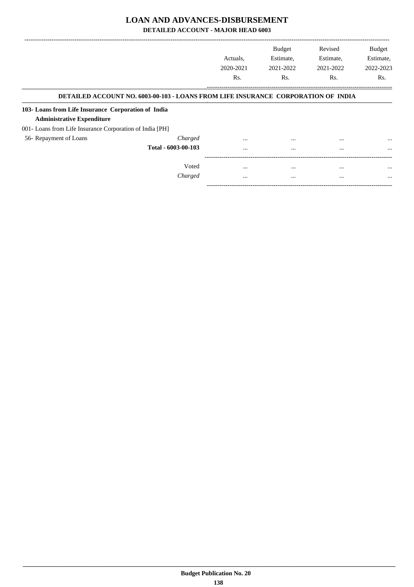**DETAILED ACCOUNT - MAJOR HEAD 6003**

|                                                          |                                                                                          |                  | <b>Budget</b> | Revised   | <b>Budget</b> |
|----------------------------------------------------------|------------------------------------------------------------------------------------------|------------------|---------------|-----------|---------------|
|                                                          |                                                                                          | Actuals.         | Estimate,     | Estimate, | Estimate,     |
|                                                          |                                                                                          | 2020-2021        | 2021-2022     | 2021-2022 | 2022-2023     |
|                                                          |                                                                                          | R <sub>s</sub> . | Rs.           | Rs.       | Rs.           |
|                                                          | <b>DETAILED ACCOUNT NO. 6003-00-103 - LOANS FROM LIFE INSURANCE CORPORATION OF INDIA</b> |                  |               |           |               |
| 103- Loans from Life Insurance Corporation of India      |                                                                                          |                  |               |           |               |
| <b>Administrative Expenditure</b>                        |                                                                                          |                  |               |           |               |
| 001- Loans from Life Insurance Corporation of India [PH] |                                                                                          |                  |               |           |               |
| 56- Repayment of Loans                                   | Charged                                                                                  | $\cdots$         | $\cdots$      | $\cdots$  | $\cdots$      |
|                                                          | Total - 6003-00-103                                                                      | $\cdots$         | $\cdots$      | $\cdots$  |               |
|                                                          |                                                                                          |                  |               |           |               |
|                                                          | Voted                                                                                    | $\cdots$         | $\cdots$      | $\cdots$  | $\cdots$      |
|                                                          | Charged                                                                                  | $\cdots$         | $\cdots$      | $\cdots$  | $\cdots$      |
|                                                          |                                                                                          |                  |               |           |               |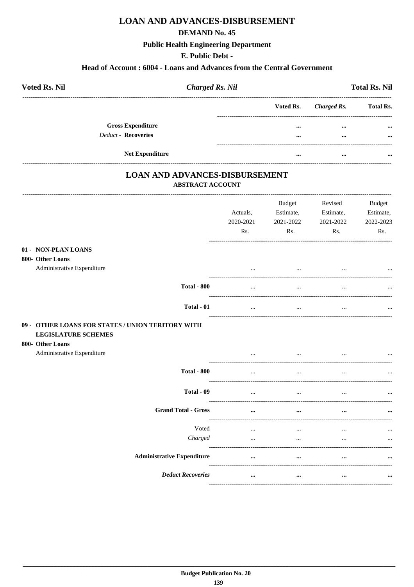### **DEMAND No. 45**

## **Public Health Engineering Department**

## E. Public Debt -

## Head of Account: 6004 - Loans and Advances from the Central Government

| <b>Voted Rs. Nil</b>       | <b>Charged Rs. Nil</b> |                         |             | <b>Total Rs. Nil</b> |
|----------------------------|------------------------|-------------------------|-------------|----------------------|
|                            |                        | Voted Rs.               | Charged Rs. | <b>Total Rs.</b>     |
| <b>Gross Expenditure</b>   |                        | $\cdots$                | $\cdots$    | $\cdots$             |
| <b>Deduct - Recoveries</b> |                        | $\bullet\bullet\bullet$ | $\cdots$    | $\cdots$             |
| <b>Net Expenditure</b>     |                        | $\cdots$                | $\cdots$    | $\cdots$             |

## **LOAN AND ADVANCES-DISBURSEMENT ABSTRACT ACCOUNT**

|                                                                                                     | Actuals,<br>2020-2021<br>Rs. | <b>Budget</b><br>Estimate,<br>2021-2022<br>Rs. | Revised<br>Estimate,<br>2021-2022<br>Rs. | <b>Budget</b><br>Estimate,<br>2022-2023<br>Rs. |
|-----------------------------------------------------------------------------------------------------|------------------------------|------------------------------------------------|------------------------------------------|------------------------------------------------|
| 01 - NON-PLAN LOANS<br>800- Other Loans<br>Administrative Expenditure                               |                              |                                                |                                          |                                                |
| <b>Total - 800</b>                                                                                  | $\cdots$<br>$\ddotsc$        | $\ddotsc$                                      |                                          |                                                |
| Total - 01                                                                                          |                              |                                                | $\ddotsc$                                |                                                |
| 09 - OTHER LOANS FOR STATES / UNION TERITORY WITH<br><b>LEGISLATURE SCHEMES</b><br>800- Other Loans |                              |                                                |                                          |                                                |
| Administrative Expenditure                                                                          |                              |                                                |                                          |                                                |
| <b>Total - 800</b>                                                                                  |                              |                                                |                                          |                                                |
| Total - 09                                                                                          | $\cdots$                     | $\cdots$                                       | $\ddotsc$                                |                                                |
| <b>Grand Total - Gross</b>                                                                          | $\cdots$                     | $\ddot{\phantom{a}}$                           |                                          |                                                |
| Voted<br>Charged                                                                                    | $\cdots$<br>$\cdots$         | $\cdots$<br>$\cdots$                           | <br>                                     | $\ddotsc$                                      |
| <b>Administrative Expenditure</b>                                                                   |                              | $\ddotsc$                                      |                                          |                                                |
| <b>Deduct Recoveries</b>                                                                            | $\cdots$                     | $\ddot{\phantom{a}}$                           | $\ddotsc$<br>----------------------      |                                                |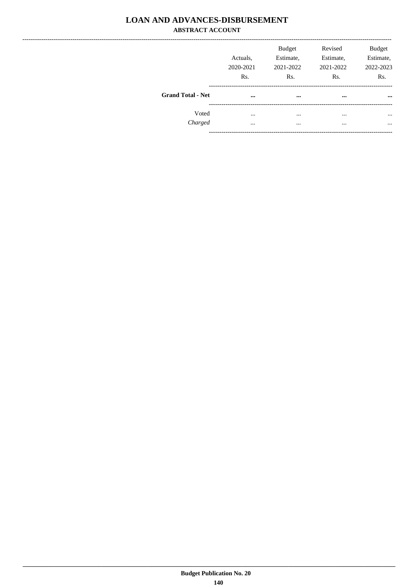# **LOAN AND ADVANCES-DISBURSEMENT ABSTRACT ACCOUNT**

|                          | Actuals.<br>2020-2021<br>Rs. | <b>Budget</b><br>Estimate,<br>2021-2022<br>Rs. | Revised<br>Estimate,<br>2021-2022<br>Rs. | <b>Budget</b><br>Estimate,<br>2022-2023<br>Rs. |
|--------------------------|------------------------------|------------------------------------------------|------------------------------------------|------------------------------------------------|
| <b>Grand Total - Net</b> | $\cdots$                     | $\cdots$                                       | $\cdots$                                 | $\cdots$                                       |
| Voted                    | $\cdots$                     | $\cdots$                                       | $\cdots$                                 | $\cdots$                                       |
| Charged                  | $\cdots$                     | $\cdots$                                       | $\cdots$                                 | $\ddotsc$                                      |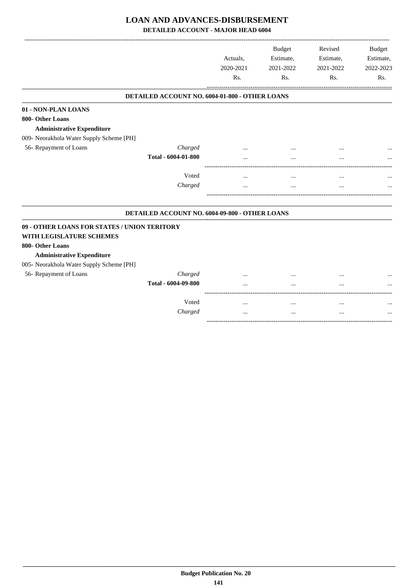**DETAILED ACCOUNT - MAJOR HEAD 6004**

|                                                       |                                                | Actuals,<br>2020-2021<br>Rs. | <b>Budget</b><br>Estimate,<br>2021-2022<br>Rs. | Revised<br>Estimate,<br>2021-2022<br>Rs. | <b>Budget</b><br>Estimate,<br>2022-2023<br>Rs. |
|-------------------------------------------------------|------------------------------------------------|------------------------------|------------------------------------------------|------------------------------------------|------------------------------------------------|
|                                                       |                                                |                              |                                                |                                          |                                                |
|                                                       | DETAILED ACCOUNT NO. 6004-01-800 - OTHER LOANS |                              |                                                |                                          |                                                |
| 01 - NON-PLAN LOANS                                   |                                                |                              |                                                |                                          |                                                |
| 800- Other Loans<br><b>Administrative Expenditure</b> |                                                |                              |                                                |                                          |                                                |
| 009- Neorakhola Water Supply Scheme [PH]              |                                                |                              |                                                |                                          |                                                |
| 56- Repayment of Loans                                | Charged                                        |                              |                                                |                                          |                                                |
|                                                       | Total - 6004-01-800                            |                              |                                                |                                          |                                                |
|                                                       |                                                |                              |                                                |                                          |                                                |
|                                                       | Voted                                          | .                            | $\ddotsc$                                      | $\cdots$                                 |                                                |
|                                                       | Charged                                        | .                            | $\ddotsc$                                      | $\cdots$                                 |                                                |
|                                                       | DETAILED ACCOUNT NO. 6004-09-800 - OTHER LOANS |                              |                                                |                                          |                                                |
| 09 - OTHER LOANS FOR STATES / UNION TERITORY          |                                                |                              |                                                |                                          |                                                |
| WITH LEGISLATURE SCHEMES                              |                                                |                              |                                                |                                          |                                                |
| 800- Other Loans                                      |                                                |                              |                                                |                                          |                                                |
| <b>Administrative Expenditure</b>                     |                                                |                              |                                                |                                          |                                                |
| 005- Neorakhola Water Supply Scheme [PH]              |                                                |                              |                                                |                                          |                                                |
| 56- Repayment of Loans                                | Charged                                        |                              |                                                |                                          |                                                |
|                                                       | Total - 6004-09-800                            |                              |                                                | $\ddotsc$                                |                                                |
|                                                       |                                                |                              |                                                |                                          |                                                |
|                                                       | Voted                                          | $\cdots$                     | $\ddotsc$                                      |                                          |                                                |
|                                                       | Charged                                        |                              |                                                |                                          |                                                |

-----------------------------------------------------------------------------------------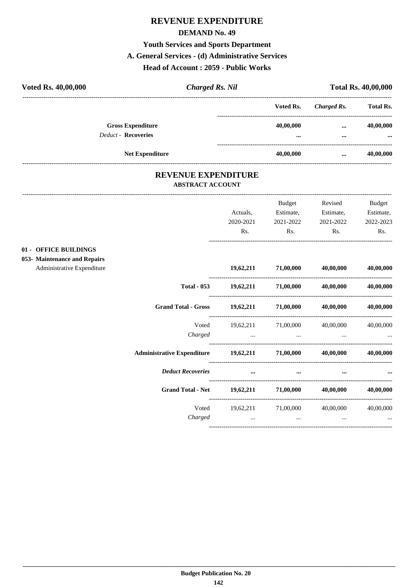#### **REVENUE EXPENDITURE**

#### **DEMAND No. 49**

#### **Youth Services and Sports Department**

#### **A. General Services - (d) Administrative Services**

#### **Head of Account : 2059 - Public Works**

| Voted Rs. 40,00,000 |                                                        | <b>Charged Rs. Nil</b> |                                      |                      |                       |
|---------------------|--------------------------------------------------------|------------------------|--------------------------------------|----------------------|-----------------------|
|                     |                                                        |                        | Voted Rs.                            | Charged Rs.          | <b>Total Rs.</b>      |
|                     | <b>Gross Expenditure</b><br><b>Deduct - Recoveries</b> |                        | 40,00,000<br>$\bullet\bullet\bullet$ | $\cdots$<br>$\cdots$ | 40,00,000<br>$\cdots$ |
|                     | <b>Net Expenditure</b>                                 |                        | 40,00,000                            | $\cdots$             | 40,00,000             |

#### **REVENUE EXPENDITURE ABSTRACT ACCOUNT**

|                                                          | Actuals,<br>2020-2021               | <b>Budget</b><br>Estimate,<br>2021-2022 | Revised<br>Estimate,<br>2021-2022              | <b>Budget</b><br>Estimate,<br>2022-2023 |
|----------------------------------------------------------|-------------------------------------|-----------------------------------------|------------------------------------------------|-----------------------------------------|
|                                                          | Rs.                                 | Rs.                                     | Rs.                                            | Rs.                                     |
| 01 - OFFICE BUILDINGS<br>053- Maintenance and Repairs    |                                     |                                         |                                                |                                         |
| Administrative Expenditure                               |                                     | 19,62,211 71,00,000                     | 40,00,000                                      | 40,00,000                               |
| <b>Total - 053</b>                                       |                                     | $19,62,211$ $71,00,000$ $40,00,000$     |                                                | 40,00,000                               |
| <b>Grand Total - Gross</b>                               | $19,62,211$ $71,00,000$ $40,00,000$ |                                         |                                                | 40,00,000                               |
| Voted<br>Charged                                         | the control of the control of the   | 19,62,211 71,00,000                     | 40,00,000<br>and the state of the state of the | 40,00,000                               |
| Administrative Expenditure 19,62,211 71,00,000 40,00,000 |                                     |                                         |                                                | 40.00.000                               |
| <b>Deduct Recoveries</b>                                 | $\cdots$                            |                                         |                                                |                                         |
| <b>Grand Total - Net</b>                                 | $19,62,211$ $71,00,000$             |                                         | 40,00,000                                      | 40,00,000                               |
| Voted<br>Charged                                         | $\cdots$                            | 19,62,211 71,00,000<br>$\cdots$         | 40,00,000<br>$\cdots$                          | 40,00,000                               |
|                                                          |                                     |                                         |                                                |                                         |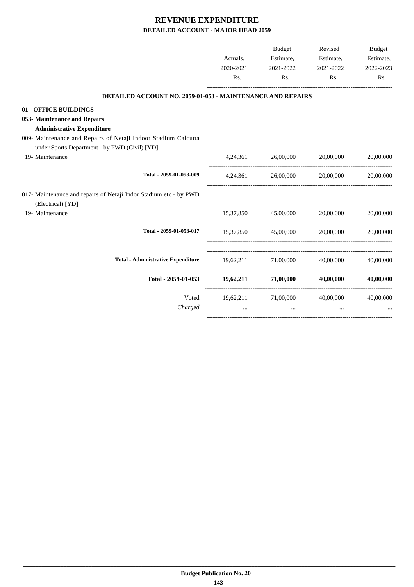|                                                                                                                                                      | Actuals,<br>2020-2021<br>Rs. | Budget<br>Estimate,<br>2021-2022<br>Rs. | Revised<br>Estimate,<br>2021-2022<br>Rs.            | Budget<br>Estimate,<br>2022-2023<br>Rs. |
|------------------------------------------------------------------------------------------------------------------------------------------------------|------------------------------|-----------------------------------------|-----------------------------------------------------|-----------------------------------------|
| <b>DETAILED ACCOUNT NO. 2059-01-053 - MAINTENANCE AND REPAIRS</b>                                                                                    |                              |                                         |                                                     |                                         |
| 01 - OFFICE BUILDINGS                                                                                                                                |                              |                                         |                                                     |                                         |
| 053- Maintenance and Repairs                                                                                                                         |                              |                                         |                                                     |                                         |
| <b>Administrative Expenditure</b><br>009- Maintenance and Repairs of Netaji Indoor Stadium Calcutta<br>under Sports Department - by PWD (Civil) [YD] |                              |                                         |                                                     |                                         |
| 19- Maintenance                                                                                                                                      |                              | 4,24,361 26,00,000                      | 20,00,000                                           | 20,00,000                               |
| Total - 2059-01-053-009                                                                                                                              | 4,24,361                     | 26,00,000                               | 20,00,000                                           | 20,00,000                               |
| 017- Maintenance and repairs of Netaji Indor Stadium etc - by PWD<br>(Electrical) [YD]                                                               |                              |                                         |                                                     |                                         |
| 19- Maintenance                                                                                                                                      |                              | 15,37,850 45,00,000 20,00,000           |                                                     | 20,00,000                               |
| Total - 2059-01-053-017                                                                                                                              |                              | 15,37,850 45,00,000                     | 20,00,000                                           | 20,00,000                               |
| <b>Total - Administrative Expenditure</b>                                                                                                            |                              |                                         | 19,62,211 71,00,000 40,00,000                       | 40,00,000                               |
| Total - 2059-01-053                                                                                                                                  |                              | 19,62,211 71,00,000                     | 40,00,000                                           | 40,00,000                               |
| Voted<br>Charged                                                                                                                                     | $\cdots$                     | $\cdots$                                | 19,62,211 71,00,000 40,00,000 40,00,000<br>$\cdots$ |                                         |
|                                                                                                                                                      |                              |                                         |                                                     |                                         |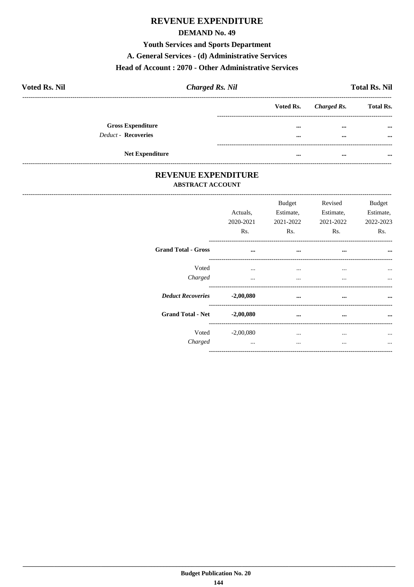## **REVENUE EXPENDITURE**

#### **DEMAND No. 49**

**Youth Services and Sports Department** 

A. General Services - (d) Administrative Services

#### Head of Account: 2070 - Other Administrative Services

| <b>Voted Rs. Nil</b> | <b>Charged Rs. Nil</b>     |  | <b>Total Rs. Nil</b> |             |                  |
|----------------------|----------------------------|--|----------------------|-------------|------------------|
|                      |                            |  | Voted Rs.            | Charged Rs. | <b>Total Rs.</b> |
|                      | <b>Gross Expenditure</b>   |  |                      | $\cdots$    | $\cdots$         |
|                      | <b>Deduct - Recoveries</b> |  |                      |             | $\cdots$         |
|                      |                            |  |                      |             |                  |
|                      | <b>Net Expenditure</b>     |  |                      | $\cdots$    | $\cdots$         |

#### REVENUE EXPENDITURE **ABSTRACT ACCOUNT**

|                             | Actuals.<br>2020-2021<br>Rs. | Budget<br>Estimate.<br>2021-2022<br>Rs. | Revised<br>Estimate,<br>2021-2022<br>Rs. | Budget<br>Estimate.<br>2022-2023<br>Rs. |
|-----------------------------|------------------------------|-----------------------------------------|------------------------------------------|-----------------------------------------|
| <b>Grand Total - Gross</b>  | $\cdots$                     | $\cdots$                                | $\cdots$                                 | $\cdots$                                |
| Voted<br>Charged            | $\cdots$<br>$\cdots$         | $\cdots$<br>$\cdots$                    | $\cdots$<br>$\cdots$                     | $\cdots$                                |
| Deduct Recoveries -2,00,080 |                              | $\ddotsc$                               | $\cdots$                                 |                                         |
| <b>Grand Total - Net</b>    | $-2,00,080$                  |                                         | $\cdots$                                 | $\cdots$                                |
| Charged                     | $Voted$ $-2,00,080$          | $\cdots$<br>$\cdots$                    | $\cdots$<br>                             |                                         |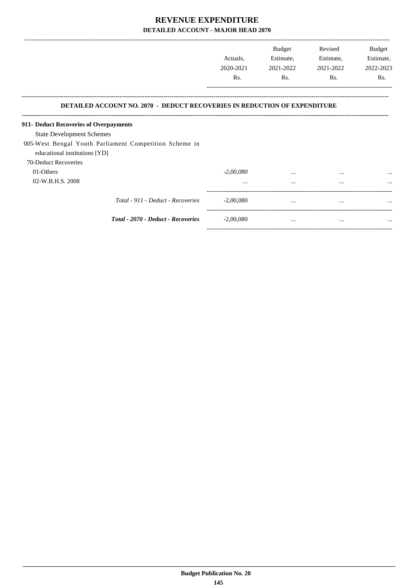|                                                                                         | Actuals,<br>2020-2021<br>Rs. | <b>Budget</b><br>Estimate,<br>2021-2022<br>Rs. | Revised<br>Estimate,<br>2021-2022<br>Rs. | Budget<br>Estimate,<br>2022-2023<br>Rs. |
|-----------------------------------------------------------------------------------------|------------------------------|------------------------------------------------|------------------------------------------|-----------------------------------------|
| <b>DETAILED ACCOUNT NO. 2070 - DEDUCT RECOVERIES IN REDUCTION OF EXPENDITURE</b>        |                              |                                                |                                          |                                         |
| 911- Deduct Recoveries of Overpayments                                                  |                              |                                                |                                          |                                         |
| <b>State Development Schemes</b>                                                        |                              |                                                |                                          |                                         |
| 005-West Bengal Youth Parliament Competition Scheme in<br>educational institutions [YD] |                              |                                                |                                          |                                         |
| 70-Deduct Recoveries                                                                    |                              |                                                |                                          |                                         |
| 01-Others                                                                               | $-2,00,080$                  | $\cdots$                                       | $\cdots$                                 | $\cdots$                                |
| 02-W.B.H.S. 2008                                                                        | $\cdots$                     | $\cdots$                                       | $\cdots$                                 | $\ddotsc$                               |
| Total - 911 - Deduct - Recoveries                                                       | $-2,00,080$                  | $\cdots$                                       | $\cdots$                                 | $\cdots$                                |
| Total - 2070 - Deduct - Recoveries                                                      | $-2,00,080$                  | $\cdots$                                       | $\cdots$                                 | $\cdots$                                |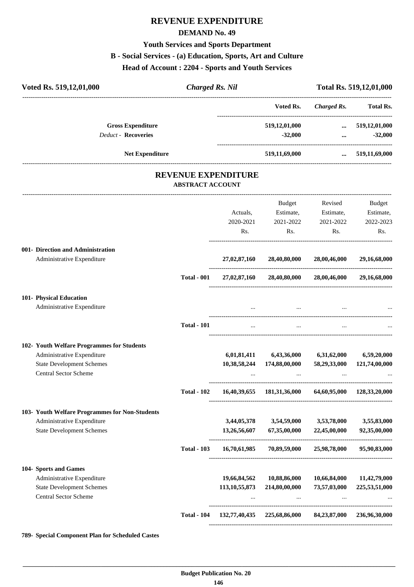## **REVENUE EXPENDITURE**

#### **DEMAND No. 49**

#### **Youth Services and Sports Department**

## **B - Social Services - (a) Education, Sports, Art and Culture**

**Head of Account : 2204 - Sports and Youth Services**

| Voted Rs. 519,12,01,000                                         | <b>Charged Rs. Nil</b>  |                            |                                                        |                         | Total Rs. 519,12,01,000                                               |
|-----------------------------------------------------------------|-------------------------|----------------------------|--------------------------------------------------------|-------------------------|-----------------------------------------------------------------------|
|                                                                 |                         |                            | Voted Rs.                                              | <b>Charged Rs.</b>      | <b>Total Rs.</b>                                                      |
| <b>Gross Expenditure</b><br><b>Deduct - Recoveries</b>          |                         |                            | 519,12,01,000<br>$-32,000$                             |                         | $\dots$ 519,12,01,000<br>$-32,000$<br>$\cdots$ . The same of $\cdots$ |
| <b>Net Expenditure</b>                                          |                         |                            | 519,11,69,000                                          | $\cdots$                | 519,11,69,000                                                         |
|                                                                 | <b>ABSTRACT ACCOUNT</b> | <b>REVENUE EXPENDITURE</b> |                                                        |                         |                                                                       |
|                                                                 |                         |                            | Budget                                                 | Revised                 | <b>Budget</b>                                                         |
|                                                                 |                         | Actuals,                   | Estimate,                                              | Estimate,               | Estimate,                                                             |
|                                                                 |                         | 2020-2021                  | 2021-2022                                              | 2021-2022               | 2022-2023                                                             |
|                                                                 |                         | Rs.                        | Rs.                                                    | Rs.                     | Rs.                                                                   |
| 001- Direction and Administration<br>Administrative Expenditure |                         | 27,02,87,160               | 28,40,80,000                                           | 28,00,46,000            | 29,16,68,000                                                          |
|                                                                 | <b>Total - 001</b>      |                            | 27,02,87,160 28,40,80,000 28,00,46,000                 |                         | 29,16,68,000                                                          |
| 101- Physical Education                                         |                         |                            |                                                        |                         |                                                                       |
| Administrative Expenditure                                      |                         |                            |                                                        |                         |                                                                       |
|                                                                 | <b>Total - 101</b>      |                            |                                                        |                         |                                                                       |
| 102- Youth Welfare Programmes for Students                      |                         |                            |                                                        |                         |                                                                       |
| Administrative Expenditure                                      |                         | 6,01,81,411                |                                                        | 6,43,36,000 6,31,62,000 | 6,59,20,000                                                           |
| <b>State Development Schemes</b>                                |                         | 10,38,58,244               | 174,88,00,000                                          | 58,29,33,000            | 121,74,00,000                                                         |
| Central Sector Scheme                                           |                         |                            |                                                        |                         |                                                                       |
|                                                                 | <b>Total - 102</b>      |                            | 16,40,39,655 181,31,36,000 64,60,95,000 128,33,20,000  |                         |                                                                       |
| 103- Youth Welfare Programmes for Non-Students                  |                         |                            |                                                        |                         |                                                                       |
| Administrative Expenditure                                      |                         | 3,44,05,378                | 3,54,59,000                                            | 3,53,78,000             | 3,55,83,000                                                           |
| <b>State Development Schemes</b>                                |                         | 13,26,56,607               | 67,35,00,000<br>-------------------------------------- | 22,45,00,000            | 92,35,00,000                                                          |
|                                                                 | <b>Total - 103</b>      | 16,70,61,985               | 70,89,59,000                                           | 25,98,78,000            | 95,90,83,000                                                          |
| 104- Sports and Games                                           |                         |                            |                                                        |                         |                                                                       |
| Administrative Expenditure                                      |                         | 19,66,84,562               | 10,88,86,000                                           | 10,66,84,000            | 11,42,79,000                                                          |
| <b>State Development Schemes</b><br>Central Sector Scheme       |                         | 113, 10, 55, 873           | 214,80,00,000                                          | 73,57,03,000            | 225,53,51,000                                                         |
|                                                                 | <b>Total - 104</b>      | 132,77,40,435              | 225,68,86,000                                          | 84,23,87,000            | 236,96,30,000                                                         |
|                                                                 |                         |                            |                                                        |                         |                                                                       |

**789- Special Component Plan for Scheduled Castes**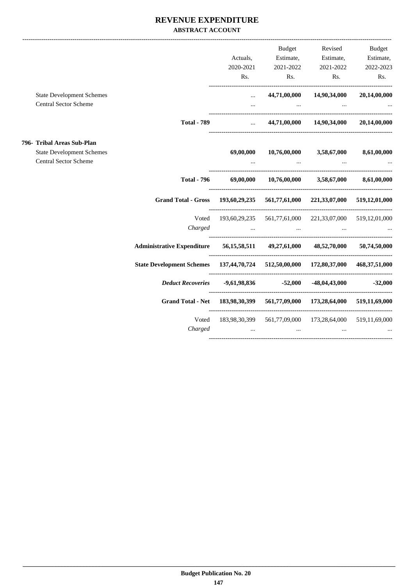#### **REVENUE EXPENDITURE ABSTRACT ACCOUNT**

|                                  |                                                                                   |                                                               |                                                                                                 | Budget Revised                                      | Budget      |
|----------------------------------|-----------------------------------------------------------------------------------|---------------------------------------------------------------|-------------------------------------------------------------------------------------------------|-----------------------------------------------------|-------------|
|                                  |                                                                                   | Actuals,                                                      |                                                                                                 | Estimate, Estimate, Estimate,                       |             |
|                                  |                                                                                   |                                                               | 2020-2021 2021-2022 2021-2022                                                                   |                                                     | 2022-2023   |
|                                  |                                                                                   | Rs.                                                           |                                                                                                 | Rs.<br>$\mathbf{Rs.}$                               | Rs.         |
| <b>State Development Schemes</b> |                                                                                   | $\cdots$                                                      |                                                                                                 | 44,71,00,000 14,90,34,000 20,14,00,000              |             |
| Central Sector Scheme            |                                                                                   | $\mathbf{r}$ , and $\mathbf{r}$                               |                                                                                                 | the contract of the contract of the contract of the |             |
|                                  | <b>Total - 789</b>                                                                |                                                               | $44,71,00,000$ $14,90,34,000$ $20,14,00,000$                                                    |                                                     |             |
| 796- Tribal Areas Sub-Plan       |                                                                                   |                                                               |                                                                                                 |                                                     |             |
| <b>State Development Schemes</b> |                                                                                   | 69,00,000                                                     |                                                                                                 | $10,76,00,000$ $3,58,67,000$                        | 8,61,00,000 |
| Central Sector Scheme            |                                                                                   |                                                               | and the control of the control of the control of the control of                                 |                                                     |             |
|                                  | <b>Total - 796</b>                                                                |                                                               | 69,00,000 10,76,00,000 3,58,67,000 8,61,00,000                                                  |                                                     |             |
|                                  | Grand Total - Gross 193,60,29,235 561,77,61,000 221,33,07,000 519,12,01,000       |                                                               |                                                                                                 |                                                     |             |
|                                  |                                                                                   | Voted 193,60,29,235 561,77,61,000 221,33,07,000 519,12,01,000 |                                                                                                 |                                                     |             |
|                                  | Charged                                                                           |                                                               | the contract of the contract of the contract of the contract of the contract of the contract of |                                                     |             |
|                                  | Administrative Expenditure 56,15,58,511 49,27,61,000 48,52,70,000 50,74,50,000    |                                                               |                                                                                                 |                                                     |             |
|                                  | State Development Schemes 137,44,70,724 512,50,00,000 172,80,37,000 468,37,51,000 |                                                               |                                                                                                 |                                                     |             |
|                                  |                                                                                   |                                                               |                                                                                                 |                                                     |             |
|                                  | Grand Total - Net 183,98,30,399 561,77,09,000 173,28,64,000 519,11,69,000         |                                                               |                                                                                                 |                                                     |             |
|                                  | Voted                                                                             |                                                               | 183,98,30,399   561,77,09,000   173,28,64,000   519,11,69,000                                   |                                                     |             |
|                                  | Charged                                                                           | $\cdots$                                                      | $\cdots$                                                                                        | $\cdots$                                            |             |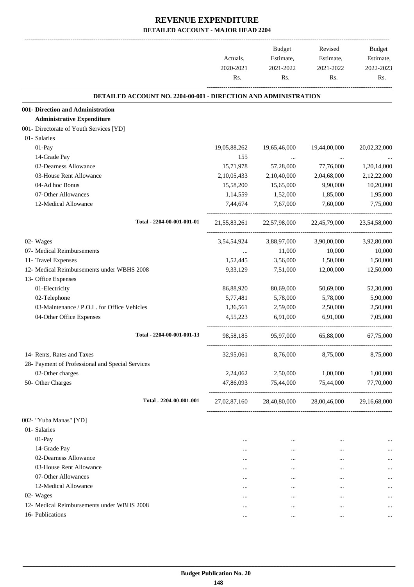|                                                                        | Actuals,<br>2020-2021<br>Rs. | <b>Budget</b><br>Estimate,<br>2021-2022<br>Rs. | Revised<br>Estimate,<br>2021-2022<br>Rs. | <b>Budget</b><br>Estimate,<br>2022-2023<br>Rs. |
|------------------------------------------------------------------------|------------------------------|------------------------------------------------|------------------------------------------|------------------------------------------------|
|                                                                        |                              |                                                |                                          |                                                |
| <b>DETAILED ACCOUNT NO. 2204-00-001 - DIRECTION AND ADMINISTRATION</b> |                              |                                                |                                          |                                                |
| 001- Direction and Administration<br><b>Administrative Expenditure</b> |                              |                                                |                                          |                                                |
| 001- Directorate of Youth Services [YD]                                |                              |                                                |                                          |                                                |
| 01- Salaries                                                           |                              |                                                |                                          |                                                |
| 01-Pay                                                                 | 19,05,88,262                 | 19,65,46,000                                   | 19,44,00,000                             | 20,02,32,000                                   |
| 14-Grade Pay                                                           | 155                          |                                                |                                          |                                                |
| 02-Dearness Allowance                                                  | 15,71,978                    | $\ldots$<br>57,28,000                          | 77,76,000                                | 1,20,14,000                                    |
| 03-House Rent Allowance                                                | 2,10,05,433                  | 2,10,40,000                                    | 2,04,68,000                              | 2,12,22,000                                    |
| 04-Ad hoc Bonus                                                        | 15,58,200                    | 15,65,000                                      | 9,90,000                                 | 10,20,000                                      |
| 07-Other Allowances                                                    | 1,14,559                     | 1,52,000                                       | 1,85,000                                 | 1,95,000                                       |
| 12-Medical Allowance                                                   | 7,44,674                     | 7,67,000                                       | 7,60,000                                 | 7,75,000                                       |
|                                                                        |                              |                                                |                                          |                                                |
| Total - 2204-00-001-001-01                                             | 21, 55, 83, 261              | 22,57,98,000                                   | 22,45,79,000                             | 23,54,58,000                                   |
| 02- Wages                                                              | 3,54,54,924                  | 3,88,97,000                                    | 3,90,00,000                              | 3,92,80,000                                    |
| 07- Medical Reimbursements                                             | $\cdots$                     | 11,000                                         | 10,000                                   | 10,000                                         |
| 11- Travel Expenses                                                    | 1,52,445                     | 3,56,000                                       | 1,50,000                                 | 1,50,000                                       |
| 12- Medical Reimbursements under WBHS 2008                             | 9,33,129                     | 7,51,000                                       | 12,00,000                                | 12,50,000                                      |
| 13- Office Expenses                                                    |                              |                                                |                                          |                                                |
| 01-Electricity                                                         | 86,88,920                    | 80,69,000                                      | 50,69,000                                | 52,30,000                                      |
| 02-Telephone                                                           | 5,77,481                     | 5,78,000                                       | 5,78,000                                 | 5,90,000                                       |
| 03-Maintenance / P.O.L. for Office Vehicles                            | 1,36,561                     | 2,59,000                                       | 2,50,000                                 | 2,50,000                                       |
| 04-Other Office Expenses                                               | 4,55,223                     | 6,91,000                                       | 6,91,000                                 | 7,05,000                                       |
| Total - 2204-00-001-001-13                                             | 98,58,185                    | 95,97,000                                      | 65,88,000                                | 67,75,000                                      |
| 14- Rents, Rates and Taxes                                             | 32,95,061                    | 8,76,000                                       | 8,75,000                                 | 8,75,000                                       |
| 28- Payment of Professional and Special Services                       |                              |                                                |                                          |                                                |
| 02-Other charges                                                       | 2,24,062                     | 2,50,000                                       | 1,00,000                                 | 1,00,000                                       |
| 50- Other Charges                                                      | 47,86,093                    | 75,44,000                                      | 75,44,000                                | 77,70,000                                      |
| Total - 2204-00-001-001                                                | 27,02,87,160                 | 28,40,80,000                                   | 28,00,46,000                             | 29,16,68,000                                   |
| 002- "Yuba Manas" [YD]                                                 |                              |                                                |                                          |                                                |
| 01- Salaries                                                           |                              |                                                |                                          |                                                |
| 01-Pay                                                                 |                              | $\cdots$                                       |                                          | $\cdots$                                       |
| 14-Grade Pay                                                           |                              | $\cdots$                                       | $\ddotsc$                                |                                                |
| 02-Dearness Allowance                                                  |                              | $\cdots$                                       | $\cdots$                                 | $\cdots$                                       |
| 03-House Rent Allowance                                                |                              |                                                | $\ddotsc$                                |                                                |
| 07-Other Allowances                                                    |                              | $\cdots$                                       | $\ddotsc$                                |                                                |
| 12-Medical Allowance                                                   | $\cdots$                     | $\cdots$                                       | $\ddotsc$                                |                                                |
| 02- Wages                                                              |                              |                                                |                                          |                                                |
| 12- Medical Reimbursements under WBHS 2008                             |                              |                                                | $\ddotsc$                                |                                                |
| 16- Publications                                                       | $\cdots$                     | $\cdots$                                       | $\cdots$                                 | $\cdots$                                       |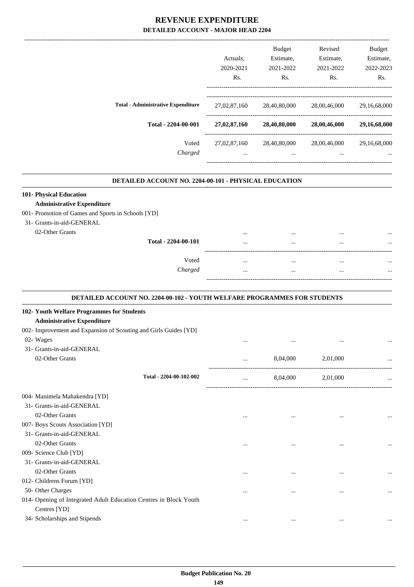|                                           | Actuals.         | <b>Budget</b><br>Estimate, | Revised<br>Estimate, | <b>Budget</b><br>Estimate, |
|-------------------------------------------|------------------|----------------------------|----------------------|----------------------------|
|                                           | 2020-2021        | 2021-2022                  | 2021-2022            | 2022-2023                  |
|                                           | R <sub>s</sub> . | Rs.                        | Rs.                  | Rs.                        |
| <b>Total - Administrative Expenditure</b> | 27,02,87,160     | 28,40,80,000               | 28,00,46,000         | 29,16,68,000               |
| Total - 2204-00-001                       | 27,02,87,160     | 28,40,80,000               | 28,00,46,000         | 29,16,68,000               |
| Voted                                     | 27,02,87,160     | 28,40,80,000               | 28,00,46,000         | 29,16,68,000               |
| Charged                                   |                  | $\cdots$                   | $\cdots$             |                            |

.

.

#### **DETAILED ACCOUNT NO. 2204-00-101 - PHYSICAL EDUCATION .**

## **101- Physical Education**

#### **Administrative Expenditure**

#### 001- Promotion of Games and Sports in Schools [YD]

31- Grants-in-aid-GENERAL

| 02-Other Grants | Total - 2204-00-101 | <br><br><br> | <br><br><br> |
|-----------------|---------------------|--------------|--------------|
|                 | Voted               | <br>         | <br>         |
|                 | Charged             | <br>         | <br>         |
|                 |                     |              |              |

#### **DETAILED ACCOUNT NO. 2204-00-102 - YOUTH WELFARE PROGRAMMES FOR STUDENTS**

| 102- Youth Welfare Programmes for Students                        |          |          |           |           |
|-------------------------------------------------------------------|----------|----------|-----------|-----------|
| <b>Administrative Expenditure</b>                                 |          |          |           |           |
| 002- Improvement and Expansion of Scouting and Girls Guides [YD]  |          |          |           |           |
| 02- Wages                                                         | $\cdots$ |          |           |           |
| 31- Grants-in-aid-GENERAL                                         |          |          |           |           |
| 02-Other Grants                                                   | $\cdots$ | 8,04,000 | 2,01,000  |           |
| Total - 2204-00-102-002                                           |          | 8,04,000 | 2,01,000  |           |
| 004- Manimela Mahakendra [YD]                                     |          |          |           |           |
| 31- Grants-in-aid-GENERAL                                         |          |          |           |           |
| 02-Other Grants                                                   | $\cdots$ |          |           |           |
| 007- Boys Scouts Association [YD]                                 |          |          |           |           |
| 31- Grants-in-aid-GENERAL                                         |          |          |           |           |
| 02-Other Grants                                                   | $\cdots$ |          |           | $\ddotsc$ |
| 009- Science Club [YD]                                            |          |          |           |           |
| 31- Grants-in-aid-GENERAL                                         |          |          |           |           |
| 02-Other Grants                                                   | $\cdots$ | $\cdots$ | $\cdots$  | $\ddotsc$ |
| 012- Childrens Forum [YD]                                         |          |          |           |           |
| 50- Other Charges                                                 |          |          | $\ddotsc$ | $\ddotsc$ |
| 014- Opening of Integrated Adult Education Centres in Block Youth |          |          |           |           |
| Centres [YD]                                                      |          |          |           |           |
| 34- Scholarships and Stipends                                     | $\cdots$ | $\cdots$ | $\cdots$  |           |
|                                                                   |          |          |           |           |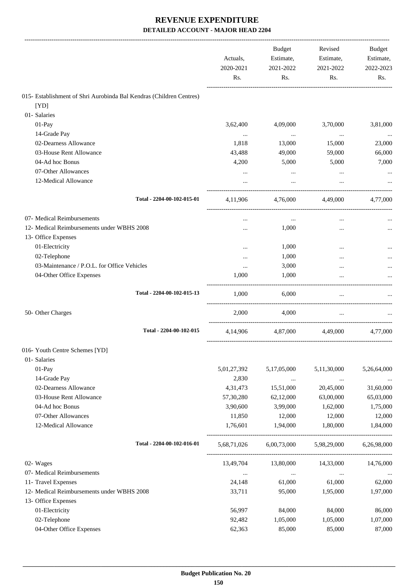|                                                                     | Actuals,<br>2020-2021<br>Rs. | <b>Budget</b><br>Estimate,<br>2021-2022<br>Rs. | Revised<br>Estimate,<br>2021-2022<br>Rs. | Budget<br>Estimate,<br>2022-2023<br>Rs. |
|---------------------------------------------------------------------|------------------------------|------------------------------------------------|------------------------------------------|-----------------------------------------|
| 015- Establishment of Shri Aurobinda Bal Kendras (Children Centres) |                              |                                                |                                          |                                         |
| [YD]                                                                |                              |                                                |                                          |                                         |
| 01- Salaries                                                        |                              |                                                |                                          |                                         |
| 01-Pay                                                              | 3,62,400                     | 4,09,000                                       | 3,70,000                                 | 3,81,000                                |
| 14-Grade Pay                                                        | $\cdots$                     | $\cdots$                                       | $\cdots$                                 |                                         |
| 02-Dearness Allowance                                               | 1,818                        | 13,000                                         | 15,000                                   | 23,000                                  |
| 03-House Rent Allowance                                             | 43,488                       | 49,000                                         | 59,000                                   | 66,000                                  |
| 04-Ad hoc Bonus                                                     | 4,200                        | 5,000                                          | 5,000                                    | 7,000                                   |
| 07-Other Allowances                                                 |                              |                                                |                                          |                                         |
| 12-Medical Allowance                                                |                              |                                                |                                          |                                         |
|                                                                     |                              |                                                |                                          |                                         |
| Total - 2204-00-102-015-01                                          | 4,11,906                     | 4.76.000                                       | 4,49,000                                 | 4,77,000                                |
| 07- Medical Reimbursements                                          |                              | $\cdots$                                       | $\ddotsc$                                |                                         |
| 12- Medical Reimbursements under WBHS 2008                          |                              | 1,000                                          | $\cdots$                                 |                                         |
| 13- Office Expenses                                                 |                              |                                                |                                          |                                         |
| 01-Electricity                                                      |                              | 1,000                                          |                                          |                                         |
| 02-Telephone                                                        |                              | 1,000                                          |                                          |                                         |
| 03-Maintenance / P.O.L. for Office Vehicles                         | $\cdots$                     | 3,000                                          | $\ddotsc$                                |                                         |
| 04-Other Office Expenses                                            | 1.000                        | 1,000                                          | $\ddotsc$                                |                                         |
| Total - 2204-00-102-015-13                                          | 1,000                        | 6,000                                          | $\cdots$                                 |                                         |
| 50- Other Charges                                                   | 2,000                        | 4,000                                          | $\cdots$                                 |                                         |
| Total - 2204-00-102-015                                             | 4,14,906                     |                                                | 4,87,000 4,49,000                        | 4,77,000                                |
| 016- Youth Centre Schemes [YD]                                      |                              |                                                |                                          |                                         |
| 01- Salaries                                                        |                              |                                                |                                          |                                         |
| 01-Pay                                                              | 5,01,27,392                  | 5,17,05,000                                    | 5,11,30,000                              | 5,26,64,000                             |
| 14-Grade Pay                                                        | 2,830                        | $\ldots$                                       | $\ldots$                                 | $\cdots$                                |
| 02-Dearness Allowance                                               | 4,31,473                     | 15,51,000                                      | 20,45,000                                | 31,60,000                               |
| 03-House Rent Allowance                                             | 57,30,280                    | 62,12,000                                      | 63,00,000                                | 65,03,000                               |
| 04-Ad hoc Bonus                                                     | 3,90,600                     | 3,99,000                                       | 1,62,000                                 | 1,75,000                                |
| 07-Other Allowances                                                 | 11,850                       | 12,000                                         | 12,000                                   | 12,000                                  |
| 12-Medical Allowance                                                | 1,76,601                     | 1,94,000                                       | 1,80,000                                 | 1,84,000                                |
| Total - 2204-00-102-016-01                                          | 5,68,71,026                  | 6,00,73,000                                    | 5,98,29,000                              | 6,26,98,000                             |
| 02- Wages                                                           | 13,49,704                    | 13,80,000                                      | 14,33,000                                | 14,76,000                               |
| 07- Medical Reimbursements                                          | $\cdots$                     | $\ldots$                                       | $\cdots$                                 |                                         |
| 11- Travel Expenses                                                 | 24,148                       | 61,000                                         | 61,000                                   | 62,000                                  |
| 12- Medical Reimbursements under WBHS 2008                          | 33,711                       | 95,000                                         | 1,95,000                                 | 1,97,000                                |
| 13- Office Expenses                                                 |                              |                                                |                                          |                                         |
| 01-Electricity                                                      | 56,997                       | 84,000                                         | 84,000                                   | 86,000                                  |
| 02-Telephone                                                        | 92,482                       | 1,05,000                                       | 1,05,000                                 | 1,07,000                                |
| 04-Other Office Expenses                                            | 62,363                       | 85,000                                         | 85,000                                   | 87,000                                  |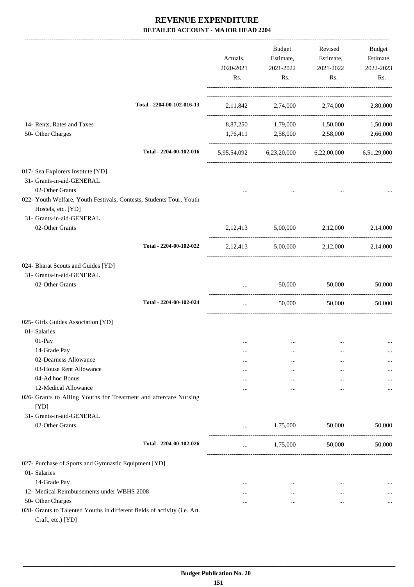|                                                                                                  | Actuals,<br>2020-2021<br>Rs. | Budget<br>2021-2022<br>Rs.       | Revised<br>Estimate, Estimate,<br>2021-2022<br>Rs. | Budget<br>Estimate,<br>2022-2023<br>Rs. |
|--------------------------------------------------------------------------------------------------|------------------------------|----------------------------------|----------------------------------------------------|-----------------------------------------|
| Total - 2204-00-102-016-13                                                                       |                              |                                  | 2,11,842 2,74,000 2,74,000 2,80,000                |                                         |
| 14- Rents, Rates and Taxes                                                                       |                              |                                  | 8,87,250 1,79,000 1,50,000                         | 1,50,000                                |
| 50- Other Charges                                                                                |                              |                                  | 1,76,411 2,58,000 2,58,000                         | 2,66,000                                |
| Total - 2204-00-102-016                                                                          |                              |                                  | 5,95,54,092 6,23,20,000 6,22,00,000 6,51,29,000    |                                         |
| 017- Sea Explorers Institute [YD]                                                                |                              |                                  |                                                    |                                         |
| 31- Grants-in-aid-GENERAL                                                                        |                              |                                  |                                                    |                                         |
| 02-Other Grants                                                                                  |                              |                                  |                                                    |                                         |
| 022- Youth Welfare, Youth Festivals, Contests, Students Tour, Youth                              |                              |                                  |                                                    |                                         |
| Hostels, etc. [YD]<br>31- Grants-in-aid-GENERAL                                                  |                              |                                  |                                                    |                                         |
| 02-Other Grants                                                                                  |                              |                                  | 2,12,413 5,00,000 2,12,000 2,14,000                |                                         |
| Total - 2204-00-102-022                                                                          | 2,12,413                     |                                  | 5,00,000 2,12,000 2,14,000                         |                                         |
| 024- Bharat Scouts and Guides [YD]                                                               |                              |                                  |                                                    |                                         |
| 31- Grants-in-aid-GENERAL                                                                        |                              |                                  |                                                    |                                         |
| 02-Other Grants                                                                                  |                              | 50,000                           | 50,000                                             | 50,000                                  |
| Total - 2204-00-102-024                                                                          | $\ddots$                     | 50,000                           | 50,000                                             | 50,000                                  |
| 025- Girls Guides Association [YD]                                                               |                              |                                  |                                                    |                                         |
| 01- Salaries                                                                                     |                              |                                  |                                                    |                                         |
| 01-Pay                                                                                           | $\cdots$                     | $\cdots$                         | $\cdots$                                           |                                         |
| 14-Grade Pay                                                                                     | $\cdots$                     | $\cdots$                         |                                                    |                                         |
| 02-Dearness Allowance                                                                            | $\cdots$                     | $\cdots$                         |                                                    |                                         |
| 03-House Rent Allowance                                                                          |                              | $\cdots$                         |                                                    |                                         |
| 04-Ad hoc Bonus                                                                                  |                              | $\cdots$                         | $\cdots$                                           |                                         |
| 12-Medical Allowance<br>026- Grants to Ailing Youths for Treatment and aftercare Nursing<br>[YD] |                              | $\cdots$                         | $\cdots$                                           |                                         |
| 31- Grants-in-aid-GENERAL                                                                        |                              |                                  |                                                    |                                         |
| 02-Other Grants                                                                                  |                              | 1,75,000                         | 50,000                                             | 50,000                                  |
| Total - 2204-00-102-026                                                                          | $\cdots$                     | --------------------<br>1,75,000 | 50,000                                             | 50,000                                  |
| 027- Purchase of Sports and Gymnastic Equipment [YD]                                             |                              |                                  |                                                    |                                         |
| 01- Salaries                                                                                     |                              |                                  |                                                    |                                         |
| 14-Grade Pay                                                                                     | $\cdots$                     | $\cdots$                         | $\cdots$                                           | $\cdots$                                |
| 12- Medical Reimbursements under WBHS 2008                                                       | $\cdots$                     | $\cdots$                         | $\cdots$                                           | $\cdots$                                |
| 50- Other Charges                                                                                |                              | $\cdots$                         | $\cdots$                                           | $\cdots$                                |
| 028- Grants to Talented Youths in different fields of activity (i.e. Art.                        |                              |                                  |                                                    |                                         |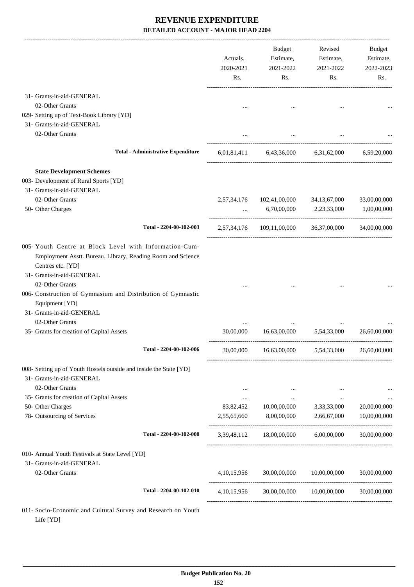|                                                                                                                                                                                           | Actuals,<br>2020-2021<br>Rs. | Budget<br>Estimate,<br>2021-2022<br>Rs.             | Revised<br>Estimate,<br>2021-2022<br>Rs.                       | Budget<br>Estimate,<br>2022-2023<br>Rs. |
|-------------------------------------------------------------------------------------------------------------------------------------------------------------------------------------------|------------------------------|-----------------------------------------------------|----------------------------------------------------------------|-----------------------------------------|
| 31- Grants-in-aid-GENERAL                                                                                                                                                                 |                              |                                                     |                                                                |                                         |
| 02-Other Grants                                                                                                                                                                           |                              |                                                     |                                                                |                                         |
| 029- Setting up of Text-Book Library [YD]                                                                                                                                                 |                              |                                                     |                                                                |                                         |
| 31- Grants-in-aid-GENERAL                                                                                                                                                                 |                              |                                                     |                                                                |                                         |
| 02-Other Grants                                                                                                                                                                           |                              |                                                     |                                                                |                                         |
| <b>Total - Administrative Expenditure</b>                                                                                                                                                 |                              | 6,01,81,411 6,43,36,000 6,31,62,000 6,59,20,000     |                                                                |                                         |
| <b>State Development Schemes</b>                                                                                                                                                          |                              |                                                     |                                                                |                                         |
| 003- Development of Rural Sports [YD]                                                                                                                                                     |                              |                                                     |                                                                |                                         |
| 31- Grants-in-aid-GENERAL                                                                                                                                                                 |                              |                                                     |                                                                |                                         |
| 02-Other Grants                                                                                                                                                                           |                              | 2,57,34,176 102,41,00,000                           | 34, 13, 67, 000                                                | 33,00,00,000                            |
| 50- Other Charges                                                                                                                                                                         |                              | $\dots$ 6,70,00,000                                 | 2,23,33,000                                                    | 1,00,00,000                             |
| Total - 2204-00-102-003                                                                                                                                                                   |                              | 2,57,34,176 109,11,00,000 36,37,00,000 34,00,00,000 |                                                                |                                         |
| 005-Youth Centre at Block Level with Information-Cum-<br>Employment Asstt. Bureau, Library, Reading Room and Science<br>Centres etc. [YD]<br>31- Grants-in-aid-GENERAL<br>02-Other Grants |                              |                                                     |                                                                |                                         |
| 006- Construction of Gymnasium and Distribution of Gymnastic<br>Equipment [YD]<br>31- Grants-in-aid-GENERAL                                                                               |                              |                                                     |                                                                |                                         |
| 02-Other Grants                                                                                                                                                                           |                              |                                                     |                                                                |                                         |
| 35- Grants for creation of Capital Assets                                                                                                                                                 | 30,00,000                    |                                                     | 16,63,00,000 5,54,33,000<br>---------------------------------- | 26,60,00,000                            |
| Total - 2204-00-102-006                                                                                                                                                                   |                              | 30,00,000  16,63,00,000  5,54,33,000  26,60,00,000  |                                                                |                                         |
| 008- Setting up of Youth Hostels outside and inside the State [YD]<br>31- Grants-in-aid-GENERAL                                                                                           |                              |                                                     |                                                                |                                         |
| 02-Other Grants                                                                                                                                                                           | $\cdots$                     | $\cdots$                                            | $\cdots$                                                       |                                         |
| 35- Grants for creation of Capital Assets                                                                                                                                                 | $\cdots$                     | $\ldots$                                            | $\cdots$                                                       |                                         |
| 50- Other Charges                                                                                                                                                                         | 83,82,452                    | 10,00,00,000                                        | 3,33,33,000                                                    | 20,00,00,000                            |
| 78- Outsourcing of Services                                                                                                                                                               | 2,55,65,660                  | 8,00,00,000                                         | 2,66,67,000                                                    | 10,00,00,000                            |
| Total - 2204-00-102-008                                                                                                                                                                   | 3,39,48,112                  | 18,00,00,000                                        | 6,00,00,000                                                    | 30,00,00,000                            |
| 010- Annual Youth Festivals at State Level [YD]                                                                                                                                           |                              |                                                     |                                                                |                                         |
| 31- Grants-in-aid-GENERAL                                                                                                                                                                 |                              |                                                     |                                                                |                                         |
| 02-Other Grants                                                                                                                                                                           | 4, 10, 15, 956               | 30,00,00,000                                        | 10,00,00,000                                                   | 30,00,00,000                            |
| Total - 2204-00-102-010                                                                                                                                                                   |                              | 4,10,15,956 30,00,00,000 10,00,00,000               |                                                                | 30,00,00,000                            |
| 011- Socio-Economic and Cultural Survey and Research on Youth                                                                                                                             |                              |                                                     |                                                                |                                         |

Life [YD]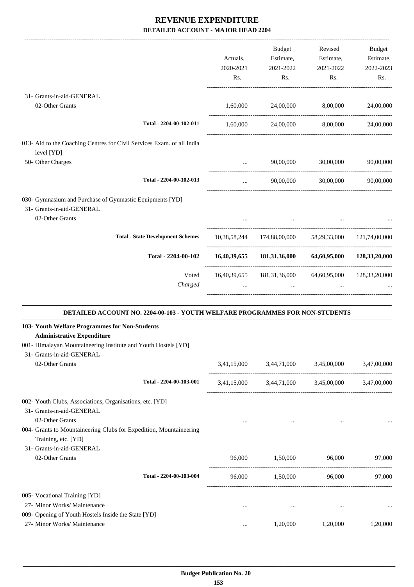|                                                                                     |           | Budget                                                | Revised                                 | Budget             |
|-------------------------------------------------------------------------------------|-----------|-------------------------------------------------------|-----------------------------------------|--------------------|
|                                                                                     | Actuals,  | Estimate,                                             | Estimate,                               | Estimate,          |
|                                                                                     | 2020-2021 | 2021-2022                                             | 2021-2022                               | 2022-2023          |
|                                                                                     | Rs.       | Rs.                                                   | Rs.                                     | Rs.                |
| 31- Grants-in-aid-GENERAL                                                           |           |                                                       |                                         |                    |
| 02-Other Grants                                                                     |           | 1,60,000 24,00,000 8,00,000 24,00,000                 |                                         |                    |
|                                                                                     |           |                                                       |                                         |                    |
| Total - 2204-00-102-011                                                             | 1,60,000  | 24,00,000                                             |                                         | 8,00,000 24,00,000 |
| 013- Aid to the Coaching Centres for Civil Services Exam. of all India              |           |                                                       |                                         |                    |
| level [YD]                                                                          |           |                                                       |                                         |                    |
| 50- Other Charges                                                                   | $\cdots$  |                                                       | 90,00,000 30,00,000                     | 90,00,000          |
| Total - 2204-00-102-013                                                             | $\cdots$  |                                                       | 90,00,000 30,00,000 90,00,000           |                    |
| 030- Gymnasium and Purchase of Gymnastic Equipments [YD]                            |           |                                                       |                                         |                    |
| 31- Grants-in-aid-GENERAL                                                           |           |                                                       |                                         |                    |
| 02-Other Grants                                                                     |           |                                                       |                                         |                    |
| <b>Total - State Development Schemes</b>                                            |           |                                                       |                                         |                    |
|                                                                                     |           | 10,38,58,244 174,88,00,000 58,29,33,000 121,74,00,000 |                                         |                    |
| Total - 2204-00-102                                                                 |           | 16,40,39,655 181,31,36,000 64,60,95,000 128,33,20,000 |                                         |                    |
| Voted                                                                               |           | 16,40,39,655 181,31,36,000 64,60,95,000 128,33,20,000 |                                         |                    |
| Charged                                                                             | $\cdots$  | $\cdots$                                              | $\cdots$                                |                    |
| DETAILED ACCOUNT NO. 2204-00-103 - YOUTH WELFARE PROGRAMMES FOR NON-STUDENTS        |           |                                                       |                                         |                    |
| 103- Youth Welfare Programmes for Non-Students                                      |           |                                                       |                                         |                    |
| <b>Administrative Expenditure</b>                                                   |           |                                                       |                                         |                    |
| 001- Himalayan Mountaineering Institute and Youth Hostels [YD]                      |           |                                                       |                                         |                    |
| 31- Grants-in-aid-GENERAL                                                           |           |                                                       |                                         |                    |
| 02-Other Grants                                                                     |           | 3,41,15,000 3,44,71,000 3,45,00,000                   |                                         | 3,47,00,000        |
| Total - 2204-00-103-001                                                             |           | 3,41,15,000 3,44,71,000 3,45,00,000 3,47,00,000       |                                         |                    |
| 002- Youth Clubs, Associations, Organisations, etc. [YD]                            |           |                                                       |                                         |                    |
| 31- Grants-in-aid-GENERAL                                                           |           |                                                       |                                         |                    |
| 02-Other Grants                                                                     | $\cdots$  |                                                       | and the contract of the contract of the |                    |
| 004- Grants to Mountaineering Clubs for Expedition, Mountaineering                  |           |                                                       |                                         |                    |
| Training, etc. [YD]                                                                 |           |                                                       |                                         |                    |
| 31- Grants-in-aid-GENERAL                                                           |           |                                                       |                                         |                    |
| 02-Other Grants                                                                     | 96,000    | 1,50,000                                              | 96,000                                  | 97,000             |
| Total - 2204-00-103-004                                                             | 96,000    | 1,50,000                                              | 96,000                                  | 97,000             |
|                                                                                     |           |                                                       |                                         |                    |
| 005- Vocational Training [YD]                                                       |           |                                                       |                                         |                    |
| 27- Minor Works/ Maintenance                                                        | $\cdots$  | $\cdots$                                              | $\cdots$                                | $\cdots$           |
| 009- Opening of Youth Hostels Inside the State [YD]<br>27- Minor Works/ Maintenance |           |                                                       |                                         |                    |
|                                                                                     | $\cdots$  | 1,20,000                                              | 1,20,000                                | 1,20,000           |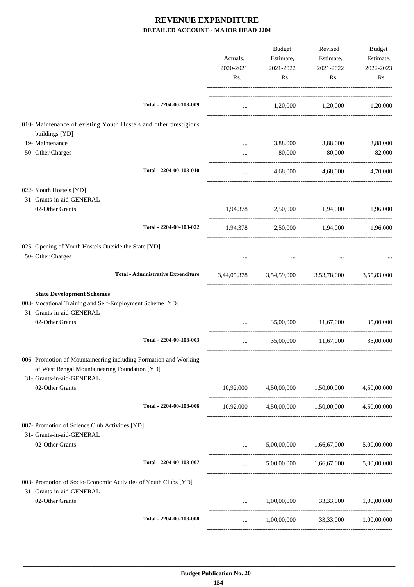|                                                                                              |                                           |                                                                                                                                   | Budget                                                              | Revised                                               | Budget      |
|----------------------------------------------------------------------------------------------|-------------------------------------------|-----------------------------------------------------------------------------------------------------------------------------------|---------------------------------------------------------------------|-------------------------------------------------------|-------------|
|                                                                                              |                                           | Actuals,                                                                                                                          | Estimate,                                                           | Estimate,                                             | Estimate,   |
|                                                                                              |                                           | 2020-2021                                                                                                                         | 2021-2022                                                           | 2021-2022                                             | 2022-2023   |
|                                                                                              |                                           | Rs.                                                                                                                               | Rs.                                                                 | Rs.                                                   | Rs.         |
|                                                                                              |                                           |                                                                                                                                   |                                                                     |                                                       |             |
|                                                                                              | Total - 2204-00-103-009                   |                                                                                                                                   |                                                                     | $1,20,000$ $1,20,000$ $1,20,000$                      |             |
| 010- Maintenance of existing Youth Hostels and other prestigious<br>buildings [YD]           |                                           |                                                                                                                                   |                                                                     |                                                       |             |
| 19- Maintenance                                                                              |                                           |                                                                                                                                   |                                                                     | 3,88,000 3,88,000                                     | 3,88,000    |
| 50- Other Charges                                                                            |                                           | $\cdots$                                                                                                                          | 80,000                                                              | 80,000                                                | 82,000      |
|                                                                                              | Total - 2204-00-103-010                   | $\cdots$                                                                                                                          |                                                                     | 4,68,000 4,68,000                                     | 4,70,000    |
| 022- Youth Hostels [YD]                                                                      |                                           |                                                                                                                                   |                                                                     |                                                       |             |
| 31- Grants-in-aid-GENERAL                                                                    |                                           |                                                                                                                                   |                                                                     |                                                       |             |
| 02-Other Grants                                                                              |                                           |                                                                                                                                   |                                                                     | $1,94,378$ $2,50,000$ $1,94,000$ $1,96,000$           |             |
|                                                                                              | Total - 2204-00-103-022                   |                                                                                                                                   |                                                                     | 1,94,378 2,50,000 1,94,000 1,96,000                   |             |
| 025- Opening of Youth Hostels Outside the State [YD]                                         |                                           |                                                                                                                                   |                                                                     |                                                       |             |
| 50- Other Charges                                                                            |                                           |                                                                                                                                   | the contract of the contract of the contract of the contract of the |                                                       |             |
|                                                                                              | <b>Total - Administrative Expenditure</b> |                                                                                                                                   |                                                                     | 3,44,05,378 3,54,59,000 3,53,78,000 3,55,83,000       |             |
| <b>State Development Schemes</b>                                                             |                                           |                                                                                                                                   |                                                                     |                                                       |             |
| 003- Vocational Training and Self-Employment Scheme [YD]                                     |                                           |                                                                                                                                   |                                                                     |                                                       |             |
| 31- Grants-in-aid-GENERAL                                                                    |                                           |                                                                                                                                   |                                                                     |                                                       |             |
| 02-Other Grants                                                                              |                                           | and the state                                                                                                                     |                                                                     | 35,00,000 11,67,000                                   | 35,00,000   |
|                                                                                              | Total - 2204-00-103-003                   | $\cdots$                                                                                                                          |                                                                     | 35,00,000 11,67,000                                   | 35,00,000   |
| 006- Promotion of Mountaineering including Formation and Working                             |                                           |                                                                                                                                   |                                                                     |                                                       |             |
| of West Bengal Mountaineering Foundation [YD]                                                |                                           |                                                                                                                                   |                                                                     |                                                       |             |
| 31- Grants-in-aid-GENERAL<br>02-Other Grants                                                 |                                           | 10,92,000                                                                                                                         | 4,50,00,000                                                         | 1,50,00,000                                           | 4,50,00,000 |
|                                                                                              | Total - 2204-00-103-006                   |                                                                                                                                   |                                                                     | $10,92,000$ $4,50,00,000$ $1,50,00,000$ $4,50,00,000$ |             |
| 007- Promotion of Science Club Activities [YD]                                               |                                           |                                                                                                                                   |                                                                     |                                                       |             |
| 31- Grants-in-aid-GENERAL                                                                    |                                           |                                                                                                                                   |                                                                     |                                                       |             |
| 02-Other Grants                                                                              |                                           | $\mathbf{1}_{\mathbf{1}_{\mathbf{2}}\mathbf{1}_{\mathbf{3}}\mathbf{2}_{\mathbf{4}}\mathbf{3}_{\mathbf{5}}\mathbf{4}_{\mathbf{6}}$ |                                                                     | 5,00,00,000 1,66,67,000 5,00,00,000                   |             |
|                                                                                              | Total - 2204-00-103-007                   | $\cdots$                                                                                                                          |                                                                     | 5,00,00,000 1,66,67,000 5,00,00,000                   |             |
| 008- Promotion of Socio-Economic Activities of Youth Clubs [YD]<br>31- Grants-in-aid-GENERAL |                                           |                                                                                                                                   |                                                                     |                                                       |             |
| 02-Other Grants                                                                              |                                           | $\cdots$                                                                                                                          |                                                                     | 1,00,00,000 33,33,000                                 | 1,00,00,000 |
|                                                                                              | Total - 2204-00-103-008                   | $\cdots$                                                                                                                          |                                                                     | 1,00,00,000 33,33,000 1,00,00,000                     |             |
|                                                                                              |                                           |                                                                                                                                   |                                                                     |                                                       |             |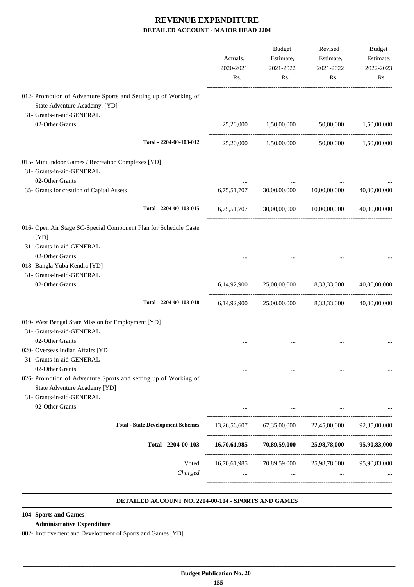|                                                                                                                                                          | Actuals,<br>2020-2021<br>Rs. | <b>Budget</b><br>Estimate,<br>2021-2022<br>Rs. | Revised<br>Estimate,<br>2021-2022<br>Rs.                                                           | <b>Budget</b><br>Estimate,<br>2022-2023<br>Rs. |
|----------------------------------------------------------------------------------------------------------------------------------------------------------|------------------------------|------------------------------------------------|----------------------------------------------------------------------------------------------------|------------------------------------------------|
| 012- Promotion of Adventure Sports and Setting up of Working of<br>State Adventure Academy. [YD]<br>31- Grants-in-aid-GENERAL                            |                              |                                                |                                                                                                    |                                                |
| 02-Other Grants                                                                                                                                          | 25,20,000                    | 1,50,00,000                                    | 50,00,000                                                                                          | 1,50,00,000                                    |
| Total - 2204-00-103-012                                                                                                                                  |                              | 25,20,000 1,50,00,000                          |                                                                                                    | 50,00,000 1,50,00,000                          |
| 015- Mini Indoor Games / Recreation Complexes [YD]<br>31- Grants-in-aid-GENERAL<br>02-Other Grants                                                       |                              |                                                |                                                                                                    |                                                |
| 35- Grants for creation of Capital Assets                                                                                                                | 6,75,51,707                  | 30,00,00,000                                   | 10,00,00,000                                                                                       | 40,00,00,000                                   |
| Total - 2204-00-103-015                                                                                                                                  |                              | 6,75,51,707 30,00,00,000 10,00,00,000          |                                                                                                    | 40,00,00,000                                   |
| 016- Open Air Stage SC-Special Component Plan for Schedule Caste<br>[YD]<br>31- Grants-in-aid-GENERAL<br>02-Other Grants<br>018- Bangla Yuba Kendra [YD] |                              |                                                |                                                                                                    |                                                |
| 31- Grants-in-aid-GENERAL<br>02-Other Grants                                                                                                             | 6,14,92,900                  | 25,00,00,000                                   | 8,33,33,000                                                                                        | 40,00,00,000                                   |
| Total - 2204-00-103-018                                                                                                                                  | 6,14,92,900                  | 25,00,00,000                                   | 8,33,33,000                                                                                        | 40,00,00,000                                   |
| 019- West Bengal State Mission for Employment [YD]<br>31- Grants-in-aid-GENERAL                                                                          |                              |                                                |                                                                                                    |                                                |
| 02-Other Grants<br>020- Overseas Indian Affairs [YD]<br>31- Grants-in-aid-GENERAL                                                                        |                              |                                                |                                                                                                    |                                                |
| 02-Other Grants<br>026- Promotion of Adventure Sports and setting up of Working of<br>State Adventure Academy [YD]<br>31- Grants-in-aid-GENERAL          | $\cdots$                     | $\cdots$                                       | $\cdots$                                                                                           |                                                |
| 02-Other Grants                                                                                                                                          |                              |                                                |                                                                                                    |                                                |
| <b>Total - State Development Schemes</b>                                                                                                                 |                              |                                                | 13,26,56,607 67,35,00,000 22,45,00,000 92,35,00,000                                                |                                                |
| Total - 2204-00-103                                                                                                                                      |                              |                                                | 16,70,61,985 70,89,59,000 25,98,78,000 95,90,83,000                                                |                                                |
| Voted<br>Charged                                                                                                                                         |                              |                                                | 16,70,61,985 70,89,59,000 25,98,78,000 95,90,83,000<br><b>Second Contract Contract</b><br>$\cdots$ |                                                |

#### **DETAILED ACCOUNT NO. 2204-00-104 - SPORTS AND GAMES .**

#### **104- Sports and Games**

#### **Administrative Expenditure**

002- Improvement and Development of Sports and Games [YD]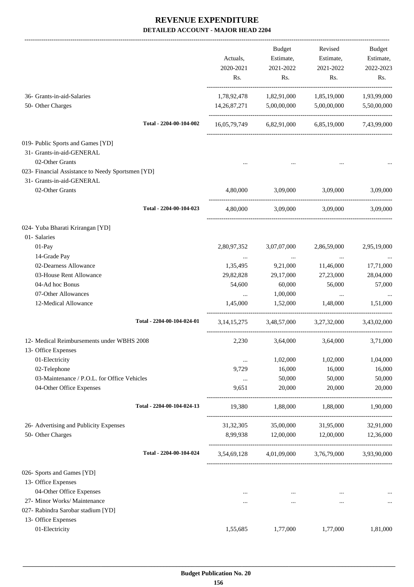|                                                                                   | Actuals,<br>2020-2021<br>Rs. | <b>Budget</b><br>Estimate,<br>2021-2022<br>Rs. | Revised<br>Estimate,<br>2021-2022<br>Rs. | Budget<br>Estimate,<br>2022-2023<br>Rs. |
|-----------------------------------------------------------------------------------|------------------------------|------------------------------------------------|------------------------------------------|-----------------------------------------|
| 36- Grants-in-aid-Salaries                                                        | 1,78,92,478                  | 1,82,91,000                                    | 1,85,19,000                              | 1,93,99,000                             |
| 50- Other Charges                                                                 |                              | 14,26,87,271 5,00,00,000                       | 5,00,00,000                              | 5,50,00,000                             |
| Total - 2204-00-104-002                                                           |                              |                                                | 16,05,79,749 6,82,91,000 6,85,19,000     | 7,43,99,000                             |
| 019- Public Sports and Games [YD]<br>31- Grants-in-aid-GENERAL<br>02-Other Grants |                              |                                                |                                          |                                         |
| 023- Financial Assistance to Needy Sportsmen [YD]<br>31- Grants-in-aid-GENERAL    |                              |                                                |                                          |                                         |
| 02-Other Grants                                                                   | 4,80,000                     | 3,09,000                                       | 3,09,000                                 | 3,09,000                                |
| Total - 2204-00-104-023                                                           | 4,80,000                     |                                                | 3,09,000 3,09,000                        | 3.09.000                                |
| 024- Yuba Bharati Krirangan [YD]<br>01- Salaries<br>01-Pay                        | 2,80,97,352                  | 3,07,07,000                                    | 2,86,59,000                              | 2,95,19,000                             |
| 14-Grade Pay<br>02-Dearness Allowance                                             | 1,35,495                     | $\cdots$<br>9,21,000                           | $\cdots$<br>11,46,000                    | 17,71,000                               |
| 03-House Rent Allowance<br>04-Ad hoc Bonus                                        | 29,82,828<br>54,600          | 29,17,000<br>60,000                            | 27,23,000<br>56,000                      | 28,04,000<br>57,000                     |
| 07-Other Allowances<br>12-Medical Allowance                                       | $\cdots$<br>1,45,000         | 1,00,000<br>1,52,000                           | $\cdots$<br>1,48,000                     | 1,51,000                                |
| Total - 2204-00-104-024-01                                                        | 3, 14, 15, 275               |                                                | 3,48,57,000 3,27,32,000                  | 3,43,02,000                             |
| 12- Medical Reimbursements under WBHS 2008<br>13- Office Expenses                 | 2,230                        | 3,64,000                                       | 3,64,000                                 | 3,71,000                                |
| 01-Electricity                                                                    | $\cdots$                     | 1,02,000                                       | 1,02,000                                 | 1,04,000                                |
| 02-Telephone                                                                      | 9,729                        | 16,000                                         | 16,000                                   | 16,000                                  |
| 03-Maintenance / P.O.L. for Office Vehicles<br>04-Other Office Expenses           | $\ldots$<br>9,651            | 50,000<br>20,000                               | 50,000<br>20,000                         | 50,000<br>20,000                        |
| Total - 2204-00-104-024-13                                                        | 19,380                       | 1,88,000                                       | 1,88,000                                 | 1,90,000                                |
| 26- Advertising and Publicity Expenses                                            | 31, 32, 305                  | 35,00,000                                      | 31,95,000                                | 32,91,000                               |
| 50- Other Charges                                                                 | 8,99,938                     | 12,00,000                                      | 12,00,000                                | 12,36,000                               |
| Total - 2204-00-104-024                                                           |                              |                                                | 3,54,69,128 4,01,09,000 3,76,79,000      | 3,93,90,000                             |
| 026- Sports and Games [YD]<br>13- Office Expenses                                 |                              |                                                |                                          |                                         |
| 04-Other Office Expenses                                                          | $\cdots$                     | $\cdots$                                       | $\cdots$                                 | $\cdots$                                |
| 27- Minor Works/ Maintenance                                                      |                              | $\cdots$                                       | $\cdots$                                 | $\cdots$                                |
| 027- Rabindra Sarobar stadium [YD]                                                |                              |                                                |                                          |                                         |
| 13- Office Expenses                                                               |                              |                                                |                                          |                                         |
| 01-Electricity                                                                    | 1,55,685                     | 1,77,000                                       | 1,77,000                                 | 1,81,000                                |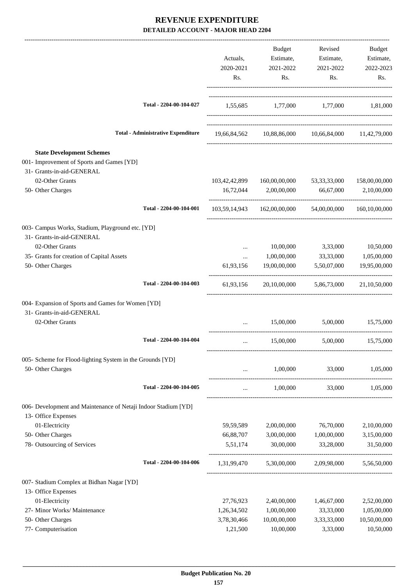|                                                                                                            |                                           | Actuals,<br>2020-2021<br>Rs. | Budget<br>Estimate,<br>2021-2022<br>Rs.                | Revised<br>Estimate,<br>2021-2022<br>Rs. | Budget<br>Estimate,<br>2022-2023<br>Rs. |
|------------------------------------------------------------------------------------------------------------|-------------------------------------------|------------------------------|--------------------------------------------------------|------------------------------------------|-----------------------------------------|
|                                                                                                            | Total - 2204-00-104-027                   |                              | 1,55,685 1,77,000 1,77,000 1,81,000                    |                                          |                                         |
|                                                                                                            | <b>Total - Administrative Expenditure</b> |                              | 19,66,84,562 10,88,86,000 10,66,84,000 11,42,79,000    |                                          |                                         |
| <b>State Development Schemes</b><br>001- Improvement of Sports and Games [YD]<br>31- Grants-in-aid-GENERAL |                                           |                              |                                                        |                                          |                                         |
| 02-Other Grants<br>50- Other Charges                                                                       |                                           | 16,72,044                    | 103,42,42,899 160,00,00,000<br>2,00,00,000             | 53, 33, 33, 000<br>66,67,000             | 158,00,00,000<br>2,10,00,000            |
|                                                                                                            | Total - 2204-00-104-001                   |                              | 103,59,14,943 162,00,00,000 54,00,00,000 160,10,00,000 |                                          |                                         |
| 003- Campus Works, Stadium, Playground etc. [YD]<br>31- Grants-in-aid-GENERAL                              |                                           |                              |                                                        |                                          |                                         |
| 02-Other Grants                                                                                            |                                           | $\cdots$                     | 10,00,000                                              | 3,33,000                                 | 10,50,000                               |
| 35- Grants for creation of Capital Assets<br>50- Other Charges                                             |                                           | $\cdots$<br>61,93,156        | 1,00,00,000<br>19,00,00,000                            | 33,33,000<br>5,50,07,000                 | 1,05,00,000<br>19,95,00,000             |
|                                                                                                            | Total - 2204-00-104-003                   |                              | 61,93,156 20,10,00,000 5,86,73,000                     |                                          | 21,10,50,000                            |
| 004- Expansion of Sports and Games for Women [YD]<br>31- Grants-in-aid-GENERAL                             |                                           |                              |                                                        |                                          |                                         |
| 02-Other Grants                                                                                            |                                           | $\cdots$                     | 15,00,000                                              | 5,00,000                                 | 15,75,000                               |
|                                                                                                            | Total - 2204-00-104-004                   | $\cdots$                     | 15,00,000                                              | 5,00,000                                 | 15,75,000                               |
| 005- Scheme for Flood-lighting System in the Grounds [YD]                                                  |                                           |                              |                                                        |                                          |                                         |
| 50- Other Charges                                                                                          |                                           | $\cdots$                     | 1,00,000                                               | 33,000                                   | 1,05,000                                |
|                                                                                                            | Total - 2204-00-104-005                   | $\cdots$                     | 1,00,000                                               |                                          | 33,000 1,05,000                         |
| 006- Development and Maintenance of Netaji Indoor Stadium [YD]<br>13- Office Expenses                      |                                           |                              |                                                        |                                          |                                         |
| 01-Electricity                                                                                             |                                           | 59,59,589                    | 2,00,00,000                                            | 76,70,000                                | 2,10,00,000                             |
| 50- Other Charges                                                                                          |                                           | 66,88,707                    | 3,00,00,000                                            | 1,00,00,000                              | 3,15,00,000                             |
| 78- Outsourcing of Services                                                                                |                                           | 5,51,174                     | 30,00,000                                              | 33,28,000                                | 31,50,000                               |
|                                                                                                            | Total - 2204-00-104-006                   |                              | 1,31,99,470 5,30,00,000 2,09,98,000 5,56,50,000        |                                          |                                         |
| 007- Stadium Complex at Bidhan Nagar [YD]<br>13- Office Expenses                                           |                                           |                              |                                                        |                                          |                                         |
| 01-Electricity                                                                                             |                                           | 27,76,923                    | 2,40,00,000                                            | 1,46,67,000                              | 2,52,00,000                             |
| 27- Minor Works/ Maintenance                                                                               |                                           | 1,26,34,502                  | 1,00,00,000                                            | 33,33,000                                | 1,05,00,000                             |
| 50- Other Charges                                                                                          |                                           | 3,78,30,466                  | 10,00,00,000                                           | 3,33,33,000                              | 10,50,00,000                            |
| 77- Computerisation                                                                                        |                                           | 1,21,500                     | 10,00,000                                              | 3,33,000                                 | 10,50,000                               |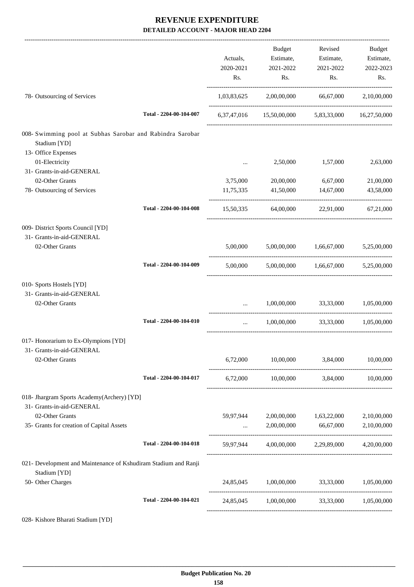|                                                                                 |                         | Actuals,<br>2020-2021<br>Rs. | Budget<br>Estimate,<br>2021-2022<br>Rs.           | Revised<br>Estimate,<br>2021-2022<br>Rs. | Budget<br>Estimate,<br>2022-2023<br>Rs. |
|---------------------------------------------------------------------------------|-------------------------|------------------------------|---------------------------------------------------|------------------------------------------|-----------------------------------------|
| 78- Outsourcing of Services                                                     |                         |                              | 1,03,83,625 2,00,00,000 66,67,000                 |                                          | 2,10,00,000                             |
|                                                                                 | Total - 2204-00-104-007 |                              | 6,37,47,016 15,50,00,000 5,83,33,000 16,27,50,000 |                                          |                                         |
| 008- Swimming pool at Subhas Sarobar and Rabindra Sarobar<br>Stadium [YD]       |                         |                              |                                                   |                                          |                                         |
| 13- Office Expenses<br>01-Electricity<br>31- Grants-in-aid-GENERAL              |                         | $\cdots$                     | 2,50,000                                          | 1,57,000                                 | 2,63,000                                |
| 02-Other Grants                                                                 |                         | 3,75,000                     | 20,00,000                                         | 6,67,000                                 | 21,00,000                               |
| 78- Outsourcing of Services                                                     |                         | 11,75,335                    | 41,50,000                                         | 14,67,000                                | 43,58,000                               |
|                                                                                 | Total - 2204-00-104-008 |                              | 15,50,335 64,00,000 22,91,000 67,21,000           |                                          |                                         |
| 009- District Sports Council [YD]<br>31- Grants-in-aid-GENERAL                  |                         |                              |                                                   |                                          |                                         |
| 02-Other Grants                                                                 |                         |                              | 5,00,000 5,00,00,000 1,66,67,000 5,25,00,000      |                                          |                                         |
|                                                                                 | Total - 2204-00-104-009 | 5,00,000                     |                                                   | 5,00,00,000 1,66,67,000                  | 5,25,00,000                             |
| 010- Sports Hostels [YD]<br>31- Grants-in-aid-GENERAL                           |                         |                              |                                                   |                                          |                                         |
| 02-Other Grants                                                                 |                         | $\cdots$                     | 1,00,00,000 33,33,000 1,05,00,000                 |                                          |                                         |
|                                                                                 | Total - 2204-00-104-010 | $\cdots$                     | 1,00,00,000                                       |                                          | 33,33,000 1,05,00,000                   |
| 017- Honorarium to Ex-Olympions [YD]<br>31- Grants-in-aid-GENERAL               |                         |                              |                                                   |                                          |                                         |
| 02-Other Grants                                                                 |                         | 6,72,000                     | 10,00,000                                         | 3,84,000                                 | 10,00,000                               |
|                                                                                 | Total - 2204-00-104-017 |                              | 6,72,000 10,00,000 3,84,000 10,00,000             |                                          |                                         |
| 018- Jhargram Sports Academy(Archery) [YD]<br>31- Grants-in-aid-GENERAL         |                         |                              |                                                   |                                          |                                         |
| 02-Other Grants                                                                 |                         |                              | 59,97,944 2,00,00,000 1,63,22,000                 |                                          | 2,10,00,000                             |
| 35- Grants for creation of Capital Assets                                       |                         | $\langle \cdots \rangle$ .   |                                                   | 2,00,00,000 66,67,000                    | 2,10,00,000                             |
|                                                                                 | Total - 2204-00-104-018 |                              | 59,97,944 4,00,00,000 2,29,89,000 4,20,00,000     |                                          |                                         |
| 021- Development and Maintenance of Kshudiram Stadium and Ranji<br>Stadium [YD] |                         |                              |                                                   |                                          |                                         |
| 50- Other Charges                                                               |                         |                              | 24,85,045 1,00,00,000 33,33,000 1,05,00,000       |                                          |                                         |
|                                                                                 | Total - 2204-00-104-021 |                              | 24,85,045 1,00,00,000 33,33,000 1,05,00,000       |                                          |                                         |
|                                                                                 |                         |                              |                                                   |                                          |                                         |

028- Kishore Bharati Stadium [YD]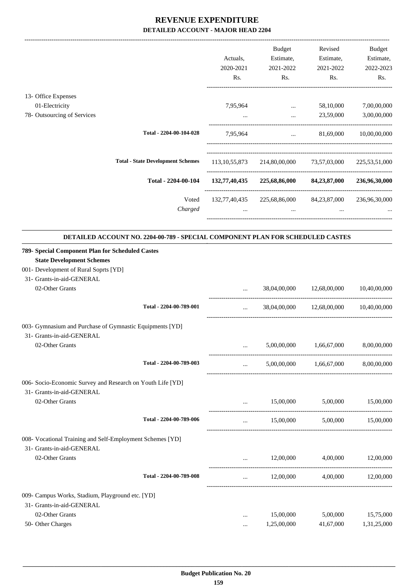-------------------------------------------------------------------------------------------------------------------------------------------------------------------------------

|                             |                                          | Actuals,<br>2020-2021<br>Rs. | <b>Budget</b><br>Estimate,<br>2021-2022<br>Rs. | Revised<br>Estimate,<br>2021-2022<br>Rs. | <b>Budget</b><br>Estimate,<br>2022-2023<br>Rs. |
|-----------------------------|------------------------------------------|------------------------------|------------------------------------------------|------------------------------------------|------------------------------------------------|
| 13- Office Expenses         |                                          |                              |                                                |                                          |                                                |
| 01-Electricity              |                                          | 7,95,964                     | $\cdots$                                       | 58,10,000                                | 7,00,00,000                                    |
| 78- Outsourcing of Services |                                          |                              |                                                | 23,59,000                                | 3,00,00,000                                    |
|                             | Total - 2204-00-104-028                  | 7,95,964                     | $\cdots$                                       | 81,69,000                                | 10,00,00,000                                   |
|                             | <b>Total - State Development Schemes</b> | 113, 10, 55, 873             | 214,80,00,000                                  | 73,57,03,000                             | 225, 53, 51, 000                               |
|                             | Total - 2204-00-104                      | 132,77,40,435                | 225,68,86,000                                  | 84,23,87,000                             | 236,96,30,000                                  |
|                             | Voted                                    | 132,77,40,435                | 225,68,86,000                                  | 84, 23, 87, 000                          | 236,96,30,000                                  |
|                             | Charged                                  | $\cdots$                     | $\cdots$                                       | $\cdots$                                 |                                                |
|                             |                                          |                              |                                                |                                          |                                                |

|                                                            | DETAILED ACCOUNT NO. 2204-00-789 - SPECIAL COMPONENT PLAN FOR SCHEDULED CASTES |               |                                                |                                           |              |
|------------------------------------------------------------|--------------------------------------------------------------------------------|---------------|------------------------------------------------|-------------------------------------------|--------------|
| 789- Special Component Plan for Scheduled Castes           |                                                                                |               |                                                |                                           |              |
| <b>State Development Schemes</b>                           |                                                                                |               |                                                |                                           |              |
| 001- Development of Rural Soprts [YD]                      |                                                                                |               |                                                |                                           |              |
| 31- Grants-in-aid-GENERAL                                  |                                                                                |               |                                                |                                           |              |
| 02-Other Grants                                            |                                                                                | $\cdots$      |                                                | 38,04,00,000 12,68,00,000                 | 10,40,00,000 |
|                                                            | Total - 2204-00-789-001                                                        | $\cdots$      |                                                | 38,04,00,000 12,68,00,000 10,40,00,000    |              |
| 003- Gymnasium and Purchase of Gymnastic Equipments [YD]   |                                                                                |               |                                                |                                           |              |
| 31- Grants-in-aid-GENERAL                                  |                                                                                |               |                                                |                                           |              |
| 02-Other Grants                                            |                                                                                |               |                                                | 5,00,00,000 1,66,67,000                   | 8,00,00,000  |
|                                                            | Total - 2204-00-789-003                                                        | and the state |                                                | $5,00,00,000$ $1,66,67,000$ $8,00,00,000$ |              |
| 006- Socio-Economic Survey and Research on Youth Life [YD] |                                                                                |               |                                                |                                           |              |
| 31- Grants-in-aid-GENERAL                                  |                                                                                |               |                                                |                                           |              |
| 02-Other Grants                                            |                                                                                |               | $\mathbf{r}$ and $\mathbf{r}$ and $\mathbf{r}$ | 15,00,000 5,00,000 15,00,000              |              |
|                                                            | Total - 2204-00-789-006                                                        | $\ddotsc$     |                                                | 15,00,000 5,00,000 15,00,000              |              |
| 008- Vocational Training and Self-Employment Schemes [YD]  |                                                                                |               |                                                |                                           |              |
| 31- Grants-in-aid-GENERAL                                  |                                                                                |               |                                                |                                           |              |
| 02-Other Grants                                            |                                                                                |               |                                                | 12,00,000 4,00,000 12,00,000              |              |
|                                                            | Total - 2204-00-789-008                                                        | $\cdots$      | 12,00,000                                      | 4,00,000                                  | 12,00,000    |
| 009- Campus Works, Stadium, Playground etc. [YD]           |                                                                                |               |                                                |                                           |              |
| 31- Grants-in-aid-GENERAL                                  |                                                                                |               |                                                |                                           |              |
| 02-Other Grants                                            |                                                                                |               | 15,00,000                                      | 5,00,000                                  | 15,75,000    |
| 50- Other Charges                                          |                                                                                | $\cdots$      | 1,25,00,000                                    | 41,67,000                                 | 1,31,25,000  |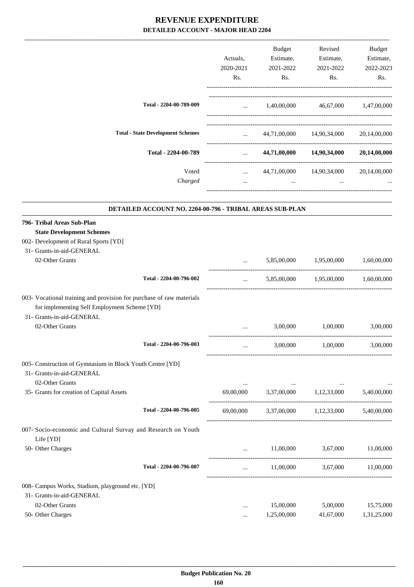|                                                                                                                                                   |                                                          | Actuals,<br>2020-2021<br>Rs.        | Budget<br>Estimate,<br>2021-2022<br>Rs. | Revised<br>Estimate,<br>2021-2022<br>Rs. | Budget<br>Estimate,<br>2022-2023<br>Rs. |
|---------------------------------------------------------------------------------------------------------------------------------------------------|----------------------------------------------------------|-------------------------------------|-----------------------------------------|------------------------------------------|-----------------------------------------|
|                                                                                                                                                   |                                                          |                                     |                                         |                                          |                                         |
|                                                                                                                                                   | Total - 2204-00-789-009                                  | and the state                       |                                         | 1,40,00,000   46,67,000   1,47,00,000    |                                         |
|                                                                                                                                                   | <b>Total - State Development Schemes</b>                 | $\mathbf{r}$ and $\mathbf{r}$       |                                         | 44,71,00,000 14,90,34,000                | 20,14,00,000                            |
|                                                                                                                                                   | Total - 2204-00-789                                      | $\cdots$                            |                                         | 44,71,00,000 14,90,34,000                | 20,14,00,000                            |
|                                                                                                                                                   | Voted                                                    | -----------------------<br>$\cdots$ |                                         | 44,71,00,000 14,90,34,000                | 20,14,00,000                            |
|                                                                                                                                                   | Charged                                                  | $\cdots$                            | $\cdots$                                | $\cdots$                                 |                                         |
|                                                                                                                                                   | DETAILED ACCOUNT NO. 2204-00-796 - TRIBAL AREAS SUB-PLAN |                                     |                                         |                                          |                                         |
| 796- Tribal Areas Sub-Plan                                                                                                                        |                                                          |                                     |                                         |                                          |                                         |
| <b>State Development Schemes</b>                                                                                                                  |                                                          |                                     |                                         |                                          |                                         |
| 002- Development of Rural Sports [YD]                                                                                                             |                                                          |                                     |                                         |                                          |                                         |
| 31- Grants-in-aid-GENERAL                                                                                                                         |                                                          |                                     |                                         |                                          |                                         |
| 02-Other Grants                                                                                                                                   |                                                          |                                     |                                         | 5,85,00,000 1,95,00,000                  | 1,60,00,000                             |
|                                                                                                                                                   | Total - 2204-00-796-002                                  | $\cdots$                            | 5,85,00,000                             | 1,95,00,000                              | 1,60,00,000                             |
| 003- Vocational training and provision for purchase of raw materials<br>for implementing Self Employment Scheme [YD]<br>31- Grants-in-aid-GENERAL |                                                          |                                     |                                         |                                          |                                         |
| 02-Other Grants                                                                                                                                   |                                                          |                                     | 3,00,000                                | 1,00,000                                 | 3,00,000                                |
|                                                                                                                                                   | Total - 2204-00-796-003                                  | $\cdots$                            | 3,00,000                                | 1,00,000                                 | 3,00,000                                |
| 005- Construction of Gymnasium in Block Youth Centre [YD]<br>31- Grants-in-aid-GENERAL                                                            |                                                          |                                     |                                         |                                          |                                         |
| 02-Other Grants<br>35- Grants for creation of Capital Assets                                                                                      |                                                          | $\cdots$                            | and the contract of the con-            | 69,00,000 3,37,00,000 1,12,33,000        | $\ldots$<br>5,40,00,000                 |
|                                                                                                                                                   | Total - 2204-00-796-005                                  | 69,00,000                           |                                         | 3,37,00,000 1,12,33,000 5,40,00,000      |                                         |
| 007- Socio-economic and Cultural Survay and Research on Youth                                                                                     |                                                          |                                     |                                         |                                          |                                         |
| Life [YD]                                                                                                                                         |                                                          |                                     |                                         |                                          |                                         |
| 50- Other Charges                                                                                                                                 |                                                          |                                     | 11,00,000                               | 3,67,000 11,00,000                       |                                         |
|                                                                                                                                                   | Total - 2204-00-796-007                                  | $\cdots$                            | 11,00,000                               | 3,67,000                                 | 11,00,000                               |
| 008- Campus Works, Stadium, playground etc. [YD]                                                                                                  |                                                          |                                     |                                         |                                          |                                         |
| 31- Grants-in-aid-GENERAL                                                                                                                         |                                                          |                                     |                                         |                                          |                                         |
| 02-Other Grants                                                                                                                                   |                                                          | $\cdots$                            | 15,00,000                               | 5,00,000                                 | 15,75,000                               |
| 50- Other Charges                                                                                                                                 |                                                          | $\cdots$                            | 1,25,00,000                             | 41,67,000                                | 1,31,25,000                             |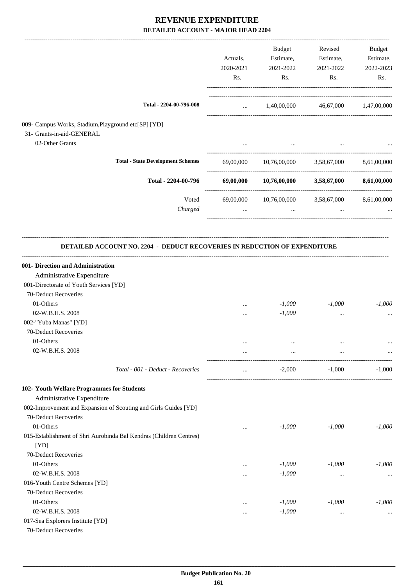|                                                                                                                                   |                                          |                        | Budget                                         | Revised                           | Budget    |
|-----------------------------------------------------------------------------------------------------------------------------------|------------------------------------------|------------------------|------------------------------------------------|-----------------------------------|-----------|
|                                                                                                                                   |                                          | Actuals,               | Estimate,                                      | Estimate,                         | Estimate, |
|                                                                                                                                   |                                          | 2020-2021<br>Rs.       | 2021-2022<br>Rs.                               | 2021-2022<br>Rs.                  | 2022-2023 |
|                                                                                                                                   |                                          |                        |                                                |                                   | Rs.       |
|                                                                                                                                   | Total - 2204-00-796-008                  | <b>Second Contract</b> |                                                | 1,40,00,000 46,67,000 1,47,00,000 |           |
| 009- Campus Works, Stadium, Playground etc[SP] [YD]                                                                               |                                          |                        |                                                |                                   |           |
| 31- Grants-in-aid-GENERAL                                                                                                         |                                          |                        |                                                |                                   |           |
| 02-Other Grants                                                                                                                   |                                          |                        |                                                |                                   |           |
|                                                                                                                                   |                                          |                        |                                                |                                   |           |
|                                                                                                                                   | <b>Total - State Development Schemes</b> |                        | 69,00,000 10,76,00,000 3,58,67,000 8,61,00,000 |                                   |           |
|                                                                                                                                   | Total - 2204-00-796                      |                        | 69,00,000 10,76,00,000 3,58,67,000 8,61,00,000 |                                   |           |
|                                                                                                                                   | Voted                                    |                        | 69,00,000 10,76,00,000 3,58,67,000 8,61,00,000 |                                   |           |
|                                                                                                                                   | Charged                                  | $\cdots$               | $\cdots$                                       | $\cdots$                          |           |
| 001- Direction and Administration<br>Administrative Expenditure<br>001-Directorate of Youth Services [YD]<br>70-Deduct Recoveries |                                          |                        |                                                |                                   |           |
| 01-Others                                                                                                                         |                                          | $\cdots$               | $-1,000$                                       | $-1,000$                          | $-1,000$  |
| 02-W.B.H.S. 2008                                                                                                                  |                                          | $\cdots$               | $-1,000$                                       | $\cdots$                          | $\cdots$  |
| 002-"Yuba Manas" [YD]                                                                                                             |                                          |                        |                                                |                                   |           |
| 70-Deduct Recoveries                                                                                                              |                                          |                        |                                                |                                   |           |
| 01-Others                                                                                                                         |                                          | $\cdots$               |                                                |                                   |           |
| 02-W.B.H.S. 2008                                                                                                                  |                                          | $\cdots$               | $\ddotsc$                                      |                                   |           |
|                                                                                                                                   | Total - 001 - Deduct - Recoveries        | $\ldots$               | $-2,000$                                       | $-1,000$                          | $-1,000$  |
| 102- Youth Welfare Programmes for Students                                                                                        |                                          |                        |                                                |                                   |           |
| Administrative Expenditure                                                                                                        |                                          |                        |                                                |                                   |           |
| 002-Improvement and Expansion of Scouting and Girls Guides [YD]                                                                   |                                          |                        |                                                |                                   |           |
| 70-Deduct Recoveries                                                                                                              |                                          |                        |                                                |                                   |           |
| 01-Others<br>015-Establishment of Shri Aurobinda Bal Kendras (Children Centres)                                                   |                                          | $\cdots$               | $-1,000$                                       | $-1,000$                          | $-1,000$  |
| [YD]                                                                                                                              |                                          |                        |                                                |                                   |           |
| 70-Deduct Recoveries                                                                                                              |                                          |                        |                                                |                                   |           |
| 01-Others                                                                                                                         |                                          | $\cdots$               | $-1,000$                                       | $-1,000$                          | $-1,000$  |
| 02-W.B.H.S. 2008                                                                                                                  |                                          | $\cdots$               | $-1,000$                                       | $\cdots$                          |           |
| 016-Youth Centre Schemes [YD]                                                                                                     |                                          |                        |                                                |                                   |           |
| 70-Deduct Recoveries                                                                                                              |                                          |                        |                                                |                                   |           |
| 01-Others                                                                                                                         |                                          | $\cdots$               | $-1,000$                                       | $-1,000$                          | $-1,000$  |
| 02-W.B.H.S. 2008                                                                                                                  |                                          | $\cdots$               | $-1,000$                                       | $\cdots$                          |           |
| 017-Sea Explorers Institute [YD]<br>70-Deduct Recoveries                                                                          |                                          |                        |                                                |                                   |           |
|                                                                                                                                   |                                          |                        |                                                |                                   |           |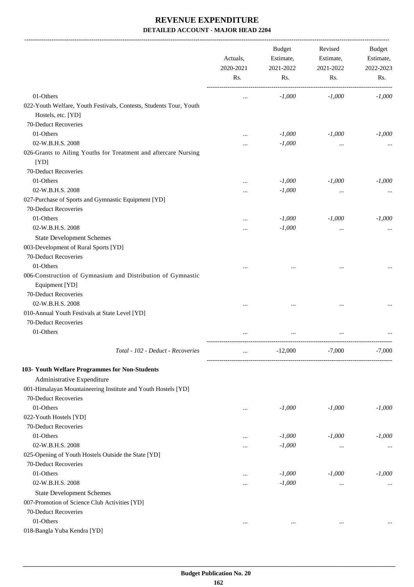-------------------------------------------------------------------------------------------------------------------------------------------------------------------------------

|                                                                                          | Actuals,<br>2020-2021 | <b>Budget</b><br>Estimate,<br>2021-2022 | Revised<br>Estimate,<br>2021-2022 | <b>Budget</b><br>Estimate,<br>2022-2023 |
|------------------------------------------------------------------------------------------|-----------------------|-----------------------------------------|-----------------------------------|-----------------------------------------|
|                                                                                          | Rs.                   | Rs.                                     | Rs.                               | Rs.                                     |
| 01-Others                                                                                | $\cdots$              | $-1,000$                                | $-1,000$                          | $-1,000$                                |
| 022-Youth Welfare, Youth Festivals, Contests, Students Tour, Youth<br>Hostels, etc. [YD] |                       |                                         |                                   |                                         |
| 70-Deduct Recoveries                                                                     |                       |                                         |                                   |                                         |
| 01-Others                                                                                |                       | $-1,000$                                | $-1,000$                          | $-1,000$                                |
| 02-W.B.H.S. 2008                                                                         |                       | $-1,000$                                | $\ddotsc$                         |                                         |
| 026-Grants to Ailing Youths for Treatment and aftercare Nursing<br>[YD]                  |                       |                                         |                                   |                                         |
| 70-Deduct Recoveries                                                                     |                       |                                         |                                   |                                         |
| 01-Others                                                                                |                       | $-1,000$                                | $-1,000$                          | $-1,000$                                |
| 02-W.B.H.S. 2008                                                                         |                       | $-1,000$                                | $\cdots$                          |                                         |
| 027-Purchase of Sports and Gymnastic Equipment [YD]                                      |                       |                                         |                                   |                                         |
| 70-Deduct Recoveries                                                                     |                       |                                         |                                   |                                         |
| 01-Others                                                                                |                       | $-1,000$                                | $-1,000$                          | $-1,000$                                |
| 02-W.B.H.S. 2008                                                                         |                       | $-1,000$                                | $\cdots$                          |                                         |
| <b>State Development Schemes</b>                                                         |                       |                                         |                                   |                                         |
| 003-Development of Rural Sports [YD]                                                     |                       |                                         |                                   |                                         |
| 70-Deduct Recoveries                                                                     |                       |                                         |                                   |                                         |
| 01-Others                                                                                |                       |                                         |                                   |                                         |
| 006-Construction of Gymnasium and Distribution of Gymnastic<br>Equipment [YD]            |                       |                                         |                                   |                                         |
| 70-Deduct Recoveries                                                                     |                       |                                         |                                   |                                         |
| 02-W.B.H.S. 2008                                                                         |                       |                                         |                                   |                                         |
| 010-Annual Youth Festivals at State Level [YD]                                           |                       |                                         | $\cdots$                          |                                         |
| 70-Deduct Recoveries                                                                     |                       |                                         |                                   |                                         |
| 01-Others                                                                                |                       |                                         |                                   |                                         |
|                                                                                          |                       |                                         |                                   |                                         |
| Total - 102 - Deduct - Recoveries                                                        | $\cdots$              | $-12,000$                               | $-7,000$                          | $-7,000$                                |
| 103- Youth Welfare Programmes for Non-Students                                           |                       |                                         |                                   |                                         |
| Administrative Expenditure                                                               |                       |                                         |                                   |                                         |
| 001-Himalayan Mountaineering Institute and Youth Hostels [YD]                            |                       |                                         |                                   |                                         |
| 70-Deduct Recoveries                                                                     |                       |                                         |                                   |                                         |
| 01-Others                                                                                | $\ddotsc$             | $-1,000$                                | $-1,000$                          | $-1,000$                                |
| 022-Youth Hostels [YD]                                                                   |                       |                                         |                                   |                                         |
| 70-Deduct Recoveries                                                                     |                       |                                         |                                   |                                         |
| 01-Others                                                                                | $\ddotsc$             | $-1,000$                                | $-1,000$                          | $-1,000$                                |
| 02-W.B.H.S. 2008                                                                         | $\ddotsc$             | $-1,000$                                | $\cdots$                          |                                         |
| 025-Opening of Youth Hostels Outside the State [YD]                                      |                       |                                         |                                   |                                         |
| 70-Deduct Recoveries                                                                     |                       |                                         |                                   |                                         |
| 01-Others                                                                                | $\ddotsc$             | $-1,000$                                | $-1,000$                          | $-1,000$                                |
| 02-W.B.H.S. 2008                                                                         | $\ddotsc$             | $-1,000$                                | $\cdots$                          |                                         |
| <b>State Development Schemes</b>                                                         |                       |                                         |                                   |                                         |
| 007-Promotion of Science Club Activities [YD]                                            |                       |                                         |                                   |                                         |
| 70-Deduct Recoveries                                                                     |                       |                                         |                                   |                                         |
| 01-Others<br>018-Bangla Yuba Kendra [YD]                                                 | $\cdots$              | $\cdots$                                | $\cdots$                          |                                         |
|                                                                                          |                       |                                         |                                   |                                         |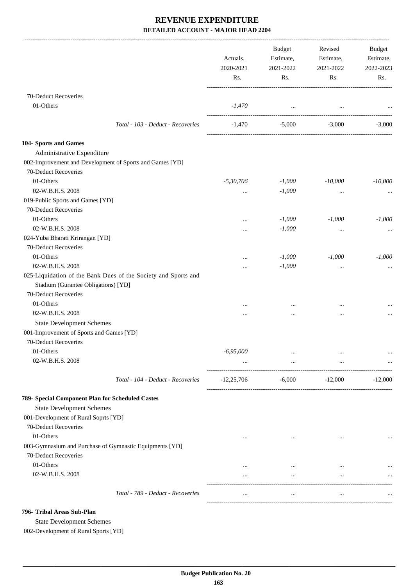|                                                                | Actuals,<br>2020-2021<br>Rs. | Budget<br>Estimate,<br>2021-2022<br>Rs. | Revised<br>Estimate,<br>2021-2022<br>Rs. | Budget<br>Estimate,<br>2022-2023<br>Rs. |
|----------------------------------------------------------------|------------------------------|-----------------------------------------|------------------------------------------|-----------------------------------------|
| 70-Deduct Recoveries                                           |                              |                                         |                                          |                                         |
| 01-Others                                                      | -1,470                       | and the contract of the con-            | $\cdots$                                 |                                         |
| Total - 103 - Deduct - Recoveries                              | -1,470                       | $-5,000$                                | $-3,000$                                 | $-3,000$                                |
| 104- Sports and Games                                          |                              |                                         |                                          |                                         |
| Administrative Expenditure                                     |                              |                                         |                                          |                                         |
| 002-Improvement and Development of Sports and Games [YD]       |                              |                                         |                                          |                                         |
| 70-Deduct Recoveries                                           |                              |                                         |                                          |                                         |
| 01-Others                                                      | $-5,30,706$                  | $-1,000$                                | $-10,000$                                | $-10,000$                               |
| 02-W.B.H.S. 2008                                               |                              | $-1,000$                                |                                          |                                         |
| 019-Public Sports and Games [YD]                               | $\cdots$                     |                                         | $\cdots$                                 |                                         |
| 70-Deduct Recoveries                                           |                              |                                         |                                          |                                         |
| 01-Others                                                      |                              |                                         |                                          |                                         |
|                                                                |                              | $-1,000$                                | $-1,000$                                 | $-1,000$                                |
| 02-W.B.H.S. 2008                                               | $\cdots$                     | $-1,000$                                | $\cdots$                                 | $\cdots$                                |
| 024-Yuba Bharati Krirangan [YD]                                |                              |                                         |                                          |                                         |
| 70-Deduct Recoveries                                           |                              |                                         |                                          |                                         |
| 01-Others                                                      |                              | $-1,000$                                | $-1,000$                                 | $-1,000$                                |
| 02-W.B.H.S. 2008                                               | $\cdots$                     | $-1,000$                                | $\cdots$                                 |                                         |
| 025-Liquidation of the Bank Dues of the Society and Sports and |                              |                                         |                                          |                                         |
| Stadium (Gurantee Obligations) [YD]                            |                              |                                         |                                          |                                         |
| 70-Deduct Recoveries                                           |                              |                                         |                                          |                                         |
| 01-Others                                                      |                              |                                         |                                          |                                         |
| 02-W.B.H.S. 2008                                               |                              |                                         |                                          |                                         |
| <b>State Development Schemes</b>                               |                              |                                         |                                          |                                         |
| 001-Improvement of Sports and Games [YD]                       |                              |                                         |                                          |                                         |
| 70-Deduct Recoveries                                           |                              |                                         |                                          |                                         |
| 01-Others                                                      | $-6,95,000$                  | $\cdots$                                | $\cdots$                                 | $\cdots$                                |
| 02-W.B.H.S. 2008                                               |                              | $\cdots$                                | $\cdots$                                 |                                         |
| Total - 104 - Deduct - Recoveries                              | $-12,25,706$                 | -6,000                                  | $-12,000$                                | $-12,000$                               |
| 789- Special Component Plan for Scheduled Castes               |                              |                                         |                                          |                                         |
| <b>State Development Schemes</b>                               |                              |                                         |                                          |                                         |
| 001-Development of Rural Soprts [YD]                           |                              |                                         |                                          |                                         |
| 70-Deduct Recoveries                                           |                              |                                         |                                          |                                         |
| 01-Others                                                      | $\cdots$                     | $\cdots$                                | $\cdots$                                 |                                         |
| 003-Gymnasium and Purchase of Gymnastic Equipments [YD]        |                              |                                         |                                          |                                         |
| 70-Deduct Recoveries                                           |                              |                                         |                                          |                                         |
| 01-Others                                                      | $\cdots$                     | $\cdots$                                | $\cdots$                                 |                                         |
| 02-W.B.H.S. 2008                                               | $\cdots$                     | $\cdots$                                | $\cdots$                                 | $\cdots$                                |
|                                                                |                              |                                         |                                          |                                         |
| Total - 789 - Deduct - Recoveries                              | $\cdots$                     | $\cdots$                                | $\ldots$                                 |                                         |
| 796- Tribal Areas Sub-Plan                                     |                              |                                         |                                          |                                         |

State Development Schemes

002-Development of Rural Sports [YD]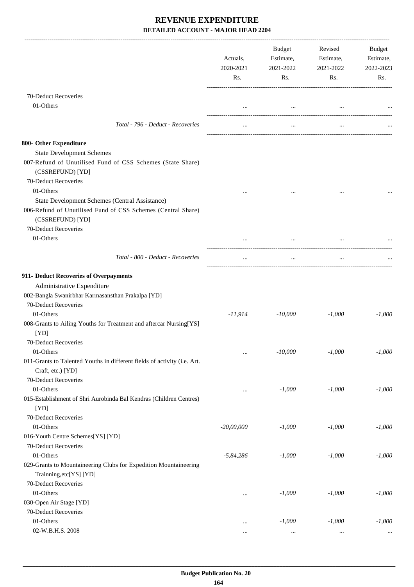|                                                                                                                           | Actuals,<br>2020-2021<br>Rs. | <b>Budget</b><br>Estimate,<br>2021-2022<br>Rs. | Revised<br>Estimate,<br>2021-2022<br>Rs.        | Budget<br>Estimate,<br>2022-2023<br>Rs. |
|---------------------------------------------------------------------------------------------------------------------------|------------------------------|------------------------------------------------|-------------------------------------------------|-----------------------------------------|
| 70-Deduct Recoveries                                                                                                      |                              |                                                |                                                 |                                         |
| 01-Others                                                                                                                 |                              |                                                | the contract of the contract of the contract of |                                         |
| Total - 796 - Deduct - Recoveries                                                                                         |                              | $\cdots$                                       | $\cdots$                                        |                                         |
| 800- Other Expenditure                                                                                                    |                              |                                                |                                                 |                                         |
| <b>State Development Schemes</b><br>007-Refund of Unutilised Fund of CSS Schemes (State Share)<br>(CSSREFUND) [YD]        |                              |                                                |                                                 |                                         |
| 70-Deduct Recoveries<br>01-Others                                                                                         |                              |                                                |                                                 |                                         |
| <b>State Development Schemes (Central Assistance)</b>                                                                     |                              |                                                |                                                 |                                         |
| 006-Refund of Unutilised Fund of CSS Schemes (Central Share)<br>(CSSREFUND) [YD]<br>70-Deduct Recoveries                  |                              |                                                |                                                 |                                         |
| 01-Others                                                                                                                 |                              |                                                |                                                 |                                         |
| Total - 800 - Deduct - Recoveries                                                                                         |                              | $\cdots$                                       | $\cdots$                                        |                                         |
| 911- Deduct Recoveries of Overpayments<br>Administrative Expenditure<br>002-Bangla Swanirbhar Karmasansthan Prakalpa [YD] |                              |                                                |                                                 |                                         |
| 70-Deduct Recoveries                                                                                                      |                              |                                                |                                                 |                                         |
| 01-Others                                                                                                                 | -11,914                      | -10,000                                        | $-1,000$                                        | $-1,000$                                |
| 008-Grants to Ailing Youths for Treatment and aftercar Nursing[YS]<br>[YD]<br>70-Deduct Recoveries                        |                              |                                                |                                                 |                                         |
| 01-Others                                                                                                                 | $\ldots$                     | $-10,000$                                      | $-1,000$                                        | $-1,000$                                |
| 011-Grants to Talented Youths in different fields of activity (i.e. Art.<br>Craft, etc.) [YD]                             |                              |                                                |                                                 |                                         |
| 70-Deduct Recoveries                                                                                                      |                              |                                                |                                                 |                                         |
| 01-Others<br>015-Establishment of Shri Aurobinda Bal Kendras (Children Centres)<br>[YD]                                   | $\cdots$                     | $-1,000$                                       | $-1,000$                                        | $-1,000$                                |
| 70-Deduct Recoveries                                                                                                      |                              |                                                |                                                 |                                         |
| 01-Others                                                                                                                 | $-20,00,000$                 | $-1,000$                                       | $-1,000$                                        | $-1,000$                                |
| 016-Youth Centre Schemes[YS] [YD]<br>70-Deduct Recoveries                                                                 |                              |                                                |                                                 |                                         |
| 01-Others                                                                                                                 | $-5,84,286$                  | $-1,000$                                       | $-1,000$                                        | $-1,000$                                |
| 029-Grants to Mountaineering Clubs for Expedition Mountaineering<br>Trainning, etc[YS] [YD]<br>70-Deduct Recoveries       |                              |                                                |                                                 |                                         |
| 01-Others                                                                                                                 |                              | $-1,000$                                       | $-1,000$                                        | $-1,000$                                |
| 030-Open Air Stage [YD]                                                                                                   |                              |                                                |                                                 |                                         |
| 70-Deduct Recoveries                                                                                                      |                              |                                                |                                                 |                                         |
| 01-Others                                                                                                                 | $\cdots$                     | $-1,000$                                       | $-1,000$                                        | $-1,000$                                |
| 02-W.B.H.S. 2008                                                                                                          | $\cdots$                     | $\cdots$                                       | $\ldots$                                        |                                         |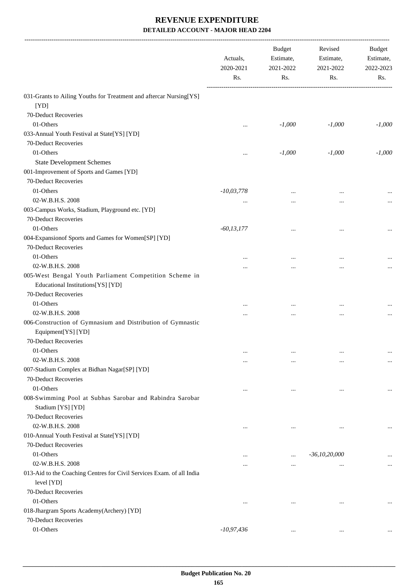|                                                                                             | Actuals,<br>2020-2021<br>Rs. | <b>Budget</b><br>Estimate,<br>2021-2022<br>Rs. | Revised<br>Estimate,<br>2021-2022<br>Rs. | Budget<br>Estimate,<br>2022-2023<br>Rs. |
|---------------------------------------------------------------------------------------------|------------------------------|------------------------------------------------|------------------------------------------|-----------------------------------------|
| 031-Grants to Ailing Youths for Treatment and aftercar Nursing[YS]<br>[YD]                  |                              |                                                |                                          |                                         |
| 70-Deduct Recoveries                                                                        |                              |                                                |                                          |                                         |
| 01-Others                                                                                   | $\cdots$                     | $-1,000$                                       | $-1,000$                                 | $-1,000$                                |
| 033-Annual Youth Festival at State[YS] [YD]                                                 |                              |                                                |                                          |                                         |
| 70-Deduct Recoveries                                                                        |                              |                                                |                                          |                                         |
| 01-Others                                                                                   |                              | $-1,000$                                       | $-1,000$                                 | $-1,000$                                |
| <b>State Development Schemes</b>                                                            |                              |                                                |                                          |                                         |
| 001-Improvement of Sports and Games [YD]                                                    |                              |                                                |                                          |                                         |
| 70-Deduct Recoveries                                                                        |                              |                                                |                                          |                                         |
| 01-Others                                                                                   | $-10,03,778$                 |                                                | $\cdots$                                 |                                         |
| 02-W.B.H.S. 2008                                                                            | $\cdots$                     | $\cdots$                                       | $\cdots$                                 |                                         |
| 003-Campus Works, Stadium, Playground etc. [YD]<br>70-Deduct Recoveries                     |                              |                                                |                                          |                                         |
| 01-Others                                                                                   | $-60, 13, 177$               |                                                | $\cdots$                                 |                                         |
| 004-Expansionof Sports and Games for Women[SP] [YD]                                         |                              |                                                |                                          |                                         |
| 70-Deduct Recoveries                                                                        |                              |                                                |                                          |                                         |
| 01-Others                                                                                   |                              | $\cdots$                                       | $\cdots$                                 |                                         |
| 02-W.B.H.S. 2008                                                                            |                              | $\cdots$                                       |                                          |                                         |
| 005-West Bengal Youth Parliament Competition Scheme in<br>Educational Institutions[YS] [YD] |                              |                                                |                                          |                                         |
| 70-Deduct Recoveries                                                                        |                              |                                                |                                          |                                         |
| 01-Others                                                                                   |                              |                                                |                                          |                                         |
| 02-W.B.H.S. 2008                                                                            |                              | $\cdots$                                       | $\cdots$                                 |                                         |
| 006-Construction of Gymnasium and Distribution of Gymnastic                                 |                              | $\cdots$                                       | $\ldots$                                 |                                         |
| Equipment[YS] [YD]                                                                          |                              |                                                |                                          |                                         |
| 70-Deduct Recoveries                                                                        |                              |                                                |                                          |                                         |
| 01-Others                                                                                   | $\cdots$                     | $\cdots$                                       | $\cdots$                                 | $\cdots$                                |
| 02-W.B.H.S. 2008                                                                            | $\cdots$                     | $\ddotsc$                                      | $\cdots$                                 | $\cdots$                                |
| 007-Stadium Complex at Bidhan Nagar[SP] [YD]                                                |                              |                                                |                                          |                                         |
| 70-Deduct Recoveries                                                                        |                              |                                                |                                          |                                         |
| 01-Others                                                                                   | $\ddotsc$                    | $\ddotsc$                                      | $\cdots$                                 | $\cdots$                                |
| 008-Swimming Pool at Subhas Sarobar and Rabindra Sarobar<br>Stadium [YS] [YD]               |                              |                                                |                                          |                                         |
| 70-Deduct Recoveries                                                                        |                              |                                                |                                          |                                         |
| 02-W.B.H.S. 2008                                                                            | $\ddotsc$                    |                                                |                                          |                                         |
| 010-Annual Youth Festival at State[YS] [YD]                                                 |                              |                                                |                                          |                                         |
| 70-Deduct Recoveries                                                                        |                              |                                                |                                          |                                         |
| 01-Others                                                                                   | $\cdots$                     | $\cdots$                                       | $-36, 10, 20, 000$                       |                                         |
| 02-W.B.H.S. 2008                                                                            |                              | $\cdots$                                       |                                          | $\cdots$                                |
| 013-Aid to the Coaching Centres for Civil Services Exam. of all India                       |                              |                                                |                                          |                                         |
| level [YD]                                                                                  |                              |                                                |                                          |                                         |
| 70-Deduct Recoveries                                                                        |                              |                                                |                                          |                                         |
| 01-Others                                                                                   | $\ddotsc$                    |                                                |                                          |                                         |
| 018-Jhargram Sports Academy(Archery) [YD]                                                   |                              |                                                |                                          |                                         |
| 70-Deduct Recoveries                                                                        |                              |                                                |                                          |                                         |
| 01-Others                                                                                   | $-10,97,436$                 | $\cdots$                                       | $\cdots$                                 |                                         |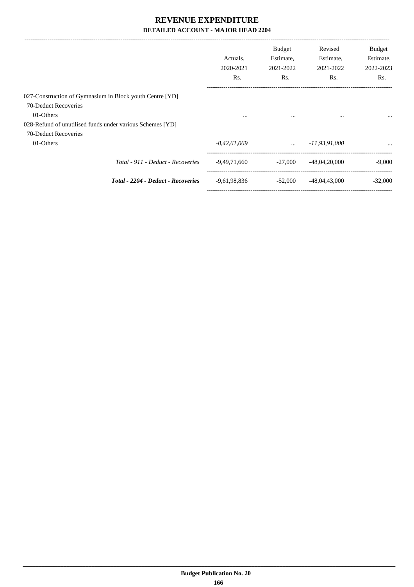|                                                           | Actuals.<br>2020-2021<br>Rs. | <b>Budget</b><br>Estimate,<br>2021-2022<br>Rs. | Revised<br>Estimate,<br>2021-2022<br>Rs. | <b>Budget</b><br>Estimate,<br>2022-2023<br>Rs. |
|-----------------------------------------------------------|------------------------------|------------------------------------------------|------------------------------------------|------------------------------------------------|
| 027-Construction of Gymnasium in Block youth Centre [YD]  |                              |                                                |                                          |                                                |
| 70-Deduct Recoveries                                      |                              |                                                |                                          |                                                |
| 01-Others                                                 | $\cdots$                     | $\cdots$                                       | $\cdots$                                 |                                                |
| 028-Refund of unutilised funds under various Schemes [YD] |                              |                                                |                                          |                                                |
| 70-Deduct Recoveries                                      |                              |                                                |                                          |                                                |
| 01-Others                                                 | $-8,42,61,069$               | $\cdots$                                       | -11,93,91,000                            | $\cdots$                                       |
| Total - 911 - Deduct - Recoveries                         | -9,49,71,660                 | $-27.000$                                      | $-48,04,20,000$                          | $-9,000$                                       |
| <b>Total - 2204 - Deduct - Recoveries</b>                 | $-9,61,98,836$               | $-52,000$                                      | $-48,04,43,000$                          | $-32,000$                                      |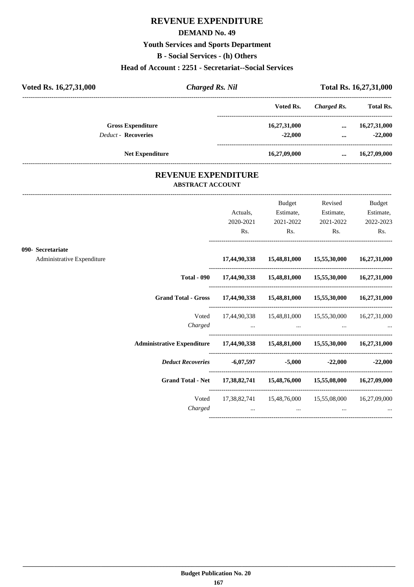## **REVENUE EXPENDITURE**

#### **DEMAND No. 49**

#### **Youth Services and Sports Department**

**B - Social Services - (h) Others**

#### **Head of Account : 2251 - Secretariat--Social Services**

| Voted Rs. 16,27,31,000     | Charged Rs. Nil            |              |             | Total Rs. 16,27,31,000 |
|----------------------------|----------------------------|--------------|-------------|------------------------|
|                            |                            | Voted Rs.    | Charged Rs. | <b>Total Rs.</b>       |
| <b>Gross Expenditure</b>   |                            | 16,27,31,000 | $\cdots$    | 16,27,31,000           |
| <b>Deduct - Recoveries</b> |                            | $-22,000$    |             | $-22,000$              |
| <b>Net Expenditure</b>     |                            | 16,27,09,000 | $\cdots$    | 16,27,09,000           |
|                            | <b>REVENUE EXPENDITURE</b> |              |             |                        |

# **ABSTRACT ACCOUNT**

---------------------------------------------------------------------------------------------------------------------------------------------------------------------------------

|                                                 |                                                                                | Actuals,<br>2020-2021<br>Rs.                                                    | Budget<br>Estimate,<br>2021-2022<br>$\mathbf{Rs.}$ | Revised<br>Estimate,<br>$\mathbf{Rs.}$                                                     | <b>Budget</b><br>Estimate,<br>2021-2022 2022-2023<br>Rs. |
|-------------------------------------------------|--------------------------------------------------------------------------------|---------------------------------------------------------------------------------|----------------------------------------------------|--------------------------------------------------------------------------------------------|----------------------------------------------------------|
| 090- Secretariate<br>Administrative Expenditure |                                                                                |                                                                                 |                                                    | 17,44,90,338 15,48,81,000 15,55,30,000 16,27,31,000                                        |                                                          |
|                                                 |                                                                                |                                                                                 |                                                    | Total - 090 17,44,90,338 15,48,81,000 15,55,30,000 16,27,31,000                            |                                                          |
|                                                 | Grand Total - Gross 17,44,90,338 15,48,81,000 15,55,30,000 16,27,31,000        |                                                                                 |                                                    |                                                                                            |                                                          |
|                                                 | Voted                                                                          |                                                                                 |                                                    | 17,44,90,338  15,48,81,000  15,55,30,000  16,27,31,000                                     |                                                          |
|                                                 | Administrative Expenditure 17,44,90,338 15,48,81,000 15,55,30,000 16,27,31,000 |                                                                                 |                                                    |                                                                                            |                                                          |
|                                                 | Deduct Recoveries -6,07,597 -5,000                                             |                                                                                 |                                                    |                                                                                            | $-22,000$ $-22,000$                                      |
|                                                 | Grand Total - Net 17,38,82,741 15,48,76,000 15,55,08,000 16,27,09,000          |                                                                                 |                                                    |                                                                                            |                                                          |
|                                                 | Charged                                                                        | the contract of the contract of the contract of the contract of the contract of |                                                    | Voted 17,38,82,741 15,48,76,000 15,55,08,000 16,27,09,000<br>and the contract of the state |                                                          |
|                                                 |                                                                                |                                                                                 |                                                    |                                                                                            |                                                          |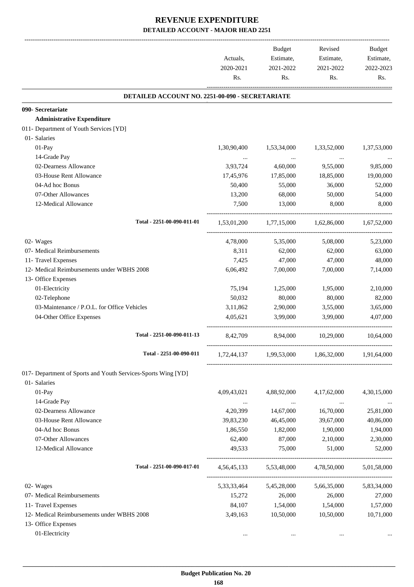|                                                               | Actuals,<br>2020-2021<br>Rs. | Budget<br>Estimate,<br>2021-2022<br>Rs. | Revised<br>Estimate,<br>2021-2022<br>Rs.        | Budget<br>Estimate,<br>2022-2023<br>Rs. |
|---------------------------------------------------------------|------------------------------|-----------------------------------------|-------------------------------------------------|-----------------------------------------|
| DETAILED ACCOUNT NO. 2251-00-090 - SECRETARIATE               |                              |                                         |                                                 |                                         |
| 090- Secretariate                                             |                              |                                         |                                                 |                                         |
| <b>Administrative Expenditure</b>                             |                              |                                         |                                                 |                                         |
| 011- Department of Youth Services [YD]                        |                              |                                         |                                                 |                                         |
| 01- Salaries                                                  |                              |                                         |                                                 |                                         |
| 01-Pay                                                        | 1,30,90,400                  | 1,53,34,000                             | 1,33,52,000                                     | 1,37,53,000                             |
| 14-Grade Pay                                                  | $\cdots$                     | $\sim$ $\sim$                           | $\ldots$                                        |                                         |
| 02-Dearness Allowance                                         | 3,93,724                     | 4,60,000                                | 9,55,000                                        | 9,85,000                                |
| 03-House Rent Allowance                                       | 17,45,976                    | 17,85,000                               | 18,85,000                                       | 19,00,000                               |
| 04-Ad hoc Bonus                                               | 50,400                       | 55,000                                  | 36,000                                          | 52,000                                  |
| 07-Other Allowances                                           | 13,200                       | 68,000                                  | 50,000                                          | 54,000                                  |
| 12-Medical Allowance                                          | 7,500                        | 13,000                                  | 8,000                                           | 8,000                                   |
| Total - 2251-00-090-011-01                                    |                              |                                         | 1,53,01,200 1,77,15,000 1,62,86,000 1,67,52,000 |                                         |
| 02- Wages                                                     | 4,78,000                     | 5,35,000                                | 5,08,000                                        | 5,23,000                                |
| 07- Medical Reimbursements                                    | 8,311                        | 62,000                                  | 62,000                                          | 63,000                                  |
| 11- Travel Expenses                                           | 7,425                        | 47,000                                  | 47,000                                          | 48,000                                  |
| 12- Medical Reimbursements under WBHS 2008                    | 6,06,492                     | 7,00,000                                | 7,00,000                                        | 7,14,000                                |
| 13- Office Expenses                                           |                              |                                         |                                                 |                                         |
| 01-Electricity                                                | 75,194                       | 1,25,000                                | 1,95,000                                        | 2,10,000                                |
| 02-Telephone                                                  | 50,032                       | 80,000                                  | 80,000                                          | 82,000                                  |
| 03-Maintenance / P.O.L. for Office Vehicles                   | 3,11,862                     | 2,90,000                                | 3,55,000                                        | 3,65,000                                |
| 04-Other Office Expenses                                      | 4,05,621                     | 3,99,000                                | 3,99,000                                        | 4,07,000                                |
| Total - 2251-00-090-011-13                                    | 8,42,709                     | 8,94,000 10,29,000                      |                                                 | 10,64,000                               |
| Total - 2251-00-090-011                                       |                              |                                         | 1,72,44,137 1,99,53,000 1,86,32,000 1,91,64,000 |                                         |
| 017- Department of Sports and Youth Services-Sports Wing [YD] |                              |                                         |                                                 |                                         |
| 01- Salaries                                                  |                              |                                         |                                                 |                                         |
| 01-Pay                                                        | 4,09,43,021                  | 4,88,92,000                             | 4,17,62,000                                     | 4,30,15,000                             |
| 14-Grade Pay                                                  | $\cdots$                     | $\ldots$                                | $\cdots$                                        |                                         |
| 02-Dearness Allowance                                         | 4,20,399                     | 14,67,000                               | 16,70,000                                       | 25,81,000                               |
| 03-House Rent Allowance                                       | 39,83,230                    | 46,45,000                               | 39,67,000                                       | 40,86,000                               |
| 04-Ad hoc Bonus                                               | 1,86,550                     | 1,82,000                                | 1,90,000                                        | 1,94,000                                |
| 07-Other Allowances                                           | 62,400                       | 87,000                                  | 2,10,000                                        | 2,30,000                                |
| 12-Medical Allowance                                          | 49,533                       | 75,000                                  | 51,000                                          | 52,000                                  |
| Total - 2251-00-090-017-01                                    | 4, 56, 45, 133               | 5,53,48,000                             | 4,78,50,000                                     | 5,01,58,000                             |
| 02- Wages                                                     | 5,33,33,464                  | 5,45,28,000                             | 5,66,35,000                                     | 5,83,34,000                             |
| 07- Medical Reimbursements                                    | 15,272                       | 26,000                                  | 26,000                                          | 27,000                                  |
| 11- Travel Expenses                                           | 84,107                       | 1,54,000                                | 1,54,000                                        | 1,57,000                                |
| 12- Medical Reimbursements under WBHS 2008                    | 3,49,163                     | 10,50,000                               | 10,50,000                                       | 10,71,000                               |
| 13- Office Expenses                                           |                              |                                         |                                                 |                                         |
| 01-Electricity                                                | $\cdots$                     | $\cdots$                                | $\cdots$                                        | $\cdots$                                |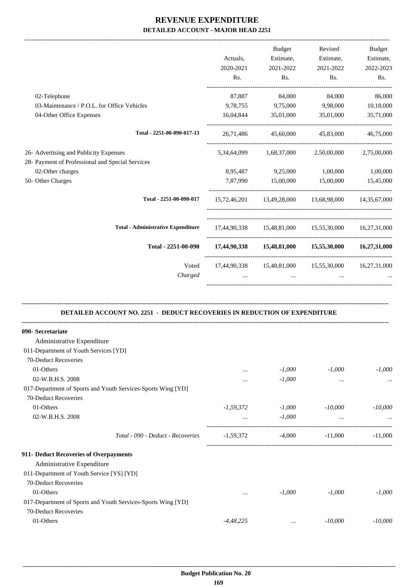|                                                                                                | Actuals,         | <b>Budget</b><br>Estimate,   | Revised<br>Estimate,                                | Budget<br>Estimate, |
|------------------------------------------------------------------------------------------------|------------------|------------------------------|-----------------------------------------------------|---------------------|
|                                                                                                | 2020-2021<br>Rs. | 2021-2022<br>Rs.             | 2021-2022<br>Rs.                                    | 2022-2023<br>Rs.    |
| 02-Telephone                                                                                   | 87,887           | 84,000                       | 84,000                                              | 86,000              |
| 03-Maintenance / P.O.L. for Office Vehicles                                                    | 9,78,755         | 9,75,000                     | 9,98,000                                            | 10,18,000           |
| 04-Other Office Expenses                                                                       | 16,04,844        | 35,01,000                    | 35,01,000                                           | 35,71,000           |
| Total - 2251-00-090-017-13                                                                     | 26,71,486        | 45,60,000                    | 45,83,000                                           | 46,75,000           |
| 26- Advertising and Publicity Expenses                                                         | 5,34,64,099      | 1,68,37,000                  | 2,50,00,000                                         | 2,75,00,000         |
| 28- Payment of Professional and Special Services                                               |                  |                              |                                                     |                     |
| 02-Other charges                                                                               | 8,95,487         | 9,25,000                     | 1,00,000                                            | 1,00,000            |
| 50- Other Charges                                                                              |                  | 7,87,990 15,00,000 15,00,000 |                                                     | 15,45,000           |
| Total - 2251-00-090-017                                                                        |                  |                              | 15,72,46,201 13,49,28,000 13,68,98,000 14,35,67,000 |                     |
| <b>Total - Administrative Expenditure</b>                                                      |                  |                              | 17,44,90,338 15,48,81,000 15,55,30,000 16,27,31,000 |                     |
| Total - 2251-00-090                                                                            |                  |                              | 17,44,90,338 15,48,81,000 15,55,30,000 16,27,31,000 |                     |
| Voted                                                                                          |                  |                              | 17,44,90,338 15,48,81,000 15,55,30,000              | 16,27,31,000        |
| Charged                                                                                        |                  |                              |                                                     |                     |
| DETAILED ACCOUNT NO. 2251 - DEDUCT RECOVERIES IN REDUCTION OF EXPENDITURE<br>090- Secretariate |                  |                              |                                                     |                     |
| Administrative Expenditure                                                                     |                  |                              |                                                     |                     |
| 011-Department of Youth Services [YD]                                                          |                  |                              |                                                     |                     |
| 70-Deduct Recoveries                                                                           |                  |                              |                                                     |                     |
| 01-Others                                                                                      |                  | $-1,000$                     | $-1,000$                                            | $-1,000$            |
| 02-W.B.H.S. 2008                                                                               |                  | $-1,000$                     | $\cdots$                                            |                     |
| 017-Department of Sports and Youth Services-Sports Wing [YD]                                   |                  |                              |                                                     |                     |
| 70-Deduct Recoveries                                                                           |                  |                              |                                                     |                     |
| 01-Others                                                                                      | $-1,59,372$      | $-1,000$                     | $-10,000$                                           | $-10,000$           |
| 02-W.B.H.S. 2008                                                                               | $\cdots$         | $-1,000$                     | $\cdots$                                            |                     |
| Total - 090 - Deduct - Recoveries                                                              | $-1,59,372$      | $-4,000$                     | $-11,000$                                           | $-11,000$           |

#### **911- Deduct Recoveries of Overpayments**

| $\frac{1}{2}$ beaucritics, error or $\frac{1}{2}$ , error $\frac{1}{2}$ |             |          |           |           |
|-------------------------------------------------------------------------|-------------|----------|-----------|-----------|
| Administrative Expenditure                                              |             |          |           |           |
| 011-Department of Youth Service [YS] [YD]                               |             |          |           |           |
| 70-Deduct Recoveries                                                    |             |          |           |           |
| 01-Others                                                               | $\cdots$    | $-1.000$ | $-1.000$  | $-1.000$  |
| 017-Department of Sports and Youth Services-Sports Wing [YD]            |             |          |           |           |
| 70-Deduct Recoveries                                                    |             |          |           |           |
| 01-Others                                                               | $-4,48,225$ | $\cdots$ | $-10,000$ | $-10,000$ |
|                                                                         |             |          |           |           |

-----------------------------------------------------------------------------------------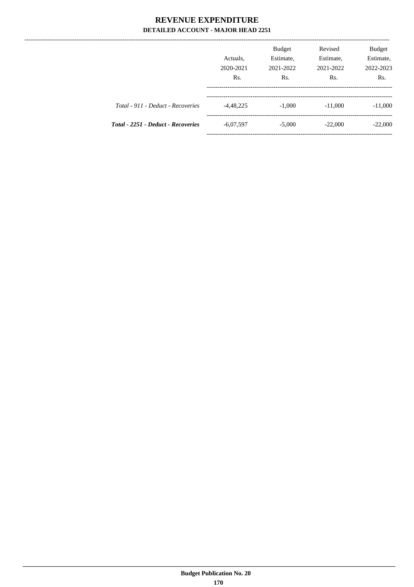|                                    | Actuals.<br>2020-2021<br>Rs. | <b>Budget</b><br>Estimate,<br>2021-2022<br>Rs. | Revised<br>Estimate,<br>2021-2022<br>Rs. | <b>Budget</b><br>Estimate,<br>2022-2023<br>R <sub>s</sub> . |
|------------------------------------|------------------------------|------------------------------------------------|------------------------------------------|-------------------------------------------------------------|
| Total - 911 - Deduct - Recoveries  | $-4,48,225$                  | $-1.000$                                       | $-11,000$                                | $-11,000$                                                   |
| Total - 2251 - Deduct - Recoveries | $-6,07,597$                  | $-5,000$                                       | $-22,000$                                | $-22,000$                                                   |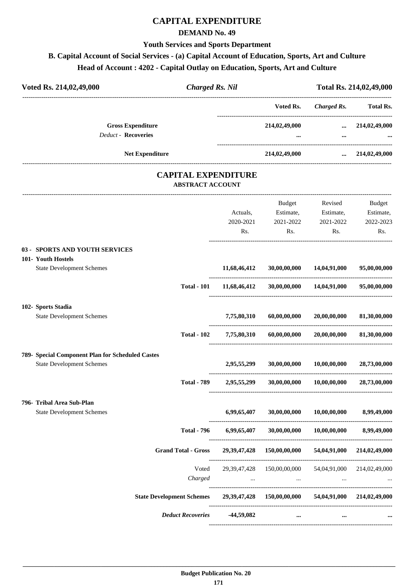## **CAPITAL EXPENDITURE**

#### **DEMAND No. 49**

#### **Youth Services and Sports Department**

## **B. Capital Account of Social Services - (a) Capital Account of Education, Sports, Art and Culture Head of Account : 4202 - Capital Outlay on Education, Sports, Art and Culture**

| Voted Rs. 214,02,49,000                                       | <b>Charged Rs. Nil</b>  |                                    |                                                          |                                        | Total Rs. 214,02,49,000                 |
|---------------------------------------------------------------|-------------------------|------------------------------------|----------------------------------------------------------|----------------------------------------|-----------------------------------------|
|                                                               |                         |                                    | ------------------------------------<br>Voted Rs.        |                                        | Charged Rs. Total Rs.                   |
| <b>Gross Expenditure</b><br><b>Deduct - Recoveries</b>        |                         |                                    |                                                          | 214,02,49,000  214,02,49,000           |                                         |
| Net Expenditure                                               |                         |                                    |                                                          | 214,02,49,000  214,02,49,000           |                                         |
|                                                               |                         | <b>CAPITAL EXPENDITURE</b>         |                                                          |                                        |                                         |
|                                                               | <b>ABSTRACT ACCOUNT</b> |                                    |                                                          |                                        |                                         |
|                                                               |                         | Actuals,                           | Estimate, Estimate,<br>2020-2021 2021-2022<br>Rs.<br>Rs. | Budget Revised<br>2021-2022<br>Rs.     | Budget<br>Estimate,<br>2022-2023<br>Rs. |
| 03 - SPORTS AND YOUTH SERVICES<br>101- Youth Hostels          |                         |                                    |                                                          |                                        |                                         |
| <b>State Development Schemes</b>                              |                         | 11,68,46,412                       |                                                          | 30,00,00,000 14,04,91,000 95,00,00,000 |                                         |
|                                                               | <b>Total - 101</b>      | 11,68,46,412                       |                                                          | 30,00,00,000 14,04,91,000 95,00,00,000 |                                         |
| 102- Sports Stadia                                            |                         |                                    |                                                          |                                        |                                         |
| <b>State Development Schemes</b>                              |                         | 7,75,80,310                        | 60,00,00,000                                             | 20,00,00,000                           | 81,30,00,000                            |
|                                                               | <b>Total - 102</b>      | 7,75,80,310                        |                                                          | $60,00,00,000$ $20,00,00,000$          | 81,30,00,000                            |
| 789- Special Component Plan for Scheduled Castes              |                         |                                    |                                                          |                                        |                                         |
| <b>State Development Schemes</b>                              |                         | 2,95,55,299                        | 30,00,00,000                                             | 10,00,00,000                           | 28,73,00,000                            |
|                                                               |                         | Total - 789 2,95,55,299            | 30,00,00,000                                             | $10,\!00,\!00,\!000$                   | 28,73,00,000                            |
| 796- Tribal Area Sub-Plan<br><b>State Development Schemes</b> |                         | 6,99,65,407                        | 30,00,00,000                                             | 10,00,00,000                           | 8,99,49,000                             |
|                                                               | <b>Total - 796</b>      | 6,99,65,407                        | 30,00,00,000                                             | 10,00,00,000                           | 8,99,49,000                             |
| <b>Grand Total - Gross</b>                                    |                         | 29, 39, 47, 428                    | 150,00,00,000                                            | 54,04,91,000                           | 214,02,49,000                           |
|                                                               | Voted<br>Charged        | 29, 39, 47, 428<br>$\sim 10^{-11}$ | 150,00,00,000<br>$\cdots$                                | 54,04,91,000<br>$\cdots$               | 214,02,49,000                           |
| <b>State Development Schemes</b>                              |                         |                                    | 29,39,47,428 150,00,00,000                               |                                        | 54,04,91,000 214,02,49,000              |
| <b>Deduct Recoveries</b>                                      |                         | $-44,59,082$                       | $\cdots$                                                 |                                        |                                         |
|                                                               |                         |                                    |                                                          |                                        |                                         |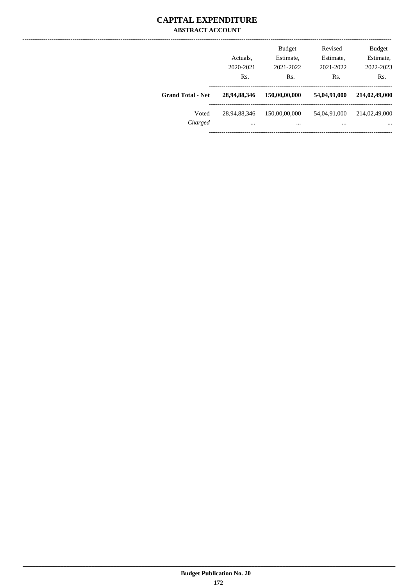#### **CAPITAL EXPENDITURE ABSTRACT ACCOUNT**

|                          | Actuals,<br>2020-2021<br>Rs. | <b>Budget</b><br>Estimate,<br>2021-2022<br>Rs. | Revised<br>Estimate,<br>2021-2022<br>Rs. | <b>Budget</b><br>Estimate,<br>2022-2023<br>Rs. |
|--------------------------|------------------------------|------------------------------------------------|------------------------------------------|------------------------------------------------|
| <b>Grand Total - Net</b> | 28,94,88,346                 | 150,00,00,000                                  | 54,04,91,000                             | 214,02,49,000                                  |
| Voted<br>Charged         | 28,94,88,346<br>$\cdots$     | 150,00,00,000<br>$\cdots$                      | 54,04,91,000<br>$\cdots$                 | 214,02,49,000<br>$\cdots$                      |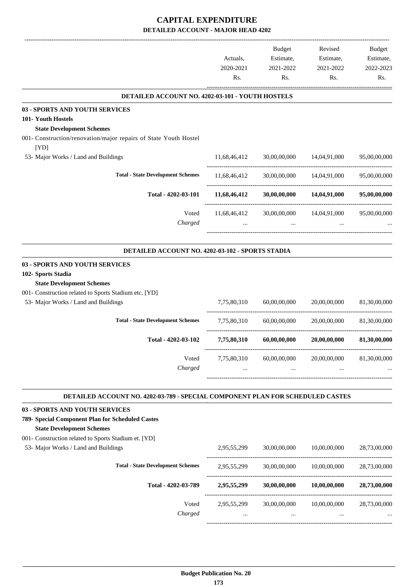## **CAPITAL EXPENDITURE DETAILED ACCOUNT - MAJOR HEAD 4202**

|                                                                                                                                                                                           | Actuals,<br>2020-2021<br>Rs. | Budget<br>Estimate,<br>2021-2022<br>Rs. | Revised<br>Estimate,<br>2021-2022<br>Rs. | Budget<br>Estimate,<br>2022-2023<br>Rs. |
|-------------------------------------------------------------------------------------------------------------------------------------------------------------------------------------------|------------------------------|-----------------------------------------|------------------------------------------|-----------------------------------------|
| DETAILED ACCOUNT NO. 4202-03-101 - YOUTH HOSTELS                                                                                                                                          |                              |                                         |                                          |                                         |
| 03 - SPORTS AND YOUTH SERVICES<br>101- Youth Hostels<br><b>State Development Schemes</b><br>001- Construction/renovation/major repairs of State Youth Hostel<br>[YD]                      |                              |                                         |                                          |                                         |
| 53- Major Works / Land and Buildings                                                                                                                                                      | 11,68,46,412                 | 30,00,00,000                            | 14,04,91,000                             | 95,00,00,000                            |
| <b>Total - State Development Schemes</b>                                                                                                                                                  | 11,68,46,412                 | 30,00,00,000                            | 14,04,91,000                             | 95,00,00,000                            |
| Total - 4202-03-101                                                                                                                                                                       | 11,68,46,412                 | 30,00,00,000                            | 14,04,91,000                             | 95,00,00,000                            |
| Voted<br>Charged                                                                                                                                                                          | 11,68,46,412                 | 30,00,00,000                            | 14,04,91,000                             | 95,00,00,000                            |
| DETAILED ACCOUNT NO. 4202-03-102 - SPORTS STADIA                                                                                                                                          |                              |                                         |                                          |                                         |
| 03 - SPORTS AND YOUTH SERVICES<br>102- Sports Stadia<br><b>State Development Schemes</b><br>001- Construction related to Sports Stadium etc. [YD]<br>53- Major Works / Land and Buildings | 7,75,80,310                  | 60,00,00,000                            | 20,00,00,000                             | 81,30,00,000                            |
| <b>Total - State Development Schemes</b>                                                                                                                                                  | 7,75,80,310                  | 60,00,00,000                            | 20,00,00,000                             | 81,30,00,000                            |
| Total - 4202-03-102                                                                                                                                                                       | 7,75,80,310                  | 60,00,00,000                            | 20,00,00,000                             | 81,30,00,000                            |
| Voted<br>Charged                                                                                                                                                                          | 7,75,80,310                  | 60,00,00,000                            | 20,00,00,000                             | 81,30,00,000                            |
| DETAILED ACCOUNT NO. 4202-03-789 - SPECIAL COMPONENT PLAN FOR SCHEDULED CASTES                                                                                                            |                              |                                         |                                          |                                         |
| 03 - SPORTS AND YOUTH SERVICES<br>789- Special Component Plan for Scheduled Castes<br><b>State Development Schemes</b><br>001- Construction related to Sports Stadium et. [YD]            |                              |                                         |                                          |                                         |
| 53- Major Works / Land and Buildings                                                                                                                                                      | 2,95,55,299                  | 30,00,00,000                            | 10,00,00,000                             | 28,73,00,000                            |
| <b>Total - State Development Schemes</b>                                                                                                                                                  | 2,95,55,299                  | 30,00,00,000                            | 10,00,00,000                             | 28,73,00,000                            |
| Total - 4202-03-789                                                                                                                                                                       | 2,95,55,299                  | 30,00,00,000                            | 10,00,00,000                             | 28,73,00,000                            |
| Voted<br>Charged                                                                                                                                                                          | 2,95,55,299                  | 30,00,00,000                            | 10,00,00,000                             | 28,73,00,000                            |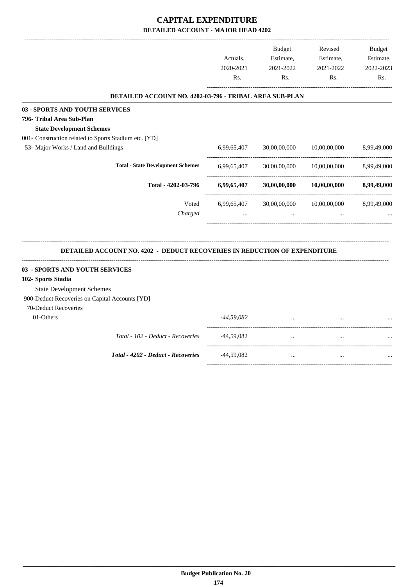## **CAPITAL EXPENDITURE DETAILED ACCOUNT - MAJOR HEAD 4202**

|                                                                                  | Actuals,<br>2020-2021<br>Rs. | <b>Budget</b><br>Estimate,<br>2021-2022<br>Rs. | Revised<br>Estimate,<br>2021-2022<br>Rs. | <b>Budget</b><br>Estimate,<br>2022-2023<br>Rs. |
|----------------------------------------------------------------------------------|------------------------------|------------------------------------------------|------------------------------------------|------------------------------------------------|
| DETAILED ACCOUNT NO. 4202-03-796 - TRIBAL AREA SUB-PLAN                          |                              |                                                |                                          |                                                |
| 03 - SPORTS AND YOUTH SERVICES                                                   |                              |                                                |                                          |                                                |
| 796- Tribal Area Sub-Plan                                                        |                              |                                                |                                          |                                                |
| <b>State Development Schemes</b>                                                 |                              |                                                |                                          |                                                |
| 001- Construction related to Sports Stadium etc. [YD]                            |                              |                                                |                                          |                                                |
| 53- Major Works / Land and Buildings                                             | 6,99,65,407                  | 30,00,00,000                                   | 10,00,00,000                             | 8,99,49,000                                    |
| <b>Total - State Development Schemes</b>                                         | 6,99,65,407                  | 30,00,00,000                                   | 10,00,00,000                             | 8,99,49,000                                    |
| Total - 4202-03-796                                                              | 6,99,65,407                  | 30,00,00,000                                   | 10,00,00,000                             | 8,99,49,000                                    |
| Voted                                                                            | 6,99,65,407                  | 30,00,00,000                                   | 10,00,00,000                             | 8,99,49,000                                    |
| Charged                                                                          |                              |                                                |                                          |                                                |
| <b>DETAILED ACCOUNT NO. 4202 - DEDUCT RECOVERIES IN REDUCTION OF EXPENDITURE</b> |                              |                                                |                                          |                                                |
| 03 - SPORTS AND YOUTH SERVICES                                                   |                              |                                                |                                          |                                                |
| 102- Sports Stadia                                                               |                              |                                                |                                          |                                                |
| <b>State Development Schemes</b>                                                 |                              |                                                |                                          |                                                |
| 900-Deduct Recoveries on Capital Accounts [YD]                                   |                              |                                                |                                          |                                                |
| 70-Deduct Recoveries                                                             |                              |                                                |                                          |                                                |
| 01-Others                                                                        | -44,59,082                   |                                                |                                          |                                                |
| Total - 102 - Deduct - Recoveries                                                | -44,59,082                   | $\ddots$                                       | $\ddotsc$                                |                                                |
| Total - 4202 - Deduct - Recoveries                                               | $-44,59,082$                 | $\cdots$                                       | $\ddotsc$                                |                                                |
|                                                                                  |                              |                                                |                                          |                                                |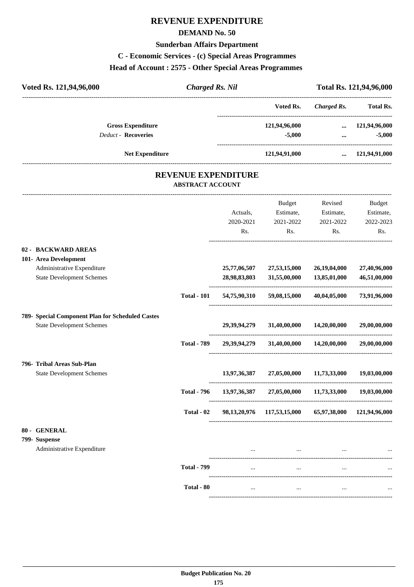## **REVENUE EXPENDITURE**

#### **DEMAND No. 50**

#### **Sunderban Affairs Department**

## **C - Economic Services - (c) Special Areas Programmes**

#### **Head of Account : 2575 - Other Special Areas Programmes**

| Voted Rs. 121,94,96,000    | <b>Charged Rs. Nil</b> |               |             | Total Rs. 121,94,96,000 |
|----------------------------|------------------------|---------------|-------------|-------------------------|
|                            |                        | Voted Rs.     | Charged Rs. | <b>Total Rs.</b>        |
| <b>Gross Expenditure</b>   |                        | 121,94,96,000 | $\ddotsc$   | 121,94,96,000           |
| <b>Deduct - Recoveries</b> |                        | $-5,000$      | $\cdots$    | $-5,000$                |
| <b>Net Expenditure</b>     |                        | 121,94,91,000 | $\cdots$    | 121,94,91,000           |
|                            |                        |               |             |                         |

#### **REVENUE EXPENDITURE ABSTRACT ACCOUNT**

---------------------------------------------------------------------------------------------------------------------------------------------------------------------------------

|                                                  |                    |              | <b>Budget</b>                                         | Revised                           | <b>Budget</b> |
|--------------------------------------------------|--------------------|--------------|-------------------------------------------------------|-----------------------------------|---------------|
|                                                  |                    | Actuals,     | Estimate,                                             | Estimate,                         | Estimate,     |
|                                                  |                    | 2020-2021    | 2021-2022                                             | 2021-2022                         | 2022-2023     |
|                                                  |                    | Rs.          | Rs.                                                   | Rs.                               | Rs.           |
| 02 - BACKWARD AREAS                              |                    |              |                                                       |                                   |               |
| 101- Area Development                            |                    |              |                                                       |                                   |               |
| Administrative Expenditure                       |                    | 25,77,06,507 | 27,53,15,000                                          | 26,19,04,000                      | 27,40,96,000  |
| <b>State Development Schemes</b>                 |                    | 28,98,83,803 | 31,55,00,000                                          | 13,85,01,000                      | 46,51,00,000  |
|                                                  | <b>Total - 101</b> | 54,75,90,310 | 59,08,15,000                                          | 40,04,05,000                      | 73,91,96,000  |
| 789- Special Component Plan for Scheduled Castes |                    |              |                                                       |                                   |               |
| <b>State Development Schemes</b>                 |                    | 29,39,94,279 |                                                       | 31,40,00,000 14,20,00,000         | 29,00,00,000  |
|                                                  | <b>Total - 789</b> | 29,39,94,279 | 31,40,00,000                                          | 14,20,00,000                      | 29,00,00,000  |
| 796- Tribal Areas Sub-Plan                       |                    |              |                                                       |                                   |               |
| <b>State Development Schemes</b>                 |                    | 13,97,36,387 |                                                       | 27,05,00,000 11,73,33,000         | 19,03,00,000  |
|                                                  | <b>Total - 796</b> | 13,97,36,387 | 27,05,00,000                                          | 11,73,33,000                      | 19,03,00,000  |
|                                                  | Total - 02         |              | 98,13,20,976 117,53,15,000 65,97,38,000 121,94,96,000 |                                   |               |
| 80 - GENERAL                                     |                    |              |                                                       |                                   |               |
| 799- Suspense                                    |                    |              |                                                       |                                   |               |
| Administrative Expenditure                       |                    |              |                                                       | the company of the company of the |               |
|                                                  | <b>Total - 799</b> | $\cdots$     | $\ddotsc$                                             | $\cdots$                          |               |
|                                                  | Total - 80         | $\cdots$     | $\ldots$                                              | $\cdots$                          |               |
|                                                  |                    |              |                                                       |                                   |               |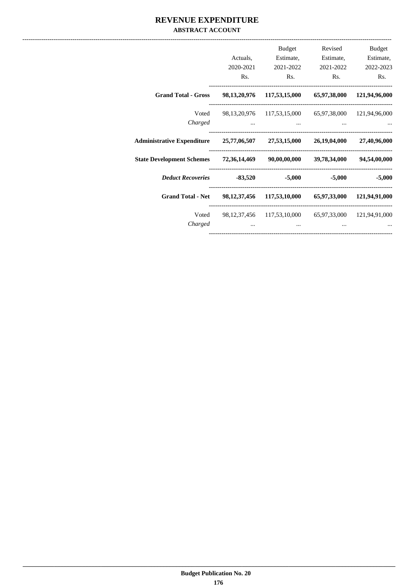#### **REVENUE EXPENDITURE ABSTRACT ACCOUNT**

| Budget       | Revised                    | Budget                                                |                                     |                                                                         |
|--------------|----------------------------|-------------------------------------------------------|-------------------------------------|-------------------------------------------------------------------------|
| Estimate,    | Estimate,                  | Estimate,                                             | Actuals,                            |                                                                         |
| 2022-2023    | 2021-2022                  | 2021-2022                                             | 2020-2021                           |                                                                         |
| Rs.          | Rs.                        | Rs.                                                   | Rs.                                 |                                                                         |
|              | 65,97,38,000 121,94,96,000 | 98, 13, 20, 976 117, 53, 15, 000                      |                                     | <b>Grand Total - Gross</b>                                              |
|              |                            | 98,13,20,976 117,53,15,000 65,97,38,000 121,94,96,000 |                                     | Voted                                                                   |
|              | $\cdots$                   | and the contract of the contract of                   | and the contract of the contract of | Charged                                                                 |
| 27,40,96,000 | 26,19,04,000               |                                                       |                                     | Administrative Expenditure 25,77,06,507 27,53,15,000                    |
| 94,54,00,000 | 39,78,34,000               | 72,36,14,469 90,00,00,000                             |                                     | <b>State Development Schemes</b>                                        |
| $-5,000$     | $-5,000$                   | $-5,000$                                              |                                     | Deduct Recoveries -83,520                                               |
|              |                            |                                                       |                                     | Grand Total - Net 98,12,37,456 117,53,10,000 65,97,33,000 121,94,91,000 |
|              |                            | 98,12,37,456 117,53,10,000 65,97,33,000 121,94,91,000 |                                     | Voted                                                                   |
|              | $\cdots$                   | $\cdots$                                              | $\cdots$                            | Charged                                                                 |
|              |                            |                                                       |                                     |                                                                         |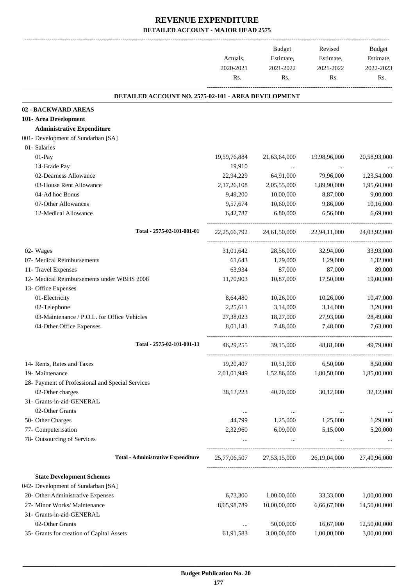-------------------------------------------------------------------------------------------------------------------------------------------------------------------------------

|                                                            | Actuals,<br>2020-2021<br>Rs. | <b>Budget</b><br>Estimate,<br>2021-2022<br>Rs. | Revised<br>Estimate,<br>2021-2022<br>Rs. | <b>Budget</b><br>Estimate,<br>2022-2023<br>Rs. |
|------------------------------------------------------------|------------------------------|------------------------------------------------|------------------------------------------|------------------------------------------------|
| <b>DETAILED ACCOUNT NO. 2575-02-101 - AREA DEVELOPMENT</b> |                              |                                                |                                          |                                                |
| 02 - BACKWARD AREAS                                        |                              |                                                |                                          |                                                |
| 101- Area Development                                      |                              |                                                |                                          |                                                |
| <b>Administrative Expenditure</b>                          |                              |                                                |                                          |                                                |
| 001- Development of Sundarban [SA]                         |                              |                                                |                                          |                                                |
| 01- Salaries                                               |                              |                                                |                                          |                                                |
| $01-Pay$                                                   | 19,59,76,884                 | 21,63,64,000                                   | 19,98,96,000                             | 20,58,93,000                                   |
| 14-Grade Pay                                               | 19,910                       | $\cdots$                                       | $\cdots$                                 |                                                |
| 02-Dearness Allowance                                      | 22,94,229                    | 64,91,000                                      | 79,96,000                                | 1,23,54,000                                    |
| 03-House Rent Allowance                                    | 2,17,26,108                  | 2,05,55,000                                    | 1,89,90,000                              | 1,95,60,000                                    |
| 04-Ad hoc Bonus                                            | 9,49,200                     | 10,00,000                                      | 8,87,000                                 | 9,00,000                                       |
| 07-Other Allowances                                        | 9,57,674                     | 10,60,000                                      | 9,86,000                                 | 10,16,000                                      |
| 12-Medical Allowance                                       | 6.42.787                     | 6,80,000                                       | 6,56,000                                 | 6,69,000                                       |
| Total - 2575-02-101-001-01                                 | 22, 25, 66, 792              | 24,61,50,000                                   | 22,94,11,000                             | 24,03,92,000                                   |
| 02- Wages                                                  | 31,01,642                    | 28,56,000                                      | 32,94,000                                | 33,93,000                                      |
| 07- Medical Reimbursements                                 | 61,643                       | 1,29,000                                       | 1,29,000                                 | 1,32,000                                       |
| 11- Travel Expenses                                        | 63,934                       | 87,000                                         | 87,000                                   | 89,000                                         |
| 12- Medical Reimbursements under WBHS 2008                 | 11,70,903                    | 10,87,000                                      | 17,50,000                                | 19,00,000                                      |
| 13- Office Expenses                                        |                              |                                                |                                          |                                                |
| 01-Electricity                                             | 8,64,480                     | 10,26,000                                      | 10,26,000                                | 10,47,000                                      |
| 02-Telephone                                               | 2,25,611                     | 3,14,000                                       | 3,14,000                                 | 3,20,000                                       |
| 03-Maintenance / P.O.L. for Office Vehicles                | 27,38,023                    | 18,27,000                                      | 27,93,000                                | 28,49,000                                      |
| 04-Other Office Expenses                                   | 8,01,141                     | 7,48,000                                       | 7,48,000                                 | 7,63,000                                       |
| Total - 2575-02-101-001-13                                 | 46,29,255                    | 39,15,000                                      | 48,81,000                                | 49,79,000                                      |
| 14- Rents, Rates and Taxes                                 | 19,20,407                    | 10,51,000                                      | 6,50,000                                 | 8,50,000                                       |
| 19- Maintenance                                            | 2,01,01,949                  | 1,52,86,000                                    | 1,80,50,000                              | 1,85,00,000                                    |
| 28- Payment of Professional and Special Services           |                              |                                                |                                          |                                                |
| 02-Other charges                                           | 38, 12, 223                  | 40,20,000                                      | 30,12,000                                | 32,12,000                                      |
| 31- Grants-in-aid-GENERAL                                  |                              |                                                |                                          |                                                |
| 02-Other Grants                                            | $\cdots$                     | $\cdots$                                       | $\cdots$                                 | $\cdots$                                       |
| 50- Other Charges                                          | 44,799                       | 1,25,000                                       | 1,25,000                                 | 1,29,000                                       |
| 77- Computerisation                                        | 2,32,960                     | 6,09,000                                       | 5,15,000                                 | 5,20,000                                       |
| 78- Outsourcing of Services                                |                              | $\cdots$                                       | $\ldots$                                 |                                                |
| <b>Total - Administrative Expenditure</b>                  | 25,77,06,507                 |                                                | 27,53,15,000 26,19,04,000                | 27,40,96,000                                   |
| <b>State Development Schemes</b>                           |                              |                                                |                                          |                                                |
| 042- Development of Sundarban [SA]                         |                              |                                                |                                          |                                                |
| 20- Other Administrative Expenses                          | 6,73,300                     | 1,00,00,000                                    | 33,33,000                                | 1,00,00,000                                    |
| 27- Minor Works/ Maintenance                               | 8,65,98,789                  | 10,00,00,000                                   | 6,66,67,000                              | 14,50,00,000                                   |
| 31- Grants-in-aid-GENERAL                                  |                              |                                                |                                          |                                                |
| 02-Other Grants                                            | $\ddotsc$                    | 50,00,000                                      | 16,67,000                                | 12,50,00,000                                   |
| 35- Grants for creation of Capital Assets                  | 61,91,583                    | 3,00,00,000                                    | 1,00,00,000                              | 3,00,00,000                                    |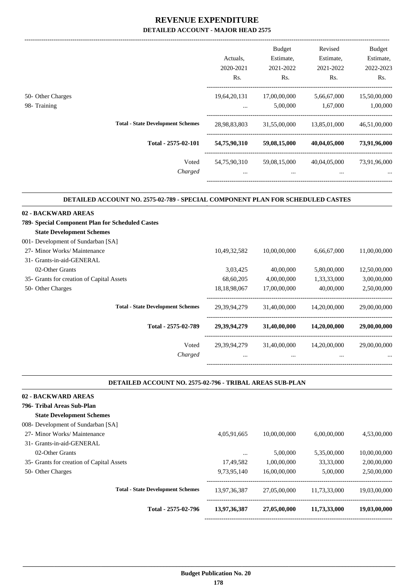-------------------------------------------------------------------------------------------------------------------------------------------------------------------------------

.

.

|                                   |                                          | Actuals.<br>2020-2021<br>Rs. | <b>Budget</b><br>Estimate,<br>2021-2022<br>Rs. | Revised<br>Estimate,<br>2021-2022<br>Rs. | <b>Budget</b><br>Estimate,<br>2022-2023<br>Rs. |
|-----------------------------------|------------------------------------------|------------------------------|------------------------------------------------|------------------------------------------|------------------------------------------------|
| 50- Other Charges<br>98- Training |                                          | 19,64,20,131<br>$\cdots$     | 17,00,00,000<br>5,00,000                       | 5,66,67,000<br>1,67,000                  | 15,50,00,000<br>1,00,000                       |
|                                   | <b>Total - State Development Schemes</b> | 28,98,83,803                 | 31,55,00,000                                   | 13,85,01,000                             | 46,51,00,000                                   |
|                                   | Total - 2575-02-101                      | 54,75,90,310                 | 59,08,15,000                                   | 40,04,05,000                             | 73,91,96,000                                   |
|                                   | Voted<br>Charged                         | 54,75,90,310<br>$\cdots$     | 59,08,15,000<br>$\cdots$                       | 40,04,05,000<br>$\cdots$                 | 73,91,96,000<br>$\cdots$                       |

#### **DETAILED ACCOUNT NO. 2575-02-789 - SPECIAL COMPONENT PLAN FOR SCHEDULED CASTES .**

| 02 - BACKWARD AREAS                              |                 |              |              |              |
|--------------------------------------------------|-----------------|--------------|--------------|--------------|
| 789- Special Component Plan for Scheduled Castes |                 |              |              |              |
| <b>State Development Schemes</b>                 |                 |              |              |              |
| 001- Development of Sundarban [SA]               |                 |              |              |              |
| 27- Minor Works/ Maintenance                     | 10,49,32,582    | 10,00,00,000 | 6,66,67,000  | 11,00,00,000 |
| 31- Grants-in-aid-GENERAL                        |                 |              |              |              |
| 02-Other Grants                                  | 3,03,425        | 40,00,000    | 5,80,00,000  | 12,50,00,000 |
| 35- Grants for creation of Capital Assets        | 68,60,205       | 4,00,00,000  | 1,33,33,000  | 3,00,00,000  |
| 50- Other Charges                                | 18, 18, 98, 067 | 17,00,00,000 | 40,00,000    | 2,50,00,000  |
| <b>Total - State Development Schemes</b>         | 29, 39, 94, 279 | 31,40,00,000 | 14,20,00,000 | 29,00,00,000 |
| Total - 2575-02-789                              | 29, 39, 94, 279 | 31,40,00,000 | 14,20,00,000 | 29,00,00,000 |
| Voted                                            | 29, 39, 94, 279 | 31,40,00,000 | 14,20,00,000 | 29,00,00,000 |
| Charged                                          | $\cdots$        | $\cdots$     | $\cdots$     | $\cdots$     |
|                                                  |                 |              |              |              |

#### **DETAILED ACCOUNT NO. 2575-02-796 - TRIBAL AREAS SUB-PLAN**

| 02 - BACKWARD AREAS                       |              |              |              |              |
|-------------------------------------------|--------------|--------------|--------------|--------------|
| 796- Tribal Areas Sub-Plan                |              |              |              |              |
| <b>State Development Schemes</b>          |              |              |              |              |
| 008- Development of Sundarban [SA]        |              |              |              |              |
| 27- Minor Works/ Maintenance              | 4,05,91,665  | 10,00,00,000 | 6,00,00,000  | 4,53,00,000  |
| 31- Grants-in-aid-GENERAL                 |              |              |              |              |
| 02-Other Grants                           | $\cdots$     | 5,00,000     | 5,35,00,000  | 10,00,00,000 |
| 35- Grants for creation of Capital Assets | 17,49,582    | 1,00,00,000  | 33,33,000    | 2,00,00,000  |
| 50- Other Charges                         | 9,73,95,140  | 16,00,00,000 | 5,00,000     | 2,50,00,000  |
| <b>Total - State Development Schemes</b>  | 13,97,36,387 | 27,05,00,000 | 11,73,33,000 | 19,03,00,000 |
| Total - 2575-02-796                       | 13,97,36,387 | 27,05,00,000 | 11,73,33,000 | 19,03,00,000 |
|                                           |              |              |              |              |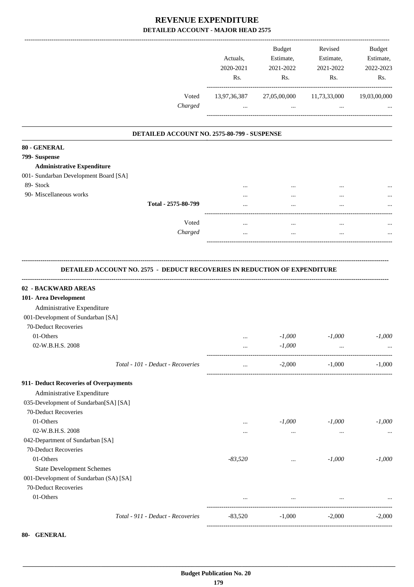|                                                                                  | Actuals,<br>2020-2021<br>Rs. | <b>Budget</b><br>Estimate,<br>2021-2022<br>Rs. | Revised<br>Estimate,<br>2021-2022<br>Rs. | <b>Budget</b><br>Estimate,<br>2022-2023<br>Rs. |
|----------------------------------------------------------------------------------|------------------------------|------------------------------------------------|------------------------------------------|------------------------------------------------|
| Voted                                                                            | 13,97,36,387                 | 27,05,00,000                                   | 11,73,33,000                             | 19,03,00,000                                   |
| Charged                                                                          | $\cdots$                     | $\ddots$                                       | $\cdots$                                 |                                                |
| DETAILED ACCOUNT NO. 2575-80-799 - SUSPENSE                                      |                              |                                                |                                          |                                                |
| 80 - GENERAL                                                                     |                              |                                                |                                          |                                                |
| 799- Suspense                                                                    |                              |                                                |                                          |                                                |
| <b>Administrative Expenditure</b>                                                |                              |                                                |                                          |                                                |
| 001- Sundarban Development Board [SA]                                            |                              |                                                |                                          |                                                |
| 89- Stock                                                                        |                              |                                                |                                          |                                                |
| 90- Miscellaneous works                                                          | $\cdots$                     |                                                |                                          |                                                |
| Total - 2575-80-799                                                              |                              |                                                |                                          |                                                |
| Voted                                                                            | $\cdots$                     | $\cdots$                                       | $\cdots$                                 |                                                |
| Charged                                                                          | $\cdots$                     | $\cdots$                                       | $\ddotsc$                                |                                                |
| <b>DETAILED ACCOUNT NO. 2575 - DEDUCT RECOVERIES IN REDUCTION OF EXPENDITURE</b> |                              |                                                |                                          |                                                |
| 02 - BACKWARD AREAS                                                              |                              |                                                |                                          |                                                |
| 101- Area Development                                                            |                              |                                                |                                          |                                                |
| Administrative Expenditure                                                       |                              |                                                |                                          |                                                |
| 001-Development of Sundarban [SA]                                                |                              |                                                |                                          |                                                |
| 70-Deduct Recoveries                                                             |                              |                                                |                                          |                                                |
| 01-Others                                                                        |                              | $-1,000$                                       | $-1,000$                                 | $-1,000$                                       |
| 02-W.B.H.S. 2008                                                                 |                              | $-1,000$                                       |                                          |                                                |
| Total - 101 - Deduct - Recoveries                                                | $\cdots$                     | $-2,000$                                       | $-1,000$                                 | $-1,000$                                       |
| 911- Deduct Recoveries of Overpayments                                           |                              |                                                |                                          |                                                |
| Administrative Expenditure                                                       |                              |                                                |                                          |                                                |
| 035-Development of Sundarban[SA] [SA]                                            |                              |                                                |                                          |                                                |
| 70-Deduct Recoveries                                                             |                              |                                                |                                          |                                                |
| 01-Others                                                                        | $\cdots$                     | $-1,000$                                       | $-1,000$                                 | $-1,000$                                       |
| 02-W.B.H.S. 2008                                                                 | $\cdots$                     | $\cdots$                                       | $\cdots$                                 | $\cdots$                                       |
| 042-Department of Sundarban [SA]                                                 |                              |                                                |                                          |                                                |
| 70-Deduct Recoveries                                                             |                              |                                                |                                          |                                                |
| 01-Others                                                                        | $-83,520$                    | $\cdots$                                       | $-1,000$                                 | $-1,000$                                       |
| <b>State Development Schemes</b>                                                 |                              |                                                |                                          |                                                |
| 001-Development of Sundarban (SA) [SA]                                           |                              |                                                |                                          |                                                |
| 70-Deduct Recoveries                                                             |                              |                                                |                                          |                                                |
|                                                                                  |                              |                                                |                                          |                                                |
| 01-Others                                                                        | $\cdots$                     | $\cdots$                                       | $\ldots$                                 |                                                |
| Total - 911 - Deduct - Recoveries                                                | $-83,520$                    | $-1,000$                                       | $-2,000$                                 | $-2,000$                                       |

**<sup>80-</sup> GENERAL**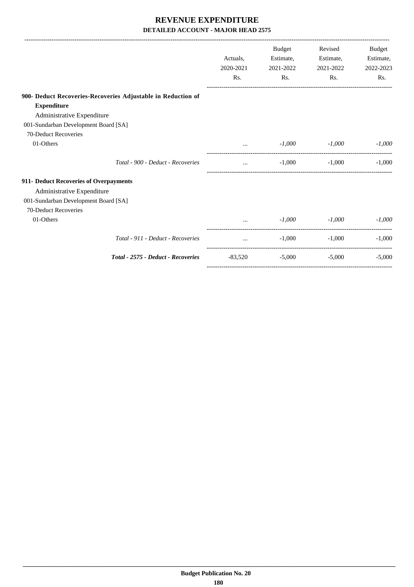|                                                              |                                                | <b>Budget</b>        | Revised   | <b>Budget</b> |
|--------------------------------------------------------------|------------------------------------------------|----------------------|-----------|---------------|
|                                                              | Actuals.                                       | Estimate,            | Estimate, | Estimate,     |
|                                                              | 2020-2021                                      | 2021-2022            | 2021-2022 | 2022-2023     |
|                                                              | Rs.                                            | Rs.                  | Rs.       | Rs.           |
| 900- Deduct Recoveries-Recoveries Adjustable in Reduction of |                                                |                      |           |               |
| <b>Expenditure</b>                                           |                                                |                      |           |               |
| Administrative Expenditure                                   |                                                |                      |           |               |
| 001-Sundarban Development Board [SA]                         |                                                |                      |           |               |
| 70-Deduct Recoveries                                         |                                                |                      |           |               |
| 01-Others                                                    |                                                | $-1,000$<br>$\cdots$ | $-1,000$  | $-1,000$      |
| Total - 900 - Deduct - Recoveries                            | $\cdots$                                       | $-1,000$             | $-1.000$  | $-1,000$      |
| 911- Deduct Recoveries of Overpayments                       |                                                |                      |           |               |
| Administrative Expenditure                                   |                                                |                      |           |               |
| 001-Sundarban Development Board [SA]                         |                                                |                      |           |               |
| 70-Deduct Recoveries                                         |                                                |                      |           |               |
| 01-Others                                                    |                                                | $-1.000$             | $-1,000$  | $-1,000$      |
| Total - 911 - Deduct - Recoveries                            | $\mathbf{r}$ and $\mathbf{r}$ and $\mathbf{r}$ | $-1,000$             | $-1.000$  | $-1.000$      |
| Total - 2575 - Deduct - Recoveries                           | -83,520                                        | $-5,000$             | $-5,000$  | $-5,000$      |
|                                                              |                                                |                      |           |               |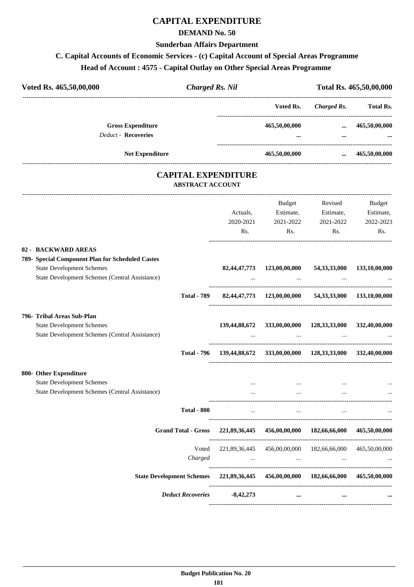#### **CAPITAL EXPENDITURE**

#### **DEMAND No. 50**

#### **Sunderban Affairs Department**

# **C. Capital Accounts of Economic Services - (c) Capital Account of Special Areas Programme**

# **Head of Account : 4575 - Capital Outlay on Other Special Areas Programme**

| Voted Rs. 465,50,00,000    |                          | <b>Charged Rs. Nil</b>    | Total Rs. 465,50,00,000 |                           |  |
|----------------------------|--------------------------|---------------------------|-------------------------|---------------------------|--|
|                            |                          | Voted Rs.                 | Charged Rs.             | <b>Total Rs.</b>          |  |
| <b>Deduct - Recoveries</b> | <b>Gross Expenditure</b> | 465,50,00,000<br>$\cdots$ | $\cdots$<br>$\cdots$    | 465,50,00,000<br>$\cdots$ |  |
|                            | <b>Net Expenditure</b>   | 465,50,00,000             | $\cdots$                | 465,50,00,000             |  |

#### **CAPITAL EXPENDITURE ABSTRACT ACCOUNT**

---------------------------------------------------------------------------------------------------------------------------------------------------------------------------------

|         | Actuals,<br>2020-2021<br>Rs. | Budget<br>Estimate,<br>2021-2022                          | Revised<br>Estimate,<br>2021-2022<br>Rs.                         | <b>Budget</b><br>Estimate,<br>2022-2023<br>Rs.                                                                                                                                                                                                                                                                                                                                                                                                                                                                                                                                                                                                                                                                                                                                                                                                                                                                                                                                                                                                                                                                                                                                                            |
|---------|------------------------------|-----------------------------------------------------------|------------------------------------------------------------------|-----------------------------------------------------------------------------------------------------------------------------------------------------------------------------------------------------------------------------------------------------------------------------------------------------------------------------------------------------------------------------------------------------------------------------------------------------------------------------------------------------------------------------------------------------------------------------------------------------------------------------------------------------------------------------------------------------------------------------------------------------------------------------------------------------------------------------------------------------------------------------------------------------------------------------------------------------------------------------------------------------------------------------------------------------------------------------------------------------------------------------------------------------------------------------------------------------------|
|         |                              |                                                           |                                                                  |                                                                                                                                                                                                                                                                                                                                                                                                                                                                                                                                                                                                                                                                                                                                                                                                                                                                                                                                                                                                                                                                                                                                                                                                           |
|         |                              |                                                           |                                                                  |                                                                                                                                                                                                                                                                                                                                                                                                                                                                                                                                                                                                                                                                                                                                                                                                                                                                                                                                                                                                                                                                                                                                                                                                           |
|         |                              |                                                           |                                                                  |                                                                                                                                                                                                                                                                                                                                                                                                                                                                                                                                                                                                                                                                                                                                                                                                                                                                                                                                                                                                                                                                                                                                                                                                           |
|         |                              |                                                           |                                                                  |                                                                                                                                                                                                                                                                                                                                                                                                                                                                                                                                                                                                                                                                                                                                                                                                                                                                                                                                                                                                                                                                                                                                                                                                           |
|         |                              | $\cdots$                                                  |                                                                  |                                                                                                                                                                                                                                                                                                                                                                                                                                                                                                                                                                                                                                                                                                                                                                                                                                                                                                                                                                                                                                                                                                                                                                                                           |
|         |                              |                                                           |                                                                  |                                                                                                                                                                                                                                                                                                                                                                                                                                                                                                                                                                                                                                                                                                                                                                                                                                                                                                                                                                                                                                                                                                                                                                                                           |
|         |                              |                                                           |                                                                  |                                                                                                                                                                                                                                                                                                                                                                                                                                                                                                                                                                                                                                                                                                                                                                                                                                                                                                                                                                                                                                                                                                                                                                                                           |
| Charged |                              |                                                           |                                                                  |                                                                                                                                                                                                                                                                                                                                                                                                                                                                                                                                                                                                                                                                                                                                                                                                                                                                                                                                                                                                                                                                                                                                                                                                           |
|         |                              |                                                           |                                                                  |                                                                                                                                                                                                                                                                                                                                                                                                                                                                                                                                                                                                                                                                                                                                                                                                                                                                                                                                                                                                                                                                                                                                                                                                           |
|         |                              | $\cdots$                                                  | $\cdots$                                                         |                                                                                                                                                                                                                                                                                                                                                                                                                                                                                                                                                                                                                                                                                                                                                                                                                                                                                                                                                                                                                                                                                                                                                                                                           |
|         |                              | <b>Total - 800</b><br><b>Grand Total - Gross</b><br>Voted | and the state of the state of the<br>Deduct Recoveries -8,42,273 | $\mathbf{Rs.}$<br>82,44,47,773 123,00,00,000 54,33,33,000 133,10,00,000<br><u>and the company of the company of the company of the company of the company of the company of the company of the company of the company of the company of the company of the company of the company of the company of the com</u><br>Total - 789 82,44,47,773 123,00,00,000 54,33,33,000 133,10,00,000<br>139,44,88,672 333,00,00,000 128,33,33,000 332,40,00,000<br>$\mathbf{r}$ , and the contract of the contract of the contract of the contract of the contract of the contract of the contract of the contract of the contract of the contract of the contract of the contract of the contract o<br>Total - 796 139,44,88,672 333,00,00,000 128,33,33,000 332,40,00,000<br>and the company of the company<br>$\cdots$<br>$\mathbf{r}$ and $\mathbf{r}$ are all $\mathbf{r}$ and $\mathbf{r}$ are all $\mathbf{r}$ and $\mathbf{r}$ are all $\mathbf{r}$<br>221,89,36,445 456,00,00,000 182,66,66,000 465,50,00,000<br>221,89,36,445 456,00,00,000 182,66,66,000 465,50,00,000<br>and the state of the state and the state of the<br>State Development Schemes 221,89,36,445 456,00,00,000 182,66,66,000 465,50,00,000 |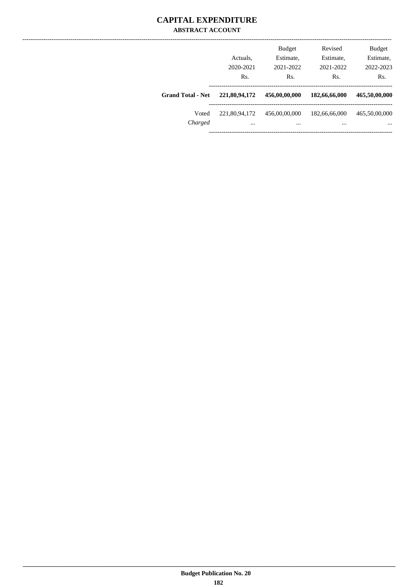#### **CAPITAL EXPENDITURE ABSTRACT ACCOUNT**

|                          | Actuals.<br>2020-2021<br>Rs. | <b>Budget</b><br>Estimate,<br>2021-2022<br>Rs. | Revised<br>Estimate,<br>2021-2022<br>Rs. | <b>Budget</b><br>Estimate,<br>2022-2023<br>Rs. |
|--------------------------|------------------------------|------------------------------------------------|------------------------------------------|------------------------------------------------|
| <b>Grand Total - Net</b> | 221,80,94,172                | 456,00,00,000                                  | 182,66,66,000                            | 465,50,00,000                                  |
| Voted<br>Charged         | 221,80,94,172<br>$\cdots$    | 456,00,00,000<br>$\cdots$                      | 182,66,66,000<br>                        | 465,50,00,000<br>$\cdots$                      |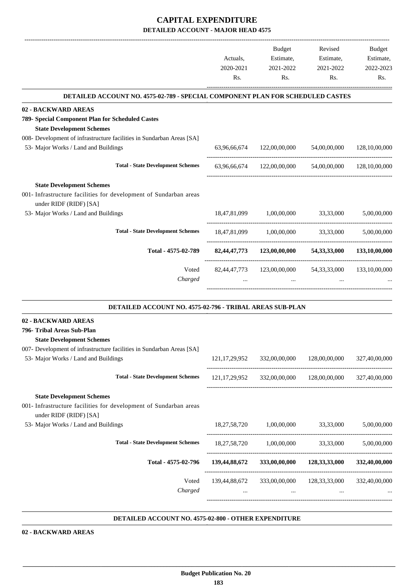## **CAPITAL EXPENDITURE DETAILED ACCOUNT - MAJOR HEAD 4575**

|                                                                                                                                                                | Actuals,<br>2020-2021 | Budget<br>Estimate,<br>2021-2022       | Revised<br>Estimate,<br>2021-2022                       | Budget<br>Estimate,<br>2022-2023 |
|----------------------------------------------------------------------------------------------------------------------------------------------------------------|-----------------------|----------------------------------------|---------------------------------------------------------|----------------------------------|
|                                                                                                                                                                | Rs.                   | Rs.                                    | Rs.                                                     | Rs.                              |
| DETAILED ACCOUNT NO. 4575-02-789 - SPECIAL COMPONENT PLAN FOR SCHEDULED CASTES                                                                                 |                       |                                        |                                                         |                                  |
| 02 - BACKWARD AREAS<br>789- Special Component Plan for Scheduled Castes<br><b>State Development Schemes</b>                                                    |                       |                                        |                                                         |                                  |
| 008- Development of infrastructure facilities in Sundarban Areas [SA]<br>53- Major Works / Land and Buildings                                                  |                       |                                        | 63,96,66,674 122,00,00,000 54,00,00,000                 | 128,10,00,000                    |
| <b>Total - State Development Schemes</b>                                                                                                                       |                       |                                        | 63,96,66,674 122,00,00,000 54,00,00,000 128,10,00,000   |                                  |
| <b>State Development Schemes</b><br>001- Infrastructure facilities for development of Sundarban areas<br>under RIDF (RIDF) [SA]                                |                       |                                        |                                                         |                                  |
| 53- Major Works / Land and Buildings                                                                                                                           |                       | 18,47,81,099 1,00,00,000 33,33,000     |                                                         | 5,00,00,000                      |
| <b>Total - State Development Schemes</b>                                                                                                                       |                       |                                        | 18,47,81,099 1,00,00,000 33,33,000                      | 5,00,00,000                      |
| Total - 4575-02-789                                                                                                                                            |                       |                                        | 82,44,47,773 123,00,00,000 54,33,33,000 133,10,00,000   |                                  |
| Voted<br>Charged                                                                                                                                               | 82, 44, 47, 773       | 123,00,00,000 54,33,33,000<br>$\cdots$ |                                                         | 133,10,00,000                    |
| DETAILED ACCOUNT NO. 4575-02-796 - TRIBAL AREAS SUB-PLAN                                                                                                       |                       |                                        |                                                         |                                  |
| 02 - BACKWARD AREAS<br>796- Tribal Areas Sub-Plan<br><b>State Development Schemes</b><br>007- Development of infrastructure facilities in Sundarban Areas [SA] |                       |                                        |                                                         |                                  |
| 53- Major Works / Land and Buildings                                                                                                                           | 121, 17, 29, 952      | 332,00,00,000                          | 128,00,00,000                                           | 327,40,00,000                    |
| <b>Total - State Development Schemes</b>                                                                                                                       |                       |                                        | 121,17,29,952 332,00,00,000 128,00,00,000               | 327,40,00,000                    |
| <b>State Development Schemes</b><br>001- Infrastructure facilities for development of Sundarban areas<br>under RIDF (RIDF) [SA]                                |                       |                                        |                                                         |                                  |
| 53- Major Works / Land and Buildings                                                                                                                           |                       | 18,27,58,720 1,00,00,000               | 33,33,000                                               | 5,00,00,000                      |
| <b>Total - State Development Schemes</b>                                                                                                                       |                       |                                        | 18,27,58,720 1,00,00,000 33,33,000                      | 5,00,00,000                      |
| Total - 4575-02-796                                                                                                                                            |                       |                                        | 139,44,88,672 333,00,00,000 128,33,33,000 332,40,00,000 |                                  |
| Voted<br>Charged                                                                                                                                               |                       | $\cdots$                               | 139,44,88,672 333,00,00,000 128,33,33,000 332,40,00,000 |                                  |
|                                                                                                                                                                |                       |                                        |                                                         |                                  |

#### **DETAILED ACCOUNT NO. 4575-02-800 - OTHER EXPENDITURE .**

**02 - BACKWARD AREAS**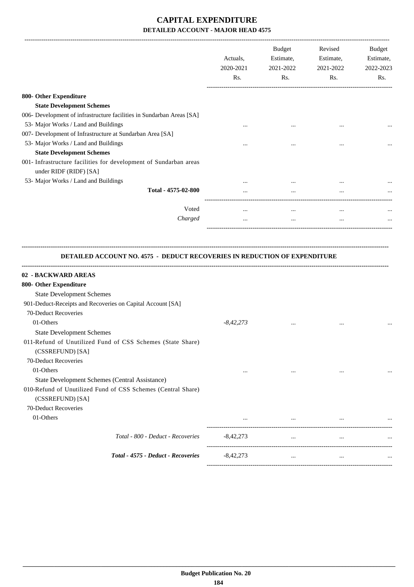# **CAPITAL EXPENDITURE DETAILED ACCOUNT - MAJOR HEAD 4575**

|                                                                                             | Actuals,<br>2020-2021<br>Rs. | <b>Budget</b><br>Estimate,<br>2021-2022<br>Rs. | Revised<br>Estimate,<br>2021-2022<br>Rs. | <b>Budget</b><br>Estimate,<br>2022-2023<br>Rs. |
|---------------------------------------------------------------------------------------------|------------------------------|------------------------------------------------|------------------------------------------|------------------------------------------------|
| 800- Other Expenditure                                                                      |                              |                                                |                                          |                                                |
| <b>State Development Schemes</b>                                                            |                              |                                                |                                          |                                                |
| 006- Development of infrastructure facilities in Sundarban Areas [SA]                       |                              |                                                |                                          |                                                |
| 53- Major Works / Land and Buildings                                                        |                              | $\cdots$                                       |                                          |                                                |
| 007- Development of Infrastructure at Sundarban Area [SA]                                   |                              |                                                |                                          |                                                |
| 53- Major Works / Land and Buildings                                                        |                              |                                                |                                          | $\cdots$                                       |
| <b>State Development Schemes</b>                                                            |                              |                                                |                                          |                                                |
| 001- Infrastructure facilities for development of Sundarban areas<br>under RIDF (RIDF) [SA] |                              |                                                |                                          |                                                |
| 53- Major Works / Land and Buildings                                                        |                              |                                                | $\cdots$                                 |                                                |
| Total - 4575-02-800                                                                         |                              | $\cdots$                                       | $\cdots$                                 |                                                |
| Voted                                                                                       | $\cdots$                     | $\cdots$                                       | $\cdots$                                 |                                                |
| Charged                                                                                     | $\cdots$                     | $\cdots$                                       | $\cdots$                                 |                                                |
|                                                                                             |                              |                                                |                                          |                                                |

#### **DETAILED ACCOUNT NO. 4575 - DEDUCT RECOVERIES IN REDUCTION OF EXPENDITURE**

**--------------------------------------------------------------------------------------------------------------------------------------------------------------------------------**

| 02 - BACKWARD AREAS                                          |             |          |           |  |
|--------------------------------------------------------------|-------------|----------|-----------|--|
| 800- Other Expenditure                                       |             |          |           |  |
| <b>State Development Schemes</b>                             |             |          |           |  |
| 901-Deduct-Receipts and Recoveries on Capital Account [SA]   |             |          |           |  |
| 70-Deduct Recoveries                                         |             |          |           |  |
| 01-Others                                                    | $-8,42,273$ | $\cdots$ | $\cdots$  |  |
| <b>State Development Schemes</b>                             |             |          |           |  |
| 011-Refund of Unutilized Fund of CSS Schemes (State Share)   |             |          |           |  |
| (CSSREFUND) [SA]                                             |             |          |           |  |
| 70-Deduct Recoveries                                         |             |          |           |  |
| 01-Others                                                    |             |          | $\ddotsc$ |  |
| State Development Schemes (Central Assistance)               |             |          |           |  |
| 010-Refund of Unutilized Fund of CSS Schemes (Central Share) |             |          |           |  |
| (CSSREFUND) [SA]                                             |             |          |           |  |
| 70-Deduct Recoveries                                         |             |          |           |  |
| 01-Others                                                    |             |          |           |  |
| Total - 800 - Deduct - Recoveries                            | $-8,42,273$ | $\cdots$ | $\cdots$  |  |
| Total - 4575 - Deduct - Recoveries                           | $-8,42,273$ | $\cdots$ | $\cdots$  |  |
|                                                              |             |          |           |  |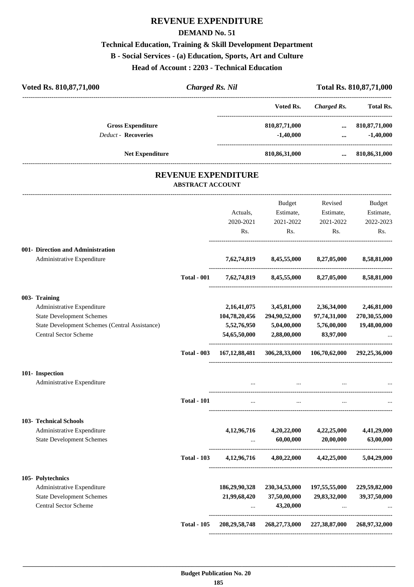# **REVENUE EXPENDITURE**

#### **DEMAND No. 51**

# **Technical Education, Training & Skill Development Department B - Social Services - (a) Education, Sports, Art and Culture**

**Head of Account : 2203 - Technical Education**

| Voted Rs. 810,87,71,000                                                        | <b>Charged Rs. Nil</b>                                |                             |                                                    |                                           | Total Rs. 810, 87, 71, 000 |
|--------------------------------------------------------------------------------|-------------------------------------------------------|-----------------------------|----------------------------------------------------|-------------------------------------------|----------------------------|
|                                                                                |                                                       |                             | Voted Rs.                                          | Charged Rs.                               | Total Rs.                  |
| <b>Gross Expenditure</b><br><b>Deduct - Recoveries</b>                         |                                                       |                             | 810, 87, 71, 000                                   | $\cdots$                                  | 810, 87, 71, 000           |
|                                                                                |                                                       |                             | $-1,40,000$                                        | $\dddotsc$                                | $-1,40,000$                |
| <b>Net Expenditure</b>                                                         |                                                       |                             | 810,86,31,000                                      | $\cdots$                                  | 810,86,31,000              |
|                                                                                | <b>REVENUE EXPENDITURE</b><br><b>ABSTRACT ACCOUNT</b> |                             |                                                    |                                           |                            |
|                                                                                |                                                       |                             | ------------------------<br>Budget                 | Revised                                   | Budget                     |
|                                                                                |                                                       | Actuals,                    | Estimate,                                          | Estimate,                                 | Estimate,                  |
|                                                                                |                                                       | 2020-2021                   | 2021-2022                                          | 2021-2022                                 | 2022-2023                  |
|                                                                                |                                                       | Rs.                         | Rs.                                                | Rs.                                       | Rs.                        |
| 001- Direction and Administration<br>Administrative Expenditure                |                                                       |                             | 7,62,74,819 8,45,55,000 8,27,05,000                |                                           | 8,58,81,000                |
|                                                                                | <b>Total - 001</b>                                    |                             | 7,62,74,819 8,45,55,000 8,27,05,000                |                                           | 8,58,81,000                |
| 003- Training                                                                  |                                                       |                             |                                                    |                                           |                            |
| Administrative Expenditure                                                     |                                                       | 2,16,41,075                 | 3,45,81,000                                        | 2,36,34,000                               | 2,46,81,000                |
| <b>State Development Schemes</b>                                               |                                                       | 104,78,20,456               | 294,90,52,000                                      | 97,74,31,000                              | 270,30,55,000              |
| State Development Schemes (Central Assistance)<br><b>Central Sector Scheme</b> |                                                       | 5,52,76,950<br>54,65,50,000 | 5,04,00,000<br>2,88,00,000                         | 5,76,00,000<br>83,97,000                  | 19,48,00,000               |
|                                                                                | <b>Total - 003</b>                                    | 167, 12, 88, 481            |                                                    | 306,28,33,000 106,70,62,000 292,25,36,000 |                            |
| 101- Inspection                                                                |                                                       |                             |                                                    |                                           |                            |
| Administrative Expenditure                                                     |                                                       |                             | $\cdots$                                           |                                           |                            |
|                                                                                | <b>Total - 101</b>                                    |                             |                                                    |                                           |                            |
| <b>103- Technical Schools</b>                                                  |                                                       |                             |                                                    |                                           |                            |
| Administrative Expenditure<br><b>State Development Schemes</b>                 |                                                       | 4, 12, 96, 716              | 4,20,22,000<br>60,00,000                           | 4,22,25,000<br>20,00,000                  | 4,41,29,000<br>63,00,000   |
|                                                                                | <b>Total - 103</b>                                    |                             | 4,12,96,716 4,80,22,000 4,42,25,000                |                                           | 5,04,29,000                |
| 105- Polytechnics                                                              |                                                       |                             |                                                    |                                           |                            |
| Administrative Expenditure                                                     |                                                       | 186,29,90,328               | 230, 34, 53, 000                                   | 197,55,55,000                             | 229,59,82,000              |
| <b>State Development Schemes</b><br><b>Central Sector Scheme</b>               |                                                       | 21,99,68,420<br>$\cdots$    | 37,50,00,000<br>43,20,000                          | 29,83,32,000<br>$\cdots$                  | 39,37,50,000               |
|                                                                                | <b>Total - 105</b>                                    |                             | 208, 29, 58, 748 268, 27, 73, 000 227, 38, 87, 000 |                                           | 268,97,32,000              |
|                                                                                |                                                       |                             |                                                    |                                           |                            |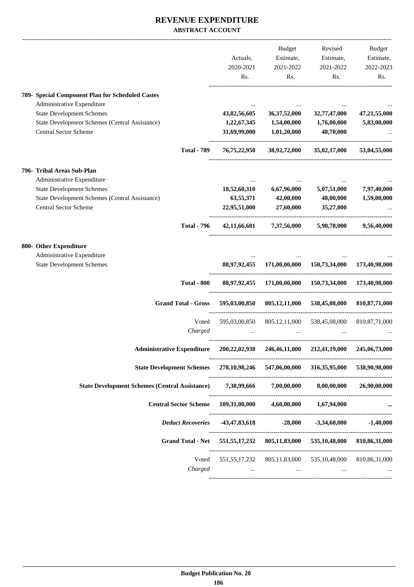#### **REVENUE EXPENDITURE ABSTRACT ACCOUNT**

|                                                                                                                                                                                                      |                  | Actuals,<br>2020-2021<br>Rs.                | <b>Budget</b><br>Estimate,<br>2021-2022<br>Rs. | Revised<br>Estimate,<br>2021-2022<br>Rs.                | <b>Budget</b><br>Estimate,<br>2022-2023<br>Rs. |
|------------------------------------------------------------------------------------------------------------------------------------------------------------------------------------------------------|------------------|---------------------------------------------|------------------------------------------------|---------------------------------------------------------|------------------------------------------------|
| 789- Special Component Plan for Scheduled Castes<br>Administrative Expenditure<br><b>State Development Schemes</b><br>State Development Schemes (Central Assistance)<br><b>Central Sector Scheme</b> |                  | 43,82,56,605<br>1,22,67,345<br>31,69,99,000 | 36, 37, 52, 000<br>1,54,00,000<br>1,01,20,000  | 32,77,47,000<br>1,76,00,000<br>48,70,000                | 47,21,55,000<br>5,83,00,000                    |
| <b>Total - 789</b>                                                                                                                                                                                   |                  | 76,75,22,950                                | 38,92,72,000                                   | 35,02,17,000                                            | 53,04,55,000                                   |
| 796- Tribal Areas Sub-Plan<br>Administrative Expenditure<br><b>State Development Schemes</b><br>State Development Schemes (Central Assistance)<br>Central Sector Scheme                              |                  | 18,52,60,310<br>63,55,371<br>22,95,51,000   | 6,67,96,000<br>42,00,000<br>27,60,000          | 5,07,51,000<br>48,00,000<br>35,27,000                   | 7,97,40,000<br>1,59,00,000                     |
| <b>Total - 796</b>                                                                                                                                                                                   |                  | 42,11,66,681                                | 7,37,56,000                                    | 5,90,78,000                                             | 9,56,40,000                                    |
| 800- Other Expenditure<br>Administrative Expenditure<br><b>State Development Schemes</b><br><b>Total - 800</b>                                                                                       |                  | 88,97,92,455<br>88,97,92,455                | 171,00,00,000<br>171,00,00,000                 | 150,73,34,000<br>150,73,34,000                          | 173,40,98,000<br>173,40,98,000                 |
| <b>Grand Total - Gross</b>                                                                                                                                                                           |                  | 595,03,00,850                               | 805, 12, 11, 000                               | 538,45,08,000                                           | 810, 87, 71, 000                               |
|                                                                                                                                                                                                      | Voted<br>Charged | 595,03,00,850                               | 805, 12, 11, 000                               | 538,45,08,000                                           | 810, 87, 71, 000                               |
| <b>Administrative Expenditure</b>                                                                                                                                                                    |                  | 200,22,02,938                               | 246,46,11,000                                  | 212,41,19,000                                           | 245,06,73,000                                  |
| <b>State Development Schemes</b>                                                                                                                                                                     |                  |                                             |                                                | 278,10,98,246 547,06,00,000 316,35,95,000               | 538,90,98,000                                  |
| <b>State Development Schemes (Central Assistance)</b>                                                                                                                                                |                  |                                             | 7,38,99,666 7,00,00,000                        | 8,00,00,000                                             | 26,90,00,000                                   |
| Central Sector Scheme 109,31,00,000 4,60,00,000 1,67,94,000                                                                                                                                          |                  |                                             |                                                |                                                         |                                                |
| <b>Deduct Recoveries</b>                                                                                                                                                                             |                  |                                             |                                                | $-43,47,83,618$ $-28,000$ $-3,34,60,000$ $-1,40,000$    |                                                |
| <b>Grand Total - Net</b>                                                                                                                                                                             |                  |                                             |                                                | 551,55,17,232 805,11,83,000 535,10,48,000 810,86,31,000 |                                                |
|                                                                                                                                                                                                      | Voted<br>Charged | 551,55,17,232<br>$\cdots$                   | $\sim 100$ and $\sim 100$                      | 805,11,83,000 535,10,48,000<br>$\ldots$                 | 810, 86, 31, 000                               |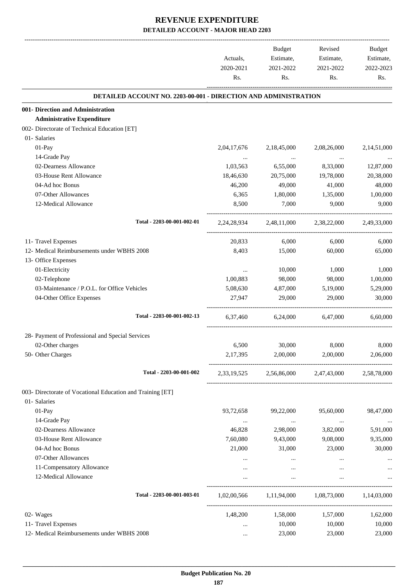|                                                                 | Actuals,<br>2020-2021<br>Rs. | Budget<br>Estimate,<br>2021-2022<br>Rs. | Revised<br>Estimate,<br>2021-2022<br>Rs.                | Budget<br>Estimate,<br>2022-2023<br>Rs. |
|-----------------------------------------------------------------|------------------------------|-----------------------------------------|---------------------------------------------------------|-----------------------------------------|
| DETAILED ACCOUNT NO. 2203-00-001 - DIRECTION AND ADMINISTRATION |                              |                                         |                                                         |                                         |
| 001- Direction and Administration                               |                              |                                         |                                                         |                                         |
| <b>Administrative Expenditure</b>                               |                              |                                         |                                                         |                                         |
| 002- Directorate of Technical Education [ET]                    |                              |                                         |                                                         |                                         |
| 01- Salaries                                                    |                              |                                         |                                                         |                                         |
| 01-Pay                                                          | 2,04,17,676                  | 2,18,45,000                             | 2,08,26,000                                             | 2,14,51,000                             |
| 14-Grade Pay                                                    | $\cdots$                     | $\ldots$                                | $\ddots$                                                |                                         |
| 02-Dearness Allowance                                           | 1,03,563                     | 6,55,000                                | 8,33,000                                                | 12,87,000                               |
| 03-House Rent Allowance                                         | 18,46,630                    | 20,75,000                               | 19,78,000                                               | 20,38,000                               |
| 04-Ad hoc Bonus                                                 | 46,200                       | 49,000                                  | 41,000                                                  | 48,000                                  |
| 07-Other Allowances                                             | 6,365                        | 1,80,000                                | 1,35,000                                                | 1,00,000                                |
| 12-Medical Allowance                                            | 8,500                        | 7,000                                   | 9,000                                                   | 9,000                                   |
| Total - 2203-00-001-002-01                                      |                              |                                         | 2,24,28,934 2,48,11,000 2,38,22,000                     | 2,49,33,000                             |
| 11- Travel Expenses                                             | 20,833                       | 6,000                                   | 6,000                                                   | 6,000                                   |
| 12- Medical Reimbursements under WBHS 2008                      | 8,403                        | 15,000                                  | 60,000                                                  | 65,000                                  |
| 13- Office Expenses                                             |                              |                                         |                                                         |                                         |
| 01-Electricity                                                  | $\cdots$                     | 10,000                                  | 1,000                                                   | 1,000                                   |
| 02-Telephone                                                    | 1,00,883                     | 98,000                                  | 98,000                                                  | 1,00,000                                |
| 03-Maintenance / P.O.L. for Office Vehicles                     | 5,08,630                     | 4,87,000                                | 5,19,000                                                | 5,29,000                                |
| 04-Other Office Expenses                                        | 27,947                       | 29,000                                  | 29,000                                                  | 30,000                                  |
| Total - 2203-00-001-002-13                                      |                              | 6,37,460 6,24,000                       | 6,47,000                                                | 6.60,000                                |
| 28- Payment of Professional and Special Services                |                              |                                         |                                                         |                                         |
| 02-Other charges                                                | 6,500                        | 30,000                                  | 8,000                                                   | 8,000                                   |
| 50- Other Charges                                               | 2, 17, 395                   | 2,00,000                                | 2,00,000                                                | 2.06.000                                |
| Total - 2203-00-001-002                                         | 2,33,19,525                  |                                         | 2,56,86,000 2,47,43,000                                 | 2,58,78,000                             |
| 003- Directorate of Vocational Education and Training [ET]      |                              |                                         |                                                         |                                         |
| 01- Salaries                                                    |                              |                                         |                                                         |                                         |
| 01-Pay                                                          | 93,72,658                    | 99,22,000                               | 95,60,000                                               | 98,47,000                               |
| 14-Grade Pay                                                    | $\cdots$                     | $\ddots$                                | $\ldots$                                                | $\cdots$                                |
| 02-Dearness Allowance                                           | 46,828                       | 2,98,000                                | 3,82,000                                                | 5,91,000                                |
| 03-House Rent Allowance                                         | 7,60,080                     | 9,43,000                                | 9,08,000                                                | 9,35,000                                |
| 04-Ad hoc Bonus                                                 | 21,000                       | 31,000                                  | 23,000                                                  | 30,000                                  |
| 07-Other Allowances                                             | $\cdots$                     | $\cdots$                                | $\cdots$                                                |                                         |
| 11-Compensatory Allowance                                       | $\cdots$                     |                                         | $\cdots$                                                |                                         |
| 12-Medical Allowance                                            | $\cdots$                     | $\cdots$                                | $\cdots$                                                |                                         |
| Total - 2203-00-001-003-01                                      |                              |                                         | $1,02,00,566$ $1,11,94,000$ $1,08,73,000$ $1,14,03,000$ |                                         |
| 02- Wages                                                       | 1,48,200                     | 1,58,000                                | 1,57,000                                                | 1,62,000                                |
| 11- Travel Expenses                                             | $\cdots$                     | 10,000                                  | 10,000                                                  | 10,000                                  |
| 12- Medical Reimbursements under WBHS 2008                      | $\cdots$                     | 23,000                                  | 23,000                                                  | 23,000                                  |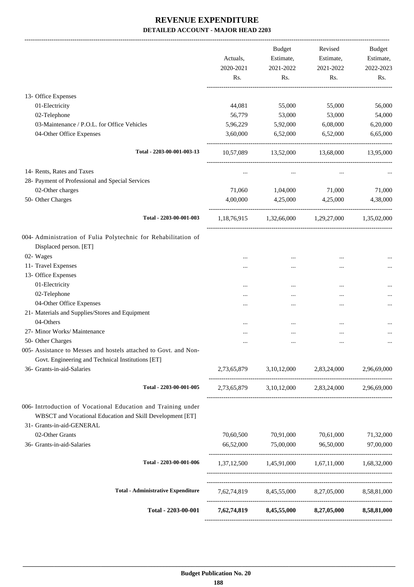|                                                                                                                                                         | Actuals,<br>2020-2021<br>Rs. | <b>Budget</b><br>Estimate,<br>2021-2022<br>Rs. | Revised<br>Estimate,<br>2021-2022<br>Rs.        | Budget<br>Estimate,<br>2022-2023<br>Rs. |
|---------------------------------------------------------------------------------------------------------------------------------------------------------|------------------------------|------------------------------------------------|-------------------------------------------------|-----------------------------------------|
|                                                                                                                                                         |                              |                                                |                                                 |                                         |
| 13- Office Expenses                                                                                                                                     |                              |                                                |                                                 |                                         |
| 01-Electricity                                                                                                                                          | 44,081                       | 55,000                                         | 55,000                                          | 56,000                                  |
| 02-Telephone                                                                                                                                            | 56,779                       | 53,000                                         | 53,000                                          | 54,000                                  |
| 03-Maintenance / P.O.L. for Office Vehicles                                                                                                             | 5,96,229                     | 5,92,000                                       | 6,08,000                                        | 6,20,000                                |
| 04-Other Office Expenses                                                                                                                                | 3,60,000                     | 6,52,000                                       | 6,52,000                                        | 6,65,000                                |
| Total - 2203-00-001-003-13                                                                                                                              | 10,57,089                    | 13,52,000                                      | 13,68,000                                       | 13,95,000                               |
| 14- Rents, Rates and Taxes                                                                                                                              |                              | $\ddotsc$                                      |                                                 |                                         |
| 28- Payment of Professional and Special Services                                                                                                        |                              |                                                |                                                 |                                         |
| 02-Other charges                                                                                                                                        | 71,060                       | 1,04,000                                       | 71,000                                          | 71,000                                  |
| 50- Other Charges                                                                                                                                       | 4,00,000                     | 4,25,000                                       | 4,25,000                                        | 4,38,000                                |
| Total - 2203-00-001-003                                                                                                                                 |                              | 1,18,76,915 1,32,66,000 1,29,27,000            |                                                 | 1,35,02,000                             |
| 004- Administration of Fulia Polytechnic for Rehabilitation of                                                                                          |                              |                                                |                                                 |                                         |
| Displaced person. [ET]                                                                                                                                  |                              |                                                |                                                 |                                         |
| 02- Wages                                                                                                                                               |                              |                                                |                                                 |                                         |
| 11- Travel Expenses                                                                                                                                     |                              |                                                | <br>                                            |                                         |
| 13- Office Expenses                                                                                                                                     |                              |                                                |                                                 |                                         |
| 01-Electricity                                                                                                                                          |                              |                                                |                                                 |                                         |
| 02-Telephone                                                                                                                                            |                              |                                                |                                                 |                                         |
| 04-Other Office Expenses                                                                                                                                |                              |                                                |                                                 |                                         |
| 21- Materials and Supplies/Stores and Equipment                                                                                                         |                              |                                                |                                                 |                                         |
| 04-Others                                                                                                                                               |                              |                                                |                                                 |                                         |
| 27- Minor Works/ Maintenance                                                                                                                            |                              |                                                |                                                 |                                         |
| 50- Other Charges                                                                                                                                       |                              |                                                |                                                 | $\cdots$                                |
| 005- Assistance to Messes and hostels attached to Govt. and Non-                                                                                        |                              |                                                |                                                 |                                         |
| Govt. Engineering and Technical Institutions [ET]                                                                                                       |                              |                                                |                                                 |                                         |
| 36- Grants-in-aid-Salaries                                                                                                                              |                              |                                                | 2,73,65,879 3,10,12,000 2,83,24,000 2,96,69,000 |                                         |
| Total - 2203-00-001-005                                                                                                                                 |                              |                                                | 2,73,65,879 3,10,12,000 2,83,24,000 2,96,69,000 |                                         |
| 006- Intrtoduction of Vocational Education and Training under<br>WBSCT and Vocational Education and Skill Development [ET]<br>31- Grants-in-aid-GENERAL |                              |                                                |                                                 |                                         |
| 02-Other Grants                                                                                                                                         | 70,60,500                    | 70,91,000                                      | 70,61,000                                       | 71,32,000                               |
| 36- Grants-in-aid-Salaries                                                                                                                              |                              | 66,52,000 75,00,000                            | 96,50,000                                       | 97,00,000                               |
| Total - 2203-00-001-006                                                                                                                                 |                              |                                                | 1,37,12,500 1,45,91,000 1,67,11,000 1,68,32,000 |                                         |
| <b>Total - Administrative Expenditure</b>                                                                                                               |                              |                                                | 7,62,74,819 8,45,55,000 8,27,05,000 8,58,81,000 |                                         |
| Total - 2203-00-001                                                                                                                                     |                              |                                                |                                                 |                                         |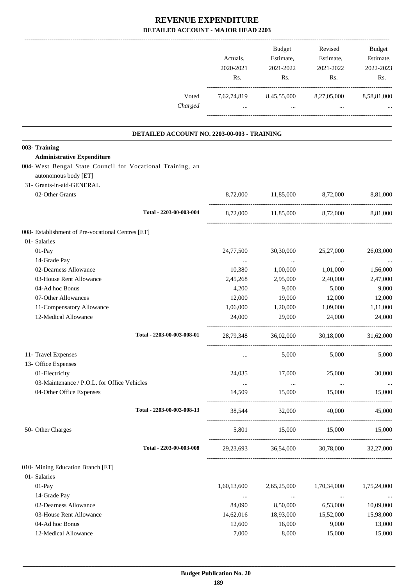|                                                                                    | Actuals,<br>2020-2021<br>Rs. | Budget<br>Estimate,<br>2021-2022<br>Rs.    | Revised<br>Estimate,<br>2021-2022<br>Rs.        | Budget<br>Estimate,<br>2022-2023<br>Rs. |
|------------------------------------------------------------------------------------|------------------------------|--------------------------------------------|-------------------------------------------------|-----------------------------------------|
| Voted<br>Charged                                                                   | $\cdots$                     | $\mathbf{r}$ , $\mathbf{r}$ , $\mathbf{r}$ | 7,62,74,819 8,45,55,000 8,27,05,000<br>$\cdots$ | 8,58,81,000                             |
| DETAILED ACCOUNT NO. 2203-00-003 - TRAINING                                        |                              |                                            |                                                 |                                         |
| 003- Training                                                                      |                              |                                            |                                                 |                                         |
| <b>Administrative Expenditure</b>                                                  |                              |                                            |                                                 |                                         |
| 004- West Bengal State Council for Vocational Training, an<br>autonomous body [ET] |                              |                                            |                                                 |                                         |
| 31- Grants-in-aid-GENERAL<br>02-Other Grants                                       |                              | 8,72,000 11,85,000                         | 8,72,000                                        | 8,81,000                                |
|                                                                                    |                              |                                            |                                                 |                                         |
| Total - 2203-00-003-004                                                            |                              |                                            | 8,72,000 11,85,000 8,72,000                     | 8,81,000                                |
| 008- Establishment of Pre-vocational Centres [ET]                                  |                              |                                            |                                                 |                                         |
| 01- Salaries                                                                       |                              |                                            |                                                 |                                         |
| 01-Pay                                                                             | 24,77,500                    | 30,30,000                                  | 25,27,000                                       | 26,03,000                               |
| 14-Grade Pay                                                                       | $\cdots$                     | $\cdots$                                   | $\cdots$                                        |                                         |
| 02-Dearness Allowance                                                              | 10,380                       | 1,00,000                                   | 1,01,000                                        | 1,56,000                                |
| 03-House Rent Allowance                                                            | 2,45,268                     | 2,95,000                                   | 2,40,000                                        | 2,47,000                                |
| 04-Ad hoc Bonus                                                                    | 4,200                        | 9,000                                      | 5,000                                           | 9,000                                   |
| 07-Other Allowances                                                                | 12,000                       | 19,000                                     | 12,000                                          | 12,000                                  |
| 11-Compensatory Allowance                                                          | 1,06,000                     | 1,20,000                                   | 1,09,000                                        | 1,11,000                                |
| 12-Medical Allowance                                                               | 24,000                       | 29,000                                     | 24,000                                          | 24,000                                  |
| Total - 2203-00-003-008-01                                                         | 28,79,348                    | 36,02,000                                  | 30,18,000                                       | 31,62,000                               |
| 11- Travel Expenses                                                                | $\cdots$                     | 5,000                                      | 5,000                                           | 5,000                                   |
| 13- Office Expenses                                                                |                              |                                            |                                                 |                                         |
| 01-Electricity                                                                     | 24,035                       | 17,000                                     | 25,000                                          | 30,000                                  |
| 03-Maintenance / P.O.L. for Office Vehicles                                        | $\cdots$                     | $\cdots$                                   | $\cdots$                                        | $\ldots$                                |
| 04-Other Office Expenses                                                           | 14,509                       | 15,000                                     | 15,000                                          | 15,000                                  |
| Total - 2203-00-003-008-13                                                         | 38,544                       | 32,000                                     | 40,000                                          | 45,000                                  |
| 50- Other Charges                                                                  | 5,801                        | 15,000                                     | 15,000 15,000                                   |                                         |
| Total - 2203-00-003-008                                                            | 29,23,693                    | 36,54,000                                  | 30,78,000                                       | 32,27,000                               |
| 010- Mining Education Branch [ET]                                                  |                              |                                            |                                                 |                                         |
| 01- Salaries                                                                       |                              |                                            |                                                 |                                         |
| 01-Pay                                                                             | 1,60,13,600                  | 2,65,25,000                                | 1,70,34,000                                     | 1,75,24,000                             |
| 14-Grade Pay                                                                       | $\ldots$                     | $\cdots$                                   | $\cdots$                                        |                                         |
| 02-Dearness Allowance                                                              | 84,090                       | 8,50,000                                   | 6,53,000                                        | 10,09,000                               |
| 03-House Rent Allowance                                                            | 14,62,016                    | 18,93,000                                  | 15,52,000                                       | 15,98,000                               |
| 04-Ad hoc Bonus                                                                    | 12,600                       | 16,000                                     | 9,000                                           | 13,000                                  |
| 12-Medical Allowance                                                               | 7,000                        | 8,000                                      | 15,000                                          | 15,000                                  |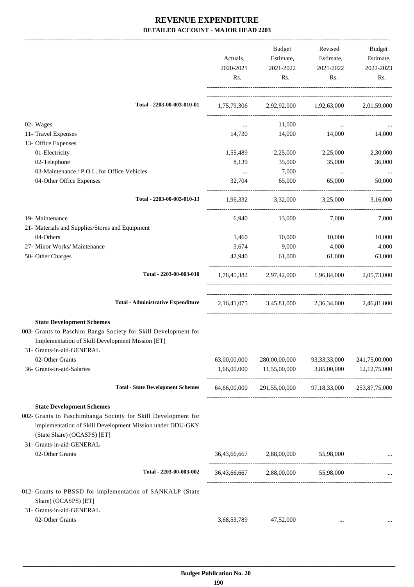|                                                                                                                                                                                               | Actuals,<br>2020-2021<br>Rs.  | Budget<br>Estimate,<br>2021-2022<br>Rs.               | Revised<br>Estimate,<br>2021-2022<br>Rs. | Budget<br>Estimate,<br>2022-2023<br>Rs. |
|-----------------------------------------------------------------------------------------------------------------------------------------------------------------------------------------------|-------------------------------|-------------------------------------------------------|------------------------------------------|-----------------------------------------|
| Total - 2203-00-003-010-01                                                                                                                                                                    |                               | 1,75,79,306 2,92,92,000 1,92,63,000 2,01,59,000       |                                          |                                         |
| 02- Wages<br>11- Travel Expenses<br>13- Office Expenses                                                                                                                                       | $\cdots$<br>14,730            | 11,000<br>14,000                                      | $\cdots$<br>14,000                       | 14,000                                  |
| 01-Electricity<br>02-Telephone<br>03-Maintenance / P.O.L. for Office Vehicles                                                                                                                 | 1,55,489<br>8,139<br>$\cdots$ | 2,25,000<br>35,000<br>7,000                           | 2,25,000<br>35,000<br>$\ldots$           | 2,30,000<br>36,000                      |
| 04-Other Office Expenses                                                                                                                                                                      | 32,704                        | 65,000                                                | 65,000                                   | 50,000                                  |
| Total - 2203-00-003-010-13                                                                                                                                                                    | 1,96,332                      |                                                       | 3,32,000 3,25,000                        | 3,16,000                                |
| 19- Maintenance<br>21- Materials and Supplies/Stores and Equipment                                                                                                                            | 6,940                         | 13,000                                                | 7,000                                    | 7,000                                   |
| 04-Others                                                                                                                                                                                     | 1,460                         | 10,000                                                | 10,000                                   | 10,000                                  |
| 27- Minor Works/ Maintenance                                                                                                                                                                  | 3,674                         | 9,000                                                 | 4,000                                    | 4,000                                   |
| 50- Other Charges                                                                                                                                                                             | 42,940                        | 61,000                                                | 61,000                                   | 63,000                                  |
| Total - 2203-00-003-010                                                                                                                                                                       |                               | 1,78,45,382 2,97,42,000 1,96,84,000 2,05,73,000       |                                          |                                         |
| <b>Total - Administrative Expenditure</b>                                                                                                                                                     |                               | 2,16,41,075 3,45,81,000 2,36,34,000 2,46,81,000       |                                          |                                         |
| <b>State Development Schemes</b><br>003- Grants to Paschim Banga Society for Skill Development for<br>Implementation of Skill Development Mission [ET]<br>31- Grants-in-aid-GENERAL           |                               |                                                       |                                          |                                         |
| 02-Other Grants<br>36- Grants-in-aid-Salaries                                                                                                                                                 | 63,00,00,000<br>1,66,00,000   | 280,00,00,000<br>11,55,00,000                         | 93, 33, 33, 000<br>3,85,00,000           | 241,75,00,000<br>12, 12, 75, 000        |
| <b>Total - State Development Schemes</b>                                                                                                                                                      |                               | 64,66,00,000 291,55,00,000 97,18,33,000 253,87,75,000 |                                          |                                         |
| <b>State Development Schemes</b><br>002- Grants to Paschimbanga Society for Skill Development for<br>implementation of Skill Development Mission under DDU-GKY<br>(State Share) (OCASPS) [ET] |                               |                                                       |                                          |                                         |
| 31- Grants-in-aid-GENERAL<br>02-Other Grants                                                                                                                                                  |                               | 36,43,66,667 2,88,00,000                              | 55,98,000                                |                                         |
| Total - 2203-00-003-002                                                                                                                                                                       |                               | 36,43,66,667 2,88,00,000 55,98,000                    |                                          |                                         |
| 012- Grants to PBSSD for implementation of SANKALP (State<br>Share) (OCASPS) [ET]                                                                                                             |                               |                                                       |                                          |                                         |
| 31- Grants-in-aid-GENERAL<br>02-Other Grants                                                                                                                                                  | 3,68,53,789                   | 47,52,000                                             |                                          |                                         |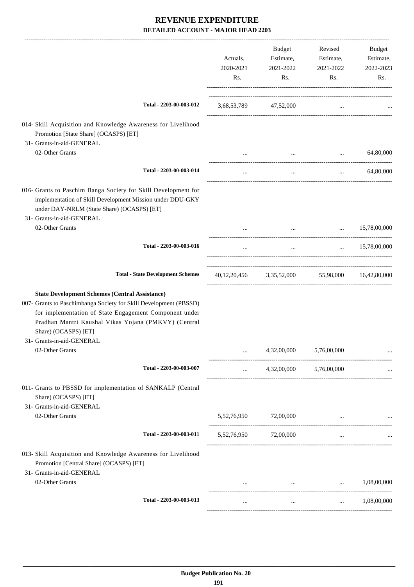|                                                                                                                                                                                                                                                                                                   | Actuals,<br>2020-2021<br>Rs. | Budget<br>Estimate,<br>2021-2022<br>Rs.         | Revised<br>Estimate,<br>2021-2022<br>Rs. | Budget<br>Estimate,<br>2022-2023<br>Rs. |
|---------------------------------------------------------------------------------------------------------------------------------------------------------------------------------------------------------------------------------------------------------------------------------------------------|------------------------------|-------------------------------------------------|------------------------------------------|-----------------------------------------|
| Total - 2203-00-003-012                                                                                                                                                                                                                                                                           |                              | 3,68,53,789 47,52,000                           | $\cdots$                                 |                                         |
| 014- Skill Acquisition and Knowledge Awareness for Livelihood<br>Promotion [State Share] (OCASPS) [ET]<br>31- Grants-in-aid-GENERAL                                                                                                                                                               |                              |                                                 |                                          |                                         |
| 02-Other Grants                                                                                                                                                                                                                                                                                   | $\cdots$                     | $\cdots$                                        | $\ddots$                                 | 64,80,000                               |
| Total - 2203-00-003-014                                                                                                                                                                                                                                                                           | $\cdots$                     | $\ldots$                                        | $\cdots$                                 | 64,80,000                               |
| 016- Grants to Paschim Banga Society for Skill Development for<br>implementation of Skill Development Mission under DDU-GKY<br>under DAY-NRLM (State Share) (OCASPS) [ET]<br>31- Grants-in-aid-GENERAL                                                                                            |                              |                                                 |                                          |                                         |
| 02-Other Grants                                                                                                                                                                                                                                                                                   | $\cdots$                     |                                                 | and the state of the state of the        | $\ldots$ 15,78,00,000                   |
| Total - 2203-00-003-016                                                                                                                                                                                                                                                                           | $\cdots$                     | $\cdots$                                        |                                          | $\ldots$ 15,78,00,000                   |
| <b>Total - State Development Schemes</b>                                                                                                                                                                                                                                                          |                              | 40,12,20,456 3,35,52,000 55,98,000 16,42,80,000 |                                          |                                         |
| <b>State Development Schemes (Central Assistance)</b><br>007- Grants to Paschimbanga Society for Skill Development (PBSSD)<br>for implementation of State Engagement Component under<br>Pradhan Mantri Kaushal Vikas Yojana (PMKVY) (Central<br>Share) (OCASPS) [ET]<br>31- Grants-in-aid-GENERAL |                              |                                                 |                                          |                                         |
| 02-Other Grants                                                                                                                                                                                                                                                                                   |                              | 4,32,00,000                                     | 5,76,00,000                              |                                         |
| Total - 2203-00-003-007                                                                                                                                                                                                                                                                           | $\cdots$                     |                                                 | 4,32,00,000 5,76,00,000                  |                                         |
| 011- Grants to PBSSD for implementation of SANKALP (Central<br>Share) (OCASPS) [ET]<br>31- Grants-in-aid-GENERAL                                                                                                                                                                                  |                              |                                                 |                                          |                                         |
| 02-Other Grants                                                                                                                                                                                                                                                                                   |                              | 5,52,76,950 72,00,000                           | $\cdots$                                 |                                         |
| Total - 2203-00-003-011                                                                                                                                                                                                                                                                           |                              | 5,52,76,950 72,00,000                           | $\cdots$                                 |                                         |
| 013- Skill Acquisition and Knowledge Awareness for Livelihood<br>Promotion [Central Share] (OCASPS) [ET]<br>31- Grants-in-aid-GENERAL                                                                                                                                                             |                              |                                                 |                                          |                                         |
| 02-Other Grants                                                                                                                                                                                                                                                                                   |                              |                                                 | $\ldots$ $1,08,00,000$                   |                                         |
| Total - 2203-00-003-013                                                                                                                                                                                                                                                                           | $\cdots$                     | $\cdots$                                        | $\cdots$                                 | 1,08,00,000                             |
|                                                                                                                                                                                                                                                                                                   |                              |                                                 |                                          |                                         |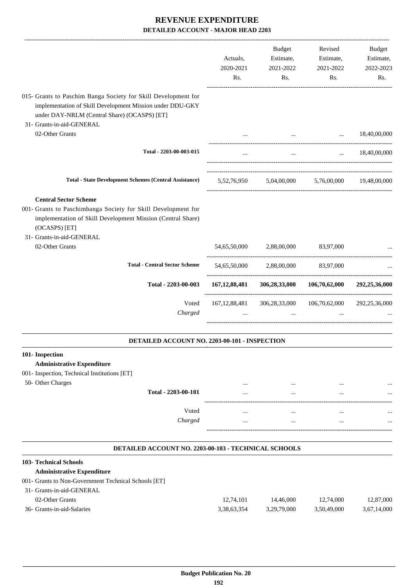|                                                                                                                                                                                                                               | Actuals,<br>2020-2021<br>Rs. | <b>Budget</b><br>Estimate,<br>2021-2022<br>Rs.                                                                    | Revised<br>Estimate,<br>2021-2022<br>Rs.  | <b>Budget</b><br>Estimate,<br>2022-2023<br>Rs. |
|-------------------------------------------------------------------------------------------------------------------------------------------------------------------------------------------------------------------------------|------------------------------|-------------------------------------------------------------------------------------------------------------------|-------------------------------------------|------------------------------------------------|
| 015- Grants to Paschim Banga Society for Skill Development for<br>implementation of Skill Development Mission under DDU-GKY<br>under DAY-NRLM (Central Share) (OCASPS) [ET]<br>31- Grants-in-aid-GENERAL                      |                              |                                                                                                                   |                                           |                                                |
| 02-Other Grants                                                                                                                                                                                                               | $\cdots$                     |                                                                                                                   | $\cdots$<br>and the state of the state of | 18,40,00,000                                   |
| Total - 2203-00-003-015                                                                                                                                                                                                       | $\cdots$                     | $\cdots$                                                                                                          | $\sim$ .                                  | 18,40,00,000                                   |
| <b>Total - State Development Schemes (Central Assistance)</b>                                                                                                                                                                 |                              | $5{,}52{,}76{,}950 \qquad \quad 5{,}04{,}00{,}000 \qquad \quad 5{,}76{,}00{,}000 \qquad \quad 19{,}48{,}00{,}000$ |                                           |                                                |
| <b>Central Sector Scheme</b><br>001- Grants to Paschimbanga Society for Skill Development for<br>implementation of Skill Development Mission (Central Share)<br>(OCASPS) [ET]<br>31- Grants-in-aid-GENERAL<br>02-Other Grants | 54,65,50,000                 | 2,88,00,000                                                                                                       | 83,97,000                                 |                                                |
| <b>Total - Central Sector Scheme</b>                                                                                                                                                                                          | 54,65,50,000                 | 2,88,00,000                                                                                                       | 83,97,000                                 |                                                |
| Total - 2203-00-003                                                                                                                                                                                                           |                              | 167, 12, 88, 481 306, 28, 33, 000                                                                                 | 106,70,62,000                             | 292,25,36,000                                  |
| Voted<br>Charged                                                                                                                                                                                                              | $\cdots$                     | 167, 12, 88, 481 306, 28, 33, 000<br>$\cdots$                                                                     | 106,70,62,000<br>$\dddotsc$               | 292,25,36,000                                  |
| DETAILED ACCOUNT NO. 2203-00-101 - INSPECTION                                                                                                                                                                                 |                              |                                                                                                                   |                                           |                                                |
| 101- Inspection<br><b>Administrative Expenditure</b><br>001- Inspection, Technical Institutions [ET]<br>50- Other Charges                                                                                                     |                              |                                                                                                                   |                                           |                                                |
|                                                                                                                                                                                                                               |                              |                                                                                                                   |                                           |                                                |

| $50 - 30$ CHICL CHALGES |                     |                    | <br> |  |
|-------------------------|---------------------|--------------------|------|--|
|                         | Total - 2203-00-101 |                    | <br> |  |
|                         |                     |                    |      |  |
|                         | Voted               |                    | <br> |  |
|                         | Charged             |                    | <br> |  |
|                         |                     | ------------------ |      |  |

#### **DETAILED ACCOUNT NO. 2203-00-103 - TECHNICAL SCHOOLS**

.

| <b>103- Technical Schools</b>                        |             |             |             |             |
|------------------------------------------------------|-------------|-------------|-------------|-------------|
| <b>Administrative Expenditure</b>                    |             |             |             |             |
| 001- Grants to Non-Government Technical Schools [ET] |             |             |             |             |
| 31- Grants-in-aid-GENERAL                            |             |             |             |             |
| 02-Other Grants                                      | 12.74.101   | 14.46.000   | 12.74.000   | 12,87,000   |
| 36- Grants-in-aid-Salaries                           | 3,38,63,354 | 3.29.79.000 | 3,50,49,000 | 3,67,14,000 |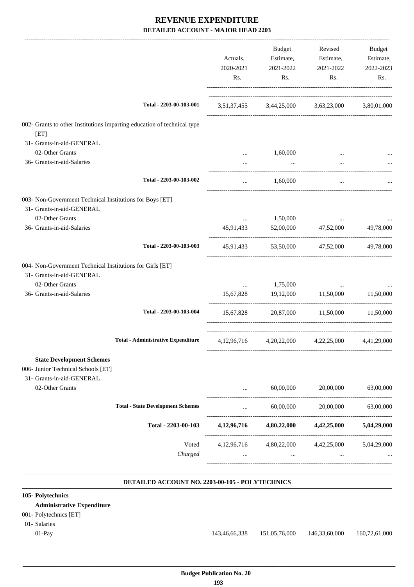|                                                                                 |                                           | Actuals,<br>2020-2021<br>Rs. | Budget<br>Estimate,<br>2021-2022<br>Rs. | Revised<br>Estimate,<br>2021-2022<br>Rs.        | Budget<br>Estimate,<br>2022-2023<br>Rs. |
|---------------------------------------------------------------------------------|-------------------------------------------|------------------------------|-----------------------------------------|-------------------------------------------------|-----------------------------------------|
|                                                                                 | Total - 2203-00-103-001                   |                              |                                         | 3,51,37,455 3,44,25,000 3,63,23,000 3,80,01,000 |                                         |
| 002- Grants to other Institutions imparting education of technical type<br>[ET] |                                           |                              |                                         |                                                 |                                         |
| 31- Grants-in-aid-GENERAL                                                       |                                           |                              |                                         |                                                 |                                         |
| 02-Other Grants                                                                 |                                           |                              | 1,60,000                                |                                                 |                                         |
| 36- Grants-in-aid-Salaries                                                      |                                           |                              | $\cdots$                                | $\cdots$                                        |                                         |
|                                                                                 | Total - 2203-00-103-002                   | $\cdots$                     | 1,60,000                                | $\cdots$                                        |                                         |
| 003- Non-Government Technical Institutions for Boys [ET]                        |                                           |                              |                                         |                                                 |                                         |
| 31- Grants-in-aid-GENERAL                                                       |                                           |                              |                                         |                                                 |                                         |
| 02-Other Grants                                                                 |                                           | $\cdots$                     | 1,50,000                                |                                                 |                                         |
| 36- Grants-in-aid-Salaries                                                      |                                           | 45,91,433                    | 52,00,000                               | 47,52,000                                       | 49,78,000                               |
|                                                                                 | Total - 2203-00-103-003                   | 45,91,433                    | 53,50,000                               | 47,52,000                                       | 49,78,000                               |
| 004- Non-Government Technical Institutions for Girls [ET]                       |                                           |                              |                                         |                                                 |                                         |
| 31- Grants-in-aid-GENERAL                                                       |                                           |                              |                                         |                                                 |                                         |
| 02-Other Grants                                                                 |                                           | $\cdots$                     | 1,75,000                                | $\cdots$                                        |                                         |
| 36- Grants-in-aid-Salaries                                                      |                                           | 15,67,828                    | 19,12,000 11,50,000                     |                                                 | 11,50,000                               |
|                                                                                 | Total - 2203-00-103-004                   | 15,67,828                    |                                         | 20,87,000 11,50,000                             | 11.50.000                               |
|                                                                                 | <b>Total - Administrative Expenditure</b> |                              |                                         | 4,12,96,716 4,20,22,000 4,22,25,000             | 4,41,29,000                             |
|                                                                                 |                                           |                              |                                         |                                                 |                                         |
| <b>State Development Schemes</b>                                                |                                           |                              |                                         |                                                 |                                         |
| 006- Junior Technical Schools [ET]<br>31- Grants-in-aid-GENERAL                 |                                           |                              |                                         |                                                 |                                         |
| 02-Other Grants                                                                 |                                           |                              | 60,00,000                               | 20,00,000                                       | 63,00,000                               |
|                                                                                 | <b>Total - State Development Schemes</b>  |                              | 60,00,000                               | 20,00,000                                       | 63,00,000                               |
|                                                                                 | Total - 2203-00-103                       | 4, 12, 96, 716               | 4,80,22,000                             | 4,42,25,000                                     | 5,04,29,000                             |
|                                                                                 | Voted                                     | 4, 12, 96, 716               | 4,80,22,000                             | 4,42,25,000                                     | 5,04,29,000                             |
|                                                                                 | Charged                                   |                              |                                         |                                                 |                                         |
|                                                                                 |                                           |                              |                                         |                                                 |                                         |

#### **DETAILED ACCOUNT NO. 2203-00-105 - POLYTECHNICS**

#### **. 105- Polytechnics Administrative Expenditure** 001- Polytechnics [ET] 01- Salaries 01-Pay 143,46,66,338 151,05,76,000 146,33,60,000 160,72,61,000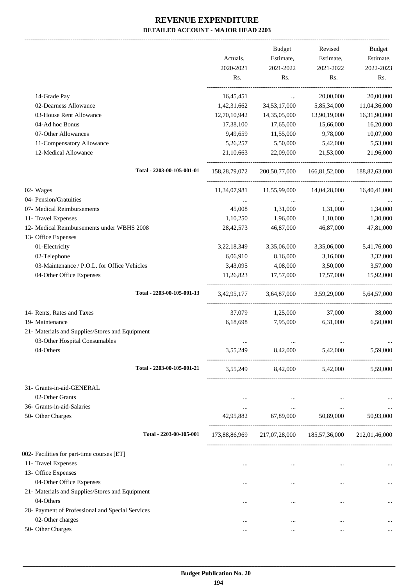|                                                  |               | Budget                                          | Revised                     | Budget           |
|--------------------------------------------------|---------------|-------------------------------------------------|-----------------------------|------------------|
|                                                  | Actuals,      | Estimate,                                       | Estimate,                   | Estimate,        |
|                                                  | 2020-2021     | 2021-2022                                       | 2021-2022                   | 2022-2023        |
|                                                  | Rs.           | Rs.                                             | Rs.                         | Rs.              |
| 14-Grade Pay                                     | 16,45,451     | $\cdots$                                        | 20,00,000                   | 20,00,000        |
| 02-Dearness Allowance                            | 1,42,31,662   | 34,53,17,000                                    | 5,85,34,000                 | 11,04,36,000     |
| 03-House Rent Allowance                          | 12,70,10,942  | 14,35,05,000                                    | 13,90,19,000                | 16,31,90,000     |
| 04-Ad hoc Bonus                                  | 17,38,100     | 17,65,000                                       | 15,66,000                   | 16,20,000        |
| 07-Other Allowances                              | 9,49,659      | 11,55,000                                       | 9,78,000                    | 10,07,000        |
| 11-Compensatory Allowance                        | 5,26,257      | 5,50,000                                        | 5,42,000                    | 5,53,000         |
| 12-Medical Allowance                             | 21,10,663     | 22,09,000                                       | 21,53,000                   | 21,96,000        |
| Total - 2203-00-105-001-01                       | 158,28,79,072 | 200,50,77,000                                   | 166,81,52,000               | 188, 82, 63, 000 |
| 02- Wages                                        |               | 11,34,07,981 11,55,99,000                       | 14,04,28,000                | 16,40,41,000     |
| 04- Pension/Gratuities                           | $\cdots$      |                                                 |                             |                  |
| 07- Medical Reimbursements                       | 45,008        | 1,31,000                                        | 1,31,000                    | 1,34,000         |
| 11- Travel Expenses                              | 1,10,250      | 1,96,000                                        | 1,10,000                    | 1,30,000         |
| 12- Medical Reimbursements under WBHS 2008       | 28, 42, 573   | 46,87,000                                       | 46,87,000                   | 47,81,000        |
| 13- Office Expenses                              |               |                                                 |                             |                  |
| 01-Electricity                                   | 3,22,18,349   | 3,35,06,000                                     | 3,35,06,000                 | 5,41,76,000      |
| 02-Telephone                                     | 6,06,910      | 8,16,000                                        | 3,16,000                    | 3,32,000         |
| 03-Maintenance / P.O.L. for Office Vehicles      | 3,43,095      | 4,08,000                                        | 3,50,000                    | 3,57,000         |
| 04-Other Office Expenses                         | 11,26,823     | 17,57,000                                       | 17,57,000                   | 15,92,000        |
|                                                  |               |                                                 |                             |                  |
| Total - 2203-00-105-001-13                       |               | 3,42,95,177 3,64,87,000 3,59,29,000 5,64,57,000 |                             |                  |
| 14- Rents, Rates and Taxes                       | 37,079        | 1,25,000                                        | 37,000                      | 38,000           |
| 19- Maintenance                                  | 6,18,698      | 7,95,000                                        | 6,31,000                    | 6,50,000         |
| 21- Materials and Supplies/Stores and Equipment  |               |                                                 |                             |                  |
| 03-Other Hospital Consumables                    |               |                                                 |                             |                  |
| 04-Others                                        | 3,55,249      | 8,42,000                                        | 5,42,000                    | 5,59,000         |
| Total - 2203-00-105-001-21                       | 3,55,249      |                                                 | 8,42,000 5,42,000 5,59,000  |                  |
| 31- Grants-in-aid-GENERAL                        |               |                                                 |                             |                  |
| 02-Other Grants                                  | $\cdots$      | $\cdots$                                        | $\cdots$                    | $\ldots$         |
| 36- Grants-in-aid-Salaries                       | $\cdots$      | $\sim 10^{-11}$                                 | $\ldots$                    | $\ldots$         |
| 50- Other Charges                                | 42,95,882     | 67,89,000 50,89,000                             |                             | 50,93,000        |
| Total - 2203-00-105-001                          | 173,88,86,969 |                                                 | 217,07,28,000 185,57,36,000 | 212,01,46,000    |
| 002- Facilities for part-time courses [ET]       |               |                                                 |                             |                  |
| 11- Travel Expenses                              | $\cdots$      | $\cdots$                                        | $\cdots$                    |                  |
| 13- Office Expenses                              |               |                                                 |                             |                  |
| 04-Other Office Expenses                         |               | $\cdots$                                        | $\cdots$                    |                  |
| 21- Materials and Supplies/Stores and Equipment  |               |                                                 |                             |                  |
| 04-Others                                        |               | $\cdots$                                        |                             |                  |
| 28- Payment of Professional and Special Services |               |                                                 |                             |                  |
| 02-Other charges                                 |               | $\cdots$                                        | $\ddotsc$                   |                  |
| 50- Other Charges                                | $\cdots$      | $\cdots$                                        |                             |                  |
|                                                  |               |                                                 |                             |                  |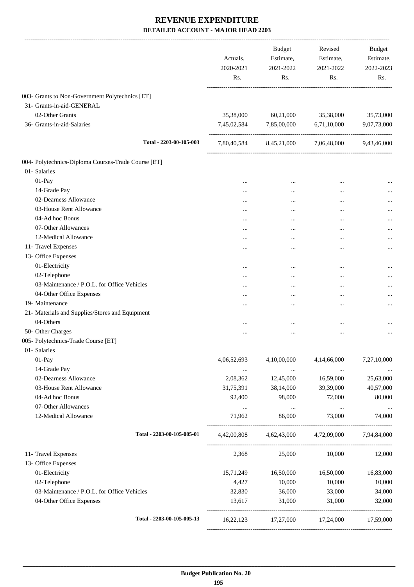|                                                     | Actuals,<br>2020-2021<br>Rs. | Budget<br>Estimate,<br>2021-2022<br>Rs. | Revised<br>Estimate,<br>2021-2022<br>Rs.        | Budget<br>Estimate,<br>2022-2023<br>Rs. |
|-----------------------------------------------------|------------------------------|-----------------------------------------|-------------------------------------------------|-----------------------------------------|
| 003- Grants to Non-Government Polytechnics [ET]     |                              |                                         |                                                 |                                         |
| 31- Grants-in-aid-GENERAL                           |                              |                                         |                                                 |                                         |
| 02-Other Grants                                     | 35,38,000                    | 60,21,000                               | 35,38,000                                       | 35,73,000                               |
| 36- Grants-in-aid-Salaries                          | 7,45,02,584                  | 7,85,00,000                             | 6,71,10,000                                     | 9,07,73,000                             |
| Total - 2203-00-105-003                             |                              |                                         | 7,80,40,584 8,45,21,000 7,06,48,000 9,43,46,000 |                                         |
| 004- Polytechnics-Diploma Courses-Trade Course [ET] |                              |                                         |                                                 |                                         |
| 01- Salaries                                        |                              |                                         |                                                 |                                         |
| 01-Pay                                              |                              | $\cdots$                                | $\cdots$                                        |                                         |
| 14-Grade Pay                                        |                              |                                         | $\cdots$                                        |                                         |
| 02-Dearness Allowance                               | $\cdots$                     |                                         |                                                 |                                         |
| 03-House Rent Allowance                             | $\cdots$                     |                                         | $\cdots$                                        |                                         |
| 04-Ad hoc Bonus                                     | $\cdots$                     |                                         | $\cdots$                                        |                                         |
| 07-Other Allowances                                 |                              |                                         |                                                 |                                         |
| 12-Medical Allowance                                |                              |                                         |                                                 | $\cdots$                                |
| 11- Travel Expenses                                 | $\cdots$                     |                                         |                                                 |                                         |
| 13- Office Expenses                                 |                              | $\cdots$                                |                                                 |                                         |
| 01-Electricity                                      |                              |                                         |                                                 |                                         |
| 02-Telephone                                        |                              |                                         |                                                 |                                         |
| 03-Maintenance / P.O.L. for Office Vehicles         | $\cdots$                     |                                         | $\cdots$                                        |                                         |
|                                                     | $\cdots$                     |                                         | $\cdots$                                        |                                         |
| 04-Other Office Expenses                            | $\cdots$                     |                                         | $\cdots$                                        |                                         |
| 19- Maintenance                                     | .                            |                                         |                                                 | $\cdots$                                |
| 21- Materials and Supplies/Stores and Equipment     |                              |                                         |                                                 |                                         |
| 04-Others                                           | $\cdots$                     | $\cdots$                                |                                                 |                                         |
| 50- Other Charges                                   | $\cdots$                     | $\cdots$                                | $\cdots$                                        |                                         |
| 005- Polytechnics-Trade Course [ET]                 |                              |                                         |                                                 |                                         |
| 01- Salaries                                        |                              |                                         |                                                 |                                         |
| 01-Pay                                              | 4,06,52,693                  | 4,10,00,000                             | 4,14,66,000                                     | 7,27,10,000                             |
| 14-Grade Pay                                        | $\cdots$                     | $\cdots$                                | $\ldots$                                        |                                         |
| 02-Dearness Allowance                               | 2,08,362                     | 12,45,000                               | 16,59,000                                       | 25,63,000                               |
| 03-House Rent Allowance                             | 31,75,391                    | 38,14,000                               | 39,39,000                                       | 40,57,000                               |
| 04-Ad hoc Bonus                                     | 92,400                       | 98,000                                  | 72,000                                          | 80,000                                  |
| 07-Other Allowances                                 | $\ldots$                     | $\cdots$                                | $\ddots$                                        | $\cdots$                                |
| 12-Medical Allowance                                | 71,962                       | 86,000                                  | 73,000                                          | 74,000                                  |
| Total - 2203-00-105-005-01                          | 4,42,00,808                  |                                         | 4,62,43,000 4,72,09,000 7,94,84,000             |                                         |
| 11- Travel Expenses                                 | 2,368                        | 25,000                                  | 10,000                                          | 12,000                                  |
| 13- Office Expenses                                 |                              |                                         |                                                 |                                         |
| 01-Electricity                                      | 15,71,249                    | 16,50,000                               | 16,50,000                                       | 16,83,000                               |
| 02-Telephone                                        | 4,427                        | 10,000                                  | 10,000                                          | 10,000                                  |
| 03-Maintenance / P.O.L. for Office Vehicles         | 32,830                       | 36,000                                  | 33,000                                          | 34,000                                  |
| 04-Other Office Expenses                            | 13,617                       | 31,000                                  | 31,000                                          | 32,000                                  |
| Total - 2203-00-105-005-13                          |                              |                                         | 16,22,123 17,27,000 17,24,000 17,59,000         |                                         |
|                                                     |                              |                                         |                                                 |                                         |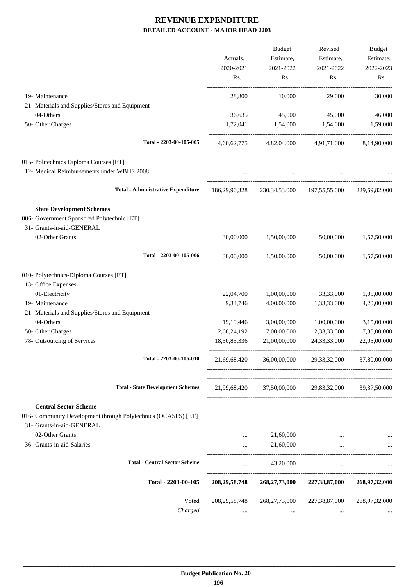|                                                                                               |                  | Budget                | Revised                                             | Budget                |
|-----------------------------------------------------------------------------------------------|------------------|-----------------------|-----------------------------------------------------|-----------------------|
|                                                                                               | Actuals,         | Estimate,             | Estimate,                                           | Estimate,             |
|                                                                                               | 2020-2021        | 2021-2022             | 2021-2022                                           | 2022-2023             |
|                                                                                               | Rs.              | Rs.                   | Rs.                                                 | Rs.                   |
| 19- Maintenance                                                                               | 28,800           | 10,000                | 29,000                                              | 30,000                |
| 21- Materials and Supplies/Stores and Equipment                                               |                  |                       |                                                     |                       |
| 04-Others                                                                                     | 36,635           | 45,000                | 45,000                                              | 46,000                |
| 50- Other Charges                                                                             | 1.72.041         | 1,54,000              | 1,54,000                                            | 1,59,000              |
| Total - 2203-00-105-005                                                                       |                  |                       | 4,60,62,775 4,82,04,000 4,91,71,000 8,14,90,000     |                       |
| 015- Politechnics Diploma Courses [ET]                                                        |                  |                       |                                                     |                       |
| 12- Medical Reimbursements under WBHS 2008                                                    |                  |                       |                                                     |                       |
| <b>Total - Administrative Expenditure</b>                                                     | 186,29,90,328    |                       | 230, 34, 53, 000 197, 55, 55, 000 229, 59, 82, 000  |                       |
| <b>State Development Schemes</b>                                                              |                  |                       |                                                     |                       |
| 006- Government Sponsored Polytechnic [ET]                                                    |                  |                       |                                                     |                       |
| 31- Grants-in-aid-GENERAL                                                                     |                  |                       |                                                     |                       |
| 02-Other Grants                                                                               | 30,00,000        | 1,50,00,000           |                                                     | 50,00,000 1,57,50,000 |
| Total - 2203-00-105-006                                                                       |                  | 30,00,000 1,50,00,000 |                                                     | 50,00,000 1,57,50,000 |
| 010- Polytechnics-Diploma Courses [ET]                                                        |                  |                       |                                                     |                       |
| 13- Office Expenses                                                                           |                  |                       |                                                     |                       |
| 01-Electricity                                                                                | 22,04,700        | 1,00,00,000           | 33,33,000                                           | 1,05,00,000           |
| 19- Maintenance                                                                               | 9,34,746         | 4,00,00,000           | 1,33,33,000                                         | 4,20,00,000           |
| 21- Materials and Supplies/Stores and Equipment                                               |                  |                       |                                                     |                       |
| 04-Others                                                                                     | 19, 19, 446      | 3,00,00,000           | 1,00,00,000                                         | 3,15,00,000           |
| 50- Other Charges                                                                             | 2,68,24,192      | 7,00,00,000           | 2,33,33,000                                         | 7,35,00,000           |
| 78- Outsourcing of Services                                                                   | 18,50,85,336     | 21,00,00,000          | 24, 33, 33, 000                                     | 22,05,00,000          |
| Total - 2203-00-105-010                                                                       | 21,69,68,420     | 36,00,00,000          | 29, 33, 32, 000                                     | 37,80,00,000          |
| <b>Total - State Development Schemes</b>                                                      |                  |                       | 21,99,68,420 37,50,00,000 29,83,32,000 39,37,50,000 |                       |
|                                                                                               |                  |                       |                                                     |                       |
| <b>Central Sector Scheme</b><br>016- Community Development through Polytechnics (OCASPS) [ET] |                  |                       |                                                     |                       |
| 31- Grants-in-aid-GENERAL                                                                     |                  |                       |                                                     |                       |
| 02-Other Grants                                                                               | $\cdots$         | 21,60,000             |                                                     |                       |
| 36- Grants-in-aid-Salaries                                                                    | $\cdots$         | 21,60,000             | $\cdots$                                            |                       |
| <b>Total - Central Sector Scheme</b>                                                          | $\cdots$         | 43,20,000             | $\cdots$                                            |                       |
| Total - 2203-00-105                                                                           | 208,29,58,748    |                       | 268, 27, 73, 000 227, 38, 87, 000                   | 268,97,32,000         |
| Voted                                                                                         | 208, 29, 58, 748 | 268, 27, 73, 000      | 227,38,87,000                                       | 268,97,32,000         |
| Charged                                                                                       | $\cdots$         | $\cdots$              | $\cdots$                                            |                       |
|                                                                                               |                  |                       |                                                     |                       |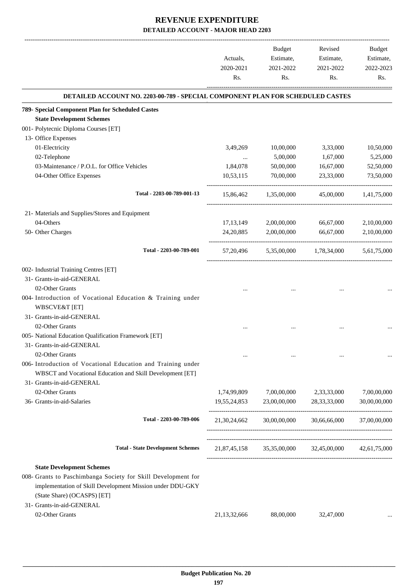|                                                                                                                                                                                               | Actuals,<br>2020-2021<br>Rs. | <b>Budget</b><br>Estimate,<br>2021-2022<br>Rs. | Revised<br>Estimate,<br>2021-2022<br>Rs. | Budget<br>Estimate,<br>2022-2023<br>Rs. |
|-----------------------------------------------------------------------------------------------------------------------------------------------------------------------------------------------|------------------------------|------------------------------------------------|------------------------------------------|-----------------------------------------|
| DETAILED ACCOUNT NO. 2203-00-789 - SPECIAL COMPONENT PLAN FOR SCHEDULED CASTES                                                                                                                |                              |                                                |                                          |                                         |
| 789- Special Component Plan for Scheduled Castes                                                                                                                                              |                              |                                                |                                          |                                         |
| <b>State Development Schemes</b>                                                                                                                                                              |                              |                                                |                                          |                                         |
| 001- Polytecnic Diploma Courses [ET]                                                                                                                                                          |                              |                                                |                                          |                                         |
| 13- Office Expenses                                                                                                                                                                           |                              |                                                |                                          |                                         |
| 01-Electricity                                                                                                                                                                                | 3,49,269                     | 10,00,000                                      | 3,33,000                                 | 10,50,000                               |
| 02-Telephone                                                                                                                                                                                  | $\cdots$                     | 5,00,000                                       | 1,67,000                                 | 5,25,000                                |
| 03-Maintenance / P.O.L. for Office Vehicles                                                                                                                                                   | 1,84,078                     | 50,00,000                                      | 16,67,000                                | 52,50,000                               |
| 04-Other Office Expenses                                                                                                                                                                      | 10,53,115                    | 70,00,000                                      | 23,33,000                                | 73,50,000                               |
| Total - 2203-00-789-001-13                                                                                                                                                                    | 15,86,462                    | 1,35,00,000                                    | 45,00,000                                | 1,41,75,000                             |
| 21- Materials and Supplies/Stores and Equipment                                                                                                                                               |                              |                                                |                                          |                                         |
| 04-Others                                                                                                                                                                                     | 17, 13, 149                  | 2,00,00,000                                    | 66,67,000                                | 2,10,00,000                             |
| 50- Other Charges                                                                                                                                                                             | 24, 20, 885                  | 2,00,00,000                                    | 66,67,000                                | 2,10,00,000                             |
| Total - 2203-00-789-001                                                                                                                                                                       |                              |                                                | 57,20,496 5,35,00,000 1,78,34,000        | 5,61,75,000                             |
| 002- Industrial Training Centres [ET]                                                                                                                                                         |                              |                                                |                                          |                                         |
| 31- Grants-in-aid-GENERAL                                                                                                                                                                     |                              |                                                |                                          |                                         |
| 02-Other Grants                                                                                                                                                                               |                              |                                                |                                          |                                         |
| 004- Introduction of Vocational Education & Training under<br><b>WBSCVE&amp;T</b> [ET]                                                                                                        |                              |                                                |                                          |                                         |
| 31- Grants-in-aid-GENERAL                                                                                                                                                                     |                              |                                                |                                          |                                         |
| 02-Other Grants                                                                                                                                                                               |                              |                                                |                                          |                                         |
| 005- National Education Qualification Framework [ET]                                                                                                                                          |                              |                                                |                                          |                                         |
| 31- Grants-in-aid-GENERAL                                                                                                                                                                     |                              |                                                |                                          |                                         |
| 02-Other Grants                                                                                                                                                                               |                              |                                                |                                          |                                         |
| 006- Introduction of Vocational Education and Training under<br>WBSCT and Vocational Education and Skill Development [ET]                                                                     |                              |                                                |                                          |                                         |
| 31- Grants-in-aid-GENERAL                                                                                                                                                                     |                              |                                                |                                          |                                         |
| 02-Other Grants                                                                                                                                                                               | 1,74,99,809                  | 7,00,00,000                                    | 2,33,33,000                              | 7,00,00,000                             |
| 36- Grants-in-aid-Salaries                                                                                                                                                                    | 19,55,24,853                 | 23,00,00,000                                   | 28, 33, 33, 000                          | 30,00,00,000                            |
| Total - 2203-00-789-006                                                                                                                                                                       |                              |                                                | 21,30,24,662 30,00,00,000 30,66,66,000   | 37,00,00,000                            |
| <b>Total - State Development Schemes</b>                                                                                                                                                      |                              |                                                | 21,87,45,158 35,35,00,000 32,45,00,000   | 42,61,75,000                            |
|                                                                                                                                                                                               |                              |                                                |                                          |                                         |
| <b>State Development Schemes</b><br>008- Grants to Paschimbanga Society for Skill Development for<br>implementation of Skill Development Mission under DDU-GKY<br>(State Share) (OCASPS) [ET] |                              |                                                |                                          |                                         |
| 31- Grants-in-aid-GENERAL                                                                                                                                                                     |                              |                                                |                                          |                                         |
| 02-Other Grants                                                                                                                                                                               | 21, 13, 32, 666              | 88,00,000                                      | 32,47,000                                |                                         |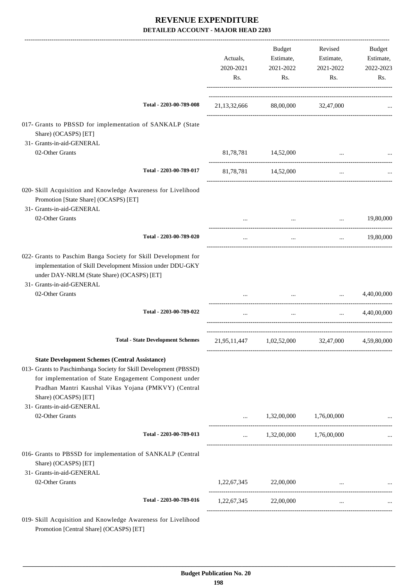|                                                                                                                                                                                                                                                                                                   | Actuals,<br>2020-2021<br>Rs. | Budget<br>Estimate,<br>2021-2022<br>Rs. | Revised<br>Estimate,<br>2021-2022<br>Rs.                                                                                                                                                                                                                  | Budget<br>Estimate,<br>2022-2023<br>Rs. |
|---------------------------------------------------------------------------------------------------------------------------------------------------------------------------------------------------------------------------------------------------------------------------------------------------|------------------------------|-----------------------------------------|-----------------------------------------------------------------------------------------------------------------------------------------------------------------------------------------------------------------------------------------------------------|-----------------------------------------|
| Total - 2203-00-789-008                                                                                                                                                                                                                                                                           |                              | 21,13,32,666 88,00,000 32,47,000        |                                                                                                                                                                                                                                                           |                                         |
| 017- Grants to PBSSD for implementation of SANKALP (State<br>Share) (OCASPS) [ET]<br>31- Grants-in-aid-GENERAL                                                                                                                                                                                    |                              |                                         |                                                                                                                                                                                                                                                           |                                         |
| 02-Other Grants                                                                                                                                                                                                                                                                                   |                              | 81,78,781 14,52,000                     | $\cdots$                                                                                                                                                                                                                                                  |                                         |
| Total - 2203-00-789-017                                                                                                                                                                                                                                                                           |                              | 81,78,781 14,52,000                     | $\ldots$                                                                                                                                                                                                                                                  |                                         |
| 020- Skill Acquisition and Knowledge Awareness for Livelihood<br>Promotion [State Share] (OCASPS) [ET]<br>31- Grants-in-aid-GENERAL                                                                                                                                                               |                              |                                         |                                                                                                                                                                                                                                                           |                                         |
| 02-Other Grants                                                                                                                                                                                                                                                                                   |                              |                                         | $\mathbf{r}$ , and the contract of the contract of the contract of the contract of the contract of the contract of the contract of the contract of the contract of the contract of the contract of the contract of the contract o<br>and the state of the | 19,80,000                               |
| Total - 2203-00-789-020                                                                                                                                                                                                                                                                           | $\cdots$                     | $\cdots$                                | $\cdots$                                                                                                                                                                                                                                                  | 19,80,000                               |
| 022- Grants to Paschim Banga Society for Skill Development for<br>implementation of Skill Development Mission under DDU-GKY<br>under DAY-NRLM (State Share) (OCASPS) [ET]<br>31- Grants-in-aid-GENERAL                                                                                            |                              |                                         |                                                                                                                                                                                                                                                           |                                         |
| 02-Other Grants                                                                                                                                                                                                                                                                                   |                              |                                         | $\mathbf{1}$ and $\mathbf{1}$ and $\mathbf{1}$<br>$\mathbf{r}$ and $\mathbf{r}$ are all the set of $\mathbf{r}$                                                                                                                                           | 4,40,00,000                             |
| Total - 2203-00-789-022                                                                                                                                                                                                                                                                           | $\cdots$                     | $\ldots$                                | $\cdots$                                                                                                                                                                                                                                                  | 4,40,00,000                             |
| <b>Total - State Development Schemes</b>                                                                                                                                                                                                                                                          |                              | 21,95,11,447 1,02,52,000                |                                                                                                                                                                                                                                                           | 32,47,000 4,59,80,000                   |
| <b>State Development Schemes (Central Assistance)</b><br>013- Grants to Paschimbanga Society for Skill Development (PBSSD)<br>for implementation of State Engagement Component under<br>Pradhan Mantri Kaushal Vikas Yojana (PMKVY) (Central<br>Share) (OCASPS) [ET]<br>31- Grants-in-aid-GENERAL |                              |                                         |                                                                                                                                                                                                                                                           |                                         |
| 02-Other Grants                                                                                                                                                                                                                                                                                   | $\cdots$                     | 1,32,00,000 1,76,00,000                 |                                                                                                                                                                                                                                                           |                                         |
| Total - 2203-00-789-013                                                                                                                                                                                                                                                                           | $\ldots$                     | 1,32,00,000 1,76,00,000                 |                                                                                                                                                                                                                                                           |                                         |
| 016- Grants to PBSSD for implementation of SANKALP (Central<br>Share) (OCASPS) [ET]<br>31- Grants-in-aid-GENERAL                                                                                                                                                                                  |                              |                                         |                                                                                                                                                                                                                                                           |                                         |
| 02-Other Grants                                                                                                                                                                                                                                                                                   |                              | 1,22,67,345 22,00,000                   |                                                                                                                                                                                                                                                           |                                         |
| Total - 2203-00-789-016                                                                                                                                                                                                                                                                           |                              | 1,22,67,345 22,00,000                   | $\cdots$                                                                                                                                                                                                                                                  |                                         |
| 019- Skill Acquisition and Knowledge Awareness for Livelihood                                                                                                                                                                                                                                     |                              |                                         |                                                                                                                                                                                                                                                           |                                         |

Promotion [Central Share] (OCASPS) [ET]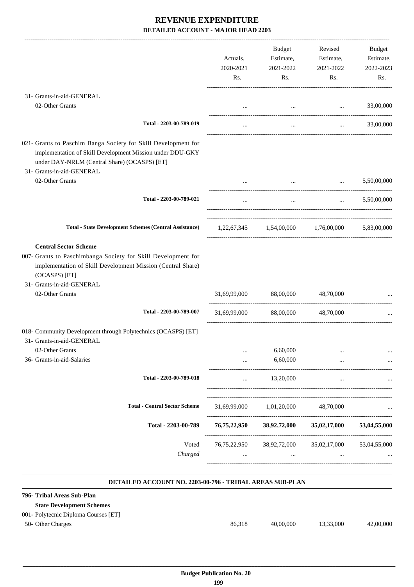|                                                                                                                                                                                                                               | Actuals,<br>2020-2021<br>Rs.       | Budget<br>Estimate,<br>2021-2022<br>Rs. | Revised<br>Estimate,<br>2021-2022<br>Rs.                                        | Budget<br>Estimate,<br>2022-2023<br>Rs.                                      |
|-------------------------------------------------------------------------------------------------------------------------------------------------------------------------------------------------------------------------------|------------------------------------|-----------------------------------------|---------------------------------------------------------------------------------|------------------------------------------------------------------------------|
| 31- Grants-in-aid-GENERAL                                                                                                                                                                                                     |                                    |                                         |                                                                                 |                                                                              |
| 02-Other Grants                                                                                                                                                                                                               |                                    |                                         | the contract of the contract of the contract of                                 | 33,00,000                                                                    |
| Total - 2203-00-789-019                                                                                                                                                                                                       |                                    | $\cdots$                                |                                                                                 | 33,00,000<br>$\mathbf{1}$ and $\mathbf{1}$ and $\mathbf{1}$ and $\mathbf{1}$ |
| 021- Grants to Paschim Banga Society for Skill Development for<br>implementation of Skill Development Mission under DDU-GKY<br>under DAY-NRLM (Central Share) (OCASPS) [ET]<br>31- Grants-in-aid-GENERAL                      |                                    |                                         |                                                                                 |                                                                              |
| 02-Other Grants                                                                                                                                                                                                               |                                    |                                         | the contract of the contract of the contract of the contract of the contract of | 5,50,00,000                                                                  |
| Total - 2203-00-789-021                                                                                                                                                                                                       | $\cdots$                           | $\cdots$                                |                                                                                 | $\ldots$ 5,50,00,000                                                         |
| <b>Total - State Development Schemes (Central Assistance)</b>                                                                                                                                                                 |                                    |                                         | 1,22,67,345 1,54,00,000 1,76,00,000 5,83,00,000                                 |                                                                              |
| <b>Central Sector Scheme</b><br>007- Grants to Paschimbanga Society for Skill Development for<br>implementation of Skill Development Mission (Central Share)<br>(OCASPS) [ET]<br>31- Grants-in-aid-GENERAL<br>02-Other Grants |                                    | 31,69,99,000 88,00,000 48,70,000        |                                                                                 |                                                                              |
| Total - 2203-00-789-007                                                                                                                                                                                                       |                                    | 31,69,99,000 88,00,000                  | 48,70,000                                                                       |                                                                              |
| 018- Community Development through Polytechnics (OCASPS) [ET]<br>31- Grants-in-aid-GENERAL<br>02-Other Grants                                                                                                                 |                                    | 6,60,000                                |                                                                                 |                                                                              |
| 36- Grants-in-aid-Salaries                                                                                                                                                                                                    |                                    | 6,60,000                                |                                                                                 |                                                                              |
| Total - 2203-00-789-018                                                                                                                                                                                                       |                                    | 13,20,000                               | .<br>                                                                           |                                                                              |
| <b>Total - Central Sector Scheme</b>                                                                                                                                                                                          | 31,69,99,000<br>------------------ | 1,01,20,000                             | 48,70,000                                                                       |                                                                              |
| Total - 2203-00-789                                                                                                                                                                                                           | 76,75,22,950                       | 38,92,72,000                            | 35,02,17,000                                                                    | 53,04,55,000                                                                 |
| Voted<br>Charged                                                                                                                                                                                                              |                                    | $\cdots$                                | 76,75,22,950 38,92,72,000 35,02,17,000<br>$\cdots$<br>-------------------       | 53,04,55,000<br>.                                                            |

#### **DETAILED ACCOUNT NO. 2203-00-796 - TRIBAL AREAS SUB-PLAN**

| 796- Tribal Areas Sub-Plan            |        |           |           |           |
|---------------------------------------|--------|-----------|-----------|-----------|
| <b>State Development Schemes</b>      |        |           |           |           |
| 001 - Polytecnic Diploma Courses [ET] |        |           |           |           |
| 50- Other Charges                     | 86.318 | 40,00,000 | 13.33.000 | 42,00,000 |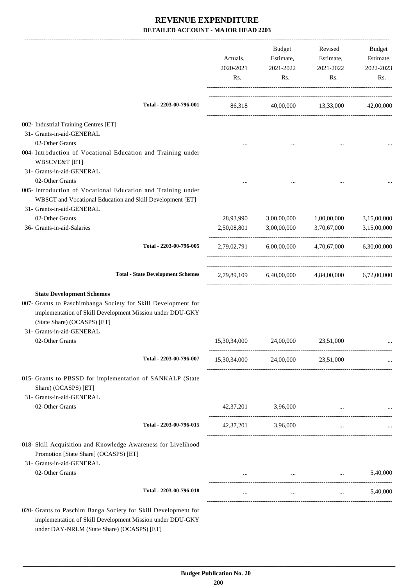|                                                                                                                                                                                                                                               | Actuals,<br>2020-2021<br>Rs. | Budget<br>Estimate,<br>2021-2022<br>Rs. | Revised<br>Estimate,<br>2021-2022<br>Rs.                  | Budget<br>Estimate,<br>2022-2023<br>Rs. |
|-----------------------------------------------------------------------------------------------------------------------------------------------------------------------------------------------------------------------------------------------|------------------------------|-----------------------------------------|-----------------------------------------------------------|-----------------------------------------|
| Total - 2203-00-796-001                                                                                                                                                                                                                       | 86,318                       |                                         | 40,00,000 13,33,000 42,00,000                             |                                         |
| 002- Industrial Training Centres [ET]                                                                                                                                                                                                         |                              |                                         |                                                           |                                         |
| 31- Grants-in-aid-GENERAL                                                                                                                                                                                                                     |                              |                                         |                                                           |                                         |
| 02-Other Grants                                                                                                                                                                                                                               | $\cdots$                     |                                         |                                                           |                                         |
| 004- Introduction of Vocational Education and Training under<br><b>WBSCVE&amp;T</b> [ET]<br>31- Grants-in-aid-GENERAL                                                                                                                         |                              |                                         |                                                           |                                         |
| 02-Other Grants                                                                                                                                                                                                                               |                              |                                         |                                                           |                                         |
| 005- Introduction of Vocational Education and Training under<br>WBSCT and Vocational Education and Skill Development [ET]<br>31- Grants-in-aid-GENERAL                                                                                        |                              |                                         |                                                           |                                         |
| 02-Other Grants                                                                                                                                                                                                                               | 28,93,990                    | 3,00,00,000                             | 1,00,00,000                                               | 3,15,00,000                             |
| 36- Grants-in-aid-Salaries                                                                                                                                                                                                                    | 2,50,08,801                  | 3,00,00,000                             | 3,70,67,000                                               | 3,15,00,000                             |
| Total - 2203-00-796-005                                                                                                                                                                                                                       | 2,79,02,791                  |                                         | 6,00,00,000 4,70,67,000                                   | 6,30,00,000                             |
| <b>Total - State Development Schemes</b>                                                                                                                                                                                                      |                              |                                         | 2,79,89,109 6,40,00,000 4,84,00,000 6,72,00,000           |                                         |
| <b>State Development Schemes</b><br>007- Grants to Paschimbanga Society for Skill Development for<br>implementation of Skill Development Mission under DDU-GKY<br>(State Share) (OCASPS) [ET]<br>31- Grants-in-aid-GENERAL<br>02-Other Grants | 15,30,34,000                 | 24,00,000                               | 23,51,000                                                 |                                         |
| Total - 2203-00-796-007                                                                                                                                                                                                                       | 15,30,34,000                 | 24,00,000                               | 23,51,000                                                 |                                         |
| 015- Grants to PBSSD for implementation of SANKALP (State<br>Share) (OCASPS) [ET]<br>31- Grants-in-aid-GENERAL                                                                                                                                |                              |                                         |                                                           |                                         |
| 02-Other Grants                                                                                                                                                                                                                               |                              | 42,37,201 3,96,000                      |                                                           |                                         |
| Total - 2203-00-796-015                                                                                                                                                                                                                       |                              | 42,37,201 3,96,000                      | $\cdots$                                                  |                                         |
| 018- Skill Acquisition and Knowledge Awareness for Livelihood<br>Promotion [State Share] (OCASPS) [ET]<br>31- Grants-in-aid-GENERAL                                                                                                           |                              |                                         |                                                           |                                         |
| 02-Other Grants                                                                                                                                                                                                                               |                              |                                         | and the state of the state of<br><b>Contract Contract</b> | 5,40,000                                |
| Total - 2203-00-796-018                                                                                                                                                                                                                       | $\cdots$                     | $\cdots$                                | $\cdots$                                                  | 5,40,000                                |
| 020- Grants to Paschim Banga Society for Skill Development for<br>implementation of Skill Development Mission under DDU-GKY<br>under DAY-NRLM (State Share) (OCASPS) [ET]                                                                     |                              |                                         |                                                           |                                         |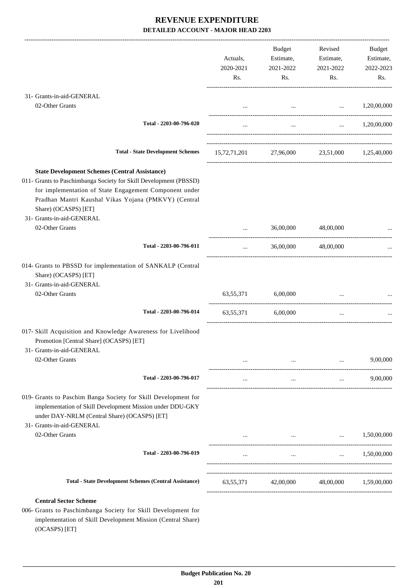|                                                                                                                                                                                                                                                                                                   | Actuals,<br>2020-2021<br>Rs. | Budget<br>Estimate,<br>2021-2022<br>Rs.                                                 | Revised<br>Estimate,<br>2021-2022<br>Rs. | Budget<br>Estimate,<br>2022-2023<br>Rs. |
|---------------------------------------------------------------------------------------------------------------------------------------------------------------------------------------------------------------------------------------------------------------------------------------------------|------------------------------|-----------------------------------------------------------------------------------------|------------------------------------------|-----------------------------------------|
| 31- Grants-in-aid-GENERAL                                                                                                                                                                                                                                                                         |                              |                                                                                         |                                          |                                         |
| 02-Other Grants                                                                                                                                                                                                                                                                                   |                              |                                                                                         | $\ldots$ $1,20,00,000$                   |                                         |
| Total - 2203-00-796-020                                                                                                                                                                                                                                                                           | $\cdots$                     | $\cdots$                                                                                |                                          | $\ldots$ 1,20,00,000                    |
| <b>Total - State Development Schemes</b>                                                                                                                                                                                                                                                          |                              | 15,72,71,201 27,96,000 23,51,000 1,25,40,000                                            |                                          |                                         |
| <b>State Development Schemes (Central Assistance)</b><br>011- Grants to Paschimbanga Society for Skill Development (PBSSD)<br>for implementation of State Engagement Component under<br>Pradhan Mantri Kaushal Vikas Yojana (PMKVY) (Central<br>Share) (OCASPS) [ET]<br>31- Grants-in-aid-GENERAL |                              |                                                                                         |                                          |                                         |
| 02-Other Grants                                                                                                                                                                                                                                                                                   | $\cdots$                     | 36,00,000                                                                               | 48,00,000                                |                                         |
| Total - 2203-00-796-011                                                                                                                                                                                                                                                                           | $\cdots$                     | 36,00,000                                                                               | 48,00,000                                |                                         |
| 014- Grants to PBSSD for implementation of SANKALP (Central<br>Share) (OCASPS) [ET]<br>31- Grants-in-aid-GENERAL<br>02-Other Grants                                                                                                                                                               |                              | 63,55,371 6,00,000                                                                      |                                          |                                         |
| Total - 2203-00-796-014                                                                                                                                                                                                                                                                           |                              | 63,55,371 6,00,000                                                                      | $\cdots$                                 |                                         |
| 017- Skill Acquisition and Knowledge Awareness for Livelihood<br>Promotion [Central Share] (OCASPS) [ET]<br>31- Grants-in-aid-GENERAL<br>02-Other Grants                                                                                                                                          |                              |                                                                                         |                                          | 9,00,000                                |
|                                                                                                                                                                                                                                                                                                   |                              |                                                                                         | $\cdots$                                 |                                         |
| Total - 2203-00-796-017                                                                                                                                                                                                                                                                           | $\cdots$                     | $\cdots$                                                                                | $\cdots$                                 | 9,00,000                                |
| 019- Grants to Paschim Banga Society for Skill Development for<br>implementation of Skill Development Mission under DDU-GKY<br>under DAY-NRLM (Central Share) (OCASPS) [ET]<br>31- Grants-in-aid-GENERAL                                                                                          |                              |                                                                                         |                                          |                                         |
| 02-Other Grants                                                                                                                                                                                                                                                                                   |                              | and the contract of the contract of the contract of the contract of the contract of the | <b>Second Contract</b>                   | 1,50,00,000                             |
| Total - 2203-00-796-019                                                                                                                                                                                                                                                                           |                              | $\cdots$                                                                                |                                          | $\ldots$ 1,50,00,000                    |
|                                                                                                                                                                                                                                                                                                   |                              |                                                                                         |                                          |                                         |
| <b>Total - State Development Schemes (Central Assistance)</b>                                                                                                                                                                                                                                     |                              | 63,55,371 42,00,000 48,00,000 1,59,00,000                                               |                                          |                                         |
| <b>Central Sector Scheme</b><br>006- Grants to Paschimbanga Society for Skill Development for                                                                                                                                                                                                     |                              |                                                                                         |                                          |                                         |

implementation of Skill Development Mission (Central Share) (OCASPS) [ET]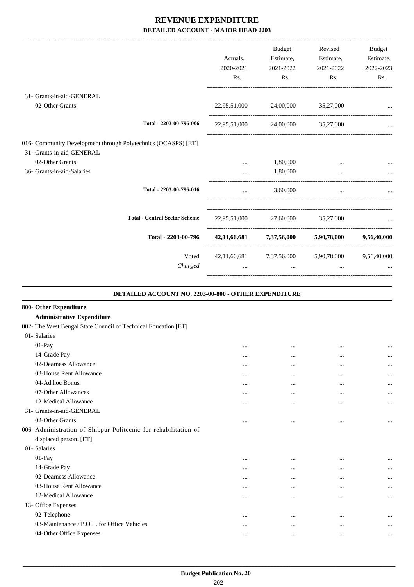|                                                               |              | Budget    | Revised                                          | Budget      |
|---------------------------------------------------------------|--------------|-----------|--------------------------------------------------|-------------|
|                                                               | Actuals,     | Estimate, | Estimate,                                        | Estimate,   |
|                                                               | 2020-2021    | 2021-2022 | 2021-2022                                        | 2022-2023   |
|                                                               | Rs.          | Rs.       | Rs.                                              | Rs.         |
| 31- Grants-in-aid-GENERAL                                     |              |           |                                                  |             |
| 02-Other Grants                                               | 22,95,51,000 |           | 24,00,000 35,27,000                              |             |
| Total - 2203-00-796-006                                       | 22,95,51,000 | 24,00,000 | 35,27,000                                        |             |
| 016- Community Development through Polytechnics (OCASPS) [ET] |              |           |                                                  |             |
| 31- Grants-in-aid-GENERAL                                     |              |           |                                                  |             |
| 02-Other Grants                                               |              | 1,80,000  |                                                  |             |
| 36- Grants-in-aid-Salaries                                    |              | 1,80,000  |                                                  |             |
| Total - 2203-00-796-016                                       | $\cdots$     | 3,60,000  | $\cdots$                                         |             |
| <b>Total - Central Sector Scheme</b>                          | 22,95,51,000 | 27,60,000 | 35,27,000                                        |             |
| Total - 2203-00-796                                           |              |           | 42,11,66,681 7,37,56,000 5,90,78,000             | 9,56,40,000 |
| Voted                                                         |              |           | 42,11,66,681 7,37,56,000 5,90,78,000 9,56,40,000 |             |
| Charged                                                       |              | $\cdots$  | $\cdots$                                         |             |

**DETAILED ACCOUNT NO. 2203-00-800 - OTHER EXPENDITURE .**

| 800- Other Expenditure                                          |          |          |           |          |
|-----------------------------------------------------------------|----------|----------|-----------|----------|
| <b>Administrative Expenditure</b>                               |          |          |           |          |
| 002- The West Bengal State Council of Technical Education [ET]  |          |          |           |          |
| 01- Salaries                                                    |          |          |           |          |
| 01-Pay                                                          | $\cdots$ | $\cdots$ |           | $\cdots$ |
| 14-Grade Pay                                                    | $\cdots$ |          |           | $\cdots$ |
| 02-Dearness Allowance                                           | $\cdots$ |          |           | $\cdots$ |
| 03-House Rent Allowance                                         | $\cdots$ | $\cdots$ | $\ddotsc$ | $\cdots$ |
| 04-Ad hoc Bonus                                                 | $\cdots$ | $\cdots$ | $\ddotsc$ | $\cdots$ |
| 07-Other Allowances                                             | $\cdots$ | $\cdots$ | $\ddotsc$ | $\cdots$ |
| 12-Medical Allowance                                            | $\cdots$ | $\cdots$ | $\ddotsc$ | $\cdots$ |
| 31- Grants-in-aid-GENERAL                                       |          |          |           |          |
| 02-Other Grants                                                 |          | $\cdots$ | $\cdots$  | $\cdots$ |
| 006- Administration of Shibpur Politecnic for rehabilitation of |          |          |           |          |
| displaced person. [ET]                                          |          |          |           |          |
| 01- Salaries                                                    |          |          |           |          |
| $01-Pay$                                                        | $\cdots$ |          |           | $\cdots$ |
| 14-Grade Pay                                                    | $\cdots$ |          |           | $\cdots$ |
| 02-Dearness Allowance                                           |          |          |           | $\cdots$ |
| 03-House Rent Allowance                                         | $\cdots$ | $\cdots$ |           | $\cdots$ |
| 12-Medical Allowance                                            | $\cdots$ | $\cdots$ | $\ddotsc$ | $\cdots$ |
| 13- Office Expenses                                             |          |          |           |          |
| 02-Telephone                                                    | $\cdots$ | $\cdots$ | $\ddotsc$ | $\cdots$ |
| 03-Maintenance / P.O.L. for Office Vehicles                     | $\cdots$ | $\cdots$ | $\ddotsc$ | $\cdots$ |
| 04-Other Office Expenses                                        | $\cdots$ | $\cdots$ | $\ddotsc$ | $\cdots$ |
|                                                                 |          |          |           |          |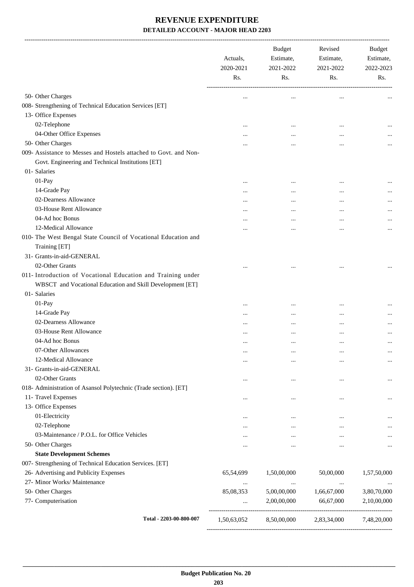|                                                                                | Actuals,<br>2020-2021<br>Rs. | <b>Budget</b><br>Estimate,<br>2021-2022<br>Rs. | Revised<br>Estimate,<br>2021-2022<br>Rs. | <b>Budget</b><br>Estimate,<br>2022-2023<br>Rs. |
|--------------------------------------------------------------------------------|------------------------------|------------------------------------------------|------------------------------------------|------------------------------------------------|
|                                                                                |                              |                                                |                                          |                                                |
| 50- Other Charges                                                              |                              |                                                |                                          |                                                |
| 008- Strengthening of Technical Education Services [ET]<br>13- Office Expenses |                              |                                                |                                          |                                                |
| 02-Telephone                                                                   |                              |                                                |                                          |                                                |
| 04-Other Office Expenses                                                       |                              |                                                |                                          |                                                |
| 50- Other Charges                                                              |                              |                                                |                                          |                                                |
| 009- Assistance to Messes and Hostels attached to Govt. and Non-               |                              |                                                |                                          |                                                |
| Govt. Engineering and Technical Institutions [ET]                              |                              |                                                |                                          |                                                |
| 01- Salaries                                                                   |                              |                                                |                                          |                                                |
| 01-Pay                                                                         |                              |                                                | $\ddotsc$                                |                                                |
| 14-Grade Pay                                                                   |                              |                                                |                                          |                                                |
| 02-Dearness Allowance                                                          |                              |                                                |                                          |                                                |
| 03-House Rent Allowance                                                        |                              |                                                |                                          |                                                |
| 04-Ad hoc Bonus                                                                |                              |                                                |                                          |                                                |
| 12-Medical Allowance                                                           |                              |                                                |                                          | $\cdots$                                       |
| 010- The West Bengal State Council of Vocational Education and                 |                              |                                                |                                          |                                                |
| Training [ET]                                                                  |                              |                                                |                                          |                                                |
| 31- Grants-in-aid-GENERAL                                                      |                              |                                                |                                          |                                                |
| 02-Other Grants                                                                |                              |                                                |                                          |                                                |
| 011- Introduction of Vocational Education and Training under                   |                              |                                                |                                          |                                                |
| WBSCT and Vocational Education and Skill Development [ET]                      |                              |                                                |                                          |                                                |
| 01- Salaries                                                                   |                              |                                                |                                          |                                                |
| 01-Pay                                                                         |                              |                                                |                                          |                                                |
| 14-Grade Pay                                                                   |                              |                                                |                                          |                                                |
| 02-Dearness Allowance                                                          |                              |                                                |                                          |                                                |
| 03-House Rent Allowance                                                        |                              |                                                |                                          |                                                |
| 04-Ad hoc Bonus                                                                |                              |                                                |                                          | $\cdots$                                       |
| 07-Other Allowances                                                            |                              |                                                |                                          | $\cdots$                                       |
| 12-Medical Allowance                                                           |                              |                                                |                                          | $\cdots$                                       |
| 31- Grants-in-aid-GENERAL                                                      |                              |                                                |                                          |                                                |
| 02-Other Grants                                                                |                              | $\cdots$                                       | $\ddotsc$                                | $\cdots$                                       |
| 018- Administration of Asansol Polytechnic (Trade section). [ET]               |                              |                                                |                                          |                                                |
| 11- Travel Expenses                                                            |                              |                                                |                                          | $\cdots$                                       |
| 13- Office Expenses                                                            |                              |                                                |                                          |                                                |
| 01-Electricity                                                                 |                              | $\cdots$                                       |                                          | $\cdots$                                       |
| 02-Telephone                                                                   |                              |                                                |                                          | $\cdots$                                       |
| 03-Maintenance / P.O.L. for Office Vehicles                                    |                              |                                                |                                          |                                                |
| 50- Other Charges                                                              | $\cdots$                     | $\cdots$                                       | $\ddotsc$                                | $\cdots$                                       |
| <b>State Development Schemes</b>                                               |                              |                                                |                                          |                                                |
| 007- Strengthening of Technical Education Services. [ET]                       |                              |                                                |                                          |                                                |
| 26- Advertising and Publicity Expenses                                         | 65,54,699                    | 1,50,00,000                                    | 50,00,000                                | 1,57,50,000                                    |
| 27- Minor Works/ Maintenance                                                   |                              | $\cdots$                                       |                                          |                                                |
| 50- Other Charges                                                              | 85,08,353                    | 5,00,00,000                                    | 1,66,67,000                              | 3,80,70,000                                    |
| 77- Computerisation                                                            |                              | 2,00,00,000                                    | 66,67,000                                | 2,10,00,000                                    |
| Total - 2203-00-800-007                                                        | 1,50,63,052                  | 8,50,00,000                                    | 2,83,34,000                              | 7,48,20,000                                    |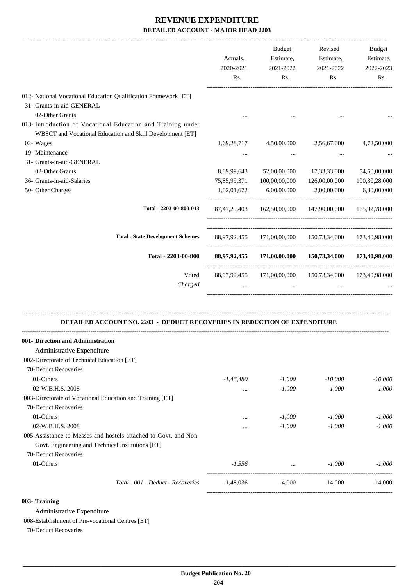|                                                                                                                                          | Actuals,<br>2020-2021<br>Rs. | Budget<br>Estimate,<br>2021-2022<br>Rs.                            | Revised<br>Estimate,<br>2021-2022<br>Rs. | Budget<br>Estimate,<br>2022-2023<br>Rs. |
|------------------------------------------------------------------------------------------------------------------------------------------|------------------------------|--------------------------------------------------------------------|------------------------------------------|-----------------------------------------|
| 012- National Vocational Education Qualification Framework [ET]                                                                          |                              |                                                                    |                                          |                                         |
| 31- Grants-in-aid-GENERAL<br>02-Other Grants                                                                                             |                              |                                                                    |                                          |                                         |
| 013- Introduction of Vocational Education and Training under<br>WBSCT and Vocational Education and Skill Development [ET]                |                              |                                                                    |                                          |                                         |
| 02- Wages                                                                                                                                | 1,69,28,717                  | 4,50,00,000                                                        | 2,56,67,000                              | 4,72,50,000                             |
| 19- Maintenance                                                                                                                          | $\cdots$                     | $\cdots$                                                           | $\cdots$                                 |                                         |
| 31- Grants-in-aid-GENERAL                                                                                                                |                              |                                                                    |                                          |                                         |
| 02-Other Grants                                                                                                                          | 8,89,99,643                  | 52,00,00,000                                                       | 17,33,33,000                             | 54,60,00,000                            |
| 36- Grants-in-aid-Salaries                                                                                                               | 75,85,99,371                 | 100,00,00,000                                                      | 126,00,00,000                            | 100,30,28,000                           |
| 50- Other Charges                                                                                                                        | 1,02,01,672                  | 6,00,00,000                                                        | 2,00,00,000                              | 6,30,00,000                             |
| Total - 2203-00-800-013                                                                                                                  |                              | 87,47,29,403 162,50,00,000 147,90,00,000 165,92,78,000             |                                          |                                         |
| <b>Total - State Development Schemes</b>                                                                                                 |                              | 88,97,92,455 171,00,00,000 150,73,34,000 173,40,98,000             |                                          |                                         |
| Total - 2203-00-800                                                                                                                      |                              | 88,97,92,455 171,00,00,000 150,73,34,000 173,40,98,000             |                                          |                                         |
| Voted<br>Charged                                                                                                                         | $\cdots$                     | 88,97,92,455 171,00,00,000 150,73,34,000 173,40,98,000<br>$\cdots$ | $\cdots$                                 |                                         |
| DETAILED ACCOUNT NO. 2203 - DEDUCT RECOVERIES IN REDUCTION OF EXPENDITURE<br>001- Direction and Administration                           |                              |                                                                    |                                          |                                         |
| Administrative Expenditure                                                                                                               |                              |                                                                    |                                          |                                         |
| 002-Directorate of Technical Education [ET]                                                                                              |                              |                                                                    |                                          |                                         |
| 70-Deduct Recoveries                                                                                                                     |                              |                                                                    |                                          |                                         |
| 01-Others                                                                                                                                | $-1,46,480$                  | $-1,000$                                                           | $-10,000$                                | $-10,000$                               |
| 02-W.B.H.S. 2008                                                                                                                         | $\cdots$                     | $-1,000$                                                           | $-1,000$                                 | $-1,000$                                |
| 003-Directorate of Vocational Education and Training [ET]                                                                                |                              |                                                                    |                                          |                                         |
| 70-Deduct Recoveries                                                                                                                     |                              |                                                                    |                                          |                                         |
| 01-Others                                                                                                                                |                              | $-1,000$                                                           | $-1,000$                                 | $-1,000$                                |
| 02-W.B.H.S. 2008<br>005-Assistance to Messes and hostels attached to Govt. and Non-<br>Govt. Engineering and Technical Institutions [ET] |                              | $-1,000$                                                           | $-1,000$                                 | $-1,000$                                |
| 70-Deduct Recoveries<br>01-Others                                                                                                        | $-1,556$                     |                                                                    | $-1,000$                                 | $-1,000$                                |
|                                                                                                                                          |                              | $\mathbf{r}$                                                       |                                          |                                         |
| Total - 001 - Deduct - Recoveries                                                                                                        | $-1,48,036$                  | $-4,000$                                                           | $-14,000$                                | $-14,000$                               |

#### **003- Training**

Administrative Expenditure

008-Establishment of Pre-vocational Centres [ET]

70-Deduct Recoveries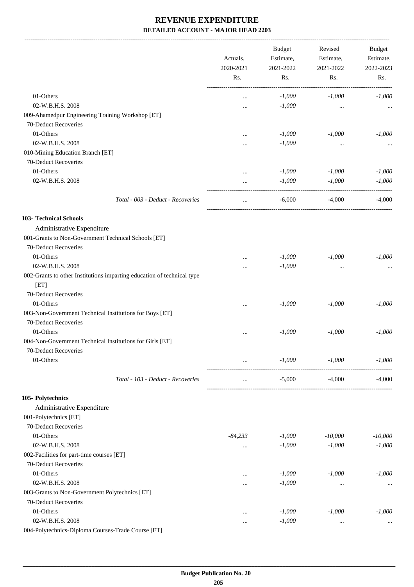-------------------------------------------------------------------------------------------------------------------------------------------------------------------------------

|                                                                        | Actuals,<br>2020-2021<br>Rs. |          | <b>Budget</b><br>Estimate, | Revised<br>Estimate, | <b>Budget</b><br>Estimate, |  |  |  |  |  |                  |           |
|------------------------------------------------------------------------|------------------------------|----------|----------------------------|----------------------|----------------------------|--|--|--|--|--|------------------|-----------|
|                                                                        |                              |          |                            |                      |                            |  |  |  |  |  | 2021-2022<br>Rs. | 2021-2022 |
|                                                                        |                              |          | Rs.                        |                      |                            |  |  |  |  |  |                  |           |
| 01-Others                                                              | $\cdots$                     | $-1,000$ | $-1,000$                   | $-1,000$             |                            |  |  |  |  |  |                  |           |
| 02-W.B.H.S. 2008                                                       | $\cdots$                     | $-1,000$ | $\cdots$                   |                      |                            |  |  |  |  |  |                  |           |
| 009-Ahamedpur Engineering Training Workshop [ET]                       |                              |          |                            |                      |                            |  |  |  |  |  |                  |           |
| 70-Deduct Recoveries                                                   |                              |          |                            |                      |                            |  |  |  |  |  |                  |           |
| 01-Others                                                              |                              | $-1,000$ | $-1,000$                   | $-1,000$             |                            |  |  |  |  |  |                  |           |
| 02-W.B.H.S. 2008                                                       | $\cdots$                     | $-1,000$ | $\ddotsc$                  |                      |                            |  |  |  |  |  |                  |           |
| 010-Mining Education Branch [ET]                                       |                              |          |                            |                      |                            |  |  |  |  |  |                  |           |
| 70-Deduct Recoveries                                                   |                              |          |                            |                      |                            |  |  |  |  |  |                  |           |
| 01-Others                                                              |                              | $-1,000$ | $-1,000$                   | $-1,000$             |                            |  |  |  |  |  |                  |           |
| 02-W.B.H.S. 2008                                                       |                              | $-1,000$ | $-1,000$                   | $-1,000$             |                            |  |  |  |  |  |                  |           |
|                                                                        |                              |          |                            |                      |                            |  |  |  |  |  |                  |           |
| Total - 003 - Deduct - Recoveries                                      |                              | $-6,000$ | $-4,000$                   | $-4,000$             |                            |  |  |  |  |  |                  |           |
| <b>103- Technical Schools</b>                                          |                              |          |                            |                      |                            |  |  |  |  |  |                  |           |
| Administrative Expenditure                                             |                              |          |                            |                      |                            |  |  |  |  |  |                  |           |
| 001-Grants to Non-Government Technical Schools [ET]                    |                              |          |                            |                      |                            |  |  |  |  |  |                  |           |
| 70-Deduct Recoveries                                                   |                              |          |                            |                      |                            |  |  |  |  |  |                  |           |
| 01-Others                                                              |                              | $-1,000$ | $-1,000$                   | $-1,000$             |                            |  |  |  |  |  |                  |           |
| 02-W.B.H.S. 2008                                                       |                              | $-1,000$ | $\cdots$                   |                      |                            |  |  |  |  |  |                  |           |
| 002-Grants to other Institutions imparting education of technical type |                              |          |                            |                      |                            |  |  |  |  |  |                  |           |
| [ET]                                                                   |                              |          |                            |                      |                            |  |  |  |  |  |                  |           |
| 70-Deduct Recoveries                                                   |                              |          |                            |                      |                            |  |  |  |  |  |                  |           |
| 01-Others                                                              |                              | $-1,000$ | $-1,000$                   | $-1,000$             |                            |  |  |  |  |  |                  |           |
| 003-Non-Government Technical Institutions for Boys [ET]                |                              |          |                            |                      |                            |  |  |  |  |  |                  |           |
| 70-Deduct Recoveries                                                   |                              |          |                            |                      |                            |  |  |  |  |  |                  |           |
| 01-Others                                                              |                              | $-1,000$ | $-1,000$                   | $-1,000$             |                            |  |  |  |  |  |                  |           |
| 004-Non-Government Technical Institutions for Girls [ET]               |                              |          |                            |                      |                            |  |  |  |  |  |                  |           |
| 70-Deduct Recoveries                                                   |                              |          |                            |                      |                            |  |  |  |  |  |                  |           |
| 01-Others                                                              | $\ddotsc$                    | $-1,000$ | $-1,000$                   | $-1,000$             |                            |  |  |  |  |  |                  |           |
| Total - 103 - Deduct - Recoveries                                      | $\cdots$                     | $-5,000$ | -------------<br>$-4,000$  | $-4,000$             |                            |  |  |  |  |  |                  |           |
| 105- Polytechnics                                                      |                              |          |                            |                      |                            |  |  |  |  |  |                  |           |
| Administrative Expenditure                                             |                              |          |                            |                      |                            |  |  |  |  |  |                  |           |
| 001-Polytechnics [ET]                                                  |                              |          |                            |                      |                            |  |  |  |  |  |                  |           |
| 70-Deduct Recoveries                                                   |                              |          |                            |                      |                            |  |  |  |  |  |                  |           |
| 01-Others                                                              |                              |          |                            |                      |                            |  |  |  |  |  |                  |           |
|                                                                        | $-84,233$                    | $-1,000$ | $-10,000$                  | $-10,000$            |                            |  |  |  |  |  |                  |           |
| 02-W.B.H.S. 2008                                                       | $\cdots$                     | $-1,000$ | $-1,000$                   | $-1,000$             |                            |  |  |  |  |  |                  |           |
| 002-Facilities for part-time courses [ET]                              |                              |          |                            |                      |                            |  |  |  |  |  |                  |           |
| 70-Deduct Recoveries                                                   |                              |          |                            |                      |                            |  |  |  |  |  |                  |           |
| 01-Others                                                              |                              | $-1,000$ | $-1,000$                   | $-1,000$             |                            |  |  |  |  |  |                  |           |
| 02-W.B.H.S. 2008                                                       |                              | $-1,000$ | $\cdots$                   |                      |                            |  |  |  |  |  |                  |           |
| 003-Grants to Non-Government Polytechnics [ET]                         |                              |          |                            |                      |                            |  |  |  |  |  |                  |           |
| 70-Deduct Recoveries                                                   |                              |          |                            |                      |                            |  |  |  |  |  |                  |           |
| 01-Others                                                              |                              | $-1,000$ | $-1,000$                   | $-1,000$             |                            |  |  |  |  |  |                  |           |
| 02-W.B.H.S. 2008                                                       |                              | $-1,000$ | $\cdots$                   |                      |                            |  |  |  |  |  |                  |           |
| 004-Polytechnics-Diploma Courses-Trade Course [ET]                     |                              |          |                            |                      |                            |  |  |  |  |  |                  |           |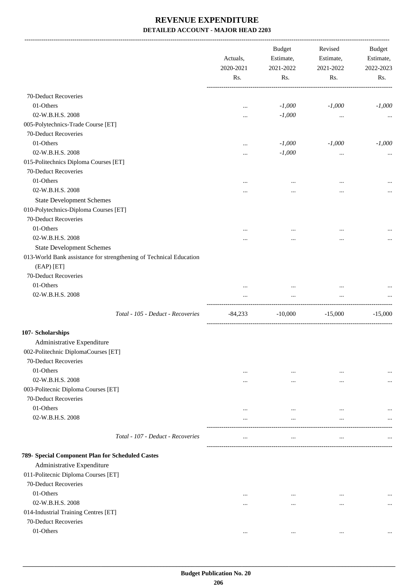|                                                                    | Actuals,<br>2020-2021<br>Rs. | <b>Budget</b><br>Estimate,<br>2021-2022<br>Rs. | Revised<br>Estimate,<br>2021-2022<br>Rs. | <b>Budget</b><br>Estimate,<br>2022-2023<br>Rs. |
|--------------------------------------------------------------------|------------------------------|------------------------------------------------|------------------------------------------|------------------------------------------------|
| 70-Deduct Recoveries                                               |                              |                                                |                                          |                                                |
| 01-Others                                                          | $\cdots$                     | $-1,000$                                       | $-1,000$                                 | $-1,000$                                       |
| 02-W.B.H.S. 2008                                                   |                              | $-1,000$                                       | $\ldots$                                 |                                                |
| 005-Polytechnics-Trade Course [ET]                                 |                              |                                                |                                          |                                                |
| 70-Deduct Recoveries                                               |                              |                                                |                                          |                                                |
| 01-Others                                                          |                              | $-1,000$                                       | $-1,000$                                 | $-1,000$                                       |
| 02-W.B.H.S. 2008                                                   |                              | $-1,000$                                       | $\ldots$                                 |                                                |
| 015-Politechnics Diploma Courses [ET]                              |                              |                                                |                                          |                                                |
| 70-Deduct Recoveries                                               |                              |                                                |                                          |                                                |
| 01-Others                                                          |                              | $\cdots$                                       | $\ddotsc$                                |                                                |
| 02-W.B.H.S. 2008                                                   |                              |                                                |                                          |                                                |
| <b>State Development Schemes</b>                                   |                              |                                                |                                          |                                                |
| 010-Polytechnics-Diploma Courses [ET]                              |                              |                                                |                                          |                                                |
| 70-Deduct Recoveries                                               |                              |                                                |                                          |                                                |
| 01-Others                                                          | .                            | $\cdots$                                       | $\ddotsc$                                |                                                |
| 02-W.B.H.S. 2008                                                   |                              |                                                |                                          |                                                |
| <b>State Development Schemes</b>                                   |                              |                                                |                                          |                                                |
| 013-World Bank assistance for strengthening of Technical Education |                              |                                                |                                          |                                                |
| $(EAP)$ $[ET]$                                                     |                              |                                                |                                          |                                                |
| 70-Deduct Recoveries                                               |                              |                                                |                                          |                                                |
| 01-Others                                                          |                              |                                                |                                          |                                                |
| 02-W.B.H.S. 2008                                                   |                              | $\cdots$                                       | $\ldots$                                 |                                                |
| Total - 105 - Deduct - Recoveries                                  | -84,233                      | $-10,000$                                      | $-15,000$                                | $-15,000$                                      |
| 107- Scholarships                                                  |                              |                                                |                                          |                                                |
| Administrative Expenditure                                         |                              |                                                |                                          |                                                |
| 002-Politechnic DiplomaCourses [ET]                                |                              |                                                |                                          |                                                |
| 70-Deduct Recoveries                                               |                              |                                                |                                          |                                                |
| 01-Others                                                          |                              |                                                |                                          |                                                |
| 02-W.B.H.S. 2008                                                   | $\cdots$<br>$\cdots$         | $\cdots$<br>$\cdots$                           | $\cdots$<br>$\ddotsc$                    | $\cdots$                                       |
| 003-Politecnic Diploma Courses [ET]                                |                              |                                                |                                          | $\cdots$                                       |
| 70-Deduct Recoveries                                               |                              |                                                |                                          |                                                |
| 01-Others                                                          |                              | $\cdots$                                       | $\ddotsc$                                |                                                |
| 02-W.B.H.S. 2008                                                   | $\cdots$                     | $\cdots$                                       | $\ddotsc$                                |                                                |
|                                                                    |                              |                                                |                                          |                                                |
| Total - 107 - Deduct - Recoveries                                  | $\cdots$                     | $\cdots$                                       | $\cdots$                                 |                                                |
| 789- Special Component Plan for Scheduled Castes                   |                              |                                                |                                          |                                                |
| Administrative Expenditure                                         |                              |                                                |                                          |                                                |
| 011-Politecnic Diploma Courses [ET]                                |                              |                                                |                                          |                                                |
| 70-Deduct Recoveries                                               |                              |                                                |                                          |                                                |
| 01-Others                                                          | $\cdots$                     | $\cdots$                                       | $\cdots$                                 |                                                |
| 02-W.B.H.S. 2008                                                   | $\cdots$                     | $\cdots$                                       | $\cdots$                                 | $\cdots$                                       |
| 014-Industrial Training Centres [ET]                               |                              |                                                |                                          |                                                |
| 70-Deduct Recoveries                                               |                              |                                                |                                          |                                                |
| 01-Others                                                          | $\cdots$                     | $\cdots$                                       | $\ldots$                                 | $\cdots$                                       |
|                                                                    |                              |                                                |                                          |                                                |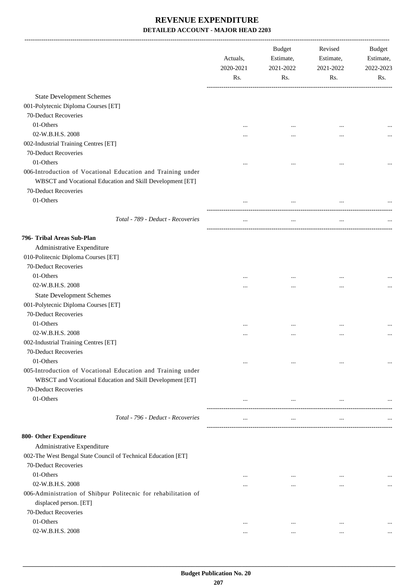|                                                                                                                          | Actuals,<br>2020-2021<br>Rs. | <b>Budget</b><br>Estimate,<br>2021-2022<br>Rs. | Revised<br>Estimate,<br>2021-2022<br>Rs. | Budget<br>Estimate,<br>2022-2023<br>Rs. |
|--------------------------------------------------------------------------------------------------------------------------|------------------------------|------------------------------------------------|------------------------------------------|-----------------------------------------|
| <b>State Development Schemes</b>                                                                                         |                              |                                                |                                          |                                         |
| 001-Polytecnic Diploma Courses [ET]                                                                                      |                              |                                                |                                          |                                         |
| 70-Deduct Recoveries                                                                                                     |                              |                                                |                                          |                                         |
| 01-Others                                                                                                                |                              |                                                |                                          |                                         |
| 02-W.B.H.S. 2008                                                                                                         |                              |                                                |                                          |                                         |
| 002-Industrial Training Centres [ET]                                                                                     | $\cdots$                     |                                                |                                          |                                         |
| 70-Deduct Recoveries                                                                                                     |                              |                                                |                                          |                                         |
| 01-Others                                                                                                                |                              |                                                |                                          |                                         |
| 006-Introduction of Vocational Education and Training under                                                              |                              |                                                |                                          |                                         |
| WBSCT and Vocational Education and Skill Development [ET]                                                                |                              |                                                |                                          |                                         |
| 70-Deduct Recoveries                                                                                                     |                              |                                                |                                          |                                         |
| 01-Others                                                                                                                |                              | $\cdots$                                       |                                          |                                         |
|                                                                                                                          |                              |                                                |                                          |                                         |
| Total - 789 - Deduct - Recoveries                                                                                        | $\cdots$                     | $\ldots$                                       | $\ldots$                                 |                                         |
| 796- Tribal Areas Sub-Plan                                                                                               |                              |                                                |                                          |                                         |
| Administrative Expenditure                                                                                               |                              |                                                |                                          |                                         |
| 010-Politecnic Diploma Courses [ET]                                                                                      |                              |                                                |                                          |                                         |
| 70-Deduct Recoveries                                                                                                     |                              |                                                |                                          |                                         |
| 01-Others                                                                                                                | $\cdots$                     | $\ddotsc$                                      |                                          |                                         |
| 02-W.B.H.S. 2008                                                                                                         | $\cdots$                     |                                                | $\cdots$                                 |                                         |
| <b>State Development Schemes</b>                                                                                         |                              |                                                |                                          |                                         |
| 001-Polytecnic Diploma Courses [ET]                                                                                      |                              |                                                |                                          |                                         |
| 70-Deduct Recoveries                                                                                                     |                              |                                                |                                          |                                         |
| 01-Others                                                                                                                | $\cdots$                     |                                                |                                          |                                         |
| 02-W.B.H.S. 2008                                                                                                         | $\cdots$                     |                                                |                                          |                                         |
| 002-Industrial Training Centres [ET]                                                                                     |                              |                                                |                                          |                                         |
| <b>70-Deduct Recoveries</b>                                                                                              |                              |                                                |                                          |                                         |
| 01-Others                                                                                                                | $\cdots$                     | $\cdots$                                       | $\cdots$                                 |                                         |
| 005-Introduction of Vocational Education and Training under<br>WBSCT and Vocational Education and Skill Development [ET] |                              |                                                |                                          |                                         |
| 70-Deduct Recoveries                                                                                                     |                              |                                                |                                          |                                         |
| 01-Others                                                                                                                | $\cdots$                     | $\cdots$                                       | $\cdots$                                 |                                         |
| Total - 796 - Deduct - Recoveries                                                                                        | $\ldots$                     | $\cdots$                                       | $\cdots$                                 |                                         |
| 800- Other Expenditure                                                                                                   |                              |                                                |                                          |                                         |
| Administrative Expenditure                                                                                               |                              |                                                |                                          |                                         |
| 002-The West Bengal State Council of Technical Education [ET]<br>70-Deduct Recoveries                                    |                              |                                                |                                          |                                         |
| 01-Others                                                                                                                |                              |                                                |                                          |                                         |
| 02-W.B.H.S. 2008                                                                                                         | $\cdots$                     | $\cdots$                                       | $\cdots$                                 |                                         |
| 006-Administration of Shibpur Politecnic for rehabilitation of                                                           |                              | $\cdots$                                       |                                          |                                         |
| displaced person. [ET]                                                                                                   |                              |                                                |                                          |                                         |
| 70-Deduct Recoveries                                                                                                     |                              |                                                |                                          |                                         |
| 01-Others                                                                                                                | $\cdots$                     | $\cdots$                                       | $\cdots$                                 |                                         |
| 02-W.B.H.S. 2008                                                                                                         | $\cdots$                     | $\cdots$                                       | $\cdots$                                 |                                         |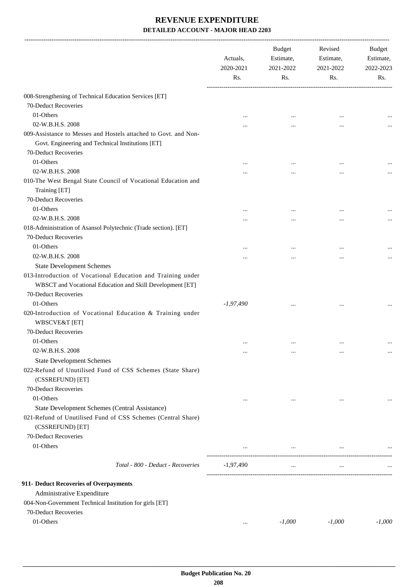|                                                                                                                                              | Actuals,<br>2020-2021<br>Rs. | Budget<br>Estimate,<br>2021-2022<br>Rs. | Revised<br>Estimate,<br>2021-2022<br>Rs. | Budget<br>Estimate,<br>2022-2023<br>Rs. |
|----------------------------------------------------------------------------------------------------------------------------------------------|------------------------------|-----------------------------------------|------------------------------------------|-----------------------------------------|
| 008-Strengthening of Technical Education Services [ET]                                                                                       |                              |                                         |                                          |                                         |
| 70-Deduct Recoveries                                                                                                                         |                              |                                         |                                          |                                         |
| 01-Others                                                                                                                                    |                              |                                         |                                          |                                         |
| 02-W.B.H.S. 2008                                                                                                                             |                              |                                         | $\ddotsc$<br>$\ddotsc$                   |                                         |
| 009-Assistance to Messes and Hostels attached to Govt. and Non-<br>Govt. Engineering and Technical Institutions [ET]<br>70-Deduct Recoveries |                              |                                         |                                          |                                         |
| 01-Others                                                                                                                                    |                              |                                         |                                          |                                         |
| 02-W.B.H.S. 2008                                                                                                                             |                              |                                         |                                          |                                         |
| 010-The West Bengal State Council of Vocational Education and<br>Training [ET]<br>70-Deduct Recoveries                                       |                              |                                         |                                          |                                         |
| 01-Others                                                                                                                                    | $\cdots$                     | $\cdots$                                | $\cdots$                                 |                                         |
| 02-W.B.H.S. 2008                                                                                                                             |                              | $\cdots$                                | $\ddotsc$                                |                                         |
| 018-Administration of Asansol Polytechnic (Trade section). [ET]<br>70-Deduct Recoveries                                                      |                              |                                         |                                          |                                         |
| 01-Others                                                                                                                                    |                              | $\cdots$                                | $\cdots$                                 |                                         |
| 02-W.B.H.S. 2008                                                                                                                             |                              |                                         |                                          |                                         |
| <b>State Development Schemes</b>                                                                                                             |                              |                                         |                                          |                                         |
| 013-Introduction of Vocational Education and Training under<br>WBSCT and Vocational Education and Skill Development [ET]                     |                              |                                         |                                          |                                         |
| 70-Deduct Recoveries                                                                                                                         |                              |                                         |                                          |                                         |
| 01-Others                                                                                                                                    | $-1,97,490$                  | $\cdots$                                |                                          |                                         |
| 020-Introduction of Vocational Education & Training under<br><b>WBSCVE&amp;T</b> [ET]<br>70-Deduct Recoveries                                |                              |                                         |                                          |                                         |
| 01-Others                                                                                                                                    |                              |                                         |                                          |                                         |
| 02-W.B.H.S. 2008                                                                                                                             | $\cdots$                     | $\cdots$                                | $\cdots$                                 |                                         |
|                                                                                                                                              | $\cdots$                     | $\cdots$                                | $\cdots$                                 | $\cdots$                                |
| <b>State Development Schemes</b><br>022-Refund of Unutilised Fund of CSS Schemes (State Share)<br>(CSSREFUND) [ET]                           |                              |                                         |                                          |                                         |
| 70-Deduct Recoveries                                                                                                                         |                              |                                         |                                          |                                         |
| 01-Others                                                                                                                                    | $\cdots$                     | $\cdots$                                | $\ddotsc$                                |                                         |
| State Development Schemes (Central Assistance)<br>021-Refund of Unutilised Fund of CSS Schemes (Central Share)<br>(CSSREFUND) [ET]           |                              |                                         |                                          |                                         |
| 70-Deduct Recoveries                                                                                                                         |                              |                                         |                                          |                                         |
| 01-Others                                                                                                                                    |                              | $\cdots$                                | $\cdots$                                 |                                         |
| Total - 800 - Deduct - Recoveries                                                                                                            | $-1,97,490$                  | $\cdots$                                | $\cdots$                                 |                                         |
| 911- Deduct Recoveries of Overpayments                                                                                                       |                              |                                         |                                          |                                         |
| Administrative Expenditure                                                                                                                   |                              |                                         |                                          |                                         |
| 004-Non-Government Technical Institution for girls [ET]<br>70-Deduct Recoveries                                                              |                              |                                         |                                          |                                         |
| 01-Others                                                                                                                                    | $\cdots$                     | $-1,000$                                | $-1,000$                                 | $-1,000$                                |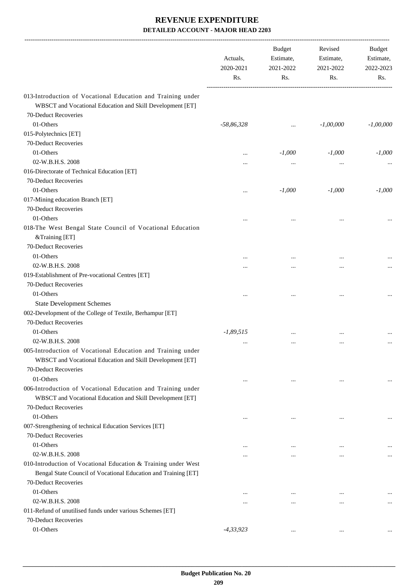|                                                                                                                          | Actuals,<br>2020-2021<br>Rs. | <b>Budget</b><br>Estimate,<br>2021-2022<br>Rs. | Revised<br>Estimate,<br>2021-2022<br>Rs. | Budget<br>Estimate,<br>2022-2023<br>Rs. |
|--------------------------------------------------------------------------------------------------------------------------|------------------------------|------------------------------------------------|------------------------------------------|-----------------------------------------|
| 013-Introduction of Vocational Education and Training under                                                              |                              |                                                |                                          |                                         |
| WBSCT and Vocational Education and Skill Development [ET]                                                                |                              |                                                |                                          |                                         |
| 70-Deduct Recoveries                                                                                                     |                              |                                                |                                          |                                         |
| 01-Others                                                                                                                | $-58,86,328$                 | $\cdots$                                       | $-1,00,000$                              | $-1,00,000$                             |
| 015-Polytechnics [ET]                                                                                                    |                              |                                                |                                          |                                         |
| 70-Deduct Recoveries                                                                                                     |                              |                                                |                                          |                                         |
| 01-Others                                                                                                                |                              | $-1,000$                                       | $-1,000$                                 | $-1,000$                                |
| 02-W.B.H.S. 2008                                                                                                         |                              | $\cdots$                                       |                                          |                                         |
| 016-Directorate of Technical Education [ET]                                                                              |                              |                                                |                                          |                                         |
| 70-Deduct Recoveries                                                                                                     |                              |                                                |                                          |                                         |
| 01-Others                                                                                                                |                              | $-1,000$                                       | $-1,000$                                 | $-1,000$                                |
| 017-Mining education Branch [ET]                                                                                         |                              |                                                |                                          |                                         |
| 70-Deduct Recoveries                                                                                                     |                              |                                                |                                          |                                         |
| 01-Others                                                                                                                | $\ddotsc$                    |                                                |                                          |                                         |
| 018-The West Bengal State Council of Vocational Education<br>&Training [ET]                                              |                              |                                                |                                          |                                         |
| 70-Deduct Recoveries                                                                                                     |                              |                                                |                                          |                                         |
| 01-Others                                                                                                                |                              |                                                |                                          |                                         |
| 02-W.B.H.S. 2008                                                                                                         |                              |                                                |                                          |                                         |
| 019-Establishment of Pre-vocational Centres [ET]                                                                         |                              |                                                |                                          |                                         |
| 70-Deduct Recoveries                                                                                                     |                              |                                                |                                          |                                         |
| 01-Others                                                                                                                | $\ddotsc$                    | $\cdots$                                       |                                          |                                         |
| <b>State Development Schemes</b>                                                                                         |                              |                                                |                                          |                                         |
| 002-Development of the College of Textile, Berhampur [ET]                                                                |                              |                                                |                                          |                                         |
| 70-Deduct Recoveries                                                                                                     |                              |                                                |                                          |                                         |
| 01-Others                                                                                                                | $-1,89,515$                  |                                                |                                          |                                         |
| 02-W.B.H.S. 2008                                                                                                         | $\cdots$                     | $\cdots$                                       | $\cdots$                                 |                                         |
| 005-Introduction of Vocational Education and Training under<br>WBSCT and Vocational Education and Skill Development [ET] |                              |                                                |                                          |                                         |
| 70-Deduct Recoveries                                                                                                     |                              |                                                |                                          |                                         |
| 01-Others                                                                                                                | $\cdots$                     | $\cdots$                                       | $\cdots$                                 | $\cdots$                                |
| 006-Introduction of Vocational Education and Training under                                                              |                              |                                                |                                          |                                         |
| WBSCT and Vocational Education and Skill Development [ET]                                                                |                              |                                                |                                          |                                         |
| 70-Deduct Recoveries                                                                                                     |                              |                                                |                                          |                                         |
| 01-Others                                                                                                                |                              |                                                | $\cdots$                                 |                                         |
| 007-Strengthening of technical Education Services [ET]                                                                   |                              |                                                |                                          |                                         |
| 70-Deduct Recoveries                                                                                                     |                              |                                                |                                          |                                         |
| 01-Others                                                                                                                | $\ddotsc$                    |                                                |                                          |                                         |
| 02-W.B.H.S. 2008                                                                                                         |                              | $\cdots$                                       |                                          | $\cdots$                                |
| 010-Introduction of Vocational Education & Training under West                                                           |                              |                                                |                                          |                                         |
| Bengal State Council of Vocational Education and Training [ET]                                                           |                              |                                                |                                          |                                         |
| 70-Deduct Recoveries                                                                                                     |                              |                                                |                                          |                                         |
| 01-Others                                                                                                                | $\ddotsc$                    |                                                |                                          |                                         |
| 02-W.B.H.S. 2008                                                                                                         | $\ddotsc$                    |                                                |                                          | $\cdots$                                |
| 011-Refund of unutilised funds under various Schemes [ET]                                                                |                              |                                                |                                          |                                         |
| 70-Deduct Recoveries                                                                                                     |                              |                                                |                                          |                                         |
| 01-Others                                                                                                                | $-4, 33, 923$                | $\cdots$                                       |                                          |                                         |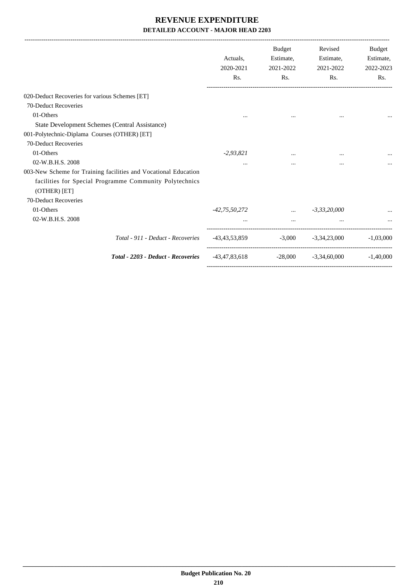|                                                                                                                                            | Actuals.<br>2020-2021<br>Rs. | <b>Budget</b><br>Estimate,<br>2021-2022<br>Rs. | Revised<br>Estimate,<br>2021-2022<br>Rs. | <b>Budget</b><br>Estimate,<br>2022-2023<br>Rs. |
|--------------------------------------------------------------------------------------------------------------------------------------------|------------------------------|------------------------------------------------|------------------------------------------|------------------------------------------------|
| 020-Deduct Recoveries for various Schemes [ET]                                                                                             |                              |                                                |                                          |                                                |
| 70-Deduct Recoveries                                                                                                                       |                              |                                                |                                          |                                                |
| 01-Others                                                                                                                                  | $\cdots$                     |                                                | $\cdots$                                 |                                                |
| State Development Schemes (Central Assistance)                                                                                             |                              |                                                |                                          |                                                |
| 001-Polytechnic-Diplama Courses (OTHER) [ET]                                                                                               |                              |                                                |                                          |                                                |
| 70-Deduct Recoveries                                                                                                                       |                              |                                                |                                          |                                                |
| 01-Others                                                                                                                                  | $-2,93,821$                  |                                                | $\cdots$                                 |                                                |
| 02-W.B.H.S. 2008                                                                                                                           | $\cdots$                     | $\cdots$                                       | $\cdots$                                 |                                                |
| 003-New Scheme for Training facilities and Vocational Education<br>facilities for Special Programme Community Polytechnics<br>(OTHER) [ET] |                              |                                                |                                          |                                                |
| 70-Deduct Recoveries                                                                                                                       |                              |                                                |                                          |                                                |
| 01-Others                                                                                                                                  | $-42,75,50,272$              |                                                | $\ldots$ $-3,33,20,000$                  |                                                |
| 02-W.B.H.S. 2008                                                                                                                           |                              | $\cdots$                                       |                                          |                                                |
| Total - 911 - Deduct - Recoveries                                                                                                          | -43,43,53,859                |                                                | $-3,000$ $-3,34,23,000$                  | $-1.03,000$                                    |
| Total - 2203 - Deduct - Recoveries                                                                                                         | $-43,47,83,618$              |                                                | $-28,000$ $-3,34,60,000$                 | $-1.40,000$                                    |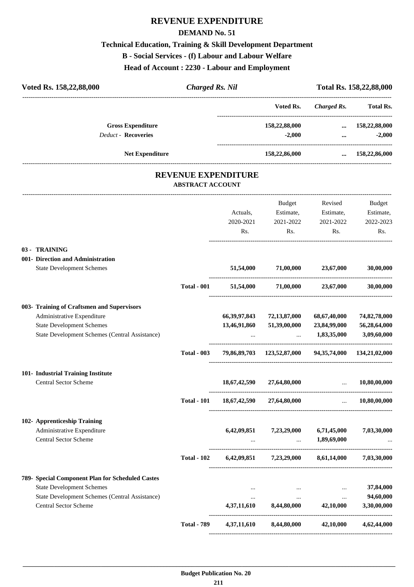#### **REVENUE EXPENDITURE**

#### **DEMAND No. 51**

#### **Technical Education, Training & Skill Development Department**

#### **B - Social Services - (f) Labour and Labour Welfare**

**Head of Account : 2230 - Labour and Employment**

| Voted Rs. 158,22,88,000                                    | <b>Charged Rs. Nil</b>                                |                 |                                                       |                               | Total Rs. 158,22,88,000 |
|------------------------------------------------------------|-------------------------------------------------------|-----------------|-------------------------------------------------------|-------------------------------|-------------------------|
|                                                            |                                                       |                 | Voted Rs.                                             | <b>Charged Rs.</b>            | <b>Total Rs.</b>        |
| <b>Gross Expenditure</b>                                   |                                                       |                 | 158,22,88,000                                         |                               | $\dots$ 158,22,88,000   |
| <b>Deduct - Recoveries</b>                                 |                                                       |                 | $-2,000$                                              | $\cdots$                      | $-2,000$                |
| Net Expenditure                                            |                                                       |                 | 158,22,86,000                                         | $\cdots$                      | 158,22,86,000           |
|                                                            | <b>REVENUE EXPENDITURE</b><br><b>ABSTRACT ACCOUNT</b> |                 |                                                       |                               |                         |
|                                                            |                                                       |                 | Budget                                                | Revised                       | <b>Budget</b>           |
|                                                            |                                                       | Actuals,        | Estimate,                                             | Estimate,                     | Estimate,               |
|                                                            |                                                       | 2020-2021       | 2021-2022                                             | 2021-2022                     | 2022-2023               |
|                                                            |                                                       | Rs.             | Rs.                                                   | Rs.                           | Rs.                     |
| 03 - TRAINING                                              |                                                       |                 |                                                       |                               |                         |
| 001- Direction and Administration                          |                                                       |                 |                                                       |                               |                         |
| <b>State Development Schemes</b>                           |                                                       | 51,54,000       | 71,00,000 23,67,000                                   |                               | 30,00,000               |
|                                                            | <b>Total - 001</b>                                    |                 | 51,54,000 71,00,000 23,67,000                         |                               | 30,00,000               |
| 003- Training of Craftsmen and Supervisors                 |                                                       |                 |                                                       |                               |                         |
| Administrative Expenditure                                 |                                                       | 66, 39, 97, 843 | 72,13,87,000                                          | 68,67,40,000                  | 74,82,78,000            |
| <b>State Development Schemes</b>                           |                                                       | 13,46,91,860    | 51,39,00,000                                          | 23,84,99,000                  | 56,28,64,000            |
| State Development Schemes (Central Assistance)             |                                                       |                 |                                                       | $\ldots$ 1,83,35,000          | 3,09,60,000             |
|                                                            | <b>Total - 003</b>                                    |                 | 79,86,89,703 123,52,87,000 94,35,74,000 134,21,02,000 |                               |                         |
| 101- Industrial Training Institute                         |                                                       |                 |                                                       |                               |                         |
| <b>Central Sector Scheme</b>                               |                                                       | 18,67,42,590    | 27,64,80,000                                          |                               | 10.80.00.000            |
|                                                            | <b>Total - 101</b>                                    |                 | 18,67,42,590 27,64,80,000                             | $\mathbf{r}$ and $\mathbf{r}$ | 10,80,00,000            |
| 102- Apprenticeship Training                               |                                                       |                 |                                                       |                               |                         |
| Administrative Expenditure<br><b>Central Sector Scheme</b> |                                                       |                 | 6,42,09,851 7,23,29,000 6,71,45,000                   | $\ldots$ 1,89,69,000          | 7,03,30,000             |
|                                                            | <b>Total - 102</b>                                    |                 | $6,42,09,851$ $7,23,29,000$ $8,61,14,000$             |                               | 7,03,30,000             |
| 789- Special Component Plan for Scheduled Castes           |                                                       |                 |                                                       |                               |                         |
| <b>State Development Schemes</b>                           |                                                       | $\cdots$        | $\cdots$                                              | $\cdots$                      | 37,84,000               |
| State Development Schemes (Central Assistance)             |                                                       | $\cdots$        | $\cdots$                                              | $\ddots$                      | 94,60,000               |
| <b>Central Sector Scheme</b>                               |                                                       | 4,37,11,610     | 8,44,80,000                                           | 42,10,000                     | 3,30,00,000             |
|                                                            | <b>Total - 789</b>                                    | 4,37,11,610     | 8,44,80,000                                           | 42,10,000                     | 4,62,44,000             |

----------------------------------------------------------------------------------------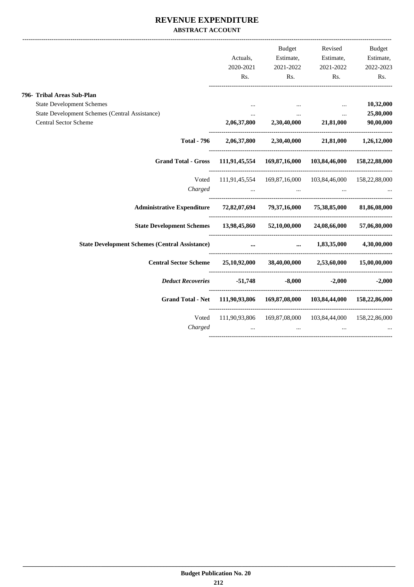#### **REVENUE EXPENDITURE ABSTRACT ACCOUNT**

|                                                                           |                                                                 | Budget                                  |                                                               | Revised Budget    |
|---------------------------------------------------------------------------|-----------------------------------------------------------------|-----------------------------------------|---------------------------------------------------------------|-------------------|
|                                                                           | Actuals,                                                        | Estimate,                               | Estimate,                                                     | Estimate,         |
|                                                                           | 2020-2021                                                       | 2021-2022                               | 2021-2022                                                     | 2022-2023         |
|                                                                           | Rs.                                                             | Rs.                                     | Rs.                                                           | Rs.               |
| 796- Tribal Areas Sub-Plan                                                |                                                                 |                                         |                                                               |                   |
| <b>State Development Schemes</b>                                          | $\cdots$                                                        |                                         | $\cdots$                                                      | 10,32,000         |
| <b>State Development Schemes (Central Assistance)</b>                     | $\cdots$                                                        | $\cdots$                                | $\ddotsc$                                                     | 25,80,000         |
| <b>Central Sector Scheme</b>                                              |                                                                 | $2,06,37,800$ $2,30,40,000$ $21,81,000$ |                                                               | 90,00,000         |
| <b>Total - 796</b>                                                        |                                                                 |                                         | 2,06,37,800 2,30,40,000 21,81,000 1,26,12,000                 |                   |
| <b>Grand Total - Gross</b>                                                | 111,91,45,554 169,87,16,000 103,84,46,000 158,22,88,000         |                                         |                                                               |                   |
| Voted                                                                     | 111,91,45,554 169,87,16,000 103,84,46,000 158,22,88,000         |                                         |                                                               |                   |
| Charged                                                                   | $\mathbf{r}$ and $\mathbf{r}$ and $\mathbf{r}$ and $\mathbf{r}$ |                                         | $\mathbf{r}$ and $\mathbf{r}$ are all the set of $\mathbf{r}$ |                   |
| Administrative Expenditure 72,82,07,694 79,37,16,000 75,38,85,000         |                                                                 |                                         |                                                               | 81,86,08,000      |
| State Development Schemes 13,98,45,860 52,10,00,000 24,08,66,000          |                                                                 |                                         |                                                               | 57,06,80,000      |
| State Development Schemes (Central Assistance) <b></b>                    |                                                                 |                                         | $1,83,35,000$ $4,30,00,000$                                   |                   |
| Central Sector Scheme 25,10,92,000 38,40,00,000 2,53,60,000 15,00,00,000  |                                                                 |                                         |                                                               |                   |
| <b>Deduct Recoveries</b>                                                  | $-51,748$ $-8,000$                                              |                                         |                                                               | $-2,000$ $-2,000$ |
| Grand Total - Net 111,90,93,806 169,87,08,000 103,84,44,000 158,22,86,000 |                                                                 |                                         |                                                               |                   |
| Voted                                                                     | 111,90,93,806 169,87,08,000 103,84,44,000 158,22,86,000         |                                         |                                                               |                   |
| Charged                                                                   | $\ddots$                                                        | $\cdots$                                |                                                               |                   |
|                                                                           |                                                                 |                                         |                                                               |                   |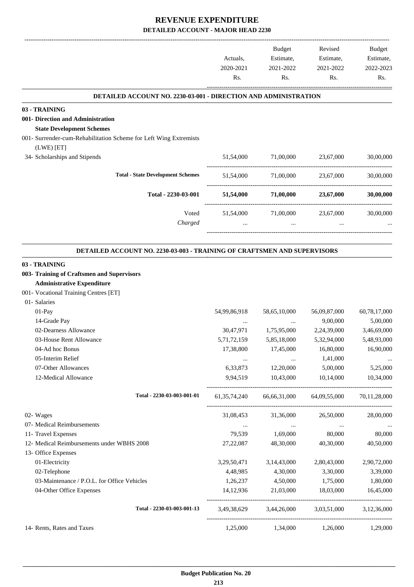|                                                                                                                                                | Actuals,<br>2020-2021<br>Rs. | Budget<br>Estimate,<br>2021-2022<br>Rs. | Revised<br>Estimate,<br>2021-2022<br>Rs. | Budget<br>Estimate,<br>2022-2023<br>Rs. |
|------------------------------------------------------------------------------------------------------------------------------------------------|------------------------------|-----------------------------------------|------------------------------------------|-----------------------------------------|
| <b>DETAILED ACCOUNT NO. 2230-03-001 - DIRECTION AND ADMINISTRATION</b>                                                                         |                              |                                         |                                          |                                         |
| 03 - TRAINING<br>001- Direction and Administration<br><b>State Development Schemes</b>                                                         |                              |                                         |                                          |                                         |
| 001- Surrender-cum-Rehabilitation Scheme for Left Wing Extremists                                                                              |                              |                                         |                                          |                                         |
| (LWE) [ET]                                                                                                                                     |                              |                                         |                                          |                                         |
| 34- Scholarships and Stipends                                                                                                                  | 51,54,000                    | 71,00,000 23,67,000                     |                                          | 30,00,000                               |
| <b>Total - State Development Schemes</b>                                                                                                       | 51,54,000                    | 71.00.000                               | 23,67,000                                | 30,00,000                               |
| Total - 2230-03-001                                                                                                                            | 51,54,000                    | 71,00,000                               | 23,67,000                                | 30,00,000                               |
| Voted<br>Charged                                                                                                                               | 51,54,000<br>$\ddotsc$       | 71,00,000<br>$\cdots$                   | 23,67,000<br>$\cdots$                    | 30,00,000                               |
| <b>DETAILED ACCOUNT NO. 2230-03-003 - TRAINING OF CRAFTSMEN AND SUPERVISORS</b><br>03 - TRAINING<br>003- Training of Craftsmen and Supervisors |                              |                                         |                                          |                                         |
| <b>Administrative Expenditure</b>                                                                                                              |                              |                                         |                                          |                                         |
| 001- Vocational Training Centres [ET]                                                                                                          |                              |                                         |                                          |                                         |
| 01- Salaries                                                                                                                                   |                              |                                         |                                          |                                         |
| 01-Pay                                                                                                                                         | 54,99,86,918                 | 58,65,10,000                            | 56,09,87,000                             | 60,78,17,000                            |
| 14-Grade Pay                                                                                                                                   | $\ldots$                     | $\cdots$                                | 9,00,000                                 | 5,00,000                                |
| 02-Dearness Allowance                                                                                                                          | 30,47,971                    | 1,75,95,000                             | 2,24,39,000                              | 3,46,69,000                             |
| 03-House Rent Allowance                                                                                                                        | 5,71,72,159                  | 5,85,18,000                             | 5,32,94,000                              | 5,48,93,000                             |
| 04-Ad hoc Bonus                                                                                                                                | 17,38,800                    | 17,45,000                               | 16,80,000                                | 16,90,000                               |
| 05-Interim Relief                                                                                                                              | $\ldots$                     | $\cdots$                                | 1,41,000                                 |                                         |
| 07-Other Allowances                                                                                                                            | 6,33,873                     | 12,20,000                               | 5,00,000                                 | 5,25,000                                |
| 12-Medical Allowance                                                                                                                           | 9,94,519                     | 10,43,000                               | 10,14,000                                | 10,34,000                               |
| Total - 2230-03-003-001-01                                                                                                                     | 61, 35, 74, 240              |                                         | 66,66,31,000 64,09,55,000 70,11,28,000   |                                         |
| 02- Wages                                                                                                                                      | 31,08,453                    | 31,36,000                               | 26,50,000                                | 28,00,000                               |
| 07- Medical Reimbursements                                                                                                                     | $\cdots$                     | $\sim 100$ and $\sim 100$               | $\ldots$                                 | $\ldots$                                |
| 11- Travel Expenses                                                                                                                            | 79,539                       | 1,69,000                                | 80,000                                   | 80,000                                  |
| 12- Medical Reimbursements under WBHS 2008                                                                                                     | 27,22,087                    | 48,30,000                               | 40,30,000                                | 40,50,000                               |
| 13- Office Expenses                                                                                                                            |                              |                                         |                                          |                                         |
| 01-Electricity                                                                                                                                 | 3, 29, 50, 471               | 3,14,43,000                             | 2,80,43,000                              | 2,90,72,000                             |
| 02-Telephone                                                                                                                                   | 4,48,985                     | 4,30,000                                | 3,30,000                                 | 3,39,000                                |
| 03-Maintenance / P.O.L. for Office Vehicles                                                                                                    | 1,26,237                     | 4,50,000                                | 1,75,000                                 | 1,80,000                                |
| 04-Other Office Expenses                                                                                                                       | 14, 12, 936                  | 21,03,000                               | 18,03,000                                | 16,45,000                               |
| Total - 2230-03-003-001-13                                                                                                                     |                              | 3,49,38,629 3,44,26,000                 | 3,03,51,000                              | 3,12,36,000                             |
| 14- Rents, Rates and Taxes                                                                                                                     | 1,25,000                     | 1,34,000                                | 1,26,000                                 | 1,29,000                                |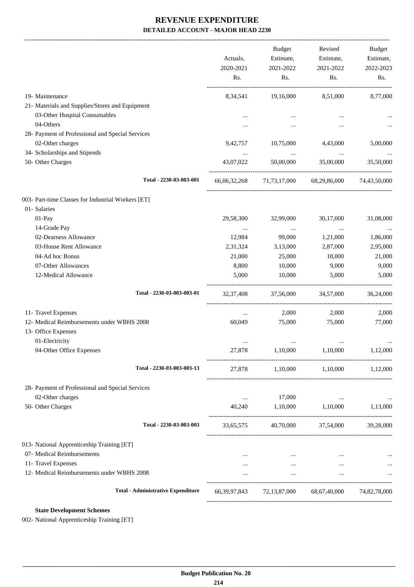-------------------------------------------------------------------------------------------------------------------------------------------------------------------------------

|                                                    | Actuals,<br>2020-2021 | <b>Budget</b><br>Estimate,<br>2021-2022 | Revised<br>Estimate,<br>2021-2022                               | <b>Budget</b><br>Estimate,<br>2022-2023 |
|----------------------------------------------------|-----------------------|-----------------------------------------|-----------------------------------------------------------------|-----------------------------------------|
|                                                    | Rs.                   | Rs.                                     | Rs.                                                             | Rs.                                     |
| 19- Maintenance                                    | 8,34,541              | 19,16,000                               | 8,51,000                                                        | 8,77,000                                |
| 21- Materials and Supplies/Stores and Equipment    |                       |                                         |                                                                 |                                         |
| 03-Other Hospital Consumables                      |                       |                                         |                                                                 |                                         |
| 04-Others                                          | $\cdots$              | $\cdots$                                | $\cdots$                                                        |                                         |
| 28- Payment of Professional and Special Services   |                       |                                         |                                                                 |                                         |
| 02-Other charges                                   | 9,42,757              | 10,75,000                               | 4,43,000                                                        | 5,00,000                                |
| 34- Scholarships and Stipends                      | $\cdots$              | $\cdots$                                | $\cdots$                                                        |                                         |
| 50- Other Charges                                  | 43,07,022             | 50,00,000                               | 35,00,000                                                       | 35,50,000                               |
| Total - 2230-03-003-001                            |                       |                                         | 66,06,32,268 71,73,17,000 68,29,86,000                          | 74,43,50,000                            |
| 003- Part-time Classes for Industrial Workers [ET] |                       |                                         |                                                                 |                                         |
| 01- Salaries                                       |                       |                                         |                                                                 |                                         |
| 01-Pay                                             | 29,58,300             | 32,99,000                               | 30,17,000                                                       | 31,08,000                               |
| 14-Grade Pay                                       | $\ldots$              | $\cdots$                                | $\ldots$                                                        |                                         |
| 02-Dearness Allowance                              | 12,984                | 99,000                                  | 1,21,000                                                        | 1,86,000                                |
| 03-House Rent Allowance                            | 2,31,324              | 3,13,000                                | 2,87,000                                                        | 2,95,000                                |
| 04-Ad hoc Bonus                                    | 21,000                | 25,000                                  | 18,000                                                          | 21,000                                  |
| 07-Other Allowances                                | 8,800                 | 10,000                                  | 9,000                                                           | 9,000                                   |
| 12-Medical Allowance                               | 5,000                 | 10,000                                  | 5,000                                                           | 5,000                                   |
| Total - 2230-03-003-003-01                         | 32, 37, 408           | 37,56,000                               | 34,57,000                                                       | 36,24,000                               |
| 11- Travel Expenses                                | $\cdots$              | 2,000                                   | 2,000                                                           | 2,000                                   |
| 12- Medical Reimbursements under WBHS 2008         | 60,049                | 75,000                                  | 75,000                                                          | 77,000                                  |
| 13- Office Expenses                                |                       |                                         |                                                                 |                                         |
| 01-Electricity                                     | $\ddotsc$             | $\cdots$                                | $\cdots$                                                        |                                         |
| 04-Other Office Expenses                           | 27,878                | 1,10,000                                | 1,10,000                                                        | 1,12,000                                |
| Total - 2230-03-003-003-13                         |                       |                                         | 27,878 1,10,000 1,10,000 1,12,000                               |                                         |
| 28- Payment of Professional and Special Services   |                       |                                         |                                                                 |                                         |
| 02-Other charges                                   | $\cdots$              | 17,000                                  | $\cdots$                                                        |                                         |
| 50- Other Charges                                  | 40,240                | 1,10,000                                | 1,10,000 1,13,000                                               |                                         |
| Total - 2230-03-003-003                            | 33,65,575             |                                         | 40,70,000 37,54,000 39,28,000                                   |                                         |
| 013- National Apprenticeship Training [ET]         |                       |                                         |                                                                 |                                         |
| 07- Medical Reimbursements                         | $\cdots$              | $\sim 10^{-11}$                         | $\cdots$                                                        |                                         |
| 11- Travel Expenses                                | $\cdots$              | <b>See College</b>                      | $\cdots$                                                        | $\cdots$                                |
| 12- Medical Reimbursements under WBHS 2008         | $\cdots$              | $\ldots$                                | $\cdots$                                                        |                                         |
| <b>Total - Administrative Expenditure</b>          |                       |                                         | 66, 39, 97, 843 72, 13, 87, 000 68, 67, 40, 000 74, 82, 78, 000 |                                         |
|                                                    |                       |                                         |                                                                 |                                         |

**State Development Schemes**

002- National Apprenticeship Training [ET]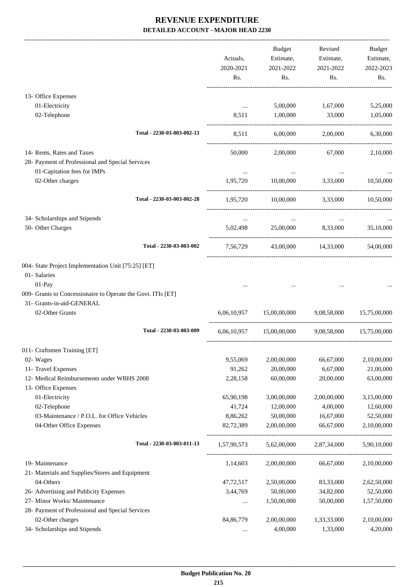-------------------------------------------------------------------------------------------------------------------------------------------------------------------------------

|                                                                   |                            | Actuals,<br>2020-2021<br>Rs. | <b>Budget</b><br>Estimate,<br>2021-2022<br>Rs. | Revised<br>Estimate,<br>2021-2022<br>Rs. | <b>Budget</b><br>Estimate,<br>2022-2023<br>Rs. |
|-------------------------------------------------------------------|----------------------------|------------------------------|------------------------------------------------|------------------------------------------|------------------------------------------------|
| 13- Office Expenses                                               |                            |                              |                                                |                                          |                                                |
| 01-Electricity                                                    |                            | $\ldots$                     | 5,00,000                                       | 1,67,000                                 | 5,25,000                                       |
| 02-Telephone                                                      |                            | 8,511                        | 1,00,000                                       | 33,000                                   | 1,05,000                                       |
|                                                                   | Total - 2230-03-003-002-13 | 8,511                        | 6,00,000                                       | 2,00,000                                 | 6,30,000                                       |
| 14- Rents, Rates and Taxes                                        |                            | 50,000                       | 2,00,000                                       | 67,000                                   | 2,10,000                                       |
| 28- Payment of Professional and Special Services                  |                            |                              |                                                |                                          |                                                |
| 01-Capitation fees for IMPs                                       |                            | $\cdots$                     |                                                |                                          |                                                |
| 02-Other charges                                                  |                            | 1,95,720                     | 10,00,000                                      | 3,33,000                                 | 10,50,000                                      |
|                                                                   | Total - 2230-03-003-002-28 | 1,95,720                     |                                                | 10,00,000 3,33,000                       | 10,50,000                                      |
| 34- Scholarships and Stipends                                     |                            |                              | $\cdots$                                       |                                          |                                                |
| 50- Other Charges                                                 |                            | 5,02,498                     |                                                | 25,00,000 8,33,000                       | 35,10,000                                      |
|                                                                   | Total - 2230-03-003-002    | 7,56,729                     |                                                | 43,00,000 14,33,000                      | 54,00,000                                      |
| 004- State Project Implementation Unit [75:25] [ET]               |                            |                              |                                                |                                          |                                                |
| 01- Salaries                                                      |                            |                              |                                                |                                          |                                                |
| 01-Pay                                                            |                            |                              |                                                |                                          |                                                |
| 009- Grants to Concessionaire to Operate the Govt. ITIs [ET]      |                            |                              |                                                |                                          |                                                |
| 31- Grants-in-aid-GENERAL                                         |                            |                              |                                                |                                          |                                                |
| 02-Other Grants                                                   |                            | 6.06.10.957                  | 15,00,00,000                                   | 9,08,58,000                              | 15,75,00,000                                   |
|                                                                   | Total - 2230-03-003-009    |                              | 6,06,10,957 15,00,00,000                       |                                          | 9,08,58,000 15,75,00,000                       |
| 011- Craftsmen Training [ET]                                      |                            |                              |                                                |                                          |                                                |
| 02- Wages                                                         |                            | 9,55,069                     | 2,00,00,000                                    | 66,67,000                                | 2,10,00,000                                    |
| 11- Travel Expenses                                               |                            | 91,262                       | 20,00,000                                      | 6,67,000                                 | 21,00,000                                      |
| 12- Medical Reimbursements under WBHS 2008<br>13- Office Expenses |                            | 2,28,158                     | 60,00,000                                      | 20,00,000                                | 63,00,000                                      |
| 01-Electricity                                                    |                            | 65,90,198                    | 3,00,00,000                                    | 2,00,00,000                              | 3,15,00,000                                    |
| 02-Telephone                                                      |                            | 41,724                       | 12,00,000                                      | 4,00,000                                 | 12,60,000                                      |
| 03-Maintenance / P.O.L. for Office Vehicles                       |                            | 8,86,262                     | 50,00,000                                      | 16,67,000                                | 52,50,000                                      |
| 04-Other Office Expenses                                          |                            | 82,72,389                    | 2,00,00,000                                    | 66,67,000                                | 2,10,00,000                                    |
|                                                                   | Total - 2230-03-003-011-13 | 1,57,90,573                  | 5,62,00,000                                    | 2,87,34,000                              | 5,90,10,000                                    |
| 19- Maintenance                                                   |                            | 1,14,603                     | 2,00,00,000                                    | 66,67,000                                | 2,10,00,000                                    |
| 21- Materials and Supplies/Stores and Equipment                   |                            |                              |                                                |                                          |                                                |
| 04-Others                                                         |                            | 47,72,517                    | 2,50,00,000                                    | 83,33,000                                | 2,62,50,000                                    |
| 26- Advertising and Publicity Expenses                            |                            | 3,44,769                     | 50,00,000                                      | 34,82,000                                | 52,50,000                                      |
| 27- Minor Works/ Maintenance                                      |                            | $\cdots$                     | 1,50,00,000                                    | 50,00,000                                | 1,57,50,000                                    |
| 28- Payment of Professional and Special Services                  |                            |                              |                                                |                                          |                                                |
| 02-Other charges                                                  |                            | 84, 86, 779                  | 2,00,00,000                                    | 1,33,33,000                              | 2,10,00,000                                    |
| 34- Scholarships and Stipends                                     |                            | $\ldots$                     | 4,00,000                                       | 1,33,000                                 | 4,20,000                                       |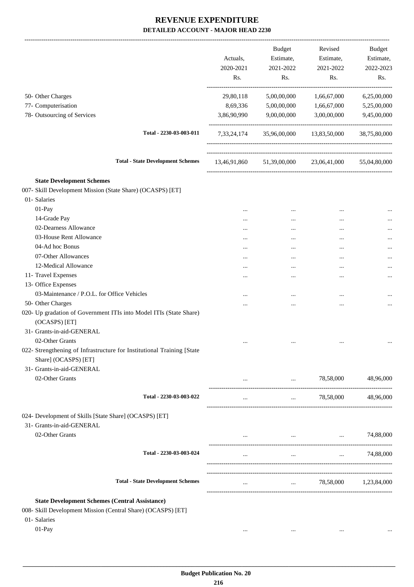-------------------------------------------------------------------------------------------------------------------------------------------------------------------------------

|                                                                                                                       | Actuals,<br>2020-2021<br>Rs. | <b>Budget</b><br>Estimate,<br>2021-2022<br>Rs.                  | Revised<br>Estimate,<br>2021-2022<br>Rs. | <b>Budget</b><br>Estimate,<br>2022-2023<br>Rs. |
|-----------------------------------------------------------------------------------------------------------------------|------------------------------|-----------------------------------------------------------------|------------------------------------------|------------------------------------------------|
| 50- Other Charges                                                                                                     | 29,80,118                    | 5,00,00,000                                                     | 1,66,67,000                              | 6,25,00,000                                    |
| 77- Computerisation<br>78- Outsourcing of Services                                                                    | 8,69,336<br>3,86,90,990      | 5,00,00,000<br>9,00,00,000                                      | 1,66,67,000<br>3,00,00,000               | 5,25,00,000<br>9,45,00,000                     |
| Total - 2230-03-003-011                                                                                               | 7,33,24,174                  |                                                                 | 35,96,00,000 13,83,50,000                | 38,75,80,000                                   |
| <b>Total - State Development Schemes</b>                                                                              |                              |                                                                 | 13,46,91,860 51,39,00,000 23,06,41,000   | 55,04,80,000                                   |
| <b>State Development Schemes</b>                                                                                      |                              |                                                                 |                                          |                                                |
| 007- Skill Development Mission (State Share) (OCASPS) [ET]                                                            |                              |                                                                 |                                          |                                                |
| 01- Salaries                                                                                                          |                              |                                                                 |                                          |                                                |
| 01-Pay                                                                                                                |                              | $\cdots$                                                        |                                          |                                                |
| 14-Grade Pay                                                                                                          |                              |                                                                 |                                          |                                                |
| 02-Dearness Allowance                                                                                                 | $\cdots$                     |                                                                 | $\cdots$                                 |                                                |
| 03-House Rent Allowance                                                                                               |                              | $\cdots$                                                        |                                          |                                                |
| 04-Ad hoc Bonus                                                                                                       |                              |                                                                 |                                          |                                                |
| 07-Other Allowances                                                                                                   |                              |                                                                 |                                          | .                                              |
| 12-Medical Allowance                                                                                                  |                              |                                                                 |                                          |                                                |
| 11- Travel Expenses                                                                                                   |                              |                                                                 |                                          |                                                |
| 13- Office Expenses                                                                                                   |                              |                                                                 |                                          |                                                |
| 03-Maintenance / P.O.L. for Office Vehicles                                                                           |                              |                                                                 |                                          |                                                |
| 50- Other Charges                                                                                                     |                              |                                                                 | $\cdots$                                 |                                                |
| 020- Up gradation of Government ITIs into Model ITIs (State Share)<br>(OCASPS) [ET]                                   |                              |                                                                 |                                          |                                                |
| 31- Grants-in-aid-GENERAL                                                                                             |                              |                                                                 |                                          |                                                |
| 02-Other Grants                                                                                                       |                              |                                                                 |                                          |                                                |
| 022- Strengthening of Infrastructure for Institutional Training [State<br>Share] (OCASPS) [ET]                        |                              |                                                                 |                                          |                                                |
| 31- Grants-in-aid-GENERAL<br>02-Other Grants                                                                          |                              |                                                                 | 78,58,000                                | 48,96,000                                      |
| Total - 2230-03-003-022                                                                                               | $\cdots$                     | $\cdots$                                                        | 78,58,000                                | 48,96,000                                      |
| 024- Development of Skills [State Share] (OCASPS) [ET]                                                                |                              |                                                                 |                                          |                                                |
| 31- Grants-in-aid-GENERAL                                                                                             |                              |                                                                 |                                          |                                                |
| 02-Other Grants                                                                                                       |                              |                                                                 | and the state of the state and the       | 74,88,000                                      |
| Total - 2230-03-003-024                                                                                               |                              | $\cdots$                                                        | $\cdots$                                 | 74,88,000                                      |
| <b>Total - State Development Schemes</b>                                                                              | $\cdots$                     | $\mathbf{1}$ and $\mathbf{1}$ and $\mathbf{1}$ and $\mathbf{1}$ |                                          | 78,58,000 1,23,84,000                          |
|                                                                                                                       |                              |                                                                 |                                          |                                                |
| <b>State Development Schemes (Central Assistance)</b><br>008- Skill Development Mission (Central Share) (OCASPS) [ET] |                              |                                                                 |                                          |                                                |
| 01- Salaries                                                                                                          |                              |                                                                 |                                          |                                                |
| 01-Pay                                                                                                                |                              |                                                                 |                                          |                                                |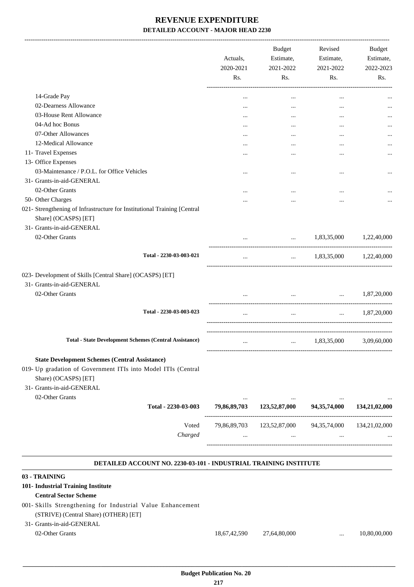|                                                                                                                    | Actuals,<br>2020-2021<br>Rs. | Budget<br>Estimate,<br>2021-2022<br>Rs.                           | Revised<br>Estimate,<br>2021-2022<br>Rs.                      | Budget<br>Estimate,<br>2022-2023<br>Rs. |
|--------------------------------------------------------------------------------------------------------------------|------------------------------|-------------------------------------------------------------------|---------------------------------------------------------------|-----------------------------------------|
| 14-Grade Pay                                                                                                       | $\cdots$                     | $\cdots$                                                          | $\cdots$                                                      |                                         |
| 02-Dearness Allowance                                                                                              | $\cdots$                     | $\cdots$                                                          | $\cdots$                                                      |                                         |
| 03-House Rent Allowance                                                                                            |                              | $\cdots$                                                          |                                                               |                                         |
| 04-Ad hoc Bonus                                                                                                    | $\cdots$                     |                                                                   |                                                               |                                         |
| 07-Other Allowances                                                                                                | $\cdots$                     | $\cdots$                                                          | $\cdots$                                                      |                                         |
| 12-Medical Allowance                                                                                               | $\cdots$                     |                                                                   |                                                               |                                         |
| 11- Travel Expenses                                                                                                | .                            |                                                                   | $\ddotsc$                                                     | $\cdots$                                |
| 13- Office Expenses                                                                                                |                              |                                                                   |                                                               |                                         |
| 03-Maintenance / P.O.L. for Office Vehicles                                                                        |                              | $\cdots$                                                          |                                                               |                                         |
| 31- Grants-in-aid-GENERAL                                                                                          |                              |                                                                   | $\ddotsc$                                                     |                                         |
| 02-Other Grants                                                                                                    |                              |                                                                   |                                                               |                                         |
| 50- Other Charges                                                                                                  |                              |                                                                   |                                                               |                                         |
| 021- Strengthening of Infrastructure for Institutional Training [Central                                           |                              |                                                                   |                                                               |                                         |
| Share] (OCASPS) [ET]                                                                                               |                              |                                                                   |                                                               |                                         |
| 31- Grants-in-aid-GENERAL                                                                                          |                              |                                                                   |                                                               |                                         |
|                                                                                                                    |                              |                                                                   |                                                               |                                         |
| 02-Other Grants                                                                                                    |                              | <b>ALCOHOL:</b>                                                   | 1,83,35,000                                                   | 1,22,40,000                             |
| Total - 2230-03-003-021                                                                                            | $\cdots$                     | --------------------------------                                  | $\ldots$ 1,83,35,000 1,22,40,000                              |                                         |
| 023- Development of Skills [Central Share] (OCASPS) [ET]<br>31- Grants-in-aid-GENERAL<br>02-Other Grants           |                              |                                                                   | $\mathbf{r}$ and $\mathbf{r}$ are all the set of $\mathbf{r}$ | $\ldots$ 1,87,20,000                    |
|                                                                                                                    |                              |                                                                   |                                                               |                                         |
| Total - 2230-03-003-023                                                                                            | $\cdots$                     | $\mathbf{r}$ and $\mathbf{r}$ .                                   | $\mathbf{r}$ and $\mathbf{r}$                                 | 1,87,20,000                             |
| <b>Total - State Development Schemes (Central Assistance)</b>                                                      | $\cdots$                     |                                                                   | $\ldots$ 1,83,35,000                                          | 3,09,60,000                             |
| <b>State Development Schemes (Central Assistance)</b>                                                              |                              |                                                                   |                                                               |                                         |
| 019- Up gradation of Government ITIs into Model ITIs (Central<br>Share) (OCASPS) [ET]<br>31- Grants-in-aid-GENERAL |                              |                                                                   |                                                               |                                         |
| 02-Other Grants                                                                                                    |                              |                                                                   |                                                               |                                         |
| Total - 2230-03-003                                                                                                |                              | 79,86,89,703 123,52,87,000 94,35,74,000 134,21,02,000             |                                                               |                                         |
|                                                                                                                    |                              |                                                                   |                                                               |                                         |
| Voted<br>Charged                                                                                                   |                              | 79,86,89,703 123,52,87,000 94,35,74,000 134,21,02,000<br>$\cdots$ |                                                               |                                         |
| DETAILED ACCOUNT NO. 2230-03-101 - INDUSTRIAL TRAINING INSTITUTE                                                   |                              |                                                                   |                                                               |                                         |
| 03 - TRAINING                                                                                                      |                              |                                                                   |                                                               |                                         |
| 101- Industrial Training Institute<br><b>Central Sector Scheme</b>                                                 |                              |                                                                   |                                                               |                                         |
| 001- Skills Strengthening for Industrial Value Enhancement<br>(STRIVE) (Central Share) (OTHER) [ET]                |                              |                                                                   |                                                               |                                         |

31- Grants-in-aid-GENERAL

02-Other Grants 18,67,42,590 27,64,80,000 ... 10,80,00,000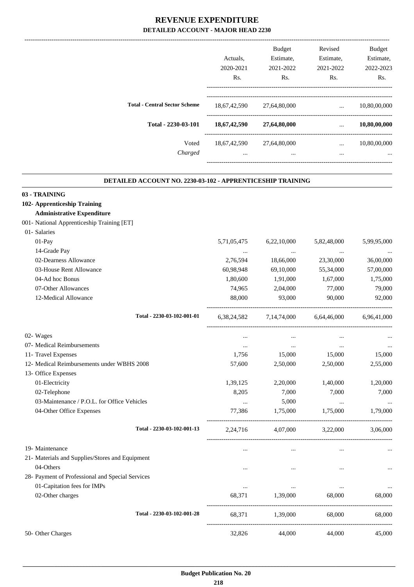| Revised<br>Estimate,<br>2021-2022<br>Rs. | <b>Budget</b><br>Estimate,<br>2021-2022<br>R <sub>s</sub> . | Actuals.<br>2020-2021<br>R <sub>s</sub> . |                                      |
|------------------------------------------|-------------------------------------------------------------|-------------------------------------------|--------------------------------------|
| $\cdots$                                 | 27,64,80,000                                                | 18,67,42,590                              | <b>Total - Central Sector Scheme</b> |
| $\cdots$                                 | 27,64,80,000                                                | 18,67,42,590                              | Total - 2230-03-101                  |
| $\cdots$<br>$\cdots$                     | 27,64,80,000<br>$\cdots$                                    | 18,67,42,590<br>$\cdots$                  | Voted<br>Charged                     |
|                                          |                                                             |                                           |                                      |

.

### **DETAILED ACCOUNT NO. 2230-03-102 - APPRENTICESHIP TRAINING**

| 03 - TRAINING                                    |             |                |             |             |
|--------------------------------------------------|-------------|----------------|-------------|-------------|
| 102- Apprenticeship Training                     |             |                |             |             |
| <b>Administrative Expenditure</b>                |             |                |             |             |
| 001- National Apprenticeship Training [ET]       |             |                |             |             |
| 01- Salaries                                     |             |                |             |             |
| 01-Pay                                           | 5,71,05,475 | 6,22,10,000    | 5,82,48,000 | 5,99,95,000 |
| 14-Grade Pay                                     | $\ddotsc$   | $\cdots$       | $\cdots$    |             |
| 02-Dearness Allowance                            | 2,76,594    | 18,66,000      | 23,30,000   | 36,00,000   |
| 03-House Rent Allowance                          | 60,98,948   | 69,10,000      | 55,34,000   | 57,00,000   |
| 04-Ad hoc Bonus                                  | 1,80,600    | 1,91,000       | 1,67,000    | 1,75,000    |
| 07-Other Allowances                              | 74,965      | 2,04,000       | 77,000      | 79,000      |
| 12-Medical Allowance                             | 88,000      | 93,000         | 90,000      | 92,000      |
| Total - 2230-03-102-001-01                       | 6,38,24,582 | 7, 14, 74, 000 | 6,64,46,000 | 6,96,41,000 |
| 02- Wages                                        | $\ldots$    | $\ldots$       | $\ldots$    |             |
| 07- Medical Reimbursements                       | $\cdots$    | $\cdots$       | $\ldots$    | $\cdots$    |
| 11- Travel Expenses                              | 1,756       | 15,000         | 15,000      | 15,000      |
| 12- Medical Reimbursements under WBHS 2008       | 57,600      | 2,50,000       | 2,50,000    | 2,55,000    |
| 13- Office Expenses                              |             |                |             |             |
| 01-Electricity                                   | 1,39,125    | 2,20,000       | 1,40,000    | 1,20,000    |
| 02-Telephone                                     | 8,205       | 7,000          | 7,000       | 7,000       |
| 03-Maintenance / P.O.L. for Office Vehicles      | $\cdots$    | 5,000          | $\cdots$    |             |
| 04-Other Office Expenses                         | 77,386      | 1,75,000       | 1,75,000    | 1,79,000    |
| Total - 2230-03-102-001-13                       | 2,24,716    | 4,07,000       | 3,22,000    | 3,06,000    |
| 19- Maintenance                                  | $\ddotsc$   | $\cdots$       | $\ddotsc$   |             |
| 21- Materials and Supplies/Stores and Equipment  |             |                |             |             |
| 04-Others                                        | $\cdots$    | $\cdots$       | $\ddotsc$   |             |
| 28- Payment of Professional and Special Services |             |                |             |             |
| 01-Capitation fees for IMPs                      | $\ddotsc$   | $\cdots$       | $\ddotsc$   |             |
| 02-Other charges                                 | 68,371      | 1,39,000       | 68,000      | 68,000      |
| Total - 2230-03-102-001-28                       | 68,371      | 1,39,000       | 68,000      | 68,000      |
| 50- Other Charges                                | 32,826      | 44,000         | 44,000      | 45,000      |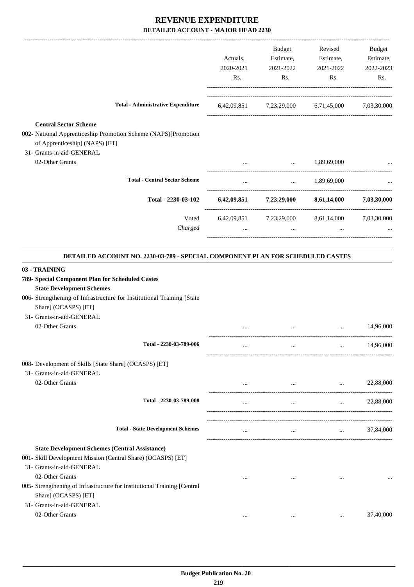|                                                                                                                                                                                                                                                                           | Actuals,<br>2020-2021<br>Rs. | Budget<br>Estimate,<br>2021-2022<br>Rs. | Revised<br>Estimate,<br>2021-2022<br>Rs.                    | Budget<br>Estimate,<br>2022-2023<br>Rs. |
|---------------------------------------------------------------------------------------------------------------------------------------------------------------------------------------------------------------------------------------------------------------------------|------------------------------|-----------------------------------------|-------------------------------------------------------------|-----------------------------------------|
| <b>Total - Administrative Expenditure</b>                                                                                                                                                                                                                                 |                              |                                         | 6,42,09,851 7,23,29,000 6,71,45,000 7,03,30,000             |                                         |
| <b>Central Sector Scheme</b><br>002- National Apprenticeship Promotion Scheme (NAPS)[Promotion<br>of Apprenticeship] (NAPS) [ET]<br>31- Grants-in-aid-GENERAL                                                                                                             |                              |                                         |                                                             |                                         |
| 02-Other Grants                                                                                                                                                                                                                                                           | $\cdots$                     | $\ddotsc$                               | 1,89,69,000                                                 |                                         |
| <b>Total - Central Sector Scheme</b>                                                                                                                                                                                                                                      | $\cdots$                     | $\mathbf{m}$ and $\mathbf{m}$           | 1,89,69,000                                                 |                                         |
| Total - 2230-03-102                                                                                                                                                                                                                                                       |                              |                                         | $6,42,09,851$ $7,23,29,000$ $8,61,14,000$                   | 7,03,30,000                             |
| Voted<br>Charged                                                                                                                                                                                                                                                          | $\cdots$                     | $\ddotsc$                               | 6,42,09,851 7,23,29,000 8,61,14,000 7,03,30,000<br>$\cdots$ |                                         |
| DETAILED ACCOUNT NO. 2230-03-789 - SPECIAL COMPONENT PLAN FOR SCHEDULED CASTES                                                                                                                                                                                            |                              |                                         |                                                             |                                         |
| 789- Special Component Plan for Scheduled Castes<br><b>State Development Schemes</b><br>006- Strengthening of Infrastructure for Institutional Training [State<br>Share] (OCASPS) [ET]<br>31- Grants-in-aid-GENERAL<br>02-Other Grants                                    |                              |                                         |                                                             | 14,96,000                               |
| Total - 2230-03-789-006                                                                                                                                                                                                                                                   | $\cdots$                     | $\cdots$                                | $\cdots$                                                    | 14,96,000                               |
| 008- Development of Skills [State Share] (OCASPS) [ET]<br>31- Grants-in-aid-GENERAL<br>02-Other Grants                                                                                                                                                                    | $\cdots$                     | $\cdots$                                | $\cdots$                                                    | 22,88,000                               |
| Total - 2230-03-789-008                                                                                                                                                                                                                                                   | $\cdots$                     | $\cdots$                                | $\cdots$                                                    | 22,88,000                               |
| <b>Total - State Development Schemes</b>                                                                                                                                                                                                                                  | $\cdots$                     | $\cdots$                                | $\cdots$                                                    | 37,84,000                               |
| <b>State Development Schemes (Central Assistance)</b><br>001- Skill Development Mission (Central Share) (OCASPS) [ET]<br>31- Grants-in-aid-GENERAL<br>02-Other Grants<br>005- Strengthening of Infrastructure for Institutional Training [Central<br>Share] (OCASPS) [ET] | $\cdots$                     | $\cdots$                                |                                                             |                                         |
| 31- Grants-in-aid-GENERAL<br>02-Other Grants                                                                                                                                                                                                                              | $\cdots$                     | $\cdots$                                | $\ddotsc$                                                   | 37,40,000                               |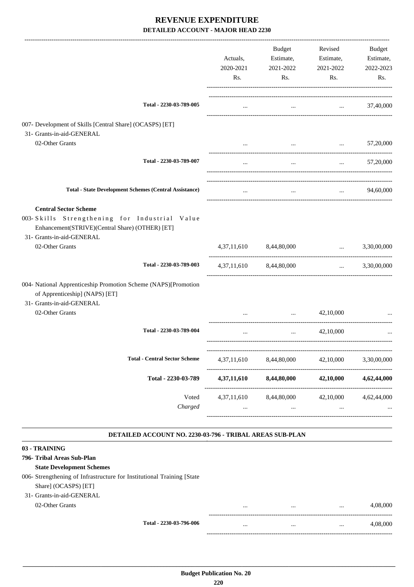|                                                                                                                                                               | Actuals,<br>2020-2021 | <b>Budget</b><br>Estimate,<br>2021-2022 | Revised<br>Estimate,<br>2021-2022              | Budget<br>Estimate,<br>2022-2023 |
|---------------------------------------------------------------------------------------------------------------------------------------------------------------|-----------------------|-----------------------------------------|------------------------------------------------|----------------------------------|
|                                                                                                                                                               | Rs.                   | Rs.                                     | Rs.                                            | Rs.                              |
| Total - 2230-03-789-005                                                                                                                                       | $\cdots$              | $\cdots$                                | and the company of the company                 | 37,40,000                        |
| 007- Development of Skills [Central Share] (OCASPS) [ET]<br>31- Grants-in-aid-GENERAL                                                                         |                       |                                         |                                                |                                  |
| 02-Other Grants                                                                                                                                               |                       | $\ddots$                                | the control of the control of the              | 57,20,000                        |
| Total - 2230-03-789-007                                                                                                                                       | $\cdots$              | $\cdots$                                | $\cdots$                                       | 57,20,000                        |
| <b>Total - State Development Schemes (Central Assistance)</b>                                                                                                 | $\cdots$              | $\cdots$                                | $\mathbf{1}$ and $\mathbf{1}$ and $\mathbf{1}$ | 94,60,000                        |
| <b>Central Sector Scheme</b><br>003-Skills Strengthening for Industrial Value<br>Enhancement(STRIVE)(Central Share) (OTHER) [ET]<br>31- Grants-in-aid-GENERAL |                       |                                         |                                                |                                  |
| 02-Other Grants                                                                                                                                               |                       | 4,37,11,610 8,44,80,000                 | $\cdots$                                       | 3,30,00,000                      |
| Total - 2230-03-789-003                                                                                                                                       |                       | 4,37,11,610 8,44,80,000                 | $\mathbf{1}$ and $\mathbf{1}$ and $\mathbf{1}$ | 3,30,00,000                      |
| 004- National Apprenticeship Promotion Scheme (NAPS)[Promotion<br>of Apprenticeship] (NAPS) [ET]<br>31- Grants-in-aid-GENERAL                                 |                       |                                         |                                                |                                  |
| 02-Other Grants                                                                                                                                               |                       | $\mathbf{r}$ , and $\mathbf{r}$         | 42,10,000                                      |                                  |
| Total - 2230-03-789-004                                                                                                                                       |                       | $\cdots$                                | 42,10,000                                      |                                  |
| <b>Total - Central Sector Scheme</b>                                                                                                                          | 4,37,11,610           | 8,44,80,000                             | 42,10,000                                      | 3,30,00,000                      |
| Total - 2230-03-789                                                                                                                                           | 4,37,11,610           | 8,44,80,000                             | 42,10,000                                      | 4,62,44,000                      |
| Voted<br>Charged                                                                                                                                              | $\cdots$              | 4,37,11,610 8,44,80,000<br>$\cdots$     | 42,10,000<br>$\cdots$<br>------------------    | 4,62,44,000                      |
| DETAILED ACCOUNT NO. 2230-03-796 - TRIBAL AREAS SUB-PLAN                                                                                                      |                       |                                         |                                                |                                  |
| 03 - TRAINING                                                                                                                                                 |                       |                                         |                                                |                                  |
| 796- Tribal Areas Sub-Plan<br><b>State Development Schemes</b>                                                                                                |                       |                                         |                                                |                                  |

006- Strengthening of Infrastructure for Institutional Training [State Share] (OCASPS) [ET]

### 31- Grants-in-aid-GENERAL

02-Other Grants

|                         |          | <br> | 4,08,000 |
|-------------------------|----------|------|----------|
| Total - 2230-03-796-006 | $\cdots$ | <br> | 4.08.000 |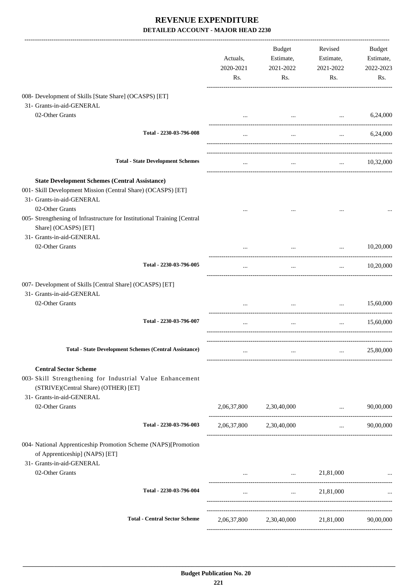|                                                                                                                                                                | Actuals,<br>2020-2021<br>Rs. | Budget<br>Estimate,<br>2021-2022<br>Rs.     | Revised<br>Estimate,<br>2021-2022<br>Rs.   | Budget<br>Estimate,<br>2022-2023<br>Rs. |
|----------------------------------------------------------------------------------------------------------------------------------------------------------------|------------------------------|---------------------------------------------|--------------------------------------------|-----------------------------------------|
| 008- Development of Skills [State Share] (OCASPS) [ET]                                                                                                         |                              |                                             |                                            |                                         |
| 31- Grants-in-aid-GENERAL<br>02-Other Grants                                                                                                                   |                              |                                             | and the state of the state of the state of | 6,24,000                                |
| Total - 2230-03-796-008                                                                                                                                        |                              |                                             |                                            |                                         |
|                                                                                                                                                                | $\cdots$                     | $\cdots$                                    |                                            | 6,24,000                                |
| <b>Total - State Development Schemes</b>                                                                                                                       | $\cdots$                     | $\mathbf{r}$ and $\mathbf{r}$               | <b>Sales Control</b>                       | 10,32,000                               |
| <b>State Development Schemes (Central Assistance)</b><br>001- Skill Development Mission (Central Share) (OCASPS) [ET]<br>31- Grants-in-aid-GENERAL             |                              |                                             |                                            |                                         |
| 02-Other Grants<br>005- Strengthening of Infrastructure for Institutional Training [Central<br>Share] (OCASPS) [ET]<br>31- Grants-in-aid-GENERAL               |                              |                                             |                                            |                                         |
| 02-Other Grants                                                                                                                                                |                              | $\cdots$                                    | $\cdots$                                   | 10,20,000                               |
| Total - 2230-03-796-005                                                                                                                                        | $\cdots$                     | $\cdots$                                    | $\cdots$ . The same of $\cdots$            | 10,20,000                               |
| 007- Development of Skills [Central Share] (OCASPS) [ET]<br>31- Grants-in-aid-GENERAL                                                                          |                              |                                             |                                            |                                         |
| 02-Other Grants                                                                                                                                                | $\cdots$                     | $\cdots$                                    | $\cdots$                                   | 15,60,000                               |
| Total - 2230-03-796-007                                                                                                                                        | $\cdots$                     | $\ldots$                                    | $\cdots$                                   | 15,60,000                               |
| <b>Total - State Development Schemes (Central Assistance)</b>                                                                                                  |                              |                                             |                                            | 25,80,000                               |
| <b>Central Sector Scheme</b><br>003- Skill Strengthening for Industrial Value Enhancement<br>(STRIVE)(Central Share) (OTHER) [ET]<br>31- Grants-in-aid-GENERAL |                              |                                             |                                            |                                         |
| 02-Other Grants                                                                                                                                                |                              | 2,06,37,800 2,30,40,000                     | and the company of the company of          | 90,00,000                               |
| Total - 2230-03-796-003                                                                                                                                        |                              | 2,06,37,800 2,30,40,000                     | $\mathbf{m}$                               | 90,00,000                               |
| 004- National Apprenticeship Promotion Scheme (NAPS)[Promotion<br>of Apprenticeship] (NAPS) [ET]<br>31- Grants-in-aid-GENERAL                                  |                              |                                             |                                            |                                         |
| 02-Other Grants                                                                                                                                                |                              | $\ldots$ 21,81,000                          |                                            |                                         |
| Total - 2230-03-796-004                                                                                                                                        | $\cdots$                     | <b>Section</b> of the con-                  | 21,81,000                                  |                                         |
| <b>Total - Central Sector Scheme</b>                                                                                                                           |                              | 2,06,37,800 2,30,40,000 21,81,000 90,00,000 |                                            |                                         |
|                                                                                                                                                                |                              |                                             |                                            |                                         |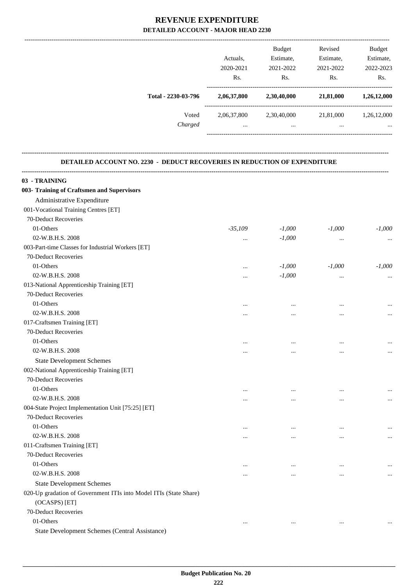|                     | Actuals.<br>2020-2021<br>Rs. | <b>Budget</b><br>Estimate,<br>2021-2022<br>R <sub>s</sub> . | Revised<br>Estimate,<br>2021-2022<br>Rs. | <b>Budget</b><br>Estimate,<br>2022-2023<br>Rs. |
|---------------------|------------------------------|-------------------------------------------------------------|------------------------------------------|------------------------------------------------|
| Total - 2230-03-796 | 2,06,37,800                  | 2,30,40,000                                                 | 21,81,000                                | 1,26,12,000                                    |
| Voted<br>Charged    | 2,06,37,800<br>$\cdots$      | 2,30,40,000<br>                                             | 21,81,000<br>                            | 1,26,12,000<br>                                |

**--------------------------------------------------------------------------------------------------------------------------------------------------------------------------------**

### **DETAILED ACCOUNT NO. 2230 - DEDUCT RECOVERIES IN REDUCTION OF EXPENDITURE**

| 03 - TRAINING                                                     |           |           |           |          |
|-------------------------------------------------------------------|-----------|-----------|-----------|----------|
| 003- Training of Craftsmen and Supervisors                        |           |           |           |          |
| Administrative Expenditure                                        |           |           |           |          |
| 001-Vocational Training Centres [ET]                              |           |           |           |          |
| 70-Deduct Recoveries                                              |           |           |           |          |
| 01-Others                                                         | $-35,109$ | $-1,000$  | $-1,000$  | $-1,000$ |
| 02-W.B.H.S. 2008                                                  | $\cdots$  | $-1,000$  | $\cdots$  |          |
| 003-Part-time Classes for Industrial Workers [ET]                 |           |           |           |          |
| 70-Deduct Recoveries                                              |           |           |           |          |
| 01-Others                                                         | $\cdots$  | $-1,000$  | $-1,000$  | $-1,000$ |
| 02-W.B.H.S. 2008                                                  |           | $-1,000$  | $\cdots$  |          |
| 013-National Apprenticeship Training [ET]                         |           |           |           |          |
| 70-Deduct Recoveries                                              |           |           |           |          |
| 01-Others                                                         | $\cdots$  |           |           |          |
| 02-W.B.H.S. 2008                                                  |           |           |           | $\cdots$ |
| 017-Craftsmen Training [ET]                                       |           |           |           |          |
| 70-Deduct Recoveries                                              |           |           |           |          |
| 01-Others                                                         | $\cdots$  | $\ddotsc$ |           |          |
| 02-W.B.H.S. 2008                                                  |           |           |           | $\cdots$ |
| <b>State Development Schemes</b>                                  |           |           |           |          |
| 002-National Apprenticeship Training [ET]                         |           |           |           |          |
| 70-Deduct Recoveries                                              |           |           |           |          |
| 01-Others                                                         | $\cdots$  | $\cdots$  | $\ddotsc$ | $\cdots$ |
| 02-W.B.H.S. 2008                                                  |           |           |           | $\cdots$ |
| 004-State Project Implementation Unit [75:25] [ET]                |           |           |           |          |
| 70-Deduct Recoveries                                              |           |           |           |          |
| 01-Others                                                         | $\cdots$  |           | $\ddotsc$ |          |
| 02-W.B.H.S. 2008                                                  |           |           |           | $\cdots$ |
| 011-Craftsmen Training [ET]                                       |           |           |           |          |
| 70-Deduct Recoveries                                              |           |           |           |          |
| 01-Others                                                         | $\cdots$  | $\cdots$  | $\cdots$  |          |
| 02-W.B.H.S. 2008                                                  | $\cdots$  | $\cdots$  | $\cdots$  | $\cdots$ |
| <b>State Development Schemes</b>                                  |           |           |           |          |
| 020-Up gradation of Government ITIs into Model ITIs (State Share) |           |           |           |          |
| (OCASPS) [ET]                                                     |           |           |           |          |
| 70-Deduct Recoveries                                              |           |           |           |          |
| 01-Others                                                         | $\ldots$  | $\ldots$  | $\ldots$  | $\ldots$ |
| State Development Schemes (Central Assistance)                    |           |           |           |          |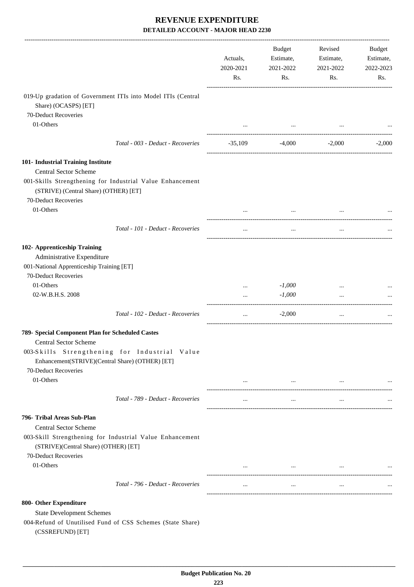|                                                                                                                                                                | Actuals,<br>2020-2021<br>Rs. | Budget<br>Estimate,<br>2021-2022<br>Rs.                                                                                                                                                                                          | Revised<br>Estimate,<br>2021-2022<br>Rs.                                                                                                                                                                                                                                                                                                                                                                                                               | <b>Budget</b><br>Estimate,<br>2022-2023<br>Rs. |
|----------------------------------------------------------------------------------------------------------------------------------------------------------------|------------------------------|----------------------------------------------------------------------------------------------------------------------------------------------------------------------------------------------------------------------------------|--------------------------------------------------------------------------------------------------------------------------------------------------------------------------------------------------------------------------------------------------------------------------------------------------------------------------------------------------------------------------------------------------------------------------------------------------------|------------------------------------------------|
| 019-Up gradation of Government ITIs into Model ITIs (Central<br>Share) (OCASPS) [ET]                                                                           |                              |                                                                                                                                                                                                                                  |                                                                                                                                                                                                                                                                                                                                                                                                                                                        |                                                |
| 70-Deduct Recoveries<br>01-Others                                                                                                                              |                              | $\cdots$                                                                                                                                                                                                                         |                                                                                                                                                                                                                                                                                                                                                                                                                                                        |                                                |
| Total - 003 - Deduct - Recoveries                                                                                                                              | $-35,109$                    |                                                                                                                                                                                                                                  | $-4,000$ $-2,000$                                                                                                                                                                                                                                                                                                                                                                                                                                      | $-2,000$                                       |
| 101- Industrial Training Institute                                                                                                                             |                              |                                                                                                                                                                                                                                  |                                                                                                                                                                                                                                                                                                                                                                                                                                                        |                                                |
| <b>Central Sector Scheme</b>                                                                                                                                   |                              |                                                                                                                                                                                                                                  |                                                                                                                                                                                                                                                                                                                                                                                                                                                        |                                                |
| 001-Skills Strengthening for Industrial Value Enhancement<br>(STRIVE) (Central Share) (OTHER) [ET]<br>70-Deduct Recoveries                                     |                              |                                                                                                                                                                                                                                  |                                                                                                                                                                                                                                                                                                                                                                                                                                                        |                                                |
| 01-Others                                                                                                                                                      |                              |                                                                                                                                                                                                                                  |                                                                                                                                                                                                                                                                                                                                                                                                                                                        |                                                |
| Total - 101 - Deduct - Recoveries                                                                                                                              | $\cdots$                     | $\cdots$                                                                                                                                                                                                                         | $\cdots$                                                                                                                                                                                                                                                                                                                                                                                                                                               |                                                |
| 102- Apprenticeship Training<br>Administrative Expenditure<br>001-National Apprenticeship Training [ET]<br>70-Deduct Recoveries                                |                              |                                                                                                                                                                                                                                  |                                                                                                                                                                                                                                                                                                                                                                                                                                                        |                                                |
| 01-Others                                                                                                                                                      |                              | $-1,000$                                                                                                                                                                                                                         |                                                                                                                                                                                                                                                                                                                                                                                                                                                        |                                                |
| 02-W.B.H.S. 2008                                                                                                                                               | $\cdots$                     | $-1,000$                                                                                                                                                                                                                         | $\ddots$                                                                                                                                                                                                                                                                                                                                                                                                                                               |                                                |
| Total - 102 - Deduct - Recoveries                                                                                                                              | $\ldots$                     | $-2,000$                                                                                                                                                                                                                         | $\cdots$                                                                                                                                                                                                                                                                                                                                                                                                                                               |                                                |
| 789- Special Component Plan for Scheduled Castes                                                                                                               |                              |                                                                                                                                                                                                                                  |                                                                                                                                                                                                                                                                                                                                                                                                                                                        |                                                |
| <b>Central Sector Scheme</b>                                                                                                                                   |                              |                                                                                                                                                                                                                                  |                                                                                                                                                                                                                                                                                                                                                                                                                                                        |                                                |
| 003-Skills Strengthening for Industrial Value<br>Enhancement(STRIVE)(Central Share) (OTHER) [ET]<br>70-Deduct Recoveries                                       |                              |                                                                                                                                                                                                                                  |                                                                                                                                                                                                                                                                                                                                                                                                                                                        |                                                |
| 01-Others                                                                                                                                                      |                              | $\cdots$ . The contract of the contract of the contract of the contract of the contract of the contract of the contract of the contract of the contract of the contract of the contract of the contract of the contract of the c | $\mathbf{1}_{\mathbf{1}_{\mathbf{1}_{\mathbf{2}}\mathbf{1}_{\mathbf{3}}\mathbf{1}_{\mathbf{4}}\mathbf{1}_{\mathbf{5}}\mathbf{1}_{\mathbf{6}}\mathbf{1}_{\mathbf{7}}\mathbf{1}_{\mathbf{8}}\mathbf{1}_{\mathbf{9}}\mathbf{1}_{\mathbf{1}_{\mathbf{1}}\mathbf{1}_{\mathbf{1}}\mathbf{1}_{\mathbf{1}}\mathbf{1}_{\mathbf{1}}\mathbf{1}_{\mathbf{1}}\mathbf{1}_{\mathbf{1}}\mathbf{1}_{\mathbf{1}}\mathbf{1}_{\mathbf{1}}\mathbf{1}_{\mathbf{$<br>$\cdots$ |                                                |
| Total - 789 - Deduct - Recoveries                                                                                                                              | $\cdots$                     | $\cdots$                                                                                                                                                                                                                         | $\cdots$                                                                                                                                                                                                                                                                                                                                                                                                                                               |                                                |
| 796- Tribal Areas Sub-Plan<br><b>Central Sector Scheme</b><br>003-Skill Strengthening for Industrial Value Enhancement<br>(STRIVE)(Central Share) (OTHER) [ET] |                              |                                                                                                                                                                                                                                  |                                                                                                                                                                                                                                                                                                                                                                                                                                                        |                                                |
| 70-Deduct Recoveries<br>01-Others                                                                                                                              |                              | $\cdots$                                                                                                                                                                                                                         |                                                                                                                                                                                                                                                                                                                                                                                                                                                        |                                                |
| Total - 796 - Deduct - Recoveries                                                                                                                              |                              |                                                                                                                                                                                                                                  |                                                                                                                                                                                                                                                                                                                                                                                                                                                        |                                                |
|                                                                                                                                                                | $\ldots$                     | $\cdots$                                                                                                                                                                                                                         | $\cdots$                                                                                                                                                                                                                                                                                                                                                                                                                                               |                                                |
| 800- Other Expenditure<br><b>State Development Schemes</b><br>004-Refund of Unutilised Fund of CSS Schemes (State Share)<br>(CSSREFUND) [ET]                   |                              |                                                                                                                                                                                                                                  |                                                                                                                                                                                                                                                                                                                                                                                                                                                        |                                                |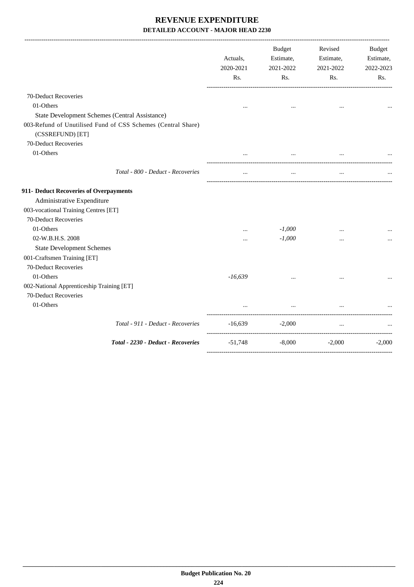|                                                                      |                                                              | Actuals,<br>2020-2021<br>Rs. | <b>Budget</b><br>Estimate,<br>2021-2022<br>Rs. | Revised<br>Estimate,<br>2021-2022<br>Rs. | <b>Budget</b><br>Estimate,<br>2022-2023<br>Rs. |
|----------------------------------------------------------------------|--------------------------------------------------------------|------------------------------|------------------------------------------------|------------------------------------------|------------------------------------------------|
| 70-Deduct Recoveries                                                 |                                                              |                              |                                                |                                          |                                                |
| 01-Others                                                            |                                                              |                              |                                                |                                          |                                                |
| State Development Schemes (Central Assistance)                       |                                                              |                              |                                                |                                          |                                                |
| (CSSREFUND) [ET]                                                     | 003-Refund of Unutilised Fund of CSS Schemes (Central Share) |                              |                                                |                                          |                                                |
| 70-Deduct Recoveries                                                 |                                                              |                              |                                                |                                          |                                                |
| 01-Others                                                            |                                                              |                              | $\cdots$                                       |                                          |                                                |
|                                                                      | Total - 800 - Deduct - Recoveries                            | $\cdots$                     | $\cdots$                                       | $\cdots$                                 |                                                |
| 911- Deduct Recoveries of Overpayments<br>Administrative Expenditure |                                                              |                              |                                                |                                          |                                                |
| 003-vocational Training Centres [ET]                                 |                                                              |                              |                                                |                                          |                                                |
| 70-Deduct Recoveries                                                 |                                                              |                              |                                                |                                          |                                                |
| 01-Others                                                            |                                                              |                              | $-1,000$                                       |                                          |                                                |
| 02-W.B.H.S. 2008                                                     |                                                              |                              | $-1,000$                                       |                                          |                                                |
| <b>State Development Schemes</b>                                     |                                                              |                              |                                                |                                          |                                                |
| 001-Craftsmen Training [ET]                                          |                                                              |                              |                                                |                                          |                                                |
| 70-Deduct Recoveries                                                 |                                                              |                              |                                                |                                          |                                                |
| 01-Others                                                            |                                                              | $-16,639$                    |                                                |                                          |                                                |
| 002-National Apprenticeship Training [ET]                            |                                                              |                              |                                                |                                          |                                                |
| 70-Deduct Recoveries                                                 |                                                              |                              |                                                |                                          |                                                |
| 01-Others                                                            |                                                              |                              | $\cdots$<br>------------------                 | ----------------------                   |                                                |
|                                                                      | Total - 911 - Deduct - Recoveries                            | $-16,639$                    | $-2,000$                                       | $\ddots$                                 |                                                |
|                                                                      | Total - 2230 - Deduct - Recoveries                           | $-51,748$                    | $-8,000$                                       | $-2,000$                                 | $-2,000$                                       |
|                                                                      |                                                              |                              |                                                |                                          |                                                |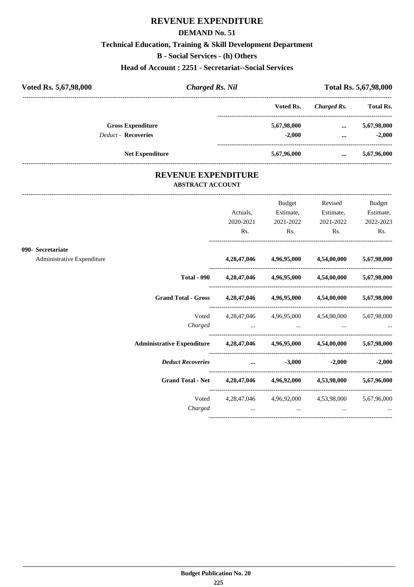## **REVENUE EXPENDITURE**

### **DEMAND No. 51**

## **Technical Education, Training & Skill Development Department**

**B - Social Services - (h) Others**

**Head of Account : 2251 - Secretariat--Social Services**

| Voted Rs. 5,67,98,000 |                            | <b>Charged Rs. Nil</b> |             |                  | Total Rs. 5,67,98,000 |
|-----------------------|----------------------------|------------------------|-------------|------------------|-----------------------|
|                       |                            | Voted Rs.              | Charged Rs. | <b>Total Rs.</b> |                       |
|                       | <b>Gross Expenditure</b>   |                        | 5,67,98,000 | $\cdots$         | 5,67,98,000           |
|                       | <b>Deduct - Recoveries</b> |                        | $-2.000$    | $\cdots$         | $-2.000$              |
|                       | <b>Net Expenditure</b>     |                        | 5,67,96,000 | $\cdots$         | 5,67,96,000           |

## **REVENUE EXPENDITURE ABSTRACT ACCOUNT**

|                                                                            |                                                       | Budget                  | Revised                                                     | <b>Budget</b>     |
|----------------------------------------------------------------------------|-------------------------------------------------------|-------------------------|-------------------------------------------------------------|-------------------|
|                                                                            | Actuals,                                              | Estimate,               | Estimate,                                                   | Estimate,         |
|                                                                            | 2020-2021                                             | 2021-2022               | 2021-2022                                                   | 2022-2023         |
|                                                                            | Rs.                                                   | Rs.                     | Rs.                                                         | Rs.               |
| 090- Secretariate                                                          |                                                       |                         |                                                             |                   |
| Administrative Expenditure                                                 |                                                       | 4,28,47,046 4,96,95,000 | 4,54,00,000                                                 | 5,67,98,000       |
| <b>Total - 090</b>                                                         |                                                       | 4,28,47,046 4,96,95,000 | 4,54,00,000 5,67,98,000                                     |                   |
| <b>Grand Total - Gross</b>                                                 |                                                       | 4,28,47,046 4,96,95,000 | 4,54,00,000 5,67,98,000                                     |                   |
|                                                                            | Voted 4,28,47,046 4,96,95,000 4,54,00,000 5,67,98,000 |                         |                                                             |                   |
| Charged                                                                    |                                                       |                         |                                                             |                   |
| Administrative Expenditure 4,28,47,046 4,96,95,000 4,54,00,000 5,67,98,000 |                                                       |                         |                                                             |                   |
| <b>Deduct Recoveries</b>                                                   |                                                       | $\dots$ $-3,000$        |                                                             | $-2,000$ $-2,000$ |
| Grand Total - Net 4,28,47,046 4,96,92,000 4,53,98,000 5,67,96,000          |                                                       |                         |                                                             |                   |
| Voted                                                                      |                                                       |                         | 4, 28, 47, 046 4, 96, 92, 000 4, 53, 98, 000 5, 67, 96, 000 |                   |
| Charged                                                                    |                                                       | $\cdots$                |                                                             |                   |
|                                                                            |                                                       |                         |                                                             |                   |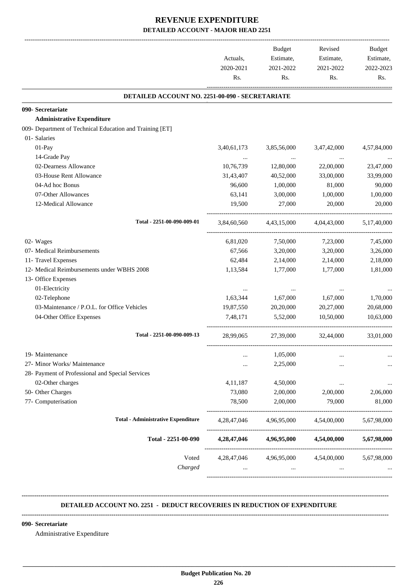|                                                          | Actuals,<br>2020-2021<br>Rs. | Budget<br>Estimate,<br>2021-2022<br>Rs. | Revised<br>Estimate,<br>2021-2022<br>Rs.        | Budget<br>Estimate,<br>2022-2023<br>Rs. |
|----------------------------------------------------------|------------------------------|-----------------------------------------|-------------------------------------------------|-----------------------------------------|
| DETAILED ACCOUNT NO. 2251-00-090 - SECRETARIATE          |                              |                                         |                                                 |                                         |
| 090- Secretariate                                        |                              |                                         |                                                 |                                         |
| <b>Administrative Expenditure</b>                        |                              |                                         |                                                 |                                         |
| 009- Department of Technical Education and Training [ET] |                              |                                         |                                                 |                                         |
| 01- Salaries                                             |                              |                                         |                                                 |                                         |
| 01-Pay                                                   | 3,40,61,173                  | 3,85,56,000                             | 3,47,42,000                                     | 4,57,84,000                             |
| 14-Grade Pay                                             |                              | $\sim 100$ and $\sim 100$               |                                                 |                                         |
| 02-Dearness Allowance                                    | 10,76,739                    | 12,80,000                               | 22,00,000                                       | 23,47,000                               |
| 03-House Rent Allowance                                  | 31,43,407                    | 40,52,000                               | 33,00,000                                       | 33,99,000                               |
| 04-Ad hoc Bonus                                          | 96,600                       | 1,00,000                                | 81,000                                          | 90,000                                  |
| 07-Other Allowances                                      | 63,141                       | 3,00,000                                | 1,00,000                                        | 1,00,000                                |
| 12-Medical Allowance                                     | 19,500                       | 27,000                                  | 20,000                                          | 20,000                                  |
| Total - 2251-00-090-009-01                               |                              |                                         | 3,84,60,560 4,43,15,000 4,04,43,000 5,17,40,000 |                                         |
| 02- Wages                                                | 6,81,020                     | 7,50,000                                | 7,23,000                                        | 7,45,000                                |
| 07- Medical Reimbursements                               | 67,566                       | 3,20,000                                | 3,20,000                                        | 3,26,000                                |
| 11- Travel Expenses                                      | 62,484                       | 2,14,000                                | 2,14,000                                        | 2,18,000                                |
| 12- Medical Reimbursements under WBHS 2008               | 1,13,584                     | 1,77,000                                | 1,77,000                                        | 1,81,000                                |
| 13- Office Expenses                                      |                              |                                         |                                                 |                                         |
| 01-Electricity                                           | $\cdots$                     | $\cdots$                                |                                                 |                                         |
| 02-Telephone                                             | 1,63,344                     | 1,67,000                                | 1,67,000                                        | 1,70,000                                |
| 03-Maintenance / P.O.L. for Office Vehicles              | 19,87,550                    | 20,20,000                               | 20,27,000                                       | 20,68,000                               |
| 04-Other Office Expenses                                 | 7,48,171                     | 5,52,000                                | 10,50,000                                       | 10.63,000                               |
| Total - 2251-00-090-009-13                               | 28,99,065                    | 27,39,000                               | 32,44,000                                       | 33,01,000                               |
| 19- Maintenance                                          |                              | 1,05,000                                |                                                 |                                         |
| 27- Minor Works/ Maintenance                             |                              | 2,25,000                                |                                                 |                                         |
| 28- Payment of Professional and Special Services         |                              |                                         |                                                 |                                         |
| 02-Other charges                                         | 4,11,187                     | 4,50,000                                | $\cdots$                                        | $\cdots$                                |
| 50- Other Charges                                        | 73,080                       | 2,00,000                                | 2,00,000                                        | 2,06,000                                |
| 77- Computerisation                                      | 78,500                       | 2,00,000                                | 79,000                                          | 81,000                                  |
| <b>Total - Administrative Expenditure</b>                | 4,28,47,046                  | 4,96,95,000                             | 4,54,00,000                                     | 5,67,98,000                             |
| Total - 2251-00-090                                      | 4,28,47,046                  | 4,96,95,000                             | 4,54,00,000                                     | 5,67,98,000                             |
| Voted                                                    | 4,28,47,046                  | 4,96,95,000                             | 4,54,00,000                                     | 5,67,98,000                             |
| Charged                                                  | $\cdots$                     | $\cdots$                                |                                                 |                                         |

### **-------------------------------------------------------------------------------------------------------------------------------------------------------------------------------- DETAILED ACCOUNT NO. 2251 - DEDUCT RECOVERIES IN REDUCTION OF EXPENDITURE**

### **--------------------------------------------------------------------------------------------------------------------------------------------------------------------------------**

 **\_\_\_\_\_\_\_\_\_\_\_\_\_\_\_\_\_\_\_\_\_\_\_\_\_\_\_\_\_\_\_\_\_\_\_\_\_\_\_\_\_\_\_\_\_\_\_\_\_\_\_\_\_\_\_\_\_\_\_\_\_\_\_\_\_\_\_\_\_\_\_\_\_\_\_\_\_\_\_\_\_\_\_\_\_\_\_\_\_\_\_\_\_\_\_\_\_\_\_\_\_\_\_\_\_\_\_\_\_\_\_\_\_\_\_\_\_\_\_**

### **090- Secretariate**

Administrative Expenditure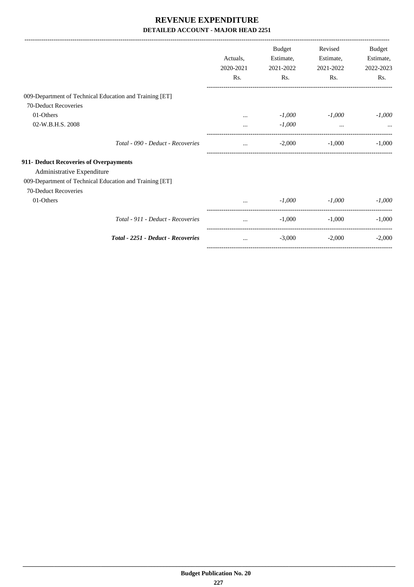|                                                         |           | <b>Budget</b> | Revised   | Budget    |
|---------------------------------------------------------|-----------|---------------|-----------|-----------|
|                                                         | Actuals.  | Estimate,     | Estimate, | Estimate, |
|                                                         | 2020-2021 | 2021-2022     | 2021-2022 | 2022-2023 |
|                                                         | Rs.       | Rs.           | Rs.       | Rs.       |
| 009-Department of Technical Education and Training [ET] |           |               |           |           |
| 70-Deduct Recoveries                                    |           |               |           |           |
| 01-Others                                               |           | $-1,000$      | $-1,000$  | $-1,000$  |
| 02-W.B.H.S. 2008                                        |           | $-1,000$      | $\cdots$  |           |
| Total - 090 - Deduct - Recoveries                       | $\cdots$  | $-2,000$      | $-1,000$  | $-1,000$  |
| 911- Deduct Recoveries of Overpayments                  |           |               |           |           |
| Administrative Expenditure                              |           |               |           |           |
| 009-Department of Technical Education and Training [ET] |           |               |           |           |
| 70-Deduct Recoveries                                    |           |               |           |           |
| 01-Others                                               | $\ddots$  | $-1,000$      | $-1,000$  | $-1,000$  |
| Total - 911 - Deduct - Recoveries                       | $\cdots$  | $-1,000$      | $-1,000$  | $-1,000$  |
| <b>Total - 2251 - Deduct - Recoveries</b>               | $\cdots$  | $-3,000$      | $-2,000$  | $-2,000$  |
|                                                         |           |               |           |           |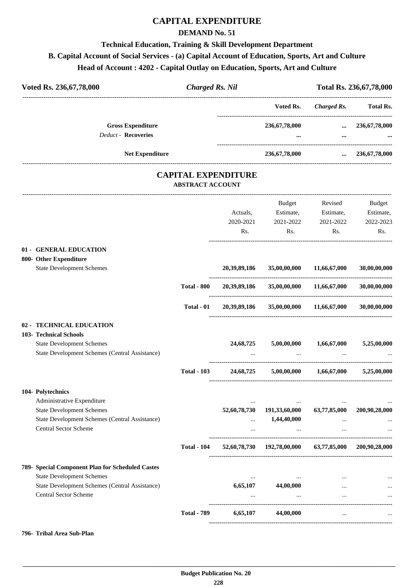## **CAPITAL EXPENDITURE**

### **DEMAND No. 51**

## **Technical Education, Training & Skill Development Department B. Capital Account of Social Services - (a) Capital Account of Education, Sports, Art and Culture Head of Account : 4202 - Capital Outlay on Education, Sports, Art and Culture**

| Voted Rs. 236,67,78,000                                                        | <b>Charged Rs. Nil</b>                                |              |                                                       |                              | Total Rs. 236, 67, 78, 000 |
|--------------------------------------------------------------------------------|-------------------------------------------------------|--------------|-------------------------------------------------------|------------------------------|----------------------------|
|                                                                                |                                                       |              | ----------------------------------<br>Voted Rs.       | <b>Charged Rs.</b>           | <b>Total Rs.</b>           |
| <b>Gross Expenditure</b>                                                       |                                                       |              | 236,67,78,000                                         | $\cdots$                     | 236, 67, 78, 000           |
| <b>Deduct - Recoveries</b>                                                     |                                                       |              |                                                       | $\cdots$                     |                            |
| <b>Net Expenditure</b>                                                         |                                                       |              | 236,67,78,000                                         | $\cdots$                     | 236, 67, 78, 000           |
|                                                                                | <b>CAPITAL EXPENDITURE</b><br><b>ABSTRACT ACCOUNT</b> |              |                                                       |                              |                            |
|                                                                                |                                                       |              | Budget                                                | Revised                      | <b>Budget</b>              |
|                                                                                |                                                       | Actuals,     | Estimate,                                             | Estimate,                    | Estimate,                  |
|                                                                                |                                                       | 2020-2021    | 2021-2022                                             | 2021-2022                    | 2022-2023                  |
|                                                                                |                                                       | Rs.          | Rs.                                                   | Rs.                          | Rs.                        |
| 01 - GENERAL EDUCATION                                                         |                                                       |              |                                                       |                              |                            |
| 800- Other Expenditure<br><b>State Development Schemes</b>                     |                                                       | 20,39,89,186 | 35,00,00,000                                          | 11,66,67,000                 | 30,00,00,000               |
|                                                                                | <b>Total - 800</b>                                    | 20,39,89,186 | 35,00,00,000                                          | 11,66,67,000                 | 30,00,00,000               |
|                                                                                | Total - 01                                            | 20,39,89,186 | 35,00,00,000                                          | 11,66,67,000                 | 30,00,00,000               |
| 02 - TECHNICAL EDUCATION                                                       |                                                       |              |                                                       |                              |                            |
| 103- Technical Schools                                                         |                                                       |              |                                                       |                              |                            |
| <b>State Development Schemes</b>                                               |                                                       | 24,68,725    | 5,00,00,000                                           | 1,66,67,000                  | 5,25,00,000                |
| State Development Schemes (Central Assistance)                                 |                                                       |              |                                                       |                              |                            |
|                                                                                | <b>Total - 103</b>                                    | 24,68,725    | 5,00,00,000                                           | 1,66,67,000                  | 5,25,00,000                |
| 104- Polytechnics                                                              |                                                       |              |                                                       |                              |                            |
| Administrative Expenditure                                                     |                                                       |              |                                                       |                              |                            |
| <b>State Development Schemes</b>                                               |                                                       | 52,60,78,730 | 191,33,60,000                                         | 63,77,85,000                 | 200,90,28,000              |
| State Development Schemes (Central Assistance)<br><b>Central Sector Scheme</b> |                                                       |              | 1,44,40,000                                           |                              |                            |
|                                                                                |                                                       | $\cdots$     |                                                       | $\cdots$<br>---------------- |                            |
|                                                                                | <b>Total - 104</b>                                    |              | 52,60,78,730 192,78,00,000 63,77,85,000 200,90,28,000 |                              |                            |
| 789- Special Component Plan for Scheduled Castes                               |                                                       |              |                                                       |                              |                            |
| <b>State Development Schemes</b>                                               |                                                       | $\cdots$     |                                                       |                              |                            |
| State Development Schemes (Central Assistance)                                 |                                                       | 6,65,107     | 44,00,000                                             |                              |                            |
| <b>Central Sector Scheme</b>                                                   |                                                       | $\cdots$     | $\ddotsc$                                             | $\cdots$                     |                            |
|                                                                                | <b>Total - 789</b>                                    |              | $6,65,107$ $44,00,000$                                | $\cdots$                     |                            |

### **796- Tribal Area Sub-Plan**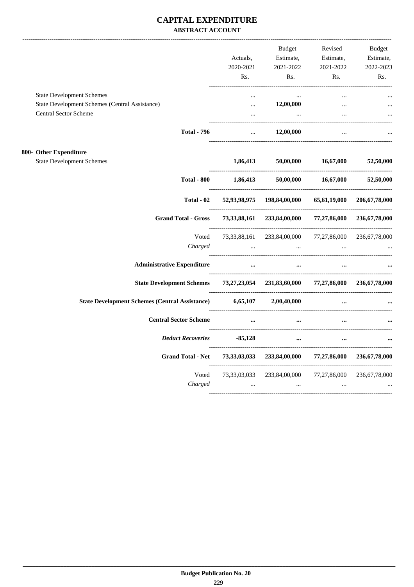## **CAPITAL EXPENDITURE ABSTRACT ACCOUNT**

|                                                                                 | Actuals,                        | <b>Budget</b><br>Estimate,                       | Revised<br>Estimate,                            | <b>Budget</b><br>Estimate, |
|---------------------------------------------------------------------------------|---------------------------------|--------------------------------------------------|-------------------------------------------------|----------------------------|
|                                                                                 | 2020-2021                       | 2021-2022                                        | 2021-2022                                       | 2022-2023                  |
|                                                                                 | Rs.                             | Rs.                                              | Rs.                                             | Rs.                        |
| <b>State Development Schemes</b>                                                |                                 |                                                  |                                                 |                            |
| State Development Schemes (Central Assistance)                                  | $\cdots$                        | 12,00,000                                        | $\cdots$                                        |                            |
| Central Sector Scheme                                                           | $\cdots$<br>___________________ | $\ldots$                                         |                                                 |                            |
| <b>Total - 796</b>                                                              | $\mathbf{r}$                    | 12,00,000                                        | $\overline{a}$                                  |                            |
| 800- Other Expenditure                                                          |                                 |                                                  |                                                 |                            |
| <b>State Development Schemes</b>                                                | 1,86,413                        | 50,00,000                                        | 16,67,000                                       | 52,50,000                  |
| <b>Total - 800</b>                                                              | 1,86,413                        |                                                  | 50,00,000 16,67,000                             | 52,50,000                  |
| Total - 02                                                                      |                                 | 52,93,98,975 198,84,00,000                       | 65,61,19,000                                    | 206, 67, 78, 000           |
| <b>Grand Total - Gross</b>                                                      |                                 | 73,33,88,161 233,84,00,000                       | 77,27,86,000<br>------------------------------- | 236, 67, 78, 000           |
| Voted                                                                           |                                 | 73, 33, 88, 161 233, 84, 00, 000 77, 27, 86, 000 |                                                 | 236,67,78,000              |
| Charged                                                                         | $\ddotsc$                       | $\cdots$                                         | $\cdots$                                        |                            |
| <b>Administrative Expenditure</b>                                               | $\cdots$                        | $\cdots$                                         |                                                 |                            |
| State Development Schemes 73,27,23,054 231,83,60,000 77,27,86,000 236,67,78,000 |                                 |                                                  |                                                 |                            |
| State Development Schemes (Central Assistance) 6,65,107 2,00,40,000             |                                 |                                                  | $\cdots$                                        |                            |
| <b>Central Sector Scheme</b>                                                    | $\ddotsc$                       | $\cdots$                                         |                                                 |                            |
| <b>Deduct Recoveries</b>                                                        | $-85,128$                       | $\cdots$                                         |                                                 |                            |
| <b>Grand Total - Net</b>                                                        |                                 | 73,33,03,033 233,84,00,000                       | 77,27,86,000                                    | 236, 67, 78, 000           |
| Voted                                                                           |                                 | 73,33,03,033 233,84,00,000                       | 77,27,86,000                                    | 236,67,78,000              |
| Charged                                                                         | $\ddots$                        | $\cdots$                                         | $\ddots$                                        |                            |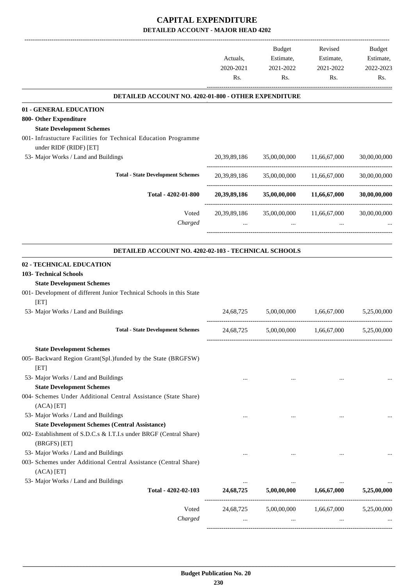-------------------------------------------------------------------------------------------------------------------------------------------------------------------------------

|                                                                                                                        | Actuals,<br>2020-2021<br>Rs. | <b>Budget</b><br>Estimate,<br>2021-2022<br>Rs.     | Revised<br>Estimate,<br>2021-2022<br>Rs. | <b>Budget</b><br>Estimate,<br>2022-2023<br>Rs. |
|------------------------------------------------------------------------------------------------------------------------|------------------------------|----------------------------------------------------|------------------------------------------|------------------------------------------------|
| DETAILED ACCOUNT NO. 4202-01-800 - OTHER EXPENDITURE                                                                   |                              |                                                    |                                          |                                                |
| 01 - GENERAL EDUCATION<br>800- Other Expenditure<br><b>State Development Schemes</b>                                   |                              |                                                    |                                          |                                                |
| 001- Infrastucture Facilities for Technical Education Programme<br>under RIDF (RIDF) [ET]                              |                              |                                                    |                                          |                                                |
| 53- Major Works / Land and Buildings                                                                                   |                              | 20,39,89,186 35,00,00,000 11,66,67,000             |                                          | 30,00,00,000                                   |
| <b>Total - State Development Schemes</b>                                                                               | 20,39,89,186                 |                                                    | 35,00,00,000 11,66,67,000                | 30,00,00,000                                   |
| Total - 4202-01-800                                                                                                    | 20,39,89,186                 |                                                    | 35,00,00,000 11,66,67,000                | 30,00,00,000                                   |
| Voted<br>Charged                                                                                                       |                              | 20,39,89,186 35,00,00,000 11,66,67,000<br>$\cdots$ |                                          | 30,00,00,000                                   |
| DETAILED ACCOUNT NO. 4202-02-103 - TECHNICAL SCHOOLS                                                                   |                              |                                                    |                                          |                                                |
| 02 - TECHNICAL EDUCATION<br>103- Technical Schools<br><b>State Development Schemes</b>                                 |                              |                                                    |                                          |                                                |
| 001- Development of different Junior Technical Schools in this State<br>[ET]                                           |                              |                                                    |                                          |                                                |
| 53- Major Works / Land and Buildings                                                                                   | 24,68,725                    |                                                    | 5,00,00,000 1,66,67,000                  | 5,25,00,000                                    |
| <b>Total - State Development Schemes</b>                                                                               |                              | 24,68,725 5,00,00,000 1,66,67,000                  |                                          | 5,25,00,000                                    |
| <b>State Development Schemes</b><br>005- Backward Region Grant(Spl.)funded by the State (BRGFSW)<br>[ET]               |                              |                                                    |                                          |                                                |
| 53- Major Works / Land and Buildings<br><b>State Development Schemes</b>                                               | $\cdots$                     | $\cdots$                                           |                                          |                                                |
| 004- Schemes Under Additional Central Assistance (State Share)<br>(ACA) [ET]                                           |                              |                                                    |                                          |                                                |
| 53- Major Works / Land and Buildings<br><b>State Development Schemes (Central Assistance)</b>                          | $\cdots$                     |                                                    |                                          |                                                |
| 002- Establishment of S.D.C.s & I.T.I.s under BRGF (Central Share)<br>(BRGFS) [ET]                                     |                              |                                                    |                                          |                                                |
| 53- Major Works / Land and Buildings<br>003- Schemes under Additional Central Assistance (Central Share)<br>(ACA) [ET] |                              |                                                    |                                          |                                                |
| 53- Major Works / Land and Buildings<br>Total - 4202-02-103                                                            | $\cdots$<br>24,68,725        | 5,00,00,000                                        | 1,66,67,000                              | 5,25,00,000                                    |
| Voted<br>Charged                                                                                                       | 24,68,725                    | 5,00,00,000                                        | 1,66,67,000                              | 5,25,00,000                                    |
|                                                                                                                        |                              |                                                    |                                          |                                                |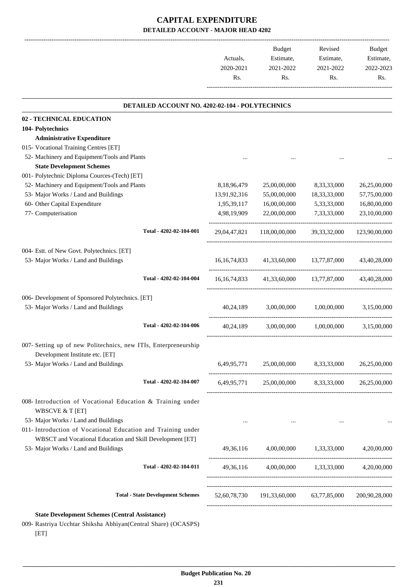-------------------------------------------------------------------------------------------------------------------------------------------------------------------------------

|                                                                                                    | Actuals,<br>2020-2021 | <b>Budget</b><br>Estimate,<br>2021-2022<br>Rs.        | Revised<br>Estimate,<br>2021-2022 | <b>Budget</b><br>Estimate,<br>2022-2023 |
|----------------------------------------------------------------------------------------------------|-----------------------|-------------------------------------------------------|-----------------------------------|-----------------------------------------|
|                                                                                                    | Rs.                   |                                                       | Rs.                               | Rs.                                     |
| DETAILED ACCOUNT NO. 4202-02-104 - POLYTECHNICS                                                    |                       |                                                       |                                   |                                         |
| 02 - TECHNICAL EDUCATION                                                                           |                       |                                                       |                                   |                                         |
| 104- Polytechnics                                                                                  |                       |                                                       |                                   |                                         |
| <b>Administrative Expenditure</b>                                                                  |                       |                                                       |                                   |                                         |
| 015- Vocational Training Centres [ET]                                                              |                       |                                                       |                                   |                                         |
| 52- Machinery and Equipment/Tools and Plants                                                       |                       |                                                       |                                   |                                         |
| <b>State Development Schemes</b>                                                                   |                       |                                                       |                                   |                                         |
| 001- Polytechnic Diploma Cources-(Tech) [ET]                                                       |                       |                                                       |                                   |                                         |
| 52- Machinery and Equipment/Tools and Plants                                                       | 8,18,96,479           | 25,00,00,000                                          | 8,33,33,000                       | 26,25,00,000                            |
| 53- Major Works / Land and Buildings                                                               | 13,91,92,316          | 55,00,00,000                                          | 18, 33, 33, 000                   | 57,75,00,000                            |
| 60- Other Capital Expenditure                                                                      | 1,95,39,117           | 16,00,00,000                                          | 5,33,33,000                       | 16,80,00,000                            |
| 77- Computerisation                                                                                | 4,98,19,909           | 22,00,00,000                                          | 7,33,33,000                       | 23,10,00,000                            |
| Total - 4202-02-104-001                                                                            | 29,04,47,821          | 118,00,00,000                                         | 39, 33, 32, 000                   | 123,90,00,000                           |
| 004- Estt. of New Govt. Polytechnics. [ET]                                                         |                       |                                                       |                                   |                                         |
| 53- Major Works / Land and Buildings                                                               | 16, 16, 74, 833       |                                                       | 41,33,60,000 13,77,87,000         | 43,40,28,000                            |
|                                                                                                    |                       |                                                       |                                   |                                         |
| Total - 4202-02-104-004                                                                            | 16, 16, 74, 833       |                                                       | 41,33,60,000 13,77,87,000         | 43,40,28,000                            |
| 006- Development of Sponsored Polytechnics. [ET]                                                   |                       |                                                       |                                   |                                         |
| 53- Major Works / Land and Buildings                                                               | 40,24,189             | 3,00,00,000                                           | 1,00,00,000                       | 3,15,00,000                             |
| Total - 4202-02-104-006                                                                            | 40,24,189             | 3,00,00,000                                           | 1.00.00.000                       | 3,15,00,000                             |
| 007- Setting up of new Politechnics, new ITIs, Enterpreneurship<br>Development Institute etc. [ET] |                       |                                                       |                                   |                                         |
| 53- Major Works / Land and Buildings                                                               |                       | 6,49,95,771 25,00,00,000 8,33,33,000 26,25,00,000     |                                   |                                         |
| Total - 4202-02-104-007                                                                            |                       | 6,49,95,771 25,00,00,000 8,33,33,000 26,25,00,000     |                                   |                                         |
| 008- Introduction of Vocational Education & Training under<br><b>WBSCVE &amp; T [ET]</b>           |                       |                                                       |                                   |                                         |
| 53- Major Works / Land and Buildings                                                               | $\cdots$              | $\sim$ $\sim$                                         | $\ldots$                          |                                         |
| 011- Introduction of Vocational Education and Training under                                       |                       |                                                       |                                   |                                         |
| WBSCT and Vocational Education and Skill Development [ET]                                          |                       |                                                       |                                   |                                         |
| 53- Major Works / Land and Buildings                                                               |                       | 49,36,116 4,00,00,000 1,33,33,000 4,20,00,000         |                                   |                                         |
| Total - 4202-02-104-011                                                                            |                       | 49,36,116 4,00,00,000 1,33,33,000 4,20,00,000         |                                   |                                         |
|                                                                                                    |                       |                                                       |                                   |                                         |
| <b>Total - State Development Schemes</b>                                                           |                       | 52,60,78,730 191,33,60,000 63,77,85,000 200,90,28,000 |                                   |                                         |
| <b>State Development Schemes (Central Assistance)</b>                                              |                       |                                                       |                                   |                                         |

009- Rastriya Ucchtar Shiksha Abhiyan(Central Share) (OCASPS) [ET]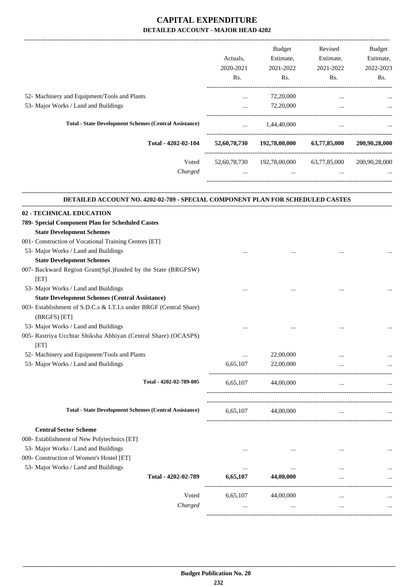-------------------------------------------------------------------------------------------------------------------------------------------------------------------------------

|                                                               | Actuals.<br>2020-2021<br>Rs. | <b>Budget</b><br>Estimate,<br>2021-2022<br>Rs. | Revised<br>Estimate,<br>2021-2022<br>Rs. | <b>Budget</b><br>Estimate,<br>2022-2023<br>Rs. |
|---------------------------------------------------------------|------------------------------|------------------------------------------------|------------------------------------------|------------------------------------------------|
| 52- Machinery and Equipment/Tools and Plants                  | $\cdots$                     | 72,20,000                                      | $\cdots$                                 | $\cdots$                                       |
| 53- Major Works / Land and Buildings                          | $\cdots$                     | 72,20,000                                      | $\cdots$                                 | $\cdots$                                       |
| <b>Total - State Development Schemes (Central Assistance)</b> | $\cdots$                     | 1,44,40,000                                    | $\cdots$                                 | $\cdots$                                       |
| Total - 4202-02-104                                           | 52,60,78,730                 | 192,78,00,000                                  | 63,77,85,000                             | 200,90,28,000                                  |
| Voted                                                         | 52,60,78,730                 | 192,78,00,000                                  | 63,77,85,000                             | 200,90,28,000                                  |
| Charged                                                       | $\cdots$                     | $\cdots$                                       | $\cdots$                                 |                                                |
|                                                               |                              |                                                |                                          |                                                |

| DETAILED ACCOUNT NO. 4202-02-789 - SPECIAL COMPONENT PLAN FOR SCHEDULED CASTES |          |           |           |  |
|--------------------------------------------------------------------------------|----------|-----------|-----------|--|
| 02 - TECHNICAL EDUCATION                                                       |          |           |           |  |
| 789- Special Component Plan for Scheduled Castes                               |          |           |           |  |
| <b>State Development Schemes</b>                                               |          |           |           |  |
| 001- Construction of Vocational Training Centres [ET]                          |          |           |           |  |
| 53- Major Works / Land and Buildings                                           |          |           |           |  |
| <b>State Development Schemes</b>                                               |          |           |           |  |
| 007- Backward Region Grant(Spl.)funded by the State (BRGFSW)                   |          |           |           |  |
| [ET]                                                                           |          |           |           |  |
| 53- Major Works / Land and Buildings                                           |          |           |           |  |
| <b>State Development Schemes (Central Assistance)</b>                          |          |           |           |  |
| 003- Establishment of S.D.C.s & I.T.I.s under BRGF (Central Share)             |          |           |           |  |
| (BRGFS) [ET]                                                                   |          |           |           |  |
| 53- Major Works / Land and Buildings                                           |          |           |           |  |
| 005- Rastriya Ucchtar Shiksha Abhiyan (Central Share) (OCASPS)<br>[ET]         |          |           |           |  |
| 52- Machinery and Equipment/Tools and Plants                                   | $\cdots$ | 22,00,000 |           |  |
| 53- Major Works / Land and Buildings                                           | 6,65,107 | 22,00,000 |           |  |
| Total - 4202-02-789-005                                                        | 6,65,107 | 44,00,000 | $\ddotsc$ |  |
| <b>Total - State Development Schemes (Central Assistance)</b>                  | 6,65,107 | 44,00,000 | $\cdots$  |  |
| <b>Central Sector Scheme</b>                                                   |          |           |           |  |
| 008- Establishment of New Polytechnics [ET]                                    |          |           |           |  |
| 53- Major Works / Land and Buildings                                           |          |           |           |  |
| 009- Construction of Women's Hostel [ET]                                       |          |           |           |  |
| 53- Major Works / Land and Buildings                                           | $\cdots$ | $\cdots$  |           |  |
| Total - 4202-02-789                                                            | 6,65,107 | 44,00,000 |           |  |
| Voted                                                                          | 6,65,107 | 44,00,000 | $\cdots$  |  |
| Charged                                                                        | $\cdots$ |           | $\cdots$  |  |
|                                                                                |          |           |           |  |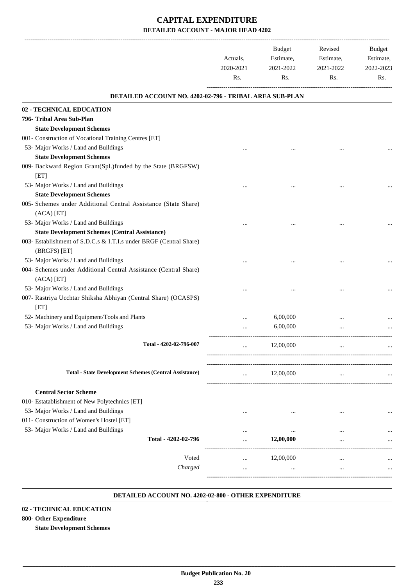|                                                                          | Actuals,<br>2020-2021<br>Rs. | <b>Budget</b><br>Estimate,<br>2021-2022<br>Rs. | Revised<br>Estimate,<br>2021-2022<br>Rs. | Budget<br>Estimate,<br>2022-2023<br>Rs. |
|--------------------------------------------------------------------------|------------------------------|------------------------------------------------|------------------------------------------|-----------------------------------------|
| DETAILED ACCOUNT NO. 4202-02-796 - TRIBAL AREA SUB-PLAN                  |                              |                                                |                                          |                                         |
| 02 - TECHNICAL EDUCATION                                                 |                              |                                                |                                          |                                         |
| 796- Tribal Area Sub-Plan                                                |                              |                                                |                                          |                                         |
| <b>State Development Schemes</b>                                         |                              |                                                |                                          |                                         |
| 001- Construction of Vocational Training Centres [ET]                    |                              |                                                |                                          |                                         |
| 53- Major Works / Land and Buildings                                     |                              |                                                |                                          |                                         |
| <b>State Development Schemes</b>                                         |                              |                                                |                                          |                                         |
| 009- Backward Region Grant(Spl.)funded by the State (BRGFSW)<br>[ET]     |                              |                                                |                                          |                                         |
|                                                                          |                              |                                                |                                          |                                         |
| 53- Major Works / Land and Buildings<br><b>State Development Schemes</b> |                              |                                                |                                          |                                         |
| 005- Schemes under Additional Central Assistance (State Share)           |                              |                                                |                                          |                                         |
| (ACA) [ET]                                                               |                              |                                                |                                          |                                         |
| 53- Major Works / Land and Buildings                                     |                              |                                                |                                          |                                         |
| <b>State Development Schemes (Central Assistance)</b>                    |                              |                                                |                                          |                                         |
| 003- Establishment of S.D.C.s & I.T.I.s under BRGF (Central Share)       |                              |                                                |                                          |                                         |
| (BRGFS) [ET]                                                             |                              |                                                |                                          |                                         |
| 53- Major Works / Land and Buildings                                     |                              |                                                |                                          |                                         |
| 004- Schemes under Additional Central Assistance (Central Share)         |                              |                                                |                                          |                                         |
| $(ACA)$ [ET]                                                             |                              |                                                |                                          |                                         |
| 53- Major Works / Land and Buildings                                     |                              |                                                |                                          |                                         |
| 007- Rastriya Ucchtar Shiksha Abhiyan (Central Share) (OCASPS)<br>[ET]   |                              |                                                |                                          |                                         |
| 52- Machinery and Equipment/Tools and Plants                             |                              | 6,00,000                                       |                                          |                                         |
| 53- Major Works / Land and Buildings                                     |                              | 6,00,000                                       |                                          |                                         |
|                                                                          |                              |                                                |                                          |                                         |
| Total - 4202-02-796-007                                                  |                              | 12,00,000                                      | $\cdots$                                 | $\cdots$                                |
|                                                                          |                              |                                                |                                          |                                         |
|                                                                          |                              |                                                |                                          |                                         |
| <b>Total - State Development Schemes (Central Assistance)</b>            |                              | 12,00,000                                      |                                          |                                         |
| <b>Central Sector Scheme</b>                                             |                              |                                                |                                          |                                         |
| 010- Estatablishment of New Polytechnics [ET]                            |                              |                                                |                                          |                                         |
| 53- Major Works / Land and Buildings                                     |                              |                                                |                                          |                                         |
| 011- Construction of Women's Hostel [ET]                                 | $\cdots$                     |                                                |                                          |                                         |
| 53- Major Works / Land and Buildings                                     | $\cdots$                     |                                                |                                          |                                         |
| Total - 4202-02-796                                                      |                              | 12,00,000                                      |                                          |                                         |
|                                                                          |                              |                                                |                                          |                                         |
| Voted                                                                    | $\cdots$                     | 12,00,000                                      | $\cdots$                                 |                                         |
| Charged                                                                  | $\cdots$                     | $\cdots$                                       | $\cdots$                                 |                                         |
|                                                                          |                              |                                                |                                          |                                         |
|                                                                          |                              |                                                |                                          |                                         |

#### **DETAILED ACCOUNT NO. 4202-02-800 - OTHER EXPENDITURE .**

### **02 - TECHNICAL EDUCATION**

### **800- Other Expenditure**

**State Development Schemes**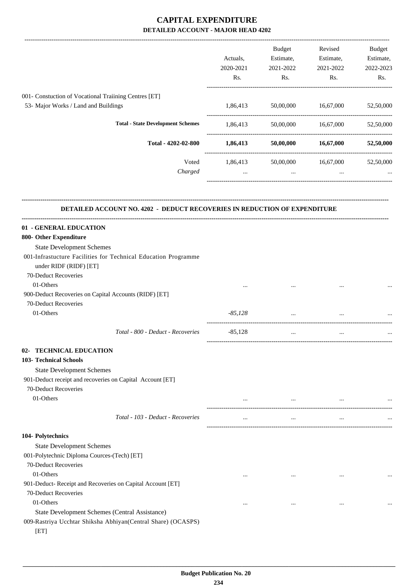|                                                                                  |           | Budget                                 | Revised             | <b>Budget</b> |
|----------------------------------------------------------------------------------|-----------|----------------------------------------|---------------------|---------------|
|                                                                                  | Actuals,  | Estimate,                              | Estimate,           | Estimate,     |
|                                                                                  | 2020-2021 | 2021-2022                              | 2021-2022           | 2022-2023     |
|                                                                                  | Rs.       | Rs.                                    | Rs.                 | Rs.           |
| 001- Constuction of Vocational Traiining Centres [ET]                            |           |                                        |                     |               |
| 53- Major Works / Land and Buildings                                             |           | 1,86,413 50,00,000 16,67,000           |                     | 52,50,000     |
|                                                                                  |           |                                        |                     |               |
| <b>Total - State Development Schemes</b>                                         | 1,86,413  |                                        | 50,00,000 16,67,000 | 52,50,000     |
| Total - 4202-02-800                                                              |           | 1,86,413 50,00,000 16,67,000 52,50,000 |                     |               |
| Voted                                                                            | 1,86,413  |                                        | 50,00,000 16,67,000 | 52,50,000     |
| Charged                                                                          | $\cdots$  | $\ddots$                               | $\cdots$            |               |
| <b>DETAILED ACCOUNT NO. 4202 - DEDUCT RECOVERIES IN REDUCTION OF EXPENDITURE</b> |           |                                        |                     |               |
| 01 - GENERAL EDUCATION                                                           |           |                                        |                     |               |
| 800- Other Expenditure                                                           |           |                                        |                     |               |
| <b>State Development Schemes</b>                                                 |           |                                        |                     |               |
| 001-Infrastucture Facilities for Technical Education Programme                   |           |                                        |                     |               |
| under RIDF (RIDF) [ET]                                                           |           |                                        |                     |               |
| 70-Deduct Recoveries                                                             |           |                                        |                     |               |
| 01-Others                                                                        |           |                                        |                     |               |
| 900-Deduct Recoveries on Capital Accounts (RIDF) [ET]                            |           |                                        |                     |               |
| 70-Deduct Recoveries                                                             |           |                                        |                     |               |
| 01-Others                                                                        | $-85,128$ | $\cdots$                               | $\cdots$            |               |
| Total - 800 - Deduct - Recoveries                                                | $-85,128$ | $\cdots$                               |                     |               |
| <b>TECHNICAL EDUCATION</b><br>U2-                                                |           |                                        |                     |               |
| <b>103- Technical Schools</b>                                                    |           |                                        |                     |               |
| <b>State Development Schemes</b>                                                 |           |                                        |                     |               |
| 901-Deduct receipt and recoveries on Capital Account [ET]                        |           |                                        |                     |               |
| 70-Deduct Recoveries                                                             |           |                                        |                     |               |
| 01-Others                                                                        |           | $\cdots$                               | $\cdots$            |               |
| Total - 103 - Deduct - Recoveries                                                | $\cdots$  | $\cdots$                               | $\cdots$            |               |
| 104- Polytechnics                                                                |           |                                        |                     |               |
| <b>State Development Schemes</b>                                                 |           |                                        |                     |               |
| 001-Polytechnic Diploma Cources-(Tech) [ET]                                      |           |                                        |                     |               |
| 70-Deduct Recoveries                                                             |           |                                        |                     |               |
| 01-Others                                                                        |           | $\cdots$                               | $\ddotsc$           | $\cdots$      |
| 901-Deduct- Receipt and Recoveries on Capital Account [ET]                       |           |                                        |                     |               |
| 70-Deduct Recoveries                                                             |           |                                        |                     |               |
| 01-Others                                                                        | $\cdots$  | $\cdots$                               | $\cdots$            |               |
| State Development Schemes (Central Assistance)                                   |           |                                        |                     |               |
| 009-Rastriya Ucchtar Shiksha Abhiyan(Central Share) (OCASPS)                     |           |                                        |                     |               |
| [ET]                                                                             |           |                                        |                     |               |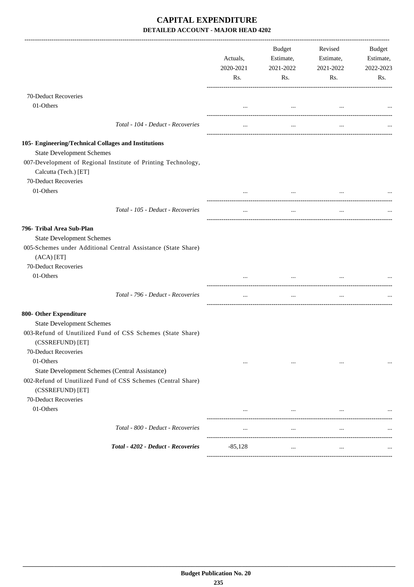|                                                                                  | Actuals,<br>2020-2021<br>Rs. | Budget<br>Estimate,<br>2021-2022<br>Rs. | Revised<br>Estimate,<br>2021-2022<br>Rs. | Budget<br>Estimate,<br>2022-2023<br>Rs. |
|----------------------------------------------------------------------------------|------------------------------|-----------------------------------------|------------------------------------------|-----------------------------------------|
| 70-Deduct Recoveries                                                             |                              |                                         |                                          |                                         |
| 01-Others                                                                        | $\cdots$                     | $\ldots$                                |                                          |                                         |
| Total - 104 - Deduct - Recoveries                                                |                              | $\cdots$                                |                                          |                                         |
| 105- Engineering/Technical Collages and Institutions                             |                              |                                         |                                          |                                         |
| <b>State Development Schemes</b>                                                 |                              |                                         |                                          |                                         |
| 007-Development of Regional Institute of Printing Technology,                    |                              |                                         |                                          |                                         |
| Calcutta (Tech.) [ET]                                                            |                              |                                         |                                          |                                         |
| 70-Deduct Recoveries                                                             |                              |                                         |                                          |                                         |
| 01-Others                                                                        |                              | $\cdots$                                |                                          |                                         |
| Total - 105 - Deduct - Recoveries                                                |                              | $\cdots$                                |                                          |                                         |
| 796- Tribal Area Sub-Plan                                                        |                              |                                         |                                          |                                         |
| <b>State Development Schemes</b>                                                 |                              |                                         |                                          |                                         |
| 005-Schemes under Additional Central Assistance (State Share)<br>$(ACA)$ [ET]    |                              |                                         |                                          |                                         |
| 70-Deduct Recoveries                                                             |                              |                                         |                                          |                                         |
| 01-Others                                                                        |                              |                                         |                                          |                                         |
| Total - 796 - Deduct - Recoveries                                                | $\ldots$                     | $\cdots$                                | $\cdots$                                 |                                         |
| 800- Other Expenditure                                                           |                              |                                         |                                          |                                         |
| <b>State Development Schemes</b>                                                 |                              |                                         |                                          |                                         |
| 003-Refund of Unutilized Fund of CSS Schemes (State Share)<br>(CSSREFUND) [ET]   |                              |                                         |                                          |                                         |
| 70-Deduct Recoveries                                                             |                              |                                         |                                          |                                         |
| 01-Others                                                                        | $\cdots$                     | $\cdots$                                | $\cdots$                                 |                                         |
| State Development Schemes (Central Assistance)                                   |                              |                                         |                                          |                                         |
| 002-Refund of Unutilized Fund of CSS Schemes (Central Share)<br>(CSSREFUND) [ET] |                              |                                         |                                          |                                         |
| 70-Deduct Recoveries                                                             |                              |                                         |                                          |                                         |
| 01-Others                                                                        | $\cdots$                     | $\cdots$                                | $\cdots$                                 |                                         |
| Total - 800 - Deduct - Recoveries                                                | $\cdots$                     | $\cdots$                                | $\ldots$                                 |                                         |
| Total - 4202 - Deduct - Recoveries                                               | $-85,128$                    | $\ddotsc$                               | $\ddotsc$                                |                                         |
|                                                                                  |                              |                                         |                                          |                                         |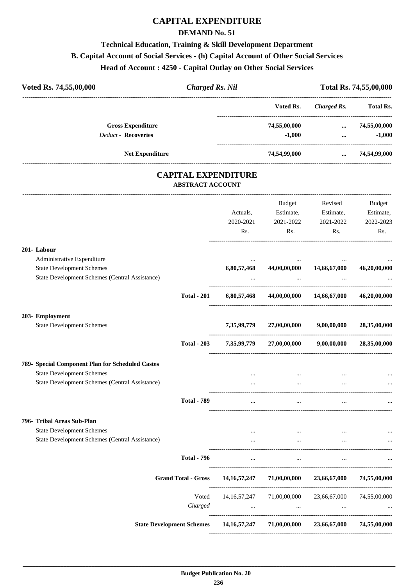## **CAPITAL EXPENDITURE**

### **DEMAND No. 51**

# **Technical Education, Training & Skill Development Department B. Capital Account of Social Services - (h) Capital Account of Other Social Services Head of Account : 4250 - Capital Outlay on Other Social Services**

| Voted Rs. 74,55,00,000     | <b>Charged Rs. Nil</b> |              |             | Total Rs. 74,55,00,000 |
|----------------------------|------------------------|--------------|-------------|------------------------|
|                            |                        | Voted Rs.    | Charged Rs. | <b>Total Rs.</b>       |
| <b>Gross Expenditure</b>   |                        | 74,55,00,000 | $\cdots$    | 74,55,00,000           |
| <b>Deduct - Recoveries</b> |                        | $-1.000$     | $\cdots$    | $-1.000$               |
| <b>Net Expenditure</b>     |                        | 74,54,99,000 | $\cdots$    | 74,54,99,000           |

## **CAPITAL EXPENDITURE ABSTRACT ACCOUNT**

---------------------------------------------------------------------------------------------------------------------------------------------------------------------------------

|                                                  |                            | Actuals,<br>2020-2021<br>Rs. | <b>Budget</b><br>Estimate,<br>2021-2022<br>Rs.                | Revised<br>Estimate,<br>2021-2022<br>Rs. | <b>Budget</b><br>Estimate,<br>2022-2023<br>Rs. |
|--------------------------------------------------|----------------------------|------------------------------|---------------------------------------------------------------|------------------------------------------|------------------------------------------------|
| 201-Labour                                       |                            |                              |                                                               |                                          |                                                |
| Administrative Expenditure                       |                            | $\cdots$                     |                                                               |                                          |                                                |
| <b>State Development Schemes</b>                 |                            | 6,80,57,468                  |                                                               | 44,00,00,000 14,66,67,000                | 46,20,00,000                                   |
| State Development Schemes (Central Assistance)   |                            |                              | $\cdots$                                                      |                                          |                                                |
|                                                  | <b>Total - 201</b>         |                              | 6,80,57,468 44,00,00,000 14,66,67,000                         |                                          | 46,20,00,000                                   |
| 203- Employment                                  |                            |                              |                                                               |                                          |                                                |
| <b>State Development Schemes</b>                 |                            | 7,35,99,779                  | 27,00,00,000                                                  | 9,00,00,000                              | 28,35,00,000                                   |
|                                                  | <b>Total - 203</b>         | 7,35,99,779                  | 27,00,00,000                                                  | 9,00,00,000                              | 28,35,00,000                                   |
| 789- Special Component Plan for Scheduled Castes |                            |                              |                                                               |                                          |                                                |
| <b>State Development Schemes</b>                 |                            | $\cdots$                     | $\ldots$                                                      | $\cdots$                                 |                                                |
| State Development Schemes (Central Assistance)   |                            | $\cdots$                     | $\cdots$                                                      | $\cdots$                                 |                                                |
|                                                  | <b>Total - 789</b>         |                              | $\overline{\phantom{a}}$                                      |                                          |                                                |
| 796- Tribal Areas Sub-Plan                       |                            |                              |                                                               |                                          |                                                |
| <b>State Development Schemes</b>                 |                            | $\ddotsc$                    |                                                               |                                          |                                                |
| State Development Schemes (Central Assistance)   |                            |                              | $\cdots$                                                      |                                          |                                                |
|                                                  | <b>Total - 796</b>         |                              | $\mathbf{r}$ and $\mathbf{r}$ are all the set of $\mathbf{r}$ | <b>Contract Contract Contract</b>        |                                                |
|                                                  | <b>Grand Total - Gross</b> | 14, 16, 57, 247              | 71,00,00,000                                                  | 23,66,67,000                             | 74,55,00,000                                   |
|                                                  | Voted                      |                              | 14, 16, 57, 247 71, 00, 00, 000                               | 23,66,67,000                             | 74,55,00,000                                   |
|                                                  | Charged                    |                              | <b>Second Contract Contract</b><br>$\cdots$                   |                                          |                                                |
|                                                  |                            |                              | State Development Schemes 14,16,57,247 71,00,00,000           | 23,66,67,000 74,55,00,000                |                                                |
|                                                  |                            |                              |                                                               |                                          |                                                |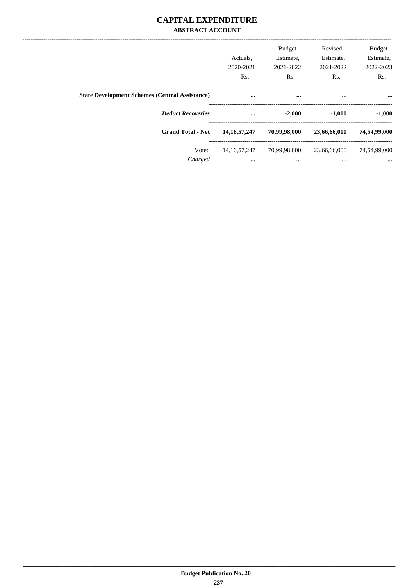## **CAPITAL EXPENDITURE ABSTRACT ACCOUNT**

|                                                       | Actuals.<br>2020-2021<br>Rs. | <b>Budget</b><br>Estimate,<br>2021-2022<br>Rs. | Revised<br>Estimate,<br>2021-2022<br>Rs. | <b>Budget</b><br>Estimate,<br>2022-2023<br>Rs. |
|-------------------------------------------------------|------------------------------|------------------------------------------------|------------------------------------------|------------------------------------------------|
| <b>State Development Schemes (Central Assistance)</b> | $\cdots$                     | $\cdots$                                       | $\cdots$                                 |                                                |
| <b>Deduct Recoveries</b>                              | $\cdots$                     | $-2,000$                                       | $-1,000$                                 | $-1,000$                                       |
| <b>Grand Total - Net</b>                              | 14, 16, 57, 247              | 70,99,98,000                                   | 23,66,66,000                             | 74,54,99,000                                   |
| Voted<br>Charged                                      | 14, 16, 57, 247<br>$\cdots$  | 70,99,98,000<br>$\cdots$                       | 23,66,66,000<br>$\cdots$                 | 74,54,99,000<br>$\cdots$                       |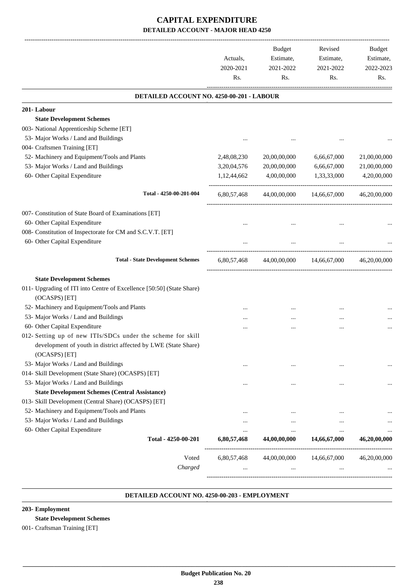|                                                                                                                                                | Actuals,<br>2020-2021<br>Rs. | <b>Budget</b><br>Estimate,<br>2021-2022<br>Rs. | Revised<br>Estimate,<br>2021-2022<br>Rs. | Budget<br>Estimate,<br>2022-2023<br>Rs. |
|------------------------------------------------------------------------------------------------------------------------------------------------|------------------------------|------------------------------------------------|------------------------------------------|-----------------------------------------|
| DETAILED ACCOUNT NO. 4250-00-201 - LABOUR                                                                                                      |                              |                                                |                                          |                                         |
| 201-Labour                                                                                                                                     |                              |                                                |                                          |                                         |
| <b>State Development Schemes</b>                                                                                                               |                              |                                                |                                          |                                         |
| 003- National Apprenticeship Scheme [ET]                                                                                                       |                              |                                                |                                          |                                         |
| 53- Major Works / Land and Buildings                                                                                                           |                              |                                                |                                          |                                         |
| 004- Craftsmen Training [ET]                                                                                                                   |                              |                                                |                                          |                                         |
| 52- Machinery and Equipment/Tools and Plants                                                                                                   | 2,48,08,230                  | 20,00,00,000                                   | 6,66,67,000                              | 21,00,00,000                            |
| 53- Major Works / Land and Buildings                                                                                                           | 3,20,04,576                  | 20,00,00,000                                   | 6,66,67,000                              | 21,00,00,000                            |
| 60- Other Capital Expenditure                                                                                                                  | 1,12,44,662                  | 4,00,00,000                                    | 1,33,33,000                              | 4,20,00,000                             |
| Total - 4250-00-201-004                                                                                                                        | 6,80,57,468                  | 44,00,00,000                                   | 14,66,67,000                             | 46,20,00,000                            |
| 007- Constitution of State Board of Examinations [ET]                                                                                          |                              |                                                |                                          |                                         |
| 60- Other Capital Expenditure                                                                                                                  |                              |                                                |                                          |                                         |
| 008- Constitution of Inspectorate for CM and S.C.V.T. [ET]                                                                                     |                              |                                                |                                          |                                         |
| 60- Other Capital Expenditure                                                                                                                  |                              |                                                |                                          |                                         |
| <b>Total - State Development Schemes</b>                                                                                                       | 6,80,57,468                  |                                                | 44,00,00,000 14,66,67,000                | 46,20,00,000                            |
| <b>State Development Schemes</b>                                                                                                               |                              |                                                |                                          |                                         |
| 011- Upgrading of ITI into Centre of Excellence [50:50] (State Share)<br>(OCASPS) [ET]                                                         |                              |                                                |                                          |                                         |
| 52- Machinery and Equipment/Tools and Plants                                                                                                   |                              |                                                |                                          |                                         |
| 53- Major Works / Land and Buildings                                                                                                           |                              |                                                |                                          |                                         |
| 60- Other Capital Expenditure                                                                                                                  |                              |                                                | $\cdots$                                 |                                         |
| 012- Setting up of new ITIs/SDCs under the scheme for skill<br>development of youth in district affected by LWE (State Share)<br>(OCASPS) [ET] |                              |                                                |                                          |                                         |
| 53- Major Works / Land and Buildings                                                                                                           |                              |                                                |                                          |                                         |
| 014- Skill Development (State Share) (OCASPS) [ET]                                                                                             |                              |                                                |                                          |                                         |
| 53- Major Works / Land and Buildings                                                                                                           |                              | $\cdots$                                       | $\cdots$                                 |                                         |
| <b>State Development Schemes (Central Assistance)</b>                                                                                          |                              |                                                |                                          |                                         |
| 013- Skill Development (Central Share) (OCASPS) [ET]                                                                                           |                              |                                                |                                          |                                         |
| 52- Machinery and Equipment/Tools and Plants                                                                                                   |                              |                                                |                                          |                                         |
| 53- Major Works / Land and Buildings                                                                                                           | $\cdots$                     | $\cdots$                                       | $\cdots$                                 |                                         |
| 60- Other Capital Expenditure<br>Total - 4250-00-201                                                                                           | $\cdots$<br>6,80,57,468      | $\ddotsc$<br>44,00,00,000                      | $\ddotsc$<br>14,66,67,000                | 46,20,00,000                            |
|                                                                                                                                                |                              |                                                |                                          |                                         |
| Voted                                                                                                                                          | 6,80,57,468                  | 44,00,00,000                                   | 14,66,67,000                             | 46,20,00,000                            |
| Charged                                                                                                                                        |                              |                                                |                                          |                                         |

#### **DETAILED ACCOUNT NO. 4250-00-203 - EMPLOYMENT .**

.

### **203- Employment**

### **State Development Schemes**

### 001- Craftsman Training [ET]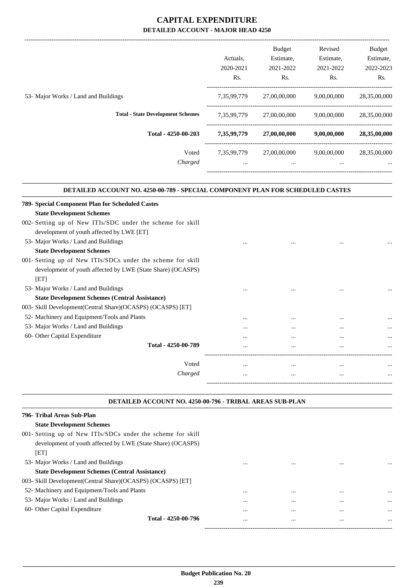|                                          | Actuals.<br>2020-2021 | <b>Budget</b><br>Estimate,<br>2021-2022 | Revised<br>Estimate,<br>2021-2022 | <b>Budget</b><br>Estimate,<br>2022-2023 |
|------------------------------------------|-----------------------|-----------------------------------------|-----------------------------------|-----------------------------------------|
|                                          | Rs.                   | Rs.                                     | Rs.                               | Rs.                                     |
|                                          |                       |                                         |                                   |                                         |
| 53- Major Works / Land and Buildings     | 7,35,99,779           | 27,00,00,000                            | 9,00,00,000                       | 28,35,00,000                            |
| <b>Total - State Development Schemes</b> | 7,35,99,779           | 27,00,00,000                            | 9.00.00.000                       | 28,35,00,000                            |
| Total - 4250-00-203                      | 7,35,99,779           | 27,00,00,000                            | 9,00,00,000                       | 28,35,00,000                            |
| Voted                                    | 7.35.99.779           | 27,00,00,000                            | 9,00,00,000                       | 28,35,00,000                            |
| Charged                                  | $\cdots$              | $\cdots$                                | $\cdots$                          | $\cdots$                                |
|                                          |                       |                                         |                                   |                                         |

#### **DETAILED ACCOUNT NO. 4250-00-789 - SPECIAL COMPONENT PLAN FOR SCHEDULED CASTES .**

.

.

| 789- Special Component Plan for Scheduled Castes              |          |          |          |          |
|---------------------------------------------------------------|----------|----------|----------|----------|
| <b>State Development Schemes</b>                              |          |          |          |          |
| 002- Setting up of New ITIs/SDC under the scheme for skill    |          |          |          |          |
| development of youth affected by LWE [ET]                     |          |          |          |          |
| 53- Major Works / Land and Buildings                          | $\cdots$ |          | $\cdots$ |          |
| <b>State Development Schemes</b>                              |          |          |          |          |
| 001- Setting up of New ITIs/SDCs under the scheme for skill   |          |          |          |          |
| development of youth affected by LWE (State Share) (OCASPS)   |          |          |          |          |
| [ET]                                                          |          |          |          |          |
| 53- Major Works / Land and Buildings                          | $\cdots$ |          |          |          |
| <b>State Development Schemes (Central Assistance)</b>         |          |          |          |          |
| 003- Skill Development (Central Share) (OCASPS) (OCASPS) [ET] |          |          |          |          |
| 52- Machinery and Equipment/Tools and Plants                  | $\cdots$ | $\cdots$ | $\cdots$ | $\cdots$ |
| 53- Major Works / Land and Buildings                          | $\cdots$ |          |          |          |
| 60- Other Capital Expenditure                                 |          |          |          | $\cdots$ |
| Total - 4250-00-789                                           | $\cdots$ | $\cdots$ |          | $\cdots$ |
|                                                               |          |          |          |          |
| Voted                                                         | $\cdots$ | $\cdots$ | $\cdots$ | $\cdots$ |
| Charged                                                       | $\cdots$ |          |          | $\cdots$ |
|                                                               |          |          |          |          |

#### **DETAILED ACCOUNT NO. 4250-00-796 - TRIBAL AREAS SUB-PLAN .**

| 796- Tribal Areas Sub-Plan                                    |          |      |          |
|---------------------------------------------------------------|----------|------|----------|
| <b>State Development Schemes</b>                              |          |      |          |
| 001- Setting up of New ITIs/SDCs under the scheme for skill   |          |      |          |
| development of youth affected by LWE (State Share) (OCASPS)   |          |      |          |
| [ET]                                                          |          |      |          |
| 53- Major Works / Land and Buildings                          |          | <br> | $\cdots$ |
| <b>State Development Schemes (Central Assistance)</b>         |          |      |          |
| 003- Skill Development (Central Share) (OCASPS) (OCASPS) [ET] |          |      |          |
| 52- Machinery and Equipment/Tools and Plants                  | $\cdots$ | <br> | $\cdots$ |
| 53- Major Works / Land and Buildings                          | $\cdots$ | <br> | $\cdots$ |
| 60- Other Capital Expenditure                                 | $\cdots$ | <br> | $\cdots$ |
| Total - 4250-00-796                                           | $\cdots$ | <br> |          |
|                                                               |          |      |          |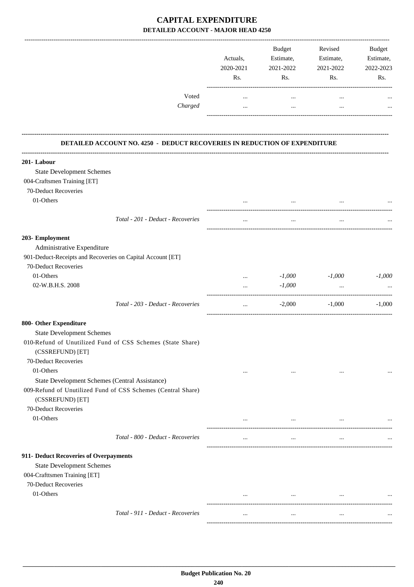|                                                                                  | Actuals,<br>2020-2021<br>Rs. | Budget<br>Estimate,<br>2021-2022<br>Rs. | Revised<br>Estimate,<br>2021-2022<br>Rs. | Budget<br>Estimate,<br>2022-2023<br>Rs. |
|----------------------------------------------------------------------------------|------------------------------|-----------------------------------------|------------------------------------------|-----------------------------------------|
| Voted<br>Charged                                                                 | $\cdots$<br>$\cdots$         | $\cdots$<br>$\cdots$                    | $\cdots$<br>$\cdots$                     |                                         |
| DETAILED ACCOUNT NO. 4250 - DEDUCT RECOVERIES IN REDUCTION OF EXPENDITURE        |                              |                                         |                                          |                                         |
|                                                                                  |                              |                                         |                                          |                                         |
| 201-Labour                                                                       |                              |                                         |                                          |                                         |
| <b>State Development Schemes</b>                                                 |                              |                                         |                                          |                                         |
| 004-Craftsmen Training [ET]                                                      |                              |                                         |                                          |                                         |
| 70-Deduct Recoveries                                                             |                              |                                         |                                          |                                         |
| 01-Others                                                                        |                              |                                         |                                          |                                         |
| Total - 201 - Deduct - Recoveries                                                | $\cdots$                     | $\cdots$                                | $\cdots$                                 |                                         |
| 203- Employment                                                                  |                              |                                         |                                          |                                         |
| Administrative Expenditure                                                       |                              |                                         |                                          |                                         |
| 901-Deduct-Receipts and Recoveries on Capital Account [ET]                       |                              |                                         |                                          |                                         |
| 70-Deduct Recoveries                                                             |                              |                                         |                                          |                                         |
| 01-Others                                                                        | $\cdots$                     | $-1,000$                                | $-1,000$                                 | $-1,000$                                |
| 02-W.B.H.S. 2008                                                                 | $\cdots$                     | $-1,000$                                | $\ddots$                                 |                                         |
| Total - 203 - Deduct - Recoveries                                                | $\cdots$                     | $-2,000$                                | $-1,000$                                 | $-1,000$                                |
|                                                                                  |                              |                                         |                                          |                                         |
| 800- Other Expenditure                                                           |                              |                                         |                                          |                                         |
| <b>State Development Schemes</b>                                                 |                              |                                         |                                          |                                         |
| 010-Refund of Unutilized Fund of CSS Schemes (State Share)<br>(CSSREFUND) [ET]   |                              |                                         |                                          |                                         |
| 70-Deduct Recoveries                                                             |                              |                                         |                                          |                                         |
| 01-Others                                                                        | $\cdots$                     | $\cdots$                                | $\cdots$                                 |                                         |
| State Development Schemes (Central Assistance)                                   |                              |                                         |                                          |                                         |
| 009-Refund of Unutilized Fund of CSS Schemes (Central Share)<br>(CSSREFUND) [ET] |                              |                                         |                                          |                                         |
| 70-Deduct Recoveries                                                             |                              |                                         |                                          |                                         |
| 01-Others                                                                        | $\cdots$                     | $\cdots$                                | $\cdots$                                 |                                         |
| Total - 800 - Deduct - Recoveries                                                |                              |                                         |                                          |                                         |
|                                                                                  | $\cdots$                     | $\cdots$                                | $\cdots$                                 |                                         |
| 911- Deduct Recoveries of Overpayments                                           |                              |                                         |                                          |                                         |
| <b>State Development Schemes</b>                                                 |                              |                                         |                                          |                                         |
| 004-Crafttsmen Training [ET]                                                     |                              |                                         |                                          |                                         |
| 70-Deduct Recoveries                                                             |                              |                                         |                                          |                                         |
| 01-Others                                                                        | $\cdots$                     | $\cdots$                                | $\cdots$                                 |                                         |
| Total - 911 - Deduct - Recoveries                                                |                              |                                         |                                          |                                         |
|                                                                                  | $\cdots$                     |                                         | $\cdots$                                 |                                         |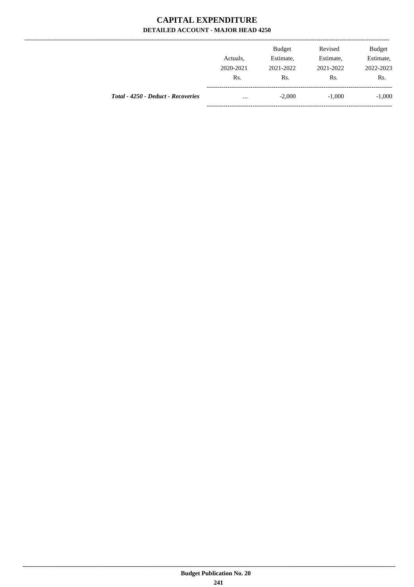--------------

|                                    | Actuals.<br>2020-2021 | <b>Budget</b><br>Estimate,<br>2021-2022 | Revised<br>Estimate,<br>2021-2022 | <b>Budget</b><br>Estimate,<br>2022-2023 |
|------------------------------------|-----------------------|-----------------------------------------|-----------------------------------|-----------------------------------------|
|                                    | Rs.                   | Rs.                                     | Rs.                               | Rs.                                     |
| Total - 4250 - Deduct - Recoveries | $\cdots$              | $-2,000$                                | $-1.000$                          | $-1,000$                                |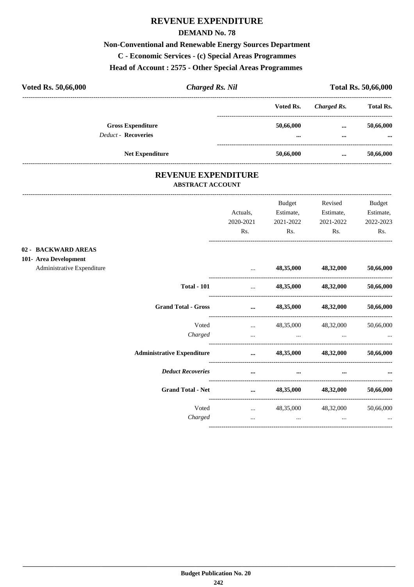## **REVENUE EXPENDITURE**

### **DEMAND No. 78**

## **Non-Conventional and Renewable Energy Sources Department**

C - Economic Services - (c) Special Areas Programmes

## Head of Account: 2575 - Other Special Areas Programmes

| Voted Rs. 50,66,000 | <b>Charged Rs. Nil</b>                                 |  | <b>Total Rs. 50,66,000</b> |              |                       |
|---------------------|--------------------------------------------------------|--|----------------------------|--------------|-----------------------|
|                     |                                                        |  | Voted Rs.                  | Charged Rs.  | <b>Total Rs.</b>      |
|                     | <b>Gross Expenditure</b><br><b>Deduct - Recoveries</b> |  | 50,66,000<br>$\cdots$      | <br>$\cdots$ | 50,66,000<br>$\cdots$ |
|                     | <b>Net Expenditure</b>                                 |  | 50,66,000                  | $\cdots$     | 50,66,000             |

## REVENUE EXPENDITURE ABSTRACT ACCOUNT

 $02 101 -$ 

|                                   |                                                                                                                                                                                                                                      | <b>Budget</b>                                                                                                    | Revised                       | Budget    |
|-----------------------------------|--------------------------------------------------------------------------------------------------------------------------------------------------------------------------------------------------------------------------------------|------------------------------------------------------------------------------------------------------------------|-------------------------------|-----------|
|                                   | Actuals,                                                                                                                                                                                                                             | Estimate,                                                                                                        | Estimate,                     | Estimate, |
|                                   | 2020-2021                                                                                                                                                                                                                            | 2021-2022                                                                                                        | 2021-2022                     | 2022-2023 |
|                                   | Rs.                                                                                                                                                                                                                                  | Rs.                                                                                                              | Rs.                           | Rs.       |
| <b>BACKWARD AREAS</b>             |                                                                                                                                                                                                                                      |                                                                                                                  |                               |           |
| <b>Area Development</b>           |                                                                                                                                                                                                                                      |                                                                                                                  |                               |           |
| Administrative Expenditure        | $\cdots$                                                                                                                                                                                                                             |                                                                                                                  | 48,35,000 48,32,000           | 50,66,000 |
| <b>Total - 101</b>                | <b>Section</b> Service                                                                                                                                                                                                               |                                                                                                                  | 48,35,000 48,32,000 50,66,000 |           |
| <b>Grand Total - Gross</b>        | <u>and the company of the company of the company of the company of the company of the company of the company of the company of the company of the company of the company of the company of the company of the company of the com</u> |                                                                                                                  | 48,35,000 48,32,000           | 50,66,000 |
| Voted                             | and the company of the company of the                                                                                                                                                                                                |                                                                                                                  | 48,35,000 48,32,000           | 50,66,000 |
| Charged                           |                                                                                                                                                                                                                                      | and the control of the control of the control of the control of the control of the control of the control of the |                               |           |
| <b>Administrative Expenditure</b> |                                                                                                                                                                                                                                      |                                                                                                                  | $\ldots$ 48,35,000 48,32,000  | 50,66,000 |
| <b>Deduct Recoveries</b>          | $\cdots$                                                                                                                                                                                                                             | $\cdots$                                                                                                         |                               |           |
| <b>Grand Total - Net</b>          | $\cdots$                                                                                                                                                                                                                             |                                                                                                                  | 48,35,000 48,32,000           | 50,66,000 |
| Voted                             |                                                                                                                                                                                                                                      |                                                                                                                  | $48,35,000$ $48,32,000$       | 50,66,000 |
| Charged                           | $\cdots$                                                                                                                                                                                                                             | $\cdots$                                                                                                         | $\cdots$                      | $\cdots$  |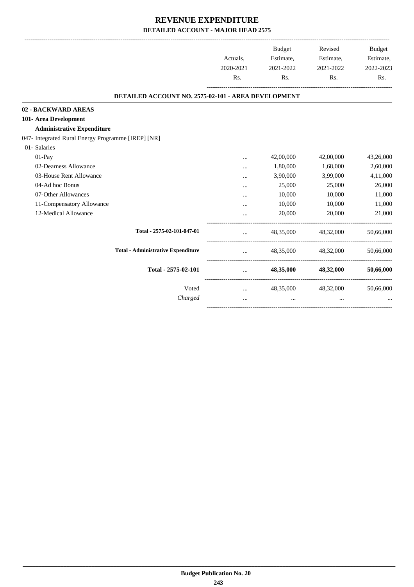|                                                     |                 | Budget    | Revised             | <b>Budget</b> |
|-----------------------------------------------------|-----------------|-----------|---------------------|---------------|
|                                                     | Actuals,        | Estimate, | Estimate,           | Estimate,     |
|                                                     | 2020-2021       | 2021-2022 | 2021-2022           | 2022-2023     |
|                                                     | Rs.             | Rs.       | Rs.                 | Rs.           |
| DETAILED ACCOUNT NO. 2575-02-101 - AREA DEVELOPMENT |                 |           |                     |               |
| 02 - BACKWARD AREAS                                 |                 |           |                     |               |
| 101- Area Development                               |                 |           |                     |               |
| <b>Administrative Expenditure</b>                   |                 |           |                     |               |
| 047- Integrated Rural Energy Programme [IREP] [NR]  |                 |           |                     |               |
| 01- Salaries                                        |                 |           |                     |               |
| $01-Pay$                                            | $\cdots$        | 42,00,000 | 42,00,000           | 43,26,000     |
| 02-Dearness Allowance                               |                 | 1,80,000  | 1,68,000            | 2,60,000      |
| 03-House Rent Allowance                             | $\cdot$ $\cdot$ | 3,90,000  | 3,99,000            | 4,11,000      |
| 04-Ad hoc Bonus                                     |                 | 25,000    | 25,000              | 26,000        |
| 07-Other Allowances                                 |                 | 10,000    | 10,000              | 11,000        |
| 11-Compensatory Allowance                           |                 | 10,000    | 10,000              | 11,000        |
| 12-Medical Allowance                                | $\cdots$        | 20,000    | 20,000              | 21,000        |
| Total - 2575-02-101-047-01                          | $\ddotsc$       |           | 48,35,000 48,32,000 | 50,66,000     |
| <b>Total - Administrative Expenditure</b>           | $\cdots$        |           | 48,35,000 48,32,000 | 50,66,000     |
| Total - 2575-02-101                                 | $\mathbf{r}$    | 48,35,000 | 48,32,000           | 50,66,000     |
| Voted                                               | $\cdots$        |           | 48,35,000 48,32,000 | 50,66,000     |
| Charged                                             | $\ddotsc$       | $\cdots$  | $\ddotsc$           |               |
|                                                     |                 |           |                     |               |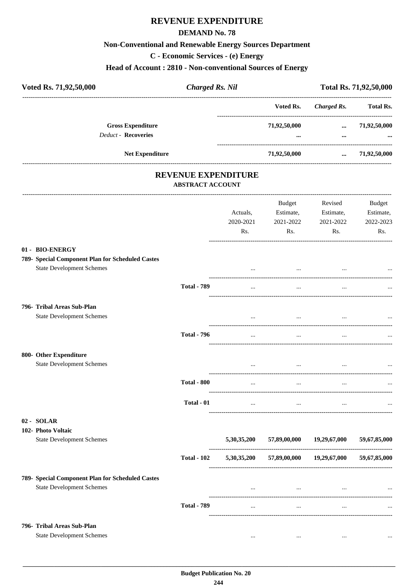## REVENUE EXPENDITURE

### **DEMAND No. 78**

### **Non-Conventional and Renewable Energy Sources Department**

C - Economic Services - (e) Energy

### Head of Account: 2810 - Non-conventional Sources of Energy

| Voted Rs. 71,92,50,000                                | <b>Charged Rs. Nil</b> |               | Total Rs. 71,92,50,000 |                  |
|-------------------------------------------------------|------------------------|---------------|------------------------|------------------|
|                                                       |                        | Voted Rs.     | <b>Charged Rs.</b>     | <b>Total Rs.</b> |
| <b>Gross Expenditure</b>                              |                        | 71,92,50,000  | $\cdots$               | 71,92,50,000     |
| <b>Deduct - Recoveries</b>                            |                        | $\cdots$      | $\cdots$               |                  |
| <b>Net Expenditure</b>                                |                        | 71,92,50,000  | $\cdots$               | 71,92,50,000     |
| <b>REVENUE EXPENDITURE</b><br><b>ABSTRACT ACCOUNT</b> |                        |               |                        |                  |
|                                                       |                        | <b>Budget</b> | Revised                | <b>Budget</b>    |
|                                                       | Actuals,               | Estimate,     | Estimate,              | Estimate,        |
|                                                       | 2020-2021              | 2021-2022     | 2021-2022              | 2022-2023        |
|                                                       | Rs.                    | Rs.           | Rs.                    | Rs.              |
| 01 - BIO-ENERGY                                       |                        |               |                        |                  |
| 789- Special Component Plan for Scheduled Castes      |                        |               |                        |                  |
| <b>State Development Schemes</b>                      |                        |               |                        |                  |
| <b>Total - 789</b>                                    | $\cdots$               | $\cdots$      | $\cdots$               |                  |
| 796- Tribal Areas Sub-Plan                            |                        |               |                        |                  |
| <b>State Development Schemes</b>                      | $\cdots$               | $\cdots$      | $\cdots$               |                  |
| <b>Total - 796</b>                                    | $\cdots$               | $\cdots$      | $\cdots$               | $\cdots$         |

| 800- Other Expenditure<br><b>State Development Schemes</b> |                    | $\cdots$    | $\cdots$                                                    | $\cdots$             | $\cdots$     |
|------------------------------------------------------------|--------------------|-------------|-------------------------------------------------------------|----------------------|--------------|
|                                                            | <b>Total - 800</b> | $\cdots$    | $\cdots$                                                    | $\cdots$             | $\cdots$     |
|                                                            | Total - 01         |             | and the state of the state of the state of the state of the | $\sim$ $\sim$ $\sim$ | $\cdots$     |
| 02 - SOLAR                                                 |                    |             |                                                             |                      |              |
| 102- Photo Voltaic<br><b>State Development Schemes</b>     |                    | 5,30,35,200 | 57,89,00,000                                                | 19,29,67,000         | 59,67,85,000 |
|                                                            | <b>Total - 102</b> | 5,30,35,200 | 57,89,00,000                                                | 19,29,67,000         | 59,67,85,000 |
| 789- Special Component Plan for Scheduled Castes           |                    |             |                                                             |                      |              |
| <b>State Development Schemes</b>                           |                    | $\cdots$    | $\cdots$                                                    | $\cdots$             | $\cdots$     |
|                                                            | <b>Total - 789</b> | $\cdots$    | $\cdots$                                                    | $\cdots$             | $\cdots$     |
| 796- Tribal Areas Sub-Plan                                 |                    |             |                                                             |                      |              |
| <b>State Development Schemes</b>                           |                    | $\cdots$    | $\cdots$                                                    | $\cdots$             | $\cdots$     |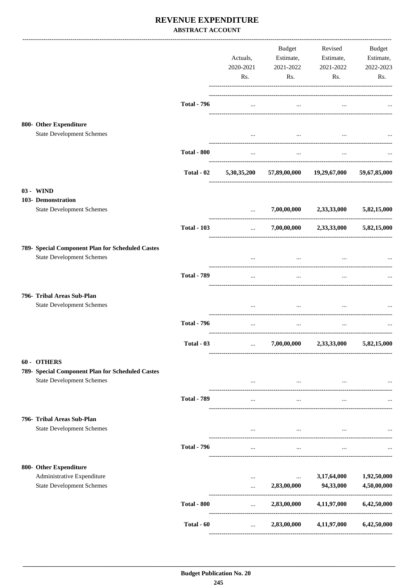## REVENUE EXPENDITURE **ABSTRACT ACCOUNT**

|                                                                                                     |                    | Actuals,<br>2020-2021<br>Rs.             | Budget<br>Estimate,<br>2021-2022<br>Rs.    | Revised<br>Estimate,<br>2021-2022<br>Rs. | <b>Budget</b><br>Estimate,<br>2022-2023<br>Rs. |
|-----------------------------------------------------------------------------------------------------|--------------------|------------------------------------------|--------------------------------------------|------------------------------------------|------------------------------------------------|
|                                                                                                     | <b>Total - 796</b> | $\cdots$                                 | $\cdots$                                   |                                          |                                                |
| 800- Other Expenditure<br><b>State Development Schemes</b>                                          |                    | $\cdots$                                 | $\cdots$                                   |                                          |                                                |
|                                                                                                     | <b>Total - 800</b> | $\cdots$                                 | $\cdots$                                   |                                          |                                                |
|                                                                                                     | Total - 02         | 5,30,35,200                              |                                            | 57,89,00,000 19,29,67,000                | 59,67,85,000                                   |
| 03 - WIND                                                                                           |                    |                                          |                                            |                                          |                                                |
| 103- Demonstration<br><b>State Development Schemes</b>                                              |                    | $\cdots$                                 | 7,00,00,000                                | 2,33,33,000                              | 5,82,15,000                                    |
|                                                                                                     | <b>Total - 103</b> | ----------------------------<br>$\cdots$ |                                            | $7,00,00,000$ $2,33,33,000$              | 5,82,15,000                                    |
| 789- Special Component Plan for Scheduled Castes<br><b>State Development Schemes</b>                |                    |                                          | $\cdots$                                   |                                          |                                                |
|                                                                                                     | <b>Total - 789</b> | $\cdots$                                 | $\cdots$                                   |                                          |                                                |
| 796- Tribal Areas Sub-Plan<br><b>State Development Schemes</b>                                      |                    | $\cdots$                                 | $\cdots$                                   | $\cdots$                                 |                                                |
|                                                                                                     | <b>Total - 796</b> | $\cdots$                                 | $\cdots$                                   | $\ddotsc$                                |                                                |
|                                                                                                     | Total - 03         | $\cdots$                                 | 7,00,00,000                                | 2,33,33,000                              | 5,82,15,000                                    |
| 60 - OTHERS<br>789- Special Component Plan for Scheduled Castes<br><b>State Development Schemes</b> |                    | $\cdots$                                 | $\ddotsc$                                  | $\cdots$                                 |                                                |
|                                                                                                     | <b>Total - 789</b> |                                          |                                            |                                          |                                                |
| 796- Tribal Areas Sub-Plan<br><b>State Development Schemes</b>                                      |                    |                                          | $\cdots$<br>see the company of the company | <b>Contract Contract</b>                 |                                                |
|                                                                                                     | <b>Total - 796</b> | $\cdots$                                 | $\cdots$                                   | $\cdots$                                 |                                                |
| 800- Other Expenditure<br>Administrative Expenditure<br><b>State Development Schemes</b>            |                    | $\cdots$<br>                             | $\ldots$<br>2,83,00,000                    | 3,17,64,000<br>94,33,000                 | 1,92,50,000<br>4,50,00,000                     |
|                                                                                                     | <b>Total - 800</b> | $\cdots$                                 | 2,83,00,000                                | 4,11,97,000                              | 6,42,50,000                                    |
|                                                                                                     | Total - 60         | $\cdots$                                 | 2,83,00,000                                | 4,11,97,000                              | 6,42,50,000                                    |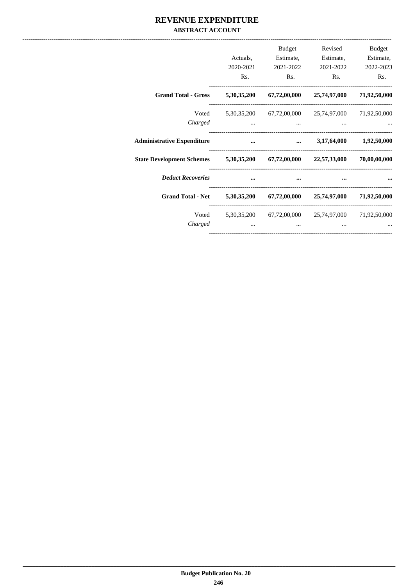## REVENUE EXPENDITURE **ABSTRACT ACCOUNT**

|                                                                              | Actuals,<br>2020-2021<br>Rs. | <b>Budget</b><br>Estimate,<br>Rs. | Revised<br>Estimate,<br>2021-2022 2021-2022<br>Rs.       | <b>Budget</b><br>Estimate,<br>2022-2023<br>Rs. |
|------------------------------------------------------------------------------|------------------------------|-----------------------------------|----------------------------------------------------------|------------------------------------------------|
| Grand Total - Gross 5,30,35,200 67,72,00,000 25,74,97,000 71,92,50,000       |                              |                                   |                                                          |                                                |
| Charged                                                                      |                              | $\cdots$                          | Voted 5,30,35,200 67,72,00,000 25,74,97,000 71,92,50,000 |                                                |
| <b>Administrative Expenditure</b>                                            | $\sim$ $\sim$ $\sim$         |                                   | $\ldots$ 3,17,64,000 1,92,50,000                         |                                                |
| State Development Schemes 5,30,35,200 67,72,00,000 22,57,33,000 70,00,00,000 |                              |                                   |                                                          |                                                |
| <b>Deduct Recoveries</b>                                                     |                              | $\ddotsc$                         |                                                          |                                                |
| Grand Total - Net 5,30,35,200 67,72,00,000 25,74,97,000 71,92,50,000         |                              |                                   |                                                          |                                                |
| Charged                                                                      |                              |                                   | Voted 5,30,35,200 67,72,00,000 25,74,97,000 71,92,50,000 |                                                |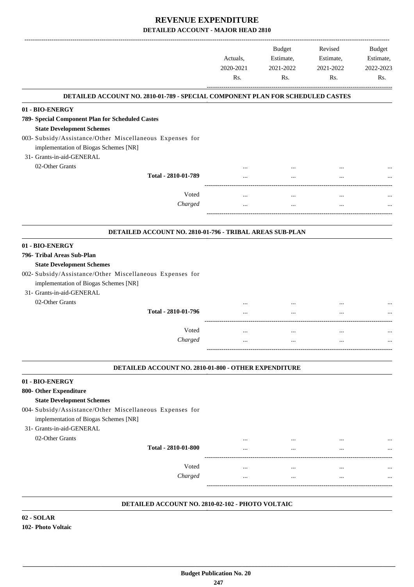|                                                                                                                                                                                                                     | Actuals,<br>2020-2021<br>Rs. | <b>Budget</b><br>Estimate,<br>2021-2022<br>Rs. | Revised<br>Estimate,<br>2021-2022<br>Rs. | <b>Budget</b><br>Estimate,<br>2022-2023<br>Rs. |
|---------------------------------------------------------------------------------------------------------------------------------------------------------------------------------------------------------------------|------------------------------|------------------------------------------------|------------------------------------------|------------------------------------------------|
| DETAILED ACCOUNT NO. 2810-01-789 - SPECIAL COMPONENT PLAN FOR SCHEDULED CASTES                                                                                                                                      |                              |                                                |                                          |                                                |
| 01 - BIO-ENERGY                                                                                                                                                                                                     |                              |                                                |                                          |                                                |
| 789- Special Component Plan for Scheduled Castes                                                                                                                                                                    |                              |                                                |                                          |                                                |
| <b>State Development Schemes</b>                                                                                                                                                                                    |                              |                                                |                                          |                                                |
| 003- Subsidy/Assistance/Other Miscellaneous Expenses for                                                                                                                                                            |                              |                                                |                                          |                                                |
| implementation of Biogas Schemes [NR]                                                                                                                                                                               |                              |                                                |                                          |                                                |
| 31- Grants-in-aid-GENERAL                                                                                                                                                                                           |                              |                                                |                                          |                                                |
| 02-Other Grants                                                                                                                                                                                                     |                              |                                                |                                          |                                                |
| Total - 2810-01-789                                                                                                                                                                                                 |                              |                                                |                                          |                                                |
|                                                                                                                                                                                                                     |                              |                                                |                                          |                                                |
| Voted                                                                                                                                                                                                               |                              | $\ddotsc$                                      | $\cdots$                                 |                                                |
| Charged                                                                                                                                                                                                             |                              | $\cdots$                                       | $\cdots$                                 |                                                |
| DETAILED ACCOUNT NO. 2810-01-796 - TRIBAL AREAS SUB-PLAN                                                                                                                                                            |                              |                                                |                                          |                                                |
| 01 - BIO-ENERGY                                                                                                                                                                                                     |                              |                                                |                                          |                                                |
| 796- Tribal Areas Sub-Plan<br><b>State Development Schemes</b><br>002- Subsidy/Assistance/Other Miscellaneous Expenses for<br>implementation of Biogas Schemes [NR]<br>31- Grants-in-aid-GENERAL<br>02-Other Grants |                              |                                                |                                          |                                                |
| Total - 2810-01-796                                                                                                                                                                                                 |                              |                                                | $\cdots$                                 |                                                |
| Voted                                                                                                                                                                                                               |                              |                                                |                                          |                                                |
|                                                                                                                                                                                                                     |                              |                                                | $\cdots$                                 |                                                |
| Charged                                                                                                                                                                                                             |                              |                                                | $\ddotsc$                                |                                                |
| DETAILED ACCOUNT NO. 2810-01-800 - OTHER EXPENDITURE                                                                                                                                                                |                              |                                                |                                          |                                                |
| 01 - BIO-ENERGY                                                                                                                                                                                                     |                              |                                                |                                          |                                                |
| 800- Other Expenditure<br><b>State Development Schemes</b><br>004- Subsidy/Assistance/Other Miscellaneous Expenses for<br>implementation of Biogas Schemes [NR]<br>31- Grants-in-aid-GENERAL                        |                              |                                                |                                          |                                                |
| 02-Other Grants                                                                                                                                                                                                     |                              | $\cdots$                                       |                                          |                                                |
| Total - 2810-01-800                                                                                                                                                                                                 |                              |                                                |                                          |                                                |
| Voted                                                                                                                                                                                                               | $\cdots$                     | $\cdots$                                       | $\ddotsc$                                |                                                |
| Charged                                                                                                                                                                                                             | $\cdots$                     | $\cdots$                                       | $\cdots$                                 |                                                |
|                                                                                                                                                                                                                     |                              |                                                |                                          |                                                |
|                                                                                                                                                                                                                     |                              |                                                |                                          |                                                |

#### **DETAILED ACCOUNT NO. 2810-02-102 - PHOTO VOLTAIC .**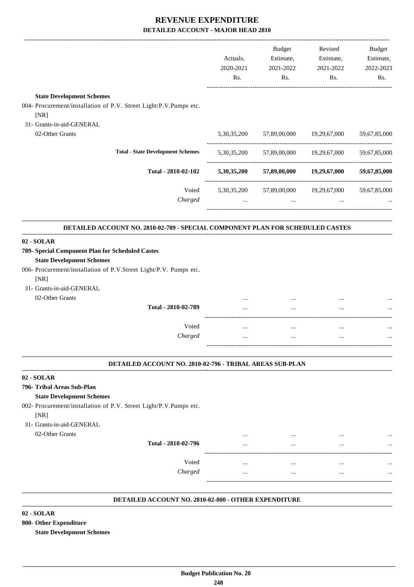|                                                                                |             | <b>Budget</b>                         | Revised      | <b>Budget</b> |
|--------------------------------------------------------------------------------|-------------|---------------------------------------|--------------|---------------|
|                                                                                | Actuals,    | Estimate,                             | Estimate,    | Estimate,     |
|                                                                                | 2020-2021   | 2021-2022                             | 2021-2022    | 2022-2023     |
|                                                                                | Rs.         | Rs.                                   | Rs.          | Rs.           |
| <b>State Development Schemes</b>                                               |             |                                       |              |               |
| 004- Procurement/installation of P.V. Street Light/P.V.Pumps etc.              |             |                                       |              |               |
| [NR]                                                                           |             |                                       |              |               |
| 31- Grants-in-aid-GENERAL                                                      |             |                                       |              |               |
| 02-Other Grants                                                                | 5,30,35,200 | 57,89,00,000 19,29,67,000             |              | 59,67,85,000  |
| <b>Total - State Development Schemes</b>                                       |             | 5,30,35,200 57,89,00,000 19,29,67,000 |              | 59,67,85,000  |
| Total - 2810-02-102                                                            |             | 5,30,35,200 57,89,00,000 19,29,67,000 |              | 59,67,85,000  |
| Voted                                                                          |             | 5,30,35,200 57,89,00,000              | 19,29,67,000 | 59,67,85,000  |
| Charged                                                                        | $\ddotsc$   | $\ddotsc$                             | $\ddotsc$    |               |
| DETAILED ACCOUNT NO. 2810-02-789 - SPECIAL COMPONENT PLAN FOR SCHEDULED CASTES |             |                                       |              |               |
| 02 - SOLAR                                                                     |             |                                       |              |               |
| 789- Special Component Plan for Scheduled Castes                               |             |                                       |              |               |
| <b>State Development Schemes</b>                                               |             |                                       |              |               |
| 006- Procurement/installation of P.V.Street Light/P.V. Pumps etc.              |             |                                       |              |               |
| [NR]                                                                           |             |                                       |              |               |
| 31- Grants-in-aid-GENERAL                                                      |             |                                       |              |               |
| 02-Other Grants                                                                |             |                                       |              |               |
| Total - 2810-02-789                                                            |             |                                       |              |               |
| Voted                                                                          | $\ddotsc$   | $\cdots$                              | $\cdots$     |               |
| Charged                                                                        | $\cdots$    | $\cdots$                              | $\cdots$     |               |
|                                                                                |             |                                       |              |               |

#### **DETAILED ACCOUNT NO. 2810-02-796 - TRIBAL AREAS SUB-PLAN .**

### **02 - SOLAR**

### **796- Tribal Areas Sub-Plan**

### **State Development Schemes**

002- Procurement/installation of P.V. Street Light/P.V.Pumps etc.

[NR]

31- Grants-in-aid-GENERAL

| 02-Other Grants |                     | <br> | <br> |
|-----------------|---------------------|------|------|
|                 | Total - 2810-02-796 | <br> | <br> |
|                 |                     |      |      |
|                 | Voted               | <br> | <br> |
|                 | Charged             | <br> | <br> |
|                 |                     |      |      |

-----------------------------------------------------------------------------------------

.

.

#### **DETAILED ACCOUNT NO. 2810-02-800 - OTHER EXPENDITURE .**

### **02 - SOLAR**

**800- Other Expenditure**

**State Development Schemes**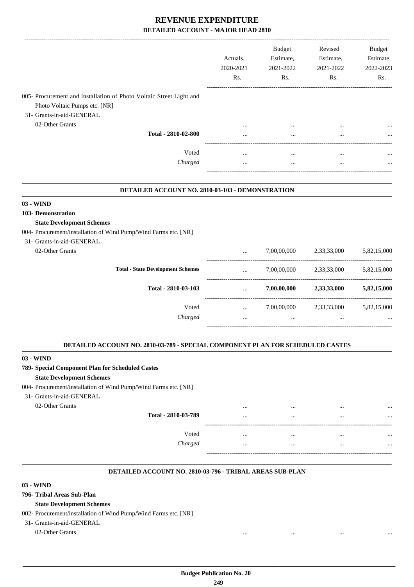|                                                                     | Actuals.<br>2020-2021<br>Rs. | <b>Budget</b><br>Estimate,<br>2021-2022<br>Rs. | Revised<br>Estimate,<br>2021-2022<br>Rs. | <b>Budget</b><br>Estimate,<br>2022-2023<br>Rs. |
|---------------------------------------------------------------------|------------------------------|------------------------------------------------|------------------------------------------|------------------------------------------------|
| 005- Procurement and installation of Photo Voltaic Street Light and |                              |                                                |                                          |                                                |
| Photo Voltaic Pumps etc. [NR]                                       |                              |                                                |                                          |                                                |
| 31- Grants-in-aid-GENERAL                                           |                              |                                                |                                          |                                                |
| 02-Other Grants                                                     | $\cdots$                     | $\cdots$                                       | $\cdots$                                 | $\cdots$                                       |
| Total - 2810-02-800                                                 | $\cdots$                     | $\cdots$                                       | $\cdots$                                 | $\cdots$                                       |
| Voted                                                               | $\cdots$                     | $\cdots$                                       | $\cdots$                                 | $\cdots$                                       |
| Charged                                                             | $\cdots$                     | $\cdots$                                       | $\cdots$                                 | $\cdots$                                       |
|                                                                     |                              |                                                |                                          |                                                |

#### **DETAILED ACCOUNT NO. 2810-03-103 - DEMONSTRATION .**

### **03 - WIND**

### **103- Demonstration**

### **State Development Schemes**

004- Procurement/installation of Wind Pump/Wind Farms etc. [NR]

| 31- Grants-in-aid-GENERAL |                                          |          |             |             |             |
|---------------------------|------------------------------------------|----------|-------------|-------------|-------------|
| 02-Other Grants           |                                          | $\cdots$ | 7,00,00,000 | 2,33,33,000 | 5,82,15,000 |
|                           | <b>Total - State Development Schemes</b> | $\cdots$ | 7,00,00,000 | 2,33,33,000 | 5,82,15,000 |
|                           | Total - 2810-03-103                      | $\cdots$ | 7,00,00,000 | 2,33,33,000 | 5,82,15,000 |
|                           | Voted                                    | $\cdots$ | 7,00,00,000 | 2,33,33,000 | 5,82,15,000 |
|                           | Charged                                  | $\cdots$ | $\cdots$    | $\cdots$    | $\cdots$    |
|                           |                                          |          |             |             |             |

#### **DETAILED ACCOUNT NO. 2810-03-789 - SPECIAL COMPONENT PLAN FOR SCHEDULED CASTES .**

### **03 - WIND**

### **789- Special Component Plan for Scheduled Castes**

### **State Development Schemes**

004- Procurement/installation of Wind Pump/Wind Farms etc. [NR]

- 31- Grants-in-aid-GENERAL
	-

| 02-Other Grants |                     | <br>$\cdots$ | <br>$\cdots$ |
|-----------------|---------------------|--------------|--------------|
|                 | Total - 2810-03-789 | <br>$\cdots$ | <br>         |
|                 | --                  |              |              |
|                 | Voted               | <br>$\cdots$ | <br>         |
|                 | Charged             | <br>$\cdots$ | <br>         |
|                 | ---                 |              |              |

.

.

.

#### **DETAILED ACCOUNT NO. 2810-03-796 - TRIBAL AREAS SUB-PLAN .**

### **03 - WIND**

### **796- Tribal Areas Sub-Plan**

### **State Development Schemes**

### 002- Procurement/installation of Wind Pump/Wind Farms etc. [NR]

31- Grants-in-aid-GENERAL

### 02-Other Grants ... ... ... ...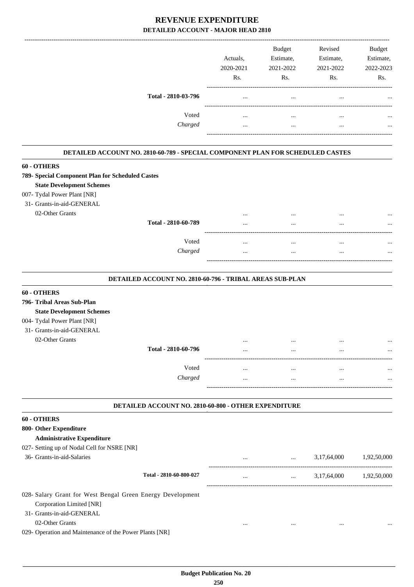|                         | Rs.  | Rs.      |
|-------------------------|------|----------|
| Total - 2810-03-796<br> | <br> | $\cdots$ |
| Voted<br>               | <br> | $\cdots$ |
| Charged<br>             | <br> |          |

#### **DETAILED ACCOUNT NO. 2810-60-789 - SPECIAL COMPONENT PLAN FOR SCHEDULED CASTES .**

### **60 - OTHERS**

| $00 - 0111EMD$                                   |          |          |              |
|--------------------------------------------------|----------|----------|--------------|
| 789- Special Component Plan for Scheduled Castes |          |          |              |
| <b>State Development Schemes</b>                 |          |          |              |
| 007- Tydal Power Plant [NR]                      |          |          |              |
| 31- Grants-in-aid-GENERAL                        |          |          |              |
| 02-Other Grants                                  |          |          | <br>$\cdots$ |
| Total - 2810-60-789                              | $\cdots$ | $\cdots$ | <br>         |
|                                                  |          |          |              |
| Voted                                            | $\cdots$ |          | <br>         |
| Charged                                          | $\cdots$ | $\cdots$ | <br>         |
|                                                  |          |          |              |
|                                                  |          |          |              |

#### **DETAILED ACCOUNT NO. 2810-60-796 - TRIBAL AREAS SUB-PLAN .**

| 60 - OTHERS                      |                     |          |          |          |          |
|----------------------------------|---------------------|----------|----------|----------|----------|
| 796- Tribal Areas Sub-Plan       |                     |          |          |          |          |
| <b>State Development Schemes</b> |                     |          |          |          |          |
| 004- Tydal Power Plant [NR]      |                     |          |          |          |          |
| 31- Grants-in-aid-GENERAL        |                     |          |          |          |          |
| 02-Other Grants                  |                     | $\cdots$ |          |          |          |
|                                  | Total - 2810-60-796 | $\cdots$ | $\cdots$ | $\cdots$ |          |
|                                  |                     |          |          |          |          |
|                                  | Voted               | $\cdots$ | $\cdots$ | $\cdots$ | $\cdots$ |
|                                  | Charged             | $\cdots$ | $\cdots$ |          |          |
|                                  |                     |          |          |          |          |

#### **DETAILED ACCOUNT NO. 2810-60-800 - OTHER EXPENDITURE .**

.

#### **60 - OTHERS**

| 800- Other Expenditure                                     |                         |          |          |             |             |
|------------------------------------------------------------|-------------------------|----------|----------|-------------|-------------|
| <b>Administrative Expenditure</b>                          |                         |          |          |             |             |
| 027- Setting up of Nodal Cell for NSRE [NR]                |                         |          |          |             |             |
| 36- Grants-in-aid-Salaries                                 |                         | $\cdots$ | $\cdots$ | 3,17,64,000 | 1.92.50.000 |
|                                                            | Total - 2810-60-800-027 | $\cdots$ | $\cdots$ | 3,17,64,000 | 1.92.50.000 |
| 028- Salary Grant for West Bengal Green Energy Development |                         |          |          |             |             |
| Corporation Limited [NR]                                   |                         |          |          |             |             |
| 31- Grants-in-aid-GENERAL                                  |                         |          |          |             |             |
| 02-Other Grants                                            |                         | $\cdots$ | $\cdots$ |             |             |

029- Operation and Maintenance of the Power Plants [NR]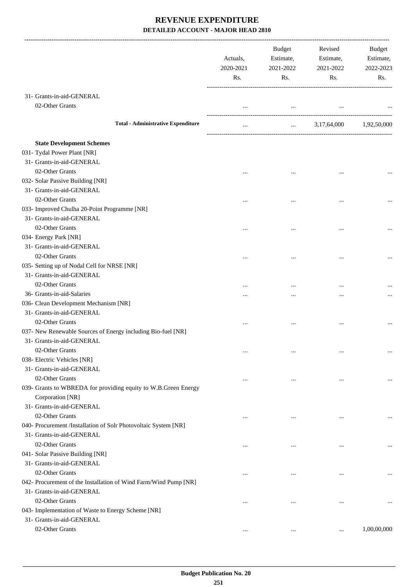|                                                                  | Actuals,<br>2020-2021<br>Rs. | Budget<br>Estimate,<br>2021-2022<br>Rs. | Revised<br>Estimate,<br>2021-2022<br>Rs. | Budget<br>Estimate,<br>2022-2023<br>Rs. |
|------------------------------------------------------------------|------------------------------|-----------------------------------------|------------------------------------------|-----------------------------------------|
| 31- Grants-in-aid-GENERAL                                        |                              |                                         |                                          |                                         |
| 02-Other Grants                                                  | $\cdots$                     | $\cdots$                                |                                          |                                         |
|                                                                  |                              |                                         |                                          |                                         |
| <b>Total - Administrative Expenditure</b>                        | $\cdots$                     | <b>Second Contract Contract</b>         | 3,17,64,000                              | 1,92,50,000                             |
| <b>State Development Schemes</b>                                 |                              |                                         |                                          |                                         |
| 031- Tydal Power Plant [NR]                                      |                              |                                         |                                          |                                         |
| 31- Grants-in-aid-GENERAL                                        |                              |                                         |                                          |                                         |
| 02-Other Grants                                                  |                              |                                         |                                          |                                         |
| 032- Solar Passive Building [NR]                                 |                              |                                         |                                          |                                         |
| 31- Grants-in-aid-GENERAL                                        |                              |                                         |                                          |                                         |
| 02-Other Grants                                                  |                              |                                         |                                          |                                         |
| 033- Improved Chulha 20-Point Programme [NR]                     |                              |                                         |                                          |                                         |
| 31- Grants-in-aid-GENERAL                                        |                              |                                         |                                          |                                         |
| 02-Other Grants                                                  |                              |                                         |                                          |                                         |
| 034- Energy Park [NR]                                            |                              |                                         |                                          |                                         |
| 31- Grants-in-aid-GENERAL                                        |                              |                                         |                                          |                                         |
| 02-Other Grants                                                  |                              |                                         |                                          |                                         |
| 035- Setting up of Nodal Cell for NRSE [NR]                      |                              |                                         |                                          |                                         |
| 31- Grants-in-aid-GENERAL                                        |                              |                                         |                                          |                                         |
| 02-Other Grants                                                  |                              |                                         |                                          |                                         |
| 36- Grants-in-aid-Salaries                                       |                              |                                         |                                          |                                         |
| 036- Clean Development Mechanism [NR]                            |                              |                                         |                                          |                                         |
| 31- Grants-in-aid-GENERAL                                        |                              |                                         |                                          |                                         |
| 02-Other Grants                                                  |                              |                                         |                                          |                                         |
| 037- New Renewable Sources of Energy including Bio-fuel [NR]     |                              |                                         |                                          |                                         |
| 31- Grants-in-aid-GENERAL                                        |                              |                                         |                                          |                                         |
| 02-Other Grants                                                  |                              |                                         |                                          |                                         |
| 038- Electric Vehicles [NR]                                      |                              |                                         |                                          |                                         |
| 31- Grants-in-aid-GENERAL                                        |                              |                                         |                                          |                                         |
| 02-Other Grants                                                  |                              | $\cdots$                                | $\cdots$                                 |                                         |
| 039- Grants to WBREDA for providing equity to W.B.Green Energy   |                              |                                         |                                          |                                         |
| Corporation [NR]                                                 |                              |                                         |                                          |                                         |
| 31- Grants-in-aid-GENERAL                                        |                              |                                         |                                          |                                         |
| 02-Other Grants                                                  |                              | $\ddotsc$                               |                                          | $\cdots$                                |
| 040- Procurement /Installation of Solr Photovoltaic System [NR]  |                              |                                         |                                          |                                         |
| 31- Grants-in-aid-GENERAL                                        |                              |                                         |                                          |                                         |
| 02-Other Grants                                                  | $\cdots$                     | $\ddotsc$                               |                                          |                                         |
| 041- Solar Passive Building [NR]                                 |                              |                                         |                                          |                                         |
| 31- Grants-in-aid-GENERAL                                        |                              |                                         |                                          |                                         |
| 02-Other Grants                                                  | $\cdots$                     | $\cdots$                                | $\cdots$                                 |                                         |
| 042- Procurement of the Installation of Wind Farm/Wind Pump [NR] |                              |                                         |                                          |                                         |
| 31- Grants-in-aid-GENERAL                                        |                              |                                         |                                          |                                         |
| 02-Other Grants                                                  | $\cdots$                     | $\ddotsc$                               | $\ddotsc$                                |                                         |
| 043- Implementation of Waste to Energy Scheme [NR]               |                              |                                         |                                          |                                         |
| 31- Grants-in-aid-GENERAL                                        |                              |                                         |                                          |                                         |
| 02-Other Grants                                                  | $\cdots$                     | $\ddotsc$                               |                                          | 1,00,00,000                             |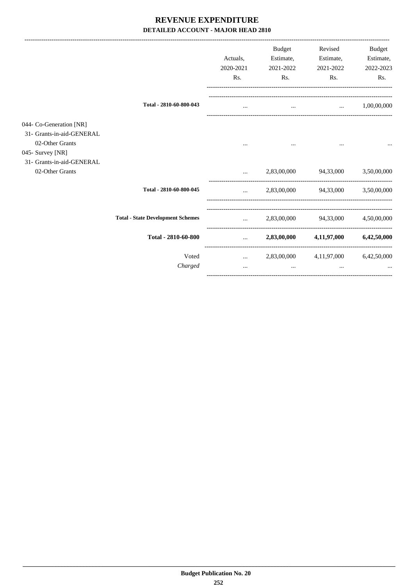|                                                                                             |                                          | Actuals,<br>2020-2021<br>Rs. | <b>Budget</b><br>Estimate,<br>2021-2022<br>Rs. | Revised<br>Estimate,<br>2021-2022<br>Rs. | <b>Budget</b><br>Estimate,<br>2022-2023<br>Rs. |
|---------------------------------------------------------------------------------------------|------------------------------------------|------------------------------|------------------------------------------------|------------------------------------------|------------------------------------------------|
|                                                                                             | Total - 2810-60-800-043                  |                              | $\cdots$                                       | $\cdots$                                 | 1,00,00,000                                    |
| 044- Co-Generation [NR]<br>31- Grants-in-aid-GENERAL<br>02-Other Grants<br>045- Survey [NR] |                                          |                              |                                                |                                          |                                                |
| 31- Grants-in-aid-GENERAL<br>02-Other Grants                                                |                                          | $\ddotsc$                    | 2,83,00,000                                    | 94,33,000                                | 3,50,00,000                                    |
|                                                                                             | Total - 2810-60-800-045                  | $\cdots$                     |                                                | 2,83,00,000 94,33,000                    | 3,50,00,000                                    |
|                                                                                             | <b>Total - State Development Schemes</b> | $\cdots$                     | 2,83,00,000                                    | 94,33,000                                | 4,50,00,000                                    |
|                                                                                             | Total - 2810-60-800                      | $\cdots$                     | 2,83,00,000                                    | 4,11,97,000                              | 6,42,50,000                                    |
|                                                                                             | Voted<br>Charged                         | $\cdots$<br>$\cdots$         | 2,83,00,000<br>                                | 4, 11, 97, 000<br>$\cdots$               | 6,42,50,000                                    |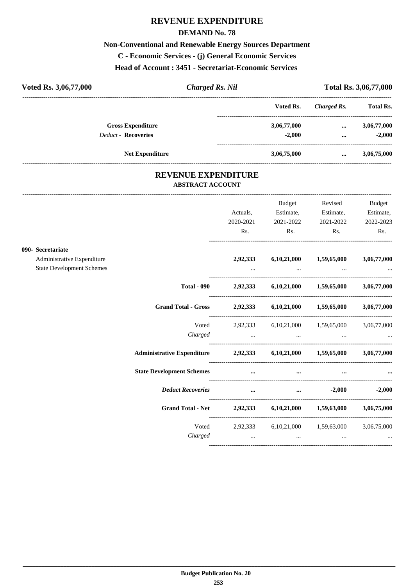## **REVENUE EXPENDITURE**

#### **DEMAND No. 78**

## **Non-Conventional and Renewable Energy Sources Department**

**C - Economic Services - (j) General Economic Services**

**Head of Account : 3451 - Secretariat-Economic Services** 

| Voted Rs. 3,06,77,000      | Charged Rs. Nil |             |             |                  |
|----------------------------|-----------------|-------------|-------------|------------------|
|                            |                 | Voted Rs.   | Charged Rs. | <b>Total Rs.</b> |
| <b>Gross Expenditure</b>   |                 | 3,06,77,000 | $\cdots$    | 3,06,77,000      |
| <b>Deduct - Recoveries</b> |                 | $-2.000$    | $\cdots$    | $-2.000$         |
| <b>Net Expenditure</b>     |                 | 3,06,75,000 |             | 3,06,75,000      |

### **REVENUE EXPENDITURE ABSTRACT ACCOUNT**

---------------------------------------------------------------------------------------------------------------------------------------------------------------------------------

|                                                                |                                                                         |                                                  | Budget                                                                                              | Revised                                                                                                             | Budget            |
|----------------------------------------------------------------|-------------------------------------------------------------------------|--------------------------------------------------|-----------------------------------------------------------------------------------------------------|---------------------------------------------------------------------------------------------------------------------|-------------------|
|                                                                |                                                                         | Actuals,                                         | Estimate,                                                                                           | Estimate,                                                                                                           | Estimate,         |
|                                                                |                                                                         | 2020-2021                                        | 2021-2022                                                                                           | 2021-2022                                                                                                           | 2022-2023         |
|                                                                |                                                                         | Rs.                                              | $\mathbf{Rs.}$                                                                                      | Rs.                                                                                                                 | Rs.               |
| 090- Secretariate                                              |                                                                         |                                                  |                                                                                                     |                                                                                                                     |                   |
| Administrative Expenditure<br><b>State Development Schemes</b> |                                                                         | 2,92,333                                         |                                                                                                     | $6,10,21,000$ $1,59,65,000$                                                                                         | 3,06,77,000       |
|                                                                |                                                                         |                                                  | the contract of the contract of the contract of the contract of the contract of the contract of the |                                                                                                                     |                   |
|                                                                | <b>Total - 090</b>                                                      |                                                  | 2,92,333 6,10,21,000 1,59,65,000 3,06,77,000                                                        |                                                                                                                     |                   |
|                                                                | Grand Total - Gross 2,92,333 6,10,21,000 1,59,65,000 3,06,77,000        |                                                  |                                                                                                     |                                                                                                                     |                   |
|                                                                | Voted                                                                   |                                                  | 2,92,333 6,10,21,000 1,59,65,000 3,06,77,000                                                        |                                                                                                                     |                   |
|                                                                |                                                                         |                                                  | Charged                                                                                             |                                                                                                                     |                   |
|                                                                | Administrative Expenditure 2,92,333 6,10,21,000 1,59,65,000 3,06,77,000 |                                                  |                                                                                                     |                                                                                                                     |                   |
|                                                                | <b>State Development Schemes</b>                                        | and the control of the control of the control of | $\cdots$                                                                                            | and the contract of the contract of the contract of the contract of the contract of the contract of the contract of |                   |
|                                                                | <b>Deduct Recoveries</b>                                                |                                                  |                                                                                                     |                                                                                                                     | $-2,000$ $-2,000$ |
|                                                                | Grand Total - Net 2,92,333 6,10,21,000 1,59,63,000 3,06,75,000          |                                                  |                                                                                                     |                                                                                                                     |                   |
|                                                                |                                                                         |                                                  | Voted 2,92,333 6,10,21,000 1,59,63,000 3,06,75,000                                                  |                                                                                                                     |                   |
|                                                                |                                                                         |                                                  |                                                                                                     |                                                                                                                     |                   |
|                                                                |                                                                         |                                                  |                                                                                                     |                                                                                                                     |                   |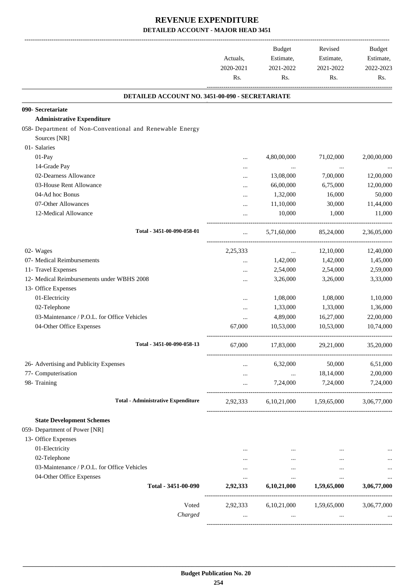|                                                                          | Actuals,<br>2020-2021<br>Rs. | <b>Budget</b><br>Estimate,<br>2021-2022<br>Rs. | Revised<br>Estimate,<br>2021-2022<br>Rs. | <b>Budget</b><br>Estimate,<br>2022-2023<br>Rs. |
|--------------------------------------------------------------------------|------------------------------|------------------------------------------------|------------------------------------------|------------------------------------------------|
| DETAILED ACCOUNT NO. 3451-00-090 - SECRETARIATE                          |                              |                                                |                                          |                                                |
| 090- Secretariate                                                        |                              |                                                |                                          |                                                |
| <b>Administrative Expenditure</b>                                        |                              |                                                |                                          |                                                |
| 058- Department of Non-Conventional and Renewable Energy<br>Sources [NR] |                              |                                                |                                          |                                                |
| 01- Salaries                                                             |                              |                                                |                                          |                                                |
|                                                                          |                              |                                                |                                          |                                                |
| 01-Pay                                                                   |                              | 4,80,00,000                                    | 71,02,000                                | 2,00,00,000                                    |
| 14-Grade Pay                                                             |                              | $\cdots$                                       | $\cdots$                                 |                                                |
| 02-Dearness Allowance                                                    |                              | 13,08,000                                      | 7,00,000                                 | 12,00,000                                      |
| 03-House Rent Allowance                                                  |                              | 66,00,000                                      | 6,75,000                                 | 12,00,000                                      |
| 04-Ad hoc Bonus                                                          |                              | 1,32,000                                       | 16,000                                   | 50,000                                         |
| 07-Other Allowances                                                      | $\ddotsc$                    | 11,10,000                                      | 30,000                                   | 11,44,000                                      |
| 12-Medical Allowance                                                     | $\ddotsc$                    | 10,000                                         | 1,000                                    | 11,000                                         |
| Total - 3451-00-090-058-01                                               | $\cdots$                     | 5.71.60.000                                    | 85,24,000                                | 2,36,05,000                                    |
| 02- Wages                                                                | 2,25,333                     |                                                | 12,10,000                                | 12,40,000                                      |
| 07- Medical Reimbursements                                               |                              | $\cdots$<br>1,42,000                           | 1,42,000                                 | 1,45,000                                       |
| 11- Travel Expenses                                                      |                              |                                                |                                          | 2,59,000                                       |
| 12- Medical Reimbursements under WBHS 2008                               |                              | 2,54,000                                       | 2,54,000                                 |                                                |
|                                                                          | .                            | 3,26,000                                       | 3,26,000                                 | 3,33,000                                       |
| 13- Office Expenses                                                      |                              |                                                |                                          |                                                |
| 01-Electricity                                                           |                              | 1,08,000                                       | 1,08,000                                 | 1,10,000                                       |
| 02-Telephone                                                             |                              | 1,33,000                                       | 1,33,000                                 | 1,36,000                                       |
| 03-Maintenance / P.O.L. for Office Vehicles                              | $\cdots$                     | 4,89,000                                       | 16,27,000                                | 22,00,000                                      |
| 04-Other Office Expenses                                                 | 67,000                       | 10,53,000                                      | 10,53,000                                | 10,74,000                                      |
| Total - 3451-00-090-058-13                                               | 67,000                       | 17,83,000                                      | 29,21,000                                | 35,20,000                                      |
| 26- Advertising and Publicity Expenses                                   | $\cdots$                     | 6,32,000                                       | 50,000                                   | 6,51,000                                       |
| 77- Computerisation                                                      | $\cdots$                     | $\ldots$                                       | 18,14,000                                | 2,00,000                                       |
| 98- Training                                                             | $\cdots$                     | 7,24,000                                       | 7,24,000                                 | 7,24,000                                       |
|                                                                          |                              |                                                |                                          |                                                |
| <b>Total - Administrative Expenditure</b>                                | 2,92,333                     |                                                | 6,10,21,000 1,59,65,000                  | 3,06,77,000                                    |
| <b>State Development Schemes</b>                                         |                              |                                                |                                          |                                                |
| 059- Department of Power [NR]                                            |                              |                                                |                                          |                                                |
| 13- Office Expenses                                                      |                              |                                                |                                          |                                                |
| 01-Electricity                                                           |                              |                                                |                                          |                                                |
| 02-Telephone                                                             | .                            | $\cdots$                                       | $\cdots$                                 | $\cdots$                                       |
| 03-Maintenance / P.O.L. for Office Vehicles                              | $\cdots$                     | $\cdots$                                       | $\ddotsc$                                |                                                |
| 04-Other Office Expenses                                                 | $\cdots$                     | $\cdots$                                       | $\cdots$                                 | $\cdots$                                       |
| Total - 3451-00-090                                                      | 2,92,333                     | 6,10,21,000                                    | 1,59,65,000                              | 3,06,77,000                                    |
| Voted                                                                    |                              | 2,92,333 6,10,21,000 1,59,65,000               |                                          | 3,06,77,000                                    |
| Charged                                                                  | $\cdots$                     | $\cdots$                                       | $\cdots$                                 |                                                |
|                                                                          |                              |                                                |                                          |                                                |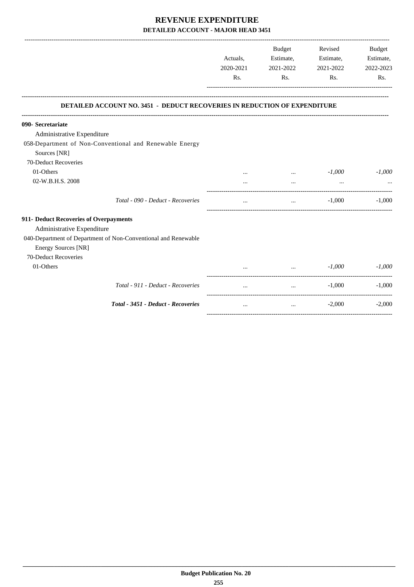|                                                                                              | Actuals,<br>2020-2021<br>Rs. | Budget<br>Estimate,<br>2021-2022<br>Rs. | Revised<br>Estimate,<br>2021-2022<br>Rs. | <b>Budget</b><br>Estimate,<br>2022-2023<br>Rs. |
|----------------------------------------------------------------------------------------------|------------------------------|-----------------------------------------|------------------------------------------|------------------------------------------------|
| <b>DETAILED ACCOUNT NO. 3451 - DEDUCT RECOVERIES IN REDUCTION OF EXPENDITURE</b>             |                              |                                         |                                          |                                                |
| 090- Secretariate                                                                            |                              |                                         |                                          |                                                |
| Administrative Expenditure                                                                   |                              |                                         |                                          |                                                |
| 058-Department of Non-Conventional and Renewable Energy<br>Sources [NR]                      |                              |                                         |                                          |                                                |
| 70-Deduct Recoveries                                                                         |                              |                                         |                                          |                                                |
| 01-Others                                                                                    |                              | $\cdots$                                | $-1,000$                                 | $-1,000$                                       |
| 02-W.B.H.S. 2008                                                                             |                              | $\cdots$                                | $\cdots$                                 |                                                |
| Total - 090 - Deduct - Recoveries                                                            | $\cdots$                     | $\cdots$                                | $-1,000$                                 | $-1,000$                                       |
| 911- Deduct Recoveries of Overpayments                                                       |                              |                                         |                                          |                                                |
| Administrative Expenditure                                                                   |                              |                                         |                                          |                                                |
| 040-Department of Department of Non-Conventional and Renewable<br><b>Energy Sources [NR]</b> |                              |                                         |                                          |                                                |
| 70-Deduct Recoveries<br>01-Others                                                            |                              | $\cdots$                                | $-1,000$                                 | $-1,000$                                       |
| Total - 911 - Deduct - Recoveries                                                            | $\cdots$                     | $\cdots$                                | $-1.000$                                 | $-1,000$                                       |
| Total - 3451 - Deduct - Recoveries                                                           | $\cdots$                     | $\cdots$                                | $-2,000$                                 | $-2,000$                                       |

-----------------------------------------------------------------------------------------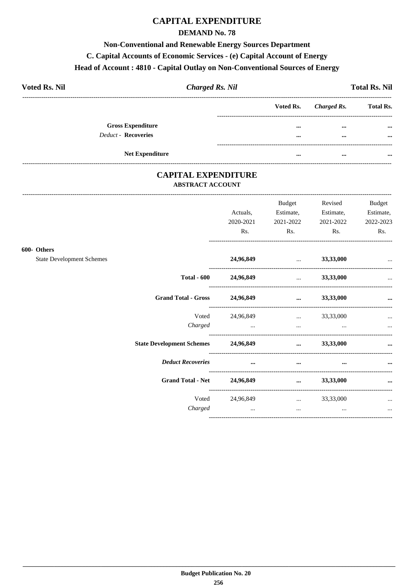# **CAPITAL EXPENDITURE**

### **DEMAND No. 78**

### **Non-Conventional and Renewable Energy Sources Department**

## C. Capital Accounts of Economic Services - (e) Capital Account of Energy

#### Head of Account: 4810 - Capital Outlay on Non-Conventional Sources of Energy

| <b>Voted Rs. Nil</b>       | <b>Charged Rs. Nil</b> |                       | <b>Total Rs. Nil</b> |
|----------------------------|------------------------|-----------------------|----------------------|
|                            |                        | Voted Rs. Charged Rs. | <b>Total Rs.</b>     |
| <b>Gross Expenditure</b>   |                        | $\cdots$<br>$\cdots$  | $\cdots$             |
| <b>Deduct - Recoveries</b> |                        | $\cdots$<br>$\cdots$  | $\cdots$             |
|                            |                        |                       |                      |
| <b>Net Expenditure</b>     |                        | <br>$\cdots$          |                      |

### **CAPITAL EXPENDITURE ABSTRACT ACCOUNT**

------------------------------

|                                  |           | <b>Budget</b>                              | Revised   | <b>Budget</b> |
|----------------------------------|-----------|--------------------------------------------|-----------|---------------|
|                                  | Actuals,  | Estimate,                                  | Estimate, | Estimate,     |
|                                  | 2020-2021 | 2021-2022                                  | 2021-2022 | 2022-2023     |
|                                  | Rs.       | Rs.                                        | Rs.       | Rs.           |
| 600- Others                      |           |                                            |           |               |
| <b>State Development Schemes</b> | 24,96,849 | <b>Contract Contract Contract Contract</b> | 33,33,000 | $\cdots$      |
| <b>Total - 600</b>               | 24,96,849 | $\mathbf{r}$                               | 33,33,000 | $\ddotsc$     |
| <b>Grand Total - Gross</b>       | 24,96,849 |                                            | 33,33,000 | $\cdots$      |
| Voted                            | 24,96,849 | and the company of the company of          | 33,33,000 | $\cdots$      |
| Charged                          | $\cdots$  | and the contract of the contract of        |           |               |
| <b>State Development Schemes</b> | 24,96,849 | $\cdots$                                   | 33,33,000 | $\cdots$      |
| <b>Deduct Recoveries</b>         | $\cdots$  | $\cdots$                                   | $\cdots$  |               |
| <b>Grand Total - Net</b>         | 24,96,849 | $\cdots$                                   | 33,33,000 | $\cdots$      |
| Voted                            | 24,96,849 | $\ldots$ 33,33,000                         |           | $\cdots$      |
| Charged                          | $\ddotsc$ | $\cdots$                                   | $\cdots$  | $\cdots$      |
|                                  |           |                                            |           |               |